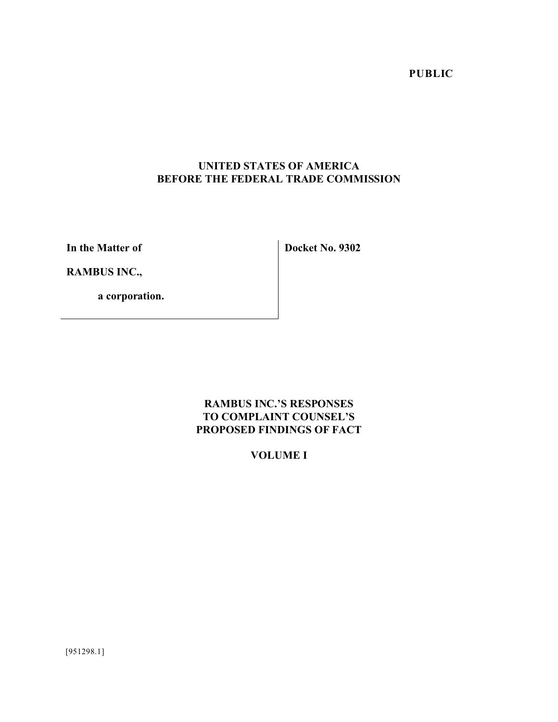**PUBLIC** 

# **UNITED STATES OF AMERICA BEFORE THE FEDERAL TRADE COMMISSION**

**In the Matter of**

**Docket No. 9302**

**RAMBUS INC.,**

**a corporation.**

# **RAMBUS INC.'S RESPONSES TO COMPLAINT COUNSEL'S PROPOSED FINDINGS OF FACT**

# **VOLUME I**

[951298.1]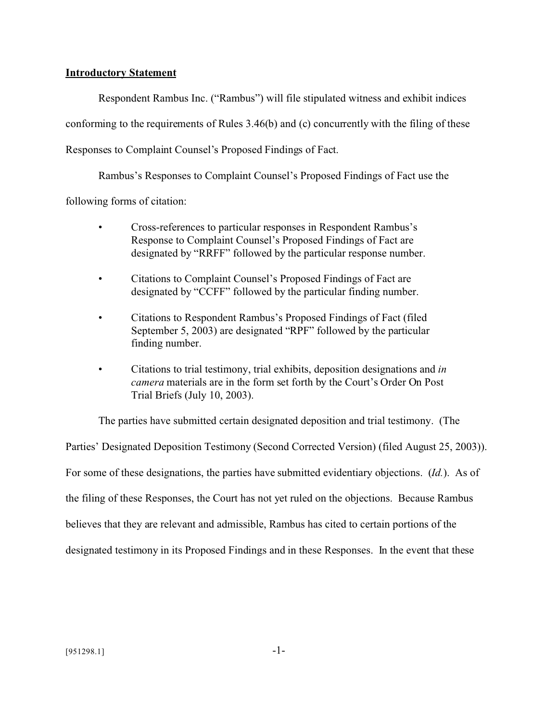#### **Introductory Statement**

Respondent Rambus Inc. ("Rambus") will file stipulated witness and exhibit indices conforming to the requirements of Rules 3.46(b) and (c) concurrently with the filing of these Responses to Complaint Counsel's Proposed Findings of Fact.

Rambus's Responses to Complaint Counsel's Proposed Findings of Fact use the

following forms of citation:

- Cross-references to particular responses in Respondent Rambus's Response to Complaint Counsel's Proposed Findings of Fact are designated by "RRFF" followed by the particular response number.
- Citations to Complaint Counsel's Proposed Findings of Fact are designated by "CCFF" followed by the particular finding number.
- Citations to Respondent Rambus's Proposed Findings of Fact (filed September 5, 2003) are designated "RPF" followed by the particular finding number.
- Citations to trial testimony, trial exhibits, deposition designations and *in camera* materials are in the form set forth by the Court's Order On Post Trial Briefs (July 10, 2003).

The parties have submitted certain designated deposition and trial testimony. (The

Parties' Designated Deposition Testimony (Second Corrected Version) (filed August 25, 2003)). For some of these designations, the parties have submitted evidentiary objections. (*Id.*). As of the filing of these Responses, the Court has not yet ruled on the objections. Because Rambus believes that they are relevant and admissible, Rambus has cited to certain portions of the designated testimony in its Proposed Findings and in these Responses. In the event that these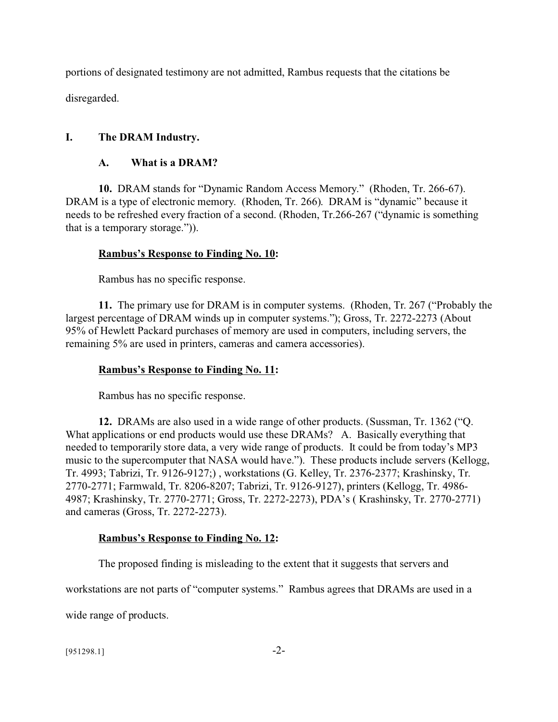portions of designated testimony are not admitted, Rambus requests that the citations be disregarded.

# **I. The DRAM Industry.**

## **A. What is a DRAM?**

**10.** DRAM stands for "Dynamic Random Access Memory." (Rhoden, Tr. 266-67). DRAM is a type of electronic memory. (Rhoden, Tr. 266). DRAM is "dynamic" because it needs to be refreshed every fraction of a second. (Rhoden, Tr.266-267 ("dynamic is something that is a temporary storage.")).

# **Rambus's Response to Finding No. 10:**

Rambus has no specific response.

**11.** The primary use for DRAM is in computer systems. (Rhoden, Tr. 267 ("Probably the largest percentage of DRAM winds up in computer systems."); Gross, Tr. 2272-2273 (About 95% of Hewlett Packard purchases of memory are used in computers, including servers, the remaining 5% are used in printers, cameras and camera accessories).

## **Rambus's Response to Finding No. 11:**

Rambus has no specific response.

**12.** DRAMs are also used in a wide range of other products. (Sussman, Tr. 1362 ("Q. What applications or end products would use these DRAMs? A. Basically everything that needed to temporarily store data, a very wide range of products. It could be from today's MP3 music to the supercomputer that NASA would have."). These products include servers (Kellogg, Tr. 4993; Tabrizi, Tr. 9126-9127;) , workstations (G. Kelley, Tr. 2376-2377; Krashinsky, Tr. 2770-2771; Farmwald, Tr. 8206-8207; Tabrizi, Tr. 9126-9127), printers (Kellogg, Tr. 4986- 4987; Krashinsky, Tr. 2770-2771; Gross, Tr. 2272-2273), PDA's ( Krashinsky, Tr. 2770-2771) and cameras (Gross, Tr. 2272-2273).

## **Rambus's Response to Finding No. 12:**

The proposed finding is misleading to the extent that it suggests that servers and

workstations are not parts of "computer systems." Rambus agrees that DRAMs are used in a

wide range of products.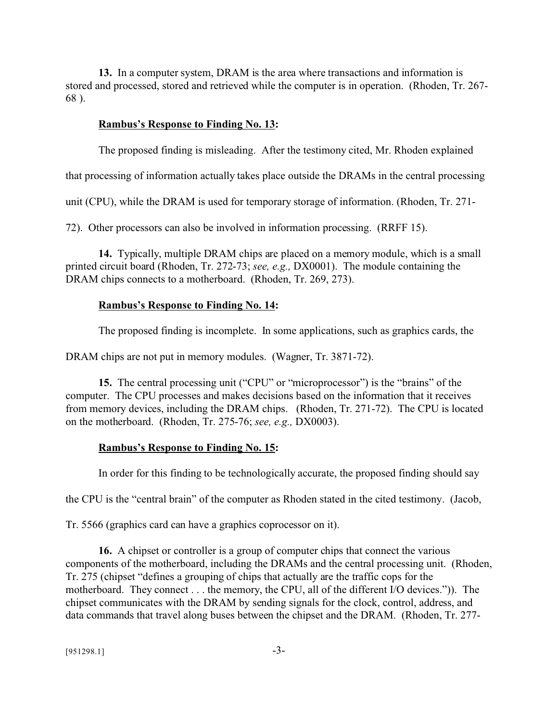**13.** In a computer system, DRAM is the area where transactions and information is stored and processed, stored and retrieved while the computer is in operation. (Rhoden, Tr. 267- 68 ).

### **Rambus's Response to Finding No. 13:**

The proposed finding is misleading. After the testimony cited, Mr. Rhoden explained

that processing of information actually takes place outside the DRAMs in the central processing

unit (CPU), while the DRAM is used for temporary storage of information. (Rhoden, Tr. 271-

72). Other processors can also be involved in information processing. (RRFF 15).

**14.** Typically, multiple DRAM chips are placed on a memory module, which is a small printed circuit board (Rhoden, Tr. 272-73; *see, e.g.,* DX0001). The module containing the DRAM chips connects to a motherboard. (Rhoden, Tr. 269, 273).

### **Rambus's Response to Finding No. 14:**

The proposed finding is incomplete. In some applications, such as graphics cards, the

DRAM chips are not put in memory modules. (Wagner, Tr. 3871-72).

**15.** The central processing unit ("CPU" or "microprocessor") is the "brains" of the computer. The CPU processes and makes decisions based on the information that it receives from memory devices, including the DRAM chips. (Rhoden, Tr. 271-72). The CPU is located on the motherboard. (Rhoden, Tr. 275-76; *see, e.g.,* DX0003).

## **Rambus's Response to Finding No. 15:**

In order for this finding to be technologically accurate, the proposed finding should say

the CPU is the "central brain" of the computer as Rhoden stated in the cited testimony. (Jacob,

Tr. 5566 (graphics card can have a graphics coprocessor on it).

**16.** A chipset or controller is a group of computer chips that connect the various components of the motherboard, including the DRAMs and the central processing unit. (Rhoden, Tr. 275 (chipset "defines a grouping of chips that actually are the traffic cops for the motherboard. They connect . . . the memory, the CPU, all of the different I/O devices.")). The chipset communicates with the DRAM by sending signals for the clock, control, address, and data commands that travel along buses between the chipset and the DRAM. (Rhoden, Tr. 277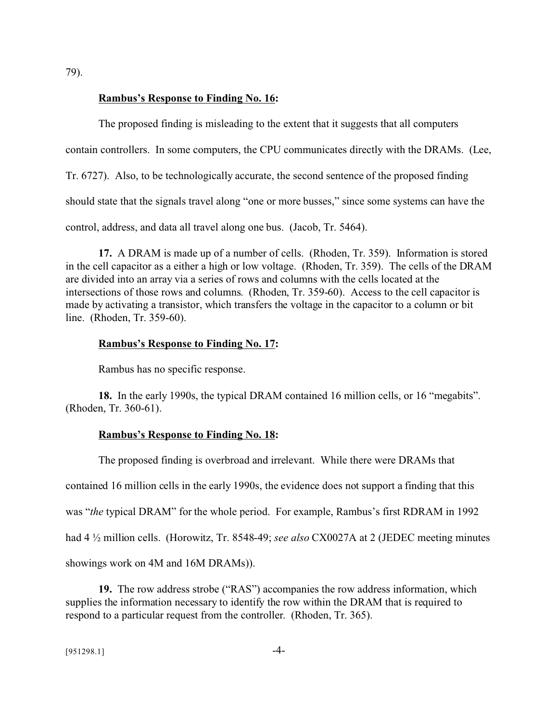79).

#### **Rambus's Response to Finding No. 16:**

The proposed finding is misleading to the extent that it suggests that all computers contain controllers. In some computers, the CPU communicates directly with the DRAMs. (Lee, Tr. 6727). Also, to be technologically accurate, the second sentence of the proposed finding should state that the signals travel along "one or more busses," since some systems can have the control, address, and data all travel along one bus. (Jacob, Tr. 5464).

**17.** A DRAM is made up of a number of cells. (Rhoden, Tr. 359). Information is stored in the cell capacitor as a either a high or low voltage. (Rhoden, Tr. 359). The cells of the DRAM are divided into an array via a series of rows and columns with the cells located at the intersections of those rows and columns. (Rhoden, Tr. 359-60). Access to the cell capacitor is made by activating a transistor, which transfers the voltage in the capacitor to a column or bit line. (Rhoden, Tr. 359-60).

#### **Rambus's Response to Finding No. 17:**

Rambus has no specific response.

**18.** In the early 1990s, the typical DRAM contained 16 million cells, or 16 "megabits". (Rhoden, Tr. 360-61).

#### **Rambus's Response to Finding No. 18:**

The proposed finding is overbroad and irrelevant. While there were DRAMs that contained 16 million cells in the early 1990s, the evidence does not support a finding that this was "*the* typical DRAM" for the whole period. For example, Rambus's first RDRAM in 1992 had 4 ½ million cells. (Horowitz, Tr. 8548-49; *see also* CX0027A at 2 (JEDEC meeting minutes showings work on 4M and 16M DRAMs)).

**19.** The row address strobe ("RAS") accompanies the row address information, which supplies the information necessary to identify the row within the DRAM that is required to respond to a particular request from the controller. (Rhoden, Tr. 365).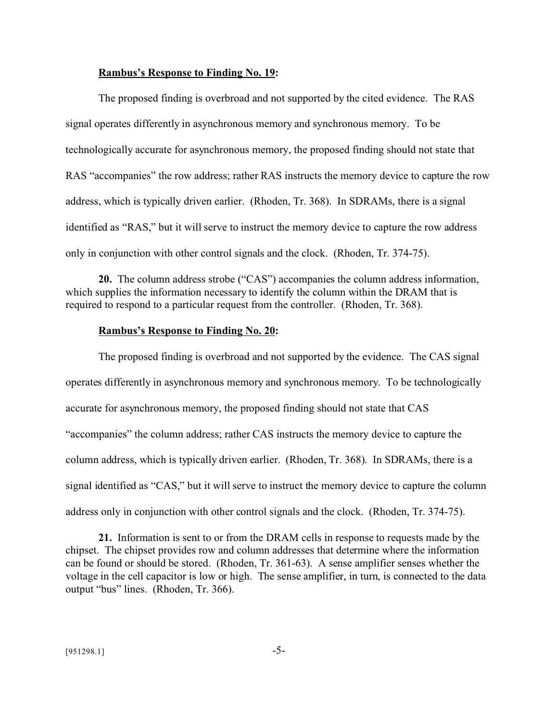#### **Rambus's Response to Finding No. 19:**

The proposed finding is overbroad and not supported by the cited evidence. The RAS signal operates differently in asynchronous memory and synchronous memory. To be technologically accurate for asynchronous memory, the proposed finding should not state that RAS "accompanies" the row address; rather RAS instructs the memory device to capture the row address, which is typically driven earlier. (Rhoden, Tr. 368). In SDRAMs, there is a signal identified as "RAS," but it will serve to instruct the memory device to capture the row address only in conjunction with other control signals and the clock. (Rhoden, Tr. 374-75).

**20.** The column address strobe ("CAS") accompanies the column address information, which supplies the information necessary to identify the column within the DRAM that is required to respond to a particular request from the controller. (Rhoden, Tr. 368).

#### **Rambus's Response to Finding No. 20:**

The proposed finding is overbroad and not supported by the evidence. The CAS signal operates differently in asynchronous memory and synchronous memory. To be technologically accurate for asynchronous memory, the proposed finding should not state that CAS "accompanies" the column address; rather CAS instructs the memory device to capture the column address, which is typically driven earlier. (Rhoden, Tr. 368). In SDRAMs, there is a signal identified as "CAS," but it will serve to instruct the memory device to capture the column address only in conjunction with other control signals and the clock. (Rhoden, Tr. 374-75).

**21.** Information is sent to or from the DRAM cells in response to requests made by the chipset. The chipset provides row and column addresses that determine where the information can be found or should be stored. (Rhoden, Tr. 361-63). A sense amplifier senses whether the voltage in the cell capacitor is low or high. The sense amplifier, in turn, is connected to the data output "bus" lines. (Rhoden, Tr. 366).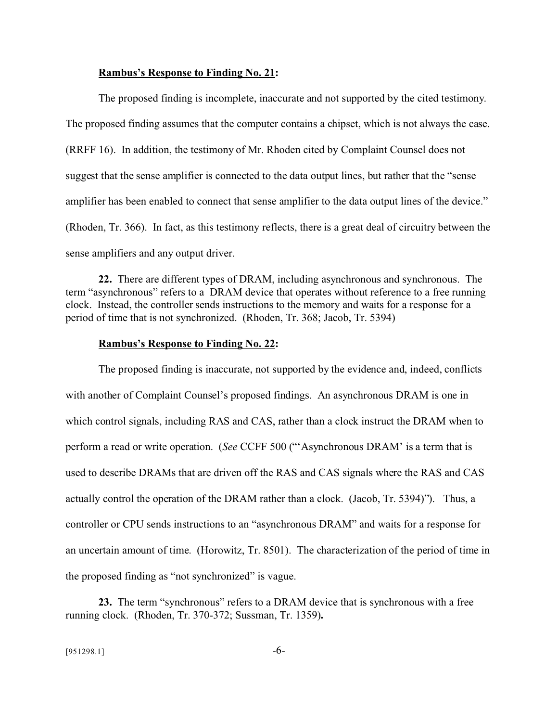#### **Rambus's Response to Finding No. 21:**

The proposed finding is incomplete, inaccurate and not supported by the cited testimony. The proposed finding assumes that the computer contains a chipset, which is not always the case. (RRFF 16). In addition, the testimony of Mr. Rhoden cited by Complaint Counsel does not suggest that the sense amplifier is connected to the data output lines, but rather that the "sense amplifier has been enabled to connect that sense amplifier to the data output lines of the device." (Rhoden, Tr. 366). In fact, as this testimony reflects, there is a great deal of circuitry between the sense amplifiers and any output driver.

**22.** There are different types of DRAM, including asynchronous and synchronous. The term "asynchronous" refers to a DRAM device that operates without reference to a free running clock. Instead, the controller sends instructions to the memory and waits for a response for a period of time that is not synchronized. (Rhoden, Tr. 368; Jacob, Tr. 5394)

#### **Rambus's Response to Finding No. 22:**

The proposed finding is inaccurate, not supported by the evidence and, indeed, conflicts with another of Complaint Counsel's proposed findings. An asynchronous DRAM is one in which control signals, including RAS and CAS, rather than a clock instruct the DRAM when to perform a read or write operation. (*See* CCFF 500 ("'Asynchronous DRAM' is a term that is used to describe DRAMs that are driven off the RAS and CAS signals where the RAS and CAS actually control the operation of the DRAM rather than a clock. (Jacob, Tr. 5394)"). Thus, a controller or CPU sends instructions to an "asynchronous DRAM" and waits for a response for an uncertain amount of time. (Horowitz, Tr. 8501). The characterization of the period of time in the proposed finding as "not synchronized" is vague.

**23.** The term "synchronous" refers to a DRAM device that is synchronous with a free running clock. (Rhoden, Tr. 370-372; Sussman, Tr. 1359)**.**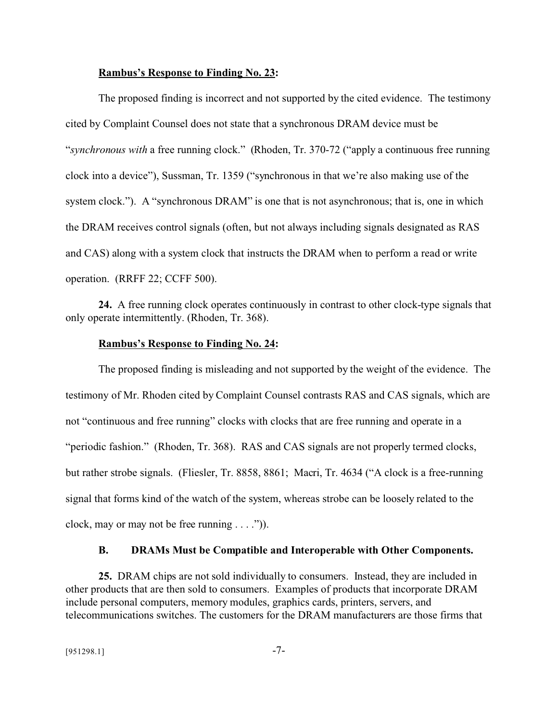#### **Rambus's Response to Finding No. 23:**

The proposed finding is incorrect and not supported by the cited evidence. The testimony cited by Complaint Counsel does not state that a synchronous DRAM device must be "*synchronous with* a free running clock." (Rhoden, Tr. 370-72 ("apply a continuous free running clock into a device"), Sussman, Tr. 1359 ("synchronous in that we're also making use of the system clock."). A "synchronous DRAM" is one that is not asynchronous; that is, one in which the DRAM receives control signals (often, but not always including signals designated as RAS and CAS) along with a system clock that instructs the DRAM when to perform a read or write operation. (RRFF 22; CCFF 500).

**24.** A free running clock operates continuously in contrast to other clock-type signals that only operate intermittently. (Rhoden, Tr. 368).

#### **Rambus's Response to Finding No. 24:**

The proposed finding is misleading and not supported by the weight of the evidence. The testimony of Mr. Rhoden cited by Complaint Counsel contrasts RAS and CAS signals, which are not "continuous and free running" clocks with clocks that are free running and operate in a "periodic fashion." (Rhoden, Tr. 368). RAS and CAS signals are not properly termed clocks, but rather strobe signals. (Fliesler, Tr. 8858, 8861; Macri, Tr. 4634 ("A clock is a free-running signal that forms kind of the watch of the system, whereas strobe can be loosely related to the clock, may or may not be free running  $\dots$ .").

#### **B. DRAMs Must be Compatible and Interoperable with Other Components.**

**25.** DRAM chips are not sold individually to consumers. Instead, they are included in other products that are then sold to consumers. Examples of products that incorporate DRAM include personal computers, memory modules, graphics cards, printers, servers, and telecommunications switches. The customers for the DRAM manufacturers are those firms that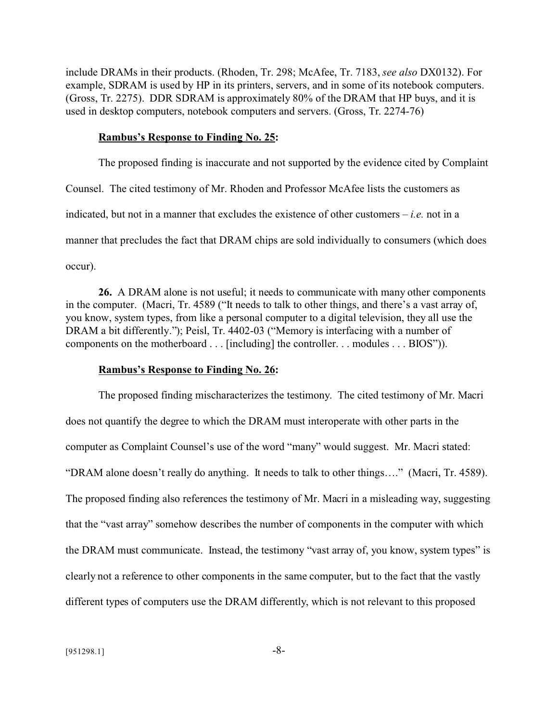include DRAMs in their products. (Rhoden, Tr. 298; McAfee, Tr. 7183, *see also* DX0132). For example, SDRAM is used by HP in its printers, servers, and in some of its notebook computers. (Gross, Tr. 2275). DDR SDRAM is approximately 80% of the DRAM that HP buys, and it is used in desktop computers, notebook computers and servers. (Gross, Tr. 2274-76)

#### **Rambus's Response to Finding No. 25:**

The proposed finding is inaccurate and not supported by the evidence cited by Complaint Counsel. The cited testimony of Mr. Rhoden and Professor McAfee lists the customers as indicated, but not in a manner that excludes the existence of other customers – *i.e.* not in a manner that precludes the fact that DRAM chips are sold individually to consumers (which does occur).

**26.** A DRAM alone is not useful; it needs to communicate with many other components in the computer. (Macri, Tr. 4589 ("It needs to talk to other things, and there's a vast array of, you know, system types, from like a personal computer to a digital television, they all use the DRAM a bit differently."); Peisl, Tr. 4402-03 ("Memory is interfacing with a number of components on the motherboard . . . [including] the controller. . . modules . . . BIOS")).

#### **Rambus's Response to Finding No. 26:**

The proposed finding mischaracterizes the testimony. The cited testimony of Mr. Macri does not quantify the degree to which the DRAM must interoperate with other parts in the computer as Complaint Counsel's use of the word "many" would suggest. Mr. Macri stated: "DRAM alone doesn't really do anything. It needs to talk to other things…." (Macri, Tr. 4589). The proposed finding also references the testimony of Mr. Macri in a misleading way, suggesting that the "vast array" somehow describes the number of components in the computer with which the DRAM must communicate. Instead, the testimony "vast array of, you know, system types" is clearly not a reference to other components in the same computer, but to the fact that the vastly different types of computers use the DRAM differently, which is not relevant to this proposed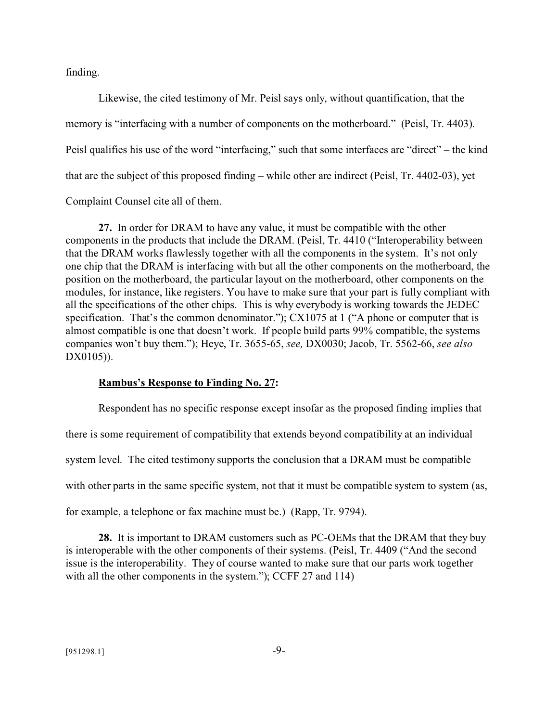finding.

Likewise, the cited testimony of Mr. Peisl says only, without quantification, that the memory is "interfacing with a number of components on the motherboard." (Peisl, Tr. 4403). Peisl qualifies his use of the word "interfacing," such that some interfaces are "direct" – the kind that are the subject of this proposed finding – while other are indirect (Peisl, Tr. 4402-03), yet

Complaint Counsel cite all of them.

**27.** In order for DRAM to have any value, it must be compatible with the other components in the products that include the DRAM. (Peisl, Tr. 4410 ("Interoperability between that the DRAM works flawlessly together with all the components in the system. It's not only one chip that the DRAM is interfacing with but all the other components on the motherboard, the position on the motherboard, the particular layout on the motherboard, other components on the modules, for instance, like registers. You have to make sure that your part is fully compliant with all the specifications of the other chips. This is why everybody is working towards the JEDEC specification. That's the common denominator."); CX1075 at 1 ("A phone or computer that is almost compatible is one that doesn't work. If people build parts 99% compatible, the systems companies won't buy them."); Heye, Tr. 3655-65, *see,* DX0030; Jacob, Tr. 5562-66, *see also* DX0105)).

#### **Rambus's Response to Finding No. 27:**

Respondent has no specific response except insofar as the proposed finding implies that there is some requirement of compatibility that extends beyond compatibility at an individual system level. The cited testimony supports the conclusion that a DRAM must be compatible with other parts in the same specific system, not that it must be compatible system to system (as, for example, a telephone or fax machine must be.) (Rapp, Tr. 9794).

**28.** It is important to DRAM customers such as PC-OEMs that the DRAM that they buy is interoperable with the other components of their systems. (Peisl, Tr. 4409 ("And the second issue is the interoperability. They of course wanted to make sure that our parts work together with all the other components in the system."); CCFF 27 and 114)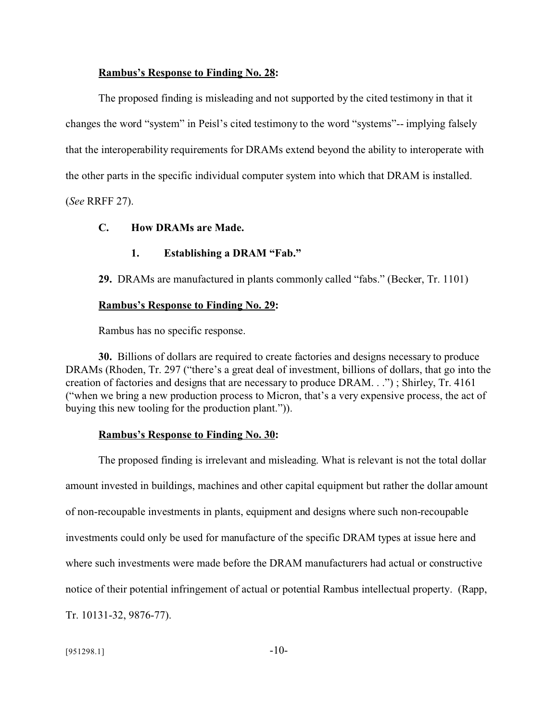#### **Rambus's Response to Finding No. 28:**

The proposed finding is misleading and not supported by the cited testimony in that it changes the word "system" in Peisl's cited testimony to the word "systems"-- implying falsely that the interoperability requirements for DRAMs extend beyond the ability to interoperate with the other parts in the specific individual computer system into which that DRAM is installed. (*See* RRFF 27).

**C. How DRAMs are Made.**

# **1. Establishing a DRAM "Fab."**

**29.** DRAMs are manufactured in plants commonly called "fabs." (Becker, Tr. 1101)

#### **Rambus's Response to Finding No. 29:**

Rambus has no specific response.

**30.** Billions of dollars are required to create factories and designs necessary to produce DRAMs (Rhoden, Tr. 297 ("there's a great deal of investment, billions of dollars, that go into the creation of factories and designs that are necessary to produce DRAM. . .") ; Shirley, Tr. 4161 ("when we bring a new production process to Micron, that's a very expensive process, the act of buying this new tooling for the production plant.")).

#### **Rambus's Response to Finding No. 30:**

The proposed finding is irrelevant and misleading. What is relevant is not the total dollar amount invested in buildings, machines and other capital equipment but rather the dollar amount of non-recoupable investments in plants, equipment and designs where such non-recoupable investments could only be used for manufacture of the specific DRAM types at issue here and where such investments were made before the DRAM manufacturers had actual or constructive notice of their potential infringement of actual or potential Rambus intellectual property. (Rapp, Tr. 10131-32, 9876-77).

 $[951298.1]$  -10-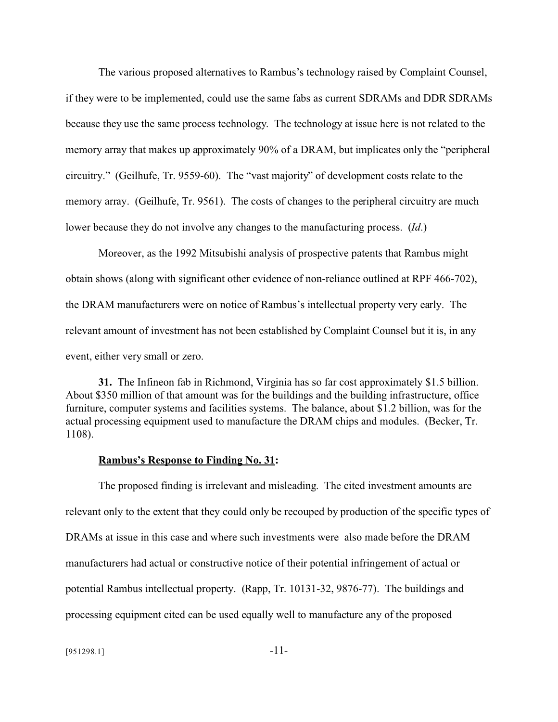The various proposed alternatives to Rambus's technology raised by Complaint Counsel, if they were to be implemented, could use the same fabs as current SDRAMs and DDR SDRAMs because they use the same process technology. The technology at issue here is not related to the memory array that makes up approximately 90% of a DRAM, but implicates only the "peripheral circuitry." (Geilhufe, Tr. 9559-60). The "vast majority" of development costs relate to the memory array. (Geilhufe, Tr. 9561). The costs of changes to the peripheral circuitry are much lower because they do not involve any changes to the manufacturing process. (*Id*.)

Moreover, as the 1992 Mitsubishi analysis of prospective patents that Rambus might obtain shows (along with significant other evidence of non-reliance outlined at RPF 466-702), the DRAM manufacturers were on notice of Rambus's intellectual property very early. The relevant amount of investment has not been established by Complaint Counsel but it is, in any event, either very small or zero.

**31.** The Infineon fab in Richmond, Virginia has so far cost approximately \$1.5 billion. About \$350 million of that amount was for the buildings and the building infrastructure, office furniture, computer systems and facilities systems. The balance, about \$1.2 billion, was for the actual processing equipment used to manufacture the DRAM chips and modules. (Becker, Tr. 1108).

#### **Rambus's Response to Finding No. 31:**

The proposed finding is irrelevant and misleading. The cited investment amounts are relevant only to the extent that they could only be recouped by production of the specific types of DRAMs at issue in this case and where such investments were also made before the DRAM manufacturers had actual or constructive notice of their potential infringement of actual or potential Rambus intellectual property. (Rapp, Tr. 10131-32, 9876-77). The buildings and processing equipment cited can be used equally well to manufacture any of the proposed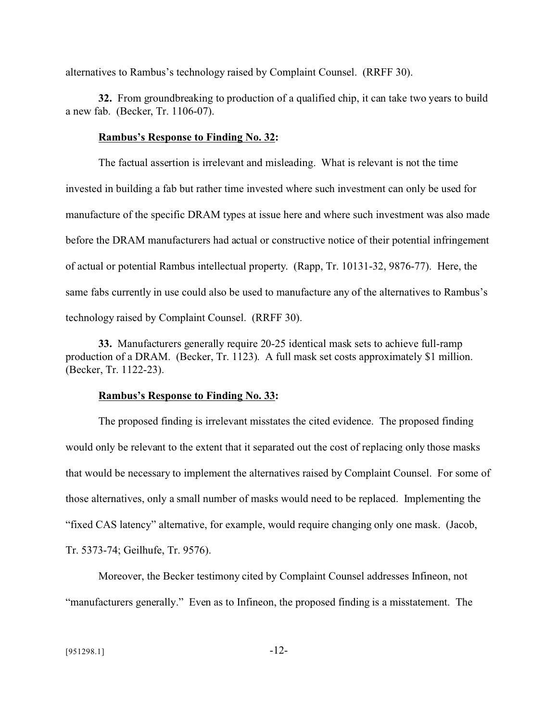alternatives to Rambus's technology raised by Complaint Counsel. (RRFF 30).

**32.** From groundbreaking to production of a qualified chip, it can take two years to build a new fab. (Becker, Tr. 1106-07).

#### **Rambus's Response to Finding No. 32:**

The factual assertion is irrelevant and misleading. What is relevant is not the time invested in building a fab but rather time invested where such investment can only be used for manufacture of the specific DRAM types at issue here and where such investment was also made before the DRAM manufacturers had actual or constructive notice of their potential infringement of actual or potential Rambus intellectual property. (Rapp, Tr. 10131-32, 9876-77). Here, the same fabs currently in use could also be used to manufacture any of the alternatives to Rambus's technology raised by Complaint Counsel. (RRFF 30).

**33.** Manufacturers generally require 20-25 identical mask sets to achieve full-ramp production of a DRAM. (Becker, Tr. 1123). A full mask set costs approximately \$1 million. (Becker, Tr. 1122-23).

#### **Rambus's Response to Finding No. 33:**

The proposed finding is irrelevant misstates the cited evidence. The proposed finding would only be relevant to the extent that it separated out the cost of replacing only those masks that would be necessary to implement the alternatives raised by Complaint Counsel. For some of those alternatives, only a small number of masks would need to be replaced. Implementing the "fixed CAS latency" alternative, for example, would require changing only one mask. (Jacob, Tr. 5373-74; Geilhufe, Tr. 9576).

Moreover, the Becker testimony cited by Complaint Counsel addresses Infineon, not "manufacturers generally." Even as to Infineon, the proposed finding is a misstatement. The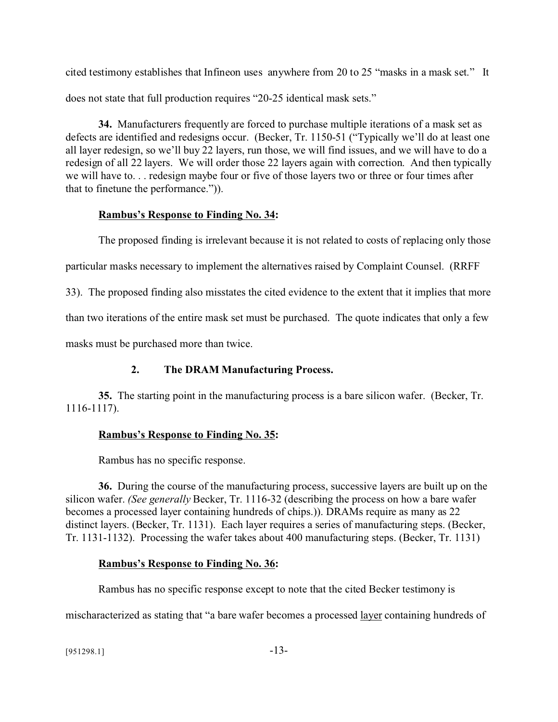cited testimony establishes that Infineon uses anywhere from 20 to 25 "masks in a mask set." It does not state that full production requires "20-25 identical mask sets."

**34.** Manufacturers frequently are forced to purchase multiple iterations of a mask set as defects are identified and redesigns occur. (Becker, Tr. 1150-51 ("Typically we'll do at least one all layer redesign, so we'll buy 22 layers, run those, we will find issues, and we will have to do a redesign of all 22 layers. We will order those 22 layers again with correction. And then typically we will have to. . . redesign maybe four or five of those layers two or three or four times after that to finetune the performance.")).

# **Rambus's Response to Finding No. 34:**

The proposed finding is irrelevant because it is not related to costs of replacing only those particular masks necessary to implement the alternatives raised by Complaint Counsel. (RRFF 33). The proposed finding also misstates the cited evidence to the extent that it implies that more than two iterations of the entire mask set must be purchased. The quote indicates that only a few masks must be purchased more than twice.

# **2. The DRAM Manufacturing Process.**

**35.** The starting point in the manufacturing process is a bare silicon wafer. (Becker, Tr. 1116-1117).

# **Rambus's Response to Finding No. 35:**

Rambus has no specific response.

**36.** During the course of the manufacturing process, successive layers are built up on the silicon wafer. *(See generally* Becker, Tr. 1116-32 (describing the process on how a bare wafer becomes a processed layer containing hundreds of chips.)). DRAMs require as many as 22 distinct layers. (Becker, Tr. 1131). Each layer requires a series of manufacturing steps. (Becker, Tr. 1131-1132). Processing the wafer takes about 400 manufacturing steps. (Becker, Tr. 1131)

# **Rambus's Response to Finding No. 36:**

Rambus has no specific response except to note that the cited Becker testimony is

mischaracterized as stating that "a bare wafer becomes a processed <u>layer</u> containing hundreds of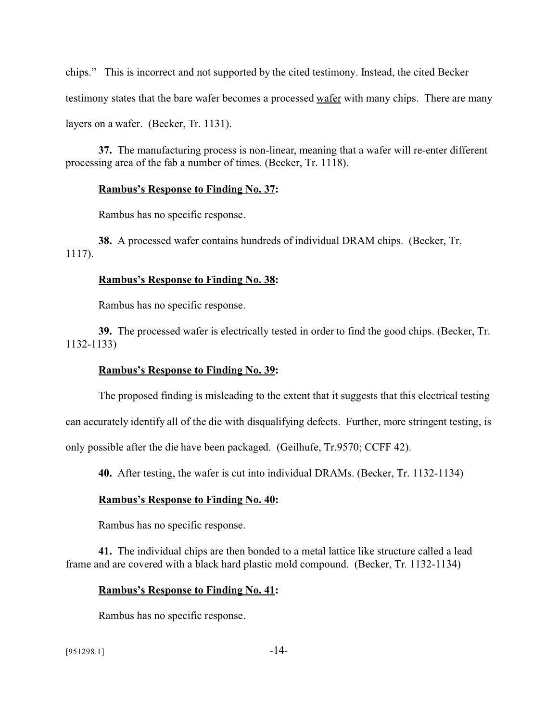chips." This is incorrect and not supported by the cited testimony. Instead, the cited Becker testimony states that the bare wafer becomes a processed wafer with many chips. There are many layers on a wafer. (Becker, Tr. 1131).

**37.** The manufacturing process is non-linear, meaning that a wafer will re-enter different processing area of the fab a number of times. (Becker, Tr. 1118).

### **Rambus's Response to Finding No. 37:**

Rambus has no specific response.

**38.** A processed wafer contains hundreds of individual DRAM chips. (Becker, Tr. 1117).

## **Rambus's Response to Finding No. 38:**

Rambus has no specific response.

**39.** The processed wafer is electrically tested in order to find the good chips. (Becker, Tr. 1132-1133)

## **Rambus's Response to Finding No. 39:**

The proposed finding is misleading to the extent that it suggests that this electrical testing

can accurately identify all of the die with disqualifying defects. Further, more stringent testing, is

only possible after the die have been packaged. (Geilhufe, Tr.9570; CCFF 42).

**40.** After testing, the wafer is cut into individual DRAMs. (Becker, Tr. 1132-1134)

## **Rambus's Response to Finding No. 40:**

Rambus has no specific response.

**41.** The individual chips are then bonded to a metal lattice like structure called a lead frame and are covered with a black hard plastic mold compound. (Becker, Tr. 1132-1134)

## **Rambus's Response to Finding No. 41:**

Rambus has no specific response.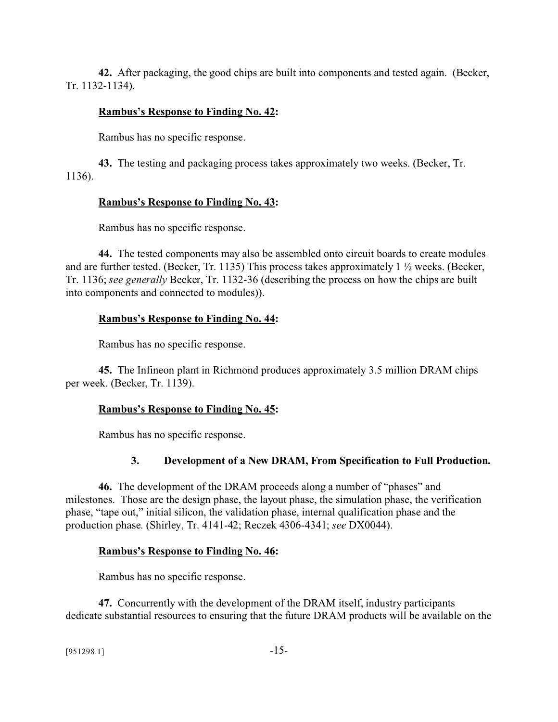**42.** After packaging, the good chips are built into components and tested again. (Becker, Tr. 1132-1134).

### **Rambus's Response to Finding No. 42:**

Rambus has no specific response.

**43.** The testing and packaging process takes approximately two weeks. (Becker, Tr. 1136).

### **Rambus's Response to Finding No. 43:**

Rambus has no specific response.

**44.** The tested components may also be assembled onto circuit boards to create modules and are further tested. (Becker, Tr. 1135) This process takes approximately 1 ½ weeks. (Becker, Tr. 1136; *see generally* Becker, Tr. 1132-36 (describing the process on how the chips are built into components and connected to modules)).

### **Rambus's Response to Finding No. 44:**

Rambus has no specific response.

**45.** The Infineon plant in Richmond produces approximately 3.5 million DRAM chips per week. (Becker, Tr. 1139).

#### **Rambus's Response to Finding No. 45:**

Rambus has no specific response.

## **3. Development of a New DRAM, From Specification to Full Production.**

**46.** The development of the DRAM proceeds along a number of "phases" and milestones. Those are the design phase, the layout phase, the simulation phase, the verification phase, "tape out," initial silicon, the validation phase, internal qualification phase and the production phase. (Shirley, Tr. 4141-42; Reczek 4306-4341; *see* DX0044).

#### **Rambus's Response to Finding No. 46:**

Rambus has no specific response.

**47.** Concurrently with the development of the DRAM itself, industry participants dedicate substantial resources to ensuring that the future DRAM products will be available on the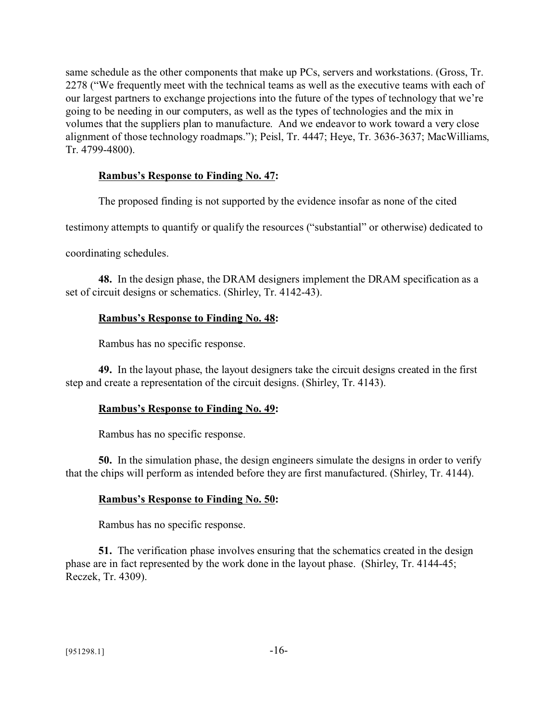same schedule as the other components that make up PCs, servers and workstations. (Gross, Tr. 2278 ("We frequently meet with the technical teams as well as the executive teams with each of our largest partners to exchange projections into the future of the types of technology that we're going to be needing in our computers, as well as the types of technologies and the mix in volumes that the suppliers plan to manufacture. And we endeavor to work toward a very close alignment of those technology roadmaps."); Peisl, Tr. 4447; Heye, Tr. 3636-3637; MacWilliams, Tr. 4799-4800).

### **Rambus's Response to Finding No. 47:**

The proposed finding is not supported by the evidence insofar as none of the cited

testimony attempts to quantify or qualify the resources ("substantial" or otherwise) dedicated to

coordinating schedules.

**48.** In the design phase, the DRAM designers implement the DRAM specification as a set of circuit designs or schematics. (Shirley, Tr. 4142-43).

### **Rambus's Response to Finding No. 48:**

Rambus has no specific response.

**49.** In the layout phase, the layout designers take the circuit designs created in the first step and create a representation of the circuit designs. (Shirley, Tr. 4143).

#### **Rambus's Response to Finding No. 49:**

Rambus has no specific response.

**50.** In the simulation phase, the design engineers simulate the designs in order to verify that the chips will perform as intended before they are first manufactured. (Shirley, Tr. 4144).

#### **Rambus's Response to Finding No. 50:**

Rambus has no specific response.

**51.** The verification phase involves ensuring that the schematics created in the design phase are in fact represented by the work done in the layout phase. (Shirley, Tr. 4144-45; Reczek, Tr. 4309).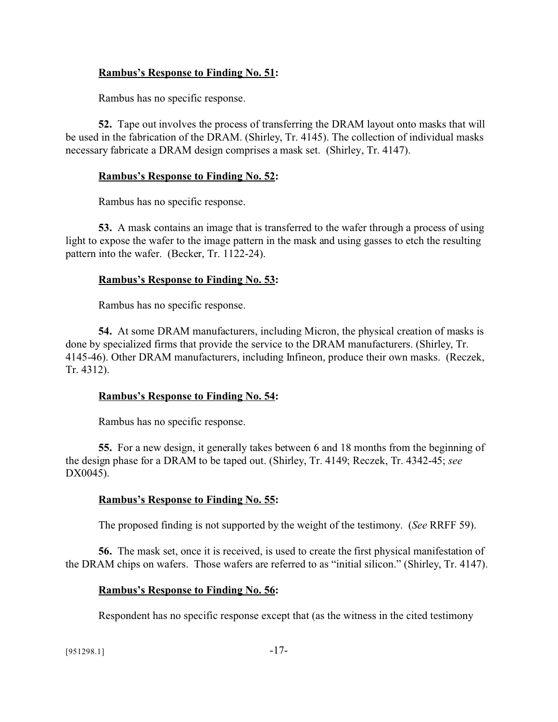### **Rambus's Response to Finding No. 51:**

Rambus has no specific response.

**52.** Tape out involves the process of transferring the DRAM layout onto masks that will be used in the fabrication of the DRAM. (Shirley, Tr. 4145). The collection of individual masks necessary fabricate a DRAM design comprises a mask set. (Shirley, Tr. 4147).

### **Rambus's Response to Finding No. 52:**

Rambus has no specific response.

**53.** A mask contains an image that is transferred to the wafer through a process of using light to expose the wafer to the image pattern in the mask and using gasses to etch the resulting pattern into the wafer. (Becker, Tr. 1122-24).

### **Rambus's Response to Finding No. 53:**

Rambus has no specific response.

**54.** At some DRAM manufacturers, including Micron, the physical creation of masks is done by specialized firms that provide the service to the DRAM manufacturers. (Shirley, Tr. 4145-46). Other DRAM manufacturers, including Infineon, produce their own masks. (Reczek, Tr. 4312).

## **Rambus's Response to Finding No. 54:**

Rambus has no specific response.

**55.** For a new design, it generally takes between 6 and 18 months from the beginning of the design phase for a DRAM to be taped out. (Shirley, Tr. 4149; Reczek, Tr. 4342-45; *see* DX0045).

## **Rambus's Response to Finding No. 55:**

The proposed finding is not supported by the weight of the testimony. (*See* RRFF 59).

**56.** The mask set, once it is received, is used to create the first physical manifestation of the DRAM chips on wafers. Those wafers are referred to as "initial silicon." (Shirley, Tr. 4147).

#### **Rambus's Response to Finding No. 56:**

Respondent has no specific response except that (as the witness in the cited testimony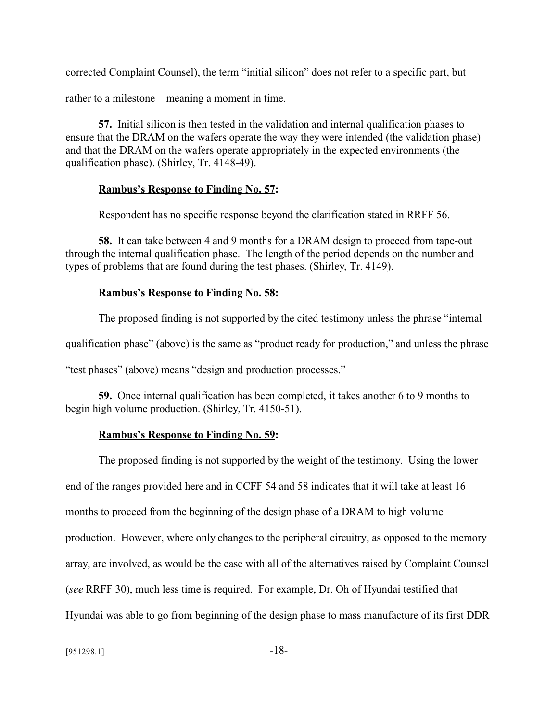corrected Complaint Counsel), the term "initial silicon" does not refer to a specific part, but

rather to a milestone – meaning a moment in time.

**57.** Initial silicon is then tested in the validation and internal qualification phases to ensure that the DRAM on the wafers operate the way they were intended (the validation phase) and that the DRAM on the wafers operate appropriately in the expected environments (the qualification phase). (Shirley, Tr. 4148-49).

#### **Rambus's Response to Finding No. 57:**

Respondent has no specific response beyond the clarification stated in RRFF 56.

**58.** It can take between 4 and 9 months for a DRAM design to proceed from tape-out through the internal qualification phase. The length of the period depends on the number and types of problems that are found during the test phases. (Shirley, Tr. 4149).

#### **Rambus's Response to Finding No. 58:**

The proposed finding is not supported by the cited testimony unless the phrase "internal

qualification phase" (above) is the same as "product ready for production," and unless the phrase

"test phases" (above) means "design and production processes."

**59.** Once internal qualification has been completed, it takes another 6 to 9 months to begin high volume production. (Shirley, Tr. 4150-51).

#### **Rambus's Response to Finding No. 59:**

The proposed finding is not supported by the weight of the testimony. Using the lower end of the ranges provided here and in CCFF 54 and 58 indicates that it will take at least 16 months to proceed from the beginning of the design phase of a DRAM to high volume production. However, where only changes to the peripheral circuitry, as opposed to the memory array, are involved, as would be the case with all of the alternatives raised by Complaint Counsel (*see* RRFF 30), much less time is required. For example, Dr. Oh of Hyundai testified that Hyundai was able to go from beginning of the design phase to mass manufacture of its first DDR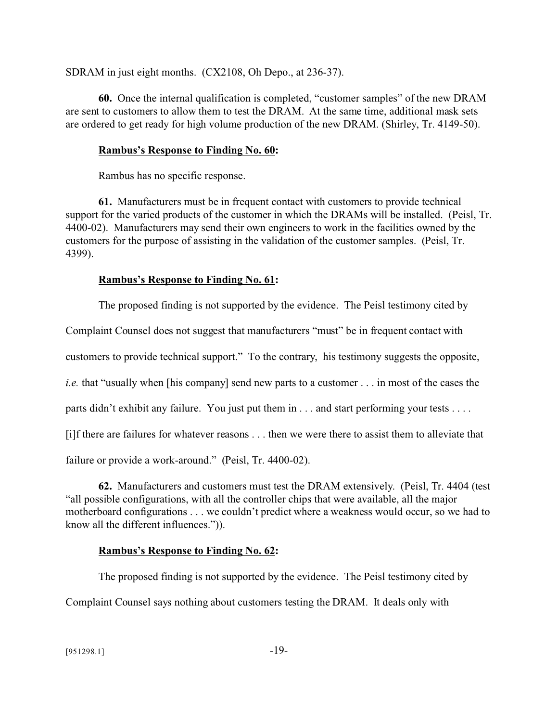SDRAM in just eight months. (CX2108, Oh Depo., at 236-37).

**60.** Once the internal qualification is completed, "customer samples" of the new DRAM are sent to customers to allow them to test the DRAM. At the same time, additional mask sets are ordered to get ready for high volume production of the new DRAM. (Shirley, Tr. 4149-50).

### **Rambus's Response to Finding No. 60:**

Rambus has no specific response.

**61.** Manufacturers must be in frequent contact with customers to provide technical support for the varied products of the customer in which the DRAMs will be installed. (Peisl, Tr. 4400-02). Manufacturers may send their own engineers to work in the facilities owned by the customers for the purpose of assisting in the validation of the customer samples. (Peisl, Tr. 4399).

### **Rambus's Response to Finding No. 61:**

The proposed finding is not supported by the evidence. The Peisl testimony cited by

Complaint Counsel does not suggest that manufacturers "must" be in frequent contact with

customers to provide technical support." To the contrary, his testimony suggests the opposite,

*i.e.* that "usually when [his company] send new parts to a customer . . . in most of the cases the

parts didn't exhibit any failure. You just put them in . . . and start performing your tests . . . .

[i]f there are failures for whatever reasons . . . then we were there to assist them to alleviate that

failure or provide a work-around." (Peisl, Tr. 4400-02).

**62.** Manufacturers and customers must test the DRAM extensively. (Peisl, Tr. 4404 (test "all possible configurations, with all the controller chips that were available, all the major motherboard configurations . . . we couldn't predict where a weakness would occur, so we had to know all the different influences.")).

## **Rambus's Response to Finding No. 62:**

The proposed finding is not supported by the evidence. The Peisl testimony cited by Complaint Counsel says nothing about customers testing the DRAM. It deals only with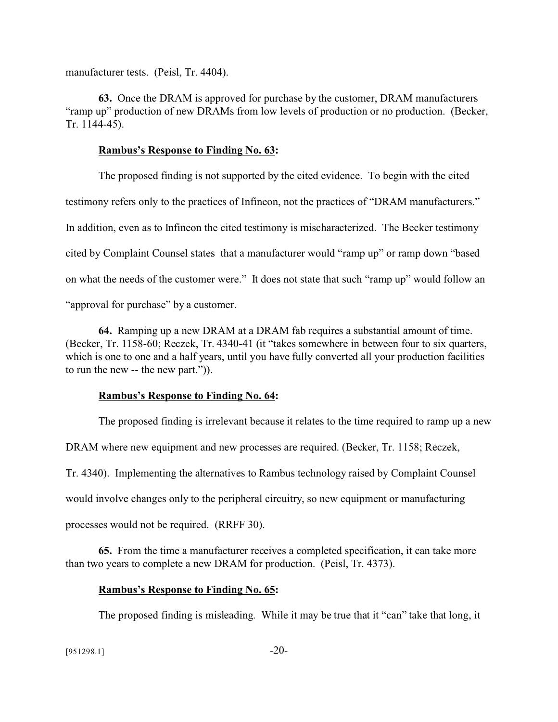manufacturer tests. (Peisl, Tr. 4404).

**63.** Once the DRAM is approved for purchase by the customer, DRAM manufacturers "ramp up" production of new DRAMs from low levels of production or no production. (Becker, Tr. 1144-45).

#### **Rambus's Response to Finding No. 63:**

The proposed finding is not supported by the cited evidence. To begin with the cited testimony refers only to the practices of Infineon, not the practices of "DRAM manufacturers." In addition, even as to Infineon the cited testimony is mischaracterized. The Becker testimony cited by Complaint Counsel states that a manufacturer would "ramp up" or ramp down "based on what the needs of the customer were." It does not state that such "ramp up" would follow an "approval for purchase" by a customer.

**64.** Ramping up a new DRAM at a DRAM fab requires a substantial amount of time. (Becker, Tr. 1158-60; Reczek, Tr. 4340-41 (it "takes somewhere in between four to six quarters, which is one to one and a half years, until you have fully converted all your production facilities to run the new -- the new part.")).

#### **Rambus's Response to Finding No. 64:**

The proposed finding is irrelevant because it relates to the time required to ramp up a new DRAM where new equipment and new processes are required. (Becker, Tr. 1158; Reczek, Tr. 4340). Implementing the alternatives to Rambus technology raised by Complaint Counsel would involve changes only to the peripheral circuitry, so new equipment or manufacturing processes would not be required. (RRFF 30).

**65.** From the time a manufacturer receives a completed specification, it can take more than two years to complete a new DRAM for production. (Peisl, Tr. 4373).

#### **Rambus's Response to Finding No. 65:**

The proposed finding is misleading. While it may be true that it "can" take that long, it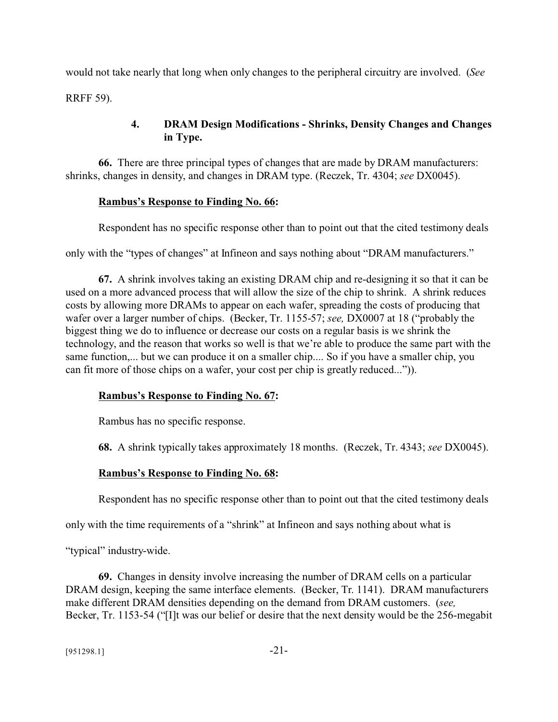would not take nearly that long when only changes to the peripheral circuitry are involved. (*See* RRFF 59).

# **4. DRAM Design Modifications - Shrinks, Density Changes and Changes in Type.**

**66.** There are three principal types of changes that are made by DRAM manufacturers: shrinks, changes in density, and changes in DRAM type. (Reczek, Tr. 4304; *see* DX0045).

## **Rambus's Response to Finding No. 66:**

Respondent has no specific response other than to point out that the cited testimony deals

only with the "types of changes" at Infineon and says nothing about "DRAM manufacturers."

**67.** A shrink involves taking an existing DRAM chip and re-designing it so that it can be used on a more advanced process that will allow the size of the chip to shrink. A shrink reduces costs by allowing more DRAMs to appear on each wafer, spreading the costs of producing that wafer over a larger number of chips. (Becker, Tr. 1155-57; *see,* DX0007 at 18 ("probably the biggest thing we do to influence or decrease our costs on a regular basis is we shrink the technology, and the reason that works so well is that we're able to produce the same part with the same function,... but we can produce it on a smaller chip.... So if you have a smaller chip, you can fit more of those chips on a wafer, your cost per chip is greatly reduced...")).

# **Rambus's Response to Finding No. 67:**

Rambus has no specific response.

**68.** A shrink typically takes approximately 18 months. (Reczek, Tr. 4343; *see* DX0045).

# **Rambus's Response to Finding No. 68:**

Respondent has no specific response other than to point out that the cited testimony deals

only with the time requirements of a "shrink" at Infineon and says nothing about what is

"typical" industry-wide.

**69.** Changes in density involve increasing the number of DRAM cells on a particular DRAM design, keeping the same interface elements. (Becker, Tr. 1141). DRAM manufacturers make different DRAM densities depending on the demand from DRAM customers. (*see,* Becker, Tr. 1153-54 ("[I]t was our belief or desire that the next density would be the 256-megabit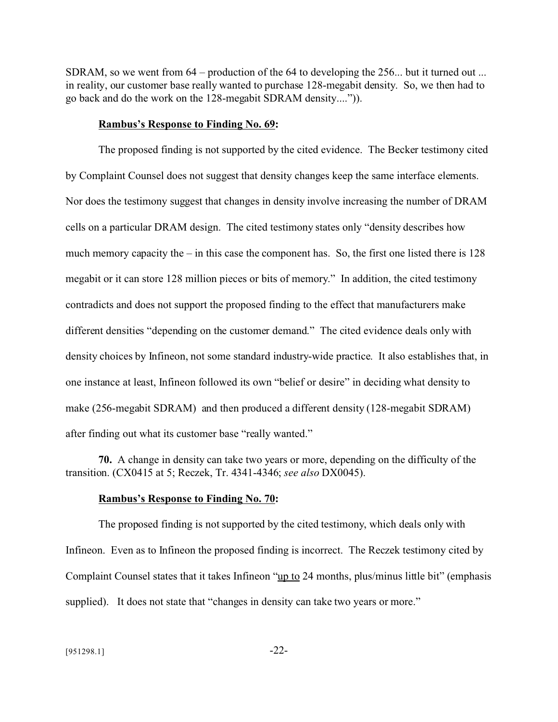SDRAM, so we went from 64 – production of the 64 to developing the 256... but it turned out ... in reality, our customer base really wanted to purchase 128-megabit density. So, we then had to go back and do the work on the 128-megabit SDRAM density....")).

#### **Rambus's Response to Finding No. 69:**

The proposed finding is not supported by the cited evidence. The Becker testimony cited by Complaint Counsel does not suggest that density changes keep the same interface elements. Nor does the testimony suggest that changes in density involve increasing the number of DRAM cells on a particular DRAM design. The cited testimony states only "density describes how much memory capacity the – in this case the component has. So, the first one listed there is 128 megabit or it can store 128 million pieces or bits of memory." In addition, the cited testimony contradicts and does not support the proposed finding to the effect that manufacturers make different densities "depending on the customer demand." The cited evidence deals only with density choices by Infineon, not some standard industry-wide practice. It also establishes that, in one instance at least, Infineon followed its own "belief or desire" in deciding what density to make (256-megabit SDRAM) and then produced a different density (128-megabit SDRAM) after finding out what its customer base "really wanted."

**70.** A change in density can take two years or more, depending on the difficulty of the transition. (CX0415 at 5; Reczek, Tr. 4341-4346; *see also* DX0045).

#### **Rambus's Response to Finding No. 70:**

The proposed finding is not supported by the cited testimony, which deals only with Infineon. Even as to Infineon the proposed finding is incorrect. The Reczek testimony cited by Complaint Counsel states that it takes Infineon "up to 24 months, plus/minus little bit" (emphasis supplied). It does not state that "changes in density can take two years or more."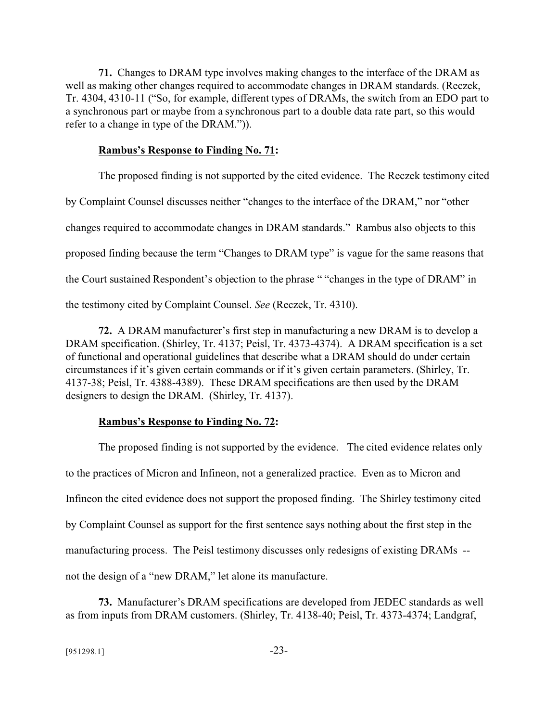**71.** Changes to DRAM type involves making changes to the interface of the DRAM as well as making other changes required to accommodate changes in DRAM standards. (Reczek, Tr. 4304, 4310-11 ("So, for example, different types of DRAMs, the switch from an EDO part to a synchronous part or maybe from a synchronous part to a double data rate part, so this would refer to a change in type of the DRAM.")).

#### **Rambus's Response to Finding No. 71:**

The proposed finding is not supported by the cited evidence. The Reczek testimony cited by Complaint Counsel discusses neither "changes to the interface of the DRAM," nor "other changes required to accommodate changes in DRAM standards." Rambus also objects to this proposed finding because the term "Changes to DRAM type" is vague for the same reasons that the Court sustained Respondent's objection to the phrase " "changes in the type of DRAM" in the testimony cited by Complaint Counsel. *See* (Reczek, Tr. 4310).

**72.** A DRAM manufacturer's first step in manufacturing a new DRAM is to develop a DRAM specification. (Shirley, Tr. 4137; Peisl, Tr. 4373-4374). A DRAM specification is a set of functional and operational guidelines that describe what a DRAM should do under certain circumstances if it's given certain commands or if it's given certain parameters. (Shirley, Tr. 4137-38; Peisl, Tr. 4388-4389). These DRAM specifications are then used by the DRAM designers to design the DRAM. (Shirley, Tr. 4137).

#### **Rambus's Response to Finding No. 72:**

The proposed finding is not supported by the evidence. The cited evidence relates only to the practices of Micron and Infineon, not a generalized practice. Even as to Micron and Infineon the cited evidence does not support the proposed finding. The Shirley testimony cited by Complaint Counsel as support for the first sentence says nothing about the first step in the manufacturing process. The Peisl testimony discusses only redesigns of existing DRAMs - not the design of a "new DRAM," let alone its manufacture.

**73.** Manufacturer's DRAM specifications are developed from JEDEC standards as well as from inputs from DRAM customers. (Shirley, Tr. 4138-40; Peisl, Tr. 4373-4374; Landgraf,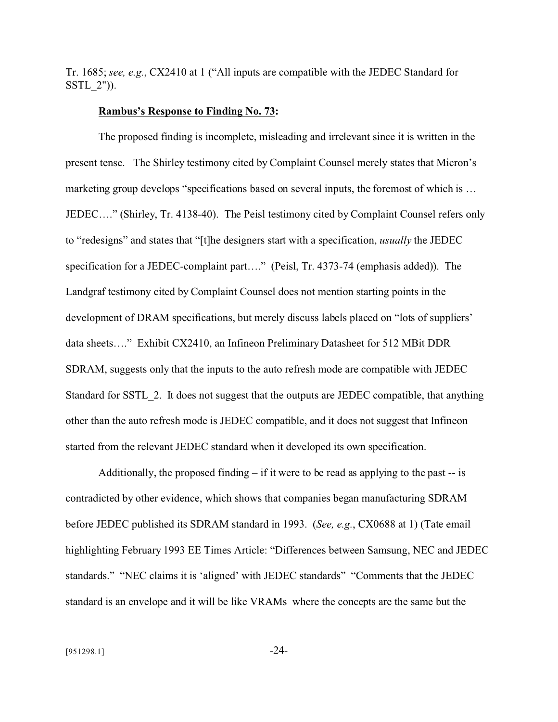Tr. 1685; *see, e.g.*, CX2410 at 1 ("All inputs are compatible with the JEDEC Standard for SSTL\_2")).

#### **Rambus's Response to Finding No. 73:**

The proposed finding is incomplete, misleading and irrelevant since it is written in the present tense. The Shirley testimony cited by Complaint Counsel merely states that Micron's marketing group develops "specifications based on several inputs, the foremost of which is … JEDEC…." (Shirley, Tr. 4138-40). The Peisl testimony cited by Complaint Counsel refers only to "redesigns" and states that "[t]he designers start with a specification, *usually* the JEDEC specification for a JEDEC-complaint part...." (Peisl, Tr. 4373-74 (emphasis added)). The Landgraf testimony cited by Complaint Counsel does not mention starting points in the development of DRAM specifications, but merely discuss labels placed on "lots of suppliers' data sheets…." Exhibit CX2410, an Infineon Preliminary Datasheet for 512 MBit DDR SDRAM, suggests only that the inputs to the auto refresh mode are compatible with JEDEC Standard for SSTL\_2. It does not suggest that the outputs are JEDEC compatible, that anything other than the auto refresh mode is JEDEC compatible, and it does not suggest that Infineon started from the relevant JEDEC standard when it developed its own specification.

Additionally, the proposed finding  $-$  if it were to be read as applying to the past  $-$  is contradicted by other evidence, which shows that companies began manufacturing SDRAM before JEDEC published its SDRAM standard in 1993. (*See, e.g.*, CX0688 at 1) (Tate email highlighting February 1993 EE Times Article: "Differences between Samsung, NEC and JEDEC standards." "NEC claims it is 'aligned' with JEDEC standards" "Comments that the JEDEC standard is an envelope and it will be like VRAMs where the concepts are the same but the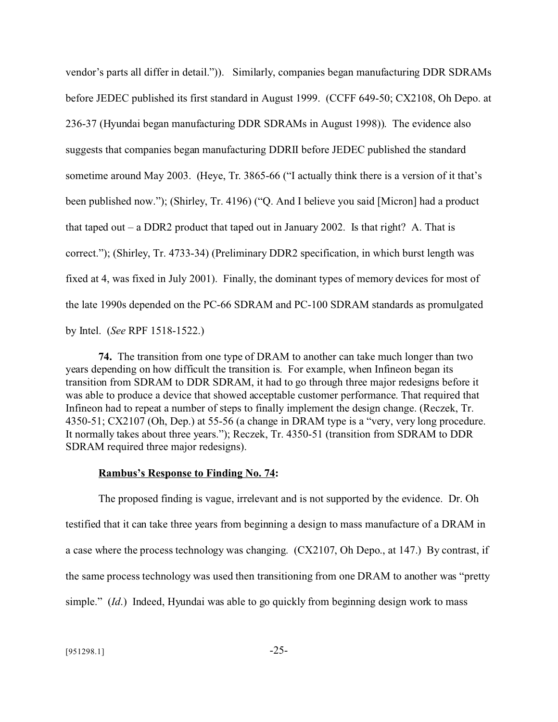vendor's parts all differ in detail.")). Similarly, companies began manufacturing DDR SDRAMs before JEDEC published its first standard in August 1999. (CCFF 649-50; CX2108, Oh Depo. at 236-37 (Hyundai began manufacturing DDR SDRAMs in August 1998)). The evidence also suggests that companies began manufacturing DDRII before JEDEC published the standard sometime around May 2003. (Heye, Tr. 3865-66 ("I actually think there is a version of it that's been published now."); (Shirley, Tr. 4196) ("Q. And I believe you said [Micron] had a product that taped out – a DDR2 product that taped out in January 2002. Is that right? A. That is correct."); (Shirley, Tr. 4733-34) (Preliminary DDR2 specification, in which burst length was fixed at 4, was fixed in July 2001). Finally, the dominant types of memory devices for most of the late 1990s depended on the PC-66 SDRAM and PC-100 SDRAM standards as promulgated by Intel. (*See* RPF 1518-1522.)

**74.** The transition from one type of DRAM to another can take much longer than two years depending on how difficult the transition is. For example, when Infineon began its transition from SDRAM to DDR SDRAM, it had to go through three major redesigns before it was able to produce a device that showed acceptable customer performance. That required that Infineon had to repeat a number of steps to finally implement the design change. (Reczek, Tr. 4350-51; CX2107 (Oh, Dep.) at 55-56 (a change in DRAM type is a "very, very long procedure. It normally takes about three years."); Reczek, Tr. 4350-51 (transition from SDRAM to DDR SDRAM required three major redesigns).

#### **Rambus's Response to Finding No. 74:**

The proposed finding is vague, irrelevant and is not supported by the evidence. Dr. Oh testified that it can take three years from beginning a design to mass manufacture of a DRAM in a case where the process technology was changing. (CX2107, Oh Depo., at 147.) By contrast, if the same process technology was used then transitioning from one DRAM to another was "pretty simple." (*Id*.) Indeed, Hyundai was able to go quickly from beginning design work to mass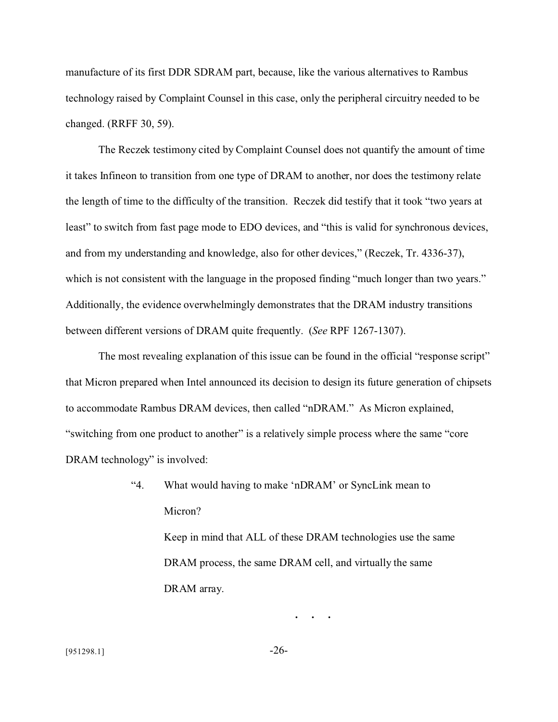manufacture of its first DDR SDRAM part, because, like the various alternatives to Rambus technology raised by Complaint Counsel in this case, only the peripheral circuitry needed to be changed. (RRFF 30, 59).

The Reczek testimony cited by Complaint Counsel does not quantify the amount of time it takes Infineon to transition from one type of DRAM to another, nor does the testimony relate the length of time to the difficulty of the transition. Reczek did testify that it took "two years at least" to switch from fast page mode to EDO devices, and "this is valid for synchronous devices, and from my understanding and knowledge, also for other devices," (Reczek, Tr. 4336-37), which is not consistent with the language in the proposed finding "much longer than two years." Additionally, the evidence overwhelmingly demonstrates that the DRAM industry transitions between different versions of DRAM quite frequently. (*See* RPF 1267-1307).

The most revealing explanation of this issue can be found in the official "response script" that Micron prepared when Intel announced its decision to design its future generation of chipsets to accommodate Rambus DRAM devices, then called "nDRAM." As Micron explained, "switching from one product to another" is a relatively simple process where the same "core DRAM technology" is involved:

> "4. What would having to make 'nDRAM' or SyncLink mean to Micron? Keep in mind that ALL of these DRAM technologies use the same DRAM process, the same DRAM cell, and virtually the same DRAM array.

> > **. . .**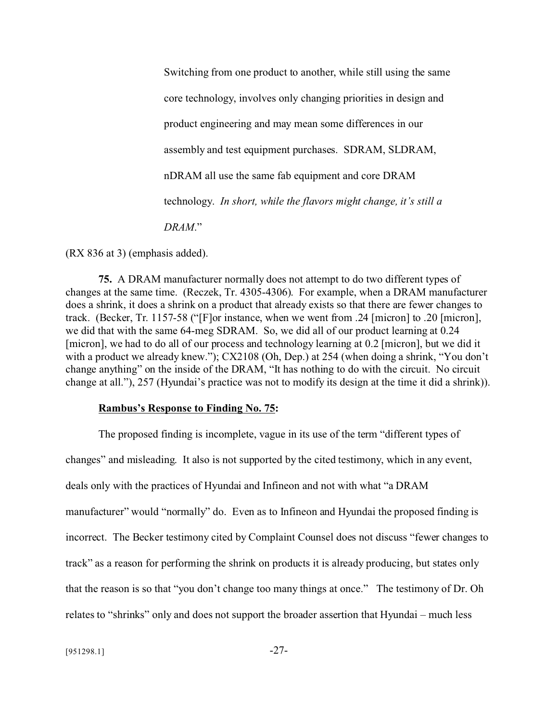Switching from one product to another, while still using the same core technology, involves only changing priorities in design and product engineering and may mean some differences in our assembly and test equipment purchases. SDRAM, SLDRAM, nDRAM all use the same fab equipment and core DRAM technology. *In short, while the flavors might change, it's still a DRAM*."

(RX 836 at 3) (emphasis added).

**75.** A DRAM manufacturer normally does not attempt to do two different types of changes at the same time. (Reczek, Tr. 4305-4306). For example, when a DRAM manufacturer does a shrink, it does a shrink on a product that already exists so that there are fewer changes to track. (Becker, Tr. 1157-58 ("[F]or instance, when we went from .24 [micron] to .20 [micron], we did that with the same 64-meg SDRAM. So, we did all of our product learning at 0.24 [micron], we had to do all of our process and technology learning at 0.2 [micron], but we did it with a product we already knew."); CX2108 (Oh, Dep.) at 254 (when doing a shrink, "You don't change anything" on the inside of the DRAM, "It has nothing to do with the circuit. No circuit change at all."), 257 (Hyundai's practice was not to modify its design at the time it did a shrink)).

#### **Rambus's Response to Finding No. 75:**

The proposed finding is incomplete, vague in its use of the term "different types of changes" and misleading. It also is not supported by the cited testimony, which in any event, deals only with the practices of Hyundai and Infineon and not with what "a DRAM manufacturer" would "normally" do. Even as to Infineon and Hyundai the proposed finding is incorrect. The Becker testimony cited by Complaint Counsel does not discuss "fewer changes to track" as a reason for performing the shrink on products it is already producing, but states only that the reason is so that "you don't change too many things at once." The testimony of Dr. Oh relates to "shrinks" only and does not support the broader assertion that Hyundai – much less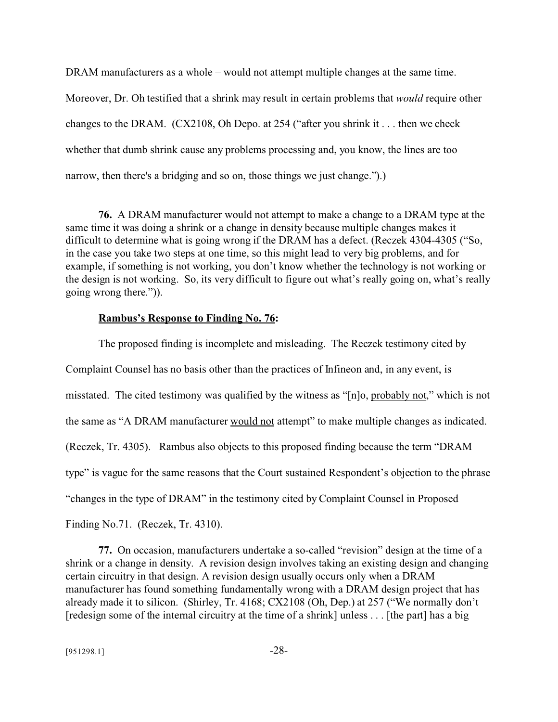DRAM manufacturers as a whole – would not attempt multiple changes at the same time.

Moreover, Dr. Oh testified that a shrink may result in certain problems that *would* require other changes to the DRAM. (CX2108, Oh Depo. at 254 ("after you shrink it . . . then we check whether that dumb shrink cause any problems processing and, you know, the lines are too narrow, then there's a bridging and so on, those things we just change.").)

**76.** A DRAM manufacturer would not attempt to make a change to a DRAM type at the same time it was doing a shrink or a change in density because multiple changes makes it difficult to determine what is going wrong if the DRAM has a defect. (Reczek 4304-4305 ("So, in the case you take two steps at one time, so this might lead to very big problems, and for example, if something is not working, you don't know whether the technology is not working or the design is not working. So, its very difficult to figure out what's really going on, what's really going wrong there.")).

#### **Rambus's Response to Finding No. 76:**

The proposed finding is incomplete and misleading. The Reczek testimony cited by Complaint Counsel has no basis other than the practices of Infineon and, in any event, is misstated. The cited testimony was qualified by the witness as "[n]o, probably not," which is not the same as "A DRAM manufacturer would not attempt" to make multiple changes as indicated. (Reczek, Tr. 4305). Rambus also objects to this proposed finding because the term "DRAM type" is vague for the same reasons that the Court sustained Respondent's objection to the phrase "changes in the type of DRAM" in the testimony cited by Complaint Counsel in Proposed Finding No.71. (Reczek, Tr. 4310).

**77.** On occasion, manufacturers undertake a so-called "revision" design at the time of a shrink or a change in density. A revision design involves taking an existing design and changing certain circuitry in that design. A revision design usually occurs only when a DRAM manufacturer has found something fundamentally wrong with a DRAM design project that has already made it to silicon. (Shirley, Tr. 4168; CX2108 (Oh, Dep.) at 257 ("We normally don't [redesign some of the internal circuitry at the time of a shrink] unless . . . [the part] has a big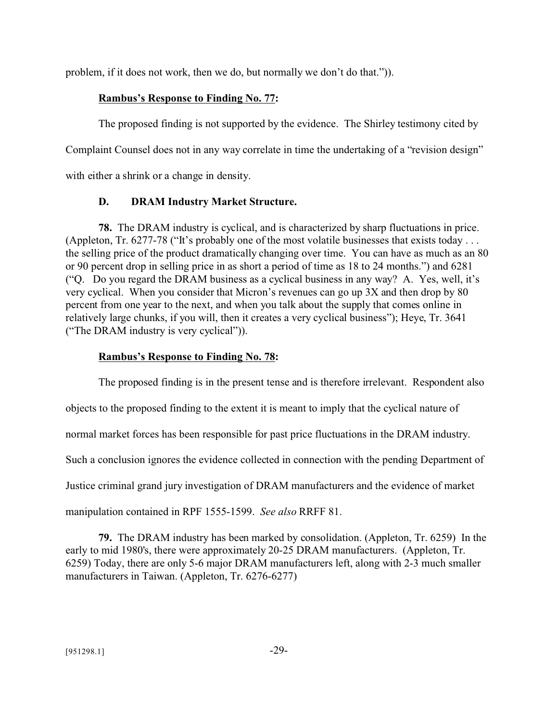problem, if it does not work, then we do, but normally we don't do that.")).

## **Rambus's Response to Finding No. 77:**

The proposed finding is not supported by the evidence. The Shirley testimony cited by Complaint Counsel does not in any way correlate in time the undertaking of a "revision design" with either a shrink or a change in density.

# **D. DRAM Industry Market Structure.**

**78.** The DRAM industry is cyclical, and is characterized by sharp fluctuations in price. (Appleton, Tr. 6277-78 ("It's probably one of the most volatile businesses that exists today . . . the selling price of the product dramatically changing over time. You can have as much as an 80 or 90 percent drop in selling price in as short a period of time as 18 to 24 months.") and 6281 ("Q. Do you regard the DRAM business as a cyclical business in any way? A. Yes, well, it's very cyclical. When you consider that Micron's revenues can go up 3X and then drop by 80 percent from one year to the next, and when you talk about the supply that comes online in relatively large chunks, if you will, then it creates a very cyclical business"); Heye, Tr. 3641 ("The DRAM industry is very cyclical")).

## **Rambus's Response to Finding No. 78:**

The proposed finding is in the present tense and is therefore irrelevant. Respondent also objects to the proposed finding to the extent it is meant to imply that the cyclical nature of normal market forces has been responsible for past price fluctuations in the DRAM industry. Such a conclusion ignores the evidence collected in connection with the pending Department of Justice criminal grand jury investigation of DRAM manufacturers and the evidence of market manipulation contained in RPF 1555-1599. *See also* RRFF 81.

**79.** The DRAM industry has been marked by consolidation. (Appleton, Tr. 6259) In the early to mid 1980's, there were approximately 20-25 DRAM manufacturers. (Appleton, Tr. 6259) Today, there are only 5-6 major DRAM manufacturers left, along with 2-3 much smaller manufacturers in Taiwan. (Appleton, Tr. 6276-6277)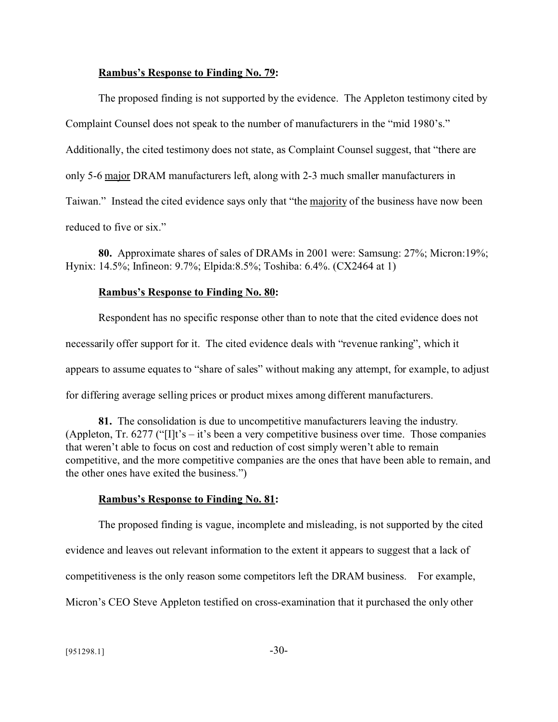#### **Rambus's Response to Finding No. 79:**

The proposed finding is not supported by the evidence. The Appleton testimony cited by Complaint Counsel does not speak to the number of manufacturers in the "mid 1980's." Additionally, the cited testimony does not state, as Complaint Counsel suggest, that "there are only 5-6 major DRAM manufacturers left, along with 2-3 much smaller manufacturers in Taiwan." Instead the cited evidence says only that "the majority of the business have now been reduced to five or six."

**80.** Approximate shares of sales of DRAMs in 2001 were: Samsung: 27%; Micron:19%; Hynix: 14.5%; Infineon: 9.7%; Elpida:8.5%; Toshiba: 6.4%. (CX2464 at 1)

#### **Rambus's Response to Finding No. 80:**

Respondent has no specific response other than to note that the cited evidence does not necessarily offer support for it. The cited evidence deals with "revenue ranking", which it appears to assume equates to "share of sales" without making any attempt, for example, to adjust for differing average selling prices or product mixes among different manufacturers.

**81.** The consolidation is due to uncompetitive manufacturers leaving the industry. (Appleton, Tr. 6277 ("[I]t's – it's been a very competitive business over time. Those companies that weren't able to focus on cost and reduction of cost simply weren't able to remain competitive, and the more competitive companies are the ones that have been able to remain, and the other ones have exited the business.")

#### **Rambus's Response to Finding No. 81:**

The proposed finding is vague, incomplete and misleading, is not supported by the cited evidence and leaves out relevant information to the extent it appears to suggest that a lack of competitiveness is the only reason some competitors left the DRAM business. For example, Micron's CEO Steve Appleton testified on cross-examination that it purchased the only other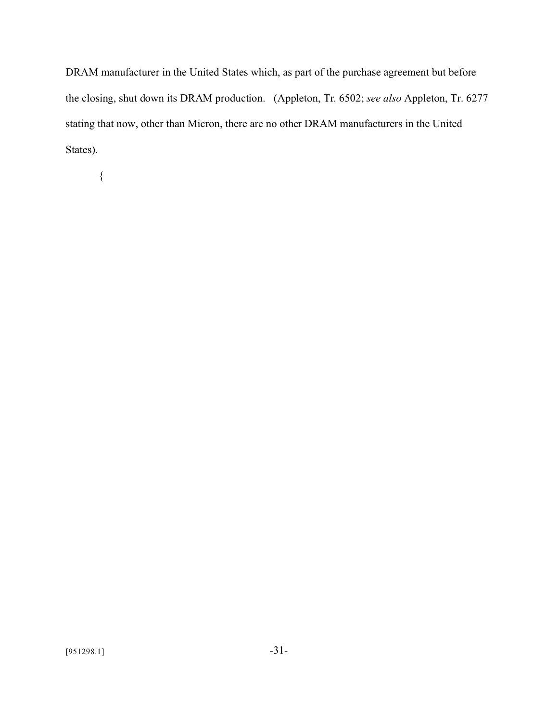DRAM manufacturer in the United States which, as part of the purchase agreement but before the closing, shut down its DRAM production. (Appleton, Tr. 6502; *see also* Appleton, Tr. 6277 stating that now, other than Micron, there are no other DRAM manufacturers in the United States).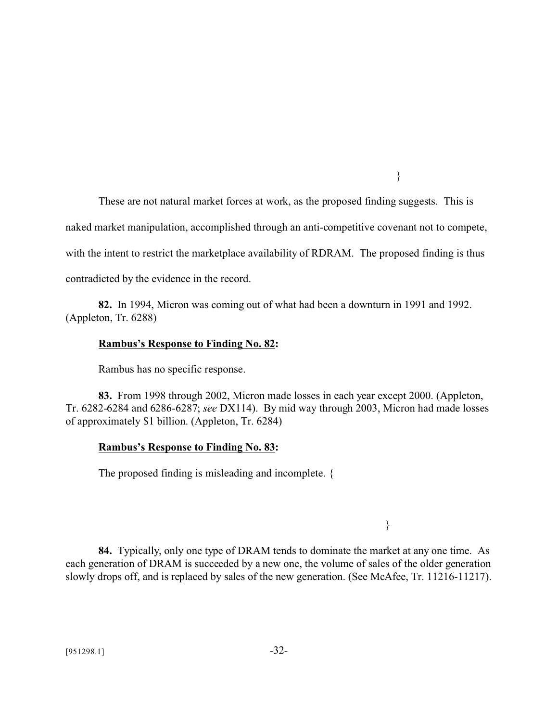}

These are not natural market forces at work, as the proposed finding suggests. This is

naked market manipulation, accomplished through an anti-competitive covenant not to compete,

with the intent to restrict the marketplace availability of RDRAM. The proposed finding is thus

contradicted by the evidence in the record.

**82.** In 1994, Micron was coming out of what had been a downturn in 1991 and 1992. (Appleton, Tr. 6288)

#### **Rambus's Response to Finding No. 82:**

Rambus has no specific response.

**83.** From 1998 through 2002, Micron made losses in each year except 2000. (Appleton, Tr. 6282-6284 and 6286-6287; *see* DX114). By mid way through 2003, Micron had made losses of approximately \$1 billion. (Appleton, Tr. 6284)

#### **Rambus's Response to Finding No. 83:**

The proposed finding is misleading and incomplete. {

}

**84.** Typically, only one type of DRAM tends to dominate the market at any one time. As each generation of DRAM is succeeded by a new one, the volume of sales of the older generation slowly drops off, and is replaced by sales of the new generation. (See McAfee, Tr. 11216-11217).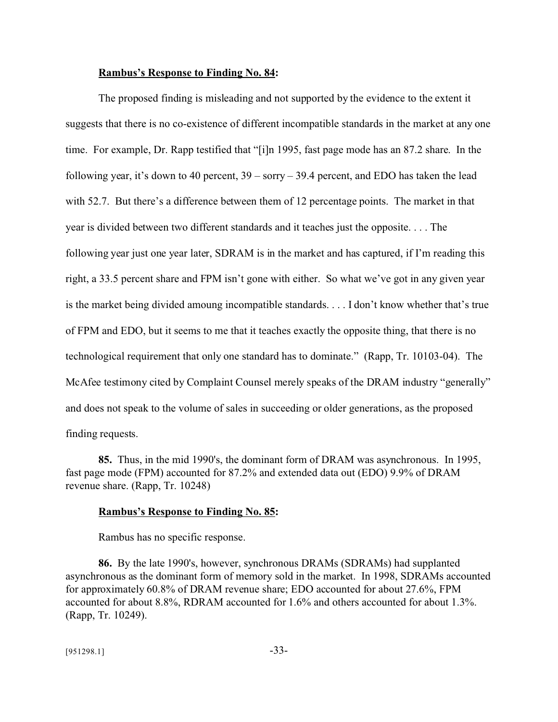#### **Rambus's Response to Finding No. 84:**

The proposed finding is misleading and not supported by the evidence to the extent it suggests that there is no co-existence of different incompatible standards in the market at any one time. For example, Dr. Rapp testified that "[i]n 1995, fast page mode has an 87.2 share. In the following year, it's down to 40 percent, 39 – sorry – 39.4 percent, and EDO has taken the lead with 52.7. But there's a difference between them of 12 percentage points. The market in that year is divided between two different standards and it teaches just the opposite. . . . The following year just one year later, SDRAM is in the market and has captured, if I'm reading this right, a 33.5 percent share and FPM isn't gone with either. So what we've got in any given year is the market being divided amoung incompatible standards. . . . I don't know whether that's true of FPM and EDO, but it seems to me that it teaches exactly the opposite thing, that there is no technological requirement that only one standard has to dominate." (Rapp, Tr. 10103-04). The McAfee testimony cited by Complaint Counsel merely speaks of the DRAM industry "generally" and does not speak to the volume of sales in succeeding or older generations, as the proposed finding requests.

**85.** Thus, in the mid 1990's, the dominant form of DRAM was asynchronous. In 1995, fast page mode (FPM) accounted for 87.2% and extended data out (EDO) 9.9% of DRAM revenue share. (Rapp, Tr. 10248)

#### **Rambus's Response to Finding No. 85:**

Rambus has no specific response.

**86.** By the late 1990's, however, synchronous DRAMs (SDRAMs) had supplanted asynchronous as the dominant form of memory sold in the market. In 1998, SDRAMs accounted for approximately 60.8% of DRAM revenue share; EDO accounted for about 27.6%, FPM accounted for about 8.8%, RDRAM accounted for 1.6% and others accounted for about 1.3%. (Rapp, Tr. 10249).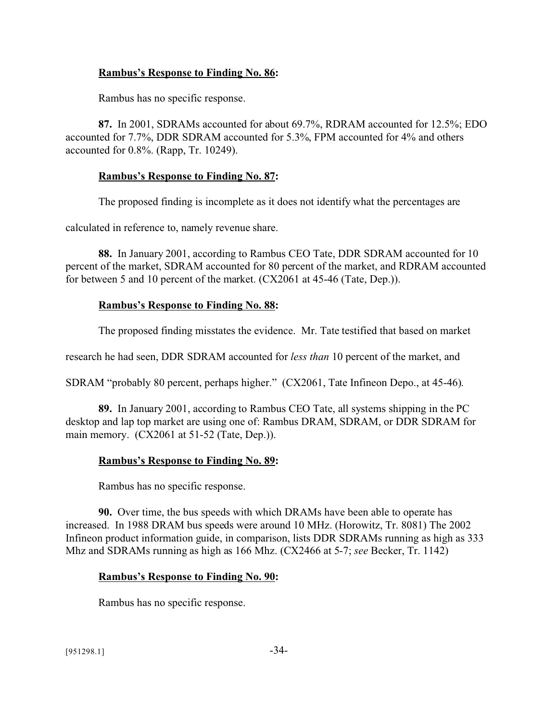### **Rambus's Response to Finding No. 86:**

Rambus has no specific response.

**87.** In 2001, SDRAMs accounted for about 69.7%, RDRAM accounted for 12.5%; EDO accounted for 7.7%, DDR SDRAM accounted for 5.3%, FPM accounted for 4% and others accounted for 0.8%. (Rapp, Tr. 10249).

### **Rambus's Response to Finding No. 87:**

The proposed finding is incomplete as it does not identify what the percentages are

calculated in reference to, namely revenue share.

**88.** In January 2001, according to Rambus CEO Tate, DDR SDRAM accounted for 10 percent of the market, SDRAM accounted for 80 percent of the market, and RDRAM accounted for between 5 and 10 percent of the market. (CX2061 at 45-46 (Tate, Dep.)).

### **Rambus's Response to Finding No. 88:**

The proposed finding misstates the evidence. Mr. Tate testified that based on market

research he had seen, DDR SDRAM accounted for *less than* 10 percent of the market, and

SDRAM "probably 80 percent, perhaps higher." (CX2061, Tate Infineon Depo., at 45-46).

**89.** In January 2001, according to Rambus CEO Tate, all systems shipping in the PC desktop and lap top market are using one of: Rambus DRAM, SDRAM, or DDR SDRAM for main memory. (CX2061 at 51-52 (Tate, Dep.)).

## **Rambus's Response to Finding No. 89:**

Rambus has no specific response.

**90.** Over time, the bus speeds with which DRAMs have been able to operate has increased. In 1988 DRAM bus speeds were around 10 MHz. (Horowitz, Tr. 8081) The 2002 Infineon product information guide, in comparison, lists DDR SDRAMs running as high as 333 Mhz and SDRAMs running as high as 166 Mhz. (CX2466 at 5-7; *see* Becker, Tr. 1142)

#### **Rambus's Response to Finding No. 90:**

Rambus has no specific response.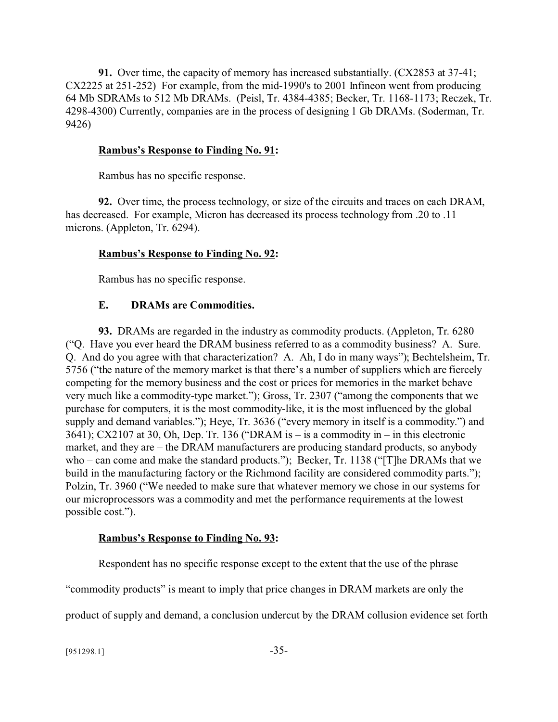**91.** Over time, the capacity of memory has increased substantially. (CX2853 at 37-41; CX2225 at 251-252) For example, from the mid-1990's to 2001 Infineon went from producing 64 Mb SDRAMs to 512 Mb DRAMs. (Peisl, Tr. 4384-4385; Becker, Tr. 1168-1173; Reczek, Tr. 4298-4300) Currently, companies are in the process of designing 1 Gb DRAMs. (Soderman, Tr. 9426)

#### **Rambus's Response to Finding No. 91:**

Rambus has no specific response.

**92.** Over time, the process technology, or size of the circuits and traces on each DRAM, has decreased. For example, Micron has decreased its process technology from .20 to .11 microns. (Appleton, Tr. 6294).

#### **Rambus's Response to Finding No. 92:**

Rambus has no specific response.

#### **E. DRAMs are Commodities.**

**93.** DRAMs are regarded in the industry as commodity products. (Appleton, Tr. 6280 ("Q. Have you ever heard the DRAM business referred to as a commodity business? A. Sure. Q. And do you agree with that characterization? A. Ah, I do in many ways"); Bechtelsheim, Tr. 5756 ("the nature of the memory market is that there's a number of suppliers which are fiercely competing for the memory business and the cost or prices for memories in the market behave very much like a commodity-type market."); Gross, Tr. 2307 ("among the components that we purchase for computers, it is the most commodity-like, it is the most influenced by the global supply and demand variables."); Heye, Tr. 3636 ("every memory in itself is a commodity.") and 3641); CX2107 at 30, Oh, Dep. Tr. 136 ("DRAM is – is a commodity in – in this electronic market, and they are – the DRAM manufacturers are producing standard products, so anybody who – can come and make the standard products."); Becker, Tr. 1138 ("[T]he DRAMs that we build in the manufacturing factory or the Richmond facility are considered commodity parts."); Polzin, Tr. 3960 ("We needed to make sure that whatever memory we chose in our systems for our microprocessors was a commodity and met the performance requirements at the lowest possible cost.").

#### **Rambus's Response to Finding No. 93:**

Respondent has no specific response except to the extent that the use of the phrase

"commodity products" is meant to imply that price changes in DRAM markets are only the

product of supply and demand, a conclusion undercut by the DRAM collusion evidence set forth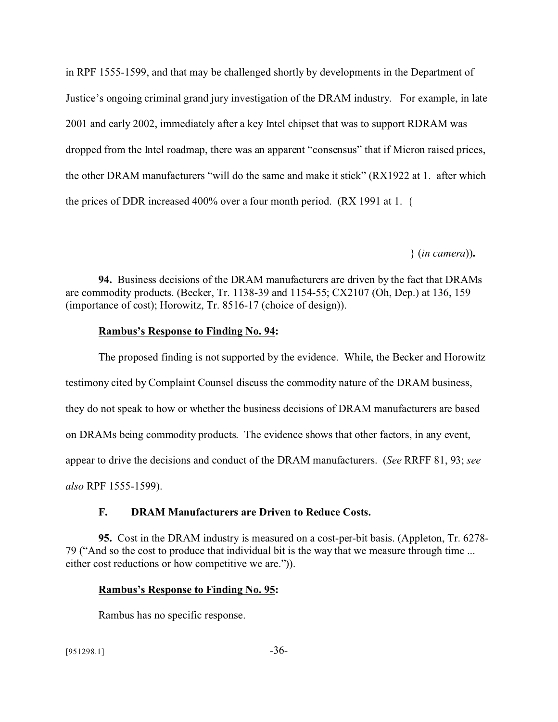in RPF 1555-1599, and that may be challenged shortly by developments in the Department of Justice's ongoing criminal grand jury investigation of the DRAM industry. For example, in late 2001 and early 2002, immediately after a key Intel chipset that was to support RDRAM was dropped from the Intel roadmap, there was an apparent "consensus" that if Micron raised prices, the other DRAM manufacturers "will do the same and make it stick" (RX1922 at 1. after which the prices of DDR increased 400% over a four month period. (RX 1991 at 1. {

} (*in camera*))**.**

**94.** Business decisions of the DRAM manufacturers are driven by the fact that DRAMs are commodity products. (Becker, Tr. 1138-39 and 1154-55; CX2107 (Oh, Dep.) at 136, 159 (importance of cost); Horowitz, Tr. 8516-17 (choice of design)).

### **Rambus's Response to Finding No. 94:**

The proposed finding is not supported by the evidence. While, the Becker and Horowitz testimony cited by Complaint Counsel discuss the commodity nature of the DRAM business, they do not speak to how or whether the business decisions of DRAM manufacturers are based on DRAMs being commodity products. The evidence shows that other factors, in any event, appear to drive the decisions and conduct of the DRAM manufacturers. (*See* RRFF 81, 93; *see also* RPF 1555-1599).

## **F. DRAM Manufacturers are Driven to Reduce Costs.**

**95.** Cost in the DRAM industry is measured on a cost-per-bit basis. (Appleton, Tr. 6278- 79 ("And so the cost to produce that individual bit is the way that we measure through time ... either cost reductions or how competitive we are.")).

### **Rambus's Response to Finding No. 95:**

Rambus has no specific response.

 $[951298.1]$  -36-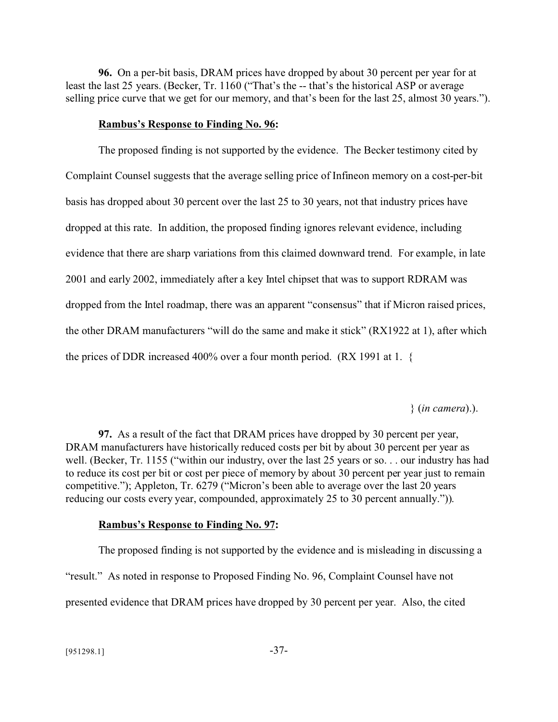**96.** On a per-bit basis, DRAM prices have dropped by about 30 percent per year for at least the last 25 years. (Becker, Tr. 1160 ("That's the -- that's the historical ASP or average selling price curve that we get for our memory, and that's been for the last 25, almost 30 years.").

#### **Rambus's Response to Finding No. 96:**

The proposed finding is not supported by the evidence. The Becker testimony cited by Complaint Counsel suggests that the average selling price of Infineon memory on a cost-per-bit basis has dropped about 30 percent over the last 25 to 30 years, not that industry prices have dropped at this rate. In addition, the proposed finding ignores relevant evidence, including evidence that there are sharp variations from this claimed downward trend. For example, in late 2001 and early 2002, immediately after a key Intel chipset that was to support RDRAM was dropped from the Intel roadmap, there was an apparent "consensus" that if Micron raised prices, the other DRAM manufacturers "will do the same and make it stick" (RX1922 at 1), after which the prices of DDR increased 400% over a four month period. (RX 1991 at 1. {

### } (*in camera*).).

**97.** As a result of the fact that DRAM prices have dropped by 30 percent per year, DRAM manufacturers have historically reduced costs per bit by about 30 percent per year as well. (Becker, Tr. 1155 ("within our industry, over the last 25 years or so. . . our industry has had to reduce its cost per bit or cost per piece of memory by about 30 percent per year just to remain competitive."); Appleton, Tr. 6279 ("Micron's been able to average over the last 20 years reducing our costs every year, compounded, approximately 25 to 30 percent annually.")).

## **Rambus's Response to Finding No. 97:**

The proposed finding is not supported by the evidence and is misleading in discussing a "result." As noted in response to Proposed Finding No. 96, Complaint Counsel have not presented evidence that DRAM prices have dropped by 30 percent per year. Also, the cited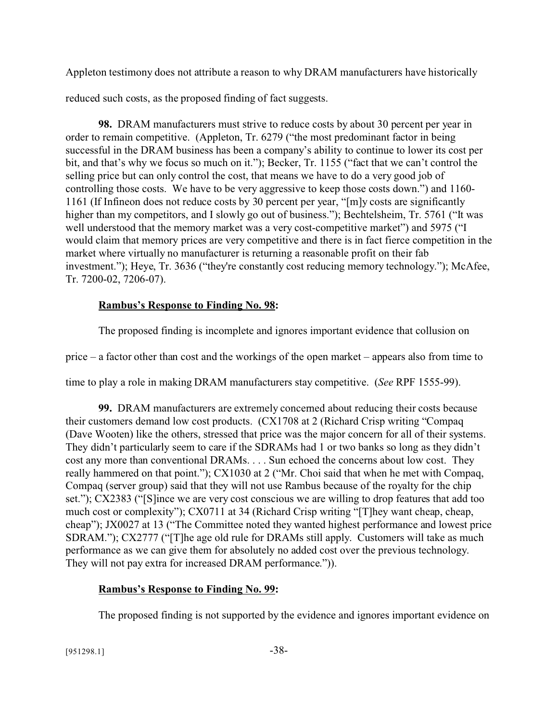Appleton testimony does not attribute a reason to why DRAM manufacturers have historically

reduced such costs, as the proposed finding of fact suggests.

**98.** DRAM manufacturers must strive to reduce costs by about 30 percent per year in order to remain competitive. (Appleton, Tr. 6279 ("the most predominant factor in being successful in the DRAM business has been a company's ability to continue to lower its cost per bit, and that's why we focus so much on it."); Becker, Tr. 1155 ("fact that we can't control the selling price but can only control the cost, that means we have to do a very good job of controlling those costs. We have to be very aggressive to keep those costs down.") and 1160- 1161 (If Infineon does not reduce costs by 30 percent per year, "[m]y costs are significantly higher than my competitors, and I slowly go out of business."); Bechtelsheim, Tr. 5761 ("It was well understood that the memory market was a very cost-competitive market") and 5975 ("I would claim that memory prices are very competitive and there is in fact fierce competition in the market where virtually no manufacturer is returning a reasonable profit on their fab investment."); Heye, Tr. 3636 ("they're constantly cost reducing memory technology."); McAfee, Tr. 7200-02, 7206-07).

# **Rambus's Response to Finding No. 98:**

The proposed finding is incomplete and ignores important evidence that collusion on

price – a factor other than cost and the workings of the open market – appears also from time to

time to play a role in making DRAM manufacturers stay competitive. (*See* RPF 1555-99).

**99.** DRAM manufacturers are extremely concerned about reducing their costs because their customers demand low cost products. (CX1708 at 2 (Richard Crisp writing "Compaq (Dave Wooten) like the others, stressed that price was the major concern for all of their systems. They didn't particularly seem to care if the SDRAMs had 1 or two banks so long as they didn't cost any more than conventional DRAMs. . . . Sun echoed the concerns about low cost. They really hammered on that point."); CX1030 at 2 ("Mr. Choi said that when he met with Compaq, Compaq (server group) said that they will not use Rambus because of the royalty for the chip set."); CX2383 ("[S]ince we are very cost conscious we are willing to drop features that add too much cost or complexity"); CX0711 at 34 (Richard Crisp writing "[T]hey want cheap, cheap, cheap"); JX0027 at 13 ("The Committee noted they wanted highest performance and lowest price SDRAM."); CX2777 ("[T]he age old rule for DRAMs still apply. Customers will take as much performance as we can give them for absolutely no added cost over the previous technology. They will not pay extra for increased DRAM performance.")).

# **Rambus's Response to Finding No. 99:**

The proposed finding is not supported by the evidence and ignores important evidence on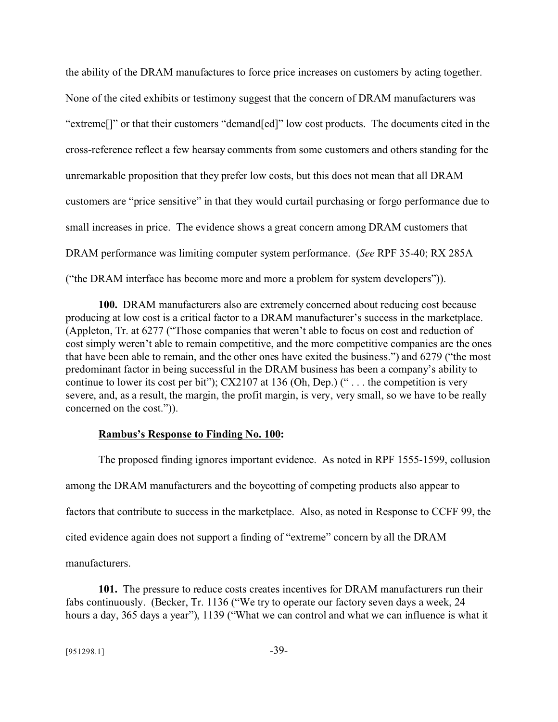the ability of the DRAM manufactures to force price increases on customers by acting together. None of the cited exhibits or testimony suggest that the concern of DRAM manufacturers was "extreme[]" or that their customers "demand[ed]" low cost products. The documents cited in the cross-reference reflect a few hearsay comments from some customers and others standing for the unremarkable proposition that they prefer low costs, but this does not mean that all DRAM customers are "price sensitive" in that they would curtail purchasing or forgo performance due to small increases in price. The evidence shows a great concern among DRAM customers that DRAM performance was limiting computer system performance. (*See* RPF 35-40; RX 285A ("the DRAM interface has become more and more a problem for system developers")).

**100.** DRAM manufacturers also are extremely concerned about reducing cost because producing at low cost is a critical factor to a DRAM manufacturer's success in the marketplace. (Appleton, Tr. at 6277 ("Those companies that weren't able to focus on cost and reduction of cost simply weren't able to remain competitive, and the more competitive companies are the ones that have been able to remain, and the other ones have exited the business.") and 6279 ("the most predominant factor in being successful in the DRAM business has been a company's ability to continue to lower its cost per bit"); CX2107 at 136 (Oh, Dep.) (" . . . the competition is very severe, and, as a result, the margin, the profit margin, is very, very small, so we have to be really concerned on the cost.")).

## **Rambus's Response to Finding No. 100:**

The proposed finding ignores important evidence. As noted in RPF 1555-1599, collusion among the DRAM manufacturers and the boycotting of competing products also appear to factors that contribute to success in the marketplace. Also, as noted in Response to CCFF 99, the cited evidence again does not support a finding of "extreme" concern by all the DRAM manufacturers.

**101.** The pressure to reduce costs creates incentives for DRAM manufacturers run their fabs continuously. (Becker, Tr. 1136 ("We try to operate our factory seven days a week, 24 hours a day, 365 days a year"), 1139 ("What we can control and what we can influence is what it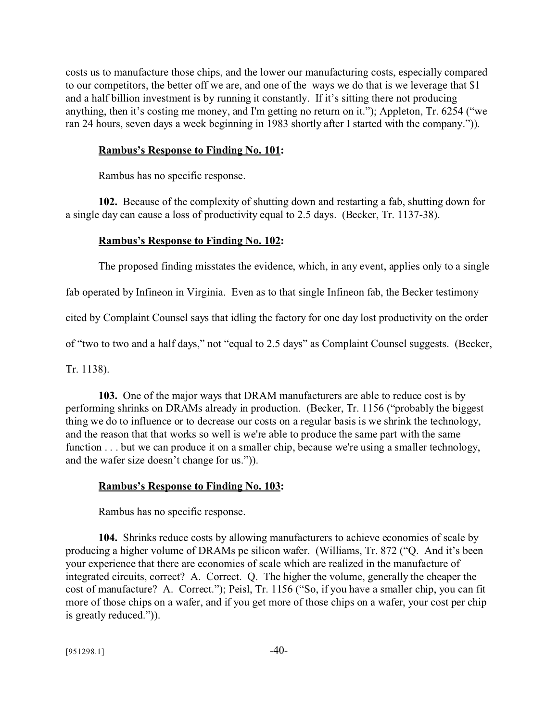costs us to manufacture those chips, and the lower our manufacturing costs, especially compared to our competitors, the better off we are, and one of the ways we do that is we leverage that \$1 and a half billion investment is by running it constantly. If it's sitting there not producing anything, then it's costing me money, and I'm getting no return on it."); Appleton, Tr. 6254 ("we ran 24 hours, seven days a week beginning in 1983 shortly after I started with the company.")).

### **Rambus's Response to Finding No. 101:**

Rambus has no specific response.

**102.** Because of the complexity of shutting down and restarting a fab, shutting down for a single day can cause a loss of productivity equal to 2.5 days. (Becker, Tr. 1137-38).

#### **Rambus's Response to Finding No. 102:**

The proposed finding misstates the evidence, which, in any event, applies only to a single

fab operated by Infineon in Virginia. Even as to that single Infineon fab, the Becker testimony

cited by Complaint Counsel says that idling the factory for one day lost productivity on the order

of "two to two and a half days," not "equal to 2.5 days" as Complaint Counsel suggests. (Becker,

Tr. 1138).

**103.** One of the major ways that DRAM manufacturers are able to reduce cost is by performing shrinks on DRAMs already in production. (Becker, Tr. 1156 ("probably the biggest thing we do to influence or to decrease our costs on a regular basis is we shrink the technology, and the reason that that works so well is we're able to produce the same part with the same function . . . but we can produce it on a smaller chip, because we're using a smaller technology, and the wafer size doesn't change for us.")).

#### **Rambus's Response to Finding No. 103:**

Rambus has no specific response.

**104.** Shrinks reduce costs by allowing manufacturers to achieve economies of scale by producing a higher volume of DRAMs pe silicon wafer. (Williams, Tr. 872 ("Q. And it's been your experience that there are economies of scale which are realized in the manufacture of integrated circuits, correct? A. Correct. Q. The higher the volume, generally the cheaper the cost of manufacture? A. Correct."); Peisl, Tr. 1156 ("So, if you have a smaller chip, you can fit more of those chips on a wafer, and if you get more of those chips on a wafer, your cost per chip is greatly reduced.")).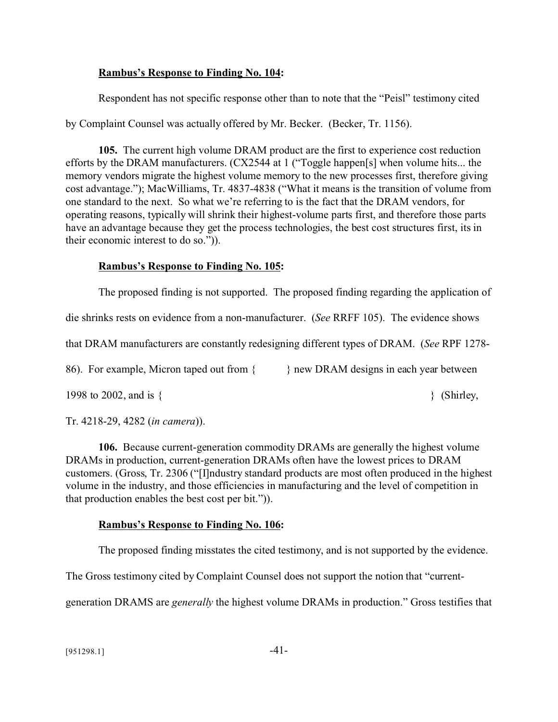## **Rambus's Response to Finding No. 104:**

Respondent has not specific response other than to note that the "Peisl" testimony cited

by Complaint Counsel was actually offered by Mr. Becker. (Becker, Tr. 1156).

**105.** The current high volume DRAM product are the first to experience cost reduction efforts by the DRAM manufacturers. (CX2544 at 1 ("Toggle happen[s] when volume hits... the memory vendors migrate the highest volume memory to the new processes first, therefore giving cost advantage."); MacWilliams, Tr. 4837-4838 ("What it means is the transition of volume from one standard to the next. So what we're referring to is the fact that the DRAM vendors, for operating reasons, typically will shrink their highest-volume parts first, and therefore those parts have an advantage because they get the process technologies, the best cost structures first, its in their economic interest to do so.")).

# **Rambus's Response to Finding No. 105:**

The proposed finding is not supported. The proposed finding regarding the application of

die shrinks rests on evidence from a non-manufacturer. (*See* RRFF 105). The evidence shows

that DRAM manufacturers are constantly redesigning different types of DRAM. (*See* RPF 1278-

86). For example, Micron taped out from { } new DRAM designs in each year between

1998 to 2002, and is  $\{$ 

Tr. 4218-29, 4282 (*in camera*)).

**106.** Because current-generation commodity DRAMs are generally the highest volume DRAMs in production, current-generation DRAMs often have the lowest prices to DRAM customers. (Gross, Tr. 2306 ("[I]ndustry standard products are most often produced in the highest volume in the industry, and those efficiencies in manufacturing and the level of competition in that production enables the best cost per bit.")).

# **Rambus's Response to Finding No. 106:**

The proposed finding misstates the cited testimony, and is not supported by the evidence.

The Gross testimony cited by Complaint Counsel does not support the notion that "current-

generation DRAMS are *generally* the highest volume DRAMs in production." Gross testifies that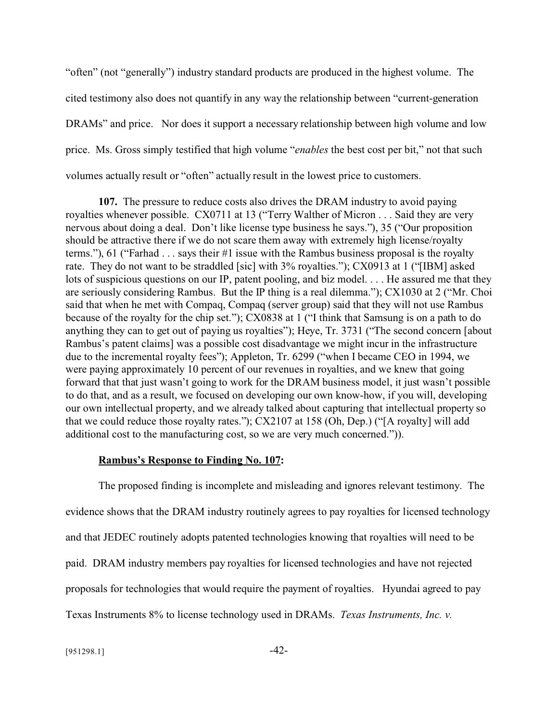"often" (not "generally") industry standard products are produced in the highest volume. The cited testimony also does not quantify in any way the relationship between "current-generation DRAMs" and price. Nor does it support a necessary relationship between high volume and low price. Ms. Gross simply testified that high volume "*enables* the best cost per bit," not that such volumes actually result or "often" actually result in the lowest price to customers.

**107.** The pressure to reduce costs also drives the DRAM industry to avoid paying royalties whenever possible. CX0711 at 13 ("Terry Walther of Micron . . . Said they are very nervous about doing a deal. Don't like license type business he says."), 35 ("Our proposition should be attractive there if we do not scare them away with extremely high license/royalty terms."), 61 ("Farhad . . . says their #1 issue with the Rambus business proposal is the royalty rate. They do not want to be straddled [sic] with 3% royalties."); CX0913 at 1 ("[IBM] asked lots of suspicious questions on our IP, patent pooling, and biz model. . . . He assured me that they are seriously considering Rambus. But the IP thing is a real dilemma."); CX1030 at 2 ("Mr. Choi said that when he met with Compaq, Compaq (server group) said that they will not use Rambus because of the royalty for the chip set."); CX0838 at 1 ("I think that Samsung is on a path to do anything they can to get out of paying us royalties"); Heye, Tr. 3731 ("The second concern [about Rambus's patent claims] was a possible cost disadvantage we might incur in the infrastructure due to the incremental royalty fees"); Appleton, Tr. 6299 ("when I became CEO in 1994, we were paying approximately 10 percent of our revenues in royalties, and we knew that going forward that that just wasn't going to work for the DRAM business model, it just wasn't possible to do that, and as a result, we focused on developing our own know-how, if you will, developing our own intellectual property, and we already talked about capturing that intellectual property so that we could reduce those royalty rates."); CX2107 at 158 (Oh, Dep.) ("[A royalty] will add additional cost to the manufacturing cost, so we are very much concerned.")).

#### **Rambus's Response to Finding No. 107:**

The proposed finding is incomplete and misleading and ignores relevant testimony. The evidence shows that the DRAM industry routinely agrees to pay royalties for licensed technology and that JEDEC routinely adopts patented technologies knowing that royalties will need to be paid. DRAM industry members pay royalties for licensed technologies and have not rejected proposals for technologies that would require the payment of royalties. Hyundai agreed to pay Texas Instruments 8% to license technology used in DRAMs. *Texas Instruments, Inc. v.*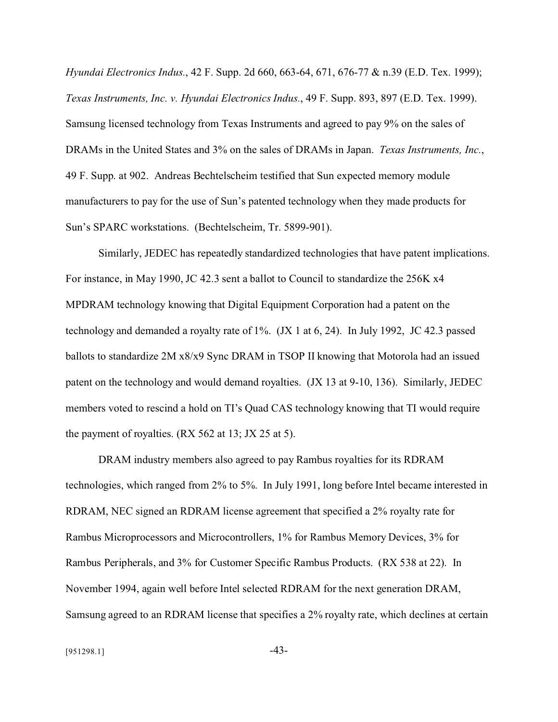*Hyundai Electronics Indus.*, 42 F. Supp. 2d 660, 663-64, 671, 676-77 & n.39 (E.D. Tex. 1999); *Texas Instruments, Inc. v. Hyundai Electronics Indus.*, 49 F. Supp. 893, 897 (E.D. Tex. 1999). Samsung licensed technology from Texas Instruments and agreed to pay 9% on the sales of DRAMs in the United States and 3% on the sales of DRAMs in Japan. *Texas Instruments, Inc.*, 49 F. Supp. at 902. Andreas Bechtelscheim testified that Sun expected memory module manufacturers to pay for the use of Sun's patented technology when they made products for Sun's SPARC workstations. (Bechtelscheim, Tr. 5899-901).

Similarly, JEDEC has repeatedly standardized technologies that have patent implications. For instance, in May 1990, JC 42.3 sent a ballot to Council to standardize the 256K x4 MPDRAM technology knowing that Digital Equipment Corporation had a patent on the technology and demanded a royalty rate of 1%. (JX 1 at 6, 24). In July 1992, JC 42.3 passed ballots to standardize 2M x8/x9 Sync DRAM in TSOP II knowing that Motorola had an issued patent on the technology and would demand royalties. (JX 13 at 9-10, 136). Similarly, JEDEC members voted to rescind a hold on TI's Quad CAS technology knowing that TI would require the payment of royalties. (RX 562 at 13; JX 25 at 5).

DRAM industry members also agreed to pay Rambus royalties for its RDRAM technologies, which ranged from 2% to 5%. In July 1991, long before Intel became interested in RDRAM, NEC signed an RDRAM license agreement that specified a 2% royalty rate for Rambus Microprocessors and Microcontrollers, 1% for Rambus Memory Devices, 3% for Rambus Peripherals, and 3% for Customer Specific Rambus Products. (RX 538 at 22). In November 1994, again well before Intel selected RDRAM for the next generation DRAM, Samsung agreed to an RDRAM license that specifies a 2% royalty rate, which declines at certain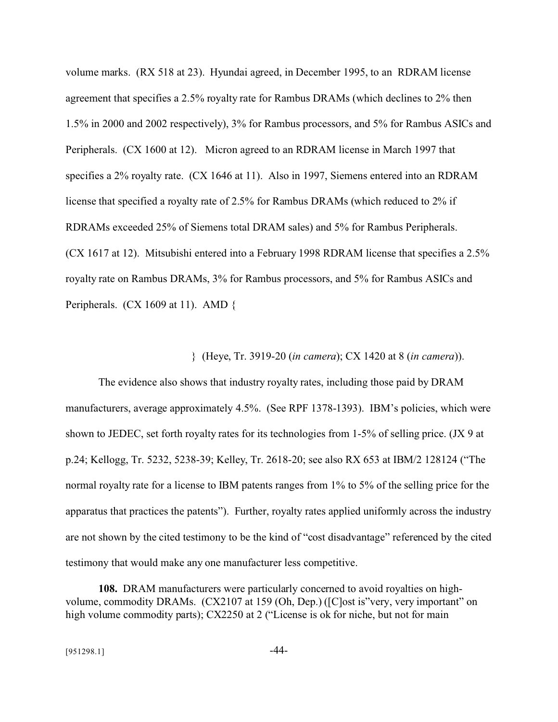volume marks. (RX 518 at 23). Hyundai agreed, in December 1995, to an RDRAM license agreement that specifies a 2.5% royalty rate for Rambus DRAMs (which declines to 2% then 1.5% in 2000 and 2002 respectively), 3% for Rambus processors, and 5% for Rambus ASICs and Peripherals. (CX 1600 at 12). Micron agreed to an RDRAM license in March 1997 that specifies a 2% royalty rate. (CX 1646 at 11). Also in 1997, Siemens entered into an RDRAM license that specified a royalty rate of 2.5% for Rambus DRAMs (which reduced to 2% if RDRAMs exceeded 25% of Siemens total DRAM sales) and 5% for Rambus Peripherals. (CX 1617 at 12). Mitsubishi entered into a February 1998 RDRAM license that specifies a 2.5% royalty rate on Rambus DRAMs, 3% for Rambus processors, and 5% for Rambus ASICs and Peripherals. (CX 1609 at 11). AMD {

} (Heye, Tr. 3919-20 (*in camera*); CX 1420 at 8 (*in camera*)).

The evidence also shows that industry royalty rates, including those paid by DRAM manufacturers, average approximately 4.5%. (See RPF 1378-1393). IBM's policies, which were shown to JEDEC, set forth royalty rates for its technologies from 1-5% of selling price. (JX 9 at p.24; Kellogg, Tr. 5232, 5238-39; Kelley, Tr. 2618-20; see also RX 653 at IBM/2 128124 ("The normal royalty rate for a license to IBM patents ranges from 1% to 5% of the selling price for the apparatus that practices the patents"). Further, royalty rates applied uniformly across the industry are not shown by the cited testimony to be the kind of "cost disadvantage" referenced by the cited testimony that would make any one manufacturer less competitive.

**108.** DRAM manufacturers were particularly concerned to avoid royalties on highvolume, commodity DRAMs. (CX2107 at 159 (Oh, Dep.) ([C]ost is"very, very important" on high volume commodity parts); CX2250 at 2 ("License is ok for niche, but not for main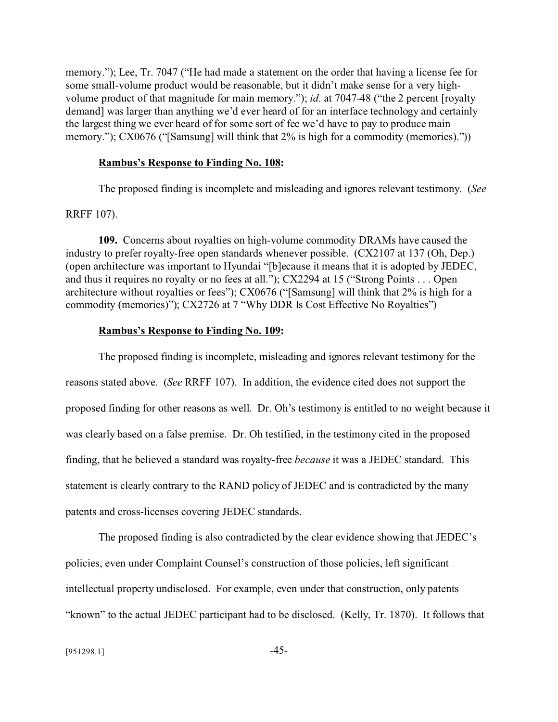memory."); Lee, Tr. 7047 ("He had made a statement on the order that having a license fee for some small-volume product would be reasonable, but it didn't make sense for a very highvolume product of that magnitude for main memory."); *id*. at 7047-48 ("the 2 percent [royalty demand] was larger than anything we'd ever heard of for an interface technology and certainly the largest thing we ever heard of for some sort of fee we'd have to pay to produce main memory."); CX0676 ("[Samsung] will think that 2% is high for a commodity (memories)."))

#### **Rambus's Response to Finding No. 108:**

The proposed finding is incomplete and misleading and ignores relevant testimony. (*See*

RRFF 107).

**109.** Concerns about royalties on high-volume commodity DRAMs have caused the industry to prefer royalty-free open standards whenever possible. (CX2107 at 137 (Oh, Dep.) (open architecture was important to Hyundai "[b]ecause it means that it is adopted by JEDEC, and thus it requires no royalty or no fees at all."); CX2294 at 15 ("Strong Points . . . Open architecture without royalties or fees"); CX0676 ("[Samsung] will think that 2% is high for a commodity (memories)"); CX2726 at 7 "Why DDR Is Cost Effective No Royalties")

### **Rambus's Response to Finding No. 109:**

The proposed finding is incomplete, misleading and ignores relevant testimony for the reasons stated above. (*See* RRFF 107). In addition, the evidence cited does not support the proposed finding for other reasons as well. Dr. Oh's testimony is entitled to no weight because it was clearly based on a false premise. Dr. Oh testified, in the testimony cited in the proposed finding, that he believed a standard was royalty-free *because* it was a JEDEC standard. This statement is clearly contrary to the RAND policy of JEDEC and is contradicted by the many patents and cross-licenses covering JEDEC standards.

The proposed finding is also contradicted by the clear evidence showing that JEDEC's policies, even under Complaint Counsel's construction of those policies, left significant intellectual property undisclosed. For example, even under that construction, only patents "known" to the actual JEDEC participant had to be disclosed. (Kelly, Tr. 1870). It follows that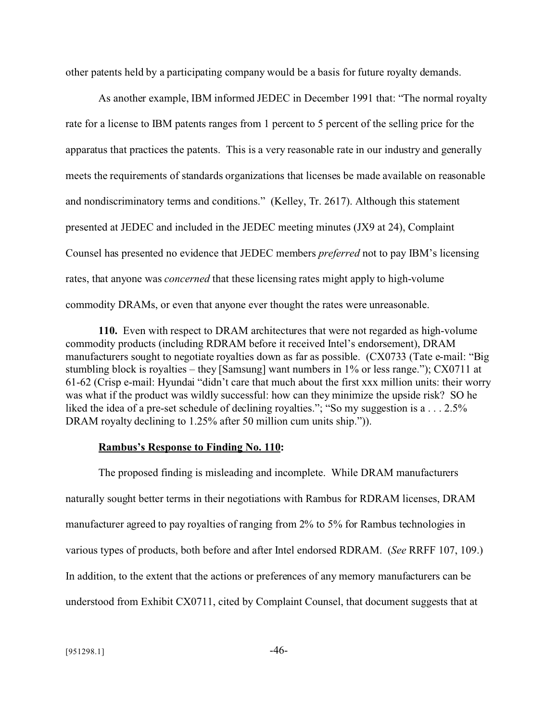other patents held by a participating company would be a basis for future royalty demands.

As another example, IBM informed JEDEC in December 1991 that: "The normal royalty rate for a license to IBM patents ranges from 1 percent to 5 percent of the selling price for the apparatus that practices the patents. This is a very reasonable rate in our industry and generally meets the requirements of standards organizations that licenses be made available on reasonable and nondiscriminatory terms and conditions." (Kelley, Tr. 2617). Although this statement presented at JEDEC and included in the JEDEC meeting minutes (JX9 at 24), Complaint Counsel has presented no evidence that JEDEC members *preferred* not to pay IBM's licensing rates, that anyone was *concerned* that these licensing rates might apply to high-volume commodity DRAMs, or even that anyone ever thought the rates were unreasonable.

**110.** Even with respect to DRAM architectures that were not regarded as high-volume commodity products (including RDRAM before it received Intel's endorsement), DRAM manufacturers sought to negotiate royalties down as far as possible. (CX0733 (Tate e-mail: "Big stumbling block is royalties – they [Samsung] want numbers in 1% or less range."); CX0711 at 61-62 (Crisp e-mail: Hyundai "didn't care that much about the first xxx million units: their worry was what if the product was wildly successful: how can they minimize the upside risk? SO he liked the idea of a pre-set schedule of declining royalties."; "So my suggestion is a . . . 2.5% DRAM royalty declining to 1.25% after 50 million cum units ship.").

### **Rambus's Response to Finding No. 110:**

The proposed finding is misleading and incomplete. While DRAM manufacturers naturally sought better terms in their negotiations with Rambus for RDRAM licenses, DRAM manufacturer agreed to pay royalties of ranging from 2% to 5% for Rambus technologies in various types of products, both before and after Intel endorsed RDRAM. (*See* RRFF 107, 109.) In addition, to the extent that the actions or preferences of any memory manufacturers can be understood from Exhibit CX0711, cited by Complaint Counsel, that document suggests that at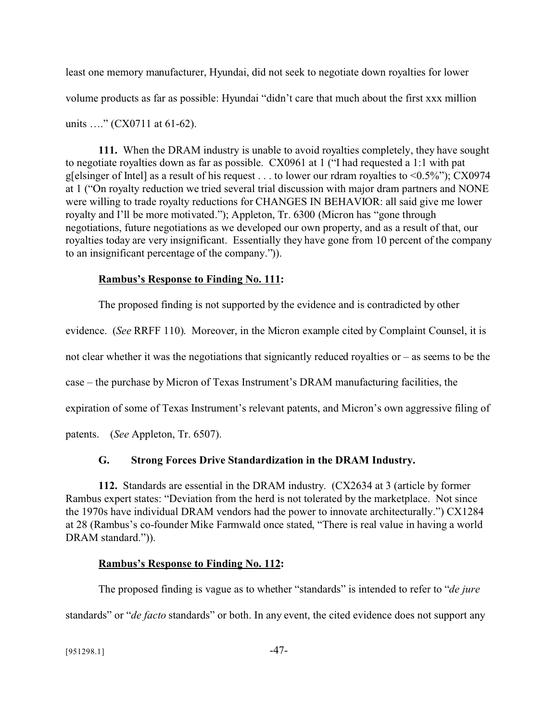least one memory manufacturer, Hyundai, did not seek to negotiate down royalties for lower volume products as far as possible: Hyundai "didn't care that much about the first xxx million units ...." (CX0711 at 61-62).

**111.** When the DRAM industry is unable to avoid royalties completely, they have sought to negotiate royalties down as far as possible. CX0961 at 1 ("I had requested a 1:1 with pat g[elsinger of Intel] as a result of his request . . . to lower our rdram royalties to <0.5%"); CX0974 at 1 ("On royalty reduction we tried several trial discussion with major dram partners and NONE were willing to trade royalty reductions for CHANGES IN BEHAVIOR: all said give me lower royalty and I'll be more motivated."); Appleton, Tr. 6300 (Micron has "gone through negotiations, future negotiations as we developed our own property, and as a result of that, our royalties today are very insignificant. Essentially they have gone from 10 percent of the company to an insignificant percentage of the company.")).

## **Rambus's Response to Finding No. 111:**

The proposed finding is not supported by the evidence and is contradicted by other

evidence. (*See* RRFF 110). Moreover, in the Micron example cited by Complaint Counsel, it is

not clear whether it was the negotiations that signicantly reduced royalties or – as seems to be the

case – the purchase by Micron of Texas Instrument's DRAM manufacturing facilities, the

expiration of some of Texas Instrument's relevant patents, and Micron's own aggressive filing of

patents. (*See* Appleton, Tr. 6507).

# **G. Strong Forces Drive Standardization in the DRAM Industry.**

**112.** Standards are essential in the DRAM industry. (CX2634 at 3 (article by former Rambus expert states: "Deviation from the herd is not tolerated by the marketplace. Not since the 1970s have individual DRAM vendors had the power to innovate architecturally.") CX1284 at 28 (Rambus's co-founder Mike Farmwald once stated, "There is real value in having a world DRAM standard.")).

# **Rambus's Response to Finding No. 112:**

The proposed finding is vague as to whether "standards" is intended to refer to "*de jure* standards" or "*de facto* standards" or both. In any event, the cited evidence does not support any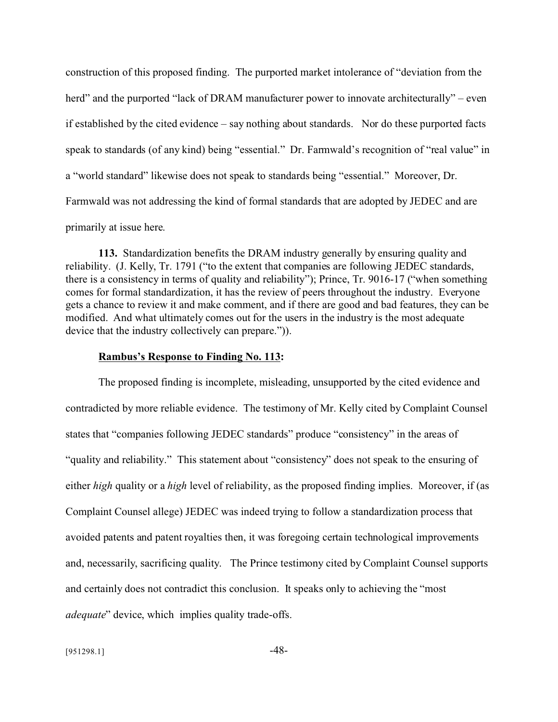construction of this proposed finding. The purported market intolerance of "deviation from the herd" and the purported "lack of DRAM manufacturer power to innovate architecturally" – even if established by the cited evidence – say nothing about standards. Nor do these purported facts speak to standards (of any kind) being "essential." Dr. Farmwald's recognition of "real value" in a "world standard" likewise does not speak to standards being "essential." Moreover, Dr. Farmwald was not addressing the kind of formal standards that are adopted by JEDEC and are primarily at issue here.

**113.** Standardization benefits the DRAM industry generally by ensuring quality and reliability. (J. Kelly, Tr. 1791 ("to the extent that companies are following JEDEC standards, there is a consistency in terms of quality and reliability"); Prince, Tr. 9016-17 ("when something comes for formal standardization, it has the review of peers throughout the industry. Everyone gets a chance to review it and make comment, and if there are good and bad features, they can be modified. And what ultimately comes out for the users in the industry is the most adequate device that the industry collectively can prepare.")).

#### **Rambus's Response to Finding No. 113:**

The proposed finding is incomplete, misleading, unsupported by the cited evidence and contradicted by more reliable evidence. The testimony of Mr. Kelly cited by Complaint Counsel states that "companies following JEDEC standards" produce "consistency" in the areas of "quality and reliability." This statement about "consistency" does not speak to the ensuring of either *high* quality or a *high* level of reliability, as the proposed finding implies. Moreover, if (as Complaint Counsel allege) JEDEC was indeed trying to follow a standardization process that avoided patents and patent royalties then, it was foregoing certain technological improvements and, necessarily, sacrificing quality. The Prince testimony cited by Complaint Counsel supports and certainly does not contradict this conclusion. It speaks only to achieving the "most *adequate*" device, which implies quality trade-offs.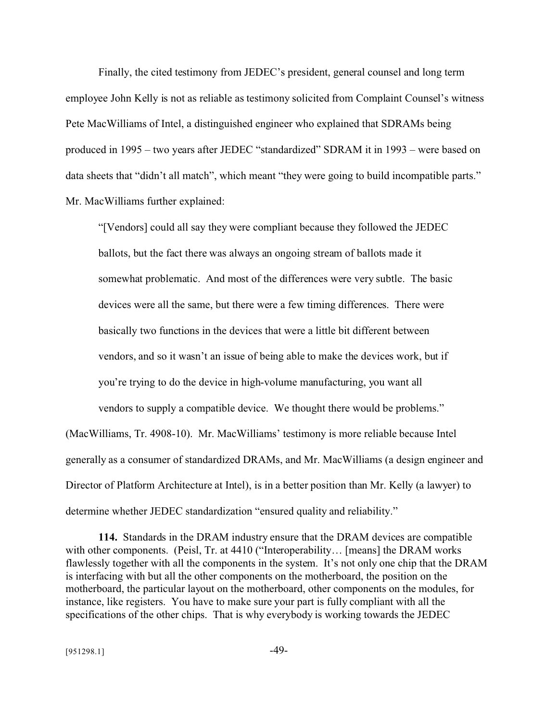Finally, the cited testimony from JEDEC's president, general counsel and long term employee John Kelly is not as reliable as testimony solicited from Complaint Counsel's witness Pete MacWilliams of Intel, a distinguished engineer who explained that SDRAMs being produced in 1995 – two years after JEDEC "standardized" SDRAM it in 1993 – were based on data sheets that "didn't all match", which meant "they were going to build incompatible parts." Mr. MacWilliams further explained:

"[Vendors] could all say they were compliant because they followed the JEDEC ballots, but the fact there was always an ongoing stream of ballots made it somewhat problematic. And most of the differences were very subtle. The basic devices were all the same, but there were a few timing differences. There were basically two functions in the devices that were a little bit different between vendors, and so it wasn't an issue of being able to make the devices work, but if you're trying to do the device in high-volume manufacturing, you want all vendors to supply a compatible device. We thought there would be problems."

(MacWilliams, Tr. 4908-10). Mr. MacWilliams' testimony is more reliable because Intel generally as a consumer of standardized DRAMs, and Mr. MacWilliams (a design engineer and Director of Platform Architecture at Intel), is in a better position than Mr. Kelly (a lawyer) to determine whether JEDEC standardization "ensured quality and reliability."

**114.** Standards in the DRAM industry ensure that the DRAM devices are compatible with other components. (Peisl, Tr. at 4410 ("Interoperability... [means] the DRAM works flawlessly together with all the components in the system. It's not only one chip that the DRAM is interfacing with but all the other components on the motherboard, the position on the motherboard, the particular layout on the motherboard, other components on the modules, for instance, like registers. You have to make sure your part is fully compliant with all the specifications of the other chips. That is why everybody is working towards the JEDEC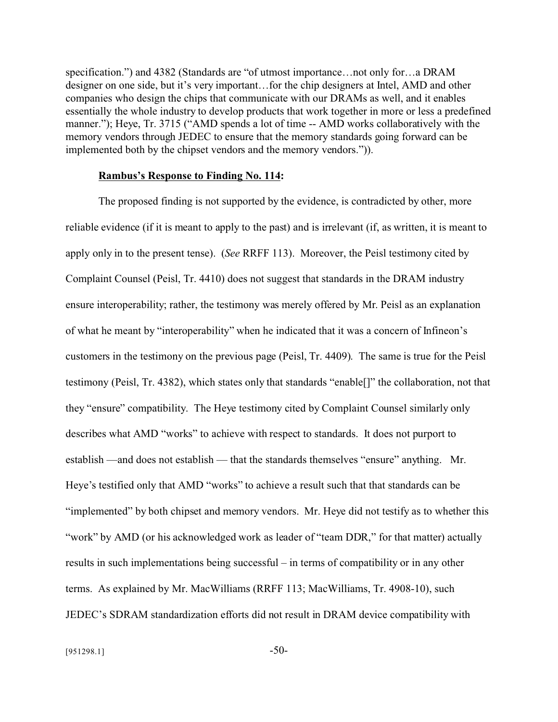specification.") and 4382 (Standards are "of utmost importance... not only for... a DRAM designer on one side, but it's very important…for the chip designers at Intel, AMD and other companies who design the chips that communicate with our DRAMs as well, and it enables essentially the whole industry to develop products that work together in more or less a predefined manner."); Heye, Tr. 3715 ("AMD spends a lot of time -- AMD works collaboratively with the memory vendors through JEDEC to ensure that the memory standards going forward can be implemented both by the chipset vendors and the memory vendors.")).

#### **Rambus's Response to Finding No. 114:**

The proposed finding is not supported by the evidence, is contradicted by other, more reliable evidence (if it is meant to apply to the past) and is irrelevant (if, as written, it is meant to apply only in to the present tense). (*See* RRFF 113). Moreover, the Peisl testimony cited by Complaint Counsel (Peisl, Tr. 4410) does not suggest that standards in the DRAM industry ensure interoperability; rather, the testimony was merely offered by Mr. Peisl as an explanation of what he meant by "interoperability" when he indicated that it was a concern of Infineon's customers in the testimony on the previous page (Peisl, Tr. 4409). The same is true for the Peisl testimony (Peisl, Tr. 4382), which states only that standards "enable[]" the collaboration, not that they "ensure" compatibility. The Heye testimony cited by Complaint Counsel similarly only describes what AMD "works" to achieve with respect to standards. It does not purport to establish —and does not establish — that the standards themselves "ensure" anything. Mr. Heye's testified only that AMD "works" to achieve a result such that that standards can be "implemented" by both chipset and memory vendors. Mr. Heye did not testify as to whether this "work" by AMD (or his acknowledged work as leader of "team DDR," for that matter) actually results in such implementations being successful – in terms of compatibility or in any other terms. As explained by Mr. MacWilliams (RRFF 113; MacWilliams, Tr. 4908-10), such JEDEC's SDRAM standardization efforts did not result in DRAM device compatibility with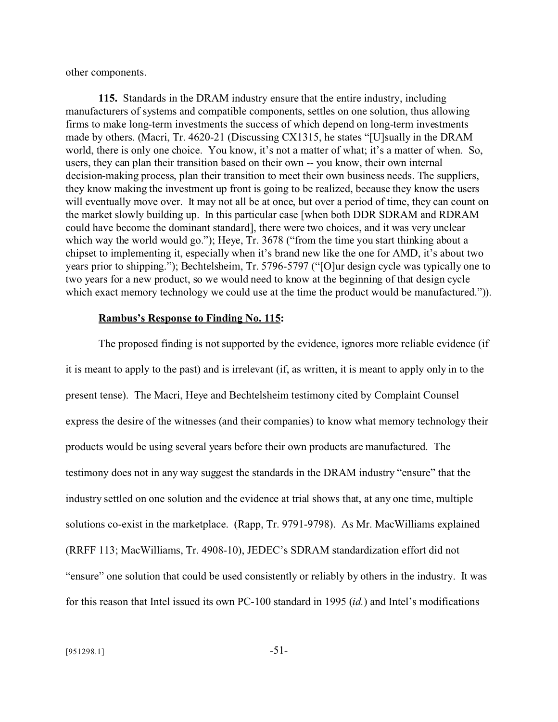other components.

**115.** Standards in the DRAM industry ensure that the entire industry, including manufacturers of systems and compatible components, settles on one solution, thus allowing firms to make long-term investments the success of which depend on long-term investments made by others. (Macri, Tr. 4620-21 (Discussing CX1315, he states "[U]sually in the DRAM world, there is only one choice. You know, it's not a matter of what; it's a matter of when. So, users, they can plan their transition based on their own -- you know, their own internal decision-making process, plan their transition to meet their own business needs. The suppliers, they know making the investment up front is going to be realized, because they know the users will eventually move over. It may not all be at once, but over a period of time, they can count on the market slowly building up. In this particular case [when both DDR SDRAM and RDRAM could have become the dominant standard], there were two choices, and it was very unclear which way the world would go."); Heye, Tr. 3678 ("from the time you start thinking about a chipset to implementing it, especially when it's brand new like the one for AMD, it's about two years prior to shipping."); Bechtelsheim, Tr. 5796-5797 ("[O]ur design cycle was typically one to two years for a new product, so we would need to know at the beginning of that design cycle which exact memory technology we could use at the time the product would be manufactured.").

#### **Rambus's Response to Finding No. 115:**

The proposed finding is not supported by the evidence, ignores more reliable evidence (if it is meant to apply to the past) and is irrelevant (if, as written, it is meant to apply only in to the present tense). The Macri, Heye and Bechtelsheim testimony cited by Complaint Counsel express the desire of the witnesses (and their companies) to know what memory technology their products would be using several years before their own products are manufactured. The testimony does not in any way suggest the standards in the DRAM industry "ensure" that the industry settled on one solution and the evidence at trial shows that, at any one time, multiple solutions co-exist in the marketplace. (Rapp, Tr. 9791-9798). As Mr. MacWilliams explained (RRFF 113; MacWilliams, Tr. 4908-10), JEDEC's SDRAM standardization effort did not "ensure" one solution that could be used consistently or reliably by others in the industry. It was for this reason that Intel issued its own PC-100 standard in 1995 (*id.*) and Intel's modifications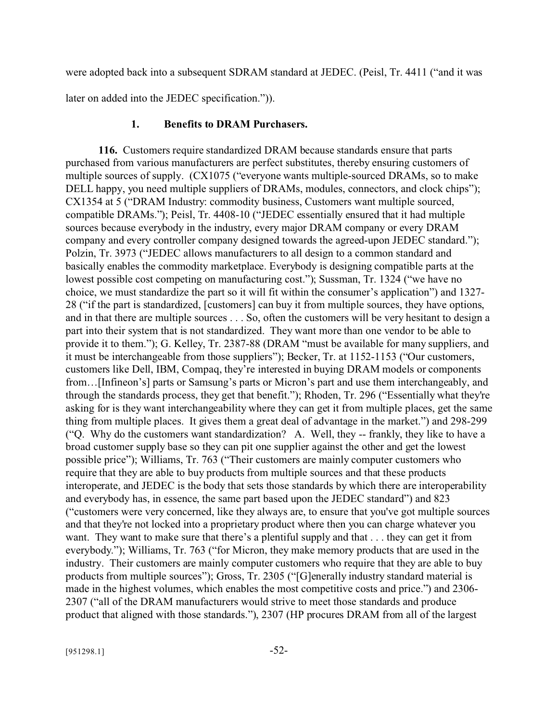were adopted back into a subsequent SDRAM standard at JEDEC. (Peisl, Tr. 4411 ("and it was

later on added into the JEDEC specification.")).

#### **1. Benefits to DRAM Purchasers.**

**116.** Customers require standardized DRAM because standards ensure that parts purchased from various manufacturers are perfect substitutes, thereby ensuring customers of multiple sources of supply. (CX1075 ("everyone wants multiple-sourced DRAMs, so to make DELL happy, you need multiple suppliers of DRAMs, modules, connectors, and clock chips"); CX1354 at 5 ("DRAM Industry: commodity business, Customers want multiple sourced, compatible DRAMs."); Peisl, Tr. 4408-10 ("JEDEC essentially ensured that it had multiple sources because everybody in the industry, every major DRAM company or every DRAM company and every controller company designed towards the agreed-upon JEDEC standard."); Polzin, Tr. 3973 ("JEDEC allows manufacturers to all design to a common standard and basically enables the commodity marketplace. Everybody is designing compatible parts at the lowest possible cost competing on manufacturing cost."); Sussman, Tr. 1324 ("we have no choice, we must standardize the part so it will fit within the consumer's application") and 1327- 28 ("if the part is standardized, [customers] can buy it from multiple sources, they have options, and in that there are multiple sources . . . So, often the customers will be very hesitant to design a part into their system that is not standardized. They want more than one vendor to be able to provide it to them."); G. Kelley, Tr. 2387-88 (DRAM "must be available for many suppliers, and it must be interchangeable from those suppliers"); Becker, Tr. at 1152-1153 ("Our customers, customers like Dell, IBM, Compaq, they're interested in buying DRAM models or components from…[Infineon's] parts or Samsung's parts or Micron's part and use them interchangeably, and through the standards process, they get that benefit."); Rhoden, Tr. 296 ("Essentially what they're asking for is they want interchangeability where they can get it from multiple places, get the same thing from multiple places. It gives them a great deal of advantage in the market.") and 298-299 ("Q. Why do the customers want standardization? A. Well, they -- frankly, they like to have a broad customer supply base so they can pit one supplier against the other and get the lowest possible price"); Williams, Tr. 763 ("Their customers are mainly computer customers who require that they are able to buy products from multiple sources and that these products interoperate, and JEDEC is the body that sets those standards by which there are interoperability and everybody has, in essence, the same part based upon the JEDEC standard") and 823 ("customers were very concerned, like they always are, to ensure that you've got multiple sources and that they're not locked into a proprietary product where then you can charge whatever you want. They want to make sure that there's a plentiful supply and that . . . they can get it from everybody."); Williams, Tr. 763 ("for Micron, they make memory products that are used in the industry. Their customers are mainly computer customers who require that they are able to buy products from multiple sources"); Gross, Tr. 2305 ("[G]enerally industry standard material is made in the highest volumes, which enables the most competitive costs and price.") and 2306- 2307 ("all of the DRAM manufacturers would strive to meet those standards and produce product that aligned with those standards."), 2307 (HP procures DRAM from all of the largest

 $[951298.1]$  -52-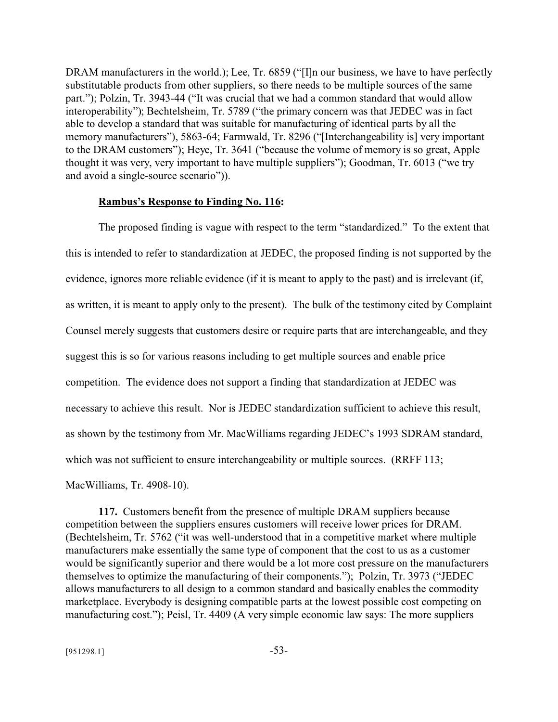DRAM manufacturers in the world.); Lee, Tr. 6859 ("[I]n our business, we have to have perfectly substitutable products from other suppliers, so there needs to be multiple sources of the same part."); Polzin, Tr. 3943-44 ("It was crucial that we had a common standard that would allow interoperability"); Bechtelsheim, Tr. 5789 ("the primary concern was that JEDEC was in fact able to develop a standard that was suitable for manufacturing of identical parts by all the memory manufacturers"), 5863-64; Farmwald, Tr. 8296 ("[Interchangeability is] very important to the DRAM customers"); Heye, Tr. 3641 ("because the volume of memory is so great, Apple thought it was very, very important to have multiple suppliers"); Goodman, Tr. 6013 ("we try and avoid a single-source scenario")).

#### **Rambus's Response to Finding No. 116:**

The proposed finding is vague with respect to the term "standardized." To the extent that this is intended to refer to standardization at JEDEC, the proposed finding is not supported by the evidence, ignores more reliable evidence (if it is meant to apply to the past) and is irrelevant (if, as written, it is meant to apply only to the present). The bulk of the testimony cited by Complaint Counsel merely suggests that customers desire or require parts that are interchangeable, and they suggest this is so for various reasons including to get multiple sources and enable price competition. The evidence does not support a finding that standardization at JEDEC was necessary to achieve this result. Nor is JEDEC standardization sufficient to achieve this result, as shown by the testimony from Mr. MacWilliams regarding JEDEC's 1993 SDRAM standard, which was not sufficient to ensure interchangeability or multiple sources. (RRFF 113;

MacWilliams, Tr. 4908-10).

**117.** Customers benefit from the presence of multiple DRAM suppliers because competition between the suppliers ensures customers will receive lower prices for DRAM. (Bechtelsheim, Tr. 5762 ("it was well-understood that in a competitive market where multiple manufacturers make essentially the same type of component that the cost to us as a customer would be significantly superior and there would be a lot more cost pressure on the manufacturers themselves to optimize the manufacturing of their components."); Polzin, Tr. 3973 ("JEDEC allows manufacturers to all design to a common standard and basically enables the commodity marketplace. Everybody is designing compatible parts at the lowest possible cost competing on manufacturing cost."); Peisl, Tr. 4409 (A very simple economic law says: The more suppliers

 $[951298.1]$  -53-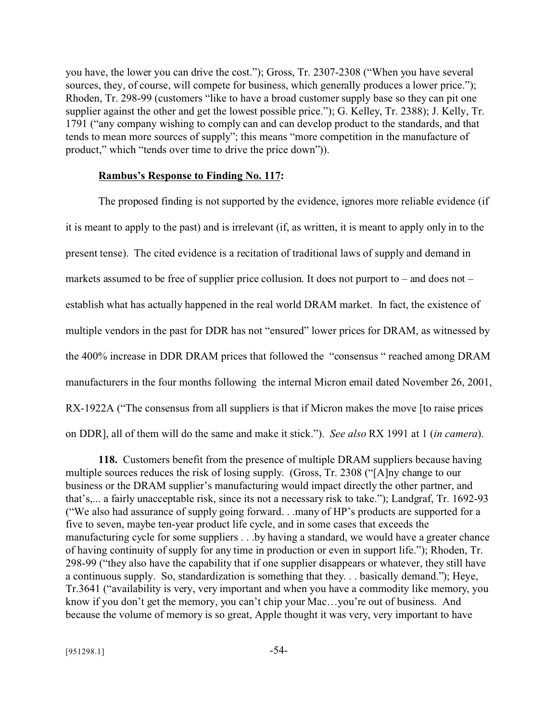you have, the lower you can drive the cost."); Gross, Tr. 2307-2308 ("When you have several sources, they, of course, will compete for business, which generally produces a lower price."); Rhoden, Tr. 298-99 (customers "like to have a broad customer supply base so they can pit one supplier against the other and get the lowest possible price."); G. Kelley, Tr. 2388); J. Kelly, Tr. 1791 ("any company wishing to comply can and can develop product to the standards, and that tends to mean more sources of supply"; this means "more competition in the manufacture of product," which "tends over time to drive the price down")).

#### **Rambus's Response to Finding No. 117:**

The proposed finding is not supported by the evidence, ignores more reliable evidence (if it is meant to apply to the past) and is irrelevant (if, as written, it is meant to apply only in to the present tense). The cited evidence is a recitation of traditional laws of supply and demand in markets assumed to be free of supplier price collusion. It does not purport to – and does not – establish what has actually happened in the real world DRAM market. In fact, the existence of multiple vendors in the past for DDR has not "ensured" lower prices for DRAM, as witnessed by the 400% increase in DDR DRAM prices that followed the "consensus " reached among DRAM manufacturers in the four months following the internal Micron email dated November 26, 2001, RX-1922A ("The consensus from all suppliers is that if Micron makes the move [to raise prices on DDR], all of them will do the same and make it stick."). *See also* RX 1991 at 1 (*in camera*).

**118.** Customers benefit from the presence of multiple DRAM suppliers because having multiple sources reduces the risk of losing supply. (Gross, Tr. 2308 ("[A]ny change to our business or the DRAM supplier's manufacturing would impact directly the other partner, and that's,... a fairly unacceptable risk, since its not a necessary risk to take."); Landgraf, Tr. 1692-93 ("We also had assurance of supply going forward. . .many of HP's products are supported for a five to seven, maybe ten-year product life cycle, and in some cases that exceeds the manufacturing cycle for some suppliers . . .by having a standard, we would have a greater chance of having continuity of supply for any time in production or even in support life."); Rhoden, Tr. 298-99 ("they also have the capability that if one supplier disappears or whatever, they still have a continuous supply. So, standardization is something that they. . . basically demand."); Heye, Tr.3641 ("availability is very, very important and when you have a commodity like memory, you know if you don't get the memory, you can't chip your Mac...you're out of business. And because the volume of memory is so great, Apple thought it was very, very important to have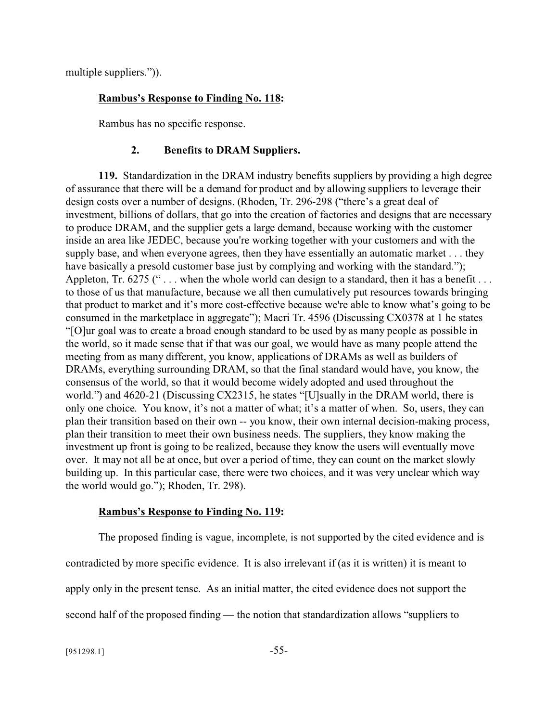multiple suppliers.")).

## **Rambus's Response to Finding No. 118:**

Rambus has no specific response.

## **2. Benefits to DRAM Suppliers.**

**119.** Standardization in the DRAM industry benefits suppliers by providing a high degree of assurance that there will be a demand for product and by allowing suppliers to leverage their design costs over a number of designs. (Rhoden, Tr. 296-298 ("there's a great deal of investment, billions of dollars, that go into the creation of factories and designs that are necessary to produce DRAM, and the supplier gets a large demand, because working with the customer inside an area like JEDEC, because you're working together with your customers and with the supply base, and when everyone agrees, then they have essentially an automatic market . . . they have basically a presold customer base just by complying and working with the standard."); Appleton, Tr. 6275 ("... when the whole world can design to a standard, then it has a benefit ... to those of us that manufacture, because we all then cumulatively put resources towards bringing that product to market and it's more cost-effective because we're able to know what's going to be consumed in the marketplace in aggregate"); Macri Tr. 4596 (Discussing CX0378 at 1 he states "[O]ur goal was to create a broad enough standard to be used by as many people as possible in the world, so it made sense that if that was our goal, we would have as many people attend the meeting from as many different, you know, applications of DRAMs as well as builders of DRAMs, everything surrounding DRAM, so that the final standard would have, you know, the consensus of the world, so that it would become widely adopted and used throughout the world.") and 4620-21 (Discussing CX2315, he states "[U]sually in the DRAM world, there is only one choice. You know, it's not a matter of what; it's a matter of when. So, users, they can plan their transition based on their own -- you know, their own internal decision-making process, plan their transition to meet their own business needs. The suppliers, they know making the investment up front is going to be realized, because they know the users will eventually move over. It may not all be at once, but over a period of time, they can count on the market slowly building up. In this particular case, there were two choices, and it was very unclear which way the world would go."); Rhoden, Tr. 298).

## **Rambus's Response to Finding No. 119:**

The proposed finding is vague, incomplete, is not supported by the cited evidence and is contradicted by more specific evidence. It is also irrelevant if (as it is written) it is meant to apply only in the present tense. As an initial matter, the cited evidence does not support the second half of the proposed finding — the notion that standardization allows "suppliers to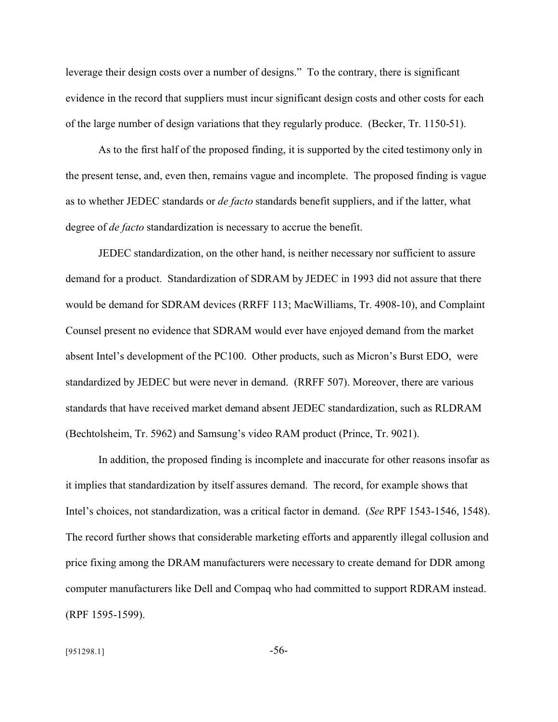leverage their design costs over a number of designs." To the contrary, there is significant evidence in the record that suppliers must incur significant design costs and other costs for each of the large number of design variations that they regularly produce. (Becker, Tr. 1150-51).

As to the first half of the proposed finding, it is supported by the cited testimony only in the present tense, and, even then, remains vague and incomplete. The proposed finding is vague as to whether JEDEC standards or *de facto* standards benefit suppliers, and if the latter, what degree of *de facto* standardization is necessary to accrue the benefit.

JEDEC standardization, on the other hand, is neither necessary nor sufficient to assure demand for a product. Standardization of SDRAM by JEDEC in 1993 did not assure that there would be demand for SDRAM devices (RRFF 113; MacWilliams, Tr. 4908-10), and Complaint Counsel present no evidence that SDRAM would ever have enjoyed demand from the market absent Intel's development of the PC100. Other products, such as Micron's Burst EDO, were standardized by JEDEC but were never in demand. (RRFF 507). Moreover, there are various standards that have received market demand absent JEDEC standardization, such as RLDRAM (Bechtolsheim, Tr. 5962) and Samsung's video RAM product (Prince, Tr. 9021).

In addition, the proposed finding is incomplete and inaccurate for other reasons insofar as it implies that standardization by itself assures demand. The record, for example shows that Intel's choices, not standardization, was a critical factor in demand. (*See* RPF 1543-1546, 1548). The record further shows that considerable marketing efforts and apparently illegal collusion and price fixing among the DRAM manufacturers were necessary to create demand for DDR among computer manufacturers like Dell and Compaq who had committed to support RDRAM instead. (RPF 1595-1599).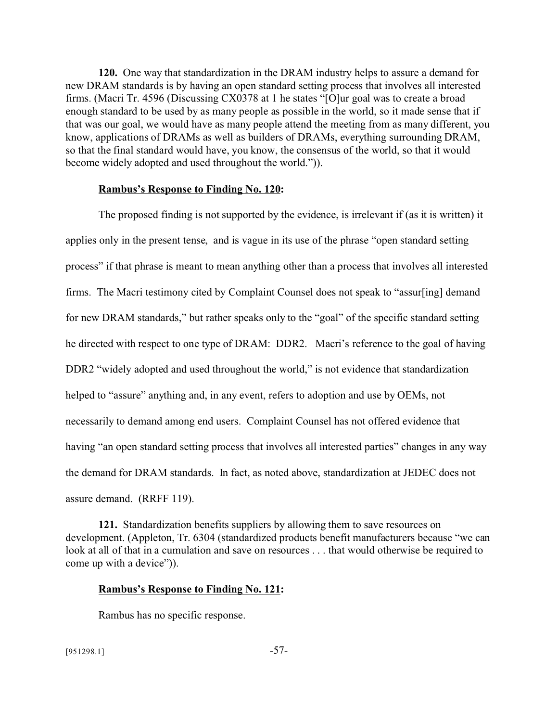**120.** One way that standardization in the DRAM industry helps to assure a demand for new DRAM standards is by having an open standard setting process that involves all interested firms. (Macri Tr. 4596 (Discussing CX0378 at 1 he states "[O]ur goal was to create a broad enough standard to be used by as many people as possible in the world, so it made sense that if that was our goal, we would have as many people attend the meeting from as many different, you know, applications of DRAMs as well as builders of DRAMs, everything surrounding DRAM, so that the final standard would have, you know, the consensus of the world, so that it would become widely adopted and used throughout the world.")).

#### **Rambus's Response to Finding No. 120:**

The proposed finding is not supported by the evidence, is irrelevant if (as it is written) it applies only in the present tense, and is vague in its use of the phrase "open standard setting process" if that phrase is meant to mean anything other than a process that involves all interested firms. The Macri testimony cited by Complaint Counsel does not speak to "assur[ing] demand for new DRAM standards," but rather speaks only to the "goal" of the specific standard setting he directed with respect to one type of DRAM: DDR2. Macri's reference to the goal of having DDR2 "widely adopted and used throughout the world," is not evidence that standardization helped to "assure" anything and, in any event, refers to adoption and use by OEMs, not necessarily to demand among end users. Complaint Counsel has not offered evidence that having "an open standard setting process that involves all interested parties" changes in any way the demand for DRAM standards. In fact, as noted above, standardization at JEDEC does not assure demand. (RRFF 119).

**121.** Standardization benefits suppliers by allowing them to save resources on development. (Appleton, Tr. 6304 (standardized products benefit manufacturers because "we can look at all of that in a cumulation and save on resources . . . that would otherwise be required to come up with a device")).

#### **Rambus's Response to Finding No. 121:**

Rambus has no specific response.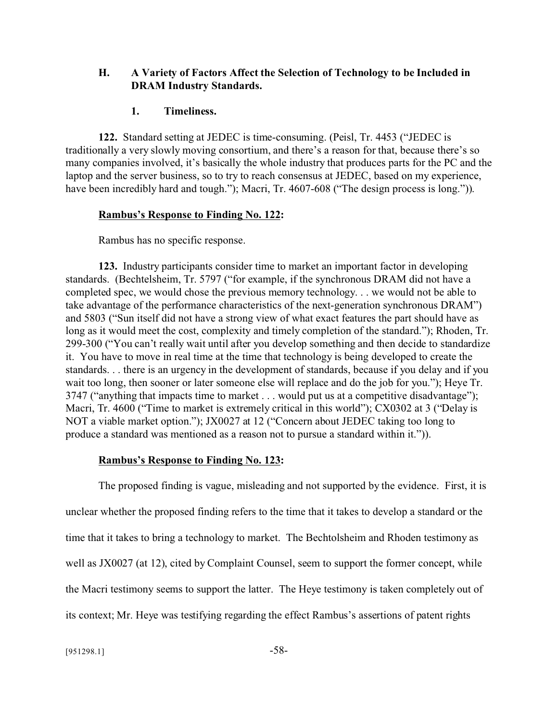## **H. A Variety of Factors Affect the Selection of Technology to be Included in DRAM Industry Standards.**

## **1. Timeliness.**

**122.** Standard setting at JEDEC is time-consuming. (Peisl, Tr. 4453 ("JEDEC is traditionally a very slowly moving consortium, and there's a reason for that, because there's so many companies involved, it's basically the whole industry that produces parts for the PC and the laptop and the server business, so to try to reach consensus at JEDEC, based on my experience, have been incredibly hard and tough."); Macri, Tr. 4607-608 ("The design process is long.")).

## **Rambus's Response to Finding No. 122:**

Rambus has no specific response.

**123.** Industry participants consider time to market an important factor in developing standards. (Bechtelsheim, Tr. 5797 ("for example, if the synchronous DRAM did not have a completed spec, we would chose the previous memory technology. . . we would not be able to take advantage of the performance characteristics of the next-generation synchronous DRAM") and 5803 ("Sun itself did not have a strong view of what exact features the part should have as long as it would meet the cost, complexity and timely completion of the standard."); Rhoden, Tr. 299-300 ("You can't really wait until after you develop something and then decide to standardize it. You have to move in real time at the time that technology is being developed to create the standards. . . there is an urgency in the development of standards, because if you delay and if you wait too long, then sooner or later someone else will replace and do the job for you."); Heye Tr. 3747 ("anything that impacts time to market . . . would put us at a competitive disadvantage"); Macri, Tr. 4600 ("Time to market is extremely critical in this world"); CX0302 at 3 ("Delay is NOT a viable market option."); JX0027 at 12 ("Concern about JEDEC taking too long to produce a standard was mentioned as a reason not to pursue a standard within it.")).

## **Rambus's Response to Finding No. 123:**

The proposed finding is vague, misleading and not supported by the evidence. First, it is unclear whether the proposed finding refers to the time that it takes to develop a standard or the time that it takes to bring a technology to market. The Bechtolsheim and Rhoden testimony as well as JX0027 (at 12), cited by Complaint Counsel, seem to support the former concept, while the Macri testimony seems to support the latter. The Heye testimony is taken completely out of its context; Mr. Heye was testifying regarding the effect Rambus's assertions of patent rights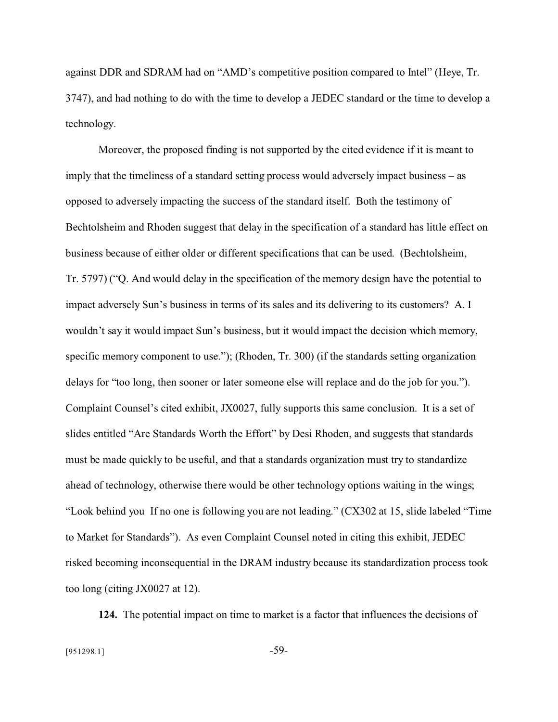against DDR and SDRAM had on "AMD's competitive position compared to Intel" (Heye, Tr. 3747), and had nothing to do with the time to develop a JEDEC standard or the time to develop a technology.

Moreover, the proposed finding is not supported by the cited evidence if it is meant to imply that the timeliness of a standard setting process would adversely impact business – as opposed to adversely impacting the success of the standard itself. Both the testimony of Bechtolsheim and Rhoden suggest that delay in the specification of a standard has little effect on business because of either older or different specifications that can be used. (Bechtolsheim, Tr. 5797) ("Q. And would delay in the specification of the memory design have the potential to impact adversely Sun's business in terms of its sales and its delivering to its customers? A. I wouldn't say it would impact Sun's business, but it would impact the decision which memory, specific memory component to use."); (Rhoden, Tr. 300) (if the standards setting organization delays for "too long, then sooner or later someone else will replace and do the job for you."). Complaint Counsel's cited exhibit, JX0027, fully supports this same conclusion. It is a set of slides entitled "Are Standards Worth the Effort" by Desi Rhoden, and suggests that standards must be made quickly to be useful, and that a standards organization must try to standardize ahead of technology, otherwise there would be other technology options waiting in the wings; "Look behind you If no one is following you are not leading." (CX302 at 15, slide labeled "Time to Market for Standards"). As even Complaint Counsel noted in citing this exhibit, JEDEC risked becoming inconsequential in the DRAM industry because its standardization process took too long (citing JX0027 at 12).

**124.** The potential impact on time to market is a factor that influences the decisions of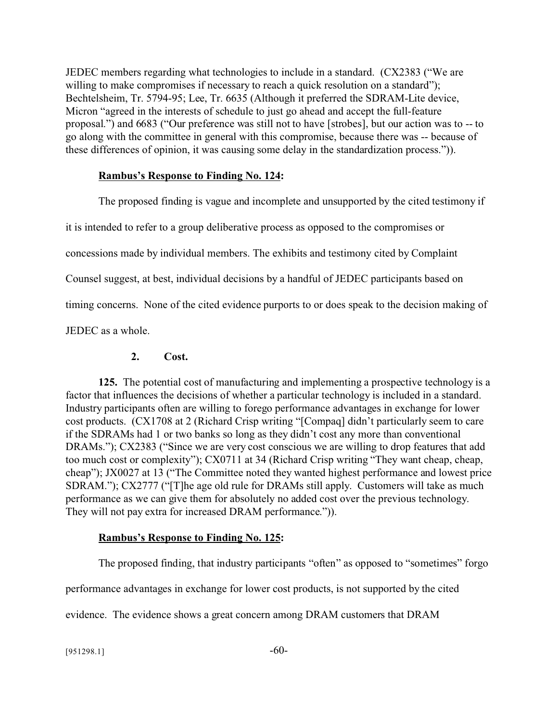JEDEC members regarding what technologies to include in a standard. (CX2383 ("We are willing to make compromises if necessary to reach a quick resolution on a standard"); Bechtelsheim, Tr. 5794-95; Lee, Tr. 6635 (Although it preferred the SDRAM-Lite device, Micron "agreed in the interests of schedule to just go ahead and accept the full-feature proposal.") and 6683 ("Our preference was still not to have [strobes], but our action was to -- to go along with the committee in general with this compromise, because there was -- because of these differences of opinion, it was causing some delay in the standardization process.")).

## **Rambus's Response to Finding No. 124:**

The proposed finding is vague and incomplete and unsupported by the cited testimony if

it is intended to refer to a group deliberative process as opposed to the compromises or

concessions made by individual members. The exhibits and testimony cited by Complaint

Counsel suggest, at best, individual decisions by a handful of JEDEC participants based on

timing concerns. None of the cited evidence purports to or does speak to the decision making of

JEDEC as a whole.

## **2. Cost.**

**125.** The potential cost of manufacturing and implementing a prospective technology is a factor that influences the decisions of whether a particular technology is included in a standard. Industry participants often are willing to forego performance advantages in exchange for lower cost products. (CX1708 at 2 (Richard Crisp writing "[Compaq] didn't particularly seem to care if the SDRAMs had 1 or two banks so long as they didn't cost any more than conventional DRAMs."); CX2383 ("Since we are very cost conscious we are willing to drop features that add too much cost or complexity"); CX0711 at 34 (Richard Crisp writing "They want cheap, cheap, cheap"); JX0027 at 13 ("The Committee noted they wanted highest performance and lowest price SDRAM."); CX2777 ("[T]he age old rule for DRAMs still apply. Customers will take as much performance as we can give them for absolutely no added cost over the previous technology. They will not pay extra for increased DRAM performance.")).

# **Rambus's Response to Finding No. 125:**

The proposed finding, that industry participants "often" as opposed to "sometimes" forgo

performance advantages in exchange for lower cost products, is not supported by the cited

evidence. The evidence shows a great concern among DRAM customers that DRAM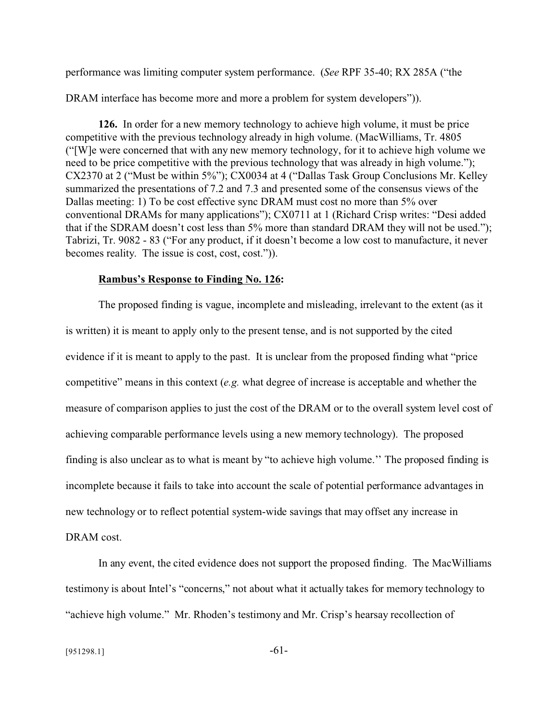performance was limiting computer system performance. (*See* RPF 35-40; RX 285A ("the

DRAM interface has become more and more a problem for system developers")).

**126.** In order for a new memory technology to achieve high volume, it must be price competitive with the previous technology already in high volume. (MacWilliams, Tr. 4805 ("[W]e were concerned that with any new memory technology, for it to achieve high volume we need to be price competitive with the previous technology that was already in high volume."); CX2370 at 2 ("Must be within 5%"); CX0034 at 4 ("Dallas Task Group Conclusions Mr. Kelley summarized the presentations of 7.2 and 7.3 and presented some of the consensus views of the Dallas meeting: 1) To be cost effective sync DRAM must cost no more than 5% over conventional DRAMs for many applications"); CX0711 at 1 (Richard Crisp writes: "Desi added that if the SDRAM doesn't cost less than 5% more than standard DRAM they will not be used."); Tabrizi, Tr. 9082 - 83 ("For any product, if it doesn't become a low cost to manufacture, it never becomes reality. The issue is cost, cost, cost.")).

### **Rambus's Response to Finding No. 126:**

The proposed finding is vague, incomplete and misleading, irrelevant to the extent (as it is written) it is meant to apply only to the present tense, and is not supported by the cited evidence if it is meant to apply to the past. It is unclear from the proposed finding what "price competitive" means in this context (*e.g.* what degree of increase is acceptable and whether the measure of comparison applies to just the cost of the DRAM or to the overall system level cost of achieving comparable performance levels using a new memory technology). The proposed finding is also unclear as to what is meant by "to achieve high volume.'' The proposed finding is incomplete because it fails to take into account the scale of potential performance advantages in new technology or to reflect potential system-wide savings that may offset any increase in DRAM cost.

In any event, the cited evidence does not support the proposed finding. The MacWilliams testimony is about Intel's "concerns," not about what it actually takes for memory technology to "achieve high volume." Mr. Rhoden's testimony and Mr. Crisp's hearsay recollection of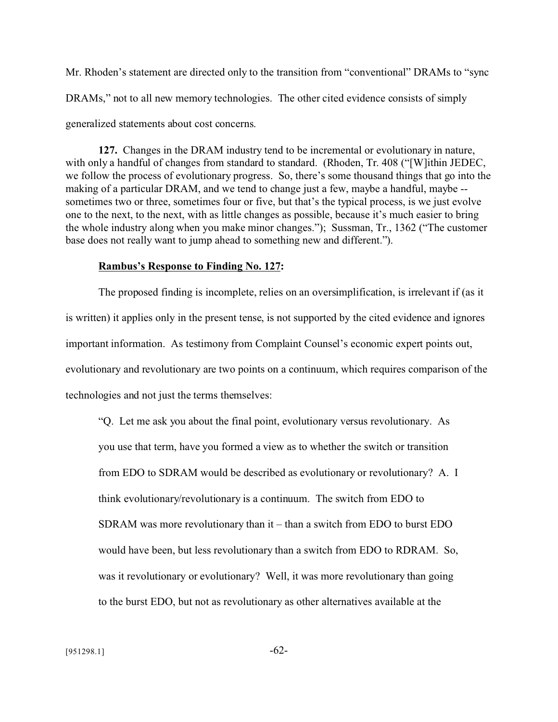Mr. Rhoden's statement are directed only to the transition from "conventional" DRAMs to "sync DRAMs," not to all new memory technologies. The other cited evidence consists of simply generalized statements about cost concerns.

**127.** Changes in the DRAM industry tend to be incremental or evolutionary in nature, with only a handful of changes from standard to standard. (Rhoden, Tr. 408 ("[W]ithin JEDEC, we follow the process of evolutionary progress. So, there's some thousand things that go into the making of a particular DRAM, and we tend to change just a few, maybe a handful, maybe - sometimes two or three, sometimes four or five, but that's the typical process, is we just evolve one to the next, to the next, with as little changes as possible, because it's much easier to bring the whole industry along when you make minor changes."); Sussman, Tr., 1362 ("The customer base does not really want to jump ahead to something new and different.").

#### **Rambus's Response to Finding No. 127:**

The proposed finding is incomplete, relies on an oversimplification, is irrelevant if (as it is written) it applies only in the present tense, is not supported by the cited evidence and ignores important information. As testimony from Complaint Counsel's economic expert points out, evolutionary and revolutionary are two points on a continuum, which requires comparison of the technologies and not just the terms themselves:

"Q. Let me ask you about the final point, evolutionary versus revolutionary. As you use that term, have you formed a view as to whether the switch or transition from EDO to SDRAM would be described as evolutionary or revolutionary? A. I think evolutionary/revolutionary is a continuum. The switch from EDO to SDRAM was more revolutionary than it – than a switch from EDO to burst EDO would have been, but less revolutionary than a switch from EDO to RDRAM. So, was it revolutionary or evolutionary? Well, it was more revolutionary than going to the burst EDO, but not as revolutionary as other alternatives available at the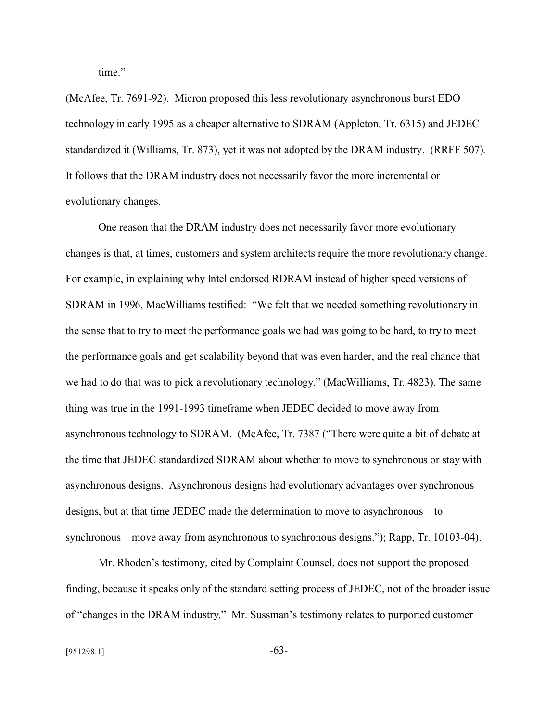time."

(McAfee, Tr. 7691-92). Micron proposed this less revolutionary asynchronous burst EDO technology in early 1995 as a cheaper alternative to SDRAM (Appleton, Tr. 6315) and JEDEC standardized it (Williams, Tr. 873), yet it was not adopted by the DRAM industry. (RRFF 507). It follows that the DRAM industry does not necessarily favor the more incremental or evolutionary changes.

One reason that the DRAM industry does not necessarily favor more evolutionary changes is that, at times, customers and system architects require the more revolutionary change. For example, in explaining why Intel endorsed RDRAM instead of higher speed versions of SDRAM in 1996, MacWilliams testified: "We felt that we needed something revolutionary in the sense that to try to meet the performance goals we had was going to be hard, to try to meet the performance goals and get scalability beyond that was even harder, and the real chance that we had to do that was to pick a revolutionary technology." (MacWilliams, Tr. 4823). The same thing was true in the 1991-1993 timeframe when JEDEC decided to move away from asynchronous technology to SDRAM. (McAfee, Tr. 7387 ("There were quite a bit of debate at the time that JEDEC standardized SDRAM about whether to move to synchronous or stay with asynchronous designs. Asynchronous designs had evolutionary advantages over synchronous designs, but at that time JEDEC made the determination to move to asynchronous – to synchronous – move away from asynchronous to synchronous designs."); Rapp, Tr. 10103-04).

Mr. Rhoden's testimony, cited by Complaint Counsel, does not support the proposed finding, because it speaks only of the standard setting process of JEDEC, not of the broader issue of "changes in the DRAM industry." Mr. Sussman's testimony relates to purported customer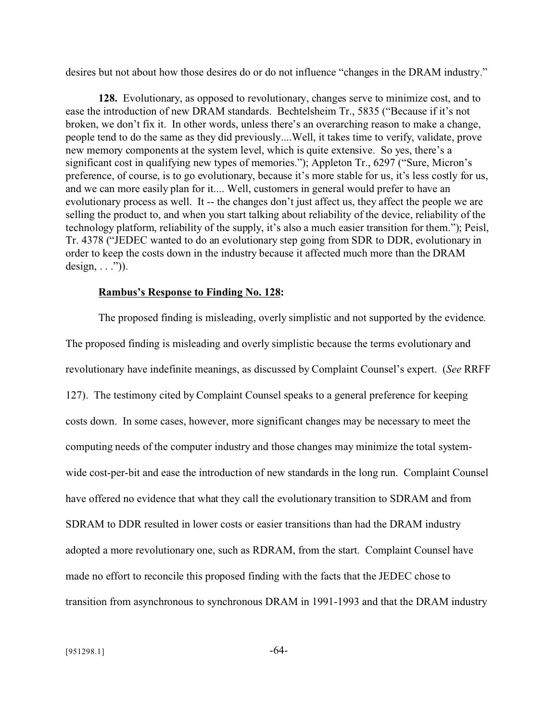desires but not about how those desires do or do not influence "changes in the DRAM industry."

**128.** Evolutionary, as opposed to revolutionary, changes serve to minimize cost, and to ease the introduction of new DRAM standards. Bechtelsheim Tr., 5835 ("Because if it's not broken, we don't fix it. In other words, unless there's an overarching reason to make a change, people tend to do the same as they did previously....Well, it takes time to verify, validate, prove new memory components at the system level, which is quite extensive. So yes, there's a significant cost in qualifying new types of memories."); Appleton Tr., 6297 ("Sure, Micron's preference, of course, is to go evolutionary, because it's more stable for us, it's less costly for us, and we can more easily plan for it.... Well, customers in general would prefer to have an evolutionary process as well. It -- the changes don't just affect us, they affect the people we are selling the product to, and when you start talking about reliability of the device, reliability of the technology platform, reliability of the supply, it's also a much easier transition for them."); Peisl, Tr. 4378 ("JEDEC wanted to do an evolutionary step going from SDR to DDR, evolutionary in order to keep the costs down in the industry because it affected much more than the DRAM design,  $\ldots$ ")).

#### **Rambus's Response to Finding No. 128:**

The proposed finding is misleading, overly simplistic and not supported by the evidence. The proposed finding is misleading and overly simplistic because the terms evolutionary and revolutionary have indefinite meanings, as discussed by Complaint Counsel's expert. (*See* RRFF 127). The testimony cited by Complaint Counsel speaks to a general preference for keeping costs down. In some cases, however, more significant changes may be necessary to meet the computing needs of the computer industry and those changes may minimize the total systemwide cost-per-bit and ease the introduction of new standards in the long run. Complaint Counsel have offered no evidence that what they call the evolutionary transition to SDRAM and from SDRAM to DDR resulted in lower costs or easier transitions than had the DRAM industry adopted a more revolutionary one, such as RDRAM, from the start. Complaint Counsel have made no effort to reconcile this proposed finding with the facts that the JEDEC chose to transition from asynchronous to synchronous DRAM in 1991-1993 and that the DRAM industry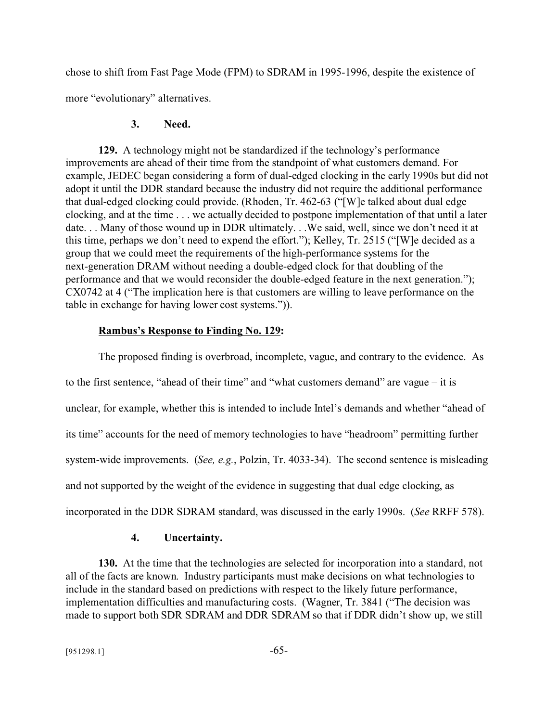chose to shift from Fast Page Mode (FPM) to SDRAM in 1995-1996, despite the existence of more "evolutionary" alternatives.

## **3. Need.**

**129.** A technology might not be standardized if the technology's performance improvements are ahead of their time from the standpoint of what customers demand. For example, JEDEC began considering a form of dual-edged clocking in the early 1990s but did not adopt it until the DDR standard because the industry did not require the additional performance that dual-edged clocking could provide. (Rhoden, Tr. 462-63 ("[W]e talked about dual edge clocking, and at the time . . . we actually decided to postpone implementation of that until a later date. . . Many of those wound up in DDR ultimately. . .We said, well, since we don't need it at this time, perhaps we don't need to expend the effort."); Kelley, Tr. 2515 ("[W]e decided as a group that we could meet the requirements of the high-performance systems for the next-generation DRAM without needing a double-edged clock for that doubling of the performance and that we would reconsider the double-edged feature in the next generation."); CX0742 at 4 ("The implication here is that customers are willing to leave performance on the table in exchange for having lower cost systems.")).

# **Rambus's Response to Finding No. 129:**

The proposed finding is overbroad, incomplete, vague, and contrary to the evidence. As to the first sentence, "ahead of their time" and "what customers demand" are vague – it is unclear, for example, whether this is intended to include Intel's demands and whether "ahead of its time" accounts for the need of memory technologies to have "headroom" permitting further system-wide improvements. (*See, e.g.*, Polzin, Tr. 4033-34). The second sentence is misleading and not supported by the weight of the evidence in suggesting that dual edge clocking, as incorporated in the DDR SDRAM standard, was discussed in the early 1990s. (*See* RRFF 578).

# **4. Uncertainty.**

**130.** At the time that the technologies are selected for incorporation into a standard, not all of the facts are known. Industry participants must make decisions on what technologies to include in the standard based on predictions with respect to the likely future performance, implementation difficulties and manufacturing costs. (Wagner, Tr. 3841 ("The decision was made to support both SDR SDRAM and DDR SDRAM so that if DDR didn't show up, we still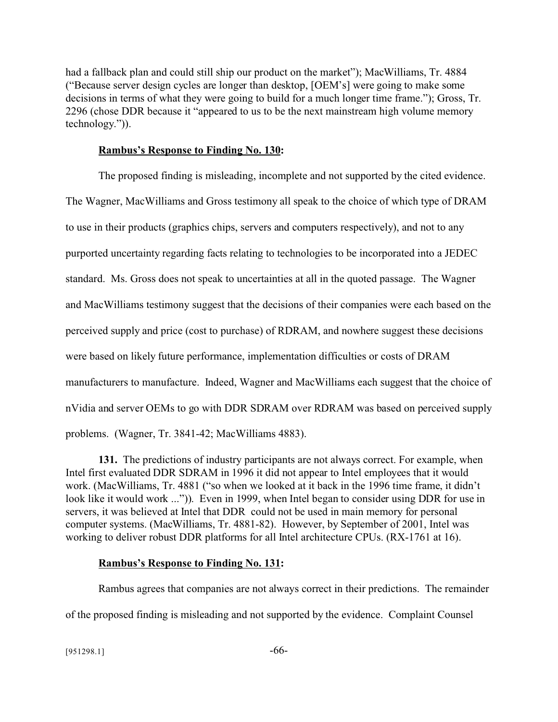had a fallback plan and could still ship our product on the market"); MacWilliams, Tr. 4884 ("Because server design cycles are longer than desktop, [OEM's] were going to make some decisions in terms of what they were going to build for a much longer time frame."); Gross, Tr. 2296 (chose DDR because it "appeared to us to be the next mainstream high volume memory technology.")).

### **Rambus's Response to Finding No. 130:**

The proposed finding is misleading, incomplete and not supported by the cited evidence. The Wagner, MacWilliams and Gross testimony all speak to the choice of which type of DRAM to use in their products (graphics chips, servers and computers respectively), and not to any purported uncertainty regarding facts relating to technologies to be incorporated into a JEDEC standard. Ms. Gross does not speak to uncertainties at all in the quoted passage. The Wagner and MacWilliams testimony suggest that the decisions of their companies were each based on the perceived supply and price (cost to purchase) of RDRAM, and nowhere suggest these decisions were based on likely future performance, implementation difficulties or costs of DRAM manufacturers to manufacture. Indeed, Wagner and MacWilliams each suggest that the choice of nVidia and server OEMs to go with DDR SDRAM over RDRAM was based on perceived supply problems. (Wagner, Tr. 3841-42; MacWilliams 4883).

**131.** The predictions of industry participants are not always correct. For example, when Intel first evaluated DDR SDRAM in 1996 it did not appear to Intel employees that it would work. (MacWilliams, Tr. 4881 ("so when we looked at it back in the 1996 time frame, it didn't look like it would work ...")). Even in 1999, when Intel began to consider using DDR for use in servers, it was believed at Intel that DDR could not be used in main memory for personal computer systems. (MacWilliams, Tr. 4881-82). However, by September of 2001, Intel was working to deliver robust DDR platforms for all Intel architecture CPUs. (RX-1761 at 16).

## **Rambus's Response to Finding No. 131:**

Rambus agrees that companies are not always correct in their predictions. The remainder of the proposed finding is misleading and not supported by the evidence. Complaint Counsel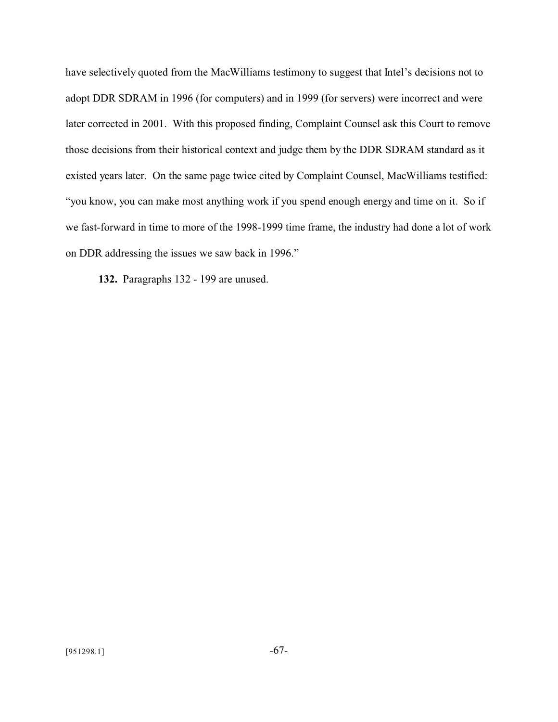have selectively quoted from the MacWilliams testimony to suggest that Intel's decisions not to adopt DDR SDRAM in 1996 (for computers) and in 1999 (for servers) were incorrect and were later corrected in 2001. With this proposed finding, Complaint Counsel ask this Court to remove those decisions from their historical context and judge them by the DDR SDRAM standard as it existed years later. On the same page twice cited by Complaint Counsel, MacWilliams testified: "you know, you can make most anything work if you spend enough energy and time on it. So if we fast-forward in time to more of the 1998-1999 time frame, the industry had done a lot of work on DDR addressing the issues we saw back in 1996."

**132.** Paragraphs 132 - 199 are unused.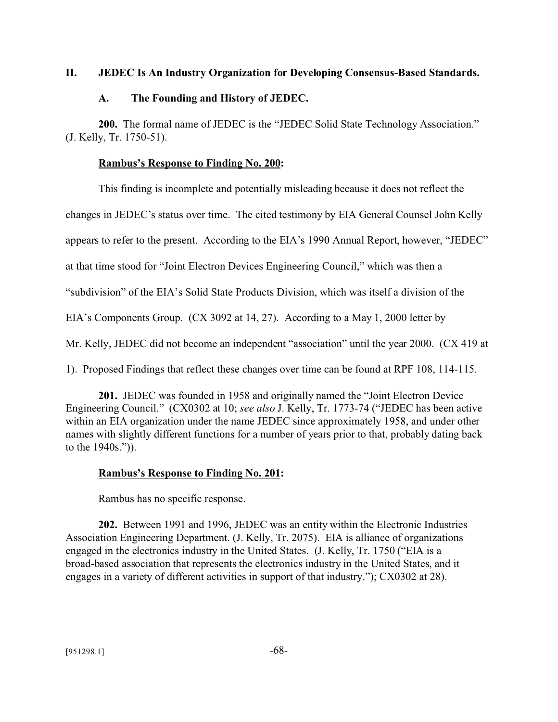## **II. JEDEC Is An Industry Organization for Developing Consensus-Based Standards.**

## **A. The Founding and History of JEDEC.**

**200.** The formal name of JEDEC is the "JEDEC Solid State Technology Association." (J. Kelly, Tr. 1750-51).

## **Rambus's Response to Finding No. 200:**

This finding is incomplete and potentially misleading because it does not reflect the

changes in JEDEC's status over time. The cited testimony by EIA General Counsel John Kelly

appears to refer to the present. According to the EIA's 1990 Annual Report, however, "JEDEC"

at that time stood for "Joint Electron Devices Engineering Council," which was then a

"subdivision" of the EIA's Solid State Products Division, which was itself a division of the

EIA's Components Group. (CX 3092 at 14, 27). According to a May 1, 2000 letter by

Mr. Kelly, JEDEC did not become an independent "association" until the year 2000. (CX 419 at

1). Proposed Findings that reflect these changes over time can be found at RPF 108, 114-115.

**201.** JEDEC was founded in 1958 and originally named the "Joint Electron Device Engineering Council." (CX0302 at 10; *see also* J. Kelly, Tr. 1773-74 ("JEDEC has been active within an EIA organization under the name JEDEC since approximately 1958, and under other names with slightly different functions for a number of years prior to that, probably dating back to the 1940s.")).

# **Rambus's Response to Finding No. 201:**

Rambus has no specific response.

**202.** Between 1991 and 1996, JEDEC was an entity within the Electronic Industries Association Engineering Department. (J. Kelly, Tr. 2075). EIA is alliance of organizations engaged in the electronics industry in the United States. (J. Kelly, Tr. 1750 ("EIA is a broad-based association that represents the electronics industry in the United States, and it engages in a variety of different activities in support of that industry."); CX0302 at 28).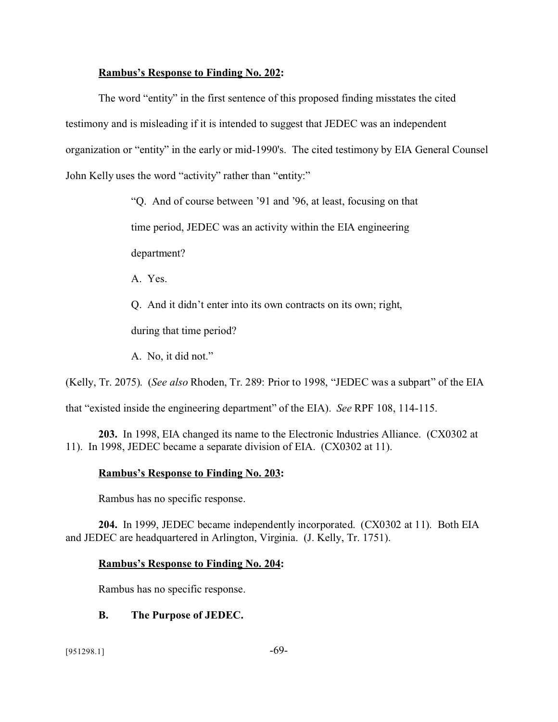### **Rambus's Response to Finding No. 202:**

The word "entity" in the first sentence of this proposed finding misstates the cited testimony and is misleading if it is intended to suggest that JEDEC was an independent organization or "entity" in the early or mid-1990's. The cited testimony by EIA General Counsel John Kelly uses the word "activity" rather than "entity:"

"Q. And of course between '91 and '96, at least, focusing on that

time period, JEDEC was an activity within the EIA engineering

department?

A. Yes.

Q. And it didn't enter into its own contracts on its own; right,

during that time period?

A. No, it did not."

(Kelly, Tr. 2075). (*See also* Rhoden, Tr. 289: Prior to 1998, "JEDEC was a subpart" of the EIA

that "existed inside the engineering department" of the EIA). *See* RPF 108, 114-115.

**203.** In 1998, EIA changed its name to the Electronic Industries Alliance. (CX0302 at 11). In 1998, JEDEC became a separate division of EIA. (CX0302 at 11).

## **Rambus's Response to Finding No. 203:**

Rambus has no specific response.

**204.** In 1999, JEDEC became independently incorporated. (CX0302 at 11). Both EIA and JEDEC are headquartered in Arlington, Virginia. (J. Kelly, Tr. 1751).

## **Rambus's Response to Finding No. 204:**

Rambus has no specific response.

# **B. The Purpose of JEDEC.**

 $[951298.1]$  -69-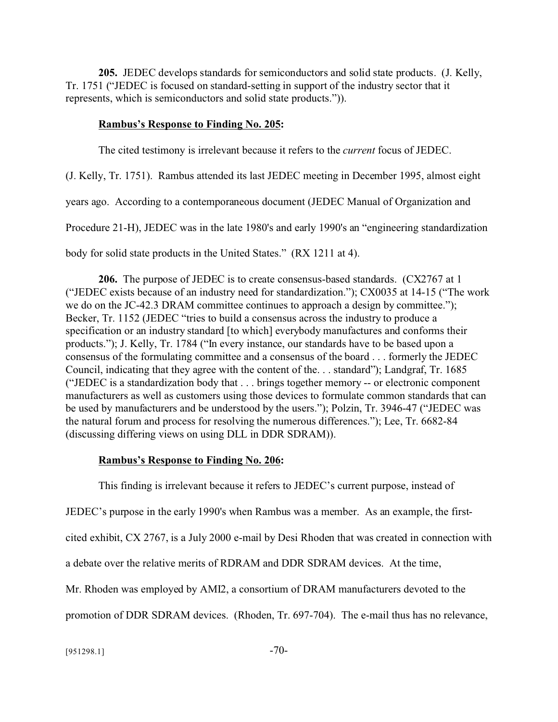**205.** JEDEC develops standards for semiconductors and solid state products. (J. Kelly, Tr. 1751 ("JEDEC is focused on standard-setting in support of the industry sector that it represents, which is semiconductors and solid state products.")).

### **Rambus's Response to Finding No. 205:**

The cited testimony is irrelevant because it refers to the *current* focus of JEDEC.

(J. Kelly, Tr. 1751). Rambus attended its last JEDEC meeting in December 1995, almost eight

years ago. According to a contemporaneous document (JEDEC Manual of Organization and

Procedure 21-H), JEDEC was in the late 1980's and early 1990's an "engineering standardization

body for solid state products in the United States." (RX 1211 at 4).

**206.** The purpose of JEDEC is to create consensus-based standards. (CX2767 at 1 ("JEDEC exists because of an industry need for standardization."); CX0035 at 14-15 ("The work we do on the JC-42.3 DRAM committee continues to approach a design by committee."); Becker, Tr. 1152 (JEDEC "tries to build a consensus across the industry to produce a specification or an industry standard [to which] everybody manufactures and conforms their products."); J. Kelly, Tr. 1784 ("In every instance, our standards have to be based upon a consensus of the formulating committee and a consensus of the board . . . formerly the JEDEC Council, indicating that they agree with the content of the. . . standard"); Landgraf, Tr. 1685 ("JEDEC is a standardization body that . . . brings together memory -- or electronic component manufacturers as well as customers using those devices to formulate common standards that can be used by manufacturers and be understood by the users."); Polzin, Tr. 3946-47 ("JEDEC was the natural forum and process for resolving the numerous differences."); Lee, Tr. 6682-84 (discussing differing views on using DLL in DDR SDRAM)).

## **Rambus's Response to Finding No. 206:**

This finding is irrelevant because it refers to JEDEC's current purpose, instead of JEDEC's purpose in the early 1990's when Rambus was a member. As an example, the firstcited exhibit, CX 2767, is a July 2000 e-mail by Desi Rhoden that was created in connection with a debate over the relative merits of RDRAM and DDR SDRAM devices. At the time, Mr. Rhoden was employed by AMI2, a consortium of DRAM manufacturers devoted to the promotion of DDR SDRAM devices. (Rhoden, Tr. 697-704). The e-mail thus has no relevance,

 $[951298.1]$  -70-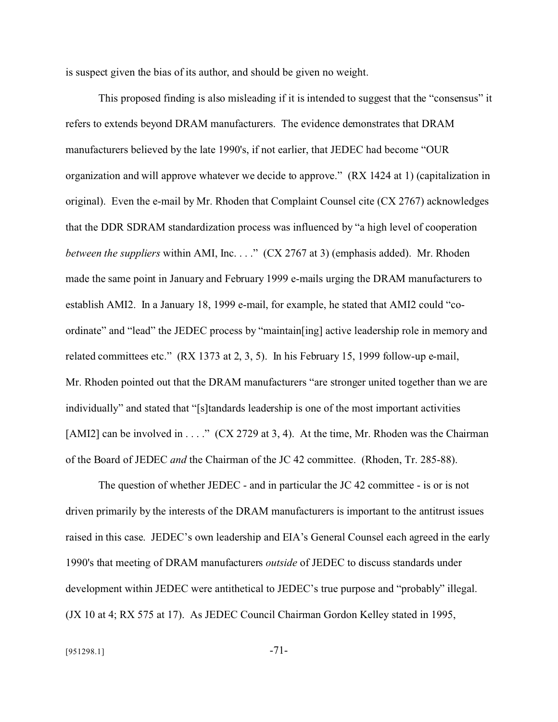is suspect given the bias of its author, and should be given no weight.

This proposed finding is also misleading if it is intended to suggest that the "consensus" it refers to extends beyond DRAM manufacturers. The evidence demonstrates that DRAM manufacturers believed by the late 1990's, if not earlier, that JEDEC had become "OUR organization and will approve whatever we decide to approve." (RX 1424 at 1) (capitalization in original). Even the e-mail by Mr. Rhoden that Complaint Counsel cite (CX 2767) acknowledges that the DDR SDRAM standardization process was influenced by "a high level of cooperation *between the suppliers* within AMI, Inc. . . . " (CX 2767 at 3) (emphasis added). Mr. Rhoden made the same point in January and February 1999 e-mails urging the DRAM manufacturers to establish AMI2. In a January 18, 1999 e-mail, for example, he stated that AMI2 could "coordinate" and "lead" the JEDEC process by "maintain[ing] active leadership role in memory and related committees etc." (RX 1373 at 2, 3, 5). In his February 15, 1999 follow-up e-mail, Mr. Rhoden pointed out that the DRAM manufacturers "are stronger united together than we are individually" and stated that "[s]tandards leadership is one of the most important activities [AMI2] can be involved in . . . ." (CX 2729 at 3, 4). At the time, Mr. Rhoden was the Chairman of the Board of JEDEC *and* the Chairman of the JC 42 committee. (Rhoden, Tr. 285-88).

The question of whether JEDEC - and in particular the JC 42 committee - is or is not driven primarily by the interests of the DRAM manufacturers is important to the antitrust issues raised in this case. JEDEC's own leadership and EIA's General Counsel each agreed in the early 1990's that meeting of DRAM manufacturers *outside* of JEDEC to discuss standards under development within JEDEC were antithetical to JEDEC's true purpose and "probably" illegal. (JX 10 at 4; RX 575 at 17). As JEDEC Council Chairman Gordon Kelley stated in 1995,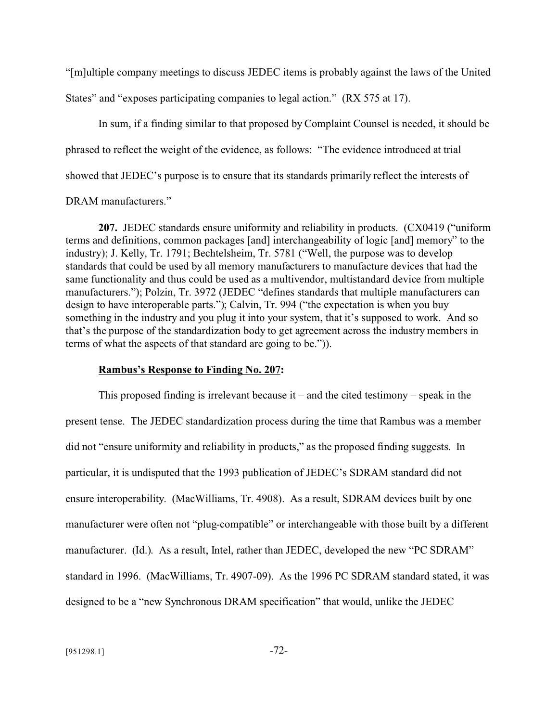"[m]ultiple company meetings to discuss JEDEC items is probably against the laws of the United States" and "exposes participating companies to legal action." (RX 575 at 17).

In sum, if a finding similar to that proposed by Complaint Counsel is needed, it should be phrased to reflect the weight of the evidence, as follows: "The evidence introduced at trial showed that JEDEC's purpose is to ensure that its standards primarily reflect the interests of

## DRAM manufacturers."

**207.** JEDEC standards ensure uniformity and reliability in products. (CX0419 ("uniform terms and definitions, common packages [and] interchangeability of logic [and] memory" to the industry); J. Kelly, Tr. 1791; Bechtelsheim, Tr. 5781 ("Well, the purpose was to develop standards that could be used by all memory manufacturers to manufacture devices that had the same functionality and thus could be used as a multivendor, multistandard device from multiple manufacturers."); Polzin, Tr. 3972 (JEDEC "defines standards that multiple manufacturers can design to have interoperable parts."); Calvin, Tr. 994 ("the expectation is when you buy something in the industry and you plug it into your system, that it's supposed to work. And so that's the purpose of the standardization body to get agreement across the industry members in terms of what the aspects of that standard are going to be.")).

#### **Rambus's Response to Finding No. 207:**

This proposed finding is irrelevant because it – and the cited testimony – speak in the present tense. The JEDEC standardization process during the time that Rambus was a member did not "ensure uniformity and reliability in products," as the proposed finding suggests. In particular, it is undisputed that the 1993 publication of JEDEC's SDRAM standard did not ensure interoperability. (MacWilliams, Tr. 4908). As a result, SDRAM devices built by one manufacturer were often not "plug-compatible" or interchangeable with those built by a different manufacturer. (Id.). As a result, Intel, rather than JEDEC, developed the new "PC SDRAM" standard in 1996. (MacWilliams, Tr. 4907-09). As the 1996 PC SDRAM standard stated, it was designed to be a "new Synchronous DRAM specification" that would, unlike the JEDEC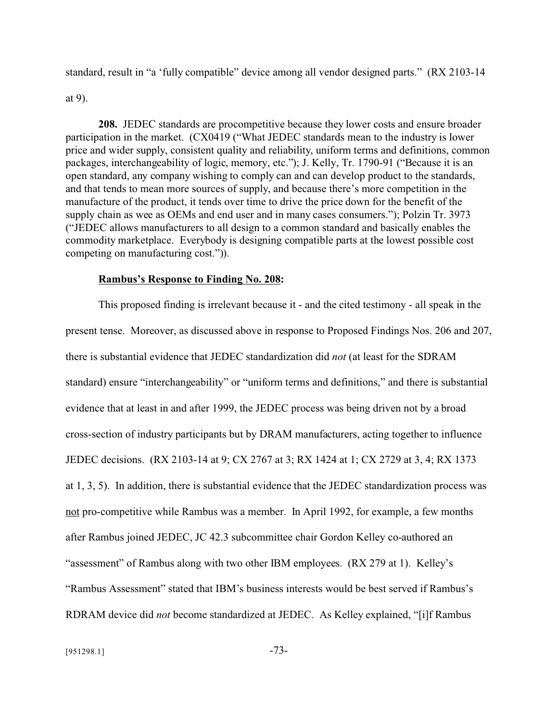standard, result in "a 'fully compatible" device among all vendor designed parts." (RX 2103-14

#### at 9).

**208.** JEDEC standards are procompetitive because they lower costs and ensure broader participation in the market. (CX0419 ("What JEDEC standards mean to the industry is lower price and wider supply, consistent quality and reliability, uniform terms and definitions, common packages, interchangeability of logic, memory, etc."); J. Kelly, Tr. 1790-91 ("Because it is an open standard, any company wishing to comply can and can develop product to the standards, and that tends to mean more sources of supply, and because there's more competition in the manufacture of the product, it tends over time to drive the price down for the benefit of the supply chain as wee as OEMs and end user and in many cases consumers."); Polzin Tr. 3973 ("JEDEC allows manufacturers to all design to a common standard and basically enables the commodity marketplace. Everybody is designing compatible parts at the lowest possible cost competing on manufacturing cost.")).

#### **Rambus's Response to Finding No. 208:**

This proposed finding is irrelevant because it - and the cited testimony - all speak in the present tense. Moreover, as discussed above in response to Proposed Findings Nos. 206 and 207, there is substantial evidence that JEDEC standardization did *not* (at least for the SDRAM standard) ensure "interchangeability" or "uniform terms and definitions," and there is substantial evidence that at least in and after 1999, the JEDEC process was being driven not by a broad cross-section of industry participants but by DRAM manufacturers, acting together to influence JEDEC decisions. (RX 2103-14 at 9; CX 2767 at 3; RX 1424 at 1; CX 2729 at 3, 4; RX 1373 at 1, 3, 5). In addition, there is substantial evidence that the JEDEC standardization process was not pro-competitive while Rambus was a member. In April 1992, for example, a few months after Rambus joined JEDEC, JC 42.3 subcommittee chair Gordon Kelley co-authored an "assessment" of Rambus along with two other IBM employees. (RX 279 at 1). Kelley's "Rambus Assessment" stated that IBM's business interests would be best served if Rambus's RDRAM device did *not* become standardized at JEDEC. As Kelley explained, "[i]f Rambus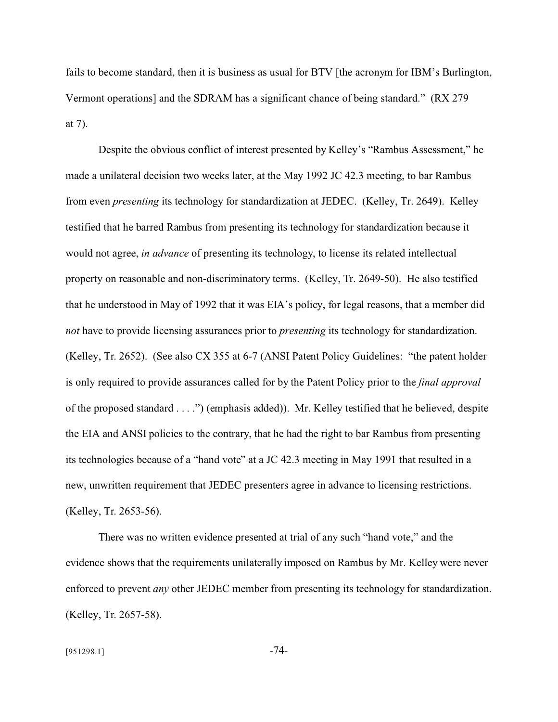fails to become standard, then it is business as usual for BTV [the acronym for IBM's Burlington, Vermont operations] and the SDRAM has a significant chance of being standard." (RX 279 at 7).

Despite the obvious conflict of interest presented by Kelley's "Rambus Assessment," he made a unilateral decision two weeks later, at the May 1992 JC 42.3 meeting, to bar Rambus from even *presenting* its technology for standardization at JEDEC. (Kelley, Tr. 2649). Kelley testified that he barred Rambus from presenting its technology for standardization because it would not agree, *in advance* of presenting its technology, to license its related intellectual property on reasonable and non-discriminatory terms. (Kelley, Tr. 2649-50). He also testified that he understood in May of 1992 that it was EIA's policy, for legal reasons, that a member did *not* have to provide licensing assurances prior to *presenting* its technology for standardization. (Kelley, Tr. 2652). (See also CX 355 at 6-7 (ANSI Patent Policy Guidelines: "the patent holder is only required to provide assurances called for by the Patent Policy prior to the *final approval* of the proposed standard . . . .") (emphasis added)). Mr. Kelley testified that he believed, despite the EIA and ANSI policies to the contrary, that he had the right to bar Rambus from presenting its technologies because of a "hand vote" at a JC 42.3 meeting in May 1991 that resulted in a new, unwritten requirement that JEDEC presenters agree in advance to licensing restrictions. (Kelley, Tr. 2653-56).

There was no written evidence presented at trial of any such "hand vote," and the evidence shows that the requirements unilaterally imposed on Rambus by Mr. Kelley were never enforced to prevent *any* other JEDEC member from presenting its technology for standardization. (Kelley, Tr. 2657-58).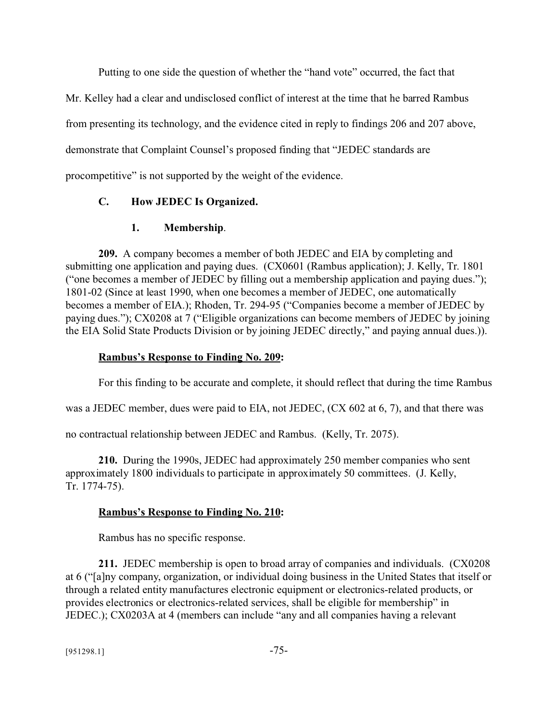Putting to one side the question of whether the "hand vote" occurred, the fact that

Mr. Kelley had a clear and undisclosed conflict of interest at the time that he barred Rambus

from presenting its technology, and the evidence cited in reply to findings 206 and 207 above,

demonstrate that Complaint Counsel's proposed finding that "JEDEC standards are

procompetitive" is not supported by the weight of the evidence.

## **C. How JEDEC Is Organized.**

## **1. Membership**.

**209.** A company becomes a member of both JEDEC and EIA by completing and submitting one application and paying dues. (CX0601 (Rambus application); J. Kelly, Tr. 1801 ("one becomes a member of JEDEC by filling out a membership application and paying dues."); 1801-02 (Since at least 1990, when one becomes a member of JEDEC, one automatically becomes a member of EIA.); Rhoden, Tr. 294-95 ("Companies become a member of JEDEC by paying dues."); CX0208 at 7 ("Eligible organizations can become members of JEDEC by joining the EIA Solid State Products Division or by joining JEDEC directly," and paying annual dues.)).

## **Rambus's Response to Finding No. 209:**

For this finding to be accurate and complete, it should reflect that during the time Rambus

was a JEDEC member, dues were paid to EIA, not JEDEC, (CX 602 at 6, 7), and that there was

no contractual relationship between JEDEC and Rambus. (Kelly, Tr. 2075).

**210.** During the 1990s, JEDEC had approximately 250 member companies who sent approximately 1800 individuals to participate in approximately 50 committees. (J. Kelly, Tr. 1774-75).

# **Rambus's Response to Finding No. 210:**

Rambus has no specific response.

**211.** JEDEC membership is open to broad array of companies and individuals. (CX0208 at 6 ("[a]ny company, organization, or individual doing business in the United States that itself or through a related entity manufactures electronic equipment or electronics-related products, or provides electronics or electronics-related services, shall be eligible for membership" in JEDEC.); CX0203A at 4 (members can include "any and all companies having a relevant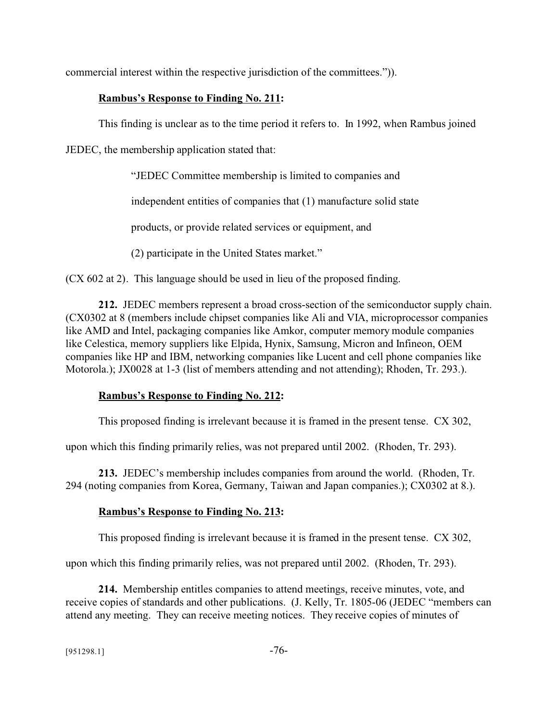commercial interest within the respective jurisdiction of the committees.")).

# **Rambus's Response to Finding No. 211:**

This finding is unclear as to the time period it refers to. In 1992, when Rambus joined

JEDEC, the membership application stated that:

"JEDEC Committee membership is limited to companies and

independent entities of companies that (1) manufacture solid state

products, or provide related services or equipment, and

(2) participate in the United States market."

(CX 602 at 2). This language should be used in lieu of the proposed finding.

**212.** JEDEC members represent a broad cross-section of the semiconductor supply chain. (CX0302 at 8 (members include chipset companies like Ali and VIA, microprocessor companies like AMD and Intel, packaging companies like Amkor, computer memory module companies like Celestica, memory suppliers like Elpida, Hynix, Samsung, Micron and Infineon, OEM companies like HP and IBM, networking companies like Lucent and cell phone companies like Motorola.); JX0028 at 1-3 (list of members attending and not attending); Rhoden, Tr. 293.).

# **Rambus's Response to Finding No. 212:**

This proposed finding is irrelevant because it is framed in the present tense. CX 302,

upon which this finding primarily relies, was not prepared until 2002. (Rhoden, Tr. 293).

**213.** JEDEC's membership includes companies from around the world. (Rhoden, Tr. 294 (noting companies from Korea, Germany, Taiwan and Japan companies.); CX0302 at 8.).

# **Rambus's Response to Finding No. 213:**

This proposed finding is irrelevant because it is framed in the present tense. CX 302,

upon which this finding primarily relies, was not prepared until 2002. (Rhoden, Tr. 293).

**214.** Membership entitles companies to attend meetings, receive minutes, vote, and receive copies of standards and other publications. (J. Kelly, Tr. 1805-06 (JEDEC "members can attend any meeting. They can receive meeting notices. They receive copies of minutes of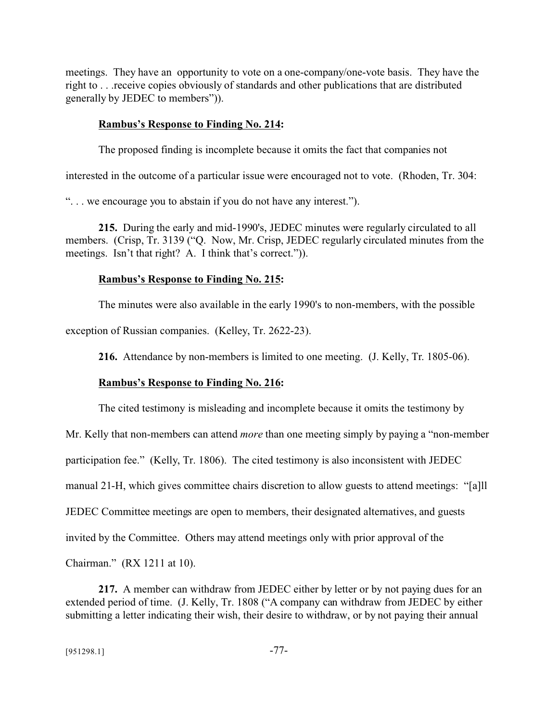meetings. They have an opportunity to vote on a one-company/one-vote basis. They have the right to . . .receive copies obviously of standards and other publications that are distributed generally by JEDEC to members")).

#### **Rambus's Response to Finding No. 214:**

The proposed finding is incomplete because it omits the fact that companies not

interested in the outcome of a particular issue were encouraged not to vote. (Rhoden, Tr. 304:

". . . we encourage you to abstain if you do not have any interest.").

**215.** During the early and mid-1990's, JEDEC minutes were regularly circulated to all members. (Crisp, Tr. 3139 ("Q. Now, Mr. Crisp, JEDEC regularly circulated minutes from the meetings. Isn't that right? A. I think that's correct.")).

#### **Rambus's Response to Finding No. 215:**

The minutes were also available in the early 1990's to non-members, with the possible

exception of Russian companies. (Kelley, Tr. 2622-23).

**216.** Attendance by non-members is limited to one meeting. (J. Kelly, Tr. 1805-06).

### **Rambus's Response to Finding No. 216:**

The cited testimony is misleading and incomplete because it omits the testimony by

Mr. Kelly that non-members can attend *more* than one meeting simply by paying a "non-member

participation fee." (Kelly, Tr. 1806). The cited testimony is also inconsistent with JEDEC

manual 21-H, which gives committee chairs discretion to allow guests to attend meetings: "[a]ll

JEDEC Committee meetings are open to members, their designated alternatives, and guests

invited by the Committee. Others may attend meetings only with prior approval of the

Chairman." (RX 1211 at 10).

**217.** A member can withdraw from JEDEC either by letter or by not paying dues for an extended period of time. (J. Kelly, Tr. 1808 ("A company can withdraw from JEDEC by either submitting a letter indicating their wish, their desire to withdraw, or by not paying their annual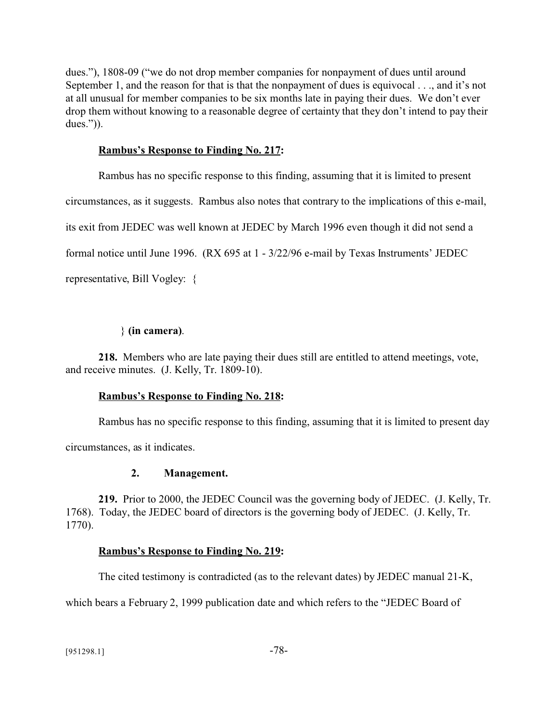dues."), 1808-09 ("we do not drop member companies for nonpayment of dues until around September 1, and the reason for that is that the nonpayment of dues is equivocal . . ., and it's not at all unusual for member companies to be six months late in paying their dues. We don't ever drop them without knowing to a reasonable degree of certainty that they don't intend to pay their dues.")).

#### **Rambus's Response to Finding No. 217:**

Rambus has no specific response to this finding, assuming that it is limited to present circumstances, as it suggests. Rambus also notes that contrary to the implications of this e-mail,

its exit from JEDEC was well known at JEDEC by March 1996 even though it did not send a

formal notice until June 1996. (RX 695 at 1 - 3/22/96 e-mail by Texas Instruments' JEDEC

representative, Bill Vogley: {

## } **(in camera)**.

**218.** Members who are late paying their dues still are entitled to attend meetings, vote, and receive minutes. (J. Kelly, Tr. 1809-10).

## **Rambus's Response to Finding No. 218:**

Rambus has no specific response to this finding, assuming that it is limited to present day circumstances, as it indicates.

## **2. Management.**

**219.** Prior to 2000, the JEDEC Council was the governing body of JEDEC. (J. Kelly, Tr. 1768). Today, the JEDEC board of directors is the governing body of JEDEC. (J. Kelly, Tr. 1770).

## **Rambus's Response to Finding No. 219:**

The cited testimony is contradicted (as to the relevant dates) by JEDEC manual 21-K,

which bears a February 2, 1999 publication date and which refers to the "JEDEC Board of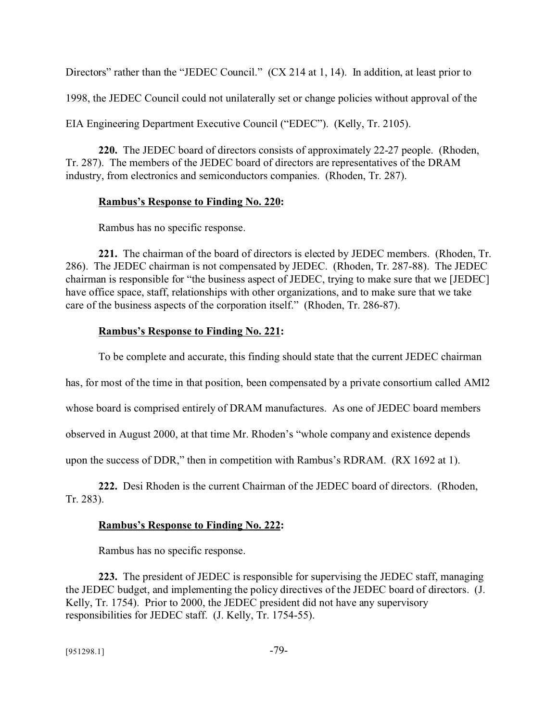Directors" rather than the "JEDEC Council." (CX 214 at 1, 14). In addition, at least prior to

1998, the JEDEC Council could not unilaterally set or change policies without approval of the

EIA Engineering Department Executive Council ("EDEC"). (Kelly, Tr. 2105).

**220.** The JEDEC board of directors consists of approximately 22-27 people. (Rhoden, Tr. 287). The members of the JEDEC board of directors are representatives of the DRAM industry, from electronics and semiconductors companies. (Rhoden, Tr. 287).

### **Rambus's Response to Finding No. 220:**

Rambus has no specific response.

**221.** The chairman of the board of directors is elected by JEDEC members. (Rhoden, Tr. 286). The JEDEC chairman is not compensated by JEDEC. (Rhoden, Tr. 287-88). The JEDEC chairman is responsible for "the business aspect of JEDEC, trying to make sure that we [JEDEC] have office space, staff, relationships with other organizations, and to make sure that we take care of the business aspects of the corporation itself." (Rhoden, Tr. 286-87).

### **Rambus's Response to Finding No. 221:**

To be complete and accurate, this finding should state that the current JEDEC chairman

has, for most of the time in that position, been compensated by a private consortium called AMI2

whose board is comprised entirely of DRAM manufactures. As one of JEDEC board members

observed in August 2000, at that time Mr. Rhoden's "whole company and existence depends

upon the success of DDR," then in competition with Rambus's RDRAM. (RX 1692 at 1).

**222.** Desi Rhoden is the current Chairman of the JEDEC board of directors. (Rhoden, Tr. 283).

## **Rambus's Response to Finding No. 222:**

Rambus has no specific response.

**223.** The president of JEDEC is responsible for supervising the JEDEC staff, managing the JEDEC budget, and implementing the policy directives of the JEDEC board of directors. (J. Kelly, Tr. 1754). Prior to 2000, the JEDEC president did not have any supervisory responsibilities for JEDEC staff. (J. Kelly, Tr. 1754-55).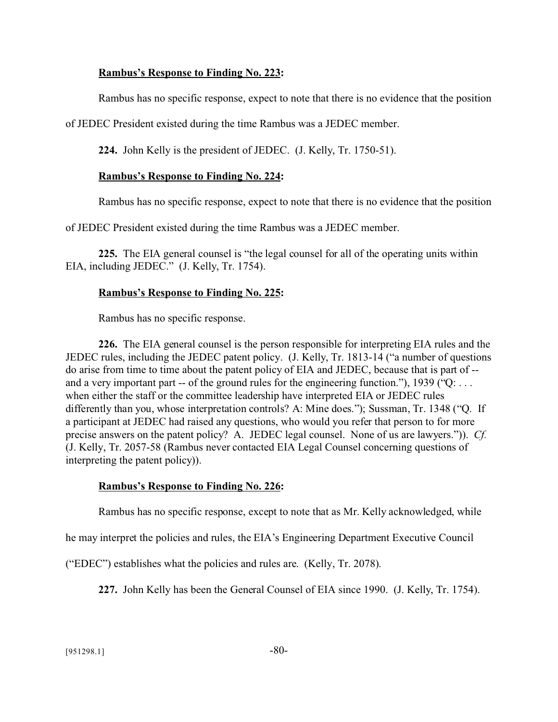### **Rambus's Response to Finding No. 223:**

Rambus has no specific response, expect to note that there is no evidence that the position

of JEDEC President existed during the time Rambus was a JEDEC member.

**224.** John Kelly is the president of JEDEC. (J. Kelly, Tr. 1750-51).

#### **Rambus's Response to Finding No. 224:**

Rambus has no specific response, expect to note that there is no evidence that the position

of JEDEC President existed during the time Rambus was a JEDEC member.

**225.** The EIA general counsel is "the legal counsel for all of the operating units within EIA, including JEDEC." (J. Kelly, Tr. 1754).

#### **Rambus's Response to Finding No. 225:**

Rambus has no specific response.

**226.** The EIA general counsel is the person responsible for interpreting EIA rules and the JEDEC rules, including the JEDEC patent policy. (J. Kelly, Tr. 1813-14 ("a number of questions do arise from time to time about the patent policy of EIA and JEDEC, because that is part of - and a very important part -- of the ground rules for the engineering function."), 1939 ("Q: ... when either the staff or the committee leadership have interpreted EIA or JEDEC rules differently than you, whose interpretation controls? A: Mine does."); Sussman, Tr. 1348 ("Q. If a participant at JEDEC had raised any questions, who would you refer that person to for more precise answers on the patent policy? A. JEDEC legal counsel. None of us are lawyers.")). *Cf.* (J. Kelly, Tr. 2057-58 (Rambus never contacted EIA Legal Counsel concerning questions of interpreting the patent policy)).

#### **Rambus's Response to Finding No. 226:**

Rambus has no specific response, except to note that as Mr. Kelly acknowledged, while

he may interpret the policies and rules, the EIA's Engineering Department Executive Council

("EDEC") establishes what the policies and rules are. (Kelly, Tr. 2078).

**227.** John Kelly has been the General Counsel of EIA since 1990. (J. Kelly, Tr. 1754).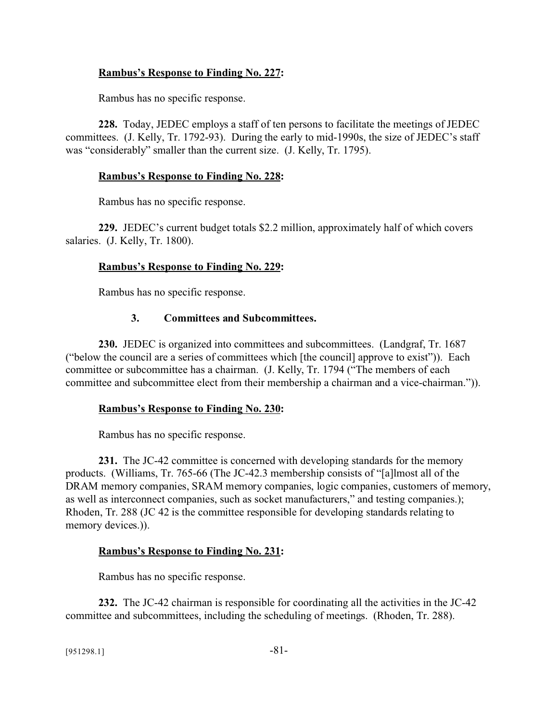## **Rambus's Response to Finding No. 227:**

Rambus has no specific response.

**228.** Today, JEDEC employs a staff of ten persons to facilitate the meetings of JEDEC committees. (J. Kelly, Tr. 1792-93). During the early to mid-1990s, the size of JEDEC's staff was "considerably" smaller than the current size. (J. Kelly, Tr. 1795).

### **Rambus's Response to Finding No. 228:**

Rambus has no specific response.

**229.** JEDEC's current budget totals \$2.2 million, approximately half of which covers salaries. (J. Kelly, Tr. 1800).

### **Rambus's Response to Finding No. 229:**

Rambus has no specific response.

### **3. Committees and Subcommittees.**

**230.** JEDEC is organized into committees and subcommittees. (Landgraf, Tr. 1687 ("below the council are a series of committees which [the council] approve to exist")). Each committee or subcommittee has a chairman. (J. Kelly, Tr. 1794 ("The members of each committee and subcommittee elect from their membership a chairman and a vice-chairman.").

### **Rambus's Response to Finding No. 230:**

Rambus has no specific response.

**231.** The JC-42 committee is concerned with developing standards for the memory products. (Williams, Tr. 765-66 (The JC-42.3 membership consists of "[a]lmost all of the DRAM memory companies, SRAM memory companies, logic companies, customers of memory, as well as interconnect companies, such as socket manufacturers," and testing companies.); Rhoden, Tr. 288 (JC 42 is the committee responsible for developing standards relating to memory devices.)).

### **Rambus's Response to Finding No. 231:**

Rambus has no specific response.

**232.** The JC-42 chairman is responsible for coordinating all the activities in the JC-42 committee and subcommittees, including the scheduling of meetings. (Rhoden, Tr. 288).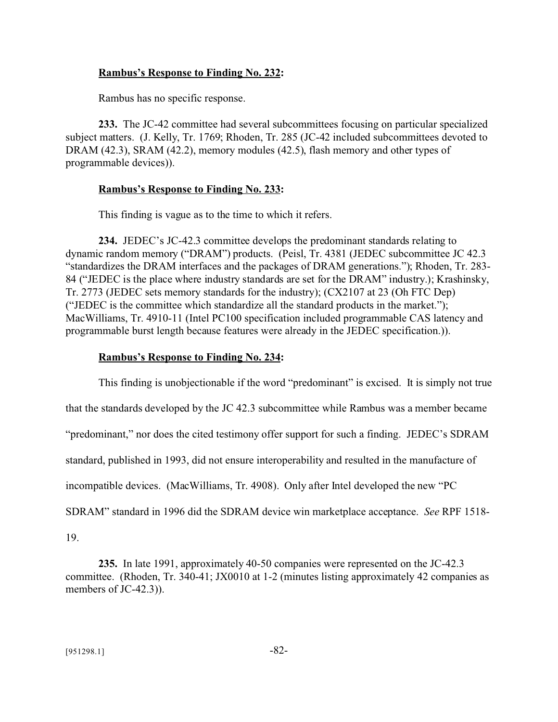### **Rambus's Response to Finding No. 232:**

Rambus has no specific response.

**233.** The JC-42 committee had several subcommittees focusing on particular specialized subject matters. (J. Kelly, Tr. 1769; Rhoden, Tr. 285 (JC-42 included subcommittees devoted to DRAM (42.3), SRAM (42.2), memory modules (42.5), flash memory and other types of programmable devices)).

### **Rambus's Response to Finding No. 233:**

This finding is vague as to the time to which it refers.

**234.** JEDEC's JC-42.3 committee develops the predominant standards relating to dynamic random memory ("DRAM") products. (Peisl, Tr. 4381 (JEDEC subcommittee JC 42.3 "standardizes the DRAM interfaces and the packages of DRAM generations."); Rhoden, Tr. 283- 84 ("JEDEC is the place where industry standards are set for the DRAM" industry.); Krashinsky, Tr. 2773 (JEDEC sets memory standards for the industry); (CX2107 at 23 (Oh FTC Dep) ("JEDEC is the committee which standardize all the standard products in the market."); MacWilliams, Tr. 4910-11 (Intel PC100 specification included programmable CAS latency and programmable burst length because features were already in the JEDEC specification.)).

## **Rambus's Response to Finding No. 234:**

This finding is unobjectionable if the word "predominant" is excised. It is simply not true that the standards developed by the JC 42.3 subcommittee while Rambus was a member became "predominant," nor does the cited testimony offer support for such a finding. JEDEC's SDRAM standard, published in 1993, did not ensure interoperability and resulted in the manufacture of incompatible devices. (MacWilliams, Tr. 4908). Only after Intel developed the new "PC SDRAM" standard in 1996 did the SDRAM device win marketplace acceptance. *See* RPF 1518- 19.

**235.** In late 1991, approximately 40-50 companies were represented on the JC-42.3 committee. (Rhoden, Tr. 340-41; JX0010 at 1-2 (minutes listing approximately 42 companies as members of JC-42.3)).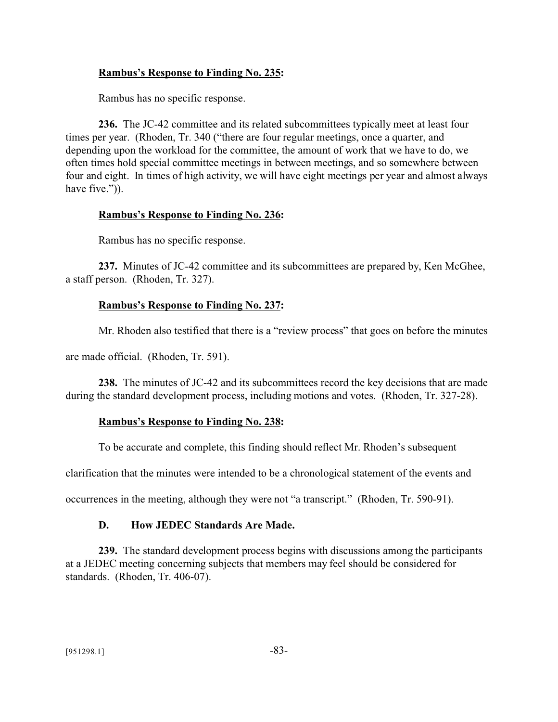### **Rambus's Response to Finding No. 235:**

Rambus has no specific response.

**236.** The JC-42 committee and its related subcommittees typically meet at least four times per year. (Rhoden, Tr. 340 ("there are four regular meetings, once a quarter, and depending upon the workload for the committee, the amount of work that we have to do, we often times hold special committee meetings in between meetings, and so somewhere between four and eight. In times of high activity, we will have eight meetings per year and almost always have five.")).

### **Rambus's Response to Finding No. 236:**

Rambus has no specific response.

**237.** Minutes of JC-42 committee and its subcommittees are prepared by, Ken McGhee, a staff person. (Rhoden, Tr. 327).

### **Rambus's Response to Finding No. 237:**

Mr. Rhoden also testified that there is a "review process" that goes on before the minutes

are made official. (Rhoden, Tr. 591).

**238.** The minutes of JC-42 and its subcommittees record the key decisions that are made during the standard development process, including motions and votes. (Rhoden, Tr. 327-28).

### **Rambus's Response to Finding No. 238:**

To be accurate and complete, this finding should reflect Mr. Rhoden's subsequent

clarification that the minutes were intended to be a chronological statement of the events and

occurrences in the meeting, although they were not "a transcript." (Rhoden, Tr. 590-91).

### **D. How JEDEC Standards Are Made.**

**239.** The standard development process begins with discussions among the participants at a JEDEC meeting concerning subjects that members may feel should be considered for standards. (Rhoden, Tr. 406-07).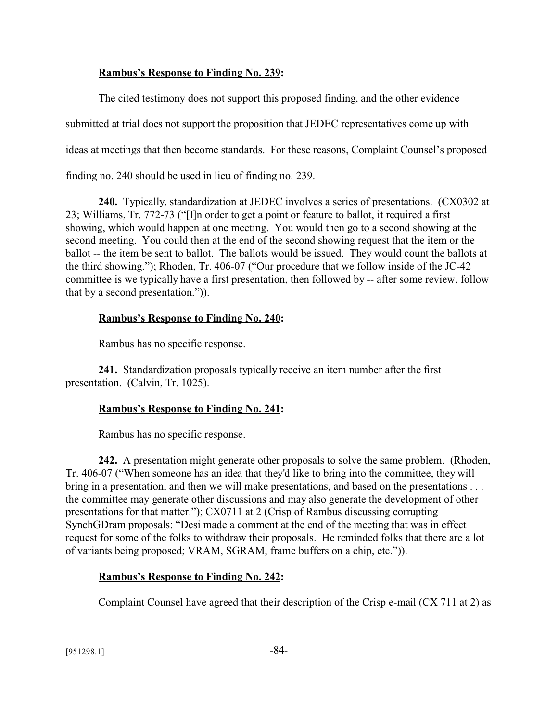### **Rambus's Response to Finding No. 239:**

The cited testimony does not support this proposed finding, and the other evidence submitted at trial does not support the proposition that JEDEC representatives come up with ideas at meetings that then become standards. For these reasons, Complaint Counsel's proposed finding no. 240 should be used in lieu of finding no. 239.

**240.** Typically, standardization at JEDEC involves a series of presentations. (CX0302 at 23; Williams, Tr. 772-73 ("[I]n order to get a point or feature to ballot, it required a first showing, which would happen at one meeting. You would then go to a second showing at the second meeting. You could then at the end of the second showing request that the item or the ballot -- the item be sent to ballot. The ballots would be issued. They would count the ballots at the third showing."); Rhoden, Tr. 406-07 ("Our procedure that we follow inside of the JC-42 committee is we typically have a first presentation, then followed by -- after some review, follow that by a second presentation.")).

### **Rambus's Response to Finding No. 240:**

Rambus has no specific response.

**241.** Standardization proposals typically receive an item number after the first presentation. (Calvin, Tr. 1025).

## **Rambus's Response to Finding No. 241:**

Rambus has no specific response.

**242.** A presentation might generate other proposals to solve the same problem. (Rhoden, Tr. 406-07 ("When someone has an idea that they'd like to bring into the committee, they will bring in a presentation, and then we will make presentations, and based on the presentations . . . the committee may generate other discussions and may also generate the development of other presentations for that matter."); CX0711 at 2 (Crisp of Rambus discussing corrupting SynchGDram proposals: "Desi made a comment at the end of the meeting that was in effect request for some of the folks to withdraw their proposals. He reminded folks that there are a lot of variants being proposed; VRAM, SGRAM, frame buffers on a chip, etc.")).

## **Rambus's Response to Finding No. 242:**

Complaint Counsel have agreed that their description of the Crisp e-mail (CX 711 at 2) as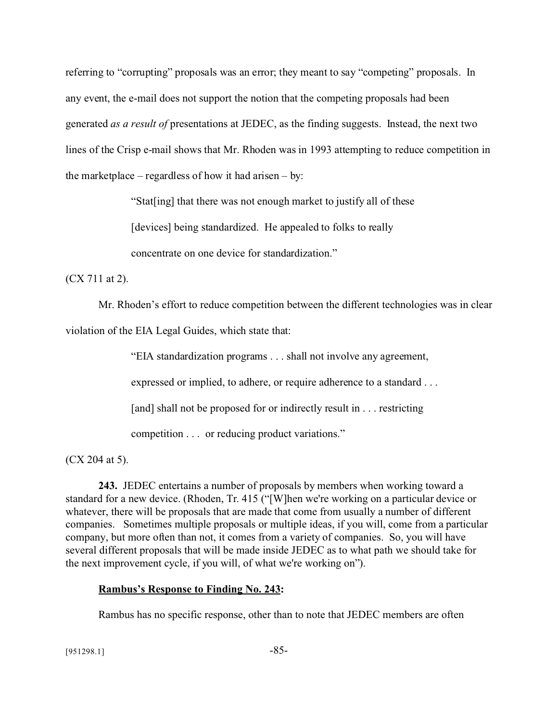referring to "corrupting" proposals was an error; they meant to say "competing" proposals. In any event, the e-mail does not support the notion that the competing proposals had been generated *as a result of* presentations at JEDEC, as the finding suggests. Instead, the next two lines of the Crisp e-mail shows that Mr. Rhoden was in 1993 attempting to reduce competition in the marketplace – regardless of how it had arisen – by:

"Stat[ing] that there was not enough market to justify all of these

[devices] being standardized. He appealed to folks to really

concentrate on one device for standardization."

(CX 711 at 2).

Mr. Rhoden's effort to reduce competition between the different technologies was in clear

violation of the EIA Legal Guides, which state that:

"EIA standardization programs . . . shall not involve any agreement,

expressed or implied, to adhere, or require adherence to a standard . . .

[and] shall not be proposed for or indirectly result in . . . restricting

competition . . . or reducing product variations."

(CX 204 at 5).

**243.** JEDEC entertains a number of proposals by members when working toward a standard for a new device. (Rhoden, Tr. 415 ("[W]hen we're working on a particular device or whatever, there will be proposals that are made that come from usually a number of different companies. Sometimes multiple proposals or multiple ideas, if you will, come from a particular company, but more often than not, it comes from a variety of companies. So, you will have several different proposals that will be made inside JEDEC as to what path we should take for the next improvement cycle, if you will, of what we're working on").

## **Rambus's Response to Finding No. 243:**

Rambus has no specific response, other than to note that JEDEC members are often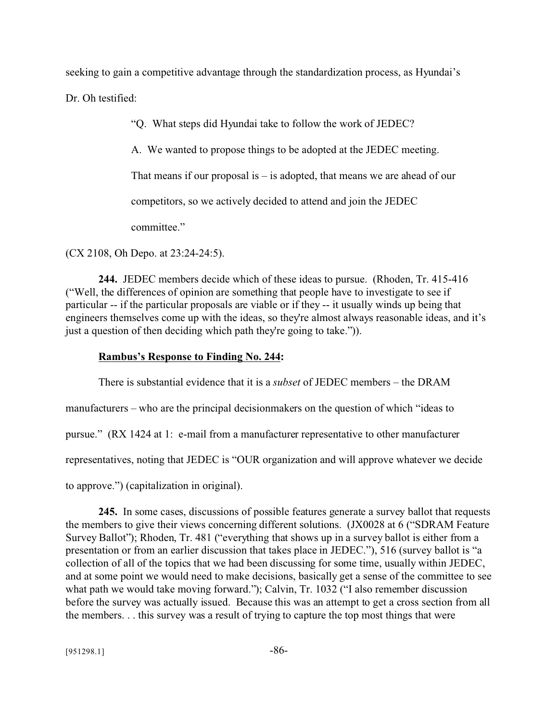seeking to gain a competitive advantage through the standardization process, as Hyundai's

Dr. Oh testified:

"Q. What steps did Hyundai take to follow the work of JEDEC?

A. We wanted to propose things to be adopted at the JEDEC meeting.

That means if our proposal is  $-$  is adopted, that means we are ahead of our

competitors, so we actively decided to attend and join the JEDEC

committee."

(CX 2108, Oh Depo. at 23:24-24:5).

**244.** JEDEC members decide which of these ideas to pursue. (Rhoden, Tr. 415-416 ("Well, the differences of opinion are something that people have to investigate to see if particular -- if the particular proposals are viable or if they -- it usually winds up being that engineers themselves come up with the ideas, so they're almost always reasonable ideas, and it's just a question of then deciding which path they're going to take.")).

### **Rambus's Response to Finding No. 244:**

There is substantial evidence that it is a *subset* of JEDEC members – the DRAM manufacturers – who are the principal decisionmakers on the question of which "ideas to pursue." (RX 1424 at 1: e-mail from a manufacturer representative to other manufacturer representatives, noting that JEDEC is "OUR organization and will approve whatever we decide to approve.") (capitalization in original).

**245.** In some cases, discussions of possible features generate a survey ballot that requests the members to give their views concerning different solutions. (JX0028 at 6 ("SDRAM Feature Survey Ballot"); Rhoden, Tr. 481 ("everything that shows up in a survey ballot is either from a presentation or from an earlier discussion that takes place in JEDEC."), 516 (survey ballot is "a collection of all of the topics that we had been discussing for some time, usually within JEDEC, and at some point we would need to make decisions, basically get a sense of the committee to see what path we would take moving forward."); Calvin, Tr. 1032 ("I also remember discussion before the survey was actually issued. Because this was an attempt to get a cross section from all the members. . . this survey was a result of trying to capture the top most things that were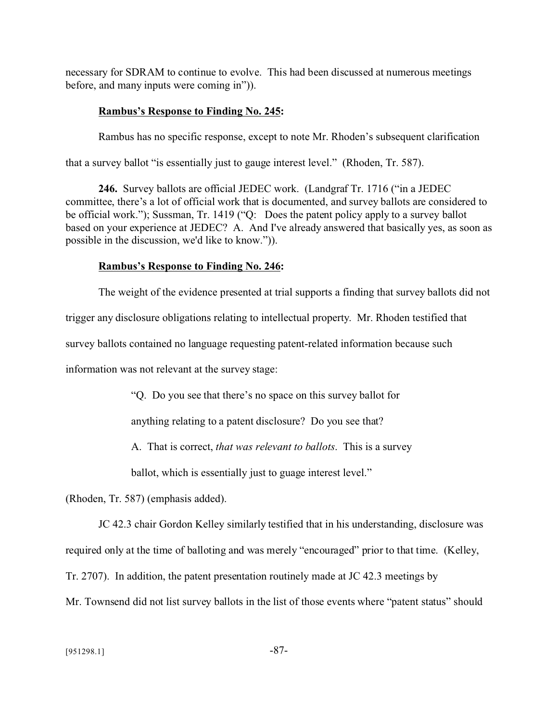necessary for SDRAM to continue to evolve. This had been discussed at numerous meetings before, and many inputs were coming in")).

#### **Rambus's Response to Finding No. 245:**

Rambus has no specific response, except to note Mr. Rhoden's subsequent clarification

that a survey ballot "is essentially just to gauge interest level." (Rhoden, Tr. 587).

**246.** Survey ballots are official JEDEC work. (Landgraf Tr. 1716 ("in a JEDEC committee, there's a lot of official work that is documented, and survey ballots are considered to be official work."); Sussman, Tr. 1419 ("Q: Does the patent policy apply to a survey ballot based on your experience at JEDEC? A. And I've already answered that basically yes, as soon as possible in the discussion, we'd like to know.")).

#### **Rambus's Response to Finding No. 246:**

The weight of the evidence presented at trial supports a finding that survey ballots did not

trigger any disclosure obligations relating to intellectual property. Mr. Rhoden testified that

survey ballots contained no language requesting patent-related information because such

information was not relevant at the survey stage:

"Q. Do you see that there's no space on this survey ballot for

anything relating to a patent disclosure? Do you see that?

A. That is correct, *that was relevant to ballots*. This is a survey

ballot, which is essentially just to guage interest level."

(Rhoden, Tr. 587) (emphasis added).

JC 42.3 chair Gordon Kelley similarly testified that in his understanding, disclosure was

required only at the time of balloting and was merely "encouraged" prior to that time. (Kelley,

Tr. 2707). In addition, the patent presentation routinely made at JC 42.3 meetings by

Mr. Townsend did not list survey ballots in the list of those events where "patent status" should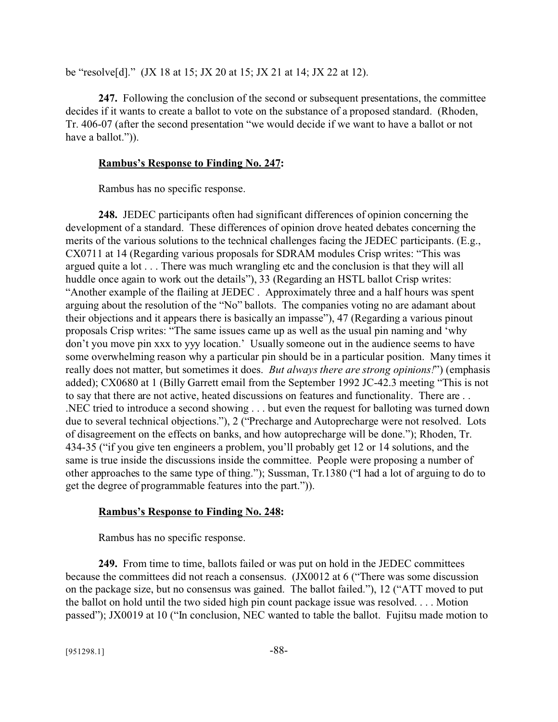be "resolve[d]." (JX 18 at 15; JX 20 at 15; JX 21 at 14; JX 22 at 12).

**247.** Following the conclusion of the second or subsequent presentations, the committee decides if it wants to create a ballot to vote on the substance of a proposed standard. (Rhoden, Tr. 406-07 (after the second presentation "we would decide if we want to have a ballot or not have a ballot.")).

#### **Rambus's Response to Finding No. 247:**

Rambus has no specific response.

**248.** JEDEC participants often had significant differences of opinion concerning the development of a standard. These differences of opinion drove heated debates concerning the merits of the various solutions to the technical challenges facing the JEDEC participants. (E.g., CX0711 at 14 (Regarding various proposals for SDRAM modules Crisp writes: "This was argued quite a lot . . . There was much wrangling etc and the conclusion is that they will all huddle once again to work out the details"), 33 (Regarding an HSTL ballot Crisp writes: "Another example of the flailing at JEDEC . Approximately three and a half hours was spent arguing about the resolution of the "No" ballots. The companies voting no are adamant about their objections and it appears there is basically an impasse"), 47 (Regarding a various pinout proposals Crisp writes: "The same issues came up as well as the usual pin naming and 'why don't you move pin xxx to yyy location.' Usually someone out in the audience seems to have some overwhelming reason why a particular pin should be in a particular position. Many times it really does not matter, but sometimes it does. *But always there are strong opinions!*") (emphasis added); CX0680 at 1 (Billy Garrett email from the September 1992 JC-42.3 meeting "This is not to say that there are not active, heated discussions on features and functionality. There are . . .NEC tried to introduce a second showing . . . but even the request for balloting was turned down due to several technical objections."), 2 ("Precharge and Autoprecharge were not resolved. Lots of disagreement on the effects on banks, and how autoprecharge will be done."); Rhoden, Tr. 434-35 ("if you give ten engineers a problem, you'll probably get 12 or 14 solutions, and the same is true inside the discussions inside the committee. People were proposing a number of other approaches to the same type of thing."); Sussman, Tr.1380 ("I had a lot of arguing to do to get the degree of programmable features into the part.")).

### **Rambus's Response to Finding No. 248:**

Rambus has no specific response.

**249.** From time to time, ballots failed or was put on hold in the JEDEC committees because the committees did not reach a consensus. (JX0012 at 6 ("There was some discussion on the package size, but no consensus was gained. The ballot failed."), 12 ("ATT moved to put the ballot on hold until the two sided high pin count package issue was resolved. . . . Motion passed"); JX0019 at 10 ("In conclusion, NEC wanted to table the ballot. Fujitsu made motion to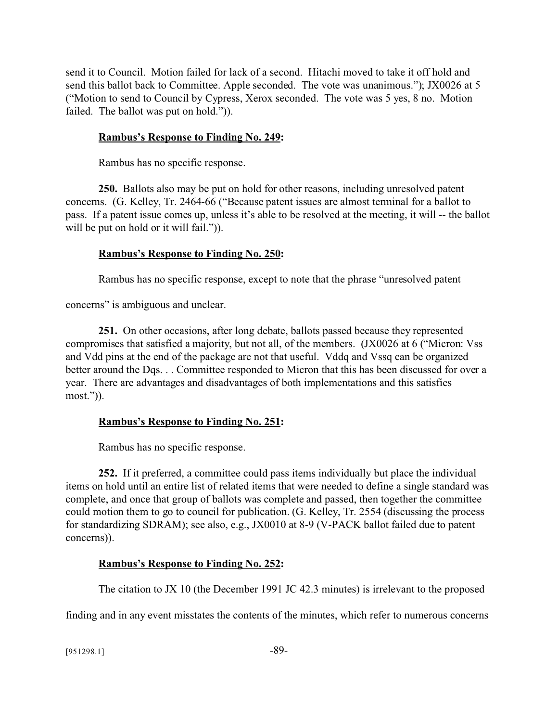send it to Council. Motion failed for lack of a second. Hitachi moved to take it off hold and send this ballot back to Committee. Apple seconded. The vote was unanimous."); JX0026 at 5 ("Motion to send to Council by Cypress, Xerox seconded. The vote was 5 yes, 8 no. Motion failed. The ballot was put on hold.")).

## **Rambus's Response to Finding No. 249:**

Rambus has no specific response.

**250.** Ballots also may be put on hold for other reasons, including unresolved patent concerns. (G. Kelley, Tr. 2464-66 ("Because patent issues are almost terminal for a ballot to pass. If a patent issue comes up, unless it's able to be resolved at the meeting, it will -- the ballot will be put on hold or it will fail.").

## **Rambus's Response to Finding No. 250:**

Rambus has no specific response, except to note that the phrase "unresolved patent

concerns" is ambiguous and unclear.

**251.** On other occasions, after long debate, ballots passed because they represented compromises that satisfied a majority, but not all, of the members. (JX0026 at 6 ("Micron: Vss and Vdd pins at the end of the package are not that useful. Vddq and Vssq can be organized better around the Dqs. . . Committee responded to Micron that this has been discussed for over a year. There are advantages and disadvantages of both implementations and this satisfies most.")).

# **Rambus's Response to Finding No. 251:**

Rambus has no specific response.

**252.** If it preferred, a committee could pass items individually but place the individual items on hold until an entire list of related items that were needed to define a single standard was complete, and once that group of ballots was complete and passed, then together the committee could motion them to go to council for publication. (G. Kelley, Tr. 2554 (discussing the process for standardizing SDRAM); see also, e.g., JX0010 at 8-9 (V-PACK ballot failed due to patent concerns)).

# **Rambus's Response to Finding No. 252:**

The citation to JX 10 (the December 1991 JC 42.3 minutes) is irrelevant to the proposed

finding and in any event misstates the contents of the minutes, which refer to numerous concerns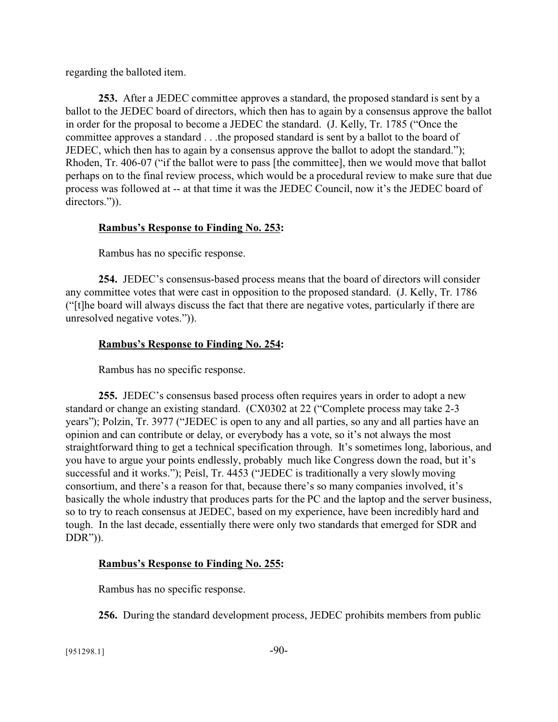regarding the balloted item.

**253.** After a JEDEC committee approves a standard, the proposed standard is sent by a ballot to the JEDEC board of directors, which then has to again by a consensus approve the ballot in order for the proposal to become a JEDEC the standard. (J. Kelly, Tr. 1785 ("Once the committee approves a standard . . .the proposed standard is sent by a ballot to the board of JEDEC, which then has to again by a consensus approve the ballot to adopt the standard."); Rhoden, Tr. 406-07 ("if the ballot were to pass [the committee], then we would move that ballot perhaps on to the final review process, which would be a procedural review to make sure that due process was followed at -- at that time it was the JEDEC Council, now it's the JEDEC board of directors.")).

## **Rambus's Response to Finding No. 253:**

Rambus has no specific response.

**254.** JEDEC's consensus-based process means that the board of directors will consider any committee votes that were cast in opposition to the proposed standard. (J. Kelly, Tr. 1786 ("[t]he board will always discuss the fact that there are negative votes, particularly if there are unresolved negative votes.")).

# **Rambus's Response to Finding No. 254:**

Rambus has no specific response.

**255.** JEDEC's consensus based process often requires years in order to adopt a new standard or change an existing standard. (CX0302 at 22 ("Complete process may take 2-3 years"); Polzin, Tr. 3977 ("JEDEC is open to any and all parties, so any and all parties have an opinion and can contribute or delay, or everybody has a vote, so it's not always the most straightforward thing to get a technical specification through. It's sometimes long, laborious, and you have to argue your points endlessly, probably much like Congress down the road, but it's successful and it works."); Peisl, Tr. 4453 ("JEDEC is traditionally a very slowly moving consortium, and there's a reason for that, because there's so many companies involved, it's basically the whole industry that produces parts for the PC and the laptop and the server business, so to try to reach consensus at JEDEC, based on my experience, have been incredibly hard and tough. In the last decade, essentially there were only two standards that emerged for SDR and DDR")).

## **Rambus's Response to Finding No. 255:**

Rambus has no specific response.

**256.** During the standard development process, JEDEC prohibits members from public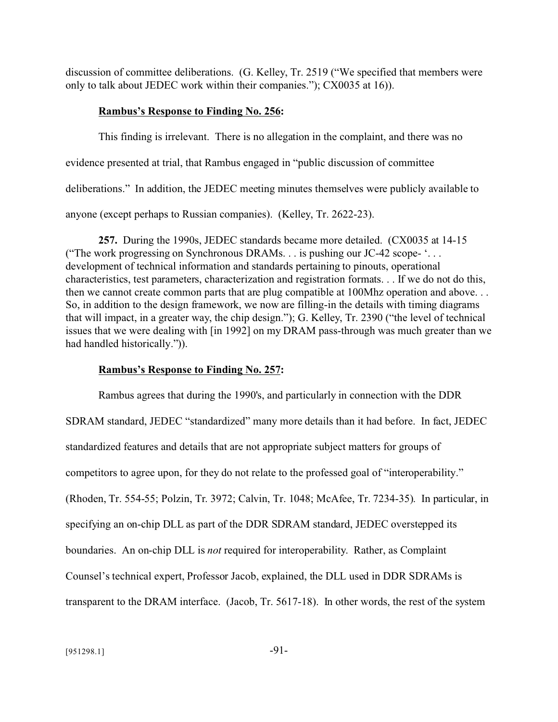discussion of committee deliberations. (G. Kelley, Tr. 2519 ("We specified that members were only to talk about JEDEC work within their companies."); CX0035 at 16)).

### **Rambus's Response to Finding No. 256:**

This finding is irrelevant. There is no allegation in the complaint, and there was no evidence presented at trial, that Rambus engaged in "public discussion of committee deliberations." In addition, the JEDEC meeting minutes themselves were publicly available to anyone (except perhaps to Russian companies). (Kelley, Tr. 2622-23).

**257.** During the 1990s, JEDEC standards became more detailed. (CX0035 at 14-15 ("The work progressing on Synchronous DRAMs. . . is pushing our JC-42 scope- '. . . development of technical information and standards pertaining to pinouts, operational characteristics, test parameters, characterization and registration formats. . . If we do not do this, then we cannot create common parts that are plug compatible at 100Mhz operation and above. . . So, in addition to the design framework, we now are filling-in the details with timing diagrams that will impact, in a greater way, the chip design."); G. Kelley, Tr. 2390 ("the level of technical issues that we were dealing with [in 1992] on my DRAM pass-through was much greater than we had handled historically.")).

### **Rambus's Response to Finding No. 257:**

Rambus agrees that during the 1990's, and particularly in connection with the DDR SDRAM standard, JEDEC "standardized" many more details than it had before. In fact, JEDEC standardized features and details that are not appropriate subject matters for groups of competitors to agree upon, for they do not relate to the professed goal of "interoperability." (Rhoden, Tr. 554-55; Polzin, Tr. 3972; Calvin, Tr. 1048; McAfee, Tr. 7234-35). In particular, in specifying an on-chip DLL as part of the DDR SDRAM standard, JEDEC overstepped its boundaries. An on-chip DLL is *not* required for interoperability. Rather, as Complaint Counsel's technical expert, Professor Jacob, explained, the DLL used in DDR SDRAMs is transparent to the DRAM interface. (Jacob, Tr. 5617-18). In other words, the rest of the system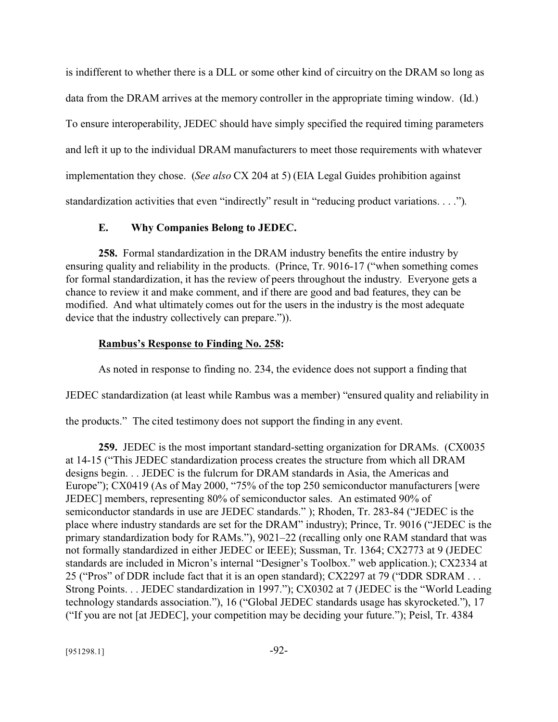is indifferent to whether there is a DLL or some other kind of circuitry on the DRAM so long as data from the DRAM arrives at the memory controller in the appropriate timing window. (Id.) To ensure interoperability, JEDEC should have simply specified the required timing parameters and left it up to the individual DRAM manufacturers to meet those requirements with whatever implementation they chose. (*See also* CX 204 at 5) (EIA Legal Guides prohibition against standardization activities that even "indirectly" result in "reducing product variations. . . .").

## **E. Why Companies Belong to JEDEC.**

**258.** Formal standardization in the DRAM industry benefits the entire industry by ensuring quality and reliability in the products. (Prince, Tr. 9016-17 ("when something comes for formal standardization, it has the review of peers throughout the industry. Everyone gets a chance to review it and make comment, and if there are good and bad features, they can be modified. And what ultimately comes out for the users in the industry is the most adequate device that the industry collectively can prepare.")).

## **Rambus's Response to Finding No. 258:**

As noted in response to finding no. 234, the evidence does not support a finding that

JEDEC standardization (at least while Rambus was a member) "ensured quality and reliability in

the products." The cited testimony does not support the finding in any event.

**259.** JEDEC is the most important standard-setting organization for DRAMs. (CX0035 at 14-15 ("This JEDEC standardization process creates the structure from which all DRAM designs begin. . . JEDEC is the fulcrum for DRAM standards in Asia, the Americas and Europe"); CX0419 (As of May 2000, "75% of the top 250 semiconductor manufacturers [were JEDEC] members, representing 80% of semiconductor sales. An estimated 90% of semiconductor standards in use are JEDEC standards." ); Rhoden, Tr. 283-84 ("JEDEC is the place where industry standards are set for the DRAM" industry); Prince, Tr. 9016 ("JEDEC is the primary standardization body for RAMs."), 9021–22 (recalling only one RAM standard that was not formally standardized in either JEDEC or IEEE); Sussman, Tr. 1364; CX2773 at 9 (JEDEC standards are included in Micron's internal "Designer's Toolbox." web application.); CX2334 at 25 ("Pros" of DDR include fact that it is an open standard); CX2297 at 79 ("DDR SDRAM . . . Strong Points. . . JEDEC standardization in 1997."); CX0302 at 7 (JEDEC is the "World Leading technology standards association."), 16 ("Global JEDEC standards usage has skyrocketed."), 17 ("If you are not [at JEDEC], your competition may be deciding your future."); Peisl, Tr. 4384

 $[951298.1]$  -92-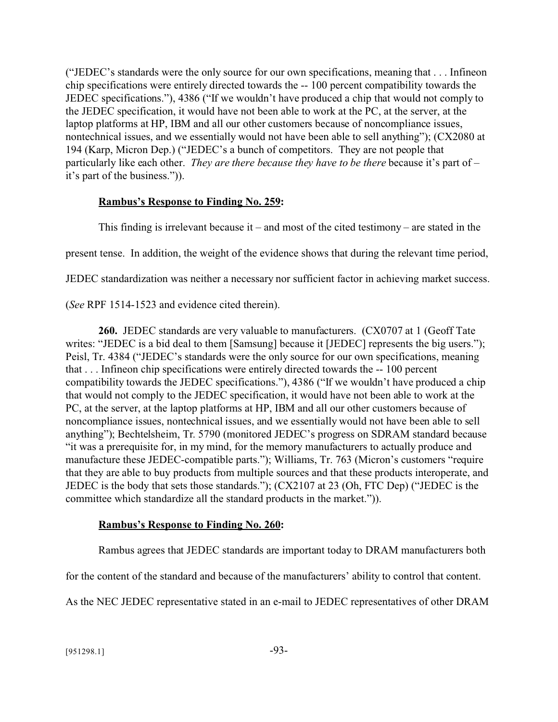("JEDEC's standards were the only source for our own specifications, meaning that . . . Infineon chip specifications were entirely directed towards the -- 100 percent compatibility towards the JEDEC specifications."), 4386 ("If we wouldn't have produced a chip that would not comply to the JEDEC specification, it would have not been able to work at the PC, at the server, at the laptop platforms at HP, IBM and all our other customers because of noncompliance issues, nontechnical issues, and we essentially would not have been able to sell anything"); (CX2080 at 194 (Karp, Micron Dep.) ("JEDEC's a bunch of competitors. They are not people that particularly like each other. *They are there because they have to be there* because it's part of – it's part of the business.")).

### **Rambus's Response to Finding No. 259:**

This finding is irrelevant because it – and most of the cited testimony – are stated in the present tense. In addition, the weight of the evidence shows that during the relevant time period, JEDEC standardization was neither a necessary nor sufficient factor in achieving market success.

(*See* RPF 1514-1523 and evidence cited therein).

**260.** JEDEC standards are very valuable to manufacturers. (CX0707 at 1 (Geoff Tate writes: "JEDEC is a bid deal to them [Samsung] because it [JEDEC] represents the big users."); Peisl, Tr. 4384 ("JEDEC's standards were the only source for our own specifications, meaning that . . . Infineon chip specifications were entirely directed towards the -- 100 percent compatibility towards the JEDEC specifications."), 4386 ("If we wouldn't have produced a chip that would not comply to the JEDEC specification, it would have not been able to work at the PC, at the server, at the laptop platforms at HP, IBM and all our other customers because of noncompliance issues, nontechnical issues, and we essentially would not have been able to sell anything"); Bechtelsheim, Tr. 5790 (monitored JEDEC's progress on SDRAM standard because "it was a prerequisite for, in my mind, for the memory manufacturers to actually produce and manufacture these JEDEC-compatible parts."); Williams, Tr. 763 (Micron's customers "require that they are able to buy products from multiple sources and that these products interoperate, and JEDEC is the body that sets those standards."); (CX2107 at 23 (Oh, FTC Dep) ("JEDEC is the committee which standardize all the standard products in the market.")).

## **Rambus's Response to Finding No. 260:**

Rambus agrees that JEDEC standards are important today to DRAM manufacturers both

for the content of the standard and because of the manufacturers' ability to control that content.

As the NEC JEDEC representative stated in an e-mail to JEDEC representatives of other DRAM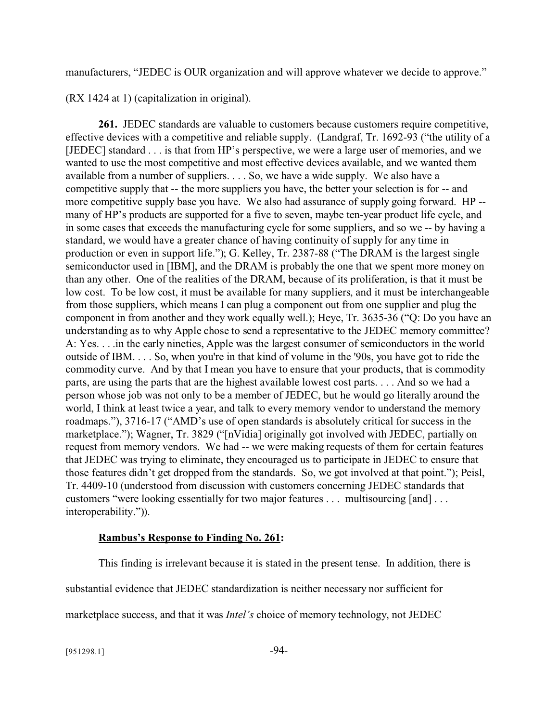manufacturers, "JEDEC is OUR organization and will approve whatever we decide to approve."

(RX 1424 at 1) (capitalization in original).

**261.** JEDEC standards are valuable to customers because customers require competitive, effective devices with a competitive and reliable supply. (Landgraf, Tr. 1692-93 ("the utility of a [JEDEC] standard . . . is that from HP's perspective, we were a large user of memories, and we wanted to use the most competitive and most effective devices available, and we wanted them available from a number of suppliers. . . . So, we have a wide supply. We also have a competitive supply that -- the more suppliers you have, the better your selection is for -- and more competitive supply base you have. We also had assurance of supply going forward. HP - many of HP's products are supported for a five to seven, maybe ten-year product life cycle, and in some cases that exceeds the manufacturing cycle for some suppliers, and so we -- by having a standard, we would have a greater chance of having continuity of supply for any time in production or even in support life."); G. Kelley, Tr. 2387-88 ("The DRAM is the largest single semiconductor used in [IBM], and the DRAM is probably the one that we spent more money on than any other. One of the realities of the DRAM, because of its proliferation, is that it must be low cost. To be low cost, it must be available for many suppliers, and it must be interchangeable from those suppliers, which means I can plug a component out from one supplier and plug the component in from another and they work equally well.); Heye, Tr. 3635-36 ("Q: Do you have an understanding as to why Apple chose to send a representative to the JEDEC memory committee? A: Yes. . . .in the early nineties, Apple was the largest consumer of semiconductors in the world outside of IBM. . . . So, when you're in that kind of volume in the '90s, you have got to ride the commodity curve. And by that I mean you have to ensure that your products, that is commodity parts, are using the parts that are the highest available lowest cost parts. . . . And so we had a person whose job was not only to be a member of JEDEC, but he would go literally around the world, I think at least twice a year, and talk to every memory vendor to understand the memory roadmaps."), 3716-17 ("AMD's use of open standards is absolutely critical for success in the marketplace."); Wagner, Tr. 3829 ("[nVidia] originally got involved with JEDEC, partially on request from memory vendors. We had -- we were making requests of them for certain features that JEDEC was trying to eliminate, they encouraged us to participate in JEDEC to ensure that those features didn't get dropped from the standards. So, we got involved at that point."); Peisl, Tr. 4409-10 (understood from discussion with customers concerning JEDEC standards that customers "were looking essentially for two major features . . . multisourcing [and] . . . interoperability.")).

## **Rambus's Response to Finding No. 261:**

This finding is irrelevant because it is stated in the present tense. In addition, there is substantial evidence that JEDEC standardization is neither necessary nor sufficient for marketplace success, and that it was *Intel's* choice of memory technology, not JEDEC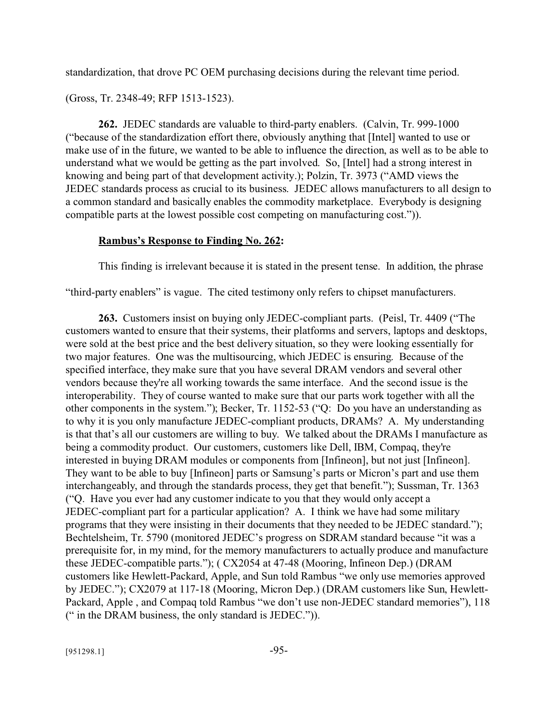standardization, that drove PC OEM purchasing decisions during the relevant time period.

(Gross, Tr. 2348-49; RFP 1513-1523).

**262.** JEDEC standards are valuable to third-party enablers. (Calvin, Tr. 999-1000 ("because of the standardization effort there, obviously anything that [Intel] wanted to use or make use of in the future, we wanted to be able to influence the direction, as well as to be able to understand what we would be getting as the part involved. So, [Intel] had a strong interest in knowing and being part of that development activity.); Polzin, Tr. 3973 ("AMD views the JEDEC standards process as crucial to its business. JEDEC allows manufacturers to all design to a common standard and basically enables the commodity marketplace. Everybody is designing compatible parts at the lowest possible cost competing on manufacturing cost.")).

### **Rambus's Response to Finding No. 262:**

This finding is irrelevant because it is stated in the present tense. In addition, the phrase

"third-party enablers" is vague. The cited testimony only refers to chipset manufacturers.

**263.** Customers insist on buying only JEDEC-compliant parts. (Peisl, Tr. 4409 ("The customers wanted to ensure that their systems, their platforms and servers, laptops and desktops, were sold at the best price and the best delivery situation, so they were looking essentially for two major features. One was the multisourcing, which JEDEC is ensuring. Because of the specified interface, they make sure that you have several DRAM vendors and several other vendors because they're all working towards the same interface. And the second issue is the interoperability. They of course wanted to make sure that our parts work together with all the other components in the system."); Becker, Tr. 1152-53 ("Q: Do you have an understanding as to why it is you only manufacture JEDEC-compliant products, DRAMs? A. My understanding is that that's all our customers are willing to buy. We talked about the DRAMs I manufacture as being a commodity product. Our customers, customers like Dell, IBM, Compaq, they're interested in buying DRAM modules or components from [Infineon], but not just [Infineon]. They want to be able to buy [Infineon] parts or Samsung's parts or Micron's part and use them interchangeably, and through the standards process, they get that benefit."); Sussman, Tr. 1363 ("Q. Have you ever had any customer indicate to you that they would only accept a JEDEC-compliant part for a particular application? A. I think we have had some military programs that they were insisting in their documents that they needed to be JEDEC standard."); Bechtelsheim, Tr. 5790 (monitored JEDEC's progress on SDRAM standard because "it was a prerequisite for, in my mind, for the memory manufacturers to actually produce and manufacture these JEDEC-compatible parts."); ( CX2054 at 47-48 (Mooring, Infineon Dep.) (DRAM customers like Hewlett-Packard, Apple, and Sun told Rambus "we only use memories approved by JEDEC."); CX2079 at 117-18 (Mooring, Micron Dep.) (DRAM customers like Sun, Hewlett-Packard, Apple , and Compaq told Rambus "we don't use non-JEDEC standard memories"), 118 (" in the DRAM business, the only standard is JEDEC.")).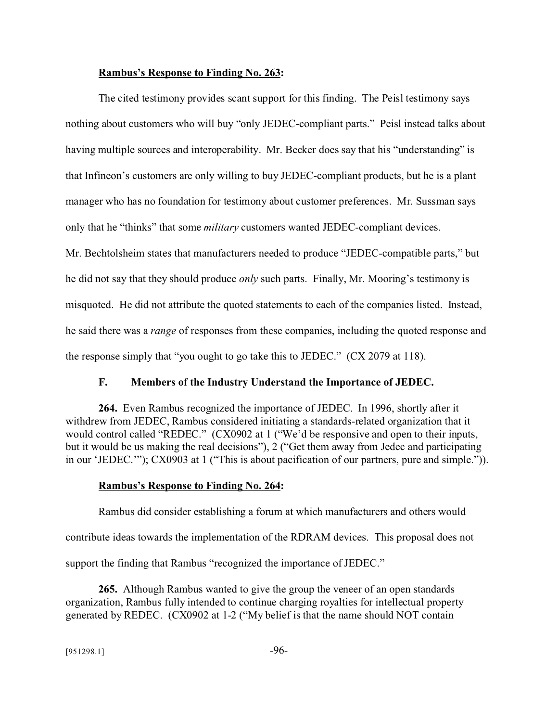#### **Rambus's Response to Finding No. 263:**

The cited testimony provides scant support for this finding. The Peisl testimony says nothing about customers who will buy "only JEDEC-compliant parts." Peisl instead talks about having multiple sources and interoperability. Mr. Becker does say that his "understanding" is that Infineon's customers are only willing to buy JEDEC-compliant products, but he is a plant manager who has no foundation for testimony about customer preferences. Mr. Sussman says only that he "thinks" that some *military* customers wanted JEDEC-compliant devices. Mr. Bechtolsheim states that manufacturers needed to produce "JEDEC-compatible parts," but he did not say that they should produce *only* such parts. Finally, Mr. Mooring's testimony is misquoted. He did not attribute the quoted statements to each of the companies listed. Instead, he said there was a *range* of responses from these companies, including the quoted response and the response simply that "you ought to go take this to JEDEC."  $(CX 2079$  at 118).

#### **F. Members of the Industry Understand the Importance of JEDEC.**

**264.** Even Rambus recognized the importance of JEDEC. In 1996, shortly after it withdrew from JEDEC, Rambus considered initiating a standards-related organization that it would control called "REDEC." (CX0902 at 1 ("We'd be responsive and open to their inputs, but it would be us making the real decisions"), 2 ("Get them away from Jedec and participating in our 'JEDEC.'"); CX0903 at 1 ("This is about pacification of our partners, pure and simple.")).

#### **Rambus's Response to Finding No. 264:**

Rambus did consider establishing a forum at which manufacturers and others would contribute ideas towards the implementation of the RDRAM devices. This proposal does not support the finding that Rambus "recognized the importance of JEDEC."

**265.** Although Rambus wanted to give the group the veneer of an open standards organization, Rambus fully intended to continue charging royalties for intellectual property generated by REDEC. (CX0902 at 1-2 ("My belief is that the name should NOT contain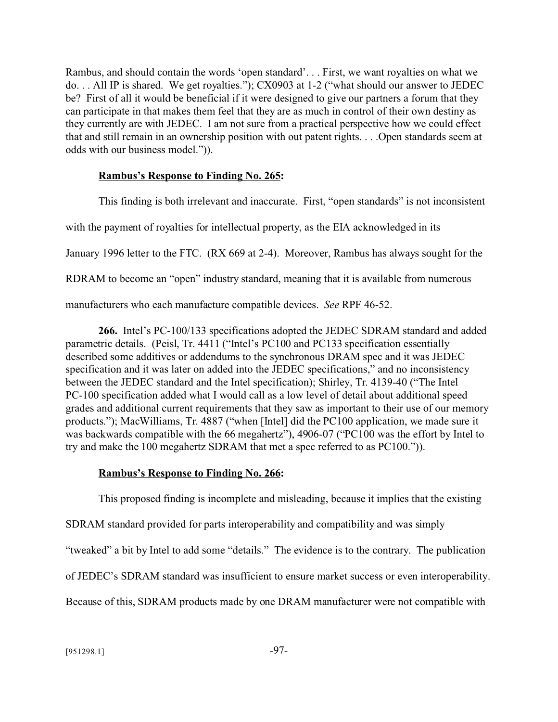Rambus, and should contain the words 'open standard'. . . First, we want royalties on what we do. . . All IP is shared. We get royalties."); CX0903 at 1-2 ("what should our answer to JEDEC be? First of all it would be beneficial if it were designed to give our partners a forum that they can participate in that makes them feel that they are as much in control of their own destiny as they currently are with JEDEC. I am not sure from a practical perspective how we could effect that and still remain in an ownership position with out patent rights. . . .Open standards seem at odds with our business model.")).

## **Rambus's Response to Finding No. 265:**

This finding is both irrelevant and inaccurate. First, "open standards" is not inconsistent with the payment of royalties for intellectual property, as the EIA acknowledged in its January 1996 letter to the FTC. (RX 669 at 2-4). Moreover, Rambus has always sought for the RDRAM to become an "open" industry standard, meaning that it is available from numerous

manufacturers who each manufacture compatible devices. *See* RPF 46-52.

**266.** Intel's PC-100/133 specifications adopted the JEDEC SDRAM standard and added parametric details. (Peisl, Tr. 4411 ("Intel's PC100 and PC133 specification essentially described some additives or addendums to the synchronous DRAM spec and it was JEDEC specification and it was later on added into the JEDEC specifications," and no inconsistency between the JEDEC standard and the Intel specification); Shirley, Tr. 4139-40 ("The Intel PC-100 specification added what I would call as a low level of detail about additional speed grades and additional current requirements that they saw as important to their use of our memory products."); MacWilliams, Tr. 4887 ("when [Intel] did the PC100 application, we made sure it was backwards compatible with the 66 megahertz"), 4906-07 ("PC100 was the effort by Intel to try and make the 100 megahertz SDRAM that met a spec referred to as PC100.")).

## **Rambus's Response to Finding No. 266:**

This proposed finding is incomplete and misleading, because it implies that the existing SDRAM standard provided for parts interoperability and compatibility and was simply "tweaked" a bit by Intel to add some "details." The evidence is to the contrary. The publication of JEDEC's SDRAM standard was insufficient to ensure market success or even interoperability. Because of this, SDRAM products made by one DRAM manufacturer were not compatible with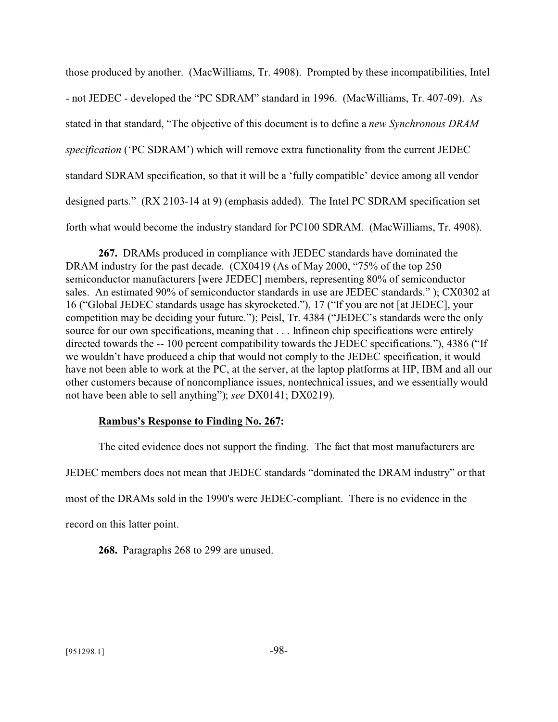those produced by another. (MacWilliams, Tr. 4908). Prompted by these incompatibilities, Intel - not JEDEC - developed the "PC SDRAM" standard in 1996. (MacWilliams, Tr. 407-09). As stated in that standard, "The objective of this document is to define a *new Synchronous DRAM specification* ('PC SDRAM') which will remove extra functionality from the current JEDEC standard SDRAM specification, so that it will be a 'fully compatible' device among all vendor designed parts." (RX 2103-14 at 9) (emphasis added). The Intel PC SDRAM specification set forth what would become the industry standard for PC100 SDRAM. (MacWilliams, Tr. 4908).

**267.** DRAMs produced in compliance with JEDEC standards have dominated the DRAM industry for the past decade. (CX0419 (As of May 2000, "75% of the top 250 semiconductor manufacturers [were JEDEC] members, representing 80% of semiconductor sales. An estimated 90% of semiconductor standards in use are JEDEC standards." ); CX0302 at 16 ("Global JEDEC standards usage has skyrocketed."), 17 ("If you are not [at JEDEC], your competition may be deciding your future."); Peisl, Tr. 4384 ("JEDEC's standards were the only source for our own specifications, meaning that . . . Infineon chip specifications were entirely directed towards the -- 100 percent compatibility towards the JEDEC specifications."), 4386 ("If we wouldn't have produced a chip that would not comply to the JEDEC specification, it would have not been able to work at the PC, at the server, at the laptop platforms at HP, IBM and all our other customers because of noncompliance issues, nontechnical issues, and we essentially would not have been able to sell anything"); *see* DX0141; DX0219).

### **Rambus's Response to Finding No. 267:**

The cited evidence does not support the finding. The fact that most manufacturers are JEDEC members does not mean that JEDEC standards "dominated the DRAM industry" or that most of the DRAMs sold in the 1990's were JEDEC-compliant. There is no evidence in the record on this latter point.

**268.** Paragraphs 268 to 299 are unused.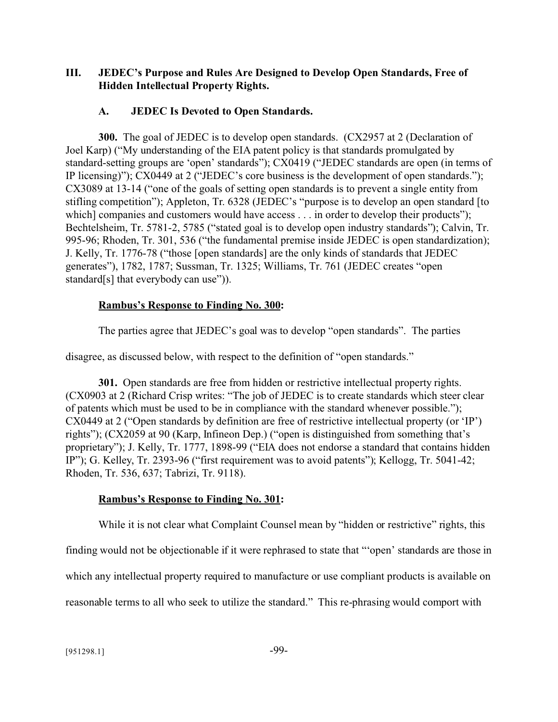## **III. JEDEC's Purpose and Rules Are Designed to Develop Open Standards, Free of Hidden Intellectual Property Rights.**

### **A. JEDEC Is Devoted to Open Standards.**

**300.** The goal of JEDEC is to develop open standards. (CX2957 at 2 (Declaration of Joel Karp) ("My understanding of the EIA patent policy is that standards promulgated by standard-setting groups are 'open' standards"); CX0419 ("JEDEC standards are open (in terms of IP licensing)"); CX0449 at 2 ("JEDEC's core business is the development of open standards."); CX3089 at 13-14 ("one of the goals of setting open standards is to prevent a single entity from stifling competition"); Appleton, Tr. 6328 (JEDEC's "purpose is to develop an open standard [to which] companies and customers would have access . . . in order to develop their products"); Bechtelsheim, Tr. 5781-2, 5785 ("stated goal is to develop open industry standards"); Calvin, Tr. 995-96; Rhoden, Tr. 301, 536 ("the fundamental premise inside JEDEC is open standardization); J. Kelly, Tr. 1776-78 ("those [open standards] are the only kinds of standards that JEDEC generates"), 1782, 1787; Sussman, Tr. 1325; Williams, Tr. 761 (JEDEC creates "open standard[s] that everybody can use")).

### **Rambus's Response to Finding No. 300:**

The parties agree that JEDEC's goal was to develop "open standards". The parties

disagree, as discussed below, with respect to the definition of "open standards."

**301.** Open standards are free from hidden or restrictive intellectual property rights. (CX0903 at 2 (Richard Crisp writes: "The job of JEDEC is to create standards which steer clear of patents which must be used to be in compliance with the standard whenever possible."); CX0449 at 2 ("Open standards by definition are free of restrictive intellectual property (or 'IP') rights"); (CX2059 at 90 (Karp, Infineon Dep.) ("open is distinguished from something that's proprietary"); J. Kelly, Tr. 1777, 1898-99 ("EIA does not endorse a standard that contains hidden IP"); G. Kelley, Tr. 2393-96 ("first requirement was to avoid patents"); Kellogg, Tr. 5041-42; Rhoden, Tr. 536, 637; Tabrizi, Tr. 9118).

### **Rambus's Response to Finding No. 301:**

While it is not clear what Complaint Counsel mean by "hidden or restrictive" rights, this

finding would not be objectionable if it were rephrased to state that "'open' standards are those in

which any intellectual property required to manufacture or use compliant products is available on

reasonable terms to all who seek to utilize the standard." This re-phrasing would comport with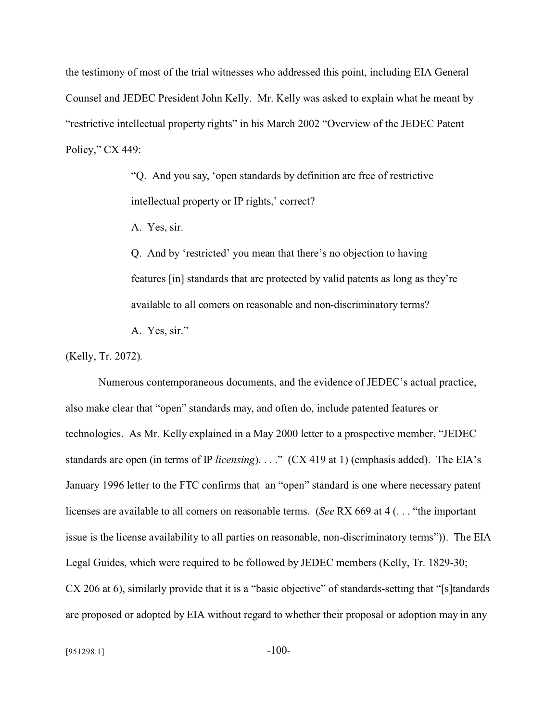the testimony of most of the trial witnesses who addressed this point, including EIA General Counsel and JEDEC President John Kelly. Mr. Kelly was asked to explain what he meant by "restrictive intellectual property rights" in his March 2002 "Overview of the JEDEC Patent Policy," CX 449:

> "Q. And you say, 'open standards by definition are free of restrictive intellectual property or IP rights,' correct?

A. Yes, sir.

Q. And by 'restricted' you mean that there's no objection to having features [in] standards that are protected by valid patents as long as they're available to all comers on reasonable and non-discriminatory terms?

A. Yes, sir."

(Kelly, Tr. 2072).

Numerous contemporaneous documents, and the evidence of JEDEC's actual practice, also make clear that "open" standards may, and often do, include patented features or technologies. As Mr. Kelly explained in a May 2000 letter to a prospective member, "JEDEC standards are open (in terms of IP *licensing*). . . ." (CX 419 at 1) (emphasis added). The EIA's January 1996 letter to the FTC confirms that an "open" standard is one where necessary patent licenses are available to all comers on reasonable terms. (*See* RX 669 at 4 (. . . "the important issue is the license availability to all parties on reasonable, non-discriminatory terms")). The EIA Legal Guides, which were required to be followed by JEDEC members (Kelly, Tr. 1829-30; CX 206 at 6), similarly provide that it is a "basic objective" of standards-setting that "[s]tandards are proposed or adopted by EIA without regard to whether their proposal or adoption may in any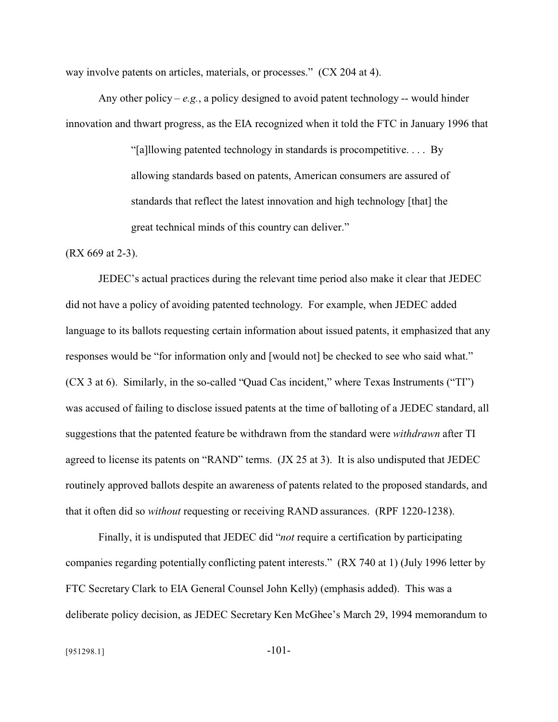way involve patents on articles, materials, or processes." (CX 204 at 4).

Any other policy –  $e.g.,$  a policy designed to avoid patent technology -- would hinder innovation and thwart progress, as the EIA recognized when it told the FTC in January 1996 that

> "[a]llowing patented technology in standards is procompetitive. . . . By allowing standards based on patents, American consumers are assured of standards that reflect the latest innovation and high technology [that] the great technical minds of this country can deliver."

(RX 669 at 2-3).

JEDEC's actual practices during the relevant time period also make it clear that JEDEC did not have a policy of avoiding patented technology. For example, when JEDEC added language to its ballots requesting certain information about issued patents, it emphasized that any responses would be "for information only and [would not] be checked to see who said what." (CX 3 at 6). Similarly, in the so-called "Quad Cas incident," where Texas Instruments ("TI") was accused of failing to disclose issued patents at the time of balloting of a JEDEC standard, all suggestions that the patented feature be withdrawn from the standard were *withdrawn* after TI agreed to license its patents on "RAND" terms. (JX 25 at 3). It is also undisputed that JEDEC routinely approved ballots despite an awareness of patents related to the proposed standards, and that it often did so *without* requesting or receiving RAND assurances. (RPF 1220-1238).

Finally, it is undisputed that JEDEC did "*not* require a certification by participating companies regarding potentially conflicting patent interests." (RX 740 at 1) (July 1996 letter by FTC Secretary Clark to EIA General Counsel John Kelly) (emphasis added). This was a deliberate policy decision, as JEDEC Secretary Ken McGhee's March 29, 1994 memorandum to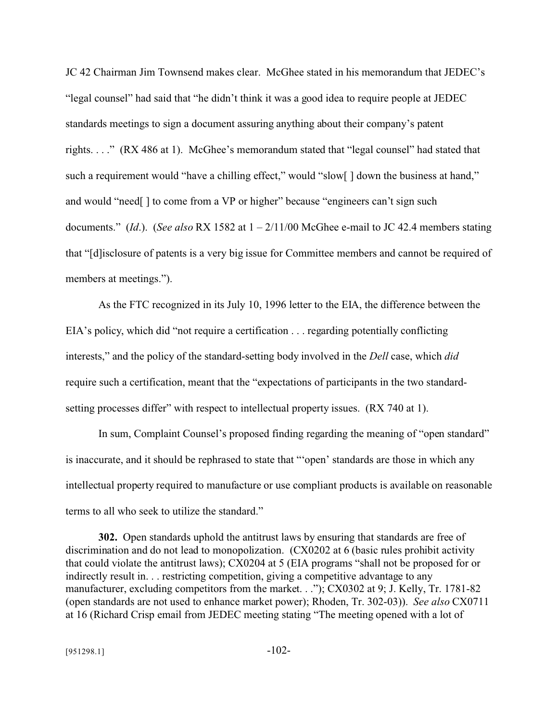JC 42 Chairman Jim Townsend makes clear. McGhee stated in his memorandum that JEDEC's "legal counsel" had said that "he didn't think it was a good idea to require people at JEDEC standards meetings to sign a document assuring anything about their company's patent rights. . . ." (RX 486 at 1). McGhee's memorandum stated that "legal counsel" had stated that such a requirement would "have a chilling effect," would "slow[] down the business at hand," and would "need[ ] to come from a VP or higher" because "engineers can't sign such documents." (*Id*.). (*See also* RX 1582 at 1 – 2/11/00 McGhee e-mail to JC 42.4 members stating that "[d]isclosure of patents is a very big issue for Committee members and cannot be required of members at meetings.").

As the FTC recognized in its July 10, 1996 letter to the EIA, the difference between the EIA's policy, which did "not require a certification . . . regarding potentially conflicting interests," and the policy of the standard-setting body involved in the *Dell* case, which *did* require such a certification, meant that the "expectations of participants in the two standardsetting processes differ" with respect to intellectual property issues. (RX 740 at 1).

In sum, Complaint Counsel's proposed finding regarding the meaning of "open standard" is inaccurate, and it should be rephrased to state that "'open' standards are those in which any intellectual property required to manufacture or use compliant products is available on reasonable terms to all who seek to utilize the standard."

**302.** Open standards uphold the antitrust laws by ensuring that standards are free of discrimination and do not lead to monopolization. (CX0202 at 6 (basic rules prohibit activity that could violate the antitrust laws); CX0204 at 5 (EIA programs "shall not be proposed for or indirectly result in. . . restricting competition, giving a competitive advantage to any manufacturer, excluding competitors from the market. . ."); CX0302 at 9; J. Kelly, Tr. 1781-82 (open standards are not used to enhance market power); Rhoden, Tr. 302-03)). *See also* CX0711 at 16 (Richard Crisp email from JEDEC meeting stating "The meeting opened with a lot of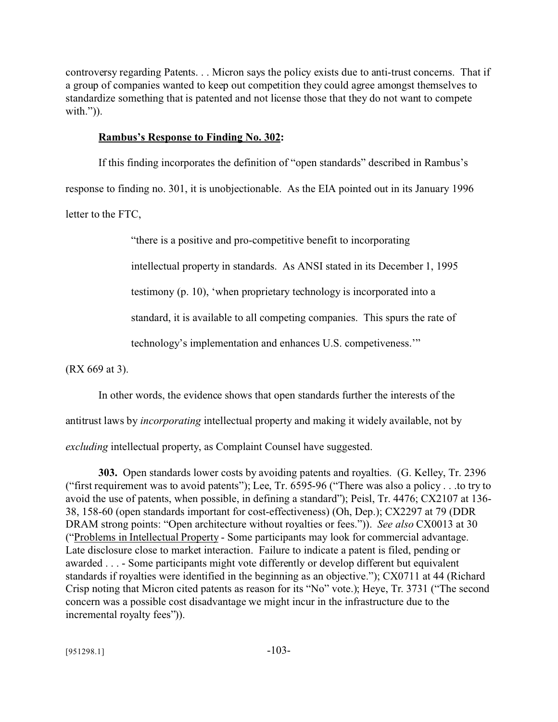controversy regarding Patents. . . Micron says the policy exists due to anti-trust concerns. That if a group of companies wanted to keep out competition they could agree amongst themselves to standardize something that is patented and not license those that they do not want to compete with.")).

#### **Rambus's Response to Finding No. 302:**

If this finding incorporates the definition of "open standards" described in Rambus's

response to finding no. 301, it is unobjectionable. As the EIA pointed out in its January 1996

letter to the FTC,

"there is a positive and pro-competitive benefit to incorporating

intellectual property in standards. As ANSI stated in its December 1, 1995

testimony (p. 10), 'when proprietary technology is incorporated into a

standard, it is available to all competing companies. This spurs the rate of

technology's implementation and enhances U.S. competiveness.'"

(RX 669 at 3).

In other words, the evidence shows that open standards further the interests of the

antitrust laws by *incorporating* intellectual property and making it widely available, not by

*excluding* intellectual property, as Complaint Counsel have suggested.

**303.** Open standards lower costs by avoiding patents and royalties. (G. Kelley, Tr. 2396 ("first requirement was to avoid patents"); Lee, Tr. 6595-96 ("There was also a policy . . .to try to avoid the use of patents, when possible, in defining a standard"); Peisl, Tr. 4476; CX2107 at 136- 38, 158-60 (open standards important for cost-effectiveness) (Oh, Dep.); CX2297 at 79 (DDR DRAM strong points: "Open architecture without royalties or fees.")). *See also* CX0013 at 30 ("Problems in Intellectual Property - Some participants may look for commercial advantage. Late disclosure close to market interaction. Failure to indicate a patent is filed, pending or awarded . . . - Some participants might vote differently or develop different but equivalent standards if royalties were identified in the beginning as an objective."); CX0711 at 44 (Richard Crisp noting that Micron cited patents as reason for its "No" vote.); Heye, Tr. 3731 ("The second concern was a possible cost disadvantage we might incur in the infrastructure due to the incremental royalty fees")).

 $[951298.1]$  -103-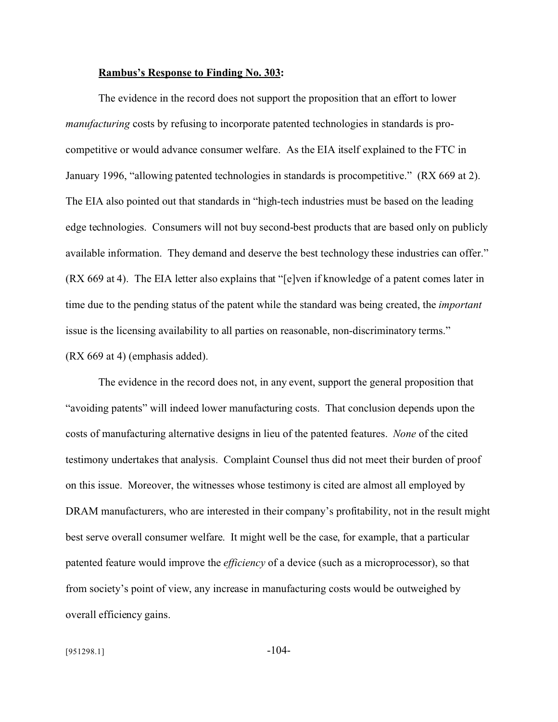#### **Rambus's Response to Finding No. 303:**

The evidence in the record does not support the proposition that an effort to lower *manufacturing* costs by refusing to incorporate patented technologies in standards is procompetitive or would advance consumer welfare. As the EIA itself explained to the FTC in January 1996, "allowing patented technologies in standards is procompetitive." (RX 669 at 2). The EIA also pointed out that standards in "high-tech industries must be based on the leading edge technologies. Consumers will not buy second-best products that are based only on publicly available information. They demand and deserve the best technology these industries can offer." (RX 669 at 4). The EIA letter also explains that "[e]ven if knowledge of a patent comes later in time due to the pending status of the patent while the standard was being created, the *important* issue is the licensing availability to all parties on reasonable, non-discriminatory terms." (RX 669 at 4) (emphasis added).

The evidence in the record does not, in any event, support the general proposition that "avoiding patents" will indeed lower manufacturing costs. That conclusion depends upon the costs of manufacturing alternative designs in lieu of the patented features. *None* of the cited testimony undertakes that analysis. Complaint Counsel thus did not meet their burden of proof on this issue. Moreover, the witnesses whose testimony is cited are almost all employed by DRAM manufacturers, who are interested in their company's profitability, not in the result might best serve overall consumer welfare. It might well be the case, for example, that a particular patented feature would improve the *efficiency* of a device (such as a microprocessor), so that from society's point of view, any increase in manufacturing costs would be outweighed by overall efficiency gains.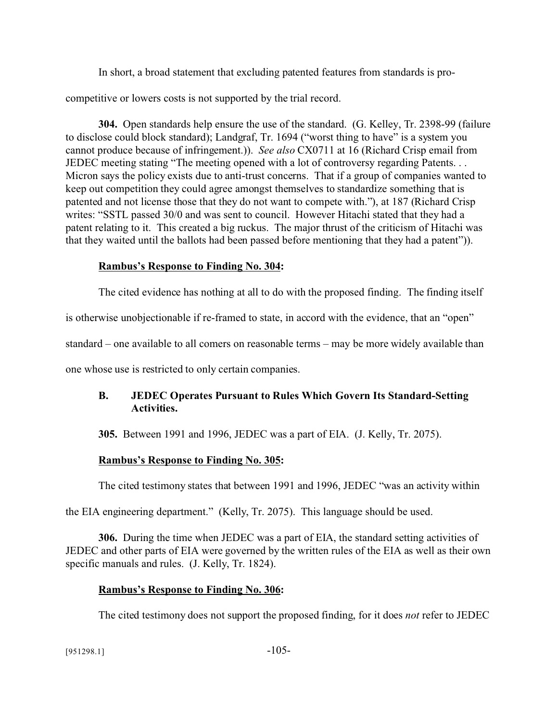In short, a broad statement that excluding patented features from standards is pro-

competitive or lowers costs is not supported by the trial record.

**304.** Open standards help ensure the use of the standard. (G. Kelley, Tr. 2398-99 (failure to disclose could block standard); Landgraf, Tr. 1694 ("worst thing to have" is a system you cannot produce because of infringement.)). *See also* CX0711 at 16 (Richard Crisp email from JEDEC meeting stating "The meeting opened with a lot of controversy regarding Patents. . . Micron says the policy exists due to anti-trust concerns. That if a group of companies wanted to keep out competition they could agree amongst themselves to standardize something that is patented and not license those that they do not want to compete with."), at 187 (Richard Crisp writes: "SSTL passed 30/0 and was sent to council. However Hitachi stated that they had a patent relating to it. This created a big ruckus. The major thrust of the criticism of Hitachi was that they waited until the ballots had been passed before mentioning that they had a patent")).

## **Rambus's Response to Finding No. 304:**

The cited evidence has nothing at all to do with the proposed finding. The finding itself

is otherwise unobjectionable if re-framed to state, in accord with the evidence, that an "open"

standard – one available to all comers on reasonable terms – may be more widely available than

one whose use is restricted to only certain companies.

## **B. JEDEC Operates Pursuant to Rules Which Govern Its Standard-Setting Activities.**

**305.** Between 1991 and 1996, JEDEC was a part of EIA. (J. Kelly, Tr. 2075).

# **Rambus's Response to Finding No. 305:**

The cited testimony states that between 1991 and 1996, JEDEC "was an activity within

the EIA engineering department." (Kelly, Tr. 2075). This language should be used.

**306.** During the time when JEDEC was a part of EIA, the standard setting activities of JEDEC and other parts of EIA were governed by the written rules of the EIA as well as their own specific manuals and rules. (J. Kelly, Tr. 1824).

# **Rambus's Response to Finding No. 306:**

The cited testimony does not support the proposed finding, for it does *not* refer to JEDEC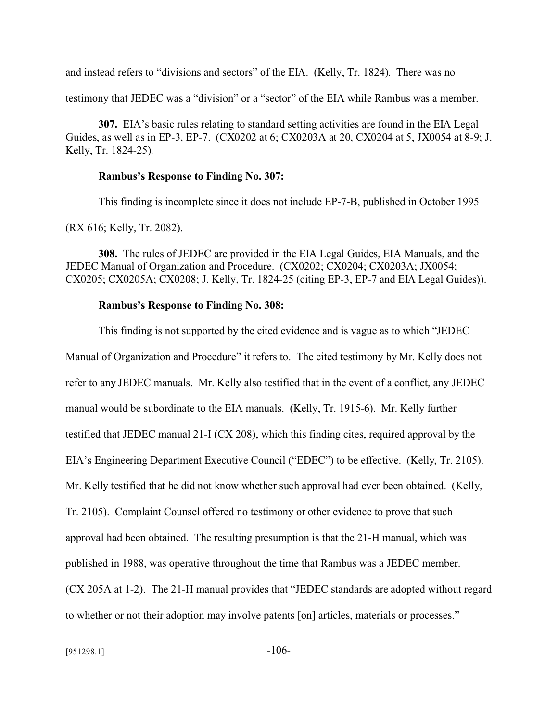and instead refers to "divisions and sectors" of the EIA. (Kelly, Tr. 1824). There was no

testimony that JEDEC was a "division" or a "sector" of the EIA while Rambus was a member.

**307.** EIA's basic rules relating to standard setting activities are found in the EIA Legal Guides, as well as in EP-3, EP-7. (CX0202 at 6; CX0203A at 20, CX0204 at 5, JX0054 at 8-9; J. Kelly, Tr. 1824-25).

#### **Rambus's Response to Finding No. 307:**

This finding is incomplete since it does not include EP-7-B, published in October 1995

(RX 616; Kelly, Tr. 2082).

**308.** The rules of JEDEC are provided in the EIA Legal Guides, EIA Manuals, and the JEDEC Manual of Organization and Procedure. (CX0202; CX0204; CX0203A; JX0054; CX0205; CX0205A; CX0208; J. Kelly, Tr. 1824-25 (citing EP-3, EP-7 and EIA Legal Guides)).

#### **Rambus's Response to Finding No. 308:**

This finding is not supported by the cited evidence and is vague as to which "JEDEC Manual of Organization and Procedure" it refers to. The cited testimony by Mr. Kelly does not refer to any JEDEC manuals. Mr. Kelly also testified that in the event of a conflict, any JEDEC manual would be subordinate to the EIA manuals. (Kelly, Tr. 1915-6). Mr. Kelly further testified that JEDEC manual 21-I (CX 208), which this finding cites, required approval by the EIA's Engineering Department Executive Council ("EDEC") to be effective. (Kelly, Tr. 2105). Mr. Kelly testified that he did not know whether such approval had ever been obtained. (Kelly, Tr. 2105). Complaint Counsel offered no testimony or other evidence to prove that such approval had been obtained. The resulting presumption is that the 21-H manual, which was published in 1988, was operative throughout the time that Rambus was a JEDEC member. (CX 205A at 1-2). The 21-H manual provides that "JEDEC standards are adopted without regard to whether or not their adoption may involve patents [on] articles, materials or processes."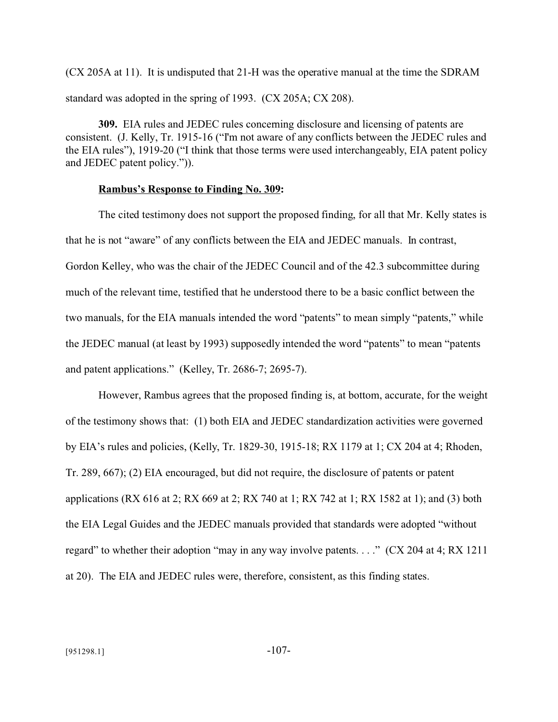(CX 205A at 11). It is undisputed that 21-H was the operative manual at the time the SDRAM standard was adopted in the spring of 1993. (CX 205A; CX 208).

**309.** EIA rules and JEDEC rules concerning disclosure and licensing of patents are consistent. (J. Kelly, Tr. 1915-16 ("I'm not aware of any conflicts between the JEDEC rules and the EIA rules"), 1919-20 ("I think that those terms were used interchangeably, EIA patent policy and JEDEC patent policy.")).

#### **Rambus's Response to Finding No. 309:**

The cited testimony does not support the proposed finding, for all that Mr. Kelly states is that he is not "aware" of any conflicts between the EIA and JEDEC manuals. In contrast, Gordon Kelley, who was the chair of the JEDEC Council and of the 42.3 subcommittee during much of the relevant time, testified that he understood there to be a basic conflict between the two manuals, for the EIA manuals intended the word "patents" to mean simply "patents," while the JEDEC manual (at least by 1993) supposedly intended the word "patents" to mean "patents and patent applications." (Kelley, Tr. 2686-7; 2695-7).

However, Rambus agrees that the proposed finding is, at bottom, accurate, for the weight of the testimony shows that: (1) both EIA and JEDEC standardization activities were governed by EIA's rules and policies, (Kelly, Tr. 1829-30, 1915-18; RX 1179 at 1; CX 204 at 4; Rhoden, Tr. 289, 667); (2) EIA encouraged, but did not require, the disclosure of patents or patent applications (RX 616 at 2; RX 669 at 2; RX 740 at 1; RX 742 at 1; RX 1582 at 1); and (3) both the EIA Legal Guides and the JEDEC manuals provided that standards were adopted "without regard" to whether their adoption "may in any way involve patents. . . ." (CX 204 at 4; RX 1211 at 20). The EIA and JEDEC rules were, therefore, consistent, as this finding states.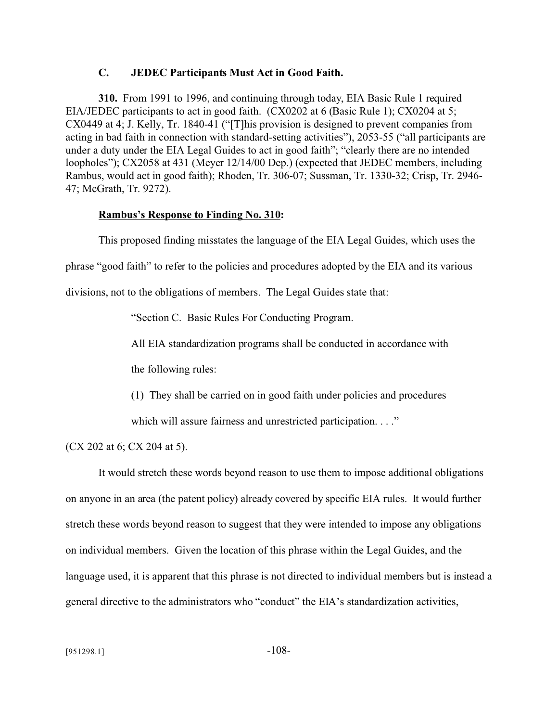### **C. JEDEC Participants Must Act in Good Faith.**

**310.** From 1991 to 1996, and continuing through today, EIA Basic Rule 1 required EIA/JEDEC participants to act in good faith. (CX0202 at 6 (Basic Rule 1); CX0204 at 5; CX0449 at 4; J. Kelly, Tr. 1840-41 ("[T]his provision is designed to prevent companies from acting in bad faith in connection with standard-setting activities"), 2053-55 ("all participants are under a duty under the EIA Legal Guides to act in good faith"; "clearly there are no intended loopholes"); CX2058 at 431 (Meyer 12/14/00 Dep.) (expected that JEDEC members, including Rambus, would act in good faith); Rhoden, Tr. 306-07; Sussman, Tr. 1330-32; Crisp, Tr. 2946- 47; McGrath, Tr. 9272).

#### **Rambus's Response to Finding No. 310:**

This proposed finding misstates the language of the EIA Legal Guides, which uses the

phrase "good faith" to refer to the policies and procedures adopted by the EIA and its various

divisions, not to the obligations of members. The Legal Guides state that:

"Section C. Basic Rules For Conducting Program.

All EIA standardization programs shall be conducted in accordance with

the following rules:

(1) They shall be carried on in good faith under policies and procedures

which will assure fairness and unrestricted participation. . . ."

(CX 202 at 6; CX 204 at 5).

It would stretch these words beyond reason to use them to impose additional obligations on anyone in an area (the patent policy) already covered by specific EIA rules. It would further stretch these words beyond reason to suggest that they were intended to impose any obligations on individual members. Given the location of this phrase within the Legal Guides, and the language used, it is apparent that this phrase is not directed to individual members but is instead a general directive to the administrators who "conduct" the EIA's standardization activities,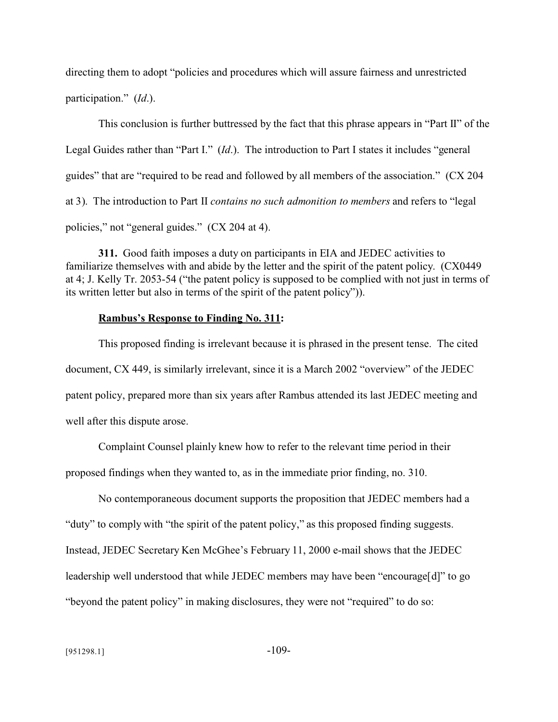directing them to adopt "policies and procedures which will assure fairness and unrestricted participation." (*Id*.).

This conclusion is further buttressed by the fact that this phrase appears in "Part II" of the Legal Guides rather than "Part I." (*Id*.). The introduction to Part I states it includes "general guides" that are "required to be read and followed by all members of the association." (CX 204 at 3). The introduction to Part II *contains no such admonition to members* and refers to "legal policies," not "general guides." (CX 204 at 4).

**311.** Good faith imposes a duty on participants in EIA and JEDEC activities to familiarize themselves with and abide by the letter and the spirit of the patent policy. (CX0449 at 4; J. Kelly Tr. 2053-54 ("the patent policy is supposed to be complied with not just in terms of its written letter but also in terms of the spirit of the patent policy")).

#### **Rambus's Response to Finding No. 311:**

This proposed finding is irrelevant because it is phrased in the present tense. The cited document, CX 449, is similarly irrelevant, since it is a March 2002 "overview" of the JEDEC patent policy, prepared more than six years after Rambus attended its last JEDEC meeting and well after this dispute arose.

Complaint Counsel plainly knew how to refer to the relevant time period in their proposed findings when they wanted to, as in the immediate prior finding, no. 310.

No contemporaneous document supports the proposition that JEDEC members had a "duty" to comply with "the spirit of the patent policy," as this proposed finding suggests. Instead, JEDEC Secretary Ken McGhee's February 11, 2000 e-mail shows that the JEDEC leadership well understood that while JEDEC members may have been "encourage[d]" to go "beyond the patent policy" in making disclosures, they were not "required" to do so: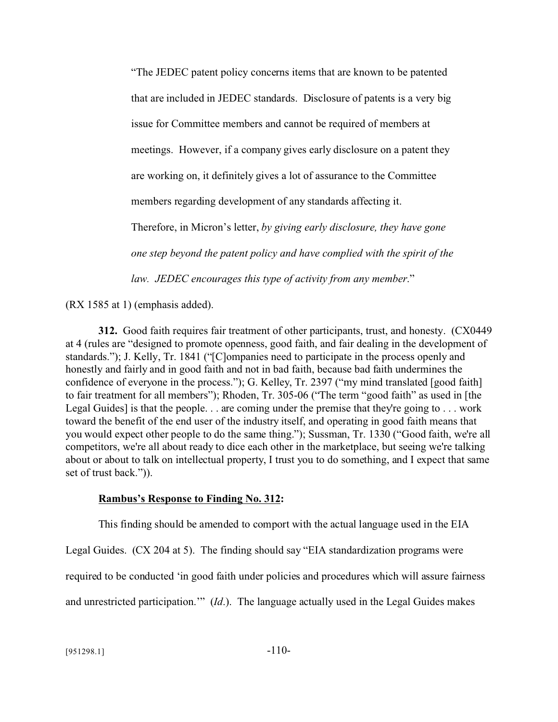"The JEDEC patent policy concerns items that are known to be patented that are included in JEDEC standards. Disclosure of patents is a very big issue for Committee members and cannot be required of members at meetings. However, if a company gives early disclosure on a patent they are working on, it definitely gives a lot of assurance to the Committee members regarding development of any standards affecting it. Therefore, in Micron's letter, *by giving early disclosure, they have gone one step beyond the patent policy and have complied with the spirit of the law. JEDEC encourages this type of activity from any member*."

(RX 1585 at 1) (emphasis added).

**312.** Good faith requires fair treatment of other participants, trust, and honesty. (CX0449 at 4 (rules are "designed to promote openness, good faith, and fair dealing in the development of standards."); J. Kelly, Tr. 1841 ("[C]ompanies need to participate in the process openly and honestly and fairly and in good faith and not in bad faith, because bad faith undermines the confidence of everyone in the process."); G. Kelley, Tr. 2397 ("my mind translated [good faith] to fair treatment for all members"); Rhoden, Tr. 305-06 ("The term "good faith" as used in [the Legal Guides] is that the people. . . are coming under the premise that they're going to . . . work toward the benefit of the end user of the industry itself, and operating in good faith means that you would expect other people to do the same thing."); Sussman, Tr. 1330 ("Good faith, we're all competitors, we're all about ready to dice each other in the marketplace, but seeing we're talking about or about to talk on intellectual property, I trust you to do something, and I expect that same set of trust back.")).

### **Rambus's Response to Finding No. 312:**

This finding should be amended to comport with the actual language used in the EIA

Legal Guides. (CX 204 at 5). The finding should say "EIA standardization programs were

required to be conducted 'in good faith under policies and procedures which will assure fairness

and unrestricted participation.'" (*Id*.). The language actually used in the Legal Guides makes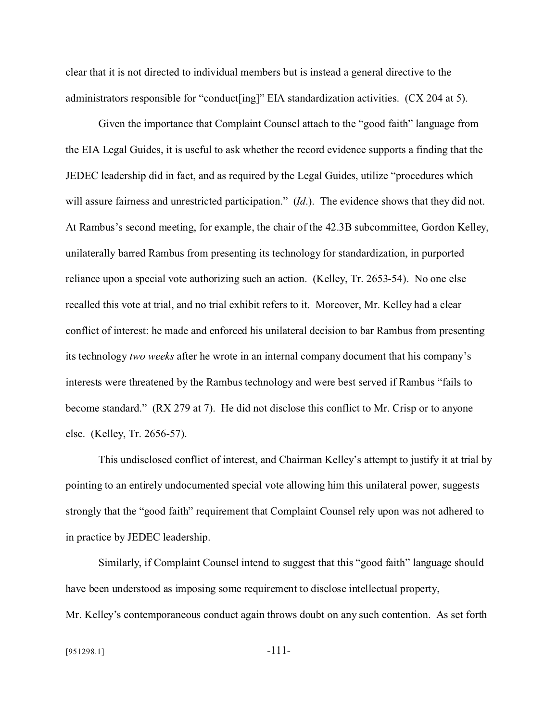clear that it is not directed to individual members but is instead a general directive to the administrators responsible for "conduct[ing]" EIA standardization activities. (CX 204 at 5).

Given the importance that Complaint Counsel attach to the "good faith" language from the EIA Legal Guides, it is useful to ask whether the record evidence supports a finding that the JEDEC leadership did in fact, and as required by the Legal Guides, utilize "procedures which will assure fairness and unrestricted participation." (*Id*.). The evidence shows that they did not. At Rambus's second meeting, for example, the chair of the 42.3B subcommittee, Gordon Kelley, unilaterally barred Rambus from presenting its technology for standardization, in purported reliance upon a special vote authorizing such an action. (Kelley, Tr. 2653-54). No one else recalled this vote at trial, and no trial exhibit refers to it. Moreover, Mr. Kelley had a clear conflict of interest: he made and enforced his unilateral decision to bar Rambus from presenting its technology *two weeks* after he wrote in an internal company document that his company's interests were threatened by the Rambus technology and were best served if Rambus "fails to become standard." (RX 279 at 7). He did not disclose this conflict to Mr. Crisp or to anyone else. (Kelley, Tr. 2656-57).

This undisclosed conflict of interest, and Chairman Kelley's attempt to justify it at trial by pointing to an entirely undocumented special vote allowing him this unilateral power, suggests strongly that the "good faith" requirement that Complaint Counsel rely upon was not adhered to in practice by JEDEC leadership.

Similarly, if Complaint Counsel intend to suggest that this "good faith" language should have been understood as imposing some requirement to disclose intellectual property, Mr. Kelley's contemporaneous conduct again throws doubt on any such contention. As set forth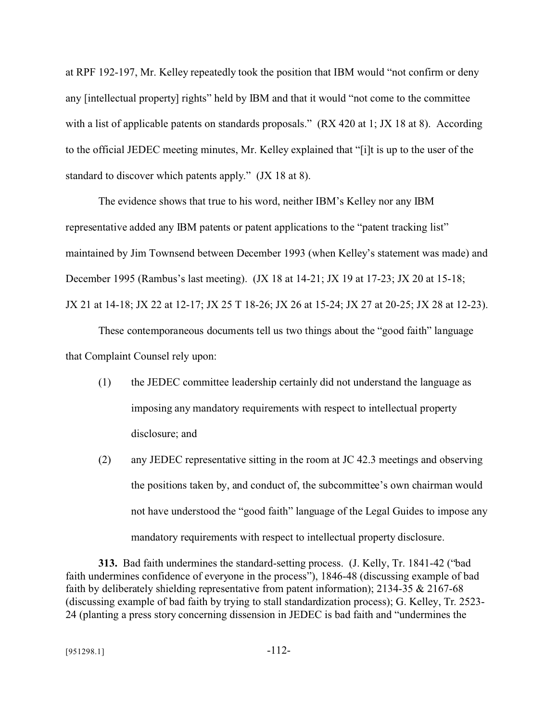at RPF 192-197, Mr. Kelley repeatedly took the position that IBM would "not confirm or deny any [intellectual property] rights" held by IBM and that it would "not come to the committee with a list of applicable patents on standards proposals." (RX 420 at 1; JX 18 at 8). According to the official JEDEC meeting minutes, Mr. Kelley explained that "[i]t is up to the user of the standard to discover which patents apply." (JX 18 at 8).

The evidence shows that true to his word, neither IBM's Kelley nor any IBM representative added any IBM patents or patent applications to the "patent tracking list" maintained by Jim Townsend between December 1993 (when Kelley's statement was made) and December 1995 (Rambus's last meeting). (JX 18 at 14-21; JX 19 at 17-23; JX 20 at 15-18; JX 21 at 14-18; JX 22 at 12-17; JX 25 T 18-26; JX 26 at 15-24; JX 27 at 20-25; JX 28 at 12-23).

These contemporaneous documents tell us two things about the "good faith" language that Complaint Counsel rely upon:

- (1) the JEDEC committee leadership certainly did not understand the language as imposing any mandatory requirements with respect to intellectual property disclosure; and
- (2) any JEDEC representative sitting in the room at JC 42.3 meetings and observing the positions taken by, and conduct of, the subcommittee's own chairman would not have understood the "good faith" language of the Legal Guides to impose any mandatory requirements with respect to intellectual property disclosure.

**313.** Bad faith undermines the standard-setting process. (J. Kelly, Tr. 1841-42 ("bad faith undermines confidence of everyone in the process"), 1846-48 (discussing example of bad faith by deliberately shielding representative from patent information); 2134-35 & 2167-68 (discussing example of bad faith by trying to stall standardization process); G. Kelley, Tr. 2523- 24 (planting a press story concerning dissension in JEDEC is bad faith and "undermines the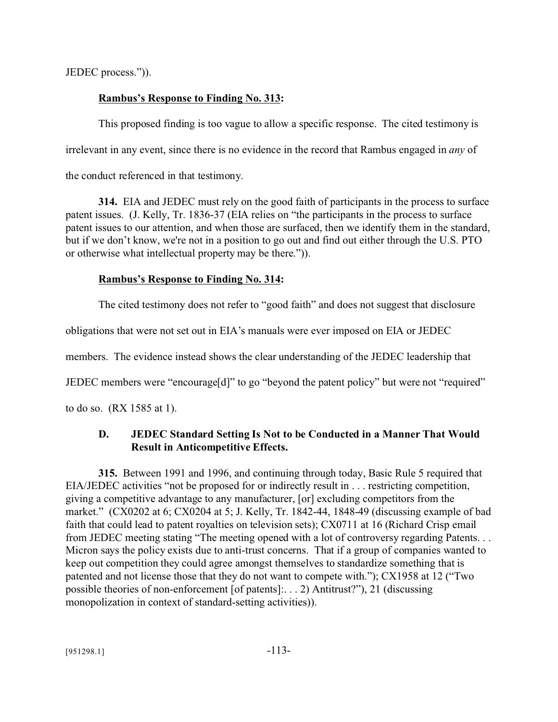JEDEC process.")).

## **Rambus's Response to Finding No. 313:**

This proposed finding is too vague to allow a specific response. The cited testimony is irrelevant in any event, since there is no evidence in the record that Rambus engaged in *any* of the conduct referenced in that testimony.

**314.** EIA and JEDEC must rely on the good faith of participants in the process to surface patent issues. (J. Kelly, Tr. 1836-37 (EIA relies on "the participants in the process to surface patent issues to our attention, and when those are surfaced, then we identify them in the standard, but if we don't know, we're not in a position to go out and find out either through the U.S. PTO or otherwise what intellectual property may be there.")).

## **Rambus's Response to Finding No. 314:**

The cited testimony does not refer to "good faith" and does not suggest that disclosure

obligations that were not set out in EIA's manuals were ever imposed on EIA or JEDEC

members. The evidence instead shows the clear understanding of the JEDEC leadership that

JEDEC members were "encourage[d]" to go "beyond the patent policy" but were not "required"

to do so. (RX 1585 at 1).

## **D. JEDEC Standard Setting Is Not to be Conducted in a Manner That Would Result in Anticompetitive Effects.**

**315.** Between 1991 and 1996, and continuing through today, Basic Rule 5 required that EIA/JEDEC activities "not be proposed for or indirectly result in . . . restricting competition, giving a competitive advantage to any manufacturer, [or] excluding competitors from the market." (CX0202 at 6; CX0204 at 5; J. Kelly, Tr. 1842-44, 1848-49 (discussing example of bad faith that could lead to patent royalties on television sets); CX0711 at 16 (Richard Crisp email from JEDEC meeting stating "The meeting opened with a lot of controversy regarding Patents. . . Micron says the policy exists due to anti-trust concerns. That if a group of companies wanted to keep out competition they could agree amongst themselves to standardize something that is patented and not license those that they do not want to compete with."); CX1958 at 12 ("Two possible theories of non-enforcement [of patents]:. . . 2) Antitrust?"), 21 (discussing monopolization in context of standard-setting activities)).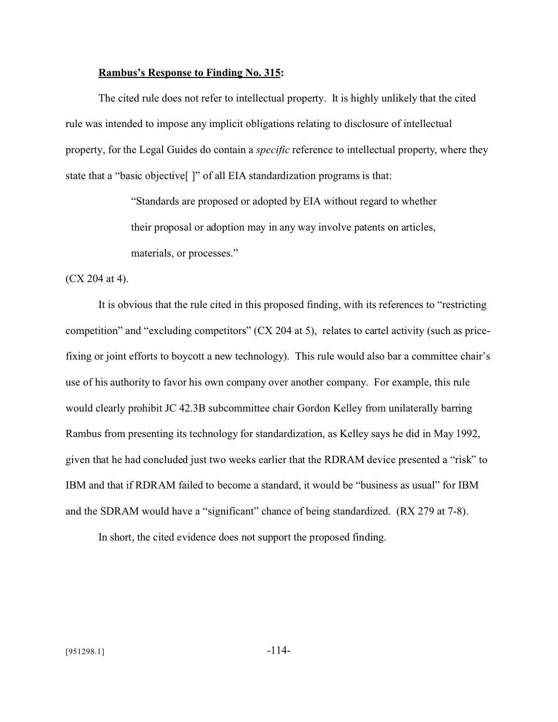#### **Rambus's Response to Finding No. 315:**

The cited rule does not refer to intellectual property. It is highly unlikely that the cited rule was intended to impose any implicit obligations relating to disclosure of intellectual property, for the Legal Guides do contain a *specific* reference to intellectual property, where they state that a "basic objective[ ]" of all EIA standardization programs is that:

> "Standards are proposed or adopted by EIA without regard to whether their proposal or adoption may in any way involve patents on articles, materials, or processes."

(CX 204 at 4).

It is obvious that the rule cited in this proposed finding, with its references to "restricting competition" and "excluding competitors" (CX 204 at 5), relates to cartel activity (such as pricefixing or joint efforts to boycott a new technology). This rule would also bar a committee chair's use of his authority to favor his own company over another company. For example, this rule would clearly prohibit JC 42.3B subcommittee chair Gordon Kelley from unilaterally barring Rambus from presenting its technology for standardization, as Kelley says he did in May 1992, given that he had concluded just two weeks earlier that the RDRAM device presented a "risk" to IBM and that if RDRAM failed to become a standard, it would be "business as usual" for IBM and the SDRAM would have a "significant" chance of being standardized. (RX 279 at 7-8).

In short, the cited evidence does not support the proposed finding.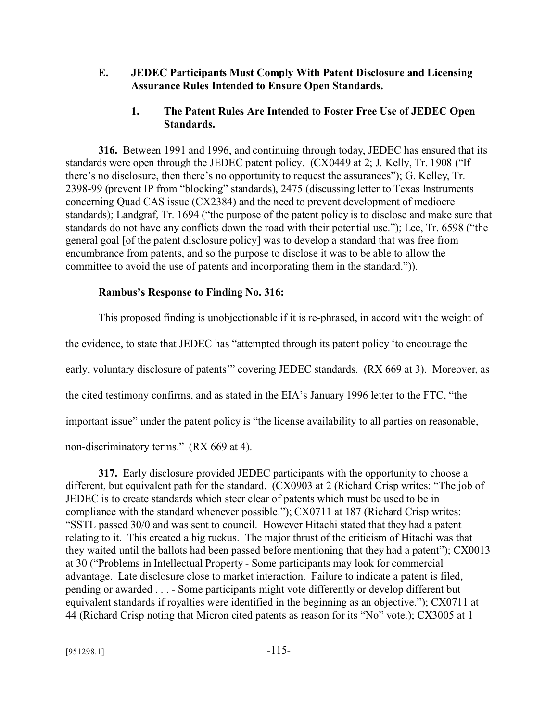### **E. JEDEC Participants Must Comply With Patent Disclosure and Licensing Assurance Rules Intended to Ensure Open Standards.**

### **1. The Patent Rules Are Intended to Foster Free Use of JEDEC Open Standards.**

**316.** Between 1991 and 1996, and continuing through today, JEDEC has ensured that its standards were open through the JEDEC patent policy. (CX0449 at 2; J. Kelly, Tr. 1908 ("If there's no disclosure, then there's no opportunity to request the assurances"); G. Kelley, Tr. 2398-99 (prevent IP from "blocking" standards), 2475 (discussing letter to Texas Instruments concerning Quad CAS issue (CX2384) and the need to prevent development of mediocre standards); Landgraf, Tr. 1694 ("the purpose of the patent policy is to disclose and make sure that standards do not have any conflicts down the road with their potential use."); Lee, Tr. 6598 ("the general goal [of the patent disclosure policy] was to develop a standard that was free from encumbrance from patents, and so the purpose to disclose it was to be able to allow the committee to avoid the use of patents and incorporating them in the standard.")).

### **Rambus's Response to Finding No. 316:**

This proposed finding is unobjectionable if it is re-phrased, in accord with the weight of the evidence, to state that JEDEC has "attempted through its patent policy 'to encourage the early, voluntary disclosure of patents'" covering JEDEC standards. (RX 669 at 3). Moreover, as the cited testimony confirms, and as stated in the EIA's January 1996 letter to the FTC, "the important issue" under the patent policy is "the license availability to all parties on reasonable, non-discriminatory terms." (RX 669 at 4).

**317.** Early disclosure provided JEDEC participants with the opportunity to choose a different, but equivalent path for the standard. (CX0903 at 2 (Richard Crisp writes: "The job of JEDEC is to create standards which steer clear of patents which must be used to be in compliance with the standard whenever possible."); CX0711 at 187 (Richard Crisp writes: "SSTL passed 30/0 and was sent to council. However Hitachi stated that they had a patent relating to it. This created a big ruckus. The major thrust of the criticism of Hitachi was that they waited until the ballots had been passed before mentioning that they had a patent"); CX0013 at 30 ("Problems in Intellectual Property - Some participants may look for commercial advantage. Late disclosure close to market interaction. Failure to indicate a patent is filed, pending or awarded . . . - Some participants might vote differently or develop different but equivalent standards if royalties were identified in the beginning as an objective."); CX0711 at 44 (Richard Crisp noting that Micron cited patents as reason for its "No" vote.); CX3005 at 1

 $[951298.1]$  -115-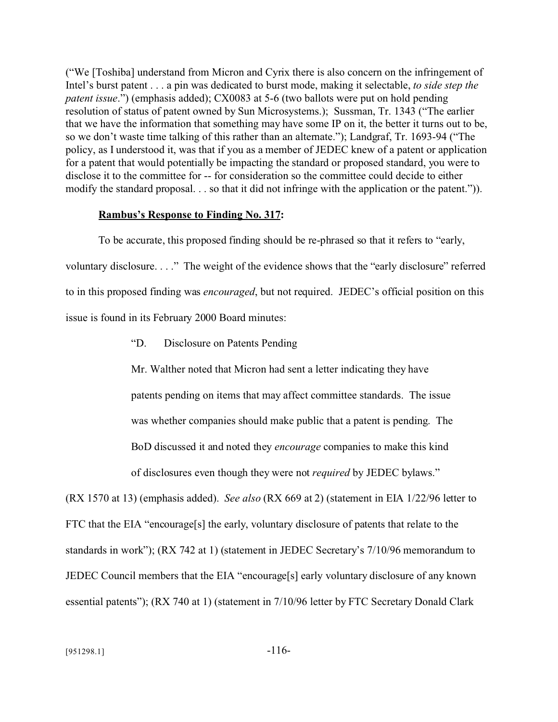("We [Toshiba] understand from Micron and Cyrix there is also concern on the infringement of Intel's burst patent . . . a pin was dedicated to burst mode, making it selectable, *to side step the patent issue*.") (emphasis added); CX0083 at 5-6 (two ballots were put on hold pending resolution of status of patent owned by Sun Microsystems.); Sussman, Tr. 1343 ("The earlier that we have the information that something may have some IP on it, the better it turns out to be, so we don't waste time talking of this rather than an alternate."); Landgraf, Tr. 1693-94 ("The policy, as I understood it, was that if you as a member of JEDEC knew of a patent or application for a patent that would potentially be impacting the standard or proposed standard, you were to disclose it to the committee for -- for consideration so the committee could decide to either modify the standard proposal. . . so that it did not infringe with the application or the patent.")).

#### **Rambus's Response to Finding No. 317:**

To be accurate, this proposed finding should be re-phrased so that it refers to "early, voluntary disclosure. . . ." The weight of the evidence shows that the "early disclosure" referred to in this proposed finding was *encouraged*, but not required. JEDEC's official position on this issue is found in its February 2000 Board minutes:

"D. Disclosure on Patents Pending

Mr. Walther noted that Micron had sent a letter indicating they have patents pending on items that may affect committee standards. The issue was whether companies should make public that a patent is pending. The BoD discussed it and noted they *encourage* companies to make this kind of disclosures even though they were not *required* by JEDEC bylaws."

(RX 1570 at 13) (emphasis added). *See also* (RX 669 at 2) (statement in EIA 1/22/96 letter to FTC that the EIA "encourage[s] the early, voluntary disclosure of patents that relate to the standards in work"); (RX 742 at 1) (statement in JEDEC Secretary's 7/10/96 memorandum to JEDEC Council members that the EIA "encourage[s] early voluntary disclosure of any known essential patents"); (RX 740 at 1) (statement in 7/10/96 letter by FTC Secretary Donald Clark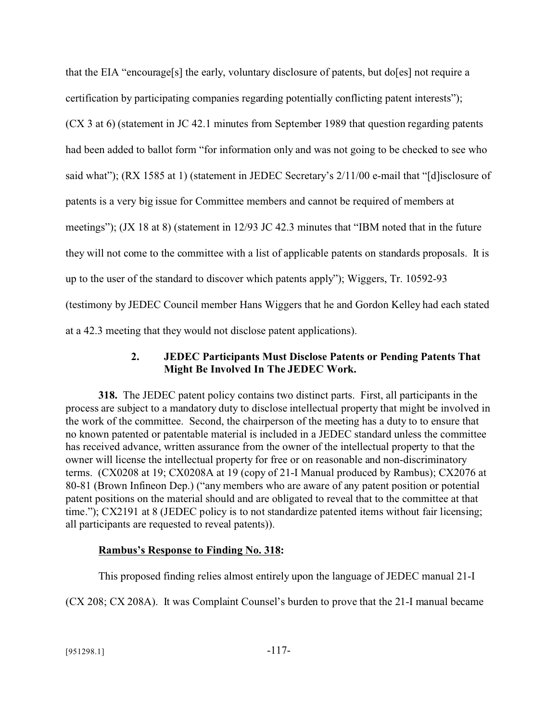that the EIA "encourage[s] the early, voluntary disclosure of patents, but do[es] not require a certification by participating companies regarding potentially conflicting patent interests"); (CX 3 at 6) (statement in JC 42.1 minutes from September 1989 that question regarding patents had been added to ballot form "for information only and was not going to be checked to see who said what"); (RX 1585 at 1) (statement in JEDEC Secretary's  $2/11/00$  e-mail that "[d] isclosure of patents is a very big issue for Committee members and cannot be required of members at meetings"); (JX 18 at 8) (statement in 12/93 JC 42.3 minutes that "IBM noted that in the future they will not come to the committee with a list of applicable patents on standards proposals. It is up to the user of the standard to discover which patents apply"); Wiggers, Tr. 10592-93 (testimony by JEDEC Council member Hans Wiggers that he and Gordon Kelley had each stated at a 42.3 meeting that they would not disclose patent applications).

## **2. JEDEC Participants Must Disclose Patents or Pending Patents That Might Be Involved In The JEDEC Work.**

**318.** The JEDEC patent policy contains two distinct parts. First, all participants in the process are subject to a mandatory duty to disclose intellectual property that might be involved in the work of the committee. Second, the chairperson of the meeting has a duty to to ensure that no known patented or patentable material is included in a JEDEC standard unless the committee has received advance, written assurance from the owner of the intellectual property to that the owner will license the intellectual property for free or on reasonable and non-discriminatory terms. (CX0208 at 19; CX0208A at 19 (copy of 21-I Manual produced by Rambus); CX2076 at 80-81 (Brown Infineon Dep.) ("any members who are aware of any patent position or potential patent positions on the material should and are obligated to reveal that to the committee at that time."); CX2191 at 8 (JEDEC policy is to not standardize patented items without fair licensing; all participants are requested to reveal patents)).

## **Rambus's Response to Finding No. 318:**

This proposed finding relies almost entirely upon the language of JEDEC manual 21-I

(CX 208; CX 208A). It was Complaint Counsel's burden to prove that the 21-I manual became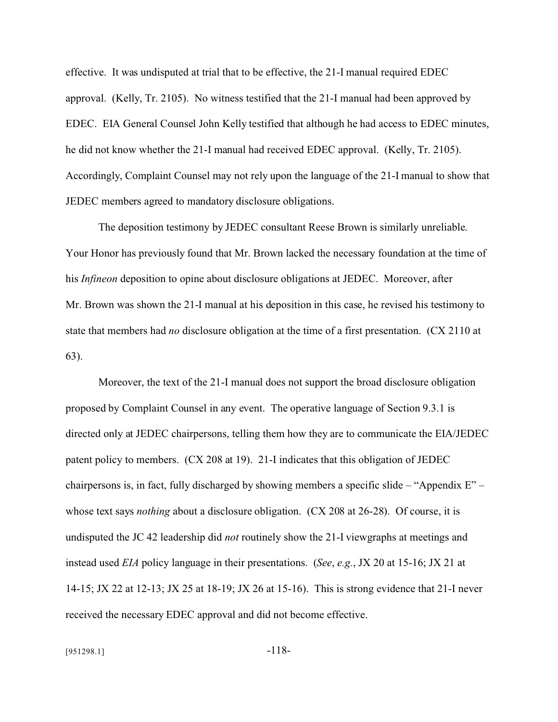effective. It was undisputed at trial that to be effective, the 21-I manual required EDEC approval. (Kelly, Tr. 2105). No witness testified that the 21-I manual had been approved by EDEC. EIA General Counsel John Kelly testified that although he had access to EDEC minutes, he did not know whether the 21-I manual had received EDEC approval. (Kelly, Tr. 2105). Accordingly, Complaint Counsel may not rely upon the language of the 21-I manual to show that JEDEC members agreed to mandatory disclosure obligations.

The deposition testimony by JEDEC consultant Reese Brown is similarly unreliable. Your Honor has previously found that Mr. Brown lacked the necessary foundation at the time of his *Infineon* deposition to opine about disclosure obligations at JEDEC. Moreover, after Mr. Brown was shown the 21-I manual at his deposition in this case, he revised his testimony to state that members had *no* disclosure obligation at the time of a first presentation. (CX 2110 at 63).

Moreover, the text of the 21-I manual does not support the broad disclosure obligation proposed by Complaint Counsel in any event. The operative language of Section 9.3.1 is directed only at JEDEC chairpersons, telling them how they are to communicate the EIA/JEDEC patent policy to members. (CX 208 at 19). 21-I indicates that this obligation of JEDEC chairpersons is, in fact, fully discharged by showing members a specific slide – "Appendix E" – whose text says *nothing* about a disclosure obligation. (CX 208 at 26-28). Of course, it is undisputed the JC 42 leadership did *not* routinely show the 21-I viewgraphs at meetings and instead used *EIA* policy language in their presentations. (*See*, *e.g.*, JX 20 at 15-16; JX 21 at 14-15; JX 22 at 12-13; JX 25 at 18-19; JX 26 at 15-16). This is strong evidence that 21-I never received the necessary EDEC approval and did not become effective.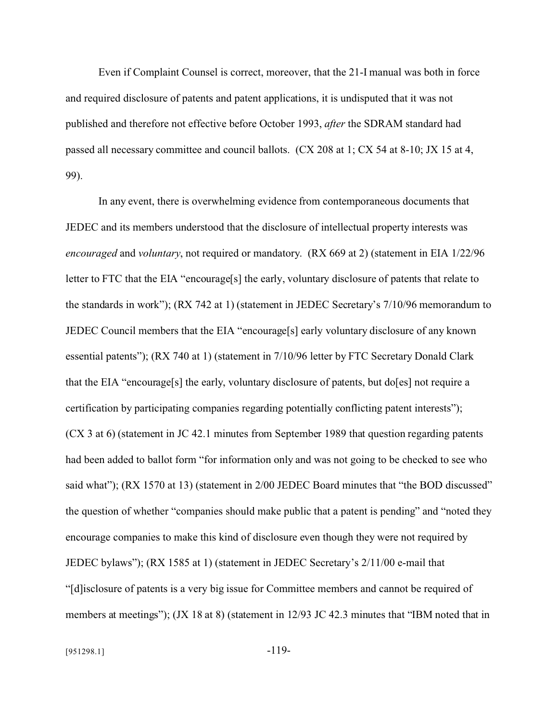Even if Complaint Counsel is correct, moreover, that the 21-I manual was both in force and required disclosure of patents and patent applications, it is undisputed that it was not published and therefore not effective before October 1993, *after* the SDRAM standard had passed all necessary committee and council ballots. (CX 208 at 1; CX 54 at 8-10; JX 15 at 4, 99).

In any event, there is overwhelming evidence from contemporaneous documents that JEDEC and its members understood that the disclosure of intellectual property interests was *encouraged* and *voluntary*, not required or mandatory. (RX 669 at 2) (statement in EIA 1/22/96 letter to FTC that the EIA "encourage[s] the early, voluntary disclosure of patents that relate to the standards in work"); (RX 742 at 1) (statement in JEDEC Secretary's 7/10/96 memorandum to JEDEC Council members that the EIA "encourage[s] early voluntary disclosure of any known essential patents"); (RX 740 at 1) (statement in 7/10/96 letter by FTC Secretary Donald Clark that the EIA "encourage[s] the early, voluntary disclosure of patents, but do[es] not require a certification by participating companies regarding potentially conflicting patent interests"); (CX 3 at 6) (statement in JC 42.1 minutes from September 1989 that question regarding patents had been added to ballot form "for information only and was not going to be checked to see who said what"); (RX 1570 at 13) (statement in 2/00 JEDEC Board minutes that "the BOD discussed" the question of whether "companies should make public that a patent is pending" and "noted they encourage companies to make this kind of disclosure even though they were not required by JEDEC bylaws"); (RX 1585 at 1) (statement in JEDEC Secretary's 2/11/00 e-mail that "[d]isclosure of patents is a very big issue for Committee members and cannot be required of members at meetings"); (JX 18 at 8) (statement in 12/93 JC 42.3 minutes that "IBM noted that in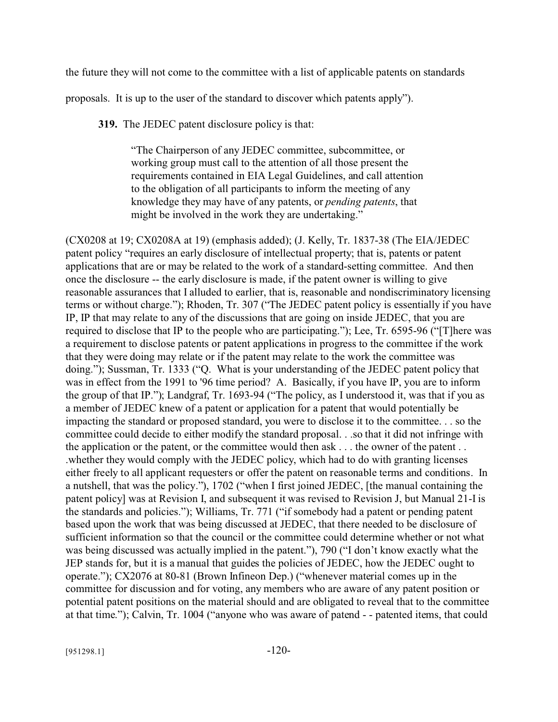the future they will not come to the committee with a list of applicable patents on standards

proposals. It is up to the user of the standard to discover which patents apply").

**319.** The JEDEC patent disclosure policy is that:

"The Chairperson of any JEDEC committee, subcommittee, or working group must call to the attention of all those present the requirements contained in EIA Legal Guidelines, and call attention to the obligation of all participants to inform the meeting of any knowledge they may have of any patents, or *pending patents*, that might be involved in the work they are undertaking."

(CX0208 at 19; CX0208A at 19) (emphasis added); (J. Kelly, Tr. 1837-38 (The EIA/JEDEC patent policy "requires an early disclosure of intellectual property; that is, patents or patent applications that are or may be related to the work of a standard-setting committee. And then once the disclosure -- the early disclosure is made, if the patent owner is willing to give reasonable assurances that I alluded to earlier, that is, reasonable and nondiscriminatory licensing terms or without charge."); Rhoden, Tr. 307 ("The JEDEC patent policy is essentially if you have IP, IP that may relate to any of the discussions that are going on inside JEDEC, that you are required to disclose that IP to the people who are participating."); Lee, Tr. 6595-96 ("[T]here was a requirement to disclose patents or patent applications in progress to the committee if the work that they were doing may relate or if the patent may relate to the work the committee was doing."); Sussman, Tr. 1333 ("Q. What is your understanding of the JEDEC patent policy that was in effect from the 1991 to '96 time period? A. Basically, if you have IP, you are to inform the group of that IP."); Landgraf, Tr. 1693-94 ("The policy, as I understood it, was that if you as a member of JEDEC knew of a patent or application for a patent that would potentially be impacting the standard or proposed standard, you were to disclose it to the committee. . . so the committee could decide to either modify the standard proposal. . .so that it did not infringe with the application or the patent, or the committee would then ask . . . the owner of the patent . . .whether they would comply with the JEDEC policy, which had to do with granting licenses either freely to all applicant requesters or offer the patent on reasonable terms and conditions. In a nutshell, that was the policy."), 1702 ("when I first joined JEDEC, [the manual containing the patent policy] was at Revision I, and subsequent it was revised to Revision J, but Manual 21-I is the standards and policies."); Williams, Tr. 771 ("if somebody had a patent or pending patent based upon the work that was being discussed at JEDEC, that there needed to be disclosure of sufficient information so that the council or the committee could determine whether or not what was being discussed was actually implied in the patent."), 790 ("I don't know exactly what the JEP stands for, but it is a manual that guides the policies of JEDEC, how the JEDEC ought to operate."); CX2076 at 80-81 (Brown Infineon Dep.) ("whenever material comes up in the committee for discussion and for voting, any members who are aware of any patent position or potential patent positions on the material should and are obligated to reveal that to the committee at that time."); Calvin, Tr. 1004 ("anyone who was aware of patend - - patented items, that could

 $[951298.1]$  -120-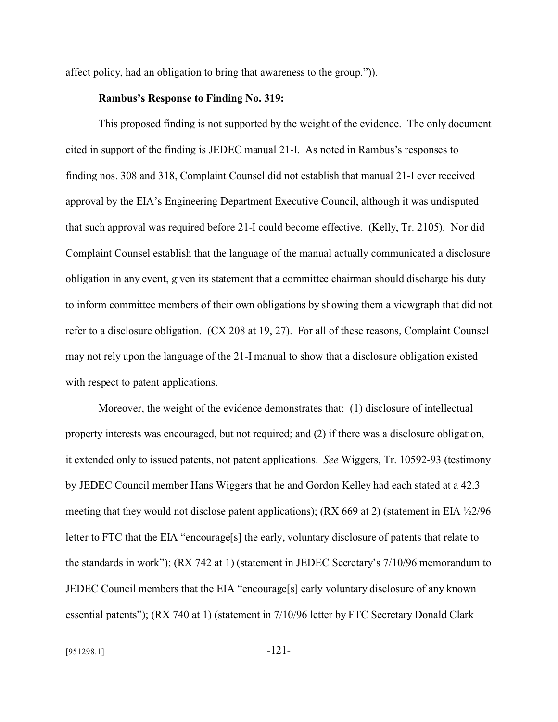affect policy, had an obligation to bring that awareness to the group.")).

#### **Rambus's Response to Finding No. 319:**

This proposed finding is not supported by the weight of the evidence. The only document cited in support of the finding is JEDEC manual 21-I. As noted in Rambus's responses to finding nos. 308 and 318, Complaint Counsel did not establish that manual 21-I ever received approval by the EIA's Engineering Department Executive Council, although it was undisputed that such approval was required before 21-I could become effective. (Kelly, Tr. 2105). Nor did Complaint Counsel establish that the language of the manual actually communicated a disclosure obligation in any event, given its statement that a committee chairman should discharge his duty to inform committee members of their own obligations by showing them a viewgraph that did not refer to a disclosure obligation. (CX 208 at 19, 27). For all of these reasons, Complaint Counsel may not rely upon the language of the 21-I manual to show that a disclosure obligation existed with respect to patent applications.

Moreover, the weight of the evidence demonstrates that: (1) disclosure of intellectual property interests was encouraged, but not required; and (2) if there was a disclosure obligation, it extended only to issued patents, not patent applications. *See* Wiggers, Tr. 10592-93 (testimony by JEDEC Council member Hans Wiggers that he and Gordon Kelley had each stated at a 42.3 meeting that they would not disclose patent applications); (RX 669 at 2) (statement in EIA  $\frac{1}{2}$ /96 letter to FTC that the EIA "encourage[s] the early, voluntary disclosure of patents that relate to the standards in work"); (RX 742 at 1) (statement in JEDEC Secretary's 7/10/96 memorandum to JEDEC Council members that the EIA "encourage[s] early voluntary disclosure of any known essential patents"); (RX 740 at 1) (statement in 7/10/96 letter by FTC Secretary Donald Clark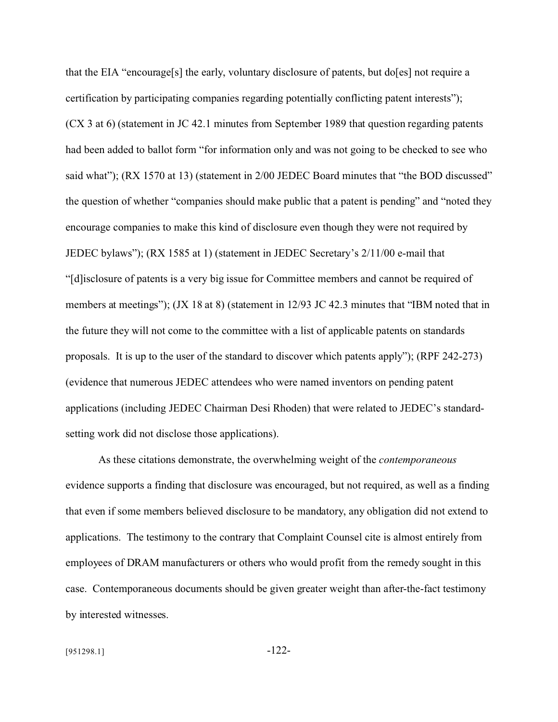that the EIA "encourage[s] the early, voluntary disclosure of patents, but do[es] not require a certification by participating companies regarding potentially conflicting patent interests"); (CX 3 at 6) (statement in JC 42.1 minutes from September 1989 that question regarding patents had been added to ballot form "for information only and was not going to be checked to see who said what"); (RX 1570 at 13) (statement in 2/00 JEDEC Board minutes that "the BOD discussed" the question of whether "companies should make public that a patent is pending" and "noted they encourage companies to make this kind of disclosure even though they were not required by JEDEC bylaws"); (RX 1585 at 1) (statement in JEDEC Secretary's 2/11/00 e-mail that "[d]isclosure of patents is a very big issue for Committee members and cannot be required of members at meetings"); (JX 18 at 8) (statement in 12/93 JC 42.3 minutes that "IBM noted that in the future they will not come to the committee with a list of applicable patents on standards proposals. It is up to the user of the standard to discover which patents apply"); (RPF 242-273) (evidence that numerous JEDEC attendees who were named inventors on pending patent applications (including JEDEC Chairman Desi Rhoden) that were related to JEDEC's standardsetting work did not disclose those applications).

As these citations demonstrate, the overwhelming weight of the *contemporaneous* evidence supports a finding that disclosure was encouraged, but not required, as well as a finding that even if some members believed disclosure to be mandatory, any obligation did not extend to applications. The testimony to the contrary that Complaint Counsel cite is almost entirely from employees of DRAM manufacturers or others who would profit from the remedy sought in this case. Contemporaneous documents should be given greater weight than after-the-fact testimony by interested witnesses.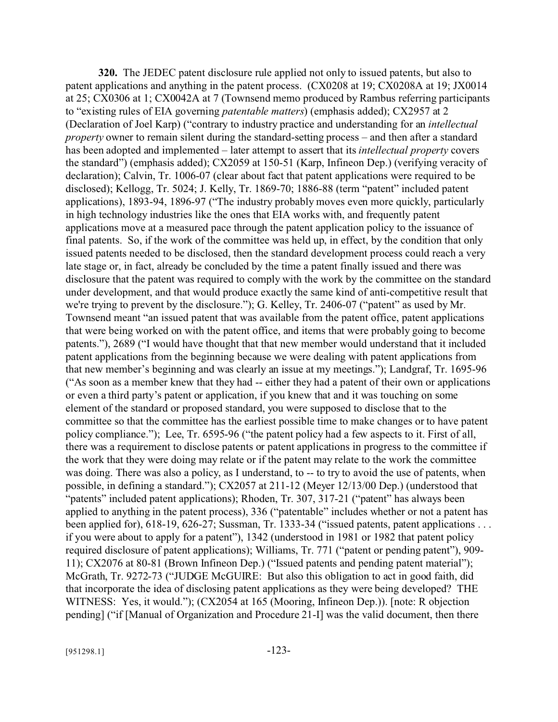**320.** The JEDEC patent disclosure rule applied not only to issued patents, but also to patent applications and anything in the patent process. (CX0208 at 19; CX0208A at 19; JX0014 at 25; CX0306 at 1; CX0042A at 7 (Townsend memo produced by Rambus referring participants to "existing rules of EIA governing *patentable matters*) (emphasis added); CX2957 at 2 (Declaration of Joel Karp) ("contrary to industry practice and understanding for an *intellectual property* owner to remain silent during the standard-setting process – and then after a standard has been adopted and implemented – later attempt to assert that its *intellectual property* covers the standard") (emphasis added); CX2059 at 150-51 (Karp, Infineon Dep.) (verifying veracity of declaration); Calvin, Tr. 1006-07 (clear about fact that patent applications were required to be disclosed); Kellogg, Tr. 5024; J. Kelly, Tr. 1869-70; 1886-88 (term "patent" included patent applications), 1893-94, 1896-97 ("The industry probably moves even more quickly, particularly in high technology industries like the ones that EIA works with, and frequently patent applications move at a measured pace through the patent application policy to the issuance of final patents. So, if the work of the committee was held up, in effect, by the condition that only issued patents needed to be disclosed, then the standard development process could reach a very late stage or, in fact, already be concluded by the time a patent finally issued and there was disclosure that the patent was required to comply with the work by the committee on the standard under development, and that would produce exactly the same kind of anti-competitive result that we're trying to prevent by the disclosure."); G. Kelley, Tr. 2406-07 ("patent" as used by Mr. Townsend meant "an issued patent that was available from the patent office, patent applications that were being worked on with the patent office, and items that were probably going to become patents."), 2689 ("I would have thought that that new member would understand that it included patent applications from the beginning because we were dealing with patent applications from that new member's beginning and was clearly an issue at my meetings."); Landgraf, Tr. 1695-96 ("As soon as a member knew that they had -- either they had a patent of their own or applications or even a third party's patent or application, if you knew that and it was touching on some element of the standard or proposed standard, you were supposed to disclose that to the committee so that the committee has the earliest possible time to make changes or to have patent policy compliance."); Lee, Tr. 6595-96 ("the patent policy had a few aspects to it. First of all, there was a requirement to disclose patents or patent applications in progress to the committee if the work that they were doing may relate or if the patent may relate to the work the committee was doing. There was also a policy, as I understand, to -- to try to avoid the use of patents, when possible, in defining a standard."); CX2057 at 211-12 (Meyer 12/13/00 Dep.) (understood that "patents" included patent applications); Rhoden, Tr. 307, 317-21 ("patent" has always been applied to anything in the patent process), 336 ("patentable" includes whether or not a patent has been applied for), 618-19, 626-27; Sussman, Tr. 1333-34 ("issued patents, patent applications . . . if you were about to apply for a patent"), 1342 (understood in 1981 or 1982 that patent policy required disclosure of patent applications); Williams, Tr. 771 ("patent or pending patent"), 909- 11); CX2076 at 80-81 (Brown Infineon Dep.) ("Issued patents and pending patent material"); McGrath, Tr. 9272-73 ("JUDGE McGUIRE: But also this obligation to act in good faith, did that incorporate the idea of disclosing patent applications as they were being developed? THE WITNESS: Yes, it would."); (CX2054 at 165 (Mooring, Infineon Dep.)). [note: R objection pending] ("if [Manual of Organization and Procedure 21-I] was the valid document, then there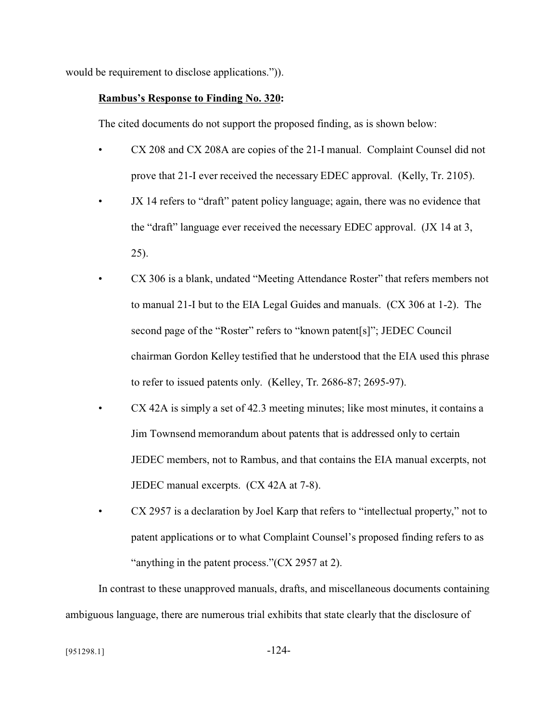would be requirement to disclose applications.")).

### **Rambus's Response to Finding No. 320:**

The cited documents do not support the proposed finding, as is shown below:

- CX 208 and CX 208A are copies of the 21-I manual. Complaint Counsel did not prove that 21-I ever received the necessary EDEC approval. (Kelly, Tr. 2105).
- JX 14 refers to "draft" patent policy language; again, there was no evidence that the "draft" language ever received the necessary EDEC approval. (JX 14 at 3, 25).
- CX 306 is a blank, undated "Meeting Attendance Roster" that refers members not to manual 21-I but to the EIA Legal Guides and manuals. (CX 306 at 1-2). The second page of the "Roster" refers to "known patent[s]"; JEDEC Council chairman Gordon Kelley testified that he understood that the EIA used this phrase to refer to issued patents only. (Kelley, Tr. 2686-87; 2695-97).
- CX 42A is simply a set of 42.3 meeting minutes; like most minutes, it contains a Jim Townsend memorandum about patents that is addressed only to certain JEDEC members, not to Rambus, and that contains the EIA manual excerpts, not JEDEC manual excerpts. (CX 42A at 7-8).
- CX 2957 is a declaration by Joel Karp that refers to "intellectual property," not to patent applications or to what Complaint Counsel's proposed finding refers to as "anything in the patent process."(CX 2957 at 2).

In contrast to these unapproved manuals, drafts, and miscellaneous documents containing ambiguous language, there are numerous trial exhibits that state clearly that the disclosure of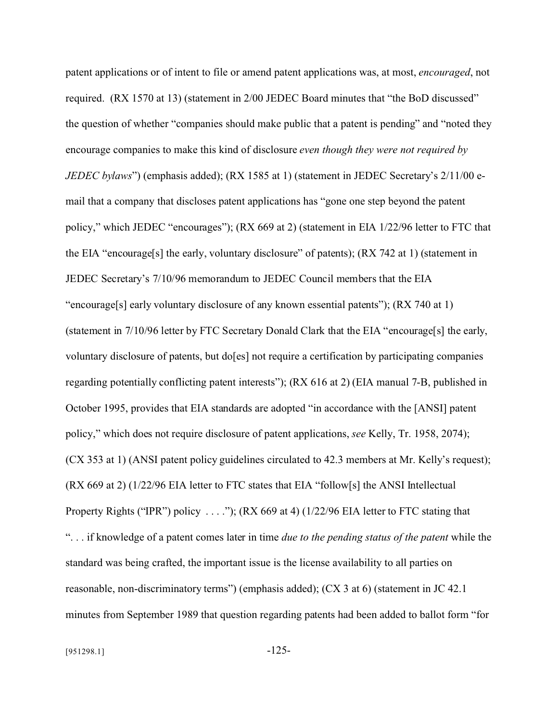patent applications or of intent to file or amend patent applications was, at most, *encouraged*, not required. (RX 1570 at 13) (statement in 2/00 JEDEC Board minutes that "the BoD discussed" the question of whether "companies should make public that a patent is pending" and "noted they encourage companies to make this kind of disclosure *even though they were not required by JEDEC bylaws*") (emphasis added); (RX 1585 at 1) (statement in JEDEC Secretary's 2/11/00 email that a company that discloses patent applications has "gone one step beyond the patent policy," which JEDEC "encourages"); (RX 669 at 2) (statement in EIA 1/22/96 letter to FTC that the EIA "encourage[s] the early, voluntary disclosure" of patents); (RX 742 at 1) (statement in JEDEC Secretary's 7/10/96 memorandum to JEDEC Council members that the EIA "encourage[s] early voluntary disclosure of any known essential patents"); (RX 740 at 1) (statement in 7/10/96 letter by FTC Secretary Donald Clark that the EIA "encourage[s] the early, voluntary disclosure of patents, but do[es] not require a certification by participating companies regarding potentially conflicting patent interests"); (RX 616 at 2) (EIA manual 7-B, published in October 1995, provides that EIA standards are adopted "in accordance with the [ANSI] patent policy," which does not require disclosure of patent applications, *see* Kelly, Tr. 1958, 2074); (CX 353 at 1) (ANSI patent policy guidelines circulated to 42.3 members at Mr. Kelly's request);  $(RX 669$  at 2)  $(1/22/96$  EIA letter to FTC states that EIA "follow[s] the ANSI Intellectual Property Rights ("IPR") policy  $\dots$ "); (RX 669 at 4) (1/22/96 EIA letter to FTC stating that ". . . if knowledge of a patent comes later in time *due to the pending status of the patent* while the standard was being crafted, the important issue is the license availability to all parties on reasonable, non-discriminatory terms") (emphasis added); (CX 3 at 6) (statement in JC 42.1 minutes from September 1989 that question regarding patents had been added to ballot form "for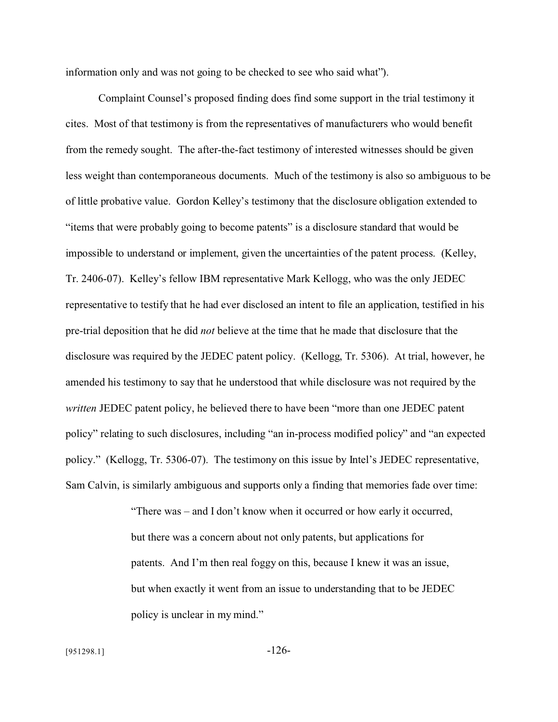information only and was not going to be checked to see who said what").

Complaint Counsel's proposed finding does find some support in the trial testimony it cites. Most of that testimony is from the representatives of manufacturers who would benefit from the remedy sought. The after-the-fact testimony of interested witnesses should be given less weight than contemporaneous documents. Much of the testimony is also so ambiguous to be of little probative value. Gordon Kelley's testimony that the disclosure obligation extended to "items that were probably going to become patents" is a disclosure standard that would be impossible to understand or implement, given the uncertainties of the patent process. (Kelley, Tr. 2406-07). Kelley's fellow IBM representative Mark Kellogg, who was the only JEDEC representative to testify that he had ever disclosed an intent to file an application, testified in his pre-trial deposition that he did *not* believe at the time that he made that disclosure that the disclosure was required by the JEDEC patent policy. (Kellogg, Tr. 5306). At trial, however, he amended his testimony to say that he understood that while disclosure was not required by the *written* JEDEC patent policy, he believed there to have been "more than one JEDEC patent policy" relating to such disclosures, including "an in-process modified policy" and "an expected policy." (Kellogg, Tr. 5306-07). The testimony on this issue by Intel's JEDEC representative, Sam Calvin, is similarly ambiguous and supports only a finding that memories fade over time:

> "There was – and I don't know when it occurred or how early it occurred, but there was a concern about not only patents, but applications for patents. And I'm then real foggy on this, because I knew it was an issue, but when exactly it went from an issue to understanding that to be JEDEC policy is unclear in my mind."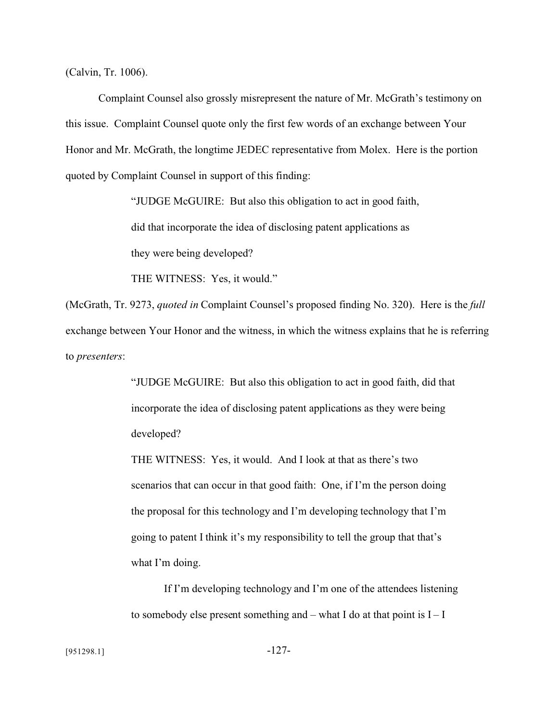(Calvin, Tr. 1006).

Complaint Counsel also grossly misrepresent the nature of Mr. McGrath's testimony on this issue. Complaint Counsel quote only the first few words of an exchange between Your Honor and Mr. McGrath, the longtime JEDEC representative from Molex. Here is the portion quoted by Complaint Counsel in support of this finding:

> "JUDGE McGUIRE: But also this obligation to act in good faith, did that incorporate the idea of disclosing patent applications as they were being developed?

THE WITNESS: Yes, it would."

(McGrath, Tr. 9273, *quoted in* Complaint Counsel's proposed finding No. 320). Here is the *full* exchange between Your Honor and the witness, in which the witness explains that he is referring to *presenters*:

> "JUDGE McGUIRE: But also this obligation to act in good faith, did that incorporate the idea of disclosing patent applications as they were being developed?

THE WITNESS: Yes, it would. And I look at that as there's two scenarios that can occur in that good faith: One, if I'm the person doing the proposal for this technology and I'm developing technology that I'm going to patent I think it's my responsibility to tell the group that that's what I'm doing.

If I'm developing technology and I'm one of the attendees listening to somebody else present something and – what I do at that point is  $I - I$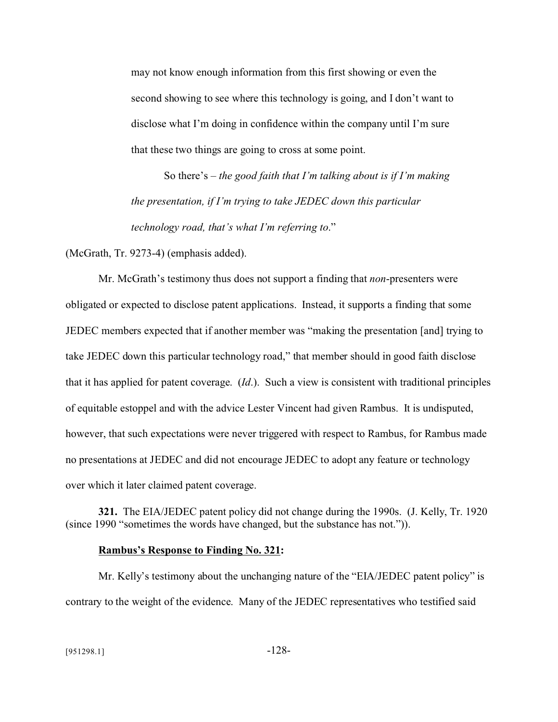may not know enough information from this first showing or even the second showing to see where this technology is going, and I don't want to disclose what I'm doing in confidence within the company until I'm sure that these two things are going to cross at some point.

So there's – *the good faith that I'm talking about is if I'm making the presentation, if I'm trying to take JEDEC down this particular technology road, that's what I'm referring to*."

(McGrath, Tr. 9273-4) (emphasis added).

Mr. McGrath's testimony thus does not support a finding that *non*-presenters were obligated or expected to disclose patent applications. Instead, it supports a finding that some JEDEC members expected that if another member was "making the presentation [and] trying to take JEDEC down this particular technology road," that member should in good faith disclose that it has applied for patent coverage. (*Id*.). Such a view is consistent with traditional principles of equitable estoppel and with the advice Lester Vincent had given Rambus. It is undisputed, however, that such expectations were never triggered with respect to Rambus, for Rambus made no presentations at JEDEC and did not encourage JEDEC to adopt any feature or technology over which it later claimed patent coverage.

**321.** The EIA/JEDEC patent policy did not change during the 1990s. (J. Kelly, Tr. 1920 (since 1990 "sometimes the words have changed, but the substance has not.")).

#### **Rambus's Response to Finding No. 321:**

Mr. Kelly's testimony about the unchanging nature of the "EIA/JEDEC patent policy" is contrary to the weight of the evidence. Many of the JEDEC representatives who testified said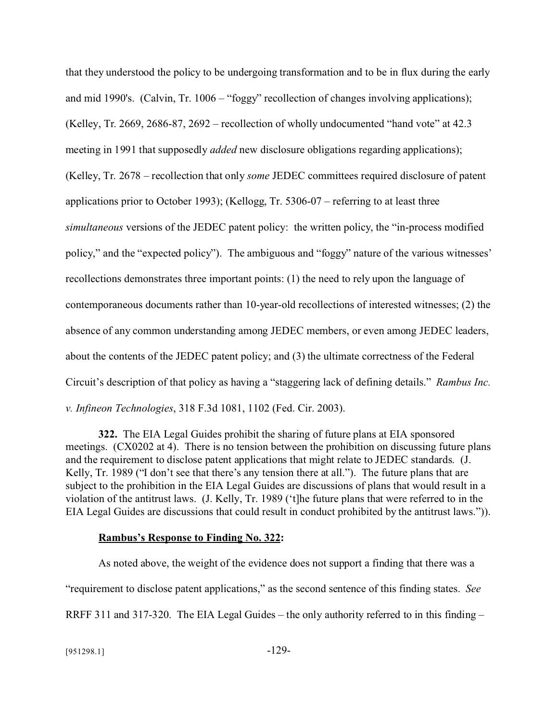that they understood the policy to be undergoing transformation and to be in flux during the early and mid 1990's. (Calvin, Tr. 1006 – "foggy" recollection of changes involving applications); (Kelley, Tr. 2669, 2686-87, 2692 – recollection of wholly undocumented "hand vote" at 42.3 meeting in 1991 that supposedly *added* new disclosure obligations regarding applications); (Kelley, Tr. 2678 – recollection that only *some* JEDEC committees required disclosure of patent applications prior to October 1993); (Kellogg, Tr. 5306-07 – referring to at least three *simultaneous* versions of the JEDEC patent policy: the written policy, the "in-process modified policy," and the "expected policy"). The ambiguous and "foggy" nature of the various witnesses' recollections demonstrates three important points: (1) the need to rely upon the language of contemporaneous documents rather than 10-year-old recollections of interested witnesses; (2) the absence of any common understanding among JEDEC members, or even among JEDEC leaders, about the contents of the JEDEC patent policy; and (3) the ultimate correctness of the Federal Circuit's description of that policy as having a "staggering lack of defining details." *Rambus Inc. v. Infineon Technologies*, 318 F.3d 1081, 1102 (Fed. Cir. 2003).

**322.** The EIA Legal Guides prohibit the sharing of future plans at EIA sponsored meetings. (CX0202 at 4). There is no tension between the prohibition on discussing future plans and the requirement to disclose patent applications that might relate to JEDEC standards. (J. Kelly, Tr. 1989 ("I don't see that there's any tension there at all."). The future plans that are subject to the prohibition in the EIA Legal Guides are discussions of plans that would result in a violation of the antitrust laws. (J. Kelly, Tr. 1989 ('t]he future plans that were referred to in the EIA Legal Guides are discussions that could result in conduct prohibited by the antitrust laws.")).

#### **Rambus's Response to Finding No. 322:**

As noted above, the weight of the evidence does not support a finding that there was a "requirement to disclose patent applications," as the second sentence of this finding states. *See* RRFF 311 and 317-320. The EIA Legal Guides – the only authority referred to in this finding –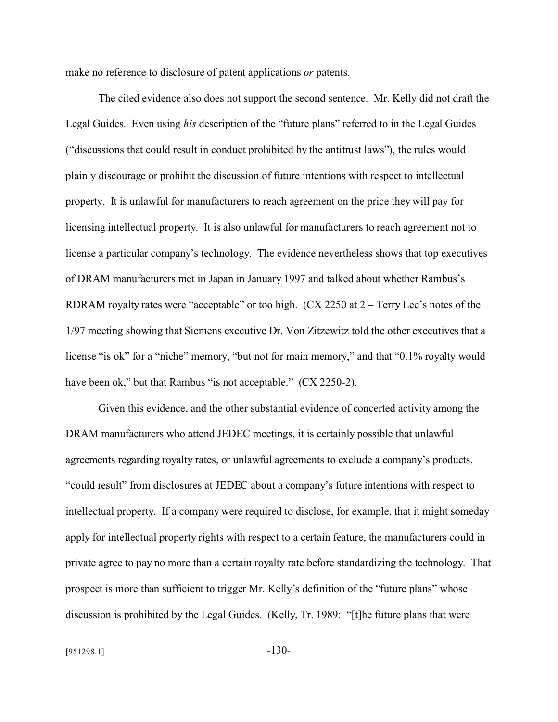make no reference to disclosure of patent applications *or* patents.

The cited evidence also does not support the second sentence. Mr. Kelly did not draft the Legal Guides. Even using *his* description of the "future plans" referred to in the Legal Guides ("discussions that could result in conduct prohibited by the antitrust laws"), the rules would plainly discourage or prohibit the discussion of future intentions with respect to intellectual property. It is unlawful for manufacturers to reach agreement on the price they will pay for licensing intellectual property. It is also unlawful for manufacturers to reach agreement not to license a particular company's technology. The evidence nevertheless shows that top executives of DRAM manufacturers met in Japan in January 1997 and talked about whether Rambus's RDRAM royalty rates were "acceptable" or too high. (CX 2250 at 2 – Terry Lee's notes of the 1/97 meeting showing that Siemens executive Dr. Von Zitzewitz told the other executives that a license "is ok" for a "niche" memory, "but not for main memory," and that "0.1% royalty would have been ok," but that Rambus "is not acceptable." (CX 2250-2).

Given this evidence, and the other substantial evidence of concerted activity among the DRAM manufacturers who attend JEDEC meetings, it is certainly possible that unlawful agreements regarding royalty rates, or unlawful agreements to exclude a company's products, "could result" from disclosures at JEDEC about a company's future intentions with respect to intellectual property. If a company were required to disclose, for example, that it might someday apply for intellectual property rights with respect to a certain feature, the manufacturers could in private agree to pay no more than a certain royalty rate before standardizing the technology. That prospect is more than sufficient to trigger Mr. Kelly's definition of the "future plans" whose discussion is prohibited by the Legal Guides. (Kelly, Tr. 1989: "[t]he future plans that were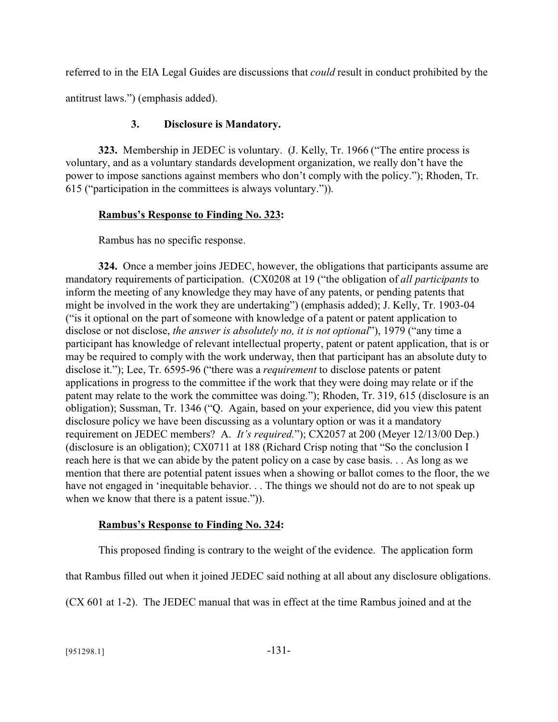referred to in the EIA Legal Guides are discussions that *could* result in conduct prohibited by the

antitrust laws.") (emphasis added).

# **3. Disclosure is Mandatory.**

**323.** Membership in JEDEC is voluntary. (J. Kelly, Tr. 1966 ("The entire process is voluntary, and as a voluntary standards development organization, we really don't have the power to impose sanctions against members who don't comply with the policy."); Rhoden, Tr. 615 ("participation in the committees is always voluntary.")).

# **Rambus's Response to Finding No. 323:**

Rambus has no specific response.

**324.** Once a member joins JEDEC, however, the obligations that participants assume are mandatory requirements of participation. (CX0208 at 19 ("the obligation of *all participants* to inform the meeting of any knowledge they may have of any patents, or pending patents that might be involved in the work they are undertaking") (emphasis added); J. Kelly, Tr. 1903-04 ("is it optional on the part of someone with knowledge of a patent or patent application to disclose or not disclose, *the answer is absolutely no, it is not optional*"), 1979 ("any time a participant has knowledge of relevant intellectual property, patent or patent application, that is or may be required to comply with the work underway, then that participant has an absolute duty to disclose it."); Lee, Tr. 6595-96 ("there was a *requirement* to disclose patents or patent applications in progress to the committee if the work that they were doing may relate or if the patent may relate to the work the committee was doing."); Rhoden, Tr. 319, 615 (disclosure is an obligation); Sussman, Tr. 1346 ("Q. Again, based on your experience, did you view this patent disclosure policy we have been discussing as a voluntary option or was it a mandatory requirement on JEDEC members? A. *It's required.*"); CX2057 at 200 (Meyer 12/13/00 Dep.) (disclosure is an obligation); CX0711 at 188 (Richard Crisp noting that "So the conclusion I reach here is that we can abide by the patent policy on a case by case basis. . . As long as we mention that there are potential patent issues when a showing or ballot comes to the floor, the we have not engaged in 'inequitable behavior. . . The things we should not do are to not speak up when we know that there is a patent issue.")).

# **Rambus's Response to Finding No. 324:**

This proposed finding is contrary to the weight of the evidence. The application form

that Rambus filled out when it joined JEDEC said nothing at all about any disclosure obligations.

(CX 601 at 1-2). The JEDEC manual that was in effect at the time Rambus joined and at the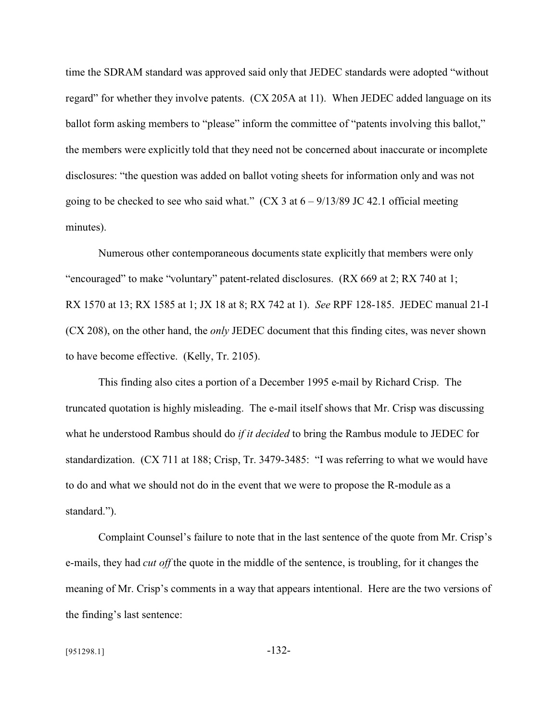time the SDRAM standard was approved said only that JEDEC standards were adopted "without regard" for whether they involve patents. (CX 205A at 11). When JEDEC added language on its ballot form asking members to "please" inform the committee of "patents involving this ballot," the members were explicitly told that they need not be concerned about inaccurate or incomplete disclosures: "the question was added on ballot voting sheets for information only and was not going to be checked to see who said what."  $(CX \cdot 3$  at  $6 - 9/13/89$  JC 42.1 official meeting minutes).

Numerous other contemporaneous documents state explicitly that members were only "encouraged" to make "voluntary" patent-related disclosures. (RX 669 at 2; RX 740 at 1; RX 1570 at 13; RX 1585 at 1; JX 18 at 8; RX 742 at 1). *See* RPF 128-185. JEDEC manual 21-I (CX 208), on the other hand, the *only* JEDEC document that this finding cites, was never shown to have become effective. (Kelly, Tr. 2105).

This finding also cites a portion of a December 1995 e-mail by Richard Crisp. The truncated quotation is highly misleading. The e-mail itself shows that Mr. Crisp was discussing what he understood Rambus should do *if it decided* to bring the Rambus module to JEDEC for standardization. (CX 711 at 188; Crisp, Tr. 3479-3485: "I was referring to what we would have to do and what we should not do in the event that we were to propose the R-module as a standard.").

Complaint Counsel's failure to note that in the last sentence of the quote from Mr. Crisp's e-mails, they had *cut off* the quote in the middle of the sentence, is troubling, for it changes the meaning of Mr. Crisp's comments in a way that appears intentional. Here are the two versions of the finding's last sentence: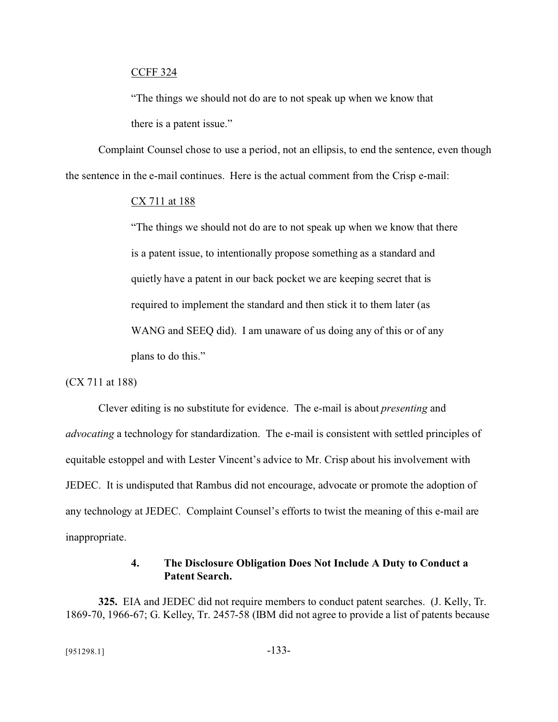### CCFF 324

"The things we should not do are to not speak up when we know that there is a patent issue."

Complaint Counsel chose to use a period, not an ellipsis, to end the sentence, even though the sentence in the e-mail continues. Here is the actual comment from the Crisp e-mail:

#### CX 711 at 188

"The things we should not do are to not speak up when we know that there is a patent issue, to intentionally propose something as a standard and quietly have a patent in our back pocket we are keeping secret that is required to implement the standard and then stick it to them later (as WANG and SEEQ did). I am unaware of us doing any of this or of any plans to do this."

### (CX 711 at 188)

Clever editing is no substitute for evidence. The e-mail is about *presenting* and *advocating* a technology for standardization. The e-mail is consistent with settled principles of equitable estoppel and with Lester Vincent's advice to Mr. Crisp about his involvement with JEDEC. It is undisputed that Rambus did not encourage, advocate or promote the adoption of any technology at JEDEC. Complaint Counsel's efforts to twist the meaning of this e-mail are inappropriate.

### **4. The Disclosure Obligation Does Not Include A Duty to Conduct a Patent Search.**

**325.** EIA and JEDEC did not require members to conduct patent searches. (J. Kelly, Tr. 1869-70, 1966-67; G. Kelley, Tr. 2457-58 (IBM did not agree to provide a list of patents because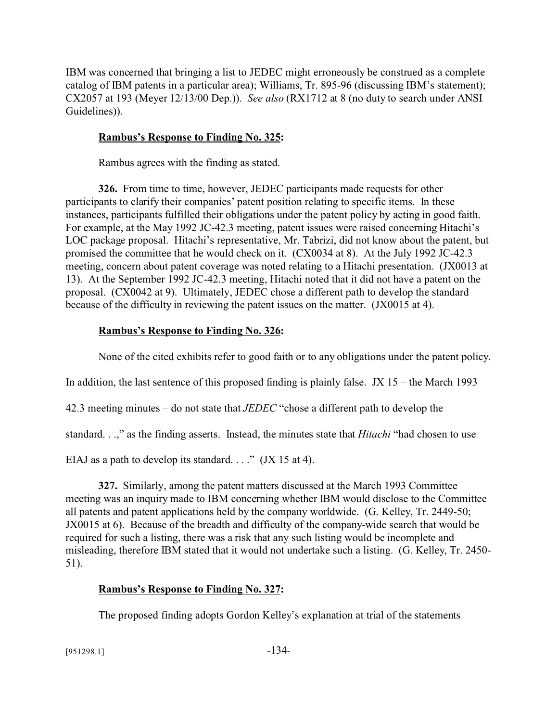IBM was concerned that bringing a list to JEDEC might erroneously be construed as a complete catalog of IBM patents in a particular area); Williams, Tr. 895-96 (discussing IBM's statement); CX2057 at 193 (Meyer 12/13/00 Dep.)). *See also* (RX1712 at 8 (no duty to search under ANSI Guidelines)).

# **Rambus's Response to Finding No. 325:**

Rambus agrees with the finding as stated.

**326.** From time to time, however, JEDEC participants made requests for other participants to clarify their companies' patent position relating to specific items. In these instances, participants fulfilled their obligations under the patent policy by acting in good faith. For example, at the May 1992 JC-42.3 meeting, patent issues were raised concerning Hitachi's LOC package proposal. Hitachi's representative, Mr. Tabrizi, did not know about the patent, but promised the committee that he would check on it. (CX0034 at 8). At the July 1992 JC-42.3 meeting, concern about patent coverage was noted relating to a Hitachi presentation. (JX0013 at 13). At the September 1992 JC-42.3 meeting, Hitachi noted that it did not have a patent on the proposal. (CX0042 at 9). Ultimately, JEDEC chose a different path to develop the standard because of the difficulty in reviewing the patent issues on the matter. (JX0015 at 4).

# **Rambus's Response to Finding No. 326:**

None of the cited exhibits refer to good faith or to any obligations under the patent policy.

In addition, the last sentence of this proposed finding is plainly false. JX  $15$  – the March 1993

42.3 meeting minutes – do not state that *JEDEC* "chose a different path to develop the

standard. . .," as the finding asserts. Instead, the minutes state that *Hitachi* "had chosen to use

EIAJ as a path to develop its standard.  $\ldots$  " (JX 15 at 4).

**327.** Similarly, among the patent matters discussed at the March 1993 Committee meeting was an inquiry made to IBM concerning whether IBM would disclose to the Committee all patents and patent applications held by the company worldwide. (G. Kelley, Tr. 2449-50; JX0015 at 6). Because of the breadth and difficulty of the company-wide search that would be required for such a listing, there was a risk that any such listing would be incomplete and misleading, therefore IBM stated that it would not undertake such a listing. (G. Kelley, Tr. 2450- 51).

## **Rambus's Response to Finding No. 327:**

The proposed finding adopts Gordon Kelley's explanation at trial of the statements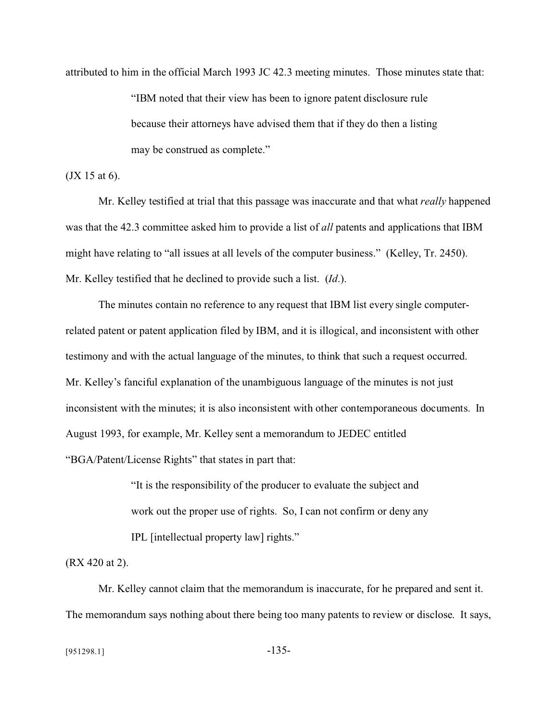attributed to him in the official March 1993 JC 42.3 meeting minutes. Those minutes state that:

"IBM noted that their view has been to ignore patent disclosure rule because their attorneys have advised them that if they do then a listing may be construed as complete."

(JX 15 at 6).

Mr. Kelley testified at trial that this passage was inaccurate and that what *really* happened was that the 42.3 committee asked him to provide a list of *all* patents and applications that IBM might have relating to "all issues at all levels of the computer business." (Kelley, Tr. 2450). Mr. Kelley testified that he declined to provide such a list. (*Id*.).

The minutes contain no reference to any request that IBM list every single computerrelated patent or patent application filed by IBM, and it is illogical, and inconsistent with other testimony and with the actual language of the minutes, to think that such a request occurred. Mr. Kelley's fanciful explanation of the unambiguous language of the minutes is not just inconsistent with the minutes; it is also inconsistent with other contemporaneous documents. In August 1993, for example, Mr. Kelley sent a memorandum to JEDEC entitled "BGA/Patent/License Rights" that states in part that:

> "It is the responsibility of the producer to evaluate the subject and work out the proper use of rights. So, I can not confirm or deny any IPL [intellectual property law] rights."

(RX 420 at 2).

Mr. Kelley cannot claim that the memorandum is inaccurate, for he prepared and sent it. The memorandum says nothing about there being too many patents to review or disclose. It says,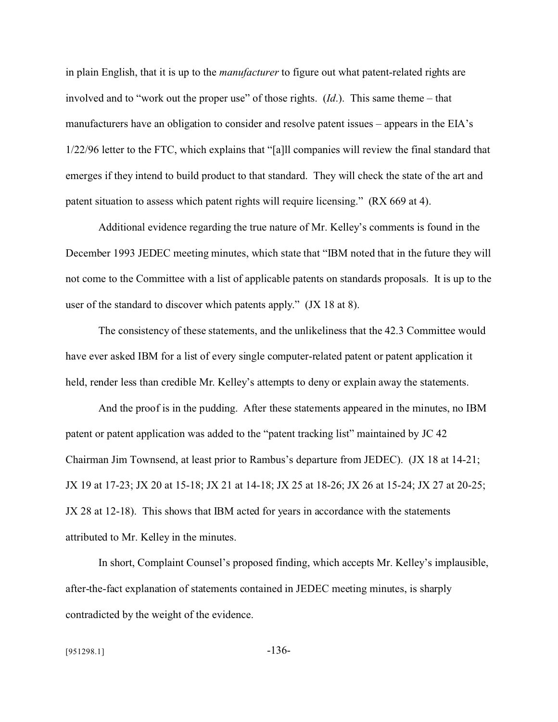in plain English, that it is up to the *manufacturer* to figure out what patent-related rights are involved and to "work out the proper use" of those rights. (*Id*.). This same theme – that manufacturers have an obligation to consider and resolve patent issues – appears in the EIA's 1/22/96 letter to the FTC, which explains that "[a]ll companies will review the final standard that emerges if they intend to build product to that standard. They will check the state of the art and patent situation to assess which patent rights will require licensing." (RX 669 at 4).

Additional evidence regarding the true nature of Mr. Kelley's comments is found in the December 1993 JEDEC meeting minutes, which state that "IBM noted that in the future they will not come to the Committee with a list of applicable patents on standards proposals. It is up to the user of the standard to discover which patents apply." (JX 18 at 8).

The consistency of these statements, and the unlikeliness that the 42.3 Committee would have ever asked IBM for a list of every single computer-related patent or patent application it held, render less than credible Mr. Kelley's attempts to deny or explain away the statements.

And the proof is in the pudding. After these statements appeared in the minutes, no IBM patent or patent application was added to the "patent tracking list" maintained by JC 42 Chairman Jim Townsend, at least prior to Rambus's departure from JEDEC). (JX 18 at 14-21; JX 19 at 17-23; JX 20 at 15-18; JX 21 at 14-18; JX 25 at 18-26; JX 26 at 15-24; JX 27 at 20-25; JX 28 at 12-18). This shows that IBM acted for years in accordance with the statements attributed to Mr. Kelley in the minutes.

In short, Complaint Counsel's proposed finding, which accepts Mr. Kelley's implausible, after-the-fact explanation of statements contained in JEDEC meeting minutes, is sharply contradicted by the weight of the evidence.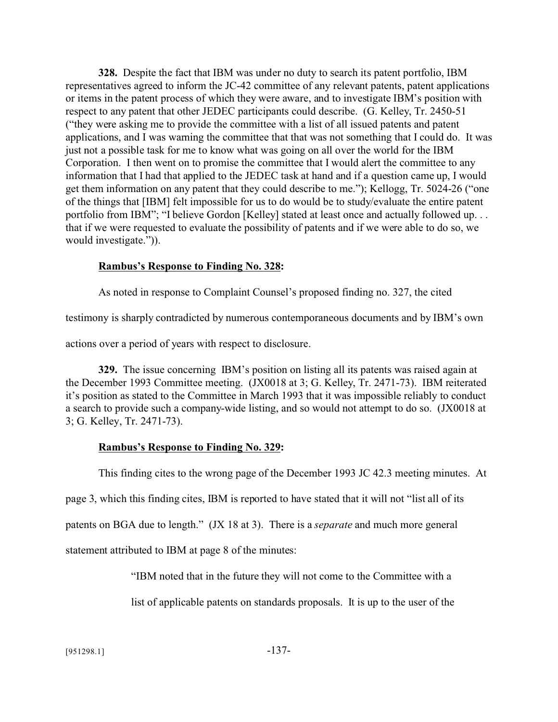**328.** Despite the fact that IBM was under no duty to search its patent portfolio, IBM representatives agreed to inform the JC-42 committee of any relevant patents, patent applications or items in the patent process of which they were aware, and to investigate IBM's position with respect to any patent that other JEDEC participants could describe. (G. Kelley, Tr. 2450-51 ("they were asking me to provide the committee with a list of all issued patents and patent applications, and I was warning the committee that that was not something that I could do. It was just not a possible task for me to know what was going on all over the world for the IBM Corporation. I then went on to promise the committee that I would alert the committee to any information that I had that applied to the JEDEC task at hand and if a question came up, I would get them information on any patent that they could describe to me."); Kellogg, Tr. 5024-26 ("one of the things that [IBM] felt impossible for us to do would be to study/evaluate the entire patent portfolio from IBM"; "I believe Gordon [Kelley] stated at least once and actually followed up. . . that if we were requested to evaluate the possibility of patents and if we were able to do so, we would investigate.")).

### **Rambus's Response to Finding No. 328:**

As noted in response to Complaint Counsel's proposed finding no. 327, the cited

testimony is sharply contradicted by numerous contemporaneous documents and by IBM's own

actions over a period of years with respect to disclosure.

**329.** The issue concerning IBM's position on listing all its patents was raised again at the December 1993 Committee meeting. (JX0018 at 3; G. Kelley, Tr. 2471-73). IBM reiterated it's position as stated to the Committee in March 1993 that it was impossible reliably to conduct a search to provide such a company-wide listing, and so would not attempt to do so. (JX0018 at 3; G. Kelley, Tr. 2471-73).

## **Rambus's Response to Finding No. 329:**

This finding cites to the wrong page of the December 1993 JC 42.3 meeting minutes. At

page 3, which this finding cites, IBM is reported to have stated that it will not "list all of its

patents on BGA due to length." (JX 18 at 3). There is a *separate* and much more general

statement attributed to IBM at page 8 of the minutes:

"IBM noted that in the future they will not come to the Committee with a

list of applicable patents on standards proposals. It is up to the user of the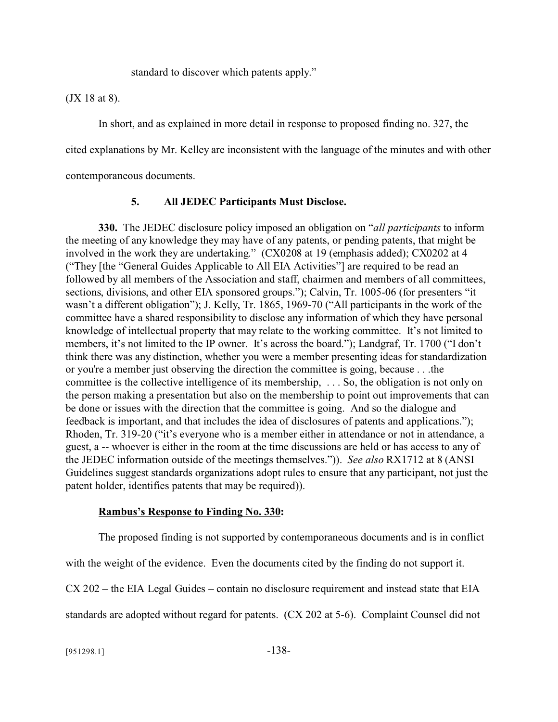standard to discover which patents apply."

(JX 18 at 8).

In short, and as explained in more detail in response to proposed finding no. 327, the

cited explanations by Mr. Kelley are inconsistent with the language of the minutes and with other

contemporaneous documents.

## **5. All JEDEC Participants Must Disclose.**

**330.** The JEDEC disclosure policy imposed an obligation on "*all participants* to inform the meeting of any knowledge they may have of any patents, or pending patents, that might be involved in the work they are undertaking." (CX0208 at 19 (emphasis added); CX0202 at 4 ("They [the "General Guides Applicable to All EIA Activities"] are required to be read an followed by all members of the Association and staff, chairmen and members of all committees, sections, divisions, and other EIA sponsored groups."); Calvin, Tr. 1005-06 (for presenters "it wasn't a different obligation"); J. Kelly, Tr. 1865, 1969-70 ("All participants in the work of the committee have a shared responsibility to disclose any information of which they have personal knowledge of intellectual property that may relate to the working committee. It's not limited to members, it's not limited to the IP owner. It's across the board."); Landgraf, Tr. 1700 ("I don't think there was any distinction, whether you were a member presenting ideas for standardization or you're a member just observing the direction the committee is going, because . . .the committee is the collective intelligence of its membership, . . . So, the obligation is not only on the person making a presentation but also on the membership to point out improvements that can be done or issues with the direction that the committee is going. And so the dialogue and feedback is important, and that includes the idea of disclosures of patents and applications."); Rhoden, Tr. 319-20 ("it's everyone who is a member either in attendance or not in attendance, a guest, a -- whoever is either in the room at the time discussions are held or has access to any of the JEDEC information outside of the meetings themselves.")). *See also* RX1712 at 8 (ANSI Guidelines suggest standards organizations adopt rules to ensure that any participant, not just the patent holder, identifies patents that may be required)).

## **Rambus's Response to Finding No. 330:**

The proposed finding is not supported by contemporaneous documents and is in conflict

with the weight of the evidence. Even the documents cited by the finding do not support it.

CX 202 – the EIA Legal Guides – contain no disclosure requirement and instead state that EIA

standards are adopted without regard for patents. (CX 202 at 5-6). Complaint Counsel did not

 $[951298.1]$  -138-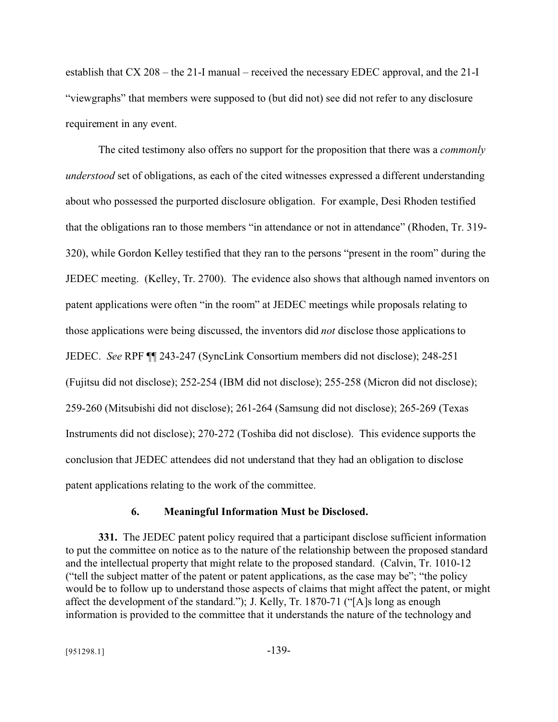establish that CX 208 – the 21-I manual – received the necessary EDEC approval, and the 21-I "viewgraphs" that members were supposed to (but did not) see did not refer to any disclosure requirement in any event.

The cited testimony also offers no support for the proposition that there was a *commonly understood* set of obligations, as each of the cited witnesses expressed a different understanding about who possessed the purported disclosure obligation. For example, Desi Rhoden testified that the obligations ran to those members "in attendance or not in attendance" (Rhoden, Tr. 319- 320), while Gordon Kelley testified that they ran to the persons "present in the room" during the JEDEC meeting. (Kelley, Tr. 2700). The evidence also shows that although named inventors on patent applications were often "in the room" at JEDEC meetings while proposals relating to those applications were being discussed, the inventors did *not* disclose those applications to JEDEC. *See* RPF ¶¶ 243-247 (SyncLink Consortium members did not disclose); 248-251 (Fujitsu did not disclose); 252-254 (IBM did not disclose); 255-258 (Micron did not disclose); 259-260 (Mitsubishi did not disclose); 261-264 (Samsung did not disclose); 265-269 (Texas Instruments did not disclose); 270-272 (Toshiba did not disclose). This evidence supports the conclusion that JEDEC attendees did not understand that they had an obligation to disclose patent applications relating to the work of the committee.

### **6. Meaningful Information Must be Disclosed.**

**331.** The JEDEC patent policy required that a participant disclose sufficient information to put the committee on notice as to the nature of the relationship between the proposed standard and the intellectual property that might relate to the proposed standard. (Calvin, Tr. 1010-12 ("tell the subject matter of the patent or patent applications, as the case may be"; "the policy would be to follow up to understand those aspects of claims that might affect the patent, or might affect the development of the standard."); J. Kelly, Tr. 1870-71 ("[A]s long as enough information is provided to the committee that it understands the nature of the technology and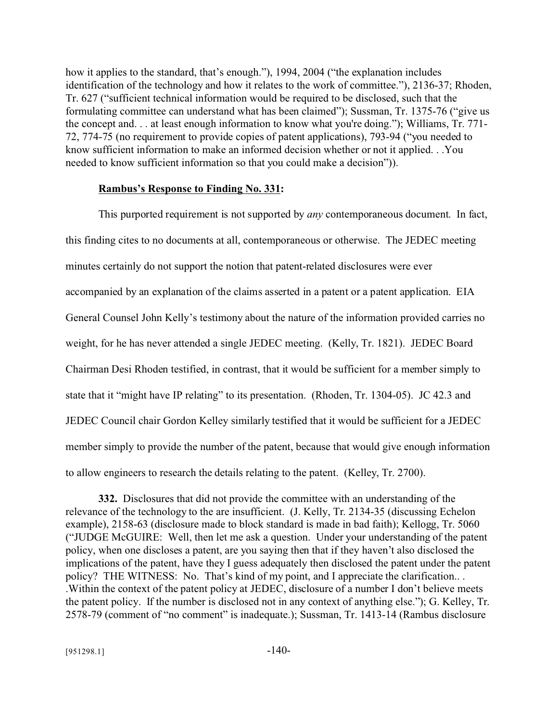how it applies to the standard, that's enough."), 1994, 2004 ("the explanation includes identification of the technology and how it relates to the work of committee."), 2136-37; Rhoden, Tr. 627 ("sufficient technical information would be required to be disclosed, such that the formulating committee can understand what has been claimed"); Sussman, Tr. 1375-76 ("give us the concept and. . . at least enough information to know what you're doing."); Williams, Tr. 771- 72, 774-75 (no requirement to provide copies of patent applications), 793-94 ("you needed to know sufficient information to make an informed decision whether or not it applied. . .You needed to know sufficient information so that you could make a decision")).

#### **Rambus's Response to Finding No. 331:**

This purported requirement is not supported by *any* contemporaneous document. In fact, this finding cites to no documents at all, contemporaneous or otherwise. The JEDEC meeting minutes certainly do not support the notion that patent-related disclosures were ever accompanied by an explanation of the claims asserted in a patent or a patent application. EIA General Counsel John Kelly's testimony about the nature of the information provided carries no weight, for he has never attended a single JEDEC meeting. (Kelly, Tr. 1821). JEDEC Board Chairman Desi Rhoden testified, in contrast, that it would be sufficient for a member simply to state that it "might have IP relating" to its presentation. (Rhoden, Tr. 1304-05). JC 42.3 and JEDEC Council chair Gordon Kelley similarly testified that it would be sufficient for a JEDEC member simply to provide the number of the patent, because that would give enough information to allow engineers to research the details relating to the patent. (Kelley, Tr. 2700).

**332.** Disclosures that did not provide the committee with an understanding of the relevance of the technology to the are insufficient. (J. Kelly, Tr. 2134-35 (discussing Echelon example), 2158-63 (disclosure made to block standard is made in bad faith); Kellogg, Tr. 5060 ("JUDGE McGUIRE: Well, then let me ask a question. Under your understanding of the patent policy, when one discloses a patent, are you saying then that if they haven't also disclosed the implications of the patent, have they I guess adequately then disclosed the patent under the patent policy? THE WITNESS: No. That's kind of my point, and I appreciate the clarification.. . .Within the context of the patent policy at JEDEC, disclosure of a number I don't believe meets the patent policy. If the number is disclosed not in any context of anything else."); G. Kelley, Tr. 2578-79 (comment of "no comment" is inadequate.); Sussman, Tr. 1413-14 (Rambus disclosure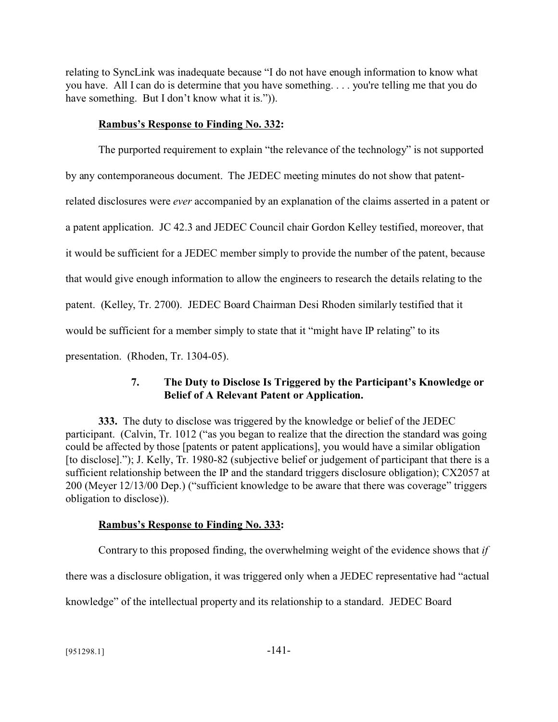relating to SyncLink was inadequate because "I do not have enough information to know what you have. All I can do is determine that you have something. . . . you're telling me that you do have something. But I don't know what it is.").

### **Rambus's Response to Finding No. 332:**

The purported requirement to explain "the relevance of the technology" is not supported by any contemporaneous document. The JEDEC meeting minutes do not show that patentrelated disclosures were *ever* accompanied by an explanation of the claims asserted in a patent or a patent application. JC 42.3 and JEDEC Council chair Gordon Kelley testified, moreover, that it would be sufficient for a JEDEC member simply to provide the number of the patent, because that would give enough information to allow the engineers to research the details relating to the patent. (Kelley, Tr. 2700). JEDEC Board Chairman Desi Rhoden similarly testified that it would be sufficient for a member simply to state that it "might have IP relating" to its presentation. (Rhoden, Tr. 1304-05).

# **7. The Duty to Disclose Is Triggered by the Participant's Knowledge or Belief of A Relevant Patent or Application.**

**333.** The duty to disclose was triggered by the knowledge or belief of the JEDEC participant. (Calvin, Tr. 1012 ("as you began to realize that the direction the standard was going could be affected by those [patents or patent applications], you would have a similar obligation [to disclose]."); J. Kelly, Tr. 1980-82 (subjective belief or judgement of participant that there is a sufficient relationship between the IP and the standard triggers disclosure obligation); CX2057 at 200 (Meyer 12/13/00 Dep.) ("sufficient knowledge to be aware that there was coverage" triggers obligation to disclose)).

# **Rambus's Response to Finding No. 333:**

Contrary to this proposed finding, the overwhelming weight of the evidence shows that *if* there was a disclosure obligation, it was triggered only when a JEDEC representative had "actual knowledge" of the intellectual property and its relationship to a standard. JEDEC Board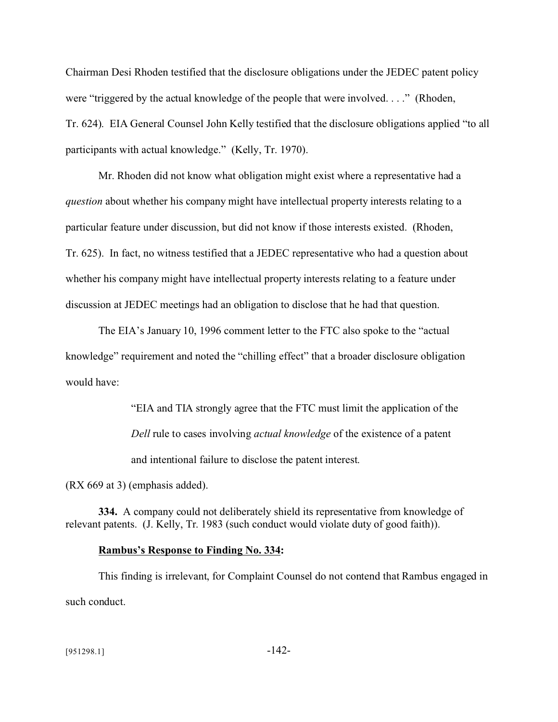Chairman Desi Rhoden testified that the disclosure obligations under the JEDEC patent policy were "triggered by the actual knowledge of the people that were involved. . . ." (Rhoden, Tr. 624). EIA General Counsel John Kelly testified that the disclosure obligations applied "to all participants with actual knowledge." (Kelly, Tr. 1970).

Mr. Rhoden did not know what obligation might exist where a representative had a *question* about whether his company might have intellectual property interests relating to a particular feature under discussion, but did not know if those interests existed. (Rhoden, Tr. 625). In fact, no witness testified that a JEDEC representative who had a question about whether his company might have intellectual property interests relating to a feature under discussion at JEDEC meetings had an obligation to disclose that he had that question.

The EIA's January 10, 1996 comment letter to the FTC also spoke to the "actual knowledge" requirement and noted the "chilling effect" that a broader disclosure obligation would have:

> "EIA and TIA strongly agree that the FTC must limit the application of the *Dell* rule to cases involving *actual knowledge* of the existence of a patent and intentional failure to disclose the patent interest.

(RX 669 at 3) (emphasis added).

**334.** A company could not deliberately shield its representative from knowledge of relevant patents. (J. Kelly, Tr. 1983 (such conduct would violate duty of good faith)).

#### **Rambus's Response to Finding No. 334:**

This finding is irrelevant, for Complaint Counsel do not contend that Rambus engaged in such conduct.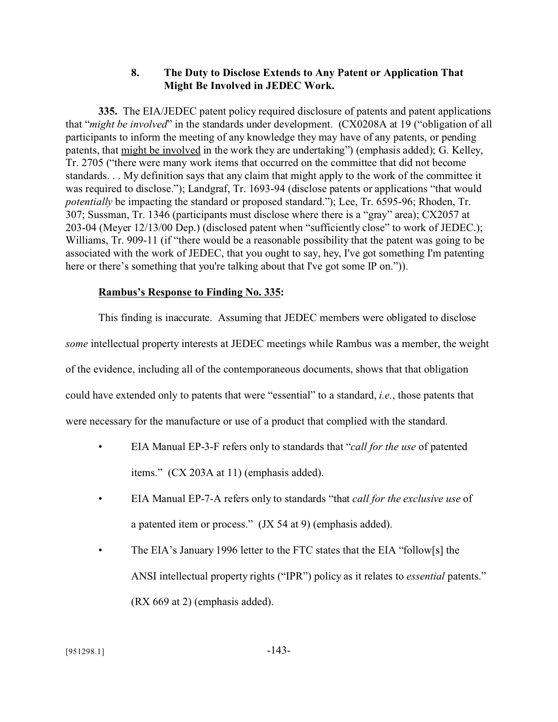## **8. The Duty to Disclose Extends to Any Patent or Application That Might Be Involved in JEDEC Work.**

**335.** The EIA/JEDEC patent policy required disclosure of patents and patent applications that "*might be involved*" in the standards under development. (CX0208A at 19 ("obligation of all participants to inform the meeting of any knowledge they may have of any patents, or pending patents, that might be involved in the work they are undertaking") (emphasis added); G. Kelley, Tr. 2705 ("there were many work items that occurred on the committee that did not become standards. . . My definition says that any claim that might apply to the work of the committee it was required to disclose."); Landgraf, Tr. 1693-94 (disclose patents or applications "that would *potentially* be impacting the standard or proposed standard."); Lee, Tr. 6595-96; Rhoden, Tr. 307; Sussman, Tr. 1346 (participants must disclose where there is a "gray" area); CX2057 at 203-04 (Meyer 12/13/00 Dep.) (disclosed patent when "sufficiently close" to work of JEDEC.); Williams, Tr. 909-11 (if "there would be a reasonable possibility that the patent was going to be associated with the work of JEDEC, that you ought to say, hey, I've got something I'm patenting here or there's something that you're talking about that I've got some IP on.")).

## **Rambus's Response to Finding No. 335:**

This finding is inaccurate. Assuming that JEDEC members were obligated to disclose *some* intellectual property interests at JEDEC meetings while Rambus was a member, the weight of the evidence, including all of the contemporaneous documents, shows that that obligation could have extended only to patents that were "essential" to a standard, *i.e.*, those patents that were necessary for the manufacture or use of a product that complied with the standard.

- EIA Manual EP-3-F refers only to standards that "*call for the use* of patented items." (CX 203A at 11) (emphasis added).
- EIA Manual EP-7-A refers only to standards "that *call for the exclusive use* of a patented item or process." (JX 54 at 9) (emphasis added).
- The EIA's January 1996 letter to the FTC states that the EIA "follow[s] the ANSI intellectual property rights ("IPR") policy as it relates to *essential* patents." (RX 669 at 2) (emphasis added).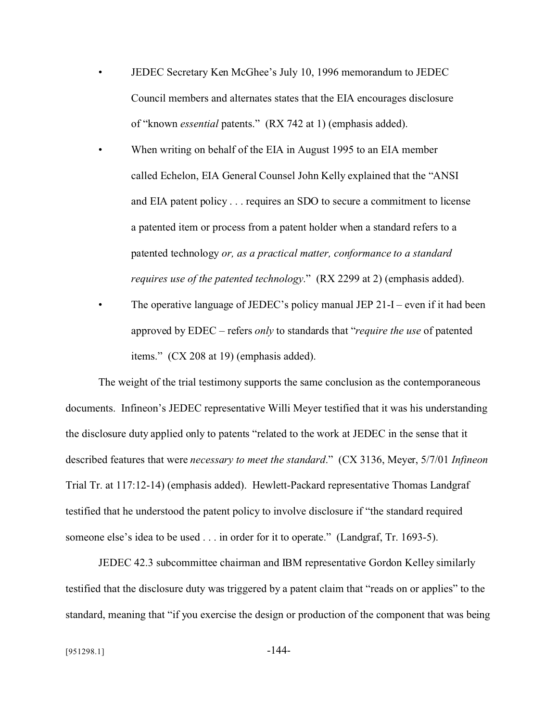- JEDEC Secretary Ken McGhee's July 10, 1996 memorandum to JEDEC Council members and alternates states that the EIA encourages disclosure of "known *essential* patents." (RX 742 at 1) (emphasis added).
- When writing on behalf of the EIA in August 1995 to an EIA member called Echelon, EIA General Counsel John Kelly explained that the "ANSI and EIA patent policy . . . requires an SDO to secure a commitment to license a patented item or process from a patent holder when a standard refers to a patented technology *or, as a practical matter, conformance to a standard requires use of the patented technology*." (RX 2299 at 2) (emphasis added).
- The operative language of JEDEC's policy manual JEP  $21-I$  even if it had been approved by EDEC – refers *only* to standards that "*require the use* of patented items." (CX 208 at 19) (emphasis added).

The weight of the trial testimony supports the same conclusion as the contemporaneous documents. Infineon's JEDEC representative Willi Meyer testified that it was his understanding the disclosure duty applied only to patents "related to the work at JEDEC in the sense that it described features that were *necessary to meet the standard*." (CX 3136, Meyer, 5/7/01 *Infineon* Trial Tr. at 117:12-14) (emphasis added). Hewlett-Packard representative Thomas Landgraf testified that he understood the patent policy to involve disclosure if "the standard required someone else's idea to be used . . . in order for it to operate." (Landgraf, Tr. 1693-5).

JEDEC 42.3 subcommittee chairman and IBM representative Gordon Kelley similarly testified that the disclosure duty was triggered by a patent claim that "reads on or applies" to the standard, meaning that "if you exercise the design or production of the component that was being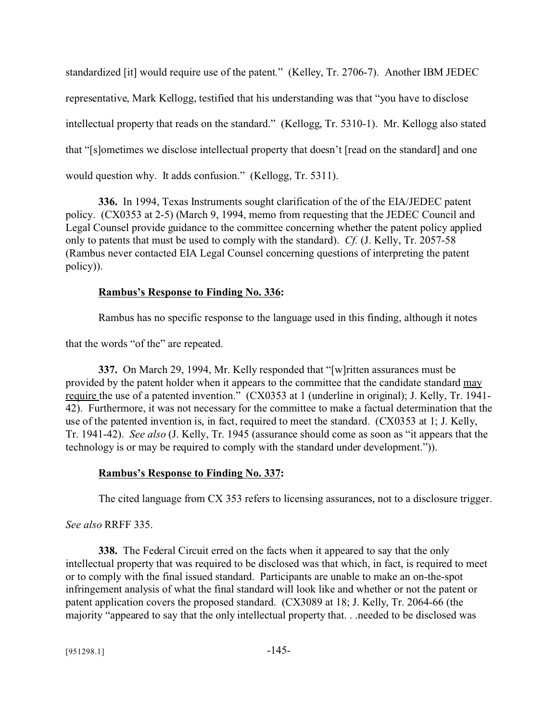standardized [it] would require use of the patent*.*" (Kelley, Tr. 2706-7). Another IBM JEDEC representative, Mark Kellogg, testified that his understanding was that "you have to disclose intellectual property that reads on the standard." (Kellogg, Tr. 5310-1). Mr. Kellogg also stated that "[s]ometimes we disclose intellectual property that doesn't [read on the standard] and one would question why. It adds confusion." (Kellogg, Tr. 5311).

**336.** In 1994, Texas Instruments sought clarification of the of the EIA/JEDEC patent policy. (CX0353 at 2-5) (March 9, 1994, memo from requesting that the JEDEC Council and Legal Counsel provide guidance to the committee concerning whether the patent policy applied only to patents that must be used to comply with the standard). *Cf.* (J. Kelly, Tr. 2057-58 (Rambus never contacted EIA Legal Counsel concerning questions of interpreting the patent policy)).

#### **Rambus's Response to Finding No. 336:**

Rambus has no specific response to the language used in this finding, although it notes

that the words "of the" are repeated.

**337.** On March 29, 1994, Mr. Kelly responded that "[w]ritten assurances must be provided by the patent holder when it appears to the committee that the candidate standard may require the use of a patented invention." (CX0353 at 1 (underline in original); J. Kelly, Tr. 1941- 42). Furthermore, it was not necessary for the committee to make a factual determination that the use of the patented invention is, in fact, required to meet the standard. (CX0353 at 1; J. Kelly, Tr. 1941-42). *See also* (J. Kelly, Tr. 1945 (assurance should come as soon as "it appears that the technology is or may be required to comply with the standard under development.")).

#### **Rambus's Response to Finding No. 337:**

The cited language from CX 353 refers to licensing assurances, not to a disclosure trigger.

#### *See also* RRFF 335.

**338.** The Federal Circuit erred on the facts when it appeared to say that the only intellectual property that was required to be disclosed was that which, in fact, is required to meet or to comply with the final issued standard. Participants are unable to make an on-the-spot infringement analysis of what the final standard will look like and whether or not the patent or patent application covers the proposed standard. (CX3089 at 18; J. Kelly, Tr. 2064-66 (the majority "appeared to say that the only intellectual property that. . .needed to be disclosed was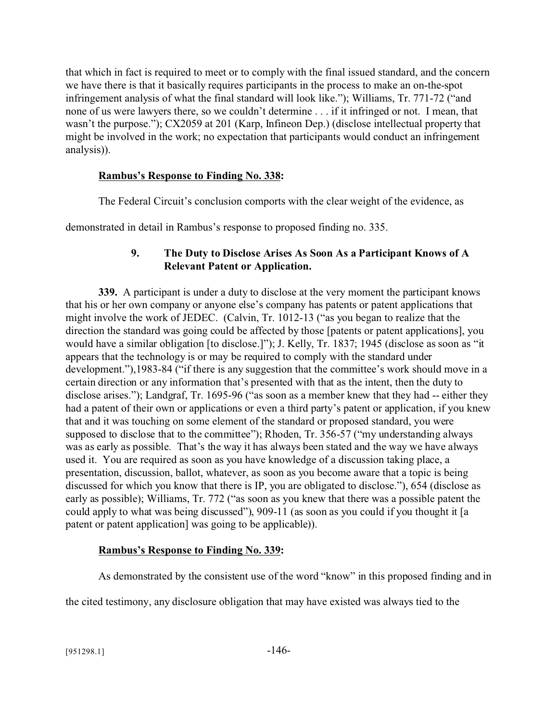that which in fact is required to meet or to comply with the final issued standard, and the concern we have there is that it basically requires participants in the process to make an on-the-spot infringement analysis of what the final standard will look like."); Williams, Tr. 771-72 ("and none of us were lawyers there, so we couldn't determine . . . if it infringed or not. I mean, that wasn't the purpose."); CX2059 at 201 (Karp, Infineon Dep.) (disclose intellectual property that might be involved in the work; no expectation that participants would conduct an infringement analysis)).

## **Rambus's Response to Finding No. 338:**

The Federal Circuit's conclusion comports with the clear weight of the evidence, as

demonstrated in detail in Rambus's response to proposed finding no. 335.

## **9. The Duty to Disclose Arises As Soon As a Participant Knows of A Relevant Patent or Application.**

**339.** A participant is under a duty to disclose at the very moment the participant knows that his or her own company or anyone else's company has patents or patent applications that might involve the work of JEDEC. (Calvin, Tr. 1012-13 ("as you began to realize that the direction the standard was going could be affected by those [patents or patent applications], you would have a similar obligation [to disclose.]"); J. Kelly, Tr. 1837; 1945 (disclose as soon as "it appears that the technology is or may be required to comply with the standard under development."),1983-84 ("if there is any suggestion that the committee's work should move in a certain direction or any information that's presented with that as the intent, then the duty to disclose arises."); Landgraf, Tr. 1695-96 ("as soon as a member knew that they had -- either they had a patent of their own or applications or even a third party's patent or application, if you knew that and it was touching on some element of the standard or proposed standard, you were supposed to disclose that to the committee"); Rhoden, Tr. 356-57 ("my understanding always was as early as possible. That's the way it has always been stated and the way we have always used it. You are required as soon as you have knowledge of a discussion taking place, a presentation, discussion, ballot, whatever, as soon as you become aware that a topic is being discussed for which you know that there is IP, you are obligated to disclose."), 654 (disclose as early as possible); Williams, Tr. 772 ("as soon as you knew that there was a possible patent the could apply to what was being discussed"), 909-11 (as soon as you could if you thought it [a patent or patent application] was going to be applicable)).

#### **Rambus's Response to Finding No. 339:**

As demonstrated by the consistent use of the word "know" in this proposed finding and in

the cited testimony, any disclosure obligation that may have existed was always tied to the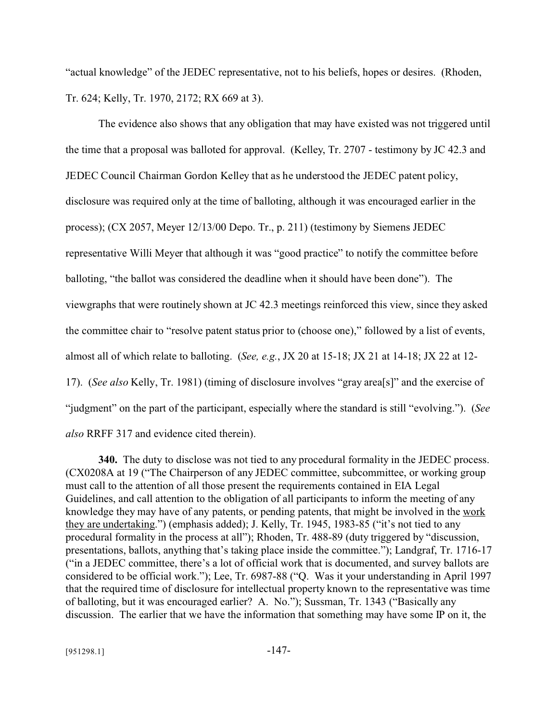"actual knowledge" of the JEDEC representative, not to his beliefs, hopes or desires. (Rhoden, Tr. 624; Kelly, Tr. 1970, 2172; RX 669 at 3).

The evidence also shows that any obligation that may have existed was not triggered until the time that a proposal was balloted for approval. (Kelley, Tr. 2707 - testimony by JC 42.3 and JEDEC Council Chairman Gordon Kelley that as he understood the JEDEC patent policy, disclosure was required only at the time of balloting, although it was encouraged earlier in the process); (CX 2057, Meyer 12/13/00 Depo. Tr., p. 211) (testimony by Siemens JEDEC representative Willi Meyer that although it was "good practice" to notify the committee before balloting, "the ballot was considered the deadline when it should have been done"). The viewgraphs that were routinely shown at JC 42.3 meetings reinforced this view, since they asked the committee chair to "resolve patent status prior to (choose one)," followed by a list of events, almost all of which relate to balloting. (*See, e.g.*, JX 20 at 15-18; JX 21 at 14-18; JX 22 at 12- 17). (*See also* Kelly, Tr. 1981) (timing of disclosure involves "gray area[s]" and the exercise of "judgment" on the part of the participant, especially where the standard is still "evolving."). (*See also* RRFF 317 and evidence cited therein).

**340.** The duty to disclose was not tied to any procedural formality in the JEDEC process. (CX0208A at 19 ("The Chairperson of any JEDEC committee, subcommittee, or working group must call to the attention of all those present the requirements contained in EIA Legal Guidelines, and call attention to the obligation of all participants to inform the meeting of any knowledge they may have of any patents, or pending patents, that might be involved in the work they are undertaking.") (emphasis added); J. Kelly, Tr. 1945, 1983-85 ("it's not tied to any procedural formality in the process at all"); Rhoden, Tr. 488-89 (duty triggered by "discussion, presentations, ballots, anything that's taking place inside the committee."); Landgraf, Tr. 1716-17 ("in a JEDEC committee, there's a lot of official work that is documented, and survey ballots are considered to be official work."); Lee, Tr. 6987-88 ("Q. Was it your understanding in April 1997 that the required time of disclosure for intellectual property known to the representative was time of balloting, but it was encouraged earlier? A. No."); Sussman, Tr. 1343 ("Basically any discussion. The earlier that we have the information that something may have some IP on it, the

 $[951298.1]$  -147-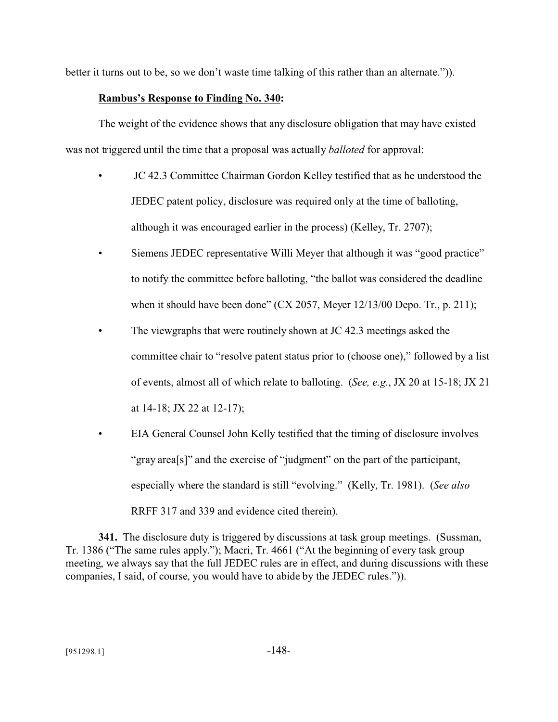better it turns out to be, so we don't waste time talking of this rather than an alternate.")).

### **Rambus's Response to Finding No. 340:**

The weight of the evidence shows that any disclosure obligation that may have existed was not triggered until the time that a proposal was actually *balloted* for approval:

- JC 42.3 Committee Chairman Gordon Kelley testified that as he understood the JEDEC patent policy, disclosure was required only at the time of balloting, although it was encouraged earlier in the process) (Kelley, Tr. 2707);
- Siemens JEDEC representative Willi Meyer that although it was "good practice" to notify the committee before balloting, "the ballot was considered the deadline when it should have been done"  $(CX 2057, Meyer 12/13/00 Depo. Tr., p. 211);$
- The viewgraphs that were routinely shown at JC 42.3 meetings asked the committee chair to "resolve patent status prior to (choose one)," followed by a list of events, almost all of which relate to balloting. (*See, e.g.*, JX 20 at 15-18; JX 21 at 14-18; JX 22 at 12-17);
- EIA General Counsel John Kelly testified that the timing of disclosure involves "gray area[s]" and the exercise of "judgment" on the part of the participant, especially where the standard is still "evolving." (Kelly, Tr. 1981). (*See also* RRFF 317 and 339 and evidence cited therein).

**341.** The disclosure duty is triggered by discussions at task group meetings. (Sussman, Tr. 1386 ("The same rules apply."); Macri, Tr. 4661 ("At the beginning of every task group meeting, we always say that the full JEDEC rules are in effect, and during discussions with these companies, I said, of course, you would have to abide by the JEDEC rules.")).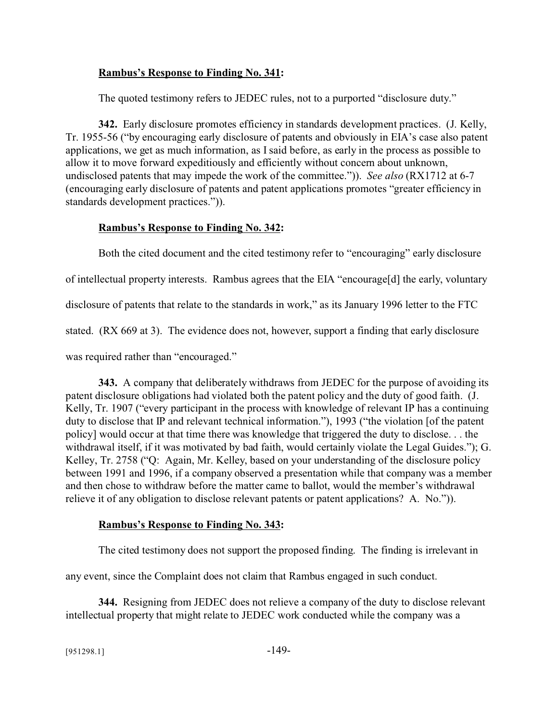## **Rambus's Response to Finding No. 341:**

The quoted testimony refers to JEDEC rules, not to a purported "disclosure duty."

**342.** Early disclosure promotes efficiency in standards development practices. (J. Kelly, Tr. 1955-56 ("by encouraging early disclosure of patents and obviously in EIA's case also patent applications, we get as much information, as I said before, as early in the process as possible to allow it to move forward expeditiously and efficiently without concern about unknown, undisclosed patents that may impede the work of the committee.")). *See also* (RX1712 at 6-7 (encouraging early disclosure of patents and patent applications promotes "greater efficiency in standards development practices.")).

## **Rambus's Response to Finding No. 342:**

Both the cited document and the cited testimony refer to "encouraging" early disclosure of intellectual property interests. Rambus agrees that the EIA "encourage[d] the early, voluntary disclosure of patents that relate to the standards in work," as its January 1996 letter to the FTC stated. (RX 669 at 3). The evidence does not, however, support a finding that early disclosure was required rather than "encouraged."

**343.** A company that deliberately withdraws from JEDEC for the purpose of avoiding its patent disclosure obligations had violated both the patent policy and the duty of good faith. (J. Kelly, Tr. 1907 ("every participant in the process with knowledge of relevant IP has a continuing duty to disclose that IP and relevant technical information."), 1993 ("the violation [of the patent policy] would occur at that time there was knowledge that triggered the duty to disclose. . . the withdrawal itself, if it was motivated by bad faith, would certainly violate the Legal Guides."); G. Kelley, Tr. 2758 ("Q: Again, Mr. Kelley, based on your understanding of the disclosure policy between 1991 and 1996, if a company observed a presentation while that company was a member and then chose to withdraw before the matter came to ballot, would the member's withdrawal relieve it of any obligation to disclose relevant patents or patent applications? A. No.")).

# **Rambus's Response to Finding No. 343:**

The cited testimony does not support the proposed finding. The finding is irrelevant in

any event, since the Complaint does not claim that Rambus engaged in such conduct.

**344.** Resigning from JEDEC does not relieve a company of the duty to disclose relevant intellectual property that might relate to JEDEC work conducted while the company was a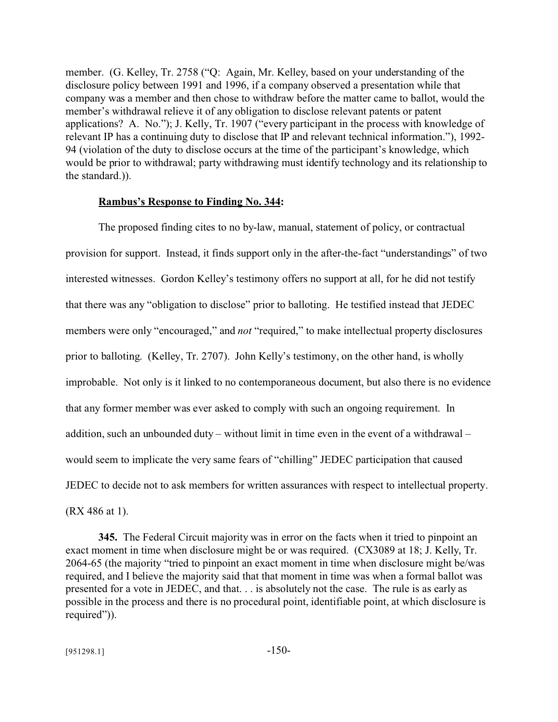member. (G. Kelley, Tr. 2758 ("Q: Again, Mr. Kelley, based on your understanding of the disclosure policy between 1991 and 1996, if a company observed a presentation while that company was a member and then chose to withdraw before the matter came to ballot, would the member's withdrawal relieve it of any obligation to disclose relevant patents or patent applications? A. No."); J. Kelly, Tr. 1907 ("every participant in the process with knowledge of relevant IP has a continuing duty to disclose that IP and relevant technical information."), 1992- 94 (violation of the duty to disclose occurs at the time of the participant's knowledge, which would be prior to withdrawal; party withdrawing must identify technology and its relationship to the standard.)).

#### **Rambus's Response to Finding No. 344:**

The proposed finding cites to no by-law, manual, statement of policy, or contractual provision for support. Instead, it finds support only in the after-the-fact "understandings" of two interested witnesses. Gordon Kelley's testimony offers no support at all, for he did not testify that there was any "obligation to disclose" prior to balloting. He testified instead that JEDEC members were only "encouraged," and *not* "required," to make intellectual property disclosures prior to balloting. (Kelley, Tr. 2707). John Kelly's testimony, on the other hand, is wholly improbable. Not only is it linked to no contemporaneous document, but also there is no evidence that any former member was ever asked to comply with such an ongoing requirement. In addition, such an unbounded duty – without limit in time even in the event of a withdrawal – would seem to implicate the very same fears of "chilling" JEDEC participation that caused JEDEC to decide not to ask members for written assurances with respect to intellectual property. (RX 486 at 1).

**345.** The Federal Circuit majority was in error on the facts when it tried to pinpoint an exact moment in time when disclosure might be or was required. (CX3089 at 18; J. Kelly, Tr. 2064-65 (the majority "tried to pinpoint an exact moment in time when disclosure might be/was required, and I believe the majority said that that moment in time was when a formal ballot was presented for a vote in JEDEC, and that. . . is absolutely not the case. The rule is as early as possible in the process and there is no procedural point, identifiable point, at which disclosure is required")).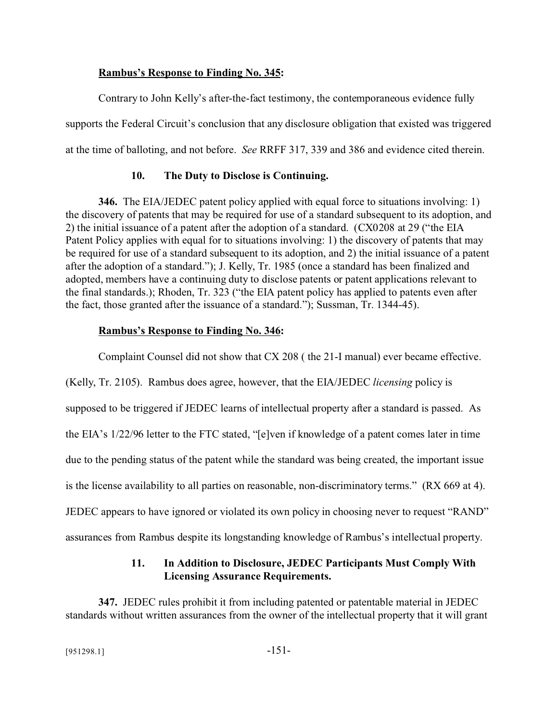#### **Rambus's Response to Finding No. 345:**

Contrary to John Kelly's after-the-fact testimony, the contemporaneous evidence fully supports the Federal Circuit's conclusion that any disclosure obligation that existed was triggered at the time of balloting, and not before. *See* RRFF 317, 339 and 386 and evidence cited therein.

### **10. The Duty to Disclose is Continuing.**

**346.** The EIA/JEDEC patent policy applied with equal force to situations involving: 1) the discovery of patents that may be required for use of a standard subsequent to its adoption, and 2) the initial issuance of a patent after the adoption of a standard. (CX0208 at 29 ("the EIA Patent Policy applies with equal for to situations involving: 1) the discovery of patents that may be required for use of a standard subsequent to its adoption, and 2) the initial issuance of a patent after the adoption of a standard."); J. Kelly, Tr. 1985 (once a standard has been finalized and adopted, members have a continuing duty to disclose patents or patent applications relevant to the final standards.); Rhoden, Tr. 323 ("the EIA patent policy has applied to patents even after the fact, those granted after the issuance of a standard."); Sussman, Tr. 1344-45).

### **Rambus's Response to Finding No. 346:**

Complaint Counsel did not show that CX 208 ( the 21-I manual) ever became effective.

(Kelly, Tr. 2105). Rambus does agree, however, that the EIA/JEDEC *licensing* policy is supposed to be triggered if JEDEC learns of intellectual property after a standard is passed. As the EIA's 1/22/96 letter to the FTC stated, "[e]ven if knowledge of a patent comes later in time due to the pending status of the patent while the standard was being created, the important issue is the license availability to all parties on reasonable, non-discriminatory terms." (RX 669 at 4). JEDEC appears to have ignored or violated its own policy in choosing never to request "RAND" assurances from Rambus despite its longstanding knowledge of Rambus's intellectual property.

## **11. In Addition to Disclosure, JEDEC Participants Must Comply With Licensing Assurance Requirements.**

**347.** JEDEC rules prohibit it from including patented or patentable material in JEDEC standards without written assurances from the owner of the intellectual property that it will grant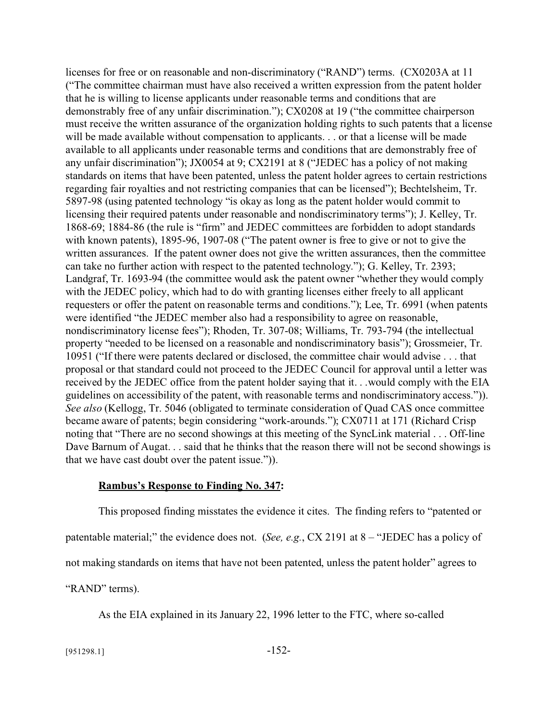licenses for free or on reasonable and non-discriminatory ("RAND") terms. (CX0203A at 11 ("The committee chairman must have also received a written expression from the patent holder that he is willing to license applicants under reasonable terms and conditions that are demonstrably free of any unfair discrimination."); CX0208 at 19 ("the committee chairperson must receive the written assurance of the organization holding rights to such patents that a license will be made available without compensation to applicants. . . or that a license will be made available to all applicants under reasonable terms and conditions that are demonstrably free of any unfair discrimination"); JX0054 at 9; CX2191 at 8 ("JEDEC has a policy of not making standards on items that have been patented, unless the patent holder agrees to certain restrictions regarding fair royalties and not restricting companies that can be licensed"); Bechtelsheim, Tr. 5897-98 (using patented technology "is okay as long as the patent holder would commit to licensing their required patents under reasonable and nondiscriminatory terms"); J. Kelley, Tr. 1868-69; 1884-86 (the rule is "firm" and JEDEC committees are forbidden to adopt standards with known patents), 1895-96, 1907-08 ("The patent owner is free to give or not to give the written assurances. If the patent owner does not give the written assurances, then the committee can take no further action with respect to the patented technology."); G. Kelley, Tr. 2393; Landgraf, Tr. 1693-94 (the committee would ask the patent owner "whether they would comply with the JEDEC policy, which had to do with granting licenses either freely to all applicant requesters or offer the patent on reasonable terms and conditions."); Lee, Tr. 6991 (when patents were identified "the JEDEC member also had a responsibility to agree on reasonable, nondiscriminatory license fees"); Rhoden, Tr. 307-08; Williams, Tr. 793-794 (the intellectual property "needed to be licensed on a reasonable and nondiscriminatory basis"); Grossmeier, Tr. 10951 ("If there were patents declared or disclosed, the committee chair would advise . . . that proposal or that standard could not proceed to the JEDEC Council for approval until a letter was received by the JEDEC office from the patent holder saying that it. . .would comply with the EIA guidelines on accessibility of the patent, with reasonable terms and nondiscriminatory access.")). *See also* (Kellogg, Tr. 5046 (obligated to terminate consideration of Quad CAS once committee became aware of patents; begin considering "work-arounds."); CX0711 at 171 (Richard Crisp noting that "There are no second showings at this meeting of the SyncLink material . . . Off-line Dave Barnum of Augat. . . said that he thinks that the reason there will not be second showings is that we have cast doubt over the patent issue.")).

#### **Rambus's Response to Finding No. 347:**

This proposed finding misstates the evidence it cites. The finding refers to "patented or patentable material;" the evidence does not. (*See, e.g.*, CX 2191 at 8 – "JEDEC has a policy of not making standards on items that have not been patented, unless the patent holder" agrees to "RAND" terms).

As the EIA explained in its January 22, 1996 letter to the FTC, where so-called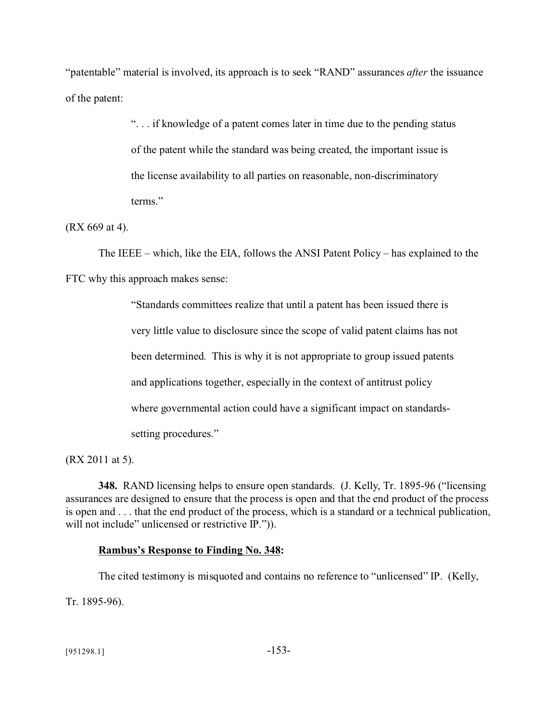"patentable" material is involved, its approach is to seek "RAND" assurances *after* the issuance of the patent:

> ". . . if knowledge of a patent comes later in time due to the pending status of the patent while the standard was being created, the important issue is the license availability to all parties on reasonable, non-discriminatory terms."

### (RX 669 at 4).

The IEEE – which, like the EIA, follows the ANSI Patent Policy – has explained to the FTC why this approach makes sense:

> "Standards committees realize that until a patent has been issued there is very little value to disclosure since the scope of valid patent claims has not been determined. This is why it is not appropriate to group issued patents and applications together, especially in the context of antitrust policy where governmental action could have a significant impact on standardssetting procedures."

(RX 2011 at 5).

**348.** RAND licensing helps to ensure open standards. (J. Kelly, Tr. 1895-96 ("licensing assurances are designed to ensure that the process is open and that the end product of the process is open and . . . that the end product of the process, which is a standard or a technical publication, will not include" unlicensed or restrictive IP.")).

## **Rambus's Response to Finding No. 348:**

The cited testimony is misquoted and contains no reference to "unlicensed" IP. (Kelly, Tr. 1895-96).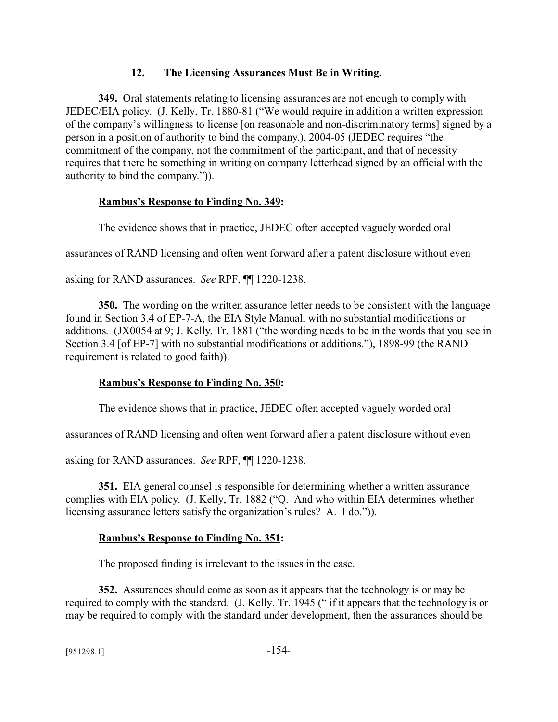## **12. The Licensing Assurances Must Be in Writing.**

**349.** Oral statements relating to licensing assurances are not enough to comply with JEDEC/EIA policy. (J. Kelly, Tr. 1880-81 ("We would require in addition a written expression of the company's willingness to license [on reasonable and non-discriminatory terms] signed by a person in a position of authority to bind the company.), 2004-05 (JEDEC requires "the commitment of the company, not the commitment of the participant, and that of necessity requires that there be something in writing on company letterhead signed by an official with the authority to bind the company.")).

## **Rambus's Response to Finding No. 349:**

The evidence shows that in practice, JEDEC often accepted vaguely worded oral

assurances of RAND licensing and often went forward after a patent disclosure without even

asking for RAND assurances. *See* RPF, ¶¶ 1220-1238.

**350.** The wording on the written assurance letter needs to be consistent with the language found in Section 3.4 of EP-7-A, the EIA Style Manual, with no substantial modifications or additions. (JX0054 at 9; J. Kelly, Tr. 1881 ("the wording needs to be in the words that you see in Section 3.4 [of EP-7] with no substantial modifications or additions."), 1898-99 (the RAND requirement is related to good faith)).

# **Rambus's Response to Finding No. 350:**

The evidence shows that in practice, JEDEC often accepted vaguely worded oral

assurances of RAND licensing and often went forward after a patent disclosure without even

asking for RAND assurances. *See* RPF, ¶¶ 1220-1238.

**351.** EIA general counsel is responsible for determining whether a written assurance complies with EIA policy. (J. Kelly, Tr. 1882 ("Q. And who within EIA determines whether licensing assurance letters satisfy the organization's rules? A. I do.")).

# **Rambus's Response to Finding No. 351:**

The proposed finding is irrelevant to the issues in the case.

**352.** Assurances should come as soon as it appears that the technology is or may be required to comply with the standard. (J. Kelly, Tr. 1945 (" if it appears that the technology is or may be required to comply with the standard under development, then the assurances should be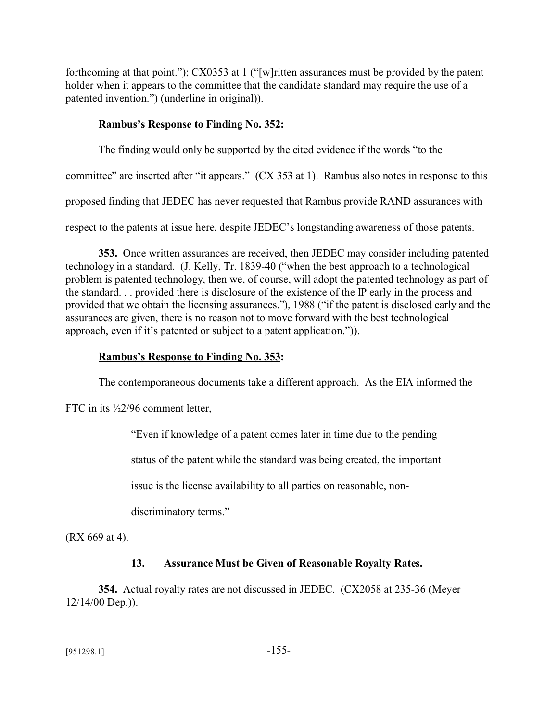forthcoming at that point."); CX0353 at 1 ("[w]ritten assurances must be provided by the patent holder when it appears to the committee that the candidate standard may require the use of a patented invention.") (underline in original)).

### **Rambus's Response to Finding No. 352:**

The finding would only be supported by the cited evidence if the words "to the

committee" are inserted after "it appears." (CX 353 at 1). Rambus also notes in response to this

proposed finding that JEDEC has never requested that Rambus provide RAND assurances with

respect to the patents at issue here, despite JEDEC's longstanding awareness of those patents.

**353.** Once written assurances are received, then JEDEC may consider including patented technology in a standard. (J. Kelly, Tr. 1839-40 ("when the best approach to a technological problem is patented technology, then we, of course, will adopt the patented technology as part of the standard. . . provided there is disclosure of the existence of the IP early in the process and provided that we obtain the licensing assurances."), 1988 ("if the patent is disclosed early and the assurances are given, there is no reason not to move forward with the best technological approach, even if it's patented or subject to a patent application.")).

### **Rambus's Response to Finding No. 353:**

The contemporaneous documents take a different approach. As the EIA informed the

FTC in its  $\frac{1}{2}$ /96 comment letter,

"Even if knowledge of a patent comes later in time due to the pending

status of the patent while the standard was being created, the important

issue is the license availability to all parties on reasonable, non-

discriminatory terms."

(RX 669 at 4).

## **13. Assurance Must be Given of Reasonable Royalty Rates.**

**354.** Actual royalty rates are not discussed in JEDEC. (CX2058 at 235-36 (Meyer 12/14/00 Dep.)).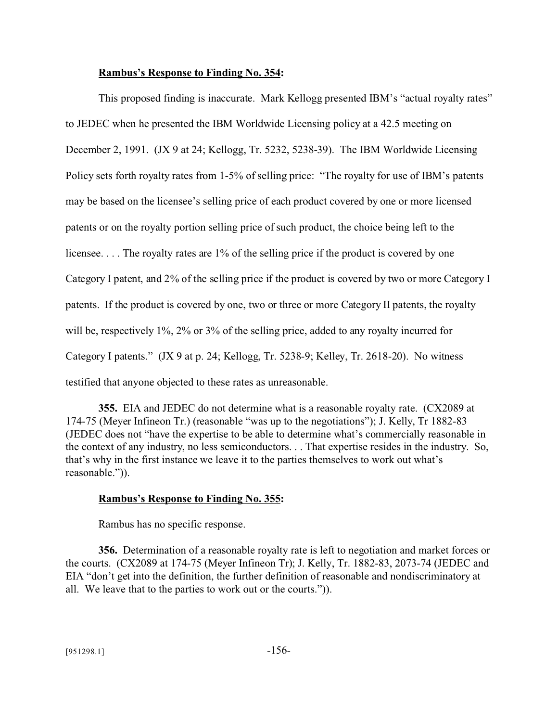#### **Rambus's Response to Finding No. 354:**

This proposed finding is inaccurate. Mark Kellogg presented IBM's "actual royalty rates" to JEDEC when he presented the IBM Worldwide Licensing policy at a 42.5 meeting on December 2, 1991. (JX 9 at 24; Kellogg, Tr. 5232, 5238-39). The IBM Worldwide Licensing Policy sets forth royalty rates from 1-5% of selling price: "The royalty for use of IBM's patents may be based on the licensee's selling price of each product covered by one or more licensed patents or on the royalty portion selling price of such product, the choice being left to the licensee.... The royalty rates are 1% of the selling price if the product is covered by one Category I patent, and 2% of the selling price if the product is covered by two or more Category I patents. If the product is covered by one, two or three or more Category II patents, the royalty will be, respectively 1%, 2% or 3% of the selling price, added to any royalty incurred for Category I patents." (JX 9 at p. 24; Kellogg, Tr. 5238-9; Kelley, Tr. 2618-20). No witness testified that anyone objected to these rates as unreasonable.

**355.** EIA and JEDEC do not determine what is a reasonable royalty rate. (CX2089 at 174-75 (Meyer Infineon Tr.) (reasonable "was up to the negotiations"); J. Kelly, Tr 1882-83 (JEDEC does not "have the expertise to be able to determine what's commercially reasonable in the context of any industry, no less semiconductors. . . That expertise resides in the industry. So, that's why in the first instance we leave it to the parties themselves to work out what's reasonable.")).

#### **Rambus's Response to Finding No. 355:**

Rambus has no specific response.

**356.** Determination of a reasonable royalty rate is left to negotiation and market forces or the courts. (CX2089 at 174-75 (Meyer Infineon Tr); J. Kelly, Tr. 1882-83, 2073-74 (JEDEC and EIA "don't get into the definition, the further definition of reasonable and nondiscriminatory at all. We leave that to the parties to work out or the courts.")).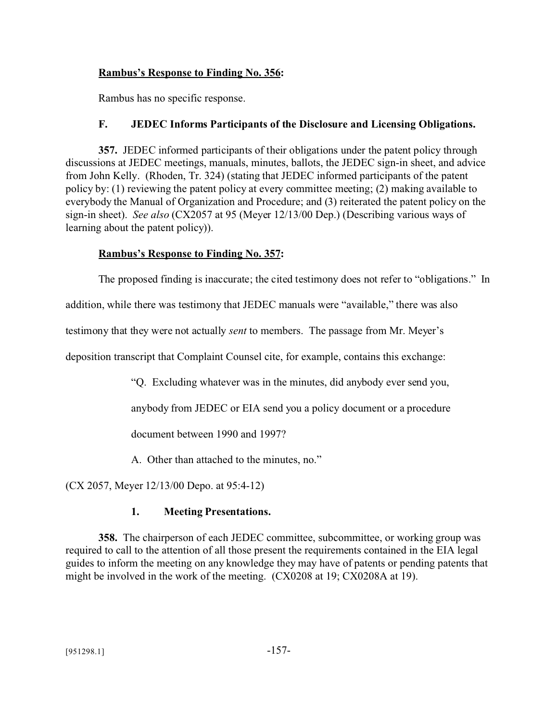## **Rambus's Response to Finding No. 356:**

Rambus has no specific response.

## **F. JEDEC Informs Participants of the Disclosure and Licensing Obligations.**

**357.** JEDEC informed participants of their obligations under the patent policy through discussions at JEDEC meetings, manuals, minutes, ballots, the JEDEC sign-in sheet, and advice from John Kelly. (Rhoden, Tr. 324) (stating that JEDEC informed participants of the patent policy by: (1) reviewing the patent policy at every committee meeting; (2) making available to everybody the Manual of Organization and Procedure; and (3) reiterated the patent policy on the sign-in sheet). *See also* (CX2057 at 95 (Meyer 12/13/00 Dep.) (Describing various ways of learning about the patent policy)).

## **Rambus's Response to Finding No. 357:**

The proposed finding is inaccurate; the cited testimony does not refer to "obligations." In

addition, while there was testimony that JEDEC manuals were "available," there was also

testimony that they were not actually *sent* to members. The passage from Mr. Meyer's

deposition transcript that Complaint Counsel cite, for example, contains this exchange:

"Q. Excluding whatever was in the minutes, did anybody ever send you,

anybody from JEDEC or EIA send you a policy document or a procedure

document between 1990 and 1997?

A. Other than attached to the minutes, no."

(CX 2057, Meyer 12/13/00 Depo. at 95:4-12)

## **1. Meeting Presentations.**

**358.** The chairperson of each JEDEC committee, subcommittee, or working group was required to call to the attention of all those present the requirements contained in the EIA legal guides to inform the meeting on any knowledge they may have of patents or pending patents that might be involved in the work of the meeting. (CX0208 at 19; CX0208A at 19).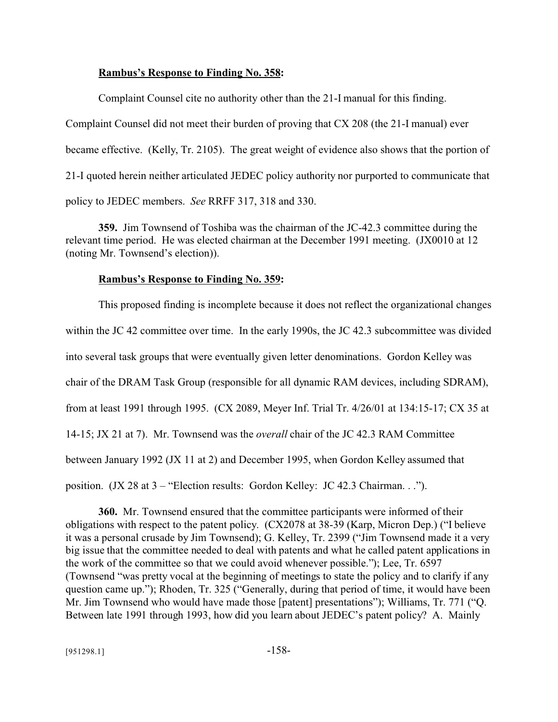#### **Rambus's Response to Finding No. 358:**

Complaint Counsel cite no authority other than the 21-I manual for this finding. Complaint Counsel did not meet their burden of proving that CX 208 (the 21-I manual) ever became effective. (Kelly, Tr. 2105). The great weight of evidence also shows that the portion of 21-I quoted herein neither articulated JEDEC policy authority nor purported to communicate that policy to JEDEC members. *See* RRFF 317, 318 and 330.

**359.** Jim Townsend of Toshiba was the chairman of the JC-42.3 committee during the relevant time period. He was elected chairman at the December 1991 meeting. (JX0010 at 12 (noting Mr. Townsend's election)).

#### **Rambus's Response to Finding No. 359:**

This proposed finding is incomplete because it does not reflect the organizational changes within the JC 42 committee over time. In the early 1990s, the JC 42.3 subcommittee was divided into several task groups that were eventually given letter denominations. Gordon Kelley was chair of the DRAM Task Group (responsible for all dynamic RAM devices, including SDRAM), from at least 1991 through 1995. (CX 2089, Meyer Inf. Trial Tr. 4/26/01 at 134:15-17; CX 35 at 14-15; JX 21 at 7). Mr. Townsend was the *overall* chair of the JC 42.3 RAM Committee between January 1992 (JX 11 at 2) and December 1995, when Gordon Kelley assumed that position. (JX 28 at 3 – "Election results: Gordon Kelley: JC 42.3 Chairman. . .").

**360.** Mr. Townsend ensured that the committee participants were informed of their obligations with respect to the patent policy. (CX2078 at 38-39 (Karp, Micron Dep.) ("I believe it was a personal crusade by Jim Townsend); G. Kelley, Tr. 2399 ("Jim Townsend made it a very big issue that the committee needed to deal with patents and what he called patent applications in the work of the committee so that we could avoid whenever possible."); Lee, Tr. 6597 (Townsend "was pretty vocal at the beginning of meetings to state the policy and to clarify if any question came up."); Rhoden, Tr. 325 ("Generally, during that period of time, it would have been Mr. Jim Townsend who would have made those [patent] presentations"); Williams, Tr. 771 ("Q. Between late 1991 through 1993, how did you learn about JEDEC's patent policy? A. Mainly

 $[951298.1]$  -158-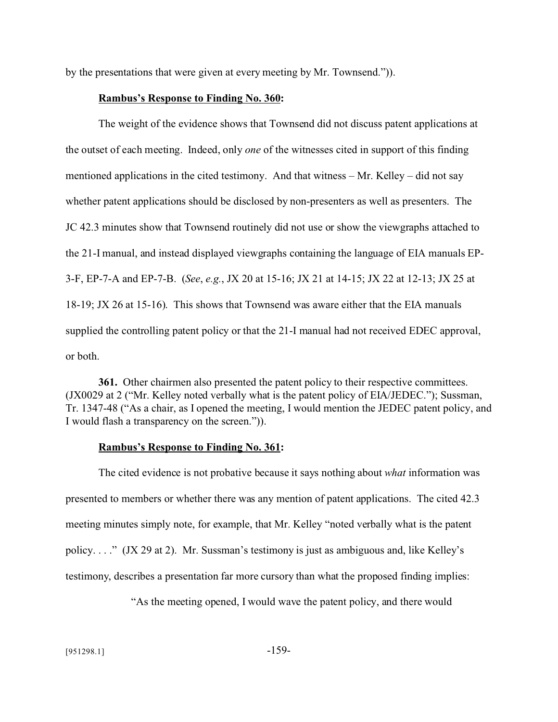by the presentations that were given at every meeting by Mr. Townsend.")).

#### **Rambus's Response to Finding No. 360:**

The weight of the evidence shows that Townsend did not discuss patent applications at the outset of each meeting. Indeed, only *one* of the witnesses cited in support of this finding mentioned applications in the cited testimony. And that witness – Mr. Kelley – did not say whether patent applications should be disclosed by non-presenters as well as presenters. The JC 42.3 minutes show that Townsend routinely did not use or show the viewgraphs attached to the 21-I manual, and instead displayed viewgraphs containing the language of EIA manuals EP-3-F, EP-7-A and EP-7-B. (*See*, *e.g.*, JX 20 at 15-16; JX 21 at 14-15; JX 22 at 12-13; JX 25 at 18-19; JX 26 at 15-16). This shows that Townsend was aware either that the EIA manuals supplied the controlling patent policy or that the 21-I manual had not received EDEC approval, or both.

**361.** Other chairmen also presented the patent policy to their respective committees. (JX0029 at 2 ("Mr. Kelley noted verbally what is the patent policy of EIA/JEDEC."); Sussman, Tr. 1347-48 ("As a chair, as I opened the meeting, I would mention the JEDEC patent policy, and I would flash a transparency on the screen.")).

#### **Rambus's Response to Finding No. 361:**

The cited evidence is not probative because it says nothing about *what* information was presented to members or whether there was any mention of patent applications. The cited 42.3 meeting minutes simply note, for example, that Mr. Kelley "noted verbally what is the patent policy. . . ." (JX 29 at 2). Mr. Sussman's testimony is just as ambiguous and, like Kelley's testimony, describes a presentation far more cursory than what the proposed finding implies:

"As the meeting opened, I would wave the patent policy, and there would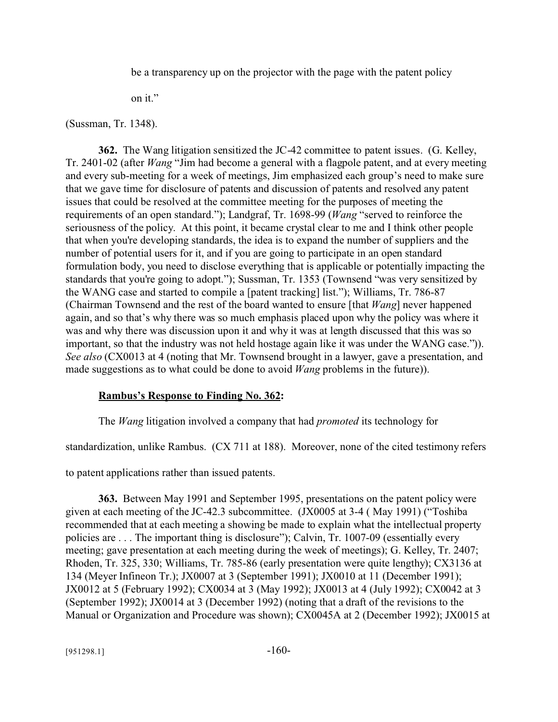be a transparency up on the projector with the page with the patent policy

on it."

(Sussman, Tr. 1348).

**362.** The Wang litigation sensitized the JC-42 committee to patent issues. (G. Kelley, Tr. 2401-02 (after *Wang* "Jim had become a general with a flagpole patent, and at every meeting and every sub-meeting for a week of meetings, Jim emphasized each group's need to make sure that we gave time for disclosure of patents and discussion of patents and resolved any patent issues that could be resolved at the committee meeting for the purposes of meeting the requirements of an open standard."); Landgraf, Tr. 1698-99 (*Wang* "served to reinforce the seriousness of the policy. At this point, it became crystal clear to me and I think other people that when you're developing standards, the idea is to expand the number of suppliers and the number of potential users for it, and if you are going to participate in an open standard formulation body, you need to disclose everything that is applicable or potentially impacting the standards that you're going to adopt."); Sussman, Tr. 1353 (Townsend "was very sensitized by the WANG case and started to compile a [patent tracking] list."); Williams, Tr. 786-87 (Chairman Townsend and the rest of the board wanted to ensure [that *Wang*] never happened again, and so that's why there was so much emphasis placed upon why the policy was where it was and why there was discussion upon it and why it was at length discussed that this was so important, so that the industry was not held hostage again like it was under the WANG case.")). *See also* (CX0013 at 4 (noting that Mr. Townsend brought in a lawyer, gave a presentation, and made suggestions as to what could be done to avoid *Wang* problems in the future)).

#### **Rambus's Response to Finding No. 362:**

The *Wang* litigation involved a company that had *promoted* its technology for

standardization, unlike Rambus. (CX 711 at 188). Moreover, none of the cited testimony refers

to patent applications rather than issued patents.

**363.** Between May 1991 and September 1995, presentations on the patent policy were given at each meeting of the JC-42.3 subcommittee. (JX0005 at 3-4 ( May 1991) ("Toshiba recommended that at each meeting a showing be made to explain what the intellectual property policies are . . . The important thing is disclosure"); Calvin, Tr. 1007-09 (essentially every meeting; gave presentation at each meeting during the week of meetings); G. Kelley, Tr. 2407; Rhoden, Tr. 325, 330; Williams, Tr. 785-86 (early presentation were quite lengthy); CX3136 at 134 (Meyer Infineon Tr.); JX0007 at 3 (September 1991); JX0010 at 11 (December 1991); JX0012 at 5 (February 1992); CX0034 at 3 (May 1992); JX0013 at 4 (July 1992); CX0042 at 3 (September 1992); JX0014 at 3 (December 1992) (noting that a draft of the revisions to the Manual or Organization and Procedure was shown); CX0045A at 2 (December 1992); JX0015 at

 $[951298.1]$  -160-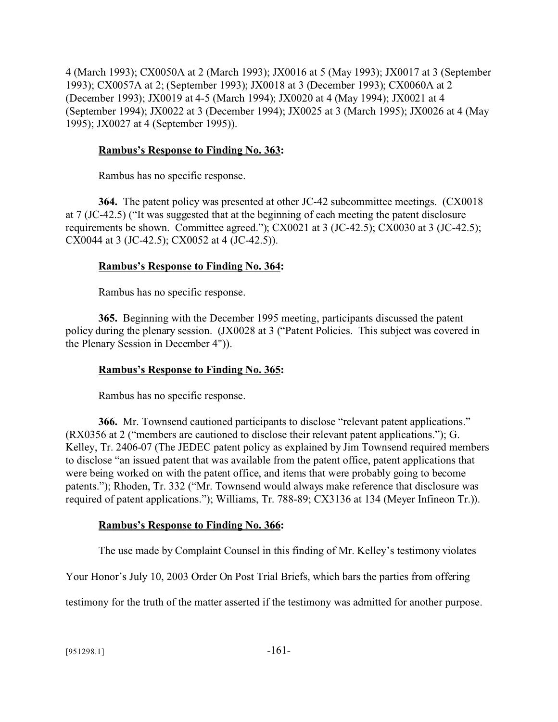4 (March 1993); CX0050A at 2 (March 1993); JX0016 at 5 (May 1993); JX0017 at 3 (September 1993); CX0057A at 2; (September 1993); JX0018 at 3 (December 1993); CX0060A at 2 (December 1993); JX0019 at 4-5 (March 1994); JX0020 at 4 (May 1994); JX0021 at 4 (September 1994); JX0022 at 3 (December 1994); JX0025 at 3 (March 1995); JX0026 at 4 (May 1995); JX0027 at 4 (September 1995)).

## **Rambus's Response to Finding No. 363:**

Rambus has no specific response.

**364.** The patent policy was presented at other JC-42 subcommittee meetings. (CX0018 at 7 (JC-42.5) ("It was suggested that at the beginning of each meeting the patent disclosure requirements be shown. Committee agreed."); CX0021 at 3 (JC-42.5); CX0030 at 3 (JC-42.5); CX0044 at 3 (JC-42.5); CX0052 at 4 (JC-42.5)).

## **Rambus's Response to Finding No. 364:**

Rambus has no specific response.

**365.** Beginning with the December 1995 meeting, participants discussed the patent policy during the plenary session. (JX0028 at 3 ("Patent Policies. This subject was covered in the Plenary Session in December 4")).

# **Rambus's Response to Finding No. 365:**

Rambus has no specific response.

**366.** Mr. Townsend cautioned participants to disclose "relevant patent applications." (RX0356 at 2 ("members are cautioned to disclose their relevant patent applications."); G. Kelley, Tr. 2406-07 (The JEDEC patent policy as explained by Jim Townsend required members to disclose "an issued patent that was available from the patent office, patent applications that were being worked on with the patent office, and items that were probably going to become patents."); Rhoden, Tr. 332 ("Mr. Townsend would always make reference that disclosure was required of patent applications."); Williams, Tr. 788-89; CX3136 at 134 (Meyer Infineon Tr.)).

# **Rambus's Response to Finding No. 366:**

The use made by Complaint Counsel in this finding of Mr. Kelley's testimony violates

Your Honor's July 10, 2003 Order On Post Trial Briefs, which bars the parties from offering

testimony for the truth of the matter asserted if the testimony was admitted for another purpose.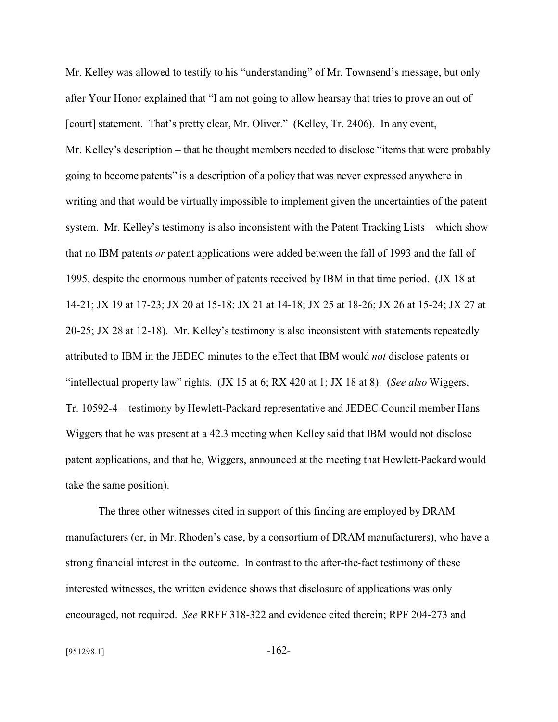Mr. Kelley was allowed to testify to his "understanding" of Mr. Townsend's message, but only after Your Honor explained that "I am not going to allow hearsay that tries to prove an out of [court] statement. That's pretty clear, Mr. Oliver." (Kelley, Tr. 2406). In any event, Mr. Kelley's description – that he thought members needed to disclose "items that were probably going to become patents" is a description of a policy that was never expressed anywhere in writing and that would be virtually impossible to implement given the uncertainties of the patent system. Mr. Kelley's testimony is also inconsistent with the Patent Tracking Lists – which show that no IBM patents *or* patent applications were added between the fall of 1993 and the fall of 1995, despite the enormous number of patents received by IBM in that time period. (JX 18 at 14-21; JX 19 at 17-23; JX 20 at 15-18; JX 21 at 14-18; JX 25 at 18-26; JX 26 at 15-24; JX 27 at 20-25; JX 28 at 12-18). Mr. Kelley's testimony is also inconsistent with statements repeatedly attributed to IBM in the JEDEC minutes to the effect that IBM would *not* disclose patents or "intellectual property law" rights. (JX 15 at 6; RX 420 at 1; JX 18 at 8). (*See also* Wiggers, Tr. 10592-4 – testimony by Hewlett-Packard representative and JEDEC Council member Hans Wiggers that he was present at a 42.3 meeting when Kelley said that IBM would not disclose patent applications, and that he, Wiggers, announced at the meeting that Hewlett-Packard would take the same position).

The three other witnesses cited in support of this finding are employed by DRAM manufacturers (or, in Mr. Rhoden's case, by a consortium of DRAM manufacturers), who have a strong financial interest in the outcome. In contrast to the after-the-fact testimony of these interested witnesses, the written evidence shows that disclosure of applications was only encouraged, not required. *See* RRFF 318-322 and evidence cited therein; RPF 204-273 and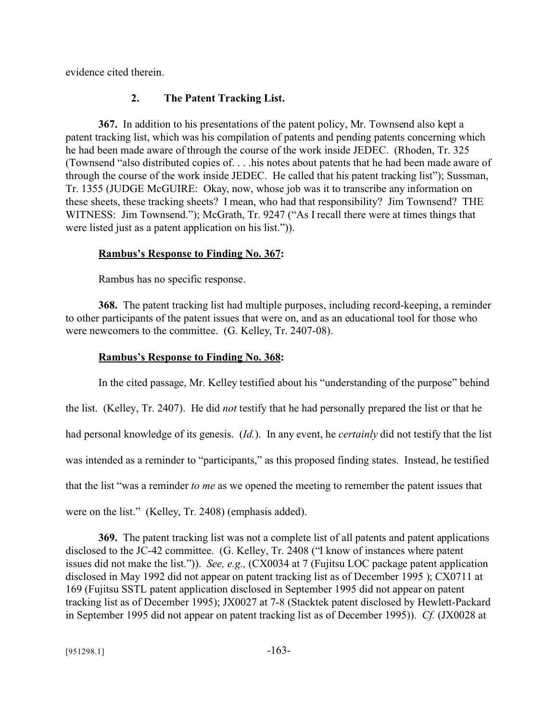evidence cited therein.

## **2. The Patent Tracking List.**

**367.** In addition to his presentations of the patent policy, Mr. Townsend also kept a patent tracking list, which was his compilation of patents and pending patents concerning which he had been made aware of through the course of the work inside JEDEC. (Rhoden, Tr. 325 (Townsend "also distributed copies of. . . .his notes about patents that he had been made aware of through the course of the work inside JEDEC. He called that his patent tracking list"); Sussman, Tr. 1355 (JUDGE McGUIRE: Okay, now, whose job was it to transcribe any information on these sheets, these tracking sheets? I mean, who had that responsibility? Jim Townsend? THE WITNESS: Jim Townsend."); McGrath, Tr. 9247 ("As I recall there were at times things that were listed just as a patent application on his list.")).

## **Rambus's Response to Finding No. 367:**

Rambus has no specific response.

**368.** The patent tracking list had multiple purposes, including record-keeping, a reminder to other participants of the patent issues that were on, and as an educational tool for those who were newcomers to the committee. (G. Kelley, Tr. 2407-08).

## **Rambus's Response to Finding No. 368:**

In the cited passage, Mr. Kelley testified about his "understanding of the purpose" behind the list. (Kelley, Tr. 2407). He did *not* testify that he had personally prepared the list or that he had personal knowledge of its genesis. (*Id.*). In any event, he *certainly* did not testify that the list was intended as a reminder to "participants," as this proposed finding states. Instead, he testified that the list "was a reminder *to me* as we opened the meeting to remember the patent issues that were on the list." (Kelley, Tr. 2408) (emphasis added).

**369.** The patent tracking list was not a complete list of all patents and patent applications disclosed to the JC-42 committee. (G. Kelley, Tr. 2408 ("I know of instances where patent issues did not make the list.")). *See, e.g.,* (CX0034 at 7 (Fujitsu LOC package patent application disclosed in May 1992 did not appear on patent tracking list as of December 1995 ); CX0711 at 169 (Fujitsu SSTL patent application disclosed in September 1995 did not appear on patent tracking list as of December 1995); JX0027 at 7-8 (Stacktek patent disclosed by Hewlett-Packard in September 1995 did not appear on patent tracking list as of December 1995)). *Cf.* (JX0028 at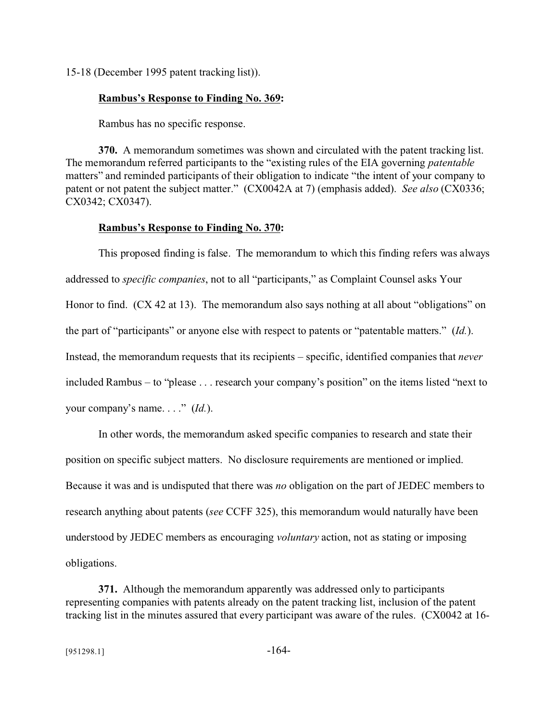15-18 (December 1995 patent tracking list)).

#### **Rambus's Response to Finding No. 369:**

Rambus has no specific response.

**370.** A memorandum sometimes was shown and circulated with the patent tracking list. The memorandum referred participants to the "existing rules of the EIA governing *patentable* matters" and reminded participants of their obligation to indicate "the intent of your company to patent or not patent the subject matter." (CX0042A at 7) (emphasis added). *See also* (CX0336; CX0342; CX0347).

#### **Rambus's Response to Finding No. 370:**

This proposed finding is false. The memorandum to which this finding refers was always addressed to *specific companies*, not to all "participants," as Complaint Counsel asks Your Honor to find. (CX 42 at 13). The memorandum also says nothing at all about "obligations" on the part of "participants" or anyone else with respect to patents or "patentable matters." (*Id.*). Instead, the memorandum requests that its recipients – specific, identified companies that *never* included Rambus – to "please . . . research your company's position" on the items listed "next to your company's name. . . ." (*Id.*).

In other words, the memorandum asked specific companies to research and state their position on specific subject matters. No disclosure requirements are mentioned or implied. Because it was and is undisputed that there was *no* obligation on the part of JEDEC members to research anything about patents (*see* CCFF 325), this memorandum would naturally have been understood by JEDEC members as encouraging *voluntary* action, not as stating or imposing obligations.

**371.** Although the memorandum apparently was addressed only to participants representing companies with patents already on the patent tracking list, inclusion of the patent tracking list in the minutes assured that every participant was aware of the rules. (CX0042 at 16-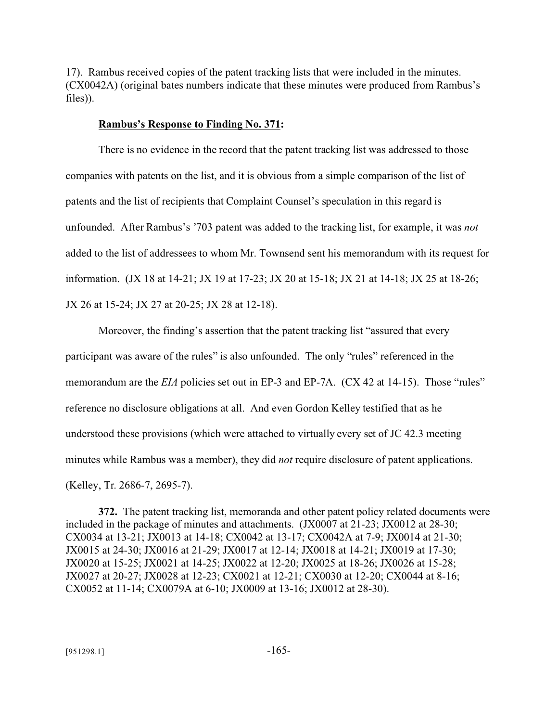17). Rambus received copies of the patent tracking lists that were included in the minutes. (CX0042A) (original bates numbers indicate that these minutes were produced from Rambus's files)).

#### **Rambus's Response to Finding No. 371:**

There is no evidence in the record that the patent tracking list was addressed to those companies with patents on the list, and it is obvious from a simple comparison of the list of patents and the list of recipients that Complaint Counsel's speculation in this regard is unfounded. After Rambus's '703 patent was added to the tracking list, for example, it was *not* added to the list of addressees to whom Mr. Townsend sent his memorandum with its request for information. (JX 18 at 14-21; JX 19 at 17-23; JX 20 at 15-18; JX 21 at 14-18; JX 25 at 18-26; JX 26 at 15-24; JX 27 at 20-25; JX 28 at 12-18).

Moreover, the finding's assertion that the patent tracking list "assured that every participant was aware of the rules" is also unfounded. The only "rules" referenced in the memorandum are the *EIA* policies set out in EP-3 and EP-7A. (CX 42 at 14-15). Those "rules" reference no disclosure obligations at all. And even Gordon Kelley testified that as he understood these provisions (which were attached to virtually every set of JC 42.3 meeting minutes while Rambus was a member), they did *not* require disclosure of patent applications. (Kelley, Tr. 2686-7, 2695-7).

**372.** The patent tracking list, memoranda and other patent policy related documents were included in the package of minutes and attachments. (JX0007 at 21-23; JX0012 at 28-30; CX0034 at 13-21; JX0013 at 14-18; CX0042 at 13-17; CX0042A at 7-9; JX0014 at 21-30; JX0015 at 24-30; JX0016 at 21-29; JX0017 at 12-14; JX0018 at 14-21; JX0019 at 17-30; JX0020 at 15-25; JX0021 at 14-25; JX0022 at 12-20; JX0025 at 18-26; JX0026 at 15-28; JX0027 at 20-27; JX0028 at 12-23; CX0021 at 12-21; CX0030 at 12-20; CX0044 at 8-16; CX0052 at 11-14; CX0079A at 6-10; JX0009 at 13-16; JX0012 at 28-30).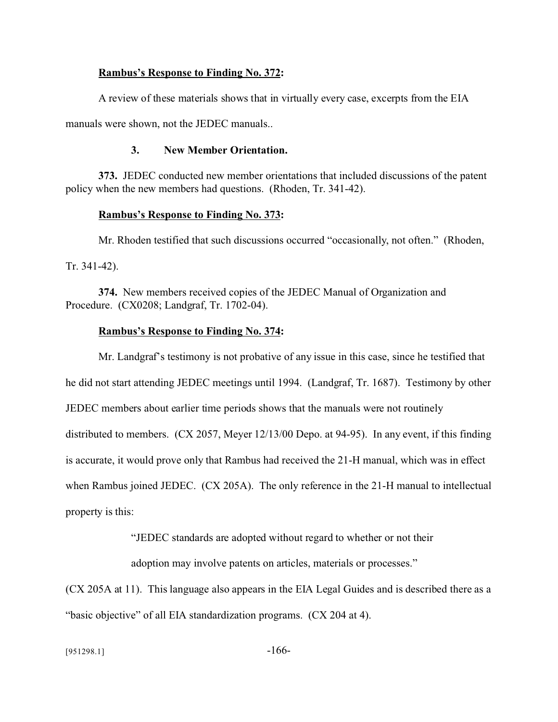#### **Rambus's Response to Finding No. 372:**

A review of these materials shows that in virtually every case, excerpts from the EIA

manuals were shown, not the JEDEC manuals..

#### **3. New Member Orientation.**

**373.** JEDEC conducted new member orientations that included discussions of the patent policy when the new members had questions. (Rhoden, Tr. 341-42).

#### **Rambus's Response to Finding No. 373:**

Mr. Rhoden testified that such discussions occurred "occasionally, not often." (Rhoden, Tr. 341-42).

**374.** New members received copies of the JEDEC Manual of Organization and Procedure. (CX0208; Landgraf, Tr. 1702-04).

#### **Rambus's Response to Finding No. 374:**

Mr. Landgraf's testimony is not probative of any issue in this case, since he testified that he did not start attending JEDEC meetings until 1994. (Landgraf, Tr. 1687). Testimony by other JEDEC members about earlier time periods shows that the manuals were not routinely distributed to members. (CX 2057, Meyer 12/13/00 Depo. at 94-95). In any event, if this finding is accurate, it would prove only that Rambus had received the 21-H manual, which was in effect when Rambus joined JEDEC. (CX 205A). The only reference in the 21-H manual to intellectual property is this:

"JEDEC standards are adopted without regard to whether or not their

adoption may involve patents on articles, materials or processes."

(CX 205A at 11). This language also appears in the EIA Legal Guides and is described there as a "basic objective" of all EIA standardization programs. (CX 204 at 4).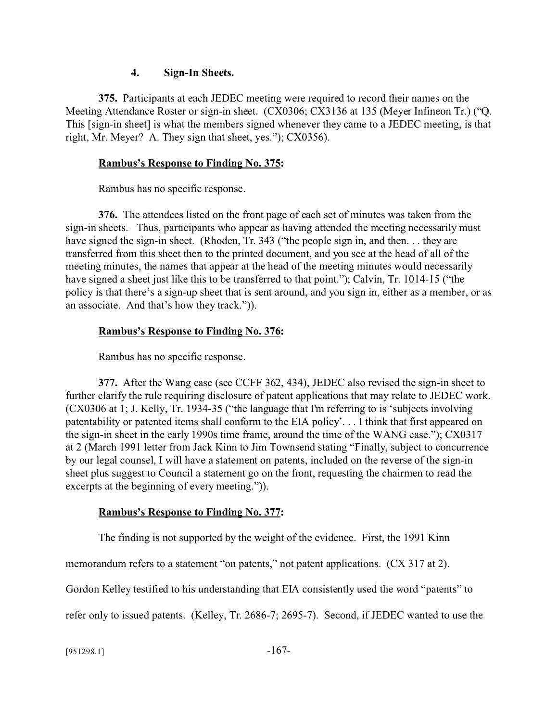#### **4. Sign-In Sheets.**

**375.** Participants at each JEDEC meeting were required to record their names on the Meeting Attendance Roster or sign-in sheet. (CX0306; CX3136 at 135 (Meyer Infineon Tr.) ("Q. This [sign-in sheet] is what the members signed whenever they came to a JEDEC meeting, is that right, Mr. Meyer? A. They sign that sheet, yes."); CX0356).

## **Rambus's Response to Finding No. 375:**

Rambus has no specific response.

**376.** The attendees listed on the front page of each set of minutes was taken from the sign-in sheets. Thus, participants who appear as having attended the meeting necessarily must have signed the sign-in sheet. (Rhoden, Tr. 343 ("the people sign in, and then. . . they are transferred from this sheet then to the printed document, and you see at the head of all of the meeting minutes, the names that appear at the head of the meeting minutes would necessarily have signed a sheet just like this to be transferred to that point."); Calvin, Tr. 1014-15 ("the policy is that there's a sign-up sheet that is sent around, and you sign in, either as a member, or as an associate. And that's how they track.")).

## **Rambus's Response to Finding No. 376:**

Rambus has no specific response.

**377.** After the Wang case (see CCFF 362, 434), JEDEC also revised the sign-in sheet to further clarify the rule requiring disclosure of patent applications that may relate to JEDEC work. (CX0306 at 1; J. Kelly, Tr. 1934-35 ("the language that I'm referring to is 'subjects involving patentability or patented items shall conform to the EIA policy'. . . I think that first appeared on the sign-in sheet in the early 1990s time frame, around the time of the WANG case."); CX0317 at 2 (March 1991 letter from Jack Kinn to Jim Townsend stating "Finally, subject to concurrence by our legal counsel, I will have a statement on patents, included on the reverse of the sign-in sheet plus suggest to Council a statement go on the front, requesting the chairmen to read the excerpts at the beginning of every meeting.")).

## **Rambus's Response to Finding No. 377:**

The finding is not supported by the weight of the evidence. First, the 1991 Kinn

memorandum refers to a statement "on patents," not patent applications. (CX 317 at 2).

Gordon Kelley testified to his understanding that EIA consistently used the word "patents" to

refer only to issued patents. (Kelley, Tr. 2686-7; 2695-7). Second, if JEDEC wanted to use the

 $[951298.1]$  -167-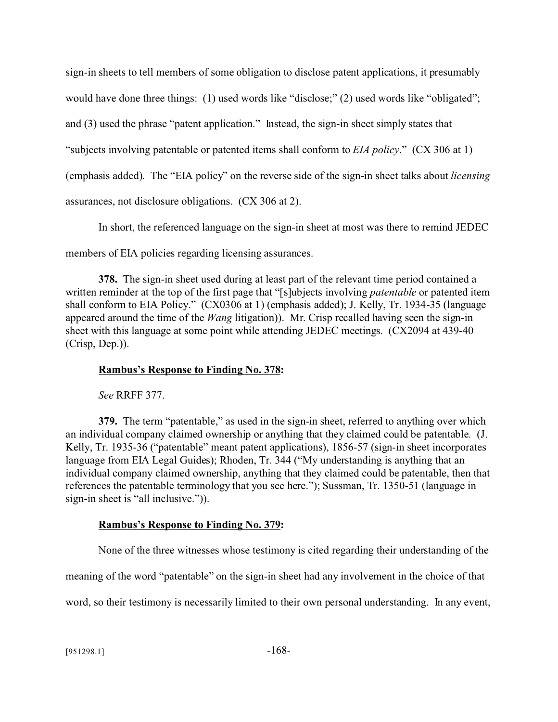sign-in sheets to tell members of some obligation to disclose patent applications, it presumably would have done three things: (1) used words like "disclose;" (2) used words like "obligated"; and (3) used the phrase "patent application." Instead, the sign-in sheet simply states that "subjects involving patentable or patented items shall conform to *EIA policy*." (CX 306 at 1) (emphasis added). The "EIA policy" on the reverse side of the sign-in sheet talks about *licensing* assurances, not disclosure obligations. (CX 306 at 2).

In short, the referenced language on the sign-in sheet at most was there to remind JEDEC

members of EIA policies regarding licensing assurances.

**378.** The sign-in sheet used during at least part of the relevant time period contained a written reminder at the top of the first page that "[s]ubjects involving *patentable* or patented item shall conform to EIA Policy." (CX0306 at 1) (emphasis added); J. Kelly, Tr. 1934-35 (language appeared around the time of the *Wang* litigation)). Mr. Crisp recalled having seen the sign-in sheet with this language at some point while attending JEDEC meetings. (CX2094 at 439-40 (Crisp, Dep.)).

## **Rambus's Response to Finding No. 378:**

*See* RRFF 377.

**379.** The term "patentable," as used in the sign-in sheet, referred to anything over which an individual company claimed ownership or anything that they claimed could be patentable. (J. Kelly, Tr. 1935-36 ("patentable" meant patent applications), 1856-57 (sign-in sheet incorporates language from EIA Legal Guides); Rhoden, Tr. 344 ("My understanding is anything that an individual company claimed ownership, anything that they claimed could be patentable, then that references the patentable terminology that you see here."); Sussman, Tr. 1350-51 (language in sign-in sheet is "all inclusive.")).

## **Rambus's Response to Finding No. 379:**

None of the three witnesses whose testimony is cited regarding their understanding of the

meaning of the word "patentable" on the sign-in sheet had any involvement in the choice of that

word, so their testimony is necessarily limited to their own personal understanding. In any event,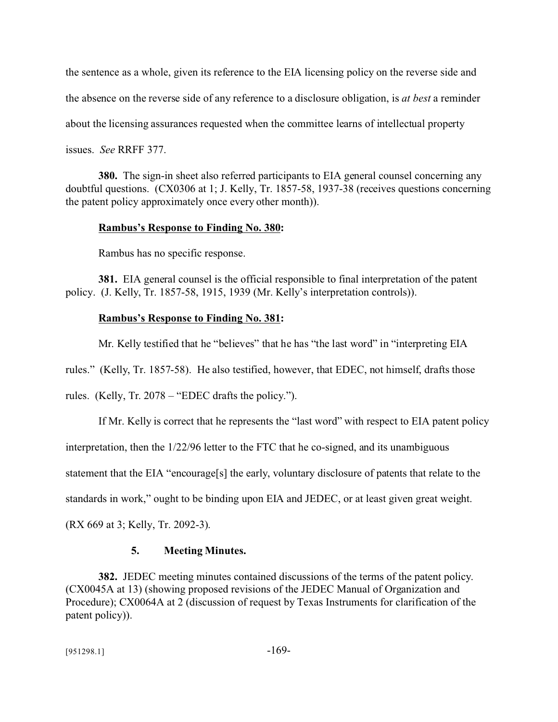the sentence as a whole, given its reference to the EIA licensing policy on the reverse side and the absence on the reverse side of any reference to a disclosure obligation, is *at best* a reminder about the licensing assurances requested when the committee learns of intellectual property issues. *See* RRFF 377.

**380.** The sign-in sheet also referred participants to EIA general counsel concerning any doubtful questions. (CX0306 at 1; J. Kelly, Tr. 1857-58, 1937-38 (receives questions concerning the patent policy approximately once every other month)).

#### **Rambus's Response to Finding No. 380:**

Rambus has no specific response.

**381.** EIA general counsel is the official responsible to final interpretation of the patent policy. (J. Kelly, Tr. 1857-58, 1915, 1939 (Mr. Kelly's interpretation controls)).

#### **Rambus's Response to Finding No. 381:**

Mr. Kelly testified that he "believes" that he has "the last word" in "interpreting EIA

rules." (Kelly, Tr. 1857-58). He also testified, however, that EDEC, not himself, drafts those

rules. (Kelly, Tr. 2078 – "EDEC drafts the policy.").

If Mr. Kelly is correct that he represents the "last word" with respect to EIA patent policy interpretation, then the 1/22/96 letter to the FTC that he co-signed, and its unambiguous statement that the EIA "encourage[s] the early, voluntary disclosure of patents that relate to the standards in work," ought to be binding upon EIA and JEDEC, or at least given great weight. (RX 669 at 3; Kelly, Tr. 2092-3).

#### **5. Meeting Minutes.**

**382.** JEDEC meeting minutes contained discussions of the terms of the patent policy. (CX0045A at 13) (showing proposed revisions of the JEDEC Manual of Organization and Procedure); CX0064A at 2 (discussion of request by Texas Instruments for clarification of the patent policy)).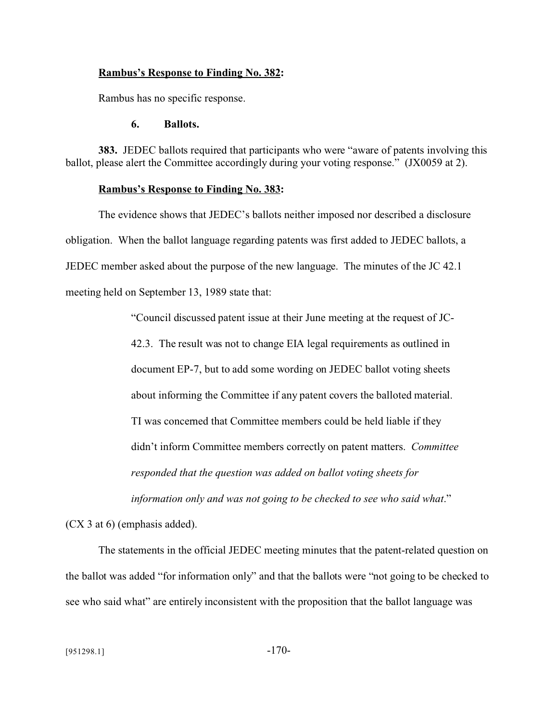#### **Rambus's Response to Finding No. 382:**

Rambus has no specific response.

#### **6. Ballots.**

**383.** JEDEC ballots required that participants who were "aware of patents involving this ballot, please alert the Committee accordingly during your voting response." (JX0059 at 2).

#### **Rambus's Response to Finding No. 383:**

The evidence shows that JEDEC's ballots neither imposed nor described a disclosure obligation. When the ballot language regarding patents was first added to JEDEC ballots, a JEDEC member asked about the purpose of the new language. The minutes of the JC 42.1 meeting held on September 13, 1989 state that:

"Council discussed patent issue at their June meeting at the request of JC-

42.3. The result was not to change EIA legal requirements as outlined in document EP-7, but to add some wording on JEDEC ballot voting sheets about informing the Committee if any patent covers the balloted material. TI was concerned that Committee members could be held liable if they didn't inform Committee members correctly on patent matters. *Committee responded that the question was added on ballot voting sheets for information only and was not going to be checked to see who said what*."

(CX 3 at 6) (emphasis added).

The statements in the official JEDEC meeting minutes that the patent-related question on the ballot was added "for information only" and that the ballots were "not going to be checked to see who said what" are entirely inconsistent with the proposition that the ballot language was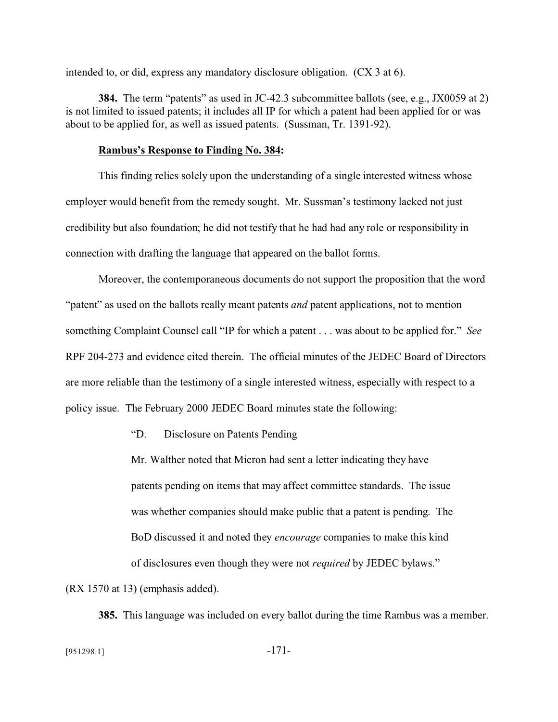intended to, or did, express any mandatory disclosure obligation. (CX 3 at 6).

**384.** The term "patents" as used in JC-42.3 subcommittee ballots (see, e.g., JX0059 at 2) is not limited to issued patents; it includes all IP for which a patent had been applied for or was about to be applied for, as well as issued patents. (Sussman, Tr. 1391-92).

#### **Rambus's Response to Finding No. 384:**

This finding relies solely upon the understanding of a single interested witness whose employer would benefit from the remedy sought. Mr. Sussman's testimony lacked not just credibility but also foundation; he did not testify that he had had any role or responsibility in connection with drafting the language that appeared on the ballot forms.

Moreover, the contemporaneous documents do not support the proposition that the word "patent" as used on the ballots really meant patents *and* patent applications, not to mention something Complaint Counsel call "IP for which a patent . . . was about to be applied for." *See* RPF 204-273 and evidence cited therein. The official minutes of the JEDEC Board of Directors are more reliable than the testimony of a single interested witness, especially with respect to a policy issue. The February 2000 JEDEC Board minutes state the following:

"D. Disclosure on Patents Pending

Mr. Walther noted that Micron had sent a letter indicating they have patents pending on items that may affect committee standards. The issue was whether companies should make public that a patent is pending. The BoD discussed it and noted they *encourage* companies to make this kind of disclosures even though they were not *required* by JEDEC bylaws."

(RX 1570 at 13) (emphasis added).

**385.** This language was included on every ballot during the time Rambus was a member.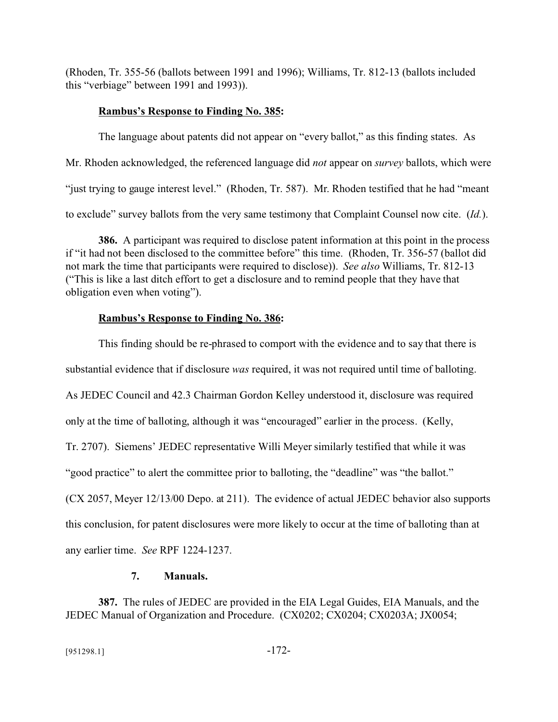(Rhoden, Tr. 355-56 (ballots between 1991 and 1996); Williams, Tr. 812-13 (ballots included this "verbiage" between 1991 and 1993)).

## **Rambus's Response to Finding No. 385:**

The language about patents did not appear on "every ballot," as this finding states. As Mr. Rhoden acknowledged, the referenced language did *not* appear on *survey* ballots, which were "just trying to gauge interest level." (Rhoden, Tr. 587). Mr. Rhoden testified that he had "meant to exclude" survey ballots from the very same testimony that Complaint Counsel now cite. (*Id.*).

**386.** A participant was required to disclose patent information at this point in the process if "it had not been disclosed to the committee before" this time. (Rhoden, Tr. 356-57 (ballot did not mark the time that participants were required to disclose)). *See also* Williams, Tr. 812-13 ("This is like a last ditch effort to get a disclosure and to remind people that they have that obligation even when voting").

## **Rambus's Response to Finding No. 386:**

This finding should be re-phrased to comport with the evidence and to say that there is substantial evidence that if disclosure *was* required, it was not required until time of balloting. As JEDEC Council and 42.3 Chairman Gordon Kelley understood it, disclosure was required only at the time of balloting, although it was "encouraged" earlier in the process. (Kelly, Tr. 2707). Siemens' JEDEC representative Willi Meyer similarly testified that while it was "good practice" to alert the committee prior to balloting, the "deadline" was "the ballot." (CX 2057, Meyer 12/13/00 Depo. at 211). The evidence of actual JEDEC behavior also supports this conclusion, for patent disclosures were more likely to occur at the time of balloting than at any earlier time. *See* RPF 1224-1237.

## **7. Manuals.**

**387.** The rules of JEDEC are provided in the EIA Legal Guides, EIA Manuals, and the JEDEC Manual of Organization and Procedure. (CX0202; CX0204; CX0203A; JX0054;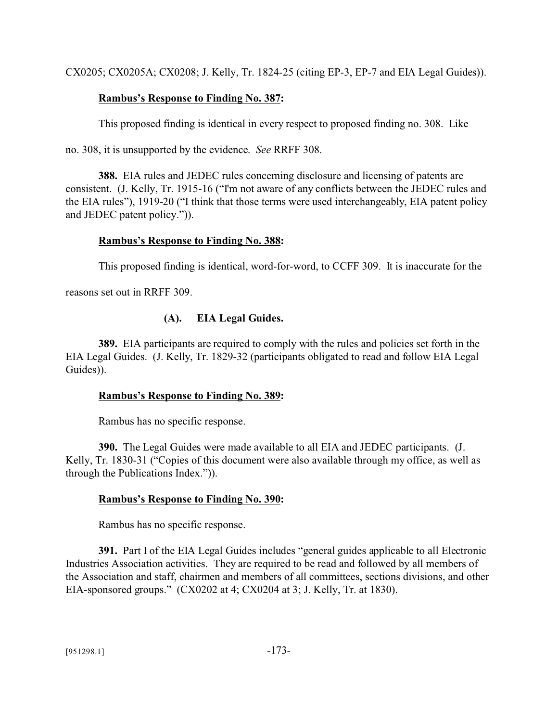CX0205; CX0205A; CX0208; J. Kelly, Tr. 1824-25 (citing EP-3, EP-7 and EIA Legal Guides)).

## **Rambus's Response to Finding No. 387:**

This proposed finding is identical in every respect to proposed finding no. 308. Like

no. 308, it is unsupported by the evidence. *See* RRFF 308.

**388.** EIA rules and JEDEC rules concerning disclosure and licensing of patents are consistent. (J. Kelly, Tr. 1915-16 ("I'm not aware of any conflicts between the JEDEC rules and the EIA rules"), 1919-20 ("I think that those terms were used interchangeably, EIA patent policy and JEDEC patent policy.")).

### **Rambus's Response to Finding No. 388:**

This proposed finding is identical, word-for-word, to CCFF 309. It is inaccurate for the

reasons set out in RRFF 309.

## **(A). EIA Legal Guides.**

**389.** EIA participants are required to comply with the rules and policies set forth in the EIA Legal Guides. (J. Kelly, Tr. 1829-32 (participants obligated to read and follow EIA Legal Guides)).

#### **Rambus's Response to Finding No. 389:**

Rambus has no specific response.

**390.** The Legal Guides were made available to all EIA and JEDEC participants. (J. Kelly, Tr. 1830-31 ("Copies of this document were also available through my office, as well as through the Publications Index.")).

## **Rambus's Response to Finding No. 390:**

Rambus has no specific response.

**391.** Part I of the EIA Legal Guides includes "general guides applicable to all Electronic Industries Association activities. They are required to be read and followed by all members of the Association and staff, chairmen and members of all committees, sections divisions, and other EIA-sponsored groups." (CX0202 at 4; CX0204 at 3; J. Kelly, Tr. at 1830).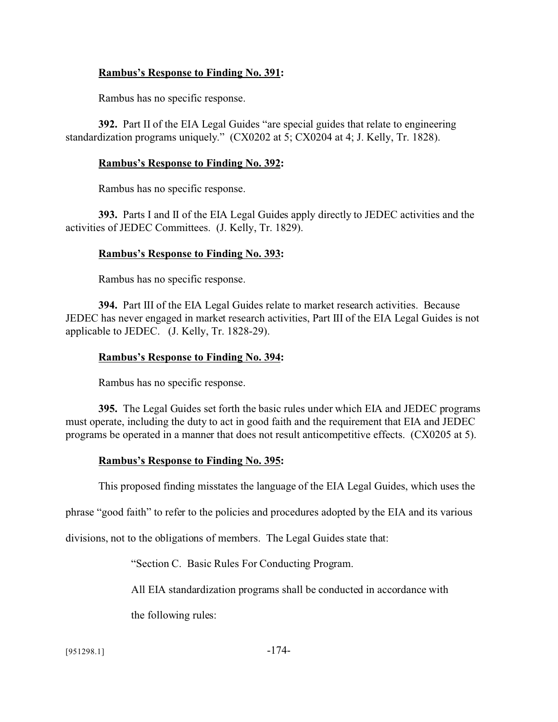### **Rambus's Response to Finding No. 391:**

Rambus has no specific response.

**392.** Part II of the EIA Legal Guides "are special guides that relate to engineering standardization programs uniquely." (CX0202 at 5; CX0204 at 4; J. Kelly, Tr. 1828).

#### **Rambus's Response to Finding No. 392:**

Rambus has no specific response.

**393.** Parts I and II of the EIA Legal Guides apply directly to JEDEC activities and the activities of JEDEC Committees. (J. Kelly, Tr. 1829).

## **Rambus's Response to Finding No. 393:**

Rambus has no specific response.

**394.** Part III of the EIA Legal Guides relate to market research activities. Because JEDEC has never engaged in market research activities, Part III of the EIA Legal Guides is not applicable to JEDEC. (J. Kelly, Tr. 1828-29).

### **Rambus's Response to Finding No. 394:**

Rambus has no specific response.

**395.** The Legal Guides set forth the basic rules under which EIA and JEDEC programs must operate, including the duty to act in good faith and the requirement that EIA and JEDEC programs be operated in a manner that does not result anticompetitive effects. (CX0205 at 5).

## **Rambus's Response to Finding No. 395:**

This proposed finding misstates the language of the EIA Legal Guides, which uses the

phrase "good faith" to refer to the policies and procedures adopted by the EIA and its various

divisions, not to the obligations of members. The Legal Guides state that:

"Section C. Basic Rules For Conducting Program.

All EIA standardization programs shall be conducted in accordance with

the following rules:

[951298.1] -174-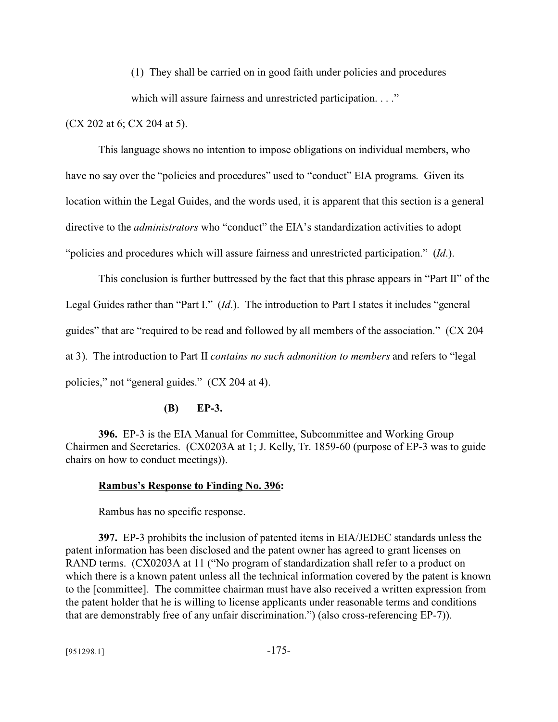(1) They shall be carried on in good faith under policies and procedures which will assure fairness and unrestricted participation. . . ."

(CX 202 at 6; CX 204 at 5).

This language shows no intention to impose obligations on individual members, who have no say over the "policies and procedures" used to "conduct" EIA programs. Given its location within the Legal Guides, and the words used, it is apparent that this section is a general directive to the *administrators* who "conduct" the EIA's standardization activities to adopt "policies and procedures which will assure fairness and unrestricted participation." (*Id*.).

This conclusion is further buttressed by the fact that this phrase appears in "Part II" of the Legal Guides rather than "Part I." (*Id*.). The introduction to Part I states it includes "general guides" that are "required to be read and followed by all members of the association." (CX 204 at 3). The introduction to Part II *contains no such admonition to members* and refers to "legal policies," not "general guides." (CX 204 at 4).

#### **(B) EP-3.**

**396.** EP-3 is the EIA Manual for Committee, Subcommittee and Working Group Chairmen and Secretaries. (CX0203A at 1; J. Kelly, Tr. 1859-60 (purpose of EP-3 was to guide chairs on how to conduct meetings)).

#### **Rambus's Response to Finding No. 396:**

Rambus has no specific response.

**397.** EP-3 prohibits the inclusion of patented items in EIA/JEDEC standards unless the patent information has been disclosed and the patent owner has agreed to grant licenses on RAND terms. (CX0203A at 11 ("No program of standardization shall refer to a product on which there is a known patent unless all the technical information covered by the patent is known to the [committee]. The committee chairman must have also received a written expression from the patent holder that he is willing to license applicants under reasonable terms and conditions that are demonstrably free of any unfair discrimination.") (also cross-referencing EP-7)).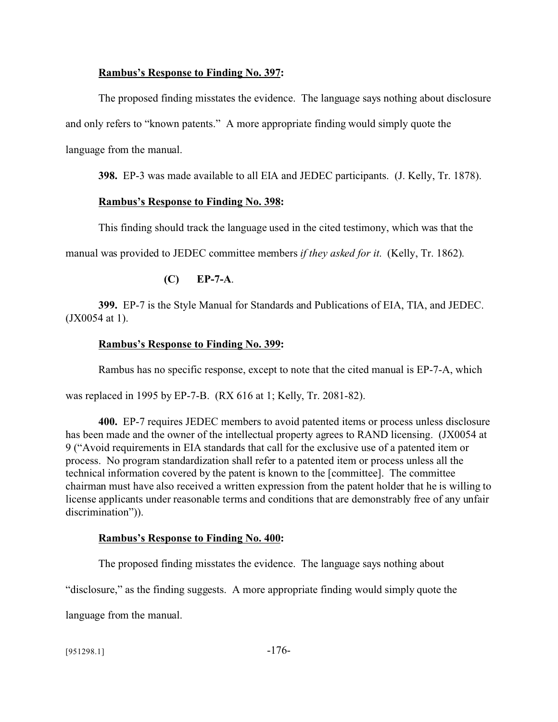#### **Rambus's Response to Finding No. 397:**

The proposed finding misstates the evidence. The language says nothing about disclosure and only refers to "known patents." A more appropriate finding would simply quote the language from the manual.

**398.** EP-3 was made available to all EIA and JEDEC participants. (J. Kelly, Tr. 1878).

#### **Rambus's Response to Finding No. 398:**

This finding should track the language used in the cited testimony, which was that the

manual was provided to JEDEC committee members *if they asked for it*. (Kelly, Tr. 1862).

## **(C) EP-7-A**.

**399.** EP-7 is the Style Manual for Standards and Publications of EIA, TIA, and JEDEC. (JX0054 at 1).

### **Rambus's Response to Finding No. 399:**

Rambus has no specific response, except to note that the cited manual is EP-7-A, which

was replaced in 1995 by EP-7-B. (RX 616 at 1; Kelly, Tr. 2081-82).

**400.** EP-7 requires JEDEC members to avoid patented items or process unless disclosure has been made and the owner of the intellectual property agrees to RAND licensing. (JX0054 at 9 ("Avoid requirements in EIA standards that call for the exclusive use of a patented item or process. No program standardization shall refer to a patented item or process unless all the technical information covered by the patent is known to the [committee]. The committee chairman must have also received a written expression from the patent holder that he is willing to license applicants under reasonable terms and conditions that are demonstrably free of any unfair discrimination")).

#### **Rambus's Response to Finding No. 400:**

The proposed finding misstates the evidence. The language says nothing about

"disclosure," as the finding suggests. A more appropriate finding would simply quote the

language from the manual.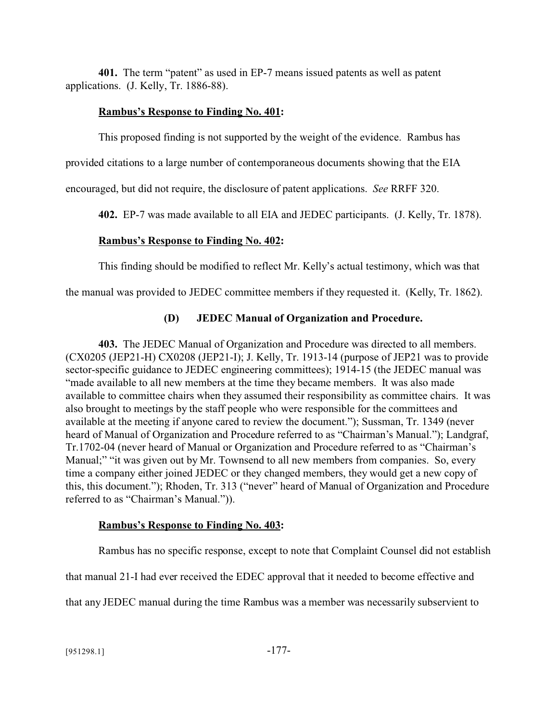**401.** The term "patent" as used in EP-7 means issued patents as well as patent applications. (J. Kelly, Tr. 1886-88).

## **Rambus's Response to Finding No. 401:**

This proposed finding is not supported by the weight of the evidence. Rambus has

provided citations to a large number of contemporaneous documents showing that the EIA

encouraged, but did not require, the disclosure of patent applications. *See* RRFF 320.

**402.** EP-7 was made available to all EIA and JEDEC participants. (J. Kelly, Tr. 1878).

## **Rambus's Response to Finding No. 402:**

This finding should be modified to reflect Mr. Kelly's actual testimony, which was that

the manual was provided to JEDEC committee members if they requested it. (Kelly, Tr. 1862).

## **(D) JEDEC Manual of Organization and Procedure.**

**403.** The JEDEC Manual of Organization and Procedure was directed to all members. (CX0205 (JEP21-H) CX0208 (JEP21-I); J. Kelly, Tr. 1913-14 (purpose of JEP21 was to provide sector-specific guidance to JEDEC engineering committees); 1914-15 (the JEDEC manual was "made available to all new members at the time they became members. It was also made available to committee chairs when they assumed their responsibility as committee chairs. It was also brought to meetings by the staff people who were responsible for the committees and available at the meeting if anyone cared to review the document."); Sussman, Tr. 1349 (never heard of Manual of Organization and Procedure referred to as "Chairman's Manual."); Landgraf, Tr.1702-04 (never heard of Manual or Organization and Procedure referred to as "Chairman's Manual;" "it was given out by Mr. Townsend to all new members from companies. So, every time a company either joined JEDEC or they changed members, they would get a new copy of this, this document."); Rhoden, Tr. 313 ("never" heard of Manual of Organization and Procedure referred to as "Chairman's Manual.")).

## **Rambus's Response to Finding No. 403:**

Rambus has no specific response, except to note that Complaint Counsel did not establish

that manual 21-I had ever received the EDEC approval that it needed to become effective and

that any JEDEC manual during the time Rambus was a member was necessarily subservient to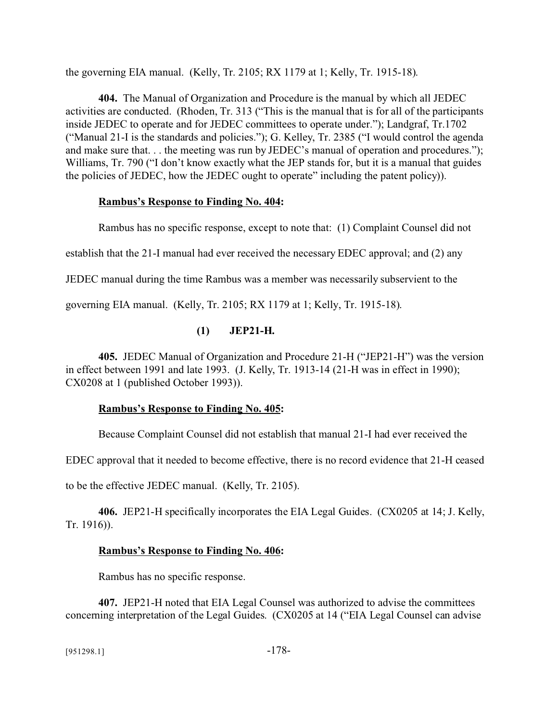the governing EIA manual. (Kelly, Tr. 2105; RX 1179 at 1; Kelly, Tr. 1915-18).

**404.** The Manual of Organization and Procedure is the manual by which all JEDEC activities are conducted. (Rhoden, Tr. 313 ("This is the manual that is for all of the participants inside JEDEC to operate and for JEDEC committees to operate under."); Landgraf, Tr.1702 ("Manual 21-I is the standards and policies."); G. Kelley, Tr. 2385 ("I would control the agenda and make sure that. . . the meeting was run by JEDEC's manual of operation and procedures."); Williams, Tr. 790 ("I don't know exactly what the JEP stands for, but it is a manual that guides the policies of JEDEC, how the JEDEC ought to operate" including the patent policy)).

### **Rambus's Response to Finding No. 404:**

Rambus has no specific response, except to note that: (1) Complaint Counsel did not

establish that the 21-I manual had ever received the necessary EDEC approval; and (2) any

JEDEC manual during the time Rambus was a member was necessarily subservient to the

governing EIA manual. (Kelly, Tr. 2105; RX 1179 at 1; Kelly, Tr. 1915-18).

# **(1) JEP21-H.**

**405.** JEDEC Manual of Organization and Procedure 21-H ("JEP21-H") was the version in effect between 1991 and late 1993. (J. Kelly, Tr. 1913-14 (21-H was in effect in 1990); CX0208 at 1 (published October 1993)).

## **Rambus's Response to Finding No. 405:**

Because Complaint Counsel did not establish that manual 21-I had ever received the

EDEC approval that it needed to become effective, there is no record evidence that 21-H ceased

to be the effective JEDEC manual. (Kelly, Tr. 2105).

**406.** JEP21-H specifically incorporates the EIA Legal Guides. (CX0205 at 14; J. Kelly, Tr. 1916)).

# **Rambus's Response to Finding No. 406:**

Rambus has no specific response.

**407.** JEP21-H noted that EIA Legal Counsel was authorized to advise the committees concerning interpretation of the Legal Guides. (CX0205 at 14 ("EIA Legal Counsel can advise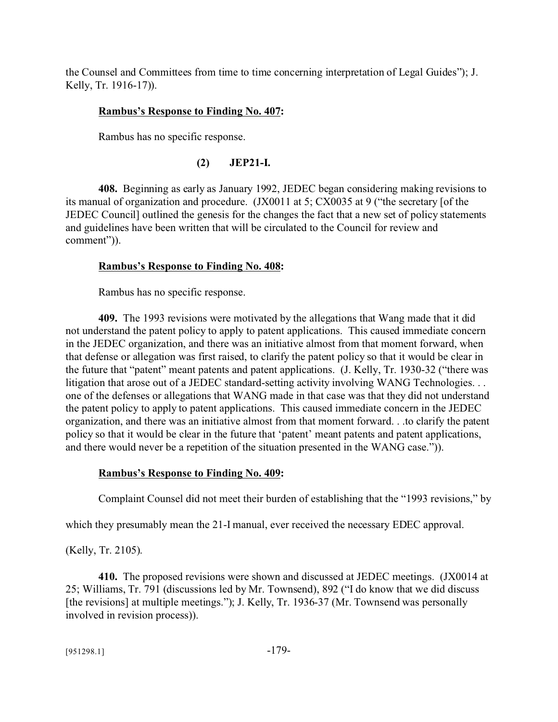the Counsel and Committees from time to time concerning interpretation of Legal Guides"); J. Kelly, Tr. 1916-17)).

## **Rambus's Response to Finding No. 407:**

Rambus has no specific response.

## **(2) JEP21-I.**

**408.** Beginning as early as January 1992, JEDEC began considering making revisions to its manual of organization and procedure. (JX0011 at 5; CX0035 at 9 ("the secretary [of the JEDEC Council] outlined the genesis for the changes the fact that a new set of policy statements and guidelines have been written that will be circulated to the Council for review and comment")).

## **Rambus's Response to Finding No. 408:**

Rambus has no specific response.

**409.** The 1993 revisions were motivated by the allegations that Wang made that it did not understand the patent policy to apply to patent applications. This caused immediate concern in the JEDEC organization, and there was an initiative almost from that moment forward, when that defense or allegation was first raised, to clarify the patent policy so that it would be clear in the future that "patent" meant patents and patent applications. (J. Kelly, Tr. 1930-32 ("there was litigation that arose out of a JEDEC standard-setting activity involving WANG Technologies. . . one of the defenses or allegations that WANG made in that case was that they did not understand the patent policy to apply to patent applications. This caused immediate concern in the JEDEC organization, and there was an initiative almost from that moment forward. . .to clarify the patent policy so that it would be clear in the future that 'patent' meant patents and patent applications, and there would never be a repetition of the situation presented in the WANG case.")).

## **Rambus's Response to Finding No. 409:**

Complaint Counsel did not meet their burden of establishing that the "1993 revisions," by

which they presumably mean the 21-I manual, ever received the necessary EDEC approval.

(Kelly, Tr. 2105).

**410.** The proposed revisions were shown and discussed at JEDEC meetings. (JX0014 at 25; Williams, Tr. 791 (discussions led by Mr. Townsend), 892 ("I do know that we did discuss [the revisions] at multiple meetings."); J. Kelly, Tr. 1936-37 (Mr. Townsend was personally involved in revision process)).

[951298.1] -179-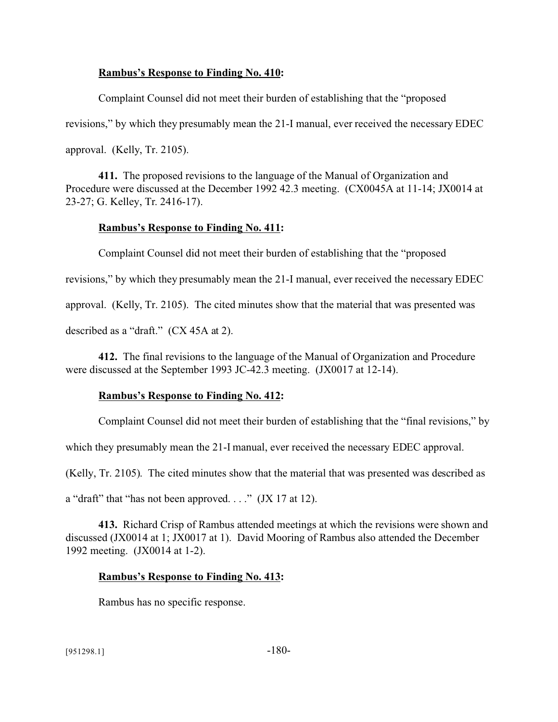#### **Rambus's Response to Finding No. 410:**

Complaint Counsel did not meet their burden of establishing that the "proposed revisions," by which they presumably mean the 21-I manual, ever received the necessary EDEC approval. (Kelly, Tr. 2105).

**411.** The proposed revisions to the language of the Manual of Organization and Procedure were discussed at the December 1992 42.3 meeting. (CX0045A at 11-14; JX0014 at 23-27; G. Kelley, Tr. 2416-17).

#### **Rambus's Response to Finding No. 411:**

Complaint Counsel did not meet their burden of establishing that the "proposed revisions," by which they presumably mean the 21-I manual, ever received the necessary EDEC approval. (Kelly, Tr. 2105). The cited minutes show that the material that was presented was described as a "draft." (CX 45A at 2).

**412.** The final revisions to the language of the Manual of Organization and Procedure were discussed at the September 1993 JC-42.3 meeting. (JX0017 at 12-14).

#### **Rambus's Response to Finding No. 412:**

Complaint Counsel did not meet their burden of establishing that the "final revisions," by

which they presumably mean the 21-I manual, ever received the necessary EDEC approval.

(Kelly, Tr. 2105). The cited minutes show that the material that was presented was described as

a "draft" that "has not been approved. . . ." (JX 17 at 12).

**413.** Richard Crisp of Rambus attended meetings at which the revisions were shown and discussed (JX0014 at 1; JX0017 at 1). David Mooring of Rambus also attended the December 1992 meeting. (JX0014 at 1-2).

#### **Rambus's Response to Finding No. 413:**

Rambus has no specific response.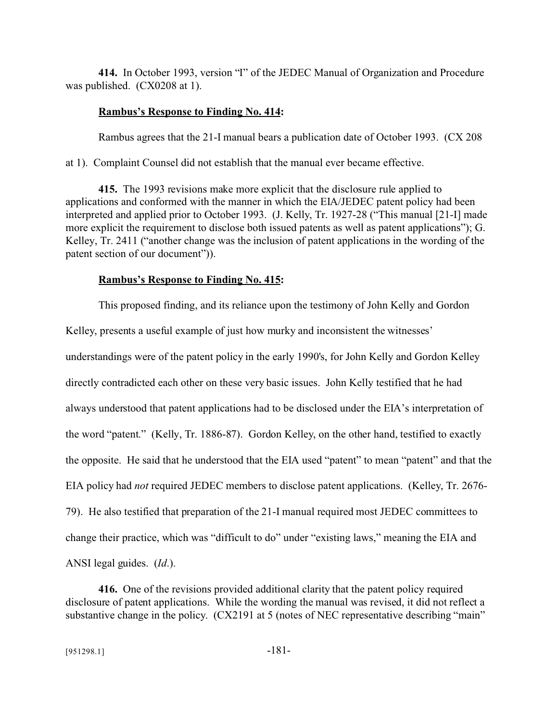**414.** In October 1993, version "I" of the JEDEC Manual of Organization and Procedure was published. (CX0208 at 1).

#### **Rambus's Response to Finding No. 414:**

Rambus agrees that the 21-I manual bears a publication date of October 1993. (CX 208

at 1). Complaint Counsel did not establish that the manual ever became effective.

**415.** The 1993 revisions make more explicit that the disclosure rule applied to applications and conformed with the manner in which the EIA/JEDEC patent policy had been interpreted and applied prior to October 1993. (J. Kelly, Tr. 1927-28 ("This manual [21-I] made more explicit the requirement to disclose both issued patents as well as patent applications"); G. Kelley, Tr. 2411 ("another change was the inclusion of patent applications in the wording of the patent section of our document")).

#### **Rambus's Response to Finding No. 415:**

This proposed finding, and its reliance upon the testimony of John Kelly and Gordon Kelley, presents a useful example of just how murky and inconsistent the witnesses' understandings were of the patent policy in the early 1990's, for John Kelly and Gordon Kelley directly contradicted each other on these very basic issues. John Kelly testified that he had always understood that patent applications had to be disclosed under the EIA's interpretation of the word "patent." (Kelly, Tr. 1886-87). Gordon Kelley, on the other hand, testified to exactly the opposite. He said that he understood that the EIA used "patent" to mean "patent" and that the EIA policy had *not* required JEDEC members to disclose patent applications. (Kelley, Tr. 2676- 79). He also testified that preparation of the 21-I manual required most JEDEC committees to change their practice, which was "difficult to do" under "existing laws," meaning the EIA and ANSI legal guides. (*Id*.).

**416.** One of the revisions provided additional clarity that the patent policy required disclosure of patent applications. While the wording the manual was revised, it did not reflect a substantive change in the policy. (CX2191 at 5 (notes of NEC representative describing "main"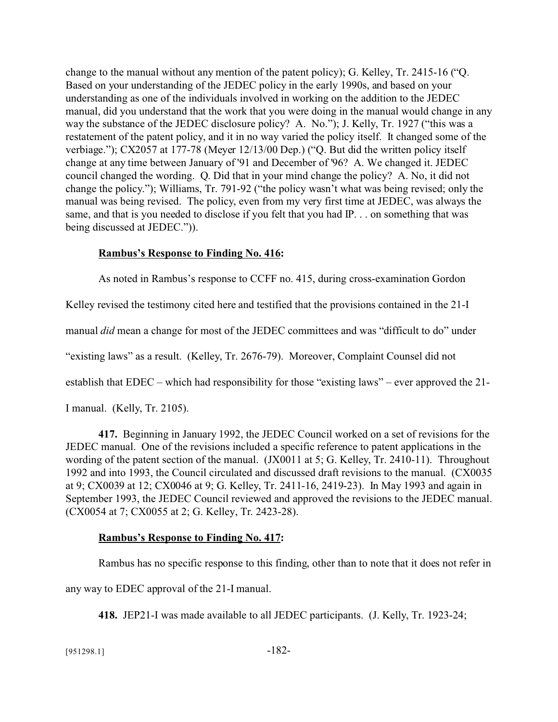change to the manual without any mention of the patent policy); G. Kelley, Tr. 2415-16 ("Q. Based on your understanding of the JEDEC policy in the early 1990s, and based on your understanding as one of the individuals involved in working on the addition to the JEDEC manual, did you understand that the work that you were doing in the manual would change in any way the substance of the JEDEC disclosure policy? A. No."); J. Kelly, Tr. 1927 ("this was a restatement of the patent policy, and it in no way varied the policy itself. It changed some of the verbiage."); CX2057 at 177-78 (Meyer 12/13/00 Dep.) ("Q. But did the written policy itself change at any time between January of '91 and December of '96? A. We changed it. JEDEC council changed the wording. Q. Did that in your mind change the policy? A. No, it did not change the policy."); Williams, Tr. 791-92 ("the policy wasn't what was being revised; only the manual was being revised. The policy, even from my very first time at JEDEC, was always the same, and that is you needed to disclose if you felt that you had IP. . . on something that was being discussed at JEDEC.")).

### **Rambus's Response to Finding No. 416:**

As noted in Rambus's response to CCFF no. 415, during cross-examination Gordon

Kelley revised the testimony cited here and testified that the provisions contained in the 21-I

manual *did* mean a change for most of the JEDEC committees and was "difficult to do" under

"existing laws" as a result. (Kelley, Tr. 2676-79). Moreover, Complaint Counsel did not

establish that EDEC – which had responsibility for those "existing laws" – ever approved the 21-

I manual. (Kelly, Tr. 2105).

**417.** Beginning in January 1992, the JEDEC Council worked on a set of revisions for the JEDEC manual. One of the revisions included a specific reference to patent applications in the wording of the patent section of the manual. (JX0011 at 5; G. Kelley, Tr. 2410-11). Throughout 1992 and into 1993, the Council circulated and discussed draft revisions to the manual. (CX0035 at 9; CX0039 at 12; CX0046 at 9; G. Kelley, Tr. 2411-16, 2419-23). In May 1993 and again in September 1993, the JEDEC Council reviewed and approved the revisions to the JEDEC manual. (CX0054 at 7; CX0055 at 2; G. Kelley, Tr. 2423-28).

### **Rambus's Response to Finding No. 417:**

Rambus has no specific response to this finding, other than to note that it does not refer in

any way to EDEC approval of the 21-I manual.

**418.** JEP21-I was made available to all JEDEC participants. (J. Kelly, Tr. 1923-24;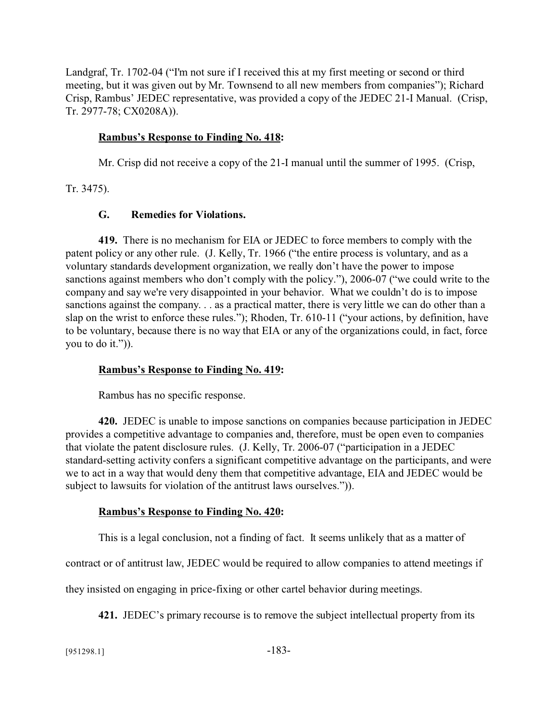Landgraf, Tr. 1702-04 ("I'm not sure if I received this at my first meeting or second or third meeting, but it was given out by Mr. Townsend to all new members from companies"); Richard Crisp, Rambus' JEDEC representative, was provided a copy of the JEDEC 21-I Manual. (Crisp, Tr. 2977-78; CX0208A)).

#### **Rambus's Response to Finding No. 418:**

Mr. Crisp did not receive a copy of the 21-I manual until the summer of 1995. (Crisp,

Tr. 3475).

#### **G. Remedies for Violations.**

**419.** There is no mechanism for EIA or JEDEC to force members to comply with the patent policy or any other rule. (J. Kelly, Tr. 1966 ("the entire process is voluntary, and as a voluntary standards development organization, we really don't have the power to impose sanctions against members who don't comply with the policy."), 2006-07 ("we could write to the company and say we're very disappointed in your behavior. What we couldn't do is to impose sanctions against the company. . . as a practical matter, there is very little we can do other than a slap on the wrist to enforce these rules."); Rhoden, Tr. 610-11 ("your actions, by definition, have to be voluntary, because there is no way that EIA or any of the organizations could, in fact, force you to do it.")).

#### **Rambus's Response to Finding No. 419:**

Rambus has no specific response.

**420.** JEDEC is unable to impose sanctions on companies because participation in JEDEC provides a competitive advantage to companies and, therefore, must be open even to companies that violate the patent disclosure rules. (J. Kelly, Tr. 2006-07 ("participation in a JEDEC standard-setting activity confers a significant competitive advantage on the participants, and were we to act in a way that would deny them that competitive advantage, EIA and JEDEC would be subject to lawsuits for violation of the antitrust laws ourselves.")).

#### **Rambus's Response to Finding No. 420:**

This is a legal conclusion, not a finding of fact. It seems unlikely that as a matter of

contract or of antitrust law, JEDEC would be required to allow companies to attend meetings if

they insisted on engaging in price-fixing or other cartel behavior during meetings.

**421.** JEDEC's primary recourse is to remove the subject intellectual property from its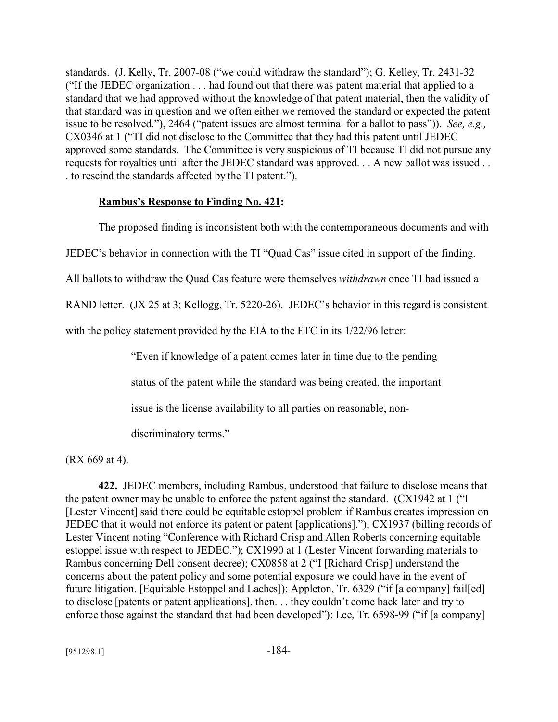standards. (J. Kelly, Tr. 2007-08 ("we could withdraw the standard"); G. Kelley, Tr. 2431-32 ("If the JEDEC organization . . . had found out that there was patent material that applied to a standard that we had approved without the knowledge of that patent material, then the validity of that standard was in question and we often either we removed the standard or expected the patent issue to be resolved."), 2464 ("patent issues are almost terminal for a ballot to pass")). *See, e.g.,* CX0346 at 1 ("TI did not disclose to the Committee that they had this patent until JEDEC approved some standards. The Committee is very suspicious of TI because TI did not pursue any requests for royalties until after the JEDEC standard was approved. . . A new ballot was issued . . . to rescind the standards affected by the TI patent.").

#### **Rambus's Response to Finding No. 421:**

The proposed finding is inconsistent both with the contemporaneous documents and with

JEDEC's behavior in connection with the TI "Quad Cas" issue cited in support of the finding.

All ballots to withdraw the Quad Cas feature were themselves *withdrawn* once TI had issued a

RAND letter. (JX 25 at 3; Kellogg, Tr. 5220-26). JEDEC's behavior in this regard is consistent

with the policy statement provided by the EIA to the FTC in its 1/22/96 letter:

"Even if knowledge of a patent comes later in time due to the pending

status of the patent while the standard was being created, the important

issue is the license availability to all parties on reasonable, non-

discriminatory terms."

(RX 669 at 4).

**422.** JEDEC members, including Rambus, understood that failure to disclose means that the patent owner may be unable to enforce the patent against the standard. (CX1942 at 1 ("I [Lester Vincent] said there could be equitable estoppel problem if Rambus creates impression on JEDEC that it would not enforce its patent or patent [applications]."); CX1937 (billing records of Lester Vincent noting "Conference with Richard Crisp and Allen Roberts concerning equitable estoppel issue with respect to JEDEC."); CX1990 at 1 (Lester Vincent forwarding materials to Rambus concerning Dell consent decree); CX0858 at 2 ("I [Richard Crisp] understand the concerns about the patent policy and some potential exposure we could have in the event of future litigation. [Equitable Estoppel and Laches]); Appleton, Tr. 6329 ("if [a company] fail[ed] to disclose [patents or patent applications], then. . . they couldn't come back later and try to enforce those against the standard that had been developed"); Lee, Tr. 6598-99 ("if [a company]

 $[951298.1]$  -184-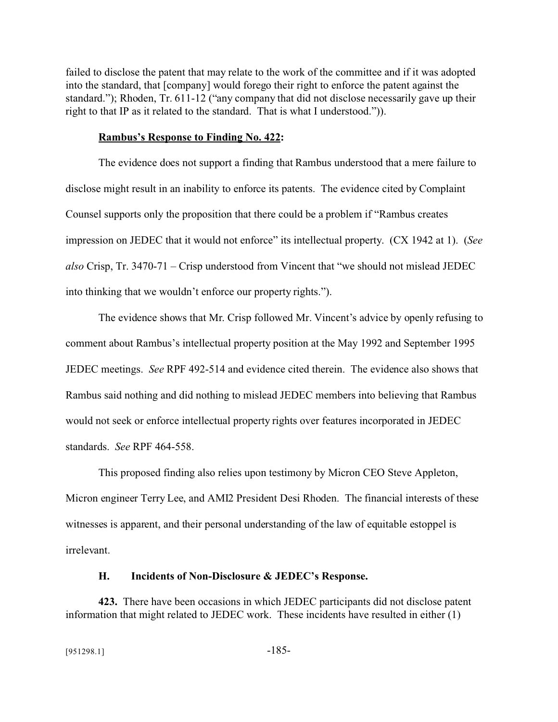failed to disclose the patent that may relate to the work of the committee and if it was adopted into the standard, that [company] would forego their right to enforce the patent against the standard."); Rhoden, Tr. 611-12 ("any company that did not disclose necessarily gave up their right to that IP as it related to the standard. That is what I understood.")).

#### **Rambus's Response to Finding No. 422:**

The evidence does not support a finding that Rambus understood that a mere failure to disclose might result in an inability to enforce its patents. The evidence cited by Complaint Counsel supports only the proposition that there could be a problem if "Rambus creates impression on JEDEC that it would not enforce" its intellectual property. (CX 1942 at 1). (*See also* Crisp, Tr. 3470-71 – Crisp understood from Vincent that "we should not mislead JEDEC into thinking that we wouldn't enforce our property rights.").

The evidence shows that Mr. Crisp followed Mr. Vincent's advice by openly refusing to comment about Rambus's intellectual property position at the May 1992 and September 1995 JEDEC meetings. *See* RPF 492-514 and evidence cited therein. The evidence also shows that Rambus said nothing and did nothing to mislead JEDEC members into believing that Rambus would not seek or enforce intellectual property rights over features incorporated in JEDEC standards. *See* RPF 464-558.

This proposed finding also relies upon testimony by Micron CEO Steve Appleton, Micron engineer Terry Lee, and AMI2 President Desi Rhoden. The financial interests of these witnesses is apparent, and their personal understanding of the law of equitable estoppel is irrelevant.

#### **H. Incidents of Non-Disclosure & JEDEC's Response.**

**423.** There have been occasions in which JEDEC participants did not disclose patent information that might related to JEDEC work. These incidents have resulted in either (1)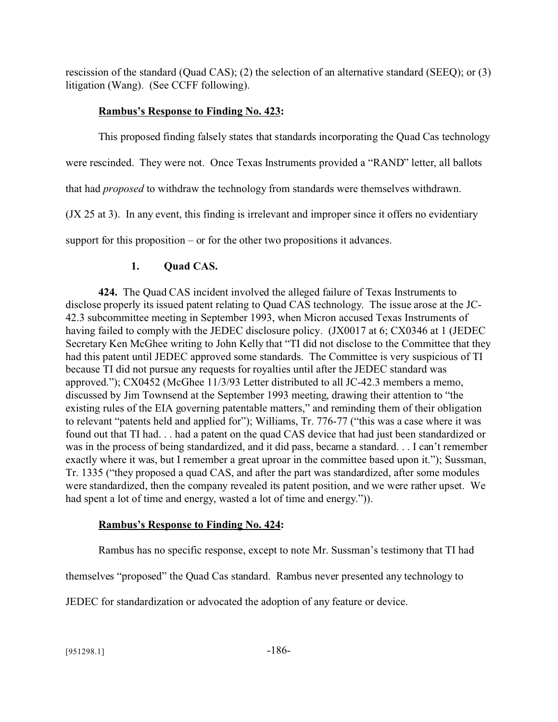rescission of the standard (Quad CAS); (2) the selection of an alternative standard (SEEQ); or (3) litigation (Wang). (See CCFF following).

# **Rambus's Response to Finding No. 423:**

This proposed finding falsely states that standards incorporating the Quad Cas technology were rescinded. They were not. Once Texas Instruments provided a "RAND" letter, all ballots that had *proposed* to withdraw the technology from standards were themselves withdrawn. (JX 25 at 3). In any event, this finding is irrelevant and improper since it offers no evidentiary support for this proposition – or for the other two propositions it advances.

# **1. Quad CAS.**

**424.** The Quad CAS incident involved the alleged failure of Texas Instruments to disclose properly its issued patent relating to Quad CAS technology. The issue arose at the JC-42.3 subcommittee meeting in September 1993, when Micron accused Texas Instruments of having failed to comply with the JEDEC disclosure policy. (JX0017 at 6; CX0346 at 1 (JEDEC Secretary Ken McGhee writing to John Kelly that "TI did not disclose to the Committee that they had this patent until JEDEC approved some standards. The Committee is very suspicious of TI because TI did not pursue any requests for royalties until after the JEDEC standard was approved."); CX0452 (McGhee 11/3/93 Letter distributed to all JC-42.3 members a memo, discussed by Jim Townsend at the September 1993 meeting, drawing their attention to "the existing rules of the EIA governing patentable matters," and reminding them of their obligation to relevant "patents held and applied for"); Williams, Tr. 776-77 ("this was a case where it was found out that TI had. . . had a patent on the quad CAS device that had just been standardized or was in the process of being standardized, and it did pass, became a standard. . . I can't remember exactly where it was, but I remember a great uproar in the committee based upon it."); Sussman, Tr. 1335 ("they proposed a quad CAS, and after the part was standardized, after some modules were standardized, then the company revealed its patent position, and we were rather upset. We had spent a lot of time and energy, wasted a lot of time and energy.")).

# **Rambus's Response to Finding No. 424:**

Rambus has no specific response, except to note Mr. Sussman's testimony that TI had

themselves "proposed" the Quad Cas standard. Rambus never presented any technology to

JEDEC for standardization or advocated the adoption of any feature or device.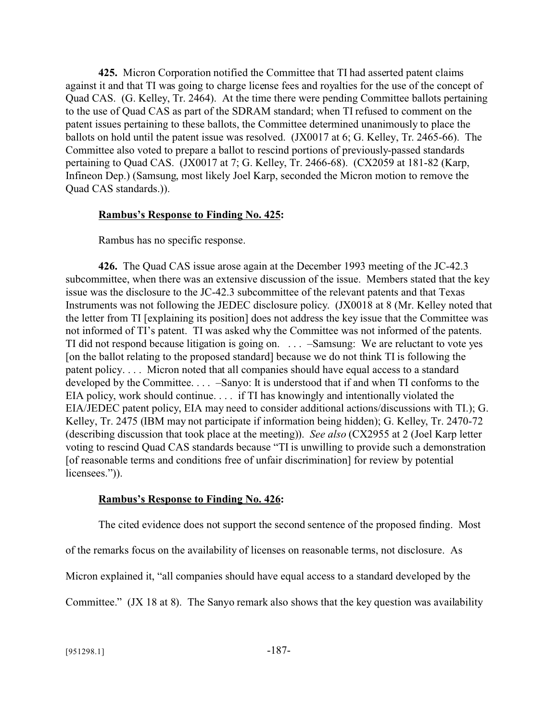**425.** Micron Corporation notified the Committee that TI had asserted patent claims against it and that TI was going to charge license fees and royalties for the use of the concept of Quad CAS. (G. Kelley, Tr. 2464). At the time there were pending Committee ballots pertaining to the use of Quad CAS as part of the SDRAM standard; when TI refused to comment on the patent issues pertaining to these ballots, the Committee determined unanimously to place the ballots on hold until the patent issue was resolved. (JX0017 at 6; G. Kelley, Tr. 2465-66). The Committee also voted to prepare a ballot to rescind portions of previously-passed standards pertaining to Quad CAS. (JX0017 at 7; G. Kelley, Tr. 2466-68). (CX2059 at 181-82 (Karp, Infineon Dep.) (Samsung, most likely Joel Karp, seconded the Micron motion to remove the Quad CAS standards.)).

#### **Rambus's Response to Finding No. 425:**

Rambus has no specific response.

**426.** The Quad CAS issue arose again at the December 1993 meeting of the JC-42.3 subcommittee, when there was an extensive discussion of the issue. Members stated that the key issue was the disclosure to the JC-42.3 subcommittee of the relevant patents and that Texas Instruments was not following the JEDEC disclosure policy. (JX0018 at 8 (Mr. Kelley noted that the letter from TI [explaining its position] does not address the key issue that the Committee was not informed of TI's patent. TI was asked why the Committee was not informed of the patents. TI did not respond because litigation is going on. . . . –Samsung: We are reluctant to vote yes [on the ballot relating to the proposed standard] because we do not think TI is following the patent policy. . . . Micron noted that all companies should have equal access to a standard developed by the Committee. . . . –Sanyo: It is understood that if and when TI conforms to the EIA policy, work should continue. . . . if TI has knowingly and intentionally violated the EIA/JEDEC patent policy, EIA may need to consider additional actions/discussions with TI.); G. Kelley, Tr. 2475 (IBM may not participate if information being hidden); G. Kelley, Tr. 2470-72 (describing discussion that took place at the meeting)). *See also* (CX2955 at 2 (Joel Karp letter voting to rescind Quad CAS standards because "TI is unwilling to provide such a demonstration [of reasonable terms and conditions free of unfair discrimination] for review by potential licensees.")).

#### **Rambus's Response to Finding No. 426:**

The cited evidence does not support the second sentence of the proposed finding. Most

of the remarks focus on the availability of licenses on reasonable terms, not disclosure. As

Micron explained it, "all companies should have equal access to a standard developed by the

Committee." (JX 18 at 8). The Sanyo remark also shows that the key question was availability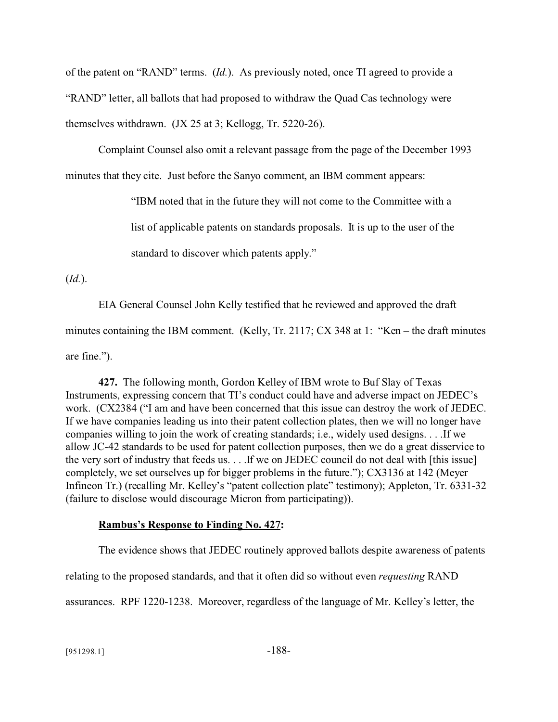of the patent on "RAND" terms. (*Id.*). As previously noted, once TI agreed to provide a "RAND" letter, all ballots that had proposed to withdraw the Quad Cas technology were themselves withdrawn. (JX 25 at 3; Kellogg, Tr. 5220-26).

Complaint Counsel also omit a relevant passage from the page of the December 1993 minutes that they cite. Just before the Sanyo comment, an IBM comment appears:

"IBM noted that in the future they will not come to the Committee with a

list of applicable patents on standards proposals. It is up to the user of the

standard to discover which patents apply."

(*Id.*).

EIA General Counsel John Kelly testified that he reviewed and approved the draft minutes containing the IBM comment. (Kelly, Tr. 2117; CX 348 at 1: "Ken – the draft minutes are fine.").

**427.** The following month, Gordon Kelley of IBM wrote to Buf Slay of Texas Instruments, expressing concern that TI's conduct could have and adverse impact on JEDEC's work. (CX2384 ("I am and have been concerned that this issue can destroy the work of JEDEC. If we have companies leading us into their patent collection plates, then we will no longer have companies willing to join the work of creating standards; i.e., widely used designs. . . .If we allow JC-42 standards to be used for patent collection purposes, then we do a great disservice to the very sort of industry that feeds us. . . .If we on JEDEC council do not deal with [this issue] completely, we set ourselves up for bigger problems in the future."); CX3136 at 142 (Meyer Infineon Tr.) (recalling Mr. Kelley's "patent collection plate" testimony); Appleton, Tr. 6331-32 (failure to disclose would discourage Micron from participating)).

# **Rambus's Response to Finding No. 427:**

The evidence shows that JEDEC routinely approved ballots despite awareness of patents

relating to the proposed standards, and that it often did so without even *requesting* RAND

assurances. RPF 1220-1238. Moreover, regardless of the language of Mr. Kelley's letter, the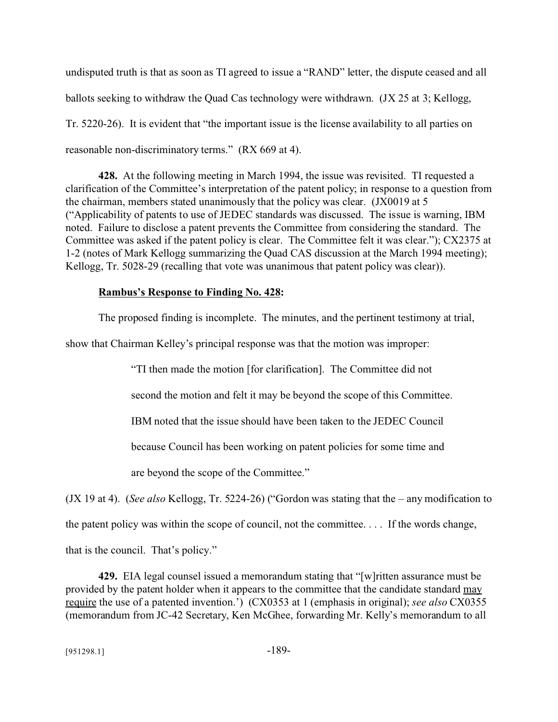undisputed truth is that as soon as TI agreed to issue a "RAND" letter, the dispute ceased and all ballots seeking to withdraw the Quad Cas technology were withdrawn. (JX 25 at 3; Kellogg, Tr. 5220-26). It is evident that "the important issue is the license availability to all parties on reasonable non-discriminatory terms." (RX 669 at 4).

**428.** At the following meeting in March 1994, the issue was revisited. TI requested a clarification of the Committee's interpretation of the patent policy; in response to a question from the chairman, members stated unanimously that the policy was clear. (JX0019 at 5 ("Applicability of patents to use of JEDEC standards was discussed. The issue is warning, IBM noted. Failure to disclose a patent prevents the Committee from considering the standard. The Committee was asked if the patent policy is clear. The Committee felt it was clear."); CX2375 at 1-2 (notes of Mark Kellogg summarizing the Quad CAS discussion at the March 1994 meeting); Kellogg, Tr. 5028-29 (recalling that vote was unanimous that patent policy was clear)).

### **Rambus's Response to Finding No. 428:**

The proposed finding is incomplete. The minutes, and the pertinent testimony at trial,

show that Chairman Kelley's principal response was that the motion was improper:

"TI then made the motion [for clarification]. The Committee did not

second the motion and felt it may be beyond the scope of this Committee.

IBM noted that the issue should have been taken to the JEDEC Council

because Council has been working on patent policies for some time and

are beyond the scope of the Committee."

(JX 19 at 4). (*See also* Kellogg, Tr. 5224-26) ("Gordon was stating that the – any modification to

the patent policy was within the scope of council, not the committee. . . . If the words change,

that is the council. That's policy."

**429.** EIA legal counsel issued a memorandum stating that "[w]ritten assurance must be provided by the patent holder when it appears to the committee that the candidate standard may require the use of a patented invention.') (CX0353 at 1 (emphasis in original); *see also* CX0355 (memorandum from JC-42 Secretary, Ken McGhee, forwarding Mr. Kelly's memorandum to all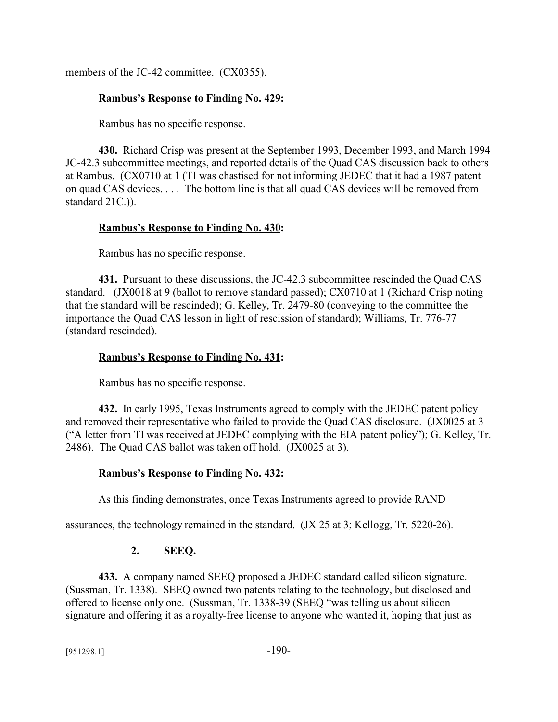members of the JC-42 committee. (CX0355).

### **Rambus's Response to Finding No. 429:**

Rambus has no specific response.

**430.** Richard Crisp was present at the September 1993, December 1993, and March 1994 JC-42.3 subcommittee meetings, and reported details of the Quad CAS discussion back to others at Rambus. (CX0710 at 1 (TI was chastised for not informing JEDEC that it had a 1987 patent on quad CAS devices. . . . The bottom line is that all quad CAS devices will be removed from standard 21C.)).

### **Rambus's Response to Finding No. 430:**

Rambus has no specific response.

**431.** Pursuant to these discussions, the JC-42.3 subcommittee rescinded the Quad CAS standard. (JX0018 at 9 (ballot to remove standard passed); CX0710 at 1 (Richard Crisp noting that the standard will be rescinded); G. Kelley, Tr. 2479-80 (conveying to the committee the importance the Quad CAS lesson in light of rescission of standard); Williams, Tr. 776-77 (standard rescinded).

### **Rambus's Response to Finding No. 431:**

Rambus has no specific response.

**432.** In early 1995, Texas Instruments agreed to comply with the JEDEC patent policy and removed their representative who failed to provide the Quad CAS disclosure. (JX0025 at 3 ("A letter from TI was received at JEDEC complying with the EIA patent policy"); G. Kelley, Tr. 2486). The Quad CAS ballot was taken off hold. (JX0025 at 3).

#### **Rambus's Response to Finding No. 432:**

As this finding demonstrates, once Texas Instruments agreed to provide RAND

assurances, the technology remained in the standard. (JX 25 at 3; Kellogg, Tr. 5220-26).

### **2. SEEQ.**

**433.** A company named SEEQ proposed a JEDEC standard called silicon signature. (Sussman, Tr. 1338). SEEQ owned two patents relating to the technology, but disclosed and offered to license only one. (Sussman, Tr. 1338-39 (SEEQ "was telling us about silicon signature and offering it as a royalty-free license to anyone who wanted it, hoping that just as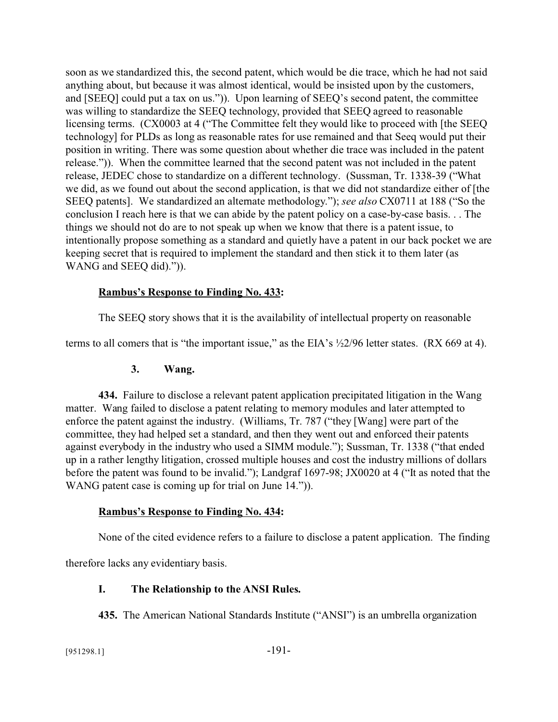soon as we standardized this, the second patent, which would be die trace, which he had not said anything about, but because it was almost identical, would be insisted upon by the customers, and [SEEQ] could put a tax on us.")). Upon learning of SEEQ's second patent, the committee was willing to standardize the SEEQ technology, provided that SEEQ agreed to reasonable licensing terms. (CX0003 at 4 ("The Committee felt they would like to proceed with [the SEEQ technology] for PLDs as long as reasonable rates for use remained and that Seeq would put their position in writing. There was some question about whether die trace was included in the patent release.")). When the committee learned that the second patent was not included in the patent release, JEDEC chose to standardize on a different technology. (Sussman, Tr. 1338-39 ("What we did, as we found out about the second application, is that we did not standardize either of [the SEEQ patents]. We standardized an alternate methodology."); *see also* CX0711 at 188 ("So the conclusion I reach here is that we can abide by the patent policy on a case-by-case basis. . . The things we should not do are to not speak up when we know that there is a patent issue, to intentionally propose something as a standard and quietly have a patent in our back pocket we are keeping secret that is required to implement the standard and then stick it to them later (as WANG and SEEQ did).")).

#### **Rambus's Response to Finding No. 433:**

The SEEQ story shows that it is the availability of intellectual property on reasonable

terms to all comers that is "the important issue," as the EIA's ½2/96 letter states. (RX 669 at 4).

#### **3. Wang.**

**434.** Failure to disclose a relevant patent application precipitated litigation in the Wang matter. Wang failed to disclose a patent relating to memory modules and later attempted to enforce the patent against the industry. (Williams, Tr. 787 ("they [Wang] were part of the committee, they had helped set a standard, and then they went out and enforced their patents against everybody in the industry who used a SIMM module."); Sussman, Tr. 1338 ("that ended up in a rather lengthy litigation, crossed multiple houses and cost the industry millions of dollars before the patent was found to be invalid."); Landgraf 1697-98; JX0020 at 4 ("It as noted that the WANG patent case is coming up for trial on June 14.").

#### **Rambus's Response to Finding No. 434:**

None of the cited evidence refers to a failure to disclose a patent application. The finding

therefore lacks any evidentiary basis.

#### **I. The Relationship to the ANSI Rules.**

**435.** The American National Standards Institute ("ANSI") is an umbrella organization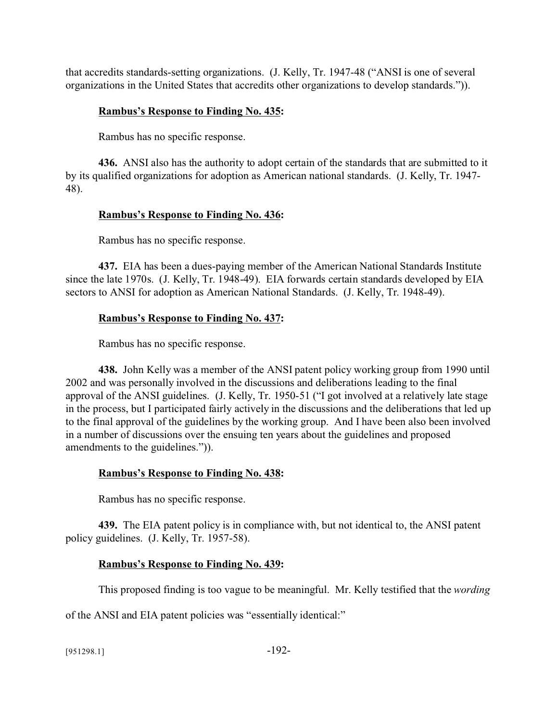that accredits standards-setting organizations. (J. Kelly, Tr. 1947-48 ("ANSI is one of several organizations in the United States that accredits other organizations to develop standards.")).

## **Rambus's Response to Finding No. 435:**

Rambus has no specific response.

**436.** ANSI also has the authority to adopt certain of the standards that are submitted to it by its qualified organizations for adoption as American national standards. (J. Kelly, Tr. 1947- 48).

# **Rambus's Response to Finding No. 436:**

Rambus has no specific response.

**437.** EIA has been a dues-paying member of the American National Standards Institute since the late 1970s. (J. Kelly, Tr. 1948-49). EIA forwards certain standards developed by EIA sectors to ANSI for adoption as American National Standards. (J. Kelly, Tr. 1948-49).

# **Rambus's Response to Finding No. 437:**

Rambus has no specific response.

**438.** John Kelly was a member of the ANSI patent policy working group from 1990 until 2002 and was personally involved in the discussions and deliberations leading to the final approval of the ANSI guidelines. (J. Kelly, Tr. 1950-51 ("I got involved at a relatively late stage in the process, but I participated fairly actively in the discussions and the deliberations that led up to the final approval of the guidelines by the working group. And I have been also been involved in a number of discussions over the ensuing ten years about the guidelines and proposed amendments to the guidelines.")).

### **Rambus's Response to Finding No. 438:**

Rambus has no specific response.

**439.** The EIA patent policy is in compliance with, but not identical to, the ANSI patent policy guidelines. (J. Kelly, Tr. 1957-58).

### **Rambus's Response to Finding No. 439:**

This proposed finding is too vague to be meaningful. Mr. Kelly testified that the *wording*

of the ANSI and EIA patent policies was "essentially identical:"

[951298.1] -192-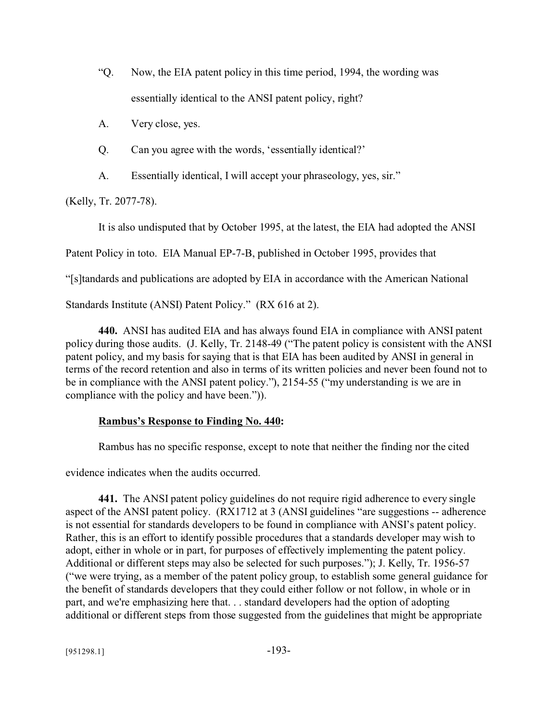- "Q. Now, the EIA patent policy in this time period, 1994, the wording was essentially identical to the ANSI patent policy, right?
- A. Very close, yes.
- Q. Can you agree with the words, 'essentially identical?'
- A. Essentially identical, I will accept your phraseology, yes, sir."

(Kelly, Tr. 2077-78).

It is also undisputed that by October 1995, at the latest, the EIA had adopted the ANSI

Patent Policy in toto. EIA Manual EP-7-B, published in October 1995, provides that

"[s]tandards and publications are adopted by EIA in accordance with the American National

Standards Institute (ANSI) Patent Policy." (RX 616 at 2).

**440.** ANSI has audited EIA and has always found EIA in compliance with ANSI patent policy during those audits. (J. Kelly, Tr. 2148-49 ("The patent policy is consistent with the ANSI patent policy, and my basis for saying that is that EIA has been audited by ANSI in general in terms of the record retention and also in terms of its written policies and never been found not to be in compliance with the ANSI patent policy."), 2154-55 ("my understanding is we are in compliance with the policy and have been.")).

### **Rambus's Response to Finding No. 440:**

Rambus has no specific response, except to note that neither the finding nor the cited

evidence indicates when the audits occurred.

**441.** The ANSI patent policy guidelines do not require rigid adherence to every single aspect of the ANSI patent policy. (RX1712 at 3 (ANSI guidelines "are suggestions -- adherence is not essential for standards developers to be found in compliance with ANSI's patent policy. Rather, this is an effort to identify possible procedures that a standards developer may wish to adopt, either in whole or in part, for purposes of effectively implementing the patent policy. Additional or different steps may also be selected for such purposes."); J. Kelly, Tr. 1956-57 ("we were trying, as a member of the patent policy group, to establish some general guidance for the benefit of standards developers that they could either follow or not follow, in whole or in part, and we're emphasizing here that. . . standard developers had the option of adopting additional or different steps from those suggested from the guidelines that might be appropriate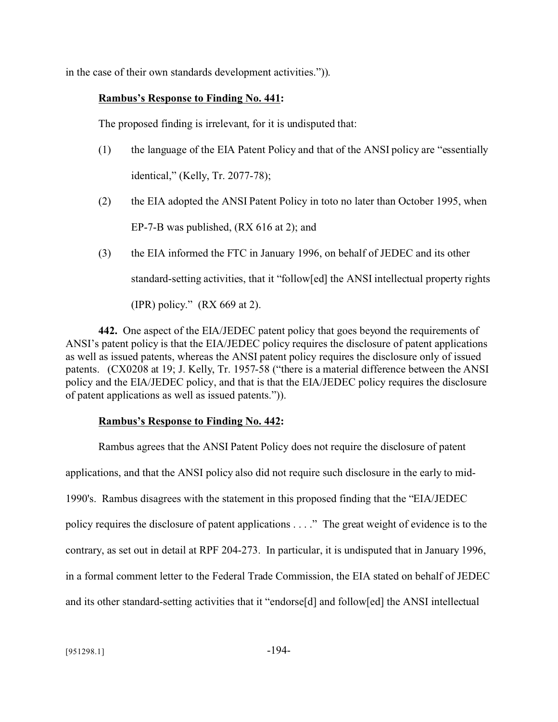in the case of their own standards development activities.")).

### **Rambus's Response to Finding No. 441:**

The proposed finding is irrelevant, for it is undisputed that:

- (1) the language of the EIA Patent Policy and that of the ANSI policy are "essentially identical," (Kelly, Tr. 2077-78);
- (2) the EIA adopted the ANSI Patent Policy in toto no later than October 1995, when EP-7-B was published, (RX 616 at 2); and
- (3) the EIA informed the FTC in January 1996, on behalf of JEDEC and its other standard-setting activities, that it "follow[ed] the ANSI intellectual property rights (IPR) policy."  $(RX 669 \text{ at } 2)$ .

**442.** One aspect of the EIA/JEDEC patent policy that goes beyond the requirements of ANSI's patent policy is that the EIA/JEDEC policy requires the disclosure of patent applications as well as issued patents, whereas the ANSI patent policy requires the disclosure only of issued patents. (CX0208 at 19; J. Kelly, Tr. 1957-58 ("there is a material difference between the ANSI policy and the EIA/JEDEC policy, and that is that the EIA/JEDEC policy requires the disclosure of patent applications as well as issued patents.")).

### **Rambus's Response to Finding No. 442:**

Rambus agrees that the ANSI Patent Policy does not require the disclosure of patent applications, and that the ANSI policy also did not require such disclosure in the early to mid-1990's. Rambus disagrees with the statement in this proposed finding that the "EIA/JEDEC policy requires the disclosure of patent applications . . . ." The great weight of evidence is to the contrary, as set out in detail at RPF 204-273. In particular, it is undisputed that in January 1996, in a formal comment letter to the Federal Trade Commission, the EIA stated on behalf of JEDEC and its other standard-setting activities that it "endorse[d] and follow[ed] the ANSI intellectual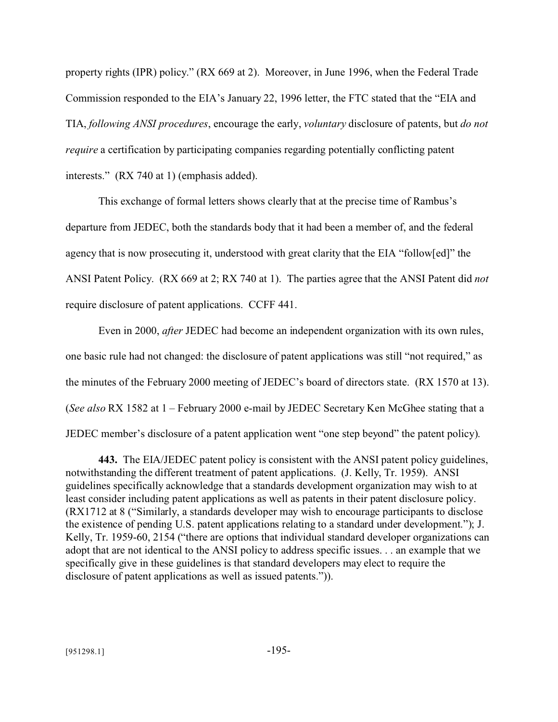property rights (IPR) policy." (RX 669 at 2). Moreover, in June 1996, when the Federal Trade Commission responded to the EIA's January 22, 1996 letter, the FTC stated that the "EIA and TIA, *following ANSI procedures*, encourage the early, *voluntary* disclosure of patents, but *do not require* a certification by participating companies regarding potentially conflicting patent interests." (RX 740 at 1) (emphasis added).

This exchange of formal letters shows clearly that at the precise time of Rambus's departure from JEDEC, both the standards body that it had been a member of, and the federal agency that is now prosecuting it, understood with great clarity that the EIA "follow[ed]" the ANSI Patent Policy. (RX 669 at 2; RX 740 at 1). The parties agree that the ANSI Patent did *not* require disclosure of patent applications. CCFF 441.

Even in 2000, *after* JEDEC had become an independent organization with its own rules, one basic rule had not changed: the disclosure of patent applications was still "not required," as the minutes of the February 2000 meeting of JEDEC's board of directors state. (RX 1570 at 13). (*See also* RX 1582 at 1 – February 2000 e-mail by JEDEC Secretary Ken McGhee stating that a JEDEC member's disclosure of a patent application went "one step beyond" the patent policy).

**443.** The EIA/JEDEC patent policy is consistent with the ANSI patent policy guidelines, notwithstanding the different treatment of patent applications. (J. Kelly, Tr. 1959). ANSI guidelines specifically acknowledge that a standards development organization may wish to at least consider including patent applications as well as patents in their patent disclosure policy. (RX1712 at 8 ("Similarly, a standards developer may wish to encourage participants to disclose the existence of pending U.S. patent applications relating to a standard under development."); J. Kelly, Tr. 1959-60, 2154 ("there are options that individual standard developer organizations can adopt that are not identical to the ANSI policy to address specific issues. . . an example that we specifically give in these guidelines is that standard developers may elect to require the disclosure of patent applications as well as issued patents.")).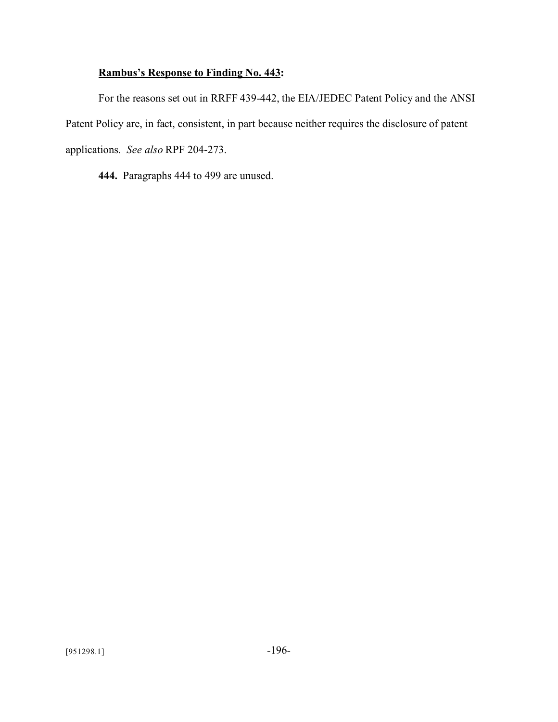# **Rambus's Response to Finding No. 443:**

For the reasons set out in RRFF 439-442, the EIA/JEDEC Patent Policy and the ANSI Patent Policy are, in fact, consistent, in part because neither requires the disclosure of patent applications. *See also* RPF 204-273.

**444.** Paragraphs 444 to 499 are unused.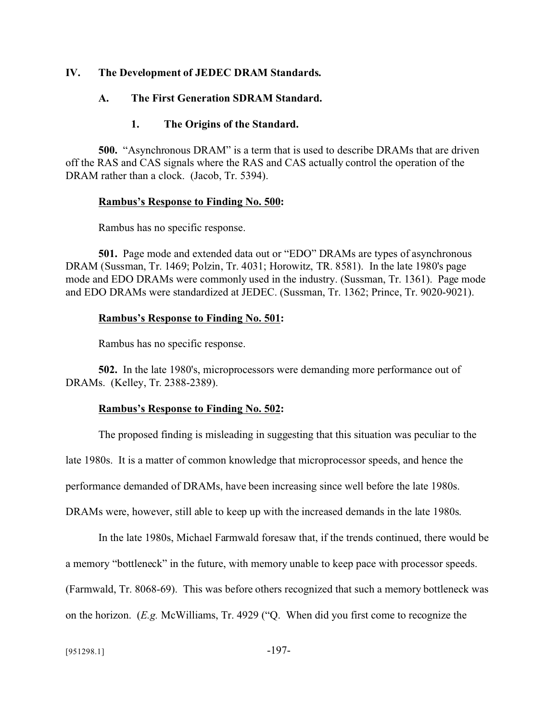#### **IV. The Development of JEDEC DRAM Standards.**

#### **A. The First Generation SDRAM Standard.**

#### **1. The Origins of the Standard.**

**500.** "Asynchronous DRAM" is a term that is used to describe DRAMs that are driven off the RAS and CAS signals where the RAS and CAS actually control the operation of the DRAM rather than a clock. (Jacob, Tr. 5394).

#### **Rambus's Response to Finding No. 500:**

Rambus has no specific response.

**501.** Page mode and extended data out or "EDO" DRAMs are types of asynchronous DRAM (Sussman, Tr. 1469; Polzin, Tr. 4031; Horowitz, TR. 8581). In the late 1980's page mode and EDO DRAMs were commonly used in the industry. (Sussman, Tr. 1361). Page mode and EDO DRAMs were standardized at JEDEC. (Sussman, Tr. 1362; Prince, Tr. 9020-9021).

#### **Rambus's Response to Finding No. 501:**

Rambus has no specific response.

**502.** In the late 1980's, microprocessors were demanding more performance out of DRAMs. (Kelley, Tr. 2388-2389).

#### **Rambus's Response to Finding No. 502:**

The proposed finding is misleading in suggesting that this situation was peculiar to the late 1980s. It is a matter of common knowledge that microprocessor speeds, and hence the performance demanded of DRAMs, have been increasing since well before the late 1980s. DRAMs were, however, still able to keep up with the increased demands in the late 1980s.

In the late 1980s, Michael Farmwald foresaw that, if the trends continued, there would be a memory "bottleneck" in the future, with memory unable to keep pace with processor speeds. (Farmwald, Tr. 8068-69). This was before others recognized that such a memory bottleneck was on the horizon. (*E.g.* McWilliams, Tr. 4929 ("Q. When did you first come to recognize the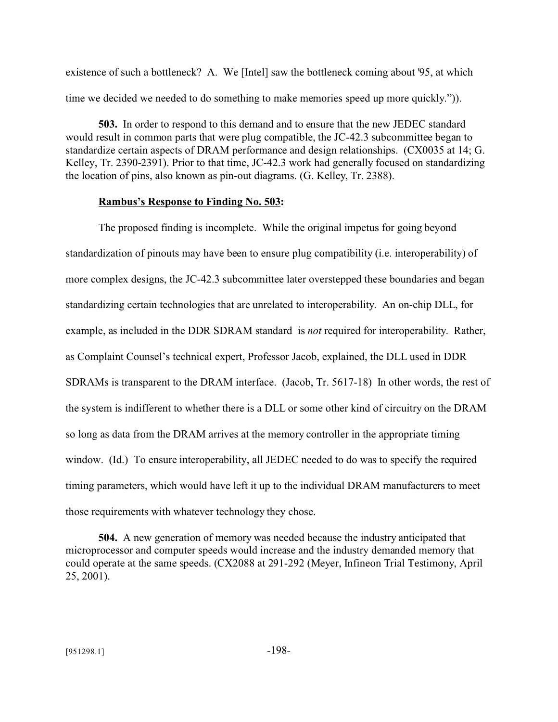existence of such a bottleneck? A. We [Intel] saw the bottleneck coming about '95, at which time we decided we needed to do something to make memories speed up more quickly.")).

**503.** In order to respond to this demand and to ensure that the new JEDEC standard would result in common parts that were plug compatible, the JC-42.3 subcommittee began to standardize certain aspects of DRAM performance and design relationships. (CX0035 at 14; G. Kelley, Tr. 2390-2391). Prior to that time, JC-42.3 work had generally focused on standardizing the location of pins, also known as pin-out diagrams. (G. Kelley, Tr. 2388).

#### **Rambus's Response to Finding No. 503:**

The proposed finding is incomplete. While the original impetus for going beyond standardization of pinouts may have been to ensure plug compatibility (i.e. interoperability) of more complex designs, the JC-42.3 subcommittee later overstepped these boundaries and began standardizing certain technologies that are unrelated to interoperability. An on-chip DLL, for example, as included in the DDR SDRAM standard is *not* required for interoperability. Rather, as Complaint Counsel's technical expert, Professor Jacob, explained, the DLL used in DDR SDRAMs is transparent to the DRAM interface. (Jacob, Tr. 5617-18) In other words, the rest of the system is indifferent to whether there is a DLL or some other kind of circuitry on the DRAM so long as data from the DRAM arrives at the memory controller in the appropriate timing window. (Id.) To ensure interoperability, all JEDEC needed to do was to specify the required timing parameters, which would have left it up to the individual DRAM manufacturers to meet those requirements with whatever technology they chose.

**504.** A new generation of memory was needed because the industry anticipated that microprocessor and computer speeds would increase and the industry demanded memory that could operate at the same speeds. (CX2088 at 291-292 (Meyer, Infineon Trial Testimony, April 25, 2001).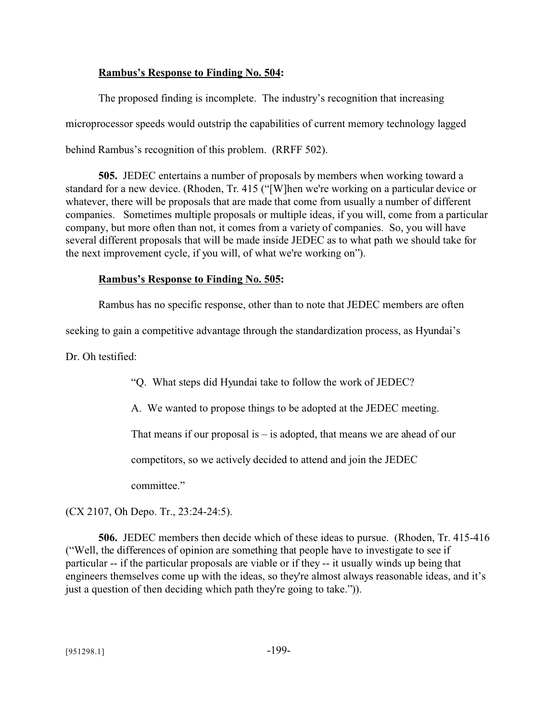### **Rambus's Response to Finding No. 504:**

The proposed finding is incomplete. The industry's recognition that increasing microprocessor speeds would outstrip the capabilities of current memory technology lagged behind Rambus's recognition of this problem. (RRFF 502).

**505.** JEDEC entertains a number of proposals by members when working toward a standard for a new device. (Rhoden, Tr. 415 ("[W]hen we're working on a particular device or whatever, there will be proposals that are made that come from usually a number of different companies. Sometimes multiple proposals or multiple ideas, if you will, come from a particular company, but more often than not, it comes from a variety of companies. So, you will have several different proposals that will be made inside JEDEC as to what path we should take for the next improvement cycle, if you will, of what we're working on").

### **Rambus's Response to Finding No. 505:**

Rambus has no specific response, other than to note that JEDEC members are often

seeking to gain a competitive advantage through the standardization process, as Hyundai's

Dr. Oh testified:

"Q. What steps did Hyundai take to follow the work of JEDEC?

A. We wanted to propose things to be adopted at the JEDEC meeting.

That means if our proposal is  $-$  is adopted, that means we are ahead of our

competitors, so we actively decided to attend and join the JEDEC

committee."

(CX 2107, Oh Depo. Tr., 23:24-24:5).

**506.** JEDEC members then decide which of these ideas to pursue. (Rhoden, Tr. 415-416 ("Well, the differences of opinion are something that people have to investigate to see if particular -- if the particular proposals are viable or if they -- it usually winds up being that engineers themselves come up with the ideas, so they're almost always reasonable ideas, and it's just a question of then deciding which path they're going to take.")).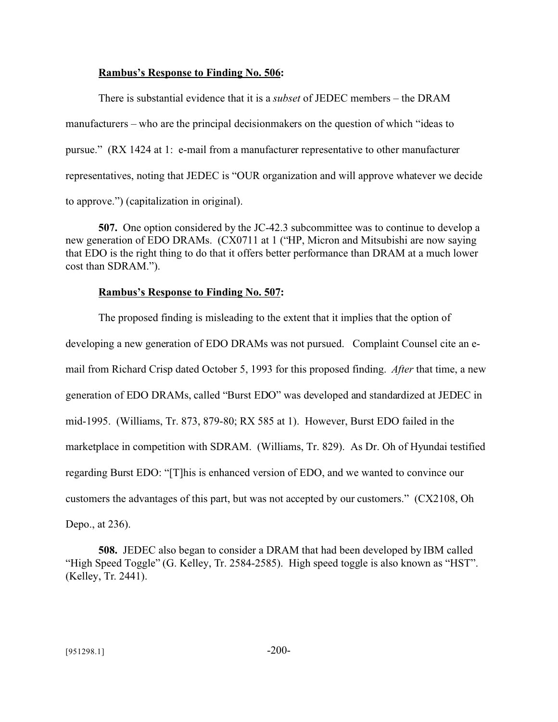#### **Rambus's Response to Finding No. 506:**

There is substantial evidence that it is a *subset* of JEDEC members – the DRAM manufacturers – who are the principal decisionmakers on the question of which "ideas to pursue." (RX 1424 at 1: e-mail from a manufacturer representative to other manufacturer representatives, noting that JEDEC is "OUR organization and will approve whatever we decide to approve.") (capitalization in original).

**507.** One option considered by the JC-42.3 subcommittee was to continue to develop a new generation of EDO DRAMs. (CX0711 at 1 ("HP, Micron and Mitsubishi are now saying that EDO is the right thing to do that it offers better performance than DRAM at a much lower cost than SDRAM.").

#### **Rambus's Response to Finding No. 507:**

The proposed finding is misleading to the extent that it implies that the option of developing a new generation of EDO DRAMs was not pursued. Complaint Counsel cite an email from Richard Crisp dated October 5, 1993 for this proposed finding. *After* that time, a new generation of EDO DRAMs, called "Burst EDO" was developed and standardized at JEDEC in mid-1995. (Williams, Tr. 873, 879-80; RX 585 at 1). However, Burst EDO failed in the marketplace in competition with SDRAM. (Williams, Tr. 829). As Dr. Oh of Hyundai testified regarding Burst EDO: "[T]his is enhanced version of EDO, and we wanted to convince our customers the advantages of this part, but was not accepted by our customers." (CX2108, Oh Depo., at 236).

**508.** JEDEC also began to consider a DRAM that had been developed by IBM called "High Speed Toggle" (G. Kelley, Tr. 2584-2585). High speed toggle is also known as "HST". (Kelley, Tr. 2441).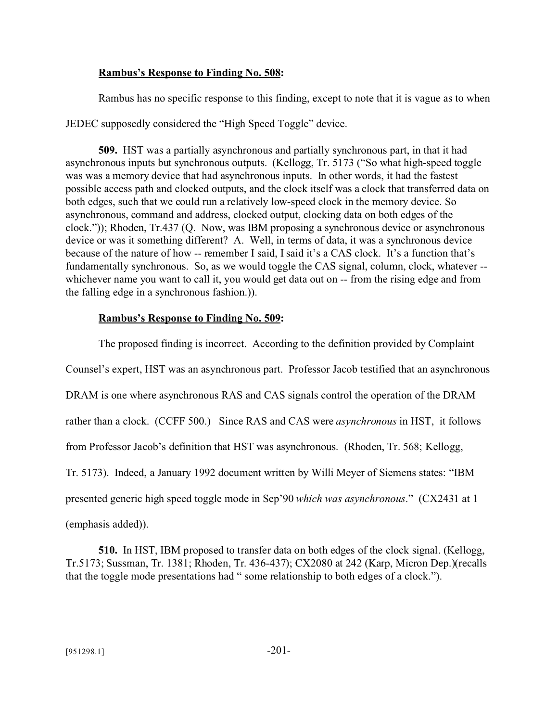#### **Rambus's Response to Finding No. 508:**

Rambus has no specific response to this finding, except to note that it is vague as to when

JEDEC supposedly considered the "High Speed Toggle" device.

**509.** HST was a partially asynchronous and partially synchronous part, in that it had asynchronous inputs but synchronous outputs. (Kellogg, Tr. 5173 ("So what high-speed toggle was was a memory device that had asynchronous inputs. In other words, it had the fastest possible access path and clocked outputs, and the clock itself was a clock that transferred data on both edges, such that we could run a relatively low-speed clock in the memory device. So asynchronous, command and address, clocked output, clocking data on both edges of the clock.")); Rhoden, Tr.437 (Q. Now, was IBM proposing a synchronous device or asynchronous device or was it something different? A. Well, in terms of data, it was a synchronous device because of the nature of how -- remember I said, I said it's a CAS clock. It's a function that's fundamentally synchronous. So, as we would toggle the CAS signal, column, clock, whatever - whichever name you want to call it, you would get data out on -- from the rising edge and from the falling edge in a synchronous fashion.)).

#### **Rambus's Response to Finding No. 509:**

The proposed finding is incorrect. According to the definition provided by Complaint Counsel's expert, HST was an asynchronous part. Professor Jacob testified that an asynchronous DRAM is one where asynchronous RAS and CAS signals control the operation of the DRAM rather than a clock. (CCFF 500.) Since RAS and CAS were *asynchronous* in HST, it follows from Professor Jacob's definition that HST was asynchronous. (Rhoden, Tr. 568; Kellogg, Tr. 5173). Indeed, a January 1992 document written by Willi Meyer of Siemens states: "IBM presented generic high speed toggle mode in Sep'90 *which was asynchronous*." (CX2431 at 1 (emphasis added)).

**510.** In HST, IBM proposed to transfer data on both edges of the clock signal. (Kellogg, Tr.5173; Sussman, Tr. 1381; Rhoden, Tr. 436-437); CX2080 at 242 (Karp, Micron Dep.)(recalls that the toggle mode presentations had " some relationship to both edges of a clock.").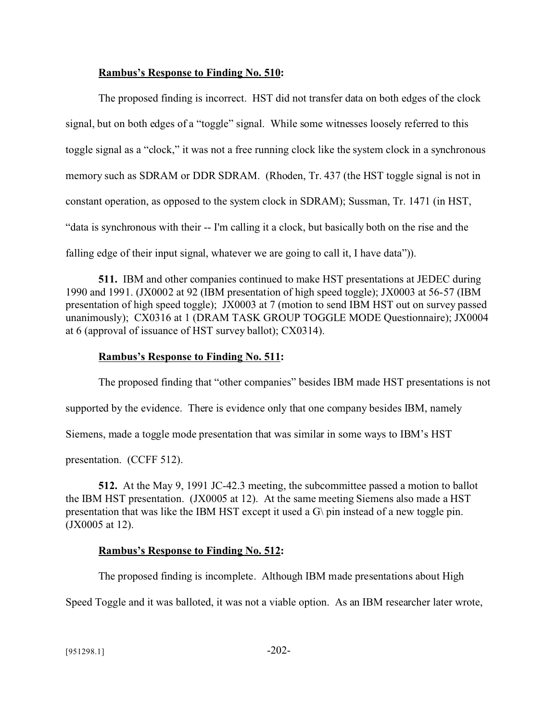#### **Rambus's Response to Finding No. 510:**

The proposed finding is incorrect. HST did not transfer data on both edges of the clock signal, but on both edges of a "toggle" signal. While some witnesses loosely referred to this toggle signal as a "clock," it was not a free running clock like the system clock in a synchronous memory such as SDRAM or DDR SDRAM. (Rhoden, Tr. 437 (the HST toggle signal is not in constant operation, as opposed to the system clock in SDRAM); Sussman, Tr. 1471 (in HST, "data is synchronous with their -- I'm calling it a clock, but basically both on the rise and the falling edge of their input signal, whatever we are going to call it, I have data")).

**511.** IBM and other companies continued to make HST presentations at JEDEC during 1990 and 1991. (JX0002 at 92 (IBM presentation of high speed toggle); JX0003 at 56-57 (IBM presentation of high speed toggle); JX0003 at 7 (motion to send IBM HST out on survey passed unanimously); CX0316 at 1 (DRAM TASK GROUP TOGGLE MODE Questionnaire); JX0004 at 6 (approval of issuance of HST survey ballot); CX0314).

#### **Rambus's Response to Finding No. 511:**

The proposed finding that "other companies" besides IBM made HST presentations is not supported by the evidence. There is evidence only that one company besides IBM, namely Siemens, made a toggle mode presentation that was similar in some ways to IBM's HST presentation. (CCFF 512).

**512.** At the May 9, 1991 JC-42.3 meeting, the subcommittee passed a motion to ballot the IBM HST presentation. (JX0005 at 12). At the same meeting Siemens also made a HST presentation that was like the IBM HST except it used a G\ pin instead of a new toggle pin. (JX0005 at 12).

#### **Rambus's Response to Finding No. 512:**

The proposed finding is incomplete. Although IBM made presentations about High

Speed Toggle and it was balloted, it was not a viable option. As an IBM researcher later wrote,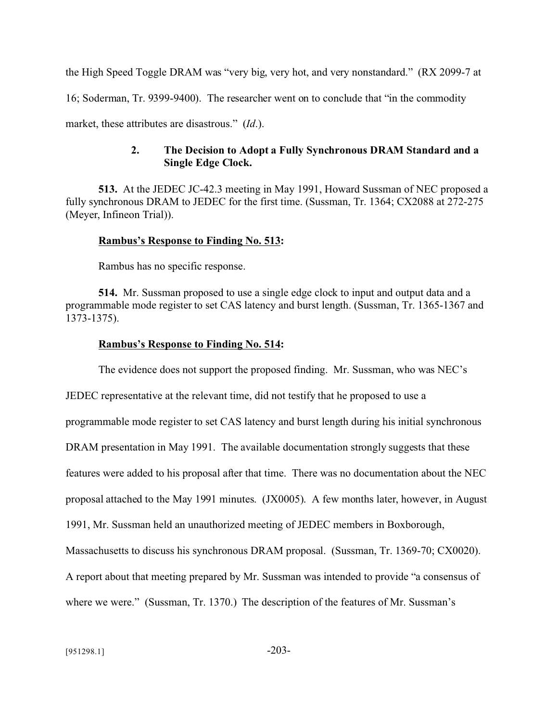the High Speed Toggle DRAM was "very big, very hot, and very nonstandard." (RX 2099-7 at 16; Soderman, Tr. 9399-9400). The researcher went on to conclude that "in the commodity market, these attributes are disastrous." (*Id*.).

### **2. The Decision to Adopt a Fully Synchronous DRAM Standard and a Single Edge Clock.**

**513.** At the JEDEC JC-42.3 meeting in May 1991, Howard Sussman of NEC proposed a fully synchronous DRAM to JEDEC for the first time. (Sussman, Tr. 1364; CX2088 at 272-275 (Meyer, Infineon Trial)).

#### **Rambus's Response to Finding No. 513:**

Rambus has no specific response.

**514.** Mr. Sussman proposed to use a single edge clock to input and output data and a programmable mode register to set CAS latency and burst length. (Sussman, Tr. 1365-1367 and 1373-1375).

#### **Rambus's Response to Finding No. 514:**

The evidence does not support the proposed finding. Mr. Sussman, who was NEC's

JEDEC representative at the relevant time, did not testify that he proposed to use a programmable mode register to set CAS latency and burst length during his initial synchronous DRAM presentation in May 1991. The available documentation strongly suggests that these features were added to his proposal after that time. There was no documentation about the NEC proposal attached to the May 1991 minutes. (JX0005). A few months later, however, in August 1991, Mr. Sussman held an unauthorized meeting of JEDEC members in Boxborough, Massachusetts to discuss his synchronous DRAM proposal. (Sussman, Tr. 1369-70; CX0020). A report about that meeting prepared by Mr. Sussman was intended to provide "a consensus of where we were." (Sussman, Tr. 1370.) The description of the features of Mr. Sussman's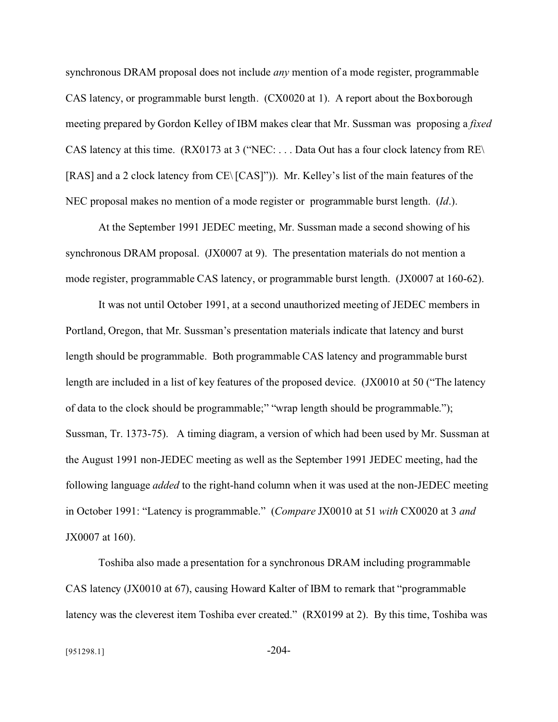synchronous DRAM proposal does not include *any* mention of a mode register, programmable CAS latency, or programmable burst length. (CX0020 at 1). A report about the Boxborough meeting prepared by Gordon Kelley of IBM makes clear that Mr. Sussman was proposing a *fixed* CAS latency at this time. (RX0173 at 3 ("NEC: . . . Data Out has a four clock latency from RE\ [RAS] and a 2 clock latency from CE\ [CAS]")). Mr. Kelley's list of the main features of the NEC proposal makes no mention of a mode register or programmable burst length. (*Id*.).

At the September 1991 JEDEC meeting, Mr. Sussman made a second showing of his synchronous DRAM proposal. (JX0007 at 9). The presentation materials do not mention a mode register, programmable CAS latency, or programmable burst length. (JX0007 at 160-62).

It was not until October 1991, at a second unauthorized meeting of JEDEC members in Portland, Oregon, that Mr. Sussman's presentation materials indicate that latency and burst length should be programmable. Both programmable CAS latency and programmable burst length are included in a list of key features of the proposed device. (JX0010 at 50 ("The latency of data to the clock should be programmable;" "wrap length should be programmable."); Sussman, Tr. 1373-75). A timing diagram, a version of which had been used by Mr. Sussman at the August 1991 non-JEDEC meeting as well as the September 1991 JEDEC meeting, had the following language *added* to the right-hand column when it was used at the non-JEDEC meeting in October 1991: "Latency is programmable." (*Compare* JX0010 at 51 *with* CX0020 at 3 *and* JX0007 at 160).

Toshiba also made a presentation for a synchronous DRAM including programmable CAS latency (JX0010 at 67), causing Howard Kalter of IBM to remark that "programmable latency was the cleverest item Toshiba ever created." (RX0199 at 2). By this time, Toshiba was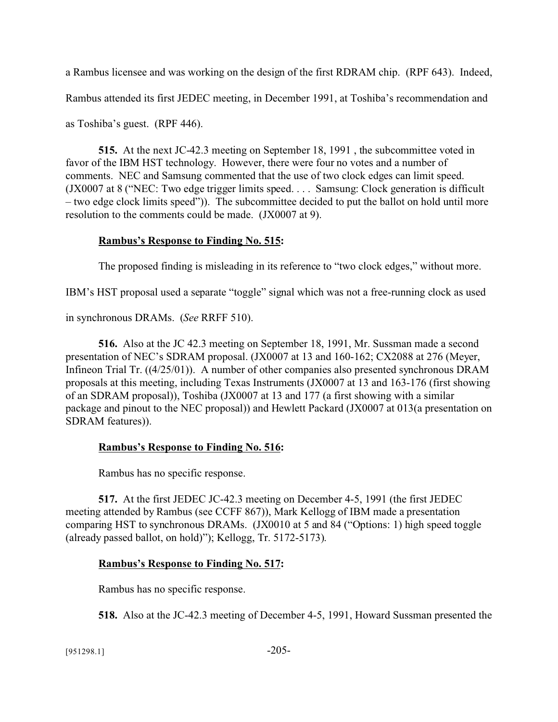a Rambus licensee and was working on the design of the first RDRAM chip. (RPF 643). Indeed, Rambus attended its first JEDEC meeting, in December 1991, at Toshiba's recommendation and

as Toshiba's guest. (RPF 446).

**515.** At the next JC-42.3 meeting on September 18, 1991 , the subcommittee voted in favor of the IBM HST technology. However, there were four no votes and a number of comments. NEC and Samsung commented that the use of two clock edges can limit speed. (JX0007 at 8 ("NEC: Two edge trigger limits speed. . . . Samsung: Clock generation is difficult – two edge clock limits speed")). The subcommittee decided to put the ballot on hold until more resolution to the comments could be made. (JX0007 at 9).

# **Rambus's Response to Finding No. 515:**

The proposed finding is misleading in its reference to "two clock edges," without more.

IBM's HST proposal used a separate "toggle" signal which was not a free-running clock as used

in synchronous DRAMs. (*See* RRFF 510).

**516.** Also at the JC 42.3 meeting on September 18, 1991, Mr. Sussman made a second presentation of NEC's SDRAM proposal. (JX0007 at 13 and 160-162; CX2088 at 276 (Meyer, Infineon Trial Tr. ((4/25/01)). A number of other companies also presented synchronous DRAM proposals at this meeting, including Texas Instruments (JX0007 at 13 and 163-176 (first showing of an SDRAM proposal)), Toshiba (JX0007 at 13 and 177 (a first showing with a similar package and pinout to the NEC proposal)) and Hewlett Packard (JX0007 at 013(a presentation on SDRAM features)).

# **Rambus's Response to Finding No. 516:**

Rambus has no specific response.

**517.** At the first JEDEC JC-42.3 meeting on December 4-5, 1991 (the first JEDEC meeting attended by Rambus (see CCFF 867)), Mark Kellogg of IBM made a presentation comparing HST to synchronous DRAMs. (JX0010 at 5 and 84 ("Options: 1) high speed toggle (already passed ballot, on hold)"); Kellogg, Tr. 5172-5173).

# **Rambus's Response to Finding No. 517:**

Rambus has no specific response.

**518.** Also at the JC-42.3 meeting of December 4-5, 1991, Howard Sussman presented the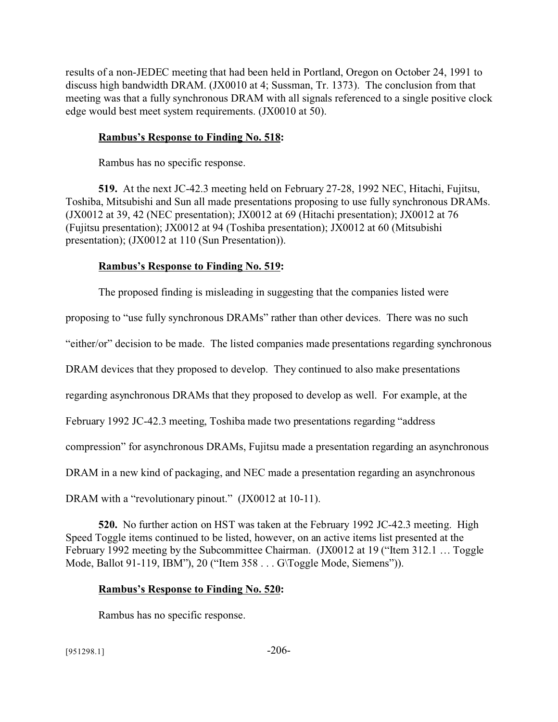results of a non-JEDEC meeting that had been held in Portland, Oregon on October 24, 1991 to discuss high bandwidth DRAM. (JX0010 at 4; Sussman, Tr. 1373). The conclusion from that meeting was that a fully synchronous DRAM with all signals referenced to a single positive clock edge would best meet system requirements. (JX0010 at 50).

### **Rambus's Response to Finding No. 518:**

Rambus has no specific response.

**519.** At the next JC-42.3 meeting held on February 27-28, 1992 NEC, Hitachi, Fujitsu, Toshiba, Mitsubishi and Sun all made presentations proposing to use fully synchronous DRAMs. (JX0012 at 39, 42 (NEC presentation); JX0012 at 69 (Hitachi presentation); JX0012 at 76 (Fujitsu presentation); JX0012 at 94 (Toshiba presentation); JX0012 at 60 (Mitsubishi presentation); (JX0012 at 110 (Sun Presentation)).

# **Rambus's Response to Finding No. 519:**

The proposed finding is misleading in suggesting that the companies listed were

proposing to "use fully synchronous DRAMs" rather than other devices. There was no such

"either/or" decision to be made. The listed companies made presentations regarding synchronous

DRAM devices that they proposed to develop. They continued to also make presentations

regarding asynchronous DRAMs that they proposed to develop as well. For example, at the

February 1992 JC-42.3 meeting, Toshiba made two presentations regarding "address

compression" for asynchronous DRAMs, Fujitsu made a presentation regarding an asynchronous

DRAM in a new kind of packaging, and NEC made a presentation regarding an asynchronous

DRAM with a "revolutionary pinout." (JX0012 at 10-11).

**520.** No further action on HST was taken at the February 1992 JC-42.3 meeting. High Speed Toggle items continued to be listed, however, on an active items list presented at the February 1992 meeting by the Subcommittee Chairman. (JX0012 at 19 ("Item 312.1 ... Toggle Mode, Ballot 91-119, IBM"), 20 ("Item 358 . . . G\Toggle Mode, Siemens")).

# **Rambus's Response to Finding No. 520:**

Rambus has no specific response.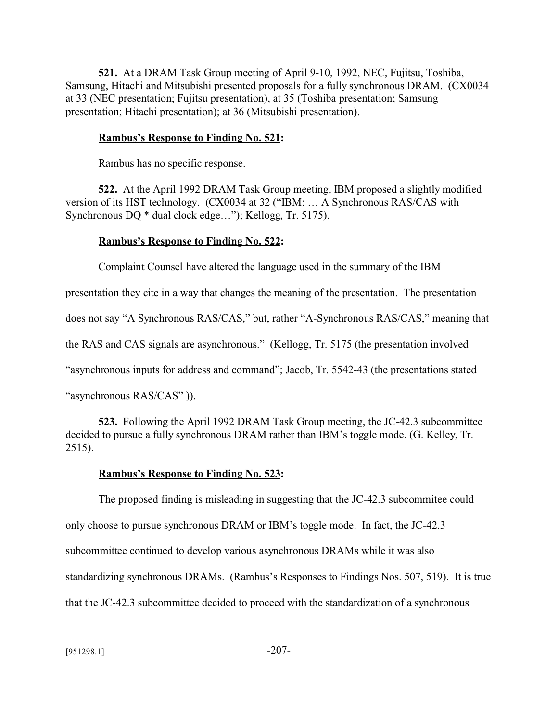**521.** At a DRAM Task Group meeting of April 9-10, 1992, NEC, Fujitsu, Toshiba, Samsung, Hitachi and Mitsubishi presented proposals for a fully synchronous DRAM. (CX0034 at 33 (NEC presentation; Fujitsu presentation), at 35 (Toshiba presentation; Samsung presentation; Hitachi presentation); at 36 (Mitsubishi presentation).

#### **Rambus's Response to Finding No. 521:**

Rambus has no specific response.

**522.** At the April 1992 DRAM Task Group meeting, IBM proposed a slightly modified version of its HST technology. (CX0034 at 32 ("IBM: … A Synchronous RAS/CAS with Synchronous DQ \* dual clock edge…"); Kellogg, Tr. 5175).

#### **Rambus's Response to Finding No. 522:**

Complaint Counsel have altered the language used in the summary of the IBM

presentation they cite in a way that changes the meaning of the presentation. The presentation

does not say "A Synchronous RAS/CAS," but, rather "A-Synchronous RAS/CAS," meaning that

the RAS and CAS signals are asynchronous." (Kellogg, Tr. 5175 (the presentation involved

"asynchronous inputs for address and command"; Jacob, Tr. 5542-43 (the presentations stated

"asynchronous RAS/CAS" )).

**523.** Following the April 1992 DRAM Task Group meeting, the JC-42.3 subcommittee decided to pursue a fully synchronous DRAM rather than IBM's toggle mode. (G. Kelley, Tr. 2515).

#### **Rambus's Response to Finding No. 523:**

The proposed finding is misleading in suggesting that the JC-42.3 subcommitee could only choose to pursue synchronous DRAM or IBM's toggle mode. In fact, the JC-42.3 subcommittee continued to develop various asynchronous DRAMs while it was also standardizing synchronous DRAMs. (Rambus's Responses to Findings Nos. 507, 519). It is true that the JC-42.3 subcommittee decided to proceed with the standardization of a synchronous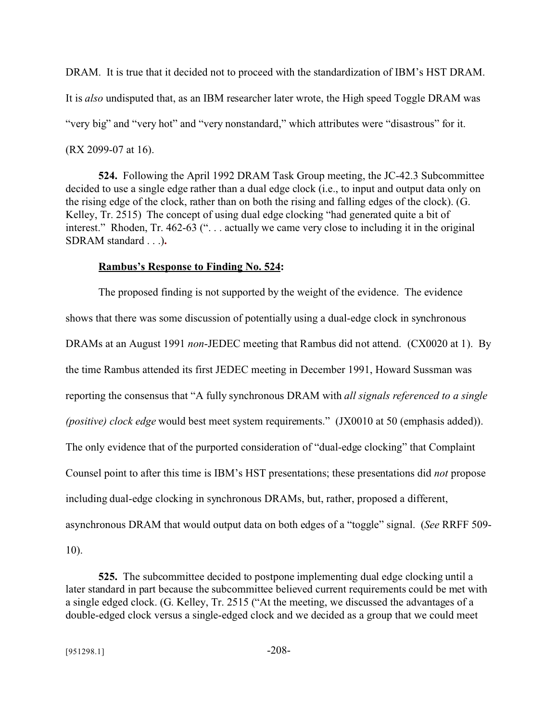DRAM. It is true that it decided not to proceed with the standardization of IBM's HST DRAM. It is *also* undisputed that, as an IBM researcher later wrote, the High speed Toggle DRAM was "very big" and "very hot" and "very nonstandard," which attributes were "disastrous" for it. (RX 2099-07 at 16).

**524.** Following the April 1992 DRAM Task Group meeting, the JC-42.3 Subcommittee decided to use a single edge rather than a dual edge clock (i.e., to input and output data only on the rising edge of the clock, rather than on both the rising and falling edges of the clock). (G. Kelley, Tr. 2515) The concept of using dual edge clocking "had generated quite a bit of interest." Rhoden, Tr. 462-63 (". . . actually we came very close to including it in the original SDRAM standard . . .)**.** 

#### **Rambus's Response to Finding No. 524:**

The proposed finding is not supported by the weight of the evidence. The evidence shows that there was some discussion of potentially using a dual-edge clock in synchronous DRAMs at an August 1991 *non*-JEDEC meeting that Rambus did not attend. (CX0020 at 1). By the time Rambus attended its first JEDEC meeting in December 1991, Howard Sussman was reporting the consensus that "A fully synchronous DRAM with *all signals referenced to a single (positive) clock edge* would best meet system requirements." (JX0010 at 50 (emphasis added)). The only evidence that of the purported consideration of "dual-edge clocking" that Complaint Counsel point to after this time is IBM's HST presentations; these presentations did *not* propose including dual-edge clocking in synchronous DRAMs, but, rather, proposed a different, asynchronous DRAM that would output data on both edges of a "toggle" signal. (*See* RRFF 509-

10).

**525.** The subcommittee decided to postpone implementing dual edge clocking until a later standard in part because the subcommittee believed current requirements could be met with a single edged clock. (G. Kelley, Tr. 2515 ("At the meeting, we discussed the advantages of a double-edged clock versus a single-edged clock and we decided as a group that we could meet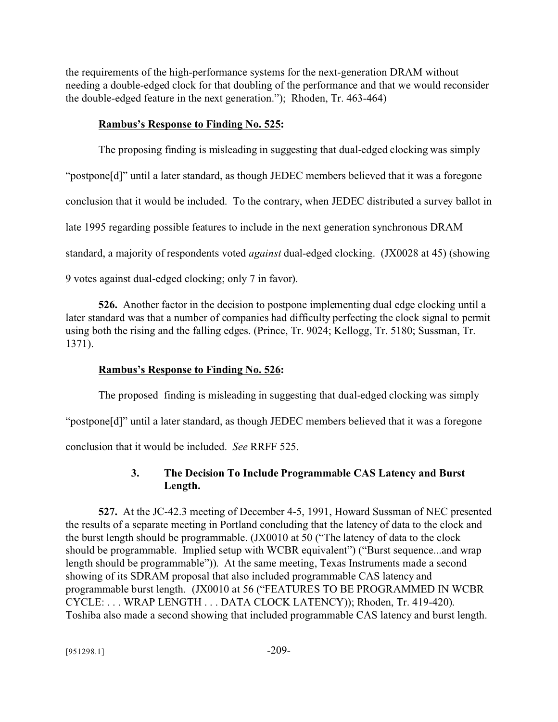the requirements of the high-performance systems for the next-generation DRAM without needing a double-edged clock for that doubling of the performance and that we would reconsider the double-edged feature in the next generation."); Rhoden, Tr. 463-464)

### **Rambus's Response to Finding No. 525:**

The proposing finding is misleading in suggesting that dual-edged clocking was simply "postpone[d]" until a later standard, as though JEDEC members believed that it was a foregone conclusion that it would be included. To the contrary, when JEDEC distributed a survey ballot in late 1995 regarding possible features to include in the next generation synchronous DRAM standard, a majority of respondents voted *against* dual-edged clocking. (JX0028 at 45) (showing 9 votes against dual-edged clocking; only 7 in favor).

**526.** Another factor in the decision to postpone implementing dual edge clocking until a later standard was that a number of companies had difficulty perfecting the clock signal to permit using both the rising and the falling edges. (Prince, Tr. 9024; Kellogg, Tr. 5180; Sussman, Tr. 1371).

### **Rambus's Response to Finding No. 526:**

The proposed finding is misleading in suggesting that dual-edged clocking was simply "postpone[d]" until a later standard, as though JEDEC members believed that it was a foregone conclusion that it would be included. *See* RRFF 525.

# **3. The Decision To Include Programmable CAS Latency and Burst Length.**

**527.** At the JC-42.3 meeting of December 4-5, 1991, Howard Sussman of NEC presented the results of a separate meeting in Portland concluding that the latency of data to the clock and the burst length should be programmable. (JX0010 at 50 ("The latency of data to the clock should be programmable. Implied setup with WCBR equivalent") ("Burst sequence...and wrap length should be programmable")). At the same meeting, Texas Instruments made a second showing of its SDRAM proposal that also included programmable CAS latency and programmable burst length. (JX0010 at 56 ("FEATURES TO BE PROGRAMMED IN WCBR CYCLE: . . . WRAP LENGTH . . . DATA CLOCK LATENCY)); Rhoden, Tr. 419-420). Toshiba also made a second showing that included programmable CAS latency and burst length.

 $[951298.1]$  -209-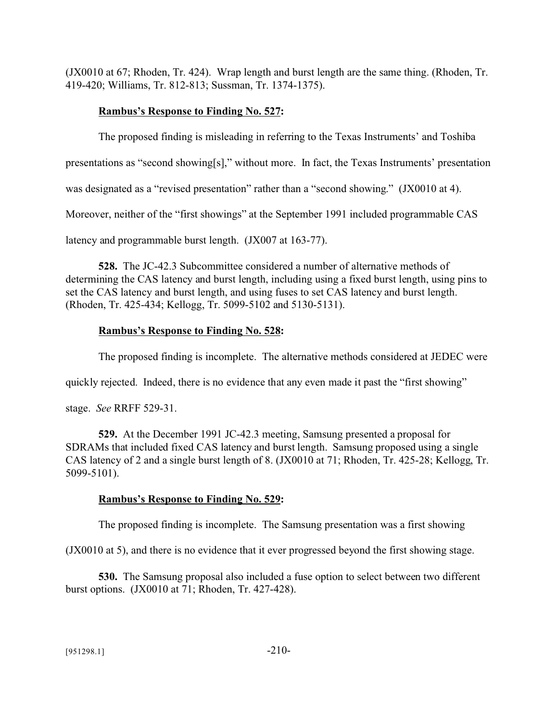(JX0010 at 67; Rhoden, Tr. 424). Wrap length and burst length are the same thing. (Rhoden, Tr. 419-420; Williams, Tr. 812-813; Sussman, Tr. 1374-1375).

# **Rambus's Response to Finding No. 527:**

The proposed finding is misleading in referring to the Texas Instruments' and Toshiba

presentations as "second showing[s]," without more. In fact, the Texas Instruments' presentation

was designated as a "revised presentation" rather than a "second showing." (JX0010 at 4).

Moreover, neither of the "first showings" at the September 1991 included programmable CAS

latency and programmable burst length. (JX007 at 163-77).

**528.** The JC-42.3 Subcommittee considered a number of alternative methods of determining the CAS latency and burst length, including using a fixed burst length, using pins to set the CAS latency and burst length, and using fuses to set CAS latency and burst length. (Rhoden, Tr. 425-434; Kellogg, Tr. 5099-5102 and 5130-5131).

# **Rambus's Response to Finding No. 528:**

The proposed finding is incomplete. The alternative methods considered at JEDEC were

quickly rejected. Indeed, there is no evidence that any even made it past the "first showing"

stage. *See* RRFF 529-31.

**529.** At the December 1991 JC-42.3 meeting, Samsung presented a proposal for SDRAMs that included fixed CAS latency and burst length. Samsung proposed using a single CAS latency of 2 and a single burst length of 8. (JX0010 at 71; Rhoden, Tr. 425-28; Kellogg, Tr. 5099-5101).

### **Rambus's Response to Finding No. 529:**

The proposed finding is incomplete. The Samsung presentation was a first showing

(JX0010 at 5), and there is no evidence that it ever progressed beyond the first showing stage.

**530.** The Samsung proposal also included a fuse option to select between two different burst options. (JX0010 at 71; Rhoden, Tr. 427-428).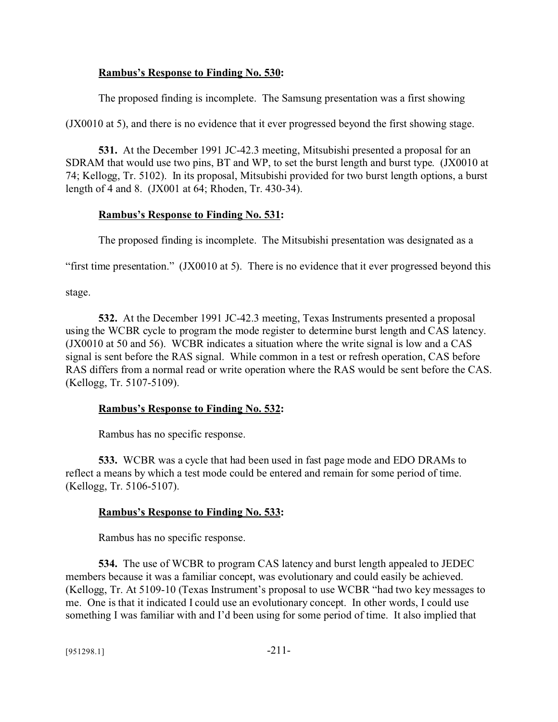### **Rambus's Response to Finding No. 530:**

The proposed finding is incomplete. The Samsung presentation was a first showing

(JX0010 at 5), and there is no evidence that it ever progressed beyond the first showing stage.

**531.** At the December 1991 JC-42.3 meeting, Mitsubishi presented a proposal for an SDRAM that would use two pins, BT and WP, to set the burst length and burst type. (JX0010 at 74; Kellogg, Tr. 5102). In its proposal, Mitsubishi provided for two burst length options, a burst length of 4 and 8. (JX001 at 64; Rhoden, Tr. 430-34).

### **Rambus's Response to Finding No. 531:**

The proposed finding is incomplete. The Mitsubishi presentation was designated as a

"first time presentation." (JX0010 at 5). There is no evidence that it ever progressed beyond this

stage.

**532.** At the December 1991 JC-42.3 meeting, Texas Instruments presented a proposal using the WCBR cycle to program the mode register to determine burst length and CAS latency. (JX0010 at 50 and 56). WCBR indicates a situation where the write signal is low and a CAS signal is sent before the RAS signal. While common in a test or refresh operation, CAS before RAS differs from a normal read or write operation where the RAS would be sent before the CAS. (Kellogg, Tr. 5107-5109).

### **Rambus's Response to Finding No. 532:**

Rambus has no specific response.

**533.** WCBR was a cycle that had been used in fast page mode and EDO DRAMs to reflect a means by which a test mode could be entered and remain for some period of time. (Kellogg, Tr. 5106-5107).

#### **Rambus's Response to Finding No. 533:**

Rambus has no specific response.

**534.** The use of WCBR to program CAS latency and burst length appealed to JEDEC members because it was a familiar concept, was evolutionary and could easily be achieved. (Kellogg, Tr. At 5109-10 (Texas Instrument's proposal to use WCBR "had two key messages to me. One is that it indicated I could use an evolutionary concept. In other words, I could use something I was familiar with and I'd been using for some period of time. It also implied that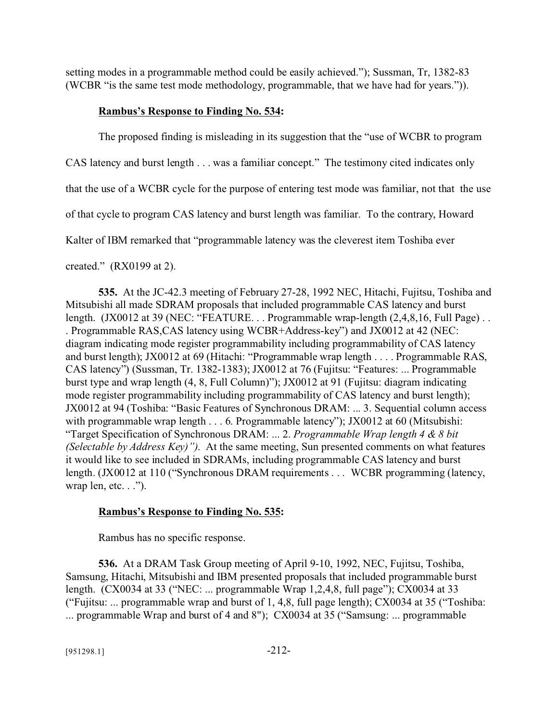setting modes in a programmable method could be easily achieved."); Sussman, Tr, 1382-83 (WCBR "is the same test mode methodology, programmable, that we have had for years.")).

### **Rambus's Response to Finding No. 534:**

The proposed finding is misleading in its suggestion that the "use of WCBR to program

CAS latency and burst length . . . was a familiar concept." The testimony cited indicates only

that the use of a WCBR cycle for the purpose of entering test mode was familiar, not that the use

of that cycle to program CAS latency and burst length was familiar. To the contrary, Howard

Kalter of IBM remarked that "programmable latency was the cleverest item Toshiba ever

### created." (RX0199 at 2).

**535.** At the JC-42.3 meeting of February 27-28, 1992 NEC, Hitachi, Fujitsu, Toshiba and Mitsubishi all made SDRAM proposals that included programmable CAS latency and burst length. (JX0012 at 39 (NEC: "FEATURE... Programmable wrap-length (2,4,8,16, Full Page)... . Programmable RAS,CAS latency using WCBR+Address-key") and JX0012 at 42 (NEC: diagram indicating mode register programmability including programmability of CAS latency and burst length); JX0012 at 69 (Hitachi: "Programmable wrap length . . . . Programmable RAS, CAS latency") (Sussman, Tr. 1382-1383); JX0012 at 76 (Fujitsu: "Features: ... Programmable burst type and wrap length (4, 8, Full Column)"); JX0012 at 91 (Fujitsu: diagram indicating mode register programmability including programmability of CAS latency and burst length); JX0012 at 94 (Toshiba: "Basic Features of Synchronous DRAM: ... 3. Sequential column access with programmable wrap length . . . 6. Programmable latency"); JX0012 at 60 (Mitsubishi: "Target Specification of Synchronous DRAM: ... 2. *Programmable Wrap length 4 & 8 bit (Selectable by Address Key)")*. At the same meeting, Sun presented comments on what features it would like to see included in SDRAMs, including programmable CAS latency and burst length. (JX0012 at 110 ("Synchronous DRAM requirements . . . WCBR programming (latency, wrap len, etc. . .").

#### **Rambus's Response to Finding No. 535:**

Rambus has no specific response.

**536.** At a DRAM Task Group meeting of April 9-10, 1992, NEC, Fujitsu, Toshiba, Samsung, Hitachi, Mitsubishi and IBM presented proposals that included programmable burst length. (CX0034 at 33 ("NEC: ... programmable Wrap 1,2,4,8, full page"); CX0034 at 33 ("Fujitsu: ... programmable wrap and burst of 1, 4,8, full page length); CX0034 at 35 ("Toshiba: ... programmable Wrap and burst of 4 and 8"); CX0034 at 35 ("Samsung: ... programmable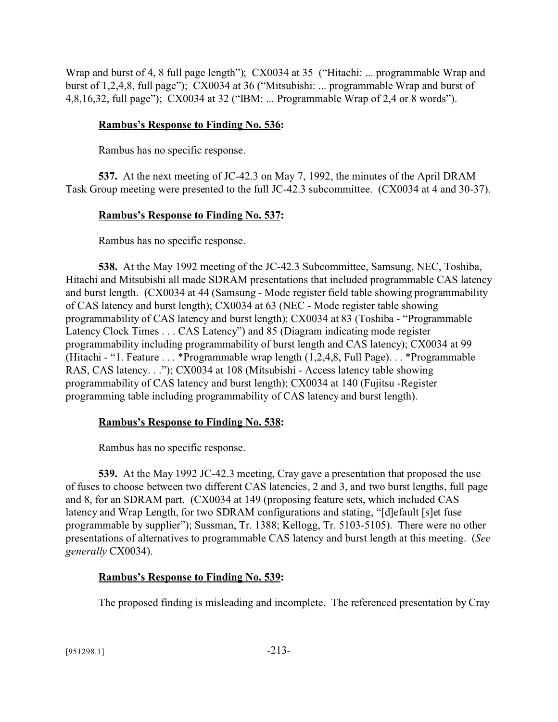Wrap and burst of 4, 8 full page length"); CX0034 at 35 ("Hitachi: ... programmable Wrap and burst of 1,2,4,8, full page"); CX0034 at 36 ("Mitsubishi: ... programmable Wrap and burst of 4,8,16,32, full page"); CX0034 at 32 ("IBM: ... Programmable Wrap of 2,4 or 8 words").

### **Rambus's Response to Finding No. 536:**

Rambus has no specific response.

**537.** At the next meeting of JC-42.3 on May 7, 1992, the minutes of the April DRAM Task Group meeting were presented to the full JC-42.3 subcommittee. (CX0034 at 4 and 30-37).

### **Rambus's Response to Finding No. 537:**

Rambus has no specific response.

**538.** At the May 1992 meeting of the JC-42.3 Subcommittee, Samsung, NEC, Toshiba, Hitachi and Mitsubishi all made SDRAM presentations that included programmable CAS latency and burst length. (CX0034 at 44 (Samsung - Mode register field table showing programmability of CAS latency and burst length); CX0034 at 63 (NEC - Mode register table showing programmability of CAS latency and burst length); CX0034 at 83 (Toshiba - "Programmable Latency Clock Times . . . CAS Latency") and 85 (Diagram indicating mode register programmability including programmability of burst length and CAS latency); CX0034 at 99 (Hitachi - "1. Feature . . . \*Programmable wrap length (1,2,4,8, Full Page). . . \*Programmable RAS, CAS latency. . ."); CX0034 at 108 (Mitsubishi - Access latency table showing programmability of CAS latency and burst length); CX0034 at 140 (Fujitsu -Register programming table including programmability of CAS latency and burst length).

### **Rambus's Response to Finding No. 538:**

Rambus has no specific response.

**539.** At the May 1992 JC-42.3 meeting, Cray gave a presentation that proposed the use of fuses to choose between two different CAS latencies, 2 and 3, and two burst lengths, full page and 8, for an SDRAM part. (CX0034 at 149 (proposing feature sets, which included CAS latency and Wrap Length, for two SDRAM configurations and stating, "[d]efault [s]et fuse programmable by supplier"); Sussman, Tr. 1388; Kellogg, Tr. 5103-5105). There were no other presentations of alternatives to programmable CAS latency and burst length at this meeting. (*See generally* CX0034).

### **Rambus's Response to Finding No. 539:**

The proposed finding is misleading and incomplete. The referenced presentation by Cray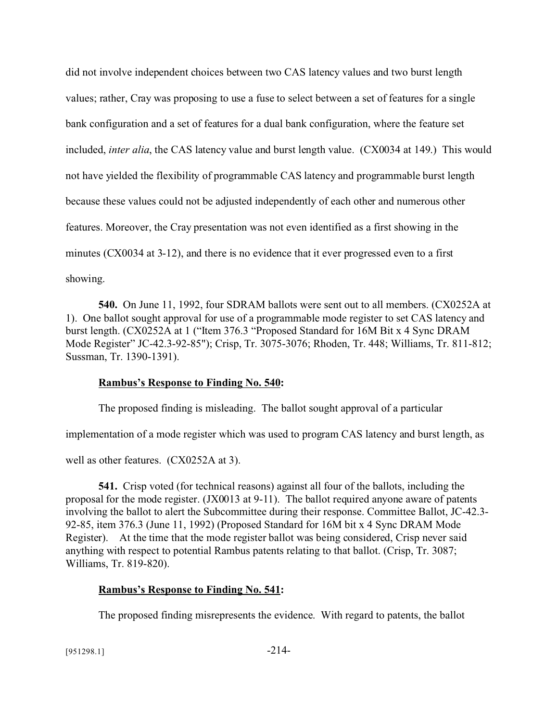did not involve independent choices between two CAS latency values and two burst length values; rather, Cray was proposing to use a fuse to select between a set of features for a single bank configuration and a set of features for a dual bank configuration, where the feature set included, *inter alia*, the CAS latency value and burst length value. (CX0034 at 149.) This would not have yielded the flexibility of programmable CAS latency and programmable burst length because these values could not be adjusted independently of each other and numerous other features. Moreover, the Cray presentation was not even identified as a first showing in the minutes (CX0034 at 3-12), and there is no evidence that it ever progressed even to a first showing.

**540.** On June 11, 1992, four SDRAM ballots were sent out to all members. (CX0252A at 1).One ballot sought approval for use of a programmable mode register to set CAS latency and burst length. (CX0252A at 1 ("Item 376.3 "Proposed Standard for 16M Bit x 4 Sync DRAM Mode Register" JC-42.3-92-85"); Crisp, Tr. 3075-3076; Rhoden, Tr. 448; Williams, Tr. 811-812; Sussman, Tr. 1390-1391).

#### **Rambus's Response to Finding No. 540:**

The proposed finding is misleading. The ballot sought approval of a particular

implementation of a mode register which was used to program CAS latency and burst length, as

well as other features. (CX0252A at 3).

**541.** Crisp voted (for technical reasons) against all four of the ballots, including the proposal for the mode register. (JX0013 at 9-11). The ballot required anyone aware of patents involving the ballot to alert the Subcommittee during their response. Committee Ballot, JC-42.3- 92-85, item 376.3 (June 11, 1992) (Proposed Standard for 16M bit x 4 Sync DRAM Mode Register). At the time that the mode register ballot was being considered, Crisp never said anything with respect to potential Rambus patents relating to that ballot. (Crisp, Tr. 3087; Williams, Tr. 819-820).

#### **Rambus's Response to Finding No. 541:**

The proposed finding misrepresents the evidence. With regard to patents, the ballot

 $[951298.1]$  -214-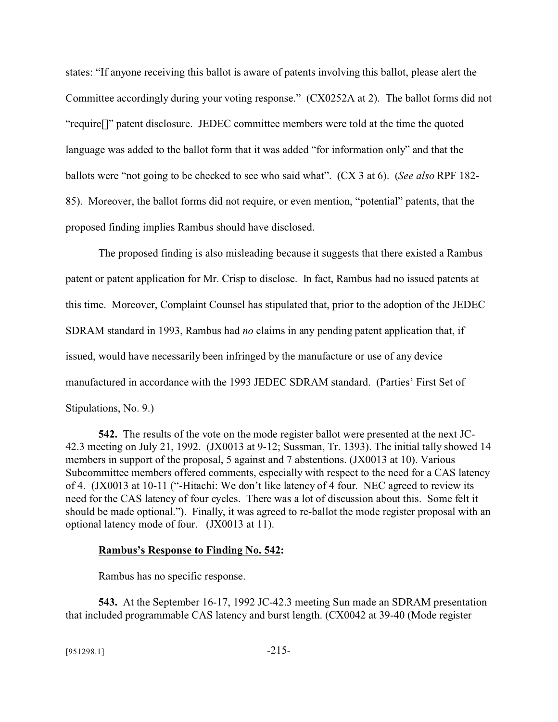states: "If anyone receiving this ballot is aware of patents involving this ballot, please alert the Committee accordingly during your voting response." (CX0252A at 2). The ballot forms did not "require[]" patent disclosure. JEDEC committee members were told at the time the quoted language was added to the ballot form that it was added "for information only" and that the ballots were "not going to be checked to see who said what". (CX 3 at 6). (*See also* RPF 182- 85). Moreover, the ballot forms did not require, or even mention, "potential" patents, that the proposed finding implies Rambus should have disclosed.

The proposed finding is also misleading because it suggests that there existed a Rambus patent or patent application for Mr. Crisp to disclose. In fact, Rambus had no issued patents at this time. Moreover, Complaint Counsel has stipulated that, prior to the adoption of the JEDEC SDRAM standard in 1993, Rambus had *no* claims in any pending patent application that, if issued, would have necessarily been infringed by the manufacture or use of any device manufactured in accordance with the 1993 JEDEC SDRAM standard. (Parties' First Set of Stipulations, No. 9.)

**542.** The results of the vote on the mode register ballot were presented at the next JC-42.3 meeting on July 21, 1992. (JX0013 at 9-12; Sussman, Tr. 1393). The initial tally showed 14 members in support of the proposal, 5 against and 7 abstentions. (JX0013 at 10). Various Subcommittee members offered comments, especially with respect to the need for a CAS latency of 4. (JX0013 at 10-11 ("-Hitachi: We don't like latency of 4 four. NEC agreed to review its need for the CAS latency of four cycles. There was a lot of discussion about this. Some felt it should be made optional."). Finally, it was agreed to re-ballot the mode register proposal with an optional latency mode of four. (JX0013 at 11).

#### **Rambus's Response to Finding No. 542:**

Rambus has no specific response.

**543.** At the September 16-17, 1992 JC-42.3 meeting Sun made an SDRAM presentation that included programmable CAS latency and burst length. (CX0042 at 39-40 (Mode register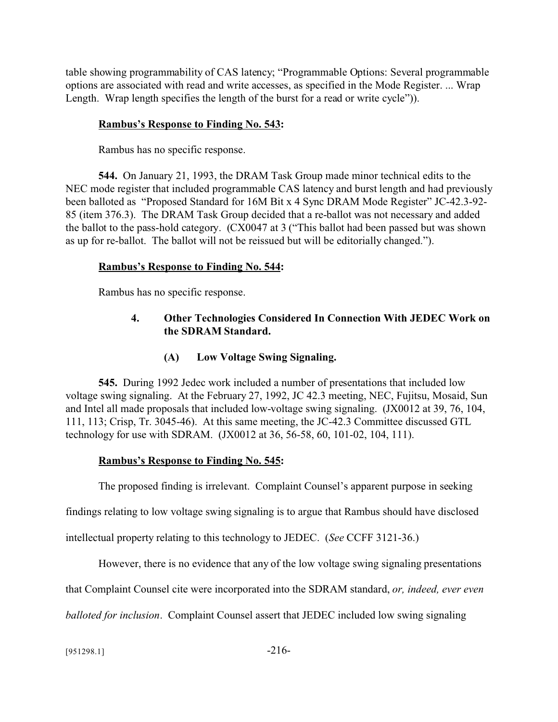table showing programmability of CAS latency; "Programmable Options: Several programmable options are associated with read and write accesses, as specified in the Mode Register. ... Wrap Length. Wrap length specifies the length of the burst for a read or write cycle")).

# **Rambus's Response to Finding No. 543:**

Rambus has no specific response.

**544.** On January 21, 1993, the DRAM Task Group made minor technical edits to the NEC mode register that included programmable CAS latency and burst length and had previously been balloted as "Proposed Standard for 16M Bit x 4 Sync DRAM Mode Register" JC-42.3-92- 85 (item 376.3). The DRAM Task Group decided that a re-ballot was not necessary and added the ballot to the pass-hold category. (CX0047 at 3 ("This ballot had been passed but was shown as up for re-ballot. The ballot will not be reissued but will be editorially changed.").

# **Rambus's Response to Finding No. 544:**

Rambus has no specific response.

# **4. Other Technologies Considered In Connection With JEDEC Work on the SDRAM Standard.**

# **(A) Low Voltage Swing Signaling.**

**545.** During 1992 Jedec work included a number of presentations that included low voltage swing signaling. At the February 27, 1992, JC 42.3 meeting, NEC, Fujitsu, Mosaid, Sun and Intel all made proposals that included low-voltage swing signaling. (JX0012 at 39, 76, 104, 111, 113; Crisp, Tr. 3045-46). At this same meeting, the JC-42.3 Committee discussed GTL technology for use with SDRAM. (JX0012 at 36, 56-58, 60, 101-02, 104, 111).

# **Rambus's Response to Finding No. 545:**

The proposed finding is irrelevant. Complaint Counsel's apparent purpose in seeking

findings relating to low voltage swing signaling is to argue that Rambus should have disclosed

intellectual property relating to this technology to JEDEC. (*See* CCFF 3121-36.)

However, there is no evidence that any of the low voltage swing signaling presentations

that Complaint Counsel cite were incorporated into the SDRAM standard, *or, indeed, ever even*

*balloted for inclusion*. Complaint Counsel assert that JEDEC included low swing signaling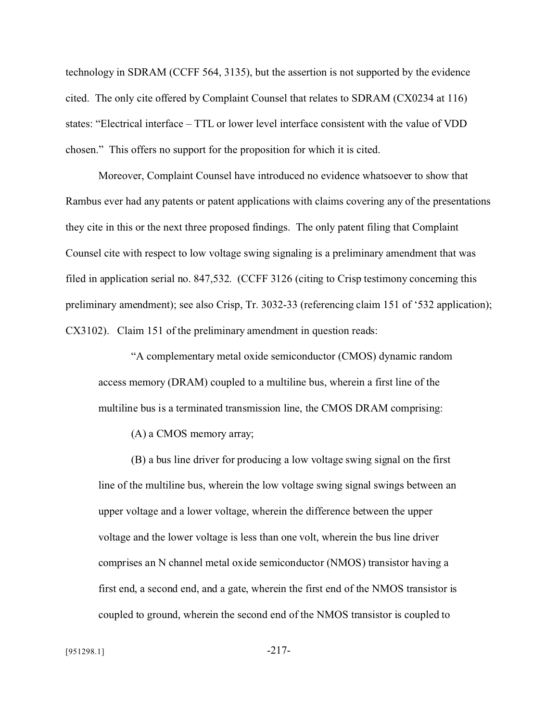technology in SDRAM (CCFF 564, 3135), but the assertion is not supported by the evidence cited. The only cite offered by Complaint Counsel that relates to SDRAM (CX0234 at 116) states: "Electrical interface – TTL or lower level interface consistent with the value of VDD chosen." This offers no support for the proposition for which it is cited.

Moreover, Complaint Counsel have introduced no evidence whatsoever to show that Rambus ever had any patents or patent applications with claims covering any of the presentations they cite in this or the next three proposed findings. The only patent filing that Complaint Counsel cite with respect to low voltage swing signaling is a preliminary amendment that was filed in application serial no. 847,532. (CCFF 3126 (citing to Crisp testimony concerning this preliminary amendment); see also Crisp, Tr. 3032-33 (referencing claim 151 of '532 application); CX3102). Claim 151 of the preliminary amendment in question reads:

"A complementary metal oxide semiconductor (CMOS) dynamic random access memory (DRAM) coupled to a multiline bus, wherein a first line of the multiline bus is a terminated transmission line, the CMOS DRAM comprising:

(A) a CMOS memory array;

(B) a bus line driver for producing a low voltage swing signal on the first line of the multiline bus, wherein the low voltage swing signal swings between an upper voltage and a lower voltage, wherein the difference between the upper voltage and the lower voltage is less than one volt, wherein the bus line driver comprises an N channel metal oxide semiconductor (NMOS) transistor having a first end, a second end, and a gate, wherein the first end of the NMOS transistor is coupled to ground, wherein the second end of the NMOS transistor is coupled to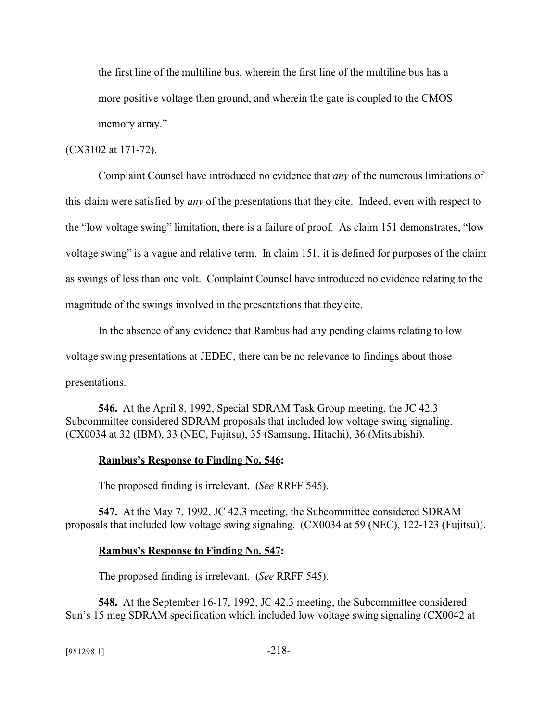the first line of the multiline bus, wherein the first line of the multiline bus has a more positive voltage then ground, and wherein the gate is coupled to the CMOS memory array."

### (CX3102 at 171-72).

Complaint Counsel have introduced no evidence that *any* of the numerous limitations of this claim were satisfied by *any* of the presentations that they cite. Indeed, even with respect to the "low voltage swing" limitation, there is a failure of proof. As claim 151 demonstrates, "low voltage swing" is a vague and relative term. In claim 151, it is defined for purposes of the claim as swings of less than one volt. Complaint Counsel have introduced no evidence relating to the magnitude of the swings involved in the presentations that they cite.

In the absence of any evidence that Rambus had any pending claims relating to low voltage swing presentations at JEDEC, there can be no relevance to findings about those presentations.

**546.** At the April 8, 1992, Special SDRAM Task Group meeting, the JC 42.3 Subcommittee considered SDRAM proposals that included low voltage swing signaling. (CX0034 at 32 (IBM), 33 (NEC, Fujitsu), 35 (Samsung, Hitachi), 36 (Mitsubishi).

#### **Rambus's Response to Finding No. 546:**

The proposed finding is irrelevant. (*See* RRFF 545).

**547.** At the May 7, 1992, JC 42.3 meeting, the Subcommittee considered SDRAM proposals that included low voltage swing signaling. (CX0034 at 59 (NEC), 122-123 (Fujitsu)).

#### **Rambus's Response to Finding No. 547:**

The proposed finding is irrelevant. (*See* RRFF 545).

**548.** At the September 16-17, 1992, JC 42.3 meeting, the Subcommittee considered Sun's 15 meg SDRAM specification which included low voltage swing signaling (CX0042 at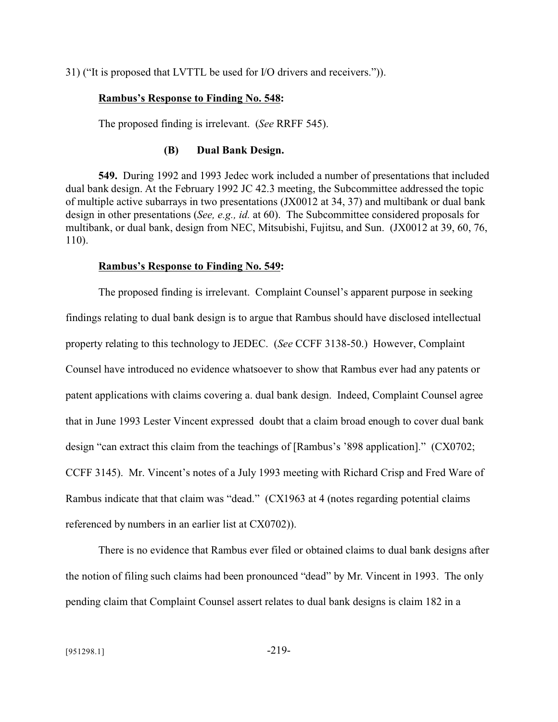31) ("It is proposed that LVTTL be used for I/O drivers and receivers.")).

#### **Rambus's Response to Finding No. 548:**

The proposed finding is irrelevant. (*See* RRFF 545).

### **(B) Dual Bank Design.**

**549.** During 1992 and 1993 Jedec work included a number of presentations that included dual bank design. At the February 1992 JC 42.3 meeting, the Subcommittee addressed the topic of multiple active subarrays in two presentations (JX0012 at 34, 37) and multibank or dual bank design in other presentations (*See, e.g., id.* at 60). The Subcommittee considered proposals for multibank, or dual bank, design from NEC, Mitsubishi, Fujitsu, and Sun. (JX0012 at 39, 60, 76, 110).

#### **Rambus's Response to Finding No. 549:**

The proposed finding is irrelevant. Complaint Counsel's apparent purpose in seeking findings relating to dual bank design is to argue that Rambus should have disclosed intellectual property relating to this technology to JEDEC. (*See* CCFF 3138-50.) However, Complaint Counsel have introduced no evidence whatsoever to show that Rambus ever had any patents or patent applications with claims covering a. dual bank design. Indeed, Complaint Counsel agree that in June 1993 Lester Vincent expressed doubt that a claim broad enough to cover dual bank design "can extract this claim from the teachings of [Rambus's '898 application]." (CX0702; CCFF 3145). Mr. Vincent's notes of a July 1993 meeting with Richard Crisp and Fred Ware of Rambus indicate that that claim was "dead." (CX1963 at 4 (notes regarding potential claims referenced by numbers in an earlier list at CX0702)).

There is no evidence that Rambus ever filed or obtained claims to dual bank designs after the notion of filing such claims had been pronounced "dead" by Mr. Vincent in 1993. The only pending claim that Complaint Counsel assert relates to dual bank designs is claim 182 in a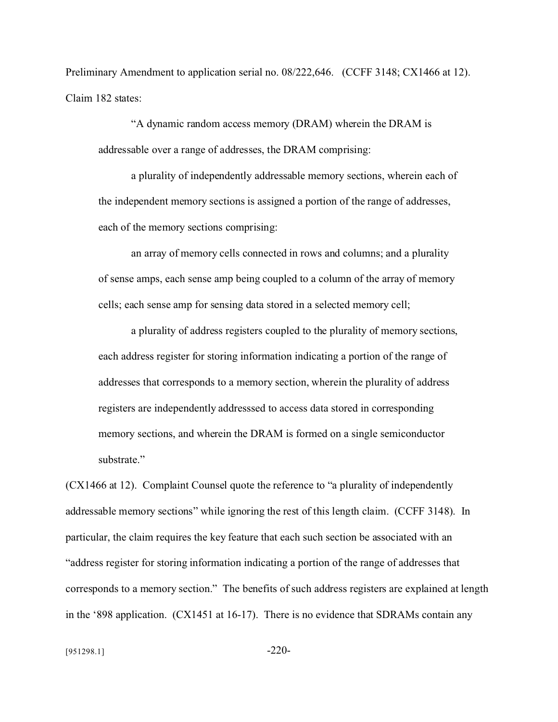Preliminary Amendment to application serial no. 08/222,646. (CCFF 3148; CX1466 at 12). Claim 182 states:

"A dynamic random access memory (DRAM) wherein the DRAM is addressable over a range of addresses, the DRAM comprising:

a plurality of independently addressable memory sections, wherein each of the independent memory sections is assigned a portion of the range of addresses, each of the memory sections comprising:

an array of memory cells connected in rows and columns; and a plurality of sense amps, each sense amp being coupled to a column of the array of memory cells; each sense amp for sensing data stored in a selected memory cell;

a plurality of address registers coupled to the plurality of memory sections, each address register for storing information indicating a portion of the range of addresses that corresponds to a memory section, wherein the plurality of address registers are independently addresssed to access data stored in corresponding memory sections, and wherein the DRAM is formed on a single semiconductor substrate."

(CX1466 at 12). Complaint Counsel quote the reference to "a plurality of independently addressable memory sections" while ignoring the rest of this length claim. (CCFF 3148). In particular, the claim requires the key feature that each such section be associated with an "address register for storing information indicating a portion of the range of addresses that corresponds to a memory section." The benefits of such address registers are explained at length in the '898 application. (CX1451 at 16-17). There is no evidence that SDRAMs contain any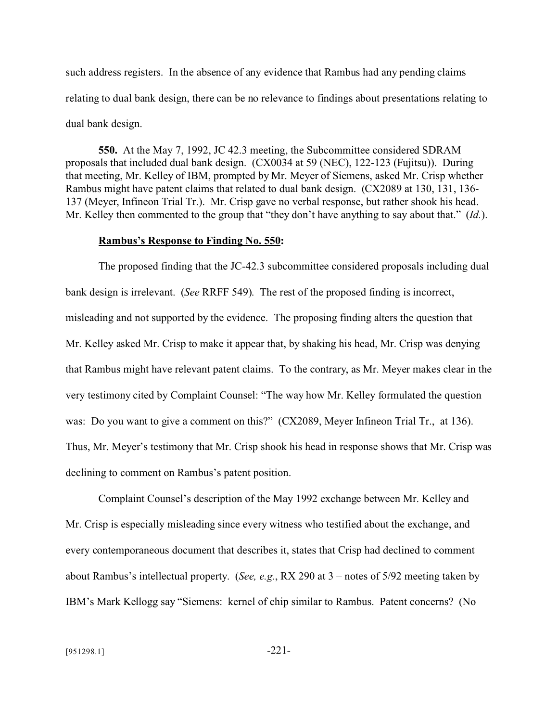such address registers. In the absence of any evidence that Rambus had any pending claims relating to dual bank design, there can be no relevance to findings about presentations relating to dual bank design.

**550.** At the May 7, 1992, JC 42.3 meeting, the Subcommittee considered SDRAM proposals that included dual bank design. (CX0034 at 59 (NEC), 122-123 (Fujitsu)). During that meeting, Mr. Kelley of IBM, prompted by Mr. Meyer of Siemens, asked Mr. Crisp whether Rambus might have patent claims that related to dual bank design. (CX2089 at 130, 131, 136- 137 (Meyer, Infineon Trial Tr.). Mr. Crisp gave no verbal response, but rather shook his head. Mr. Kelley then commented to the group that "they don't have anything to say about that." (*Id.*).

### **Rambus's Response to Finding No. 550:**

The proposed finding that the JC-42.3 subcommittee considered proposals including dual bank design is irrelevant. (*See* RRFF 549). The rest of the proposed finding is incorrect, misleading and not supported by the evidence. The proposing finding alters the question that Mr. Kelley asked Mr. Crisp to make it appear that, by shaking his head, Mr. Crisp was denying that Rambus might have relevant patent claims. To the contrary, as Mr. Meyer makes clear in the very testimony cited by Complaint Counsel: "The way how Mr. Kelley formulated the question was: Do you want to give a comment on this?" (CX2089, Meyer Infineon Trial Tr., at 136). Thus, Mr. Meyer's testimony that Mr. Crisp shook his head in response shows that Mr. Crisp was declining to comment on Rambus's patent position.

Complaint Counsel's description of the May 1992 exchange between Mr. Kelley and Mr. Crisp is especially misleading since every witness who testified about the exchange, and every contemporaneous document that describes it, states that Crisp had declined to comment about Rambus's intellectual property. (*See, e.g.*, RX 290 at 3 – notes of 5/92 meeting taken by IBM's Mark Kellogg say "Siemens: kernel of chip similar to Rambus. Patent concerns? (No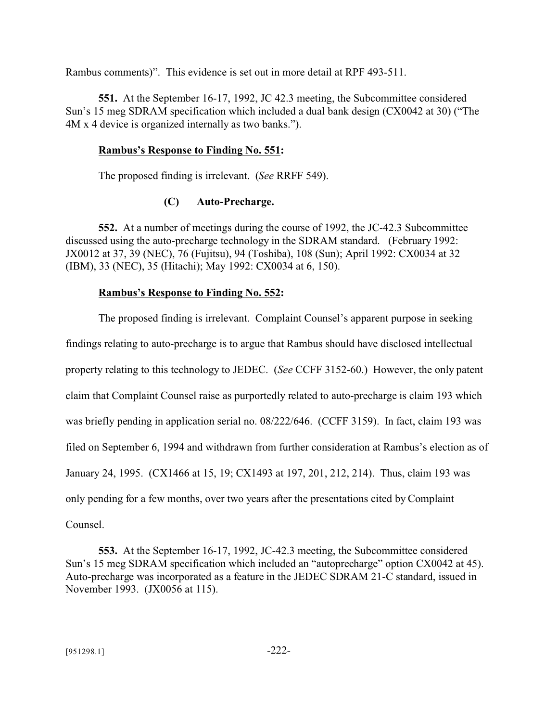Rambus comments)". This evidence is set out in more detail at RPF 493-511.

**551.** At the September 16-17, 1992, JC 42.3 meeting, the Subcommittee considered Sun's 15 meg SDRAM specification which included a dual bank design (CX0042 at 30) ("The 4M x 4 device is organized internally as two banks.").

## **Rambus's Response to Finding No. 551:**

The proposed finding is irrelevant. (*See* RRFF 549).

# **(C) Auto-Precharge.**

**552.** At a number of meetings during the course of 1992, the JC-42.3 Subcommittee discussed using the auto-precharge technology in the SDRAM standard. (February 1992: JX0012 at 37, 39 (NEC), 76 (Fujitsu), 94 (Toshiba), 108 (Sun); April 1992: CX0034 at 32 (IBM), 33 (NEC), 35 (Hitachi); May 1992: CX0034 at 6, 150).

# **Rambus's Response to Finding No. 552:**

The proposed finding is irrelevant. Complaint Counsel's apparent purpose in seeking findings relating to auto-precharge is to argue that Rambus should have disclosed intellectual property relating to this technology to JEDEC. (*See* CCFF 3152-60.) However, the only patent claim that Complaint Counsel raise as purportedly related to auto-precharge is claim 193 which was briefly pending in application serial no. 08/222/646. (CCFF 3159). In fact, claim 193 was filed on September 6, 1994 and withdrawn from further consideration at Rambus's election as of January 24, 1995. (CX1466 at 15, 19; CX1493 at 197, 201, 212, 214). Thus, claim 193 was only pending for a few months, over two years after the presentations cited by Complaint Counsel.

**553.** At the September 16-17, 1992, JC-42.3 meeting, the Subcommittee considered Sun's 15 meg SDRAM specification which included an "autoprecharge" option CX0042 at 45). Auto-precharge was incorporated as a feature in the JEDEC SDRAM 21-C standard, issued in November 1993. (JX0056 at 115).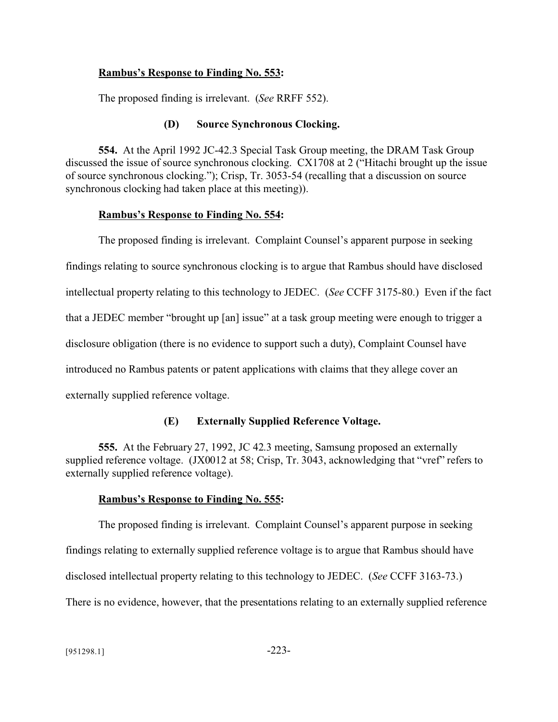### **Rambus's Response to Finding No. 553:**

The proposed finding is irrelevant. (*See* RRFF 552).

### **(D) Source Synchronous Clocking.**

**554.** At the April 1992 JC-42.3 Special Task Group meeting, the DRAM Task Group discussed the issue of source synchronous clocking. CX1708 at 2 ("Hitachi brought up the issue of source synchronous clocking."); Crisp, Tr. 3053-54 (recalling that a discussion on source synchronous clocking had taken place at this meeting)).

### **Rambus's Response to Finding No. 554:**

The proposed finding is irrelevant. Complaint Counsel's apparent purpose in seeking findings relating to source synchronous clocking is to argue that Rambus should have disclosed intellectual property relating to this technology to JEDEC. (*See* CCFF 3175-80.) Even if the fact that a JEDEC member "brought up [an] issue" at a task group meeting were enough to trigger a disclosure obligation (there is no evidence to support such a duty), Complaint Counsel have introduced no Rambus patents or patent applications with claims that they allege cover an externally supplied reference voltage.

## **(E) Externally Supplied Reference Voltage.**

**555.** At the February 27, 1992, JC 42.3 meeting, Samsung proposed an externally supplied reference voltage. (JX0012 at 58; Crisp, Tr. 3043, acknowledging that "vref" refers to externally supplied reference voltage).

## **Rambus's Response to Finding No. 555:**

The proposed finding is irrelevant. Complaint Counsel's apparent purpose in seeking findings relating to externally supplied reference voltage is to argue that Rambus should have disclosed intellectual property relating to this technology to JEDEC. (*See* CCFF 3163-73.) There is no evidence, however, that the presentations relating to an externally supplied reference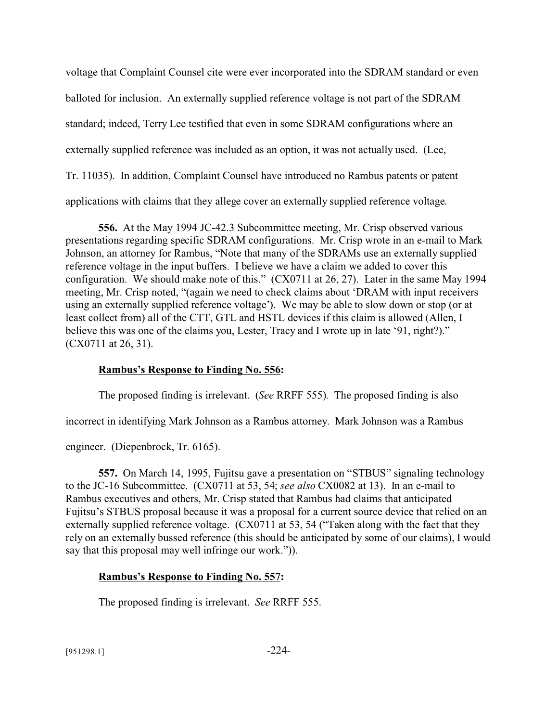voltage that Complaint Counsel cite were ever incorporated into the SDRAM standard or even balloted for inclusion. An externally supplied reference voltage is not part of the SDRAM standard; indeed, Terry Lee testified that even in some SDRAM configurations where an externally supplied reference was included as an option, it was not actually used. (Lee, Tr. 11035). In addition, Complaint Counsel have introduced no Rambus patents or patent applications with claims that they allege cover an externally supplied reference voltage.

**556.** At the May 1994 JC-42.3 Subcommittee meeting, Mr. Crisp observed various presentations regarding specific SDRAM configurations. Mr. Crisp wrote in an e-mail to Mark Johnson, an attorney for Rambus, "Note that many of the SDRAMs use an externally supplied reference voltage in the input buffers. I believe we have a claim we added to cover this configuration. We should make note of this." (CX0711 at 26, 27). Later in the same May 1994 meeting, Mr. Crisp noted, "(again we need to check claims about 'DRAM with input receivers using an externally supplied reference voltage'). We may be able to slow down or stop (or at least collect from) all of the CTT, GTL and HSTL devices if this claim is allowed (Allen, I believe this was one of the claims you, Lester, Tracy and I wrote up in late '91, right?)." (CX0711 at 26, 31).

## **Rambus's Response to Finding No. 556:**

The proposed finding is irrelevant. (*See* RRFF 555). The proposed finding is also

incorrect in identifying Mark Johnson as a Rambus attorney. Mark Johnson was a Rambus

engineer. (Diepenbrock, Tr. 6165).

**557.** On March 14, 1995, Fujitsu gave a presentation on "STBUS" signaling technology to the JC-16 Subcommittee. (CX0711 at 53, 54; *see also* CX0082 at 13). In an e-mail to Rambus executives and others, Mr. Crisp stated that Rambus had claims that anticipated Fujitsu's STBUS proposal because it was a proposal for a current source device that relied on an externally supplied reference voltage. (CX0711 at 53, 54 ("Taken along with the fact that they rely on an externally bussed reference (this should be anticipated by some of our claims), I would say that this proposal may well infringe our work.")).

# **Rambus's Response to Finding No. 557:**

The proposed finding is irrelevant. *See* RRFF 555.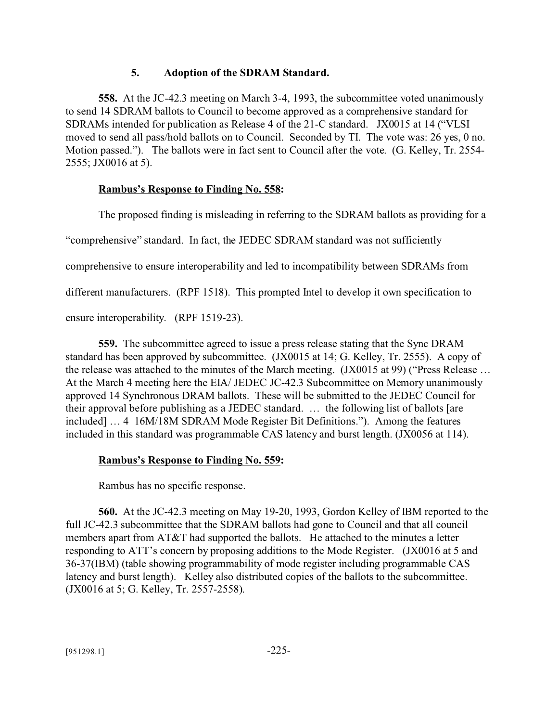# **5. Adoption of the SDRAM Standard.**

**558.** At the JC-42.3 meeting on March 3-4, 1993, the subcommittee voted unanimously to send 14 SDRAM ballots to Council to become approved as a comprehensive standard for SDRAMs intended for publication as Release 4 of the 21-C standard. JX0015 at 14 ("VLSI moved to send all pass/hold ballots on to Council. Seconded by TI. The vote was: 26 yes, 0 no. Motion passed."). The ballots were in fact sent to Council after the vote. (G. Kelley, Tr. 2554- 2555; JX0016 at 5).

# **Rambus's Response to Finding No. 558:**

The proposed finding is misleading in referring to the SDRAM ballots as providing for a

"comprehensive" standard. In fact, the JEDEC SDRAM standard was not sufficiently

comprehensive to ensure interoperability and led to incompatibility between SDRAMs from

different manufacturers. (RPF 1518). This prompted Intel to develop it own specification to

ensure interoperability. (RPF 1519-23).

**559.** The subcommittee agreed to issue a press release stating that the Sync DRAM standard has been approved by subcommittee. (JX0015 at 14; G. Kelley, Tr. 2555). A copy of the release was attached to the minutes of the March meeting. (JX0015 at 99) ("Press Release … At the March 4 meeting here the EIA/ JEDEC JC-42.3 Subcommittee on Memory unanimously approved 14 Synchronous DRAM ballots. These will be submitted to the JEDEC Council for their approval before publishing as a JEDEC standard. … the following list of ballots [are included] … 4 16M/18M SDRAM Mode Register Bit Definitions."). Among the features included in this standard was programmable CAS latency and burst length. (JX0056 at 114).

# **Rambus's Response to Finding No. 559:**

Rambus has no specific response.

**560.** At the JC-42.3 meeting on May 19-20, 1993, Gordon Kelley of IBM reported to the full JC-42.3 subcommittee that the SDRAM ballots had gone to Council and that all council members apart from AT&T had supported the ballots. He attached to the minutes a letter responding to ATT's concern by proposing additions to the Mode Register. (JX0016 at 5 and 36-37(IBM) (table showing programmability of mode register including programmable CAS latency and burst length). Kelley also distributed copies of the ballots to the subcommittee. (JX0016 at 5; G. Kelley, Tr. 2557-2558).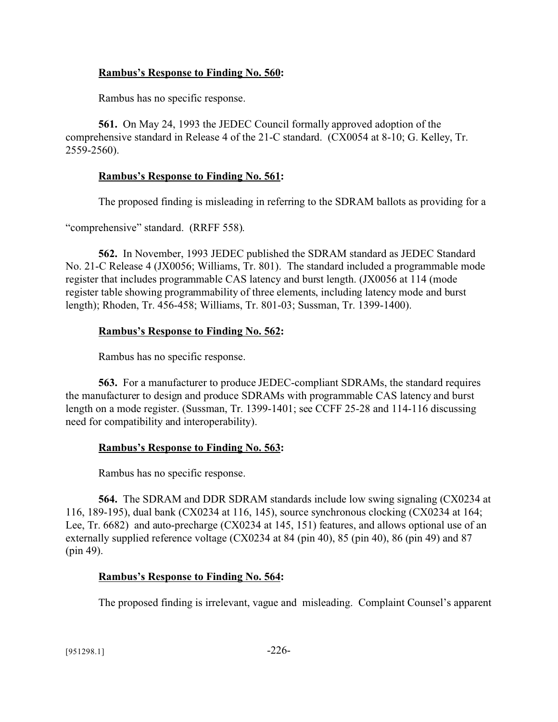# **Rambus's Response to Finding No. 560:**

Rambus has no specific response.

**561.** On May 24, 1993 the JEDEC Council formally approved adoption of the comprehensive standard in Release 4 of the 21-C standard. (CX0054 at 8-10; G. Kelley, Tr. 2559-2560).

# **Rambus's Response to Finding No. 561:**

The proposed finding is misleading in referring to the SDRAM ballots as providing for a

"comprehensive" standard. (RRFF 558).

**562.** In November, 1993 JEDEC published the SDRAM standard as JEDEC Standard No. 21-C Release 4 (JX0056; Williams, Tr. 801). The standard included a programmable mode register that includes programmable CAS latency and burst length. (JX0056 at 114 (mode register table showing programmability of three elements, including latency mode and burst length); Rhoden, Tr. 456-458; Williams, Tr. 801-03; Sussman, Tr. 1399-1400).

# **Rambus's Response to Finding No. 562:**

Rambus has no specific response.

**563.** For a manufacturer to produce JEDEC-compliant SDRAMs, the standard requires the manufacturer to design and produce SDRAMs with programmable CAS latency and burst length on a mode register. (Sussman, Tr. 1399-1401; see CCFF 25-28 and 114-116 discussing need for compatibility and interoperability).

# **Rambus's Response to Finding No. 563:**

Rambus has no specific response.

**564.** The SDRAM and DDR SDRAM standards include low swing signaling (CX0234 at 116, 189-195), dual bank (CX0234 at 116, 145), source synchronous clocking (CX0234 at 164; Lee, Tr. 6682) and auto-precharge (CX0234 at 145, 151) features, and allows optional use of an externally supplied reference voltage (CX0234 at 84 (pin 40), 85 (pin 40), 86 (pin 49) and 87 (pin 49).

# **Rambus's Response to Finding No. 564:**

The proposed finding is irrelevant, vague and misleading. Complaint Counsel's apparent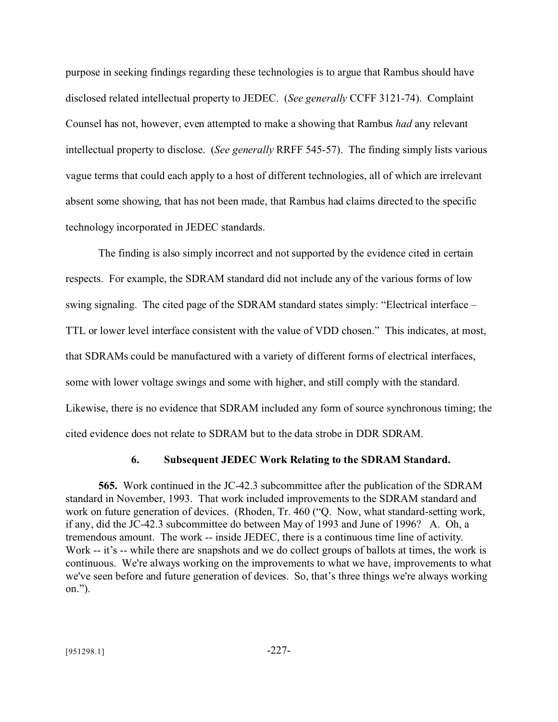purpose in seeking findings regarding these technologies is to argue that Rambus should have disclosed related intellectual property to JEDEC. (*See generally* CCFF 3121-74). Complaint Counsel has not, however, even attempted to make a showing that Rambus *had* any relevant intellectual property to disclose. (*See generally* RRFF 545-57). The finding simply lists various vague terms that could each apply to a host of different technologies, all of which are irrelevant absent some showing, that has not been made, that Rambus had claims directed to the specific technology incorporated in JEDEC standards.

The finding is also simply incorrect and not supported by the evidence cited in certain respects. For example, the SDRAM standard did not include any of the various forms of low swing signaling. The cited page of the SDRAM standard states simply: "Electrical interface – TTL or lower level interface consistent with the value of VDD chosen." This indicates, at most, that SDRAMs could be manufactured with a variety of different forms of electrical interfaces, some with lower voltage swings and some with higher, and still comply with the standard. Likewise, there is no evidence that SDRAM included any form of source synchronous timing; the cited evidence does not relate to SDRAM but to the data strobe in DDR SDRAM.

### **6. Subsequent JEDEC Work Relating to the SDRAM Standard.**

**565.** Work continued in the JC-42.3 subcommittee after the publication of the SDRAM standard in November, 1993. That work included improvements to the SDRAM standard and work on future generation of devices. (Rhoden, Tr. 460 ("Q. Now, what standard-setting work, if any, did the JC-42.3 subcommittee do between May of 1993 and June of 1996? A. Oh, a tremendous amount. The work -- inside JEDEC, there is a continuous time line of activity. Work -- it's -- while there are snapshots and we do collect groups of ballots at times, the work is continuous. We're always working on the improvements to what we have, improvements to what we've seen before and future generation of devices. So, that's three things we're always working on.").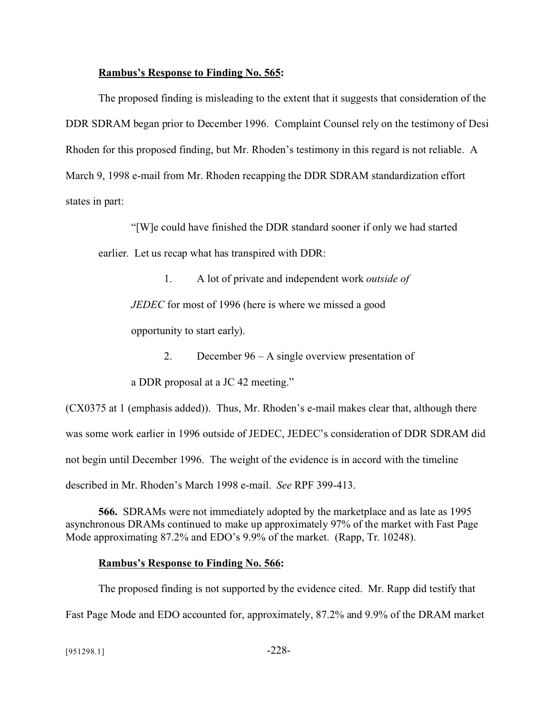### **Rambus's Response to Finding No. 565:**

The proposed finding is misleading to the extent that it suggests that consideration of the DDR SDRAM began prior to December 1996. Complaint Counsel rely on the testimony of Desi Rhoden for this proposed finding, but Mr. Rhoden's testimony in this regard is not reliable. A March 9, 1998 e-mail from Mr. Rhoden recapping the DDR SDRAM standardization effort states in part:

"[W]e could have finished the DDR standard sooner if only we had started earlier. Let us recap what has transpired with DDR:

1. A lot of private and independent work *outside of*

*JEDEC* for most of 1996 (here is where we missed a good

opportunity to start early).

2. December 96 – A single overview presentation of

a DDR proposal at a JC 42 meeting."

(CX0375 at 1 (emphasis added)). Thus, Mr. Rhoden's e-mail makes clear that, although there was some work earlier in 1996 outside of JEDEC, JEDEC's consideration of DDR SDRAM did not begin until December 1996. The weight of the evidence is in accord with the timeline described in Mr. Rhoden's March 1998 e-mail. *See* RPF 399-413.

**566.** SDRAMs were not immediately adopted by the marketplace and as late as 1995 asynchronous DRAMs continued to make up approximately 97% of the market with Fast Page Mode approximating 87.2% and EDO's 9.9% of the market. (Rapp, Tr. 10248).

## **Rambus's Response to Finding No. 566:**

The proposed finding is not supported by the evidence cited. Mr. Rapp did testify that Fast Page Mode and EDO accounted for, approximately, 87.2% and 9.9% of the DRAM market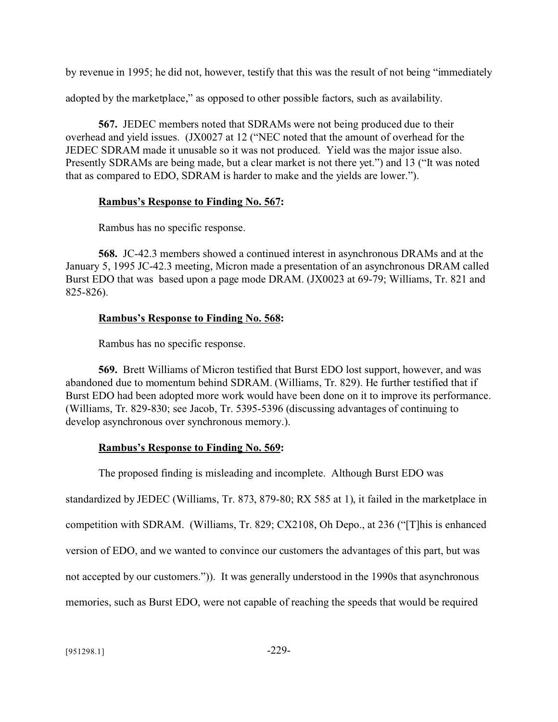by revenue in 1995; he did not, however, testify that this was the result of not being "immediately

adopted by the marketplace," as opposed to other possible factors, such as availability.

**567.** JEDEC members noted that SDRAMs were not being produced due to their overhead and yield issues. (JX0027 at 12 ("NEC noted that the amount of overhead for the JEDEC SDRAM made it unusable so it was not produced. Yield was the major issue also. Presently SDRAMs are being made, but a clear market is not there yet.") and 13 ("It was noted that as compared to EDO, SDRAM is harder to make and the yields are lower.").

## **Rambus's Response to Finding No. 567:**

Rambus has no specific response.

**568.** JC-42.3 members showed a continued interest in asynchronous DRAMs and at the January 5, 1995 JC-42.3 meeting, Micron made a presentation of an asynchronous DRAM called Burst EDO that was based upon a page mode DRAM. (JX0023 at 69-79; Williams, Tr. 821 and 825-826).

# **Rambus's Response to Finding No. 568:**

Rambus has no specific response.

**569.** Brett Williams of Micron testified that Burst EDO lost support, however, and was abandoned due to momentum behind SDRAM. (Williams, Tr. 829). He further testified that if Burst EDO had been adopted more work would have been done on it to improve its performance. (Williams, Tr. 829-830; see Jacob, Tr. 5395-5396 (discussing advantages of continuing to develop asynchronous over synchronous memory.).

# **Rambus's Response to Finding No. 569:**

The proposed finding is misleading and incomplete. Although Burst EDO was standardized by JEDEC (Williams, Tr. 873, 879-80; RX 585 at 1), it failed in the marketplace in competition with SDRAM. (Williams, Tr. 829; CX2108, Oh Depo., at 236 ("[T]his is enhanced version of EDO, and we wanted to convince our customers the advantages of this part, but was not accepted by our customers.")). It was generally understood in the 1990s that asynchronous memories, such as Burst EDO, were not capable of reaching the speeds that would be required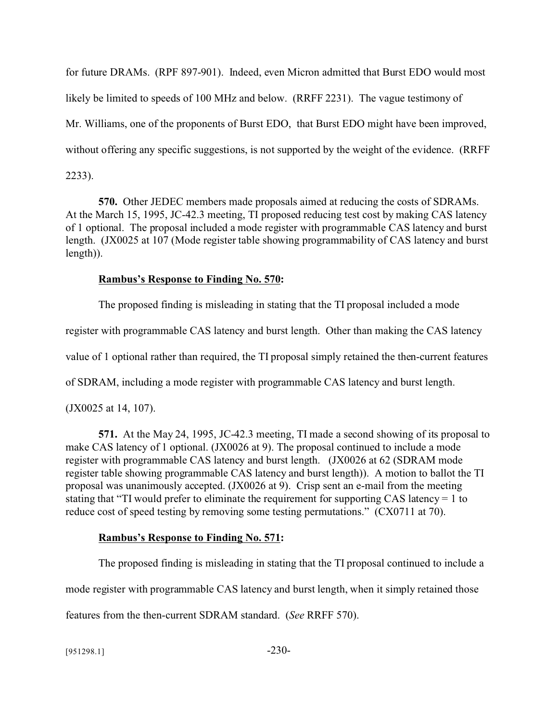for future DRAMs. (RPF 897-901). Indeed, even Micron admitted that Burst EDO would most likely be limited to speeds of 100 MHz and below. (RRFF 2231). The vague testimony of Mr. Williams, one of the proponents of Burst EDO, that Burst EDO might have been improved, without offering any specific suggestions, is not supported by the weight of the evidence. (RRFF 2233).

**570.** Other JEDEC members made proposals aimed at reducing the costs of SDRAMs. At the March 15, 1995, JC-42.3 meeting, TI proposed reducing test cost by making CAS latency of 1 optional. The proposal included a mode register with programmable CAS latency and burst length. (JX0025 at 107 (Mode register table showing programmability of CAS latency and burst length)).

## **Rambus's Response to Finding No. 570:**

The proposed finding is misleading in stating that the TI proposal included a mode register with programmable CAS latency and burst length. Other than making the CAS latency value of 1 optional rather than required, the TI proposal simply retained the then-current features of SDRAM, including a mode register with programmable CAS latency and burst length. (JX0025 at 14, 107).

**571.** At the May 24, 1995, JC-42.3 meeting, TI made a second showing of its proposal to make CAS latency of 1 optional. (JX0026 at 9). The proposal continued to include a mode register with programmable CAS latency and burst length. (JX0026 at 62 (SDRAM mode register table showing programmable CAS latency and burst length)). A motion to ballot the TI proposal was unanimously accepted. (JX0026 at 9). Crisp sent an e-mail from the meeting stating that "TI would prefer to eliminate the requirement for supporting CAS latency = 1 to reduce cost of speed testing by removing some testing permutations." (CX0711 at 70).

## **Rambus's Response to Finding No. 571:**

The proposed finding is misleading in stating that the TI proposal continued to include a mode register with programmable CAS latency and burst length, when it simply retained those features from the then-current SDRAM standard. (*See* RRFF 570).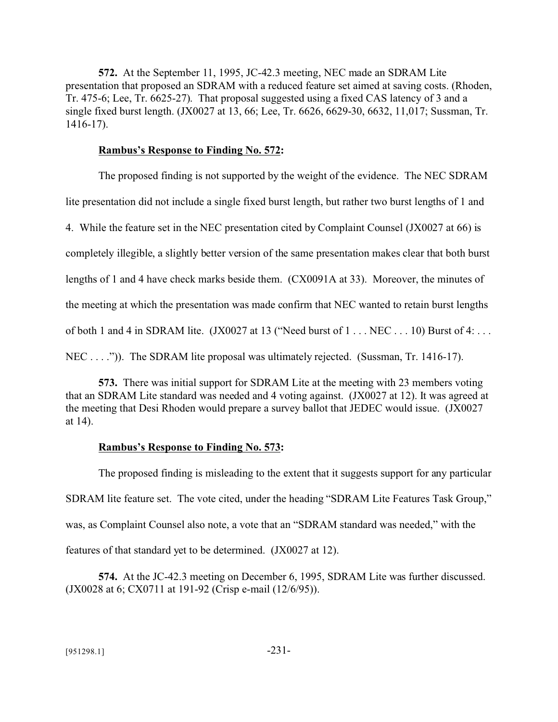**572.** At the September 11, 1995, JC-42.3 meeting, NEC made an SDRAM Lite presentation that proposed an SDRAM with a reduced feature set aimed at saving costs. (Rhoden, Tr. 475-6; Lee, Tr. 6625-27). That proposal suggested using a fixed CAS latency of 3 and a single fixed burst length. (JX0027 at 13, 66; Lee, Tr. 6626, 6629-30, 6632, 11,017; Sussman, Tr. 1416-17).

### **Rambus's Response to Finding No. 572:**

The proposed finding is not supported by the weight of the evidence. The NEC SDRAM lite presentation did not include a single fixed burst length, but rather two burst lengths of 1 and 4. While the feature set in the NEC presentation cited by Complaint Counsel (JX0027 at 66) is completely illegible, a slightly better version of the same presentation makes clear that both burst lengths of 1 and 4 have check marks beside them. (CX0091A at 33). Moreover, the minutes of the meeting at which the presentation was made confirm that NEC wanted to retain burst lengths of both 1 and 4 in SDRAM lite. (JX0027 at 13 ("Need burst of 1 . . . NEC . . . 10) Burst of 4: . . . NEC . . . .")). The SDRAM lite proposal was ultimately rejected. (Sussman, Tr. 1416-17).

**573.** There was initial support for SDRAM Lite at the meeting with 23 members voting that an SDRAM Lite standard was needed and 4 voting against. (JX0027 at 12). It was agreed at the meeting that Desi Rhoden would prepare a survey ballot that JEDEC would issue. (JX0027 at 14).

## **Rambus's Response to Finding No. 573:**

The proposed finding is misleading to the extent that it suggests support for any particular SDRAM lite feature set. The vote cited, under the heading "SDRAM Lite Features Task Group," was, as Complaint Counsel also note, a vote that an "SDRAM standard was needed," with the features of that standard yet to be determined. (JX0027 at 12).

**574.** At the JC-42.3 meeting on December 6, 1995, SDRAM Lite was further discussed. (JX0028 at 6; CX0711 at 191-92 (Crisp e-mail (12/6/95)).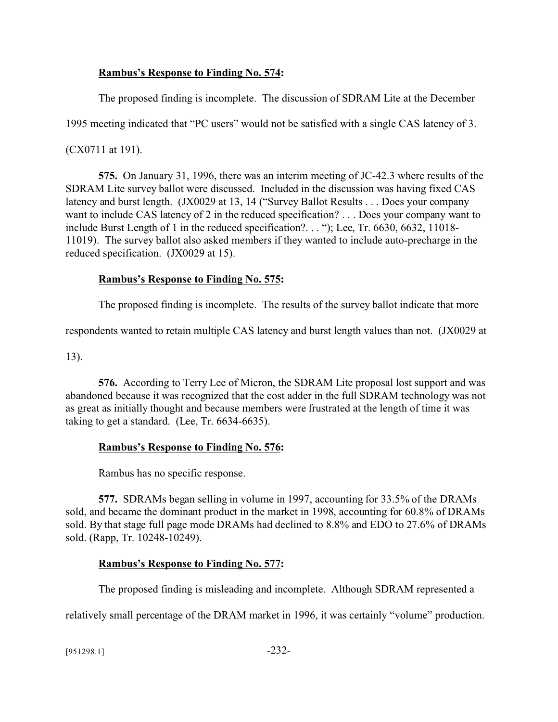# **Rambus's Response to Finding No. 574:**

The proposed finding is incomplete. The discussion of SDRAM Lite at the December

1995 meeting indicated that "PC users" would not be satisfied with a single CAS latency of 3.

(CX0711 at 191).

**575.** On January 31, 1996, there was an interim meeting of JC-42.3 where results of the SDRAM Lite survey ballot were discussed. Included in the discussion was having fixed CAS latency and burst length. (JX0029 at 13, 14 ("Survey Ballot Results . . . Does your company want to include CAS latency of 2 in the reduced specification? . . . Does your company want to include Burst Length of 1 in the reduced specification?. . . "); Lee, Tr. 6630, 6632, 11018- 11019). The survey ballot also asked members if they wanted to include auto-precharge in the reduced specification. (JX0029 at 15).

# **Rambus's Response to Finding No. 575:**

The proposed finding is incomplete. The results of the survey ballot indicate that more

respondents wanted to retain multiple CAS latency and burst length values than not. (JX0029 at

13).

**576.** According to Terry Lee of Micron, the SDRAM Lite proposal lost support and was abandoned because it was recognized that the cost adder in the full SDRAM technology was not as great as initially thought and because members were frustrated at the length of time it was taking to get a standard. (Lee, Tr. 6634-6635).

# **Rambus's Response to Finding No. 576:**

Rambus has no specific response.

**577.** SDRAMs began selling in volume in 1997, accounting for 33.5% of the DRAMs sold, and became the dominant product in the market in 1998, accounting for 60.8% of DRAMs sold. By that stage full page mode DRAMs had declined to 8.8% and EDO to 27.6% of DRAMs sold. (Rapp, Tr. 10248-10249).

# **Rambus's Response to Finding No. 577:**

The proposed finding is misleading and incomplete. Although SDRAM represented a

relatively small percentage of the DRAM market in 1996, it was certainly "volume" production.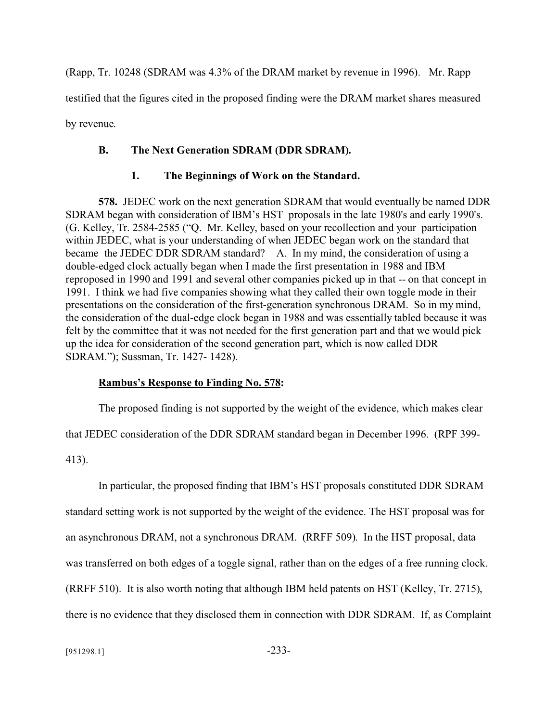(Rapp, Tr. 10248 (SDRAM was 4.3% of the DRAM market by revenue in 1996). Mr. Rapp testified that the figures cited in the proposed finding were the DRAM market shares measured by revenue.

# **B. The Next Generation SDRAM (DDR SDRAM).**

## **1. The Beginnings of Work on the Standard.**

**578.** JEDEC work on the next generation SDRAM that would eventually be named DDR SDRAM began with consideration of IBM's HST proposals in the late 1980's and early 1990's. (G. Kelley, Tr. 2584-2585 ("Q. Mr. Kelley, based on your recollection and your participation within JEDEC, what is your understanding of when JEDEC began work on the standard that became the JEDEC DDR SDRAM standard? A. In my mind, the consideration of using a double-edged clock actually began when I made the first presentation in 1988 and IBM reproposed in 1990 and 1991 and several other companies picked up in that -- on that concept in 1991. I think we had five companies showing what they called their own toggle mode in their presentations on the consideration of the first-generation synchronous DRAM. So in my mind, the consideration of the dual-edge clock began in 1988 and was essentially tabled because it was felt by the committee that it was not needed for the first generation part and that we would pick up the idea for consideration of the second generation part, which is now called DDR SDRAM."); Sussman, Tr. 1427- 1428).

## **Rambus's Response to Finding No. 578:**

The proposed finding is not supported by the weight of the evidence, which makes clear

that JEDEC consideration of the DDR SDRAM standard began in December 1996. (RPF 399-

413).

In particular, the proposed finding that IBM's HST proposals constituted DDR SDRAM standard setting work is not supported by the weight of the evidence. The HST proposal was for an asynchronous DRAM, not a synchronous DRAM. (RRFF 509). In the HST proposal, data was transferred on both edges of a toggle signal, rather than on the edges of a free running clock. (RRFF 510). It is also worth noting that although IBM held patents on HST (Kelley, Tr. 2715), there is no evidence that they disclosed them in connection with DDR SDRAM. If, as Complaint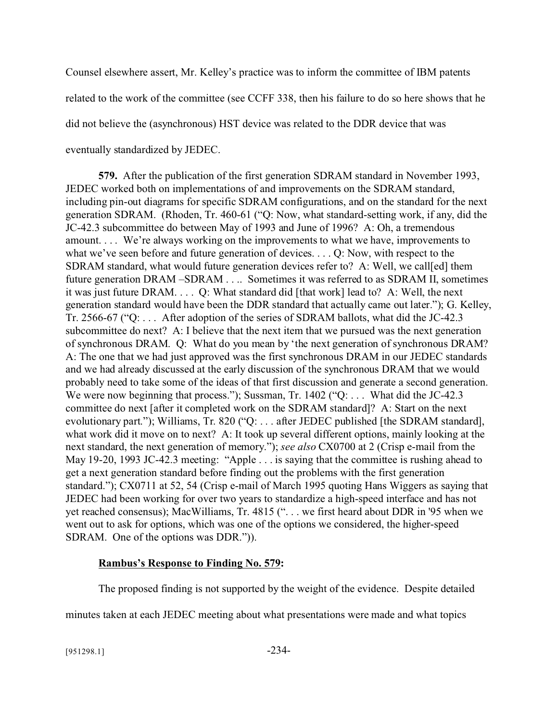Counsel elsewhere assert, Mr. Kelley's practice was to inform the committee of IBM patents related to the work of the committee (see CCFF 338, then his failure to do so here shows that he did not believe the (asynchronous) HST device was related to the DDR device that was eventually standardized by JEDEC.

**579.** After the publication of the first generation SDRAM standard in November 1993, JEDEC worked both on implementations of and improvements on the SDRAM standard, including pin-out diagrams for specific SDRAM configurations, and on the standard for the next generation SDRAM. (Rhoden, Tr. 460-61 ("Q: Now, what standard-setting work, if any, did the JC-42.3 subcommittee do between May of 1993 and June of 1996? A: Oh, a tremendous amount. . . . We're always working on the improvements to what we have, improvements to what we've seen before and future generation of devices. . . . Q: Now, with respect to the SDRAM standard, what would future generation devices refer to? A: Well, we call[ed] them future generation DRAM –SDRAM . . .. Sometimes it was referred to as SDRAM II, sometimes it was just future DRAM. . . . Q: What standard did [that work] lead to? A: Well, the next generation standard would have been the DDR standard that actually came out later."); G. Kelley, Tr. 2566-67 ("Q: . . . After adoption of the series of SDRAM ballots, what did the JC-42.3 subcommittee do next? A: I believe that the next item that we pursued was the next generation of synchronous DRAM. Q: What do you mean by 'the next generation of synchronous DRAM? A: The one that we had just approved was the first synchronous DRAM in our JEDEC standards and we had already discussed at the early discussion of the synchronous DRAM that we would probably need to take some of the ideas of that first discussion and generate a second generation. We were now beginning that process."); Sussman, Tr. 1402 ("Q: ... What did the JC-42.3 committee do next [after it completed work on the SDRAM standard]? A: Start on the next evolutionary part."); Williams, Tr. 820 ("Q: ... after JEDEC published [the SDRAM standard], what work did it move on to next? A: It took up several different options, mainly looking at the next standard, the next generation of memory."); *see also* CX0700 at 2 (Crisp e-mail from the May 19-20, 1993 JC-42.3 meeting: "Apple . . . is saying that the committee is rushing ahead to get a next generation standard before finding out the problems with the first generation standard."); CX0711 at 52, 54 (Crisp e-mail of March 1995 quoting Hans Wiggers as saying that JEDEC had been working for over two years to standardize a high-speed interface and has not yet reached consensus); MacWilliams, Tr. 4815 (". . . we first heard about DDR in '95 when we went out to ask for options, which was one of the options we considered, the higher-speed SDRAM. One of the options was DDR.")).

## **Rambus's Response to Finding No. 579:**

The proposed finding is not supported by the weight of the evidence. Despite detailed

minutes taken at each JEDEC meeting about what presentations were made and what topics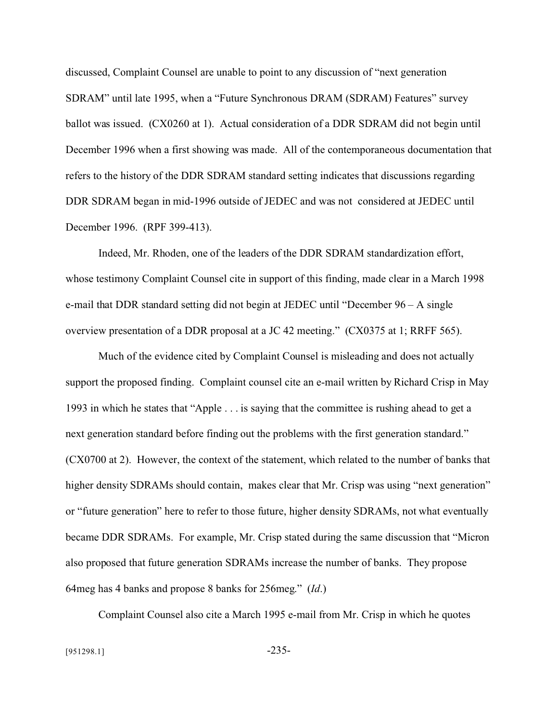discussed, Complaint Counsel are unable to point to any discussion of "next generation SDRAM" until late 1995, when a "Future Synchronous DRAM (SDRAM) Features" survey ballot was issued. (CX0260 at 1). Actual consideration of a DDR SDRAM did not begin until December 1996 when a first showing was made. All of the contemporaneous documentation that refers to the history of the DDR SDRAM standard setting indicates that discussions regarding DDR SDRAM began in mid-1996 outside of JEDEC and was not considered at JEDEC until December 1996. (RPF 399-413).

Indeed, Mr. Rhoden, one of the leaders of the DDR SDRAM standardization effort, whose testimony Complaint Counsel cite in support of this finding, made clear in a March 1998 e-mail that DDR standard setting did not begin at JEDEC until "December 96 – A single overview presentation of a DDR proposal at a JC 42 meeting." (CX0375 at 1; RRFF 565).

Much of the evidence cited by Complaint Counsel is misleading and does not actually support the proposed finding. Complaint counsel cite an e-mail written by Richard Crisp in May 1993 in which he states that "Apple . . . is saying that the committee is rushing ahead to get a next generation standard before finding out the problems with the first generation standard." (CX0700 at 2). However, the context of the statement, which related to the number of banks that higher density SDRAMs should contain, makes clear that Mr. Crisp was using "next generation" or "future generation" here to refer to those future, higher density SDRAMs, not what eventually became DDR SDRAMs. For example, Mr. Crisp stated during the same discussion that "Micron also proposed that future generation SDRAMs increase the number of banks. They propose 64meg has 4 banks and propose 8 banks for 256meg." (*Id*.)

Complaint Counsel also cite a March 1995 e-mail from Mr. Crisp in which he quotes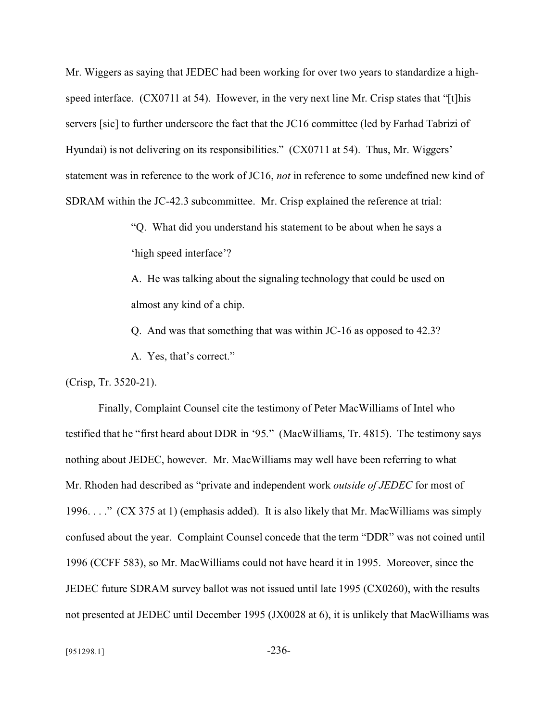Mr. Wiggers as saying that JEDEC had been working for over two years to standardize a highspeed interface. (CX0711 at 54). However, in the very next line Mr. Crisp states that "[t]his servers [sic] to further underscore the fact that the JC16 committee (led by Farhad Tabrizi of Hyundai) is not delivering on its responsibilities." (CX0711 at 54). Thus, Mr. Wiggers' statement was in reference to the work of JC16, *not* in reference to some undefined new kind of SDRAM within the JC-42.3 subcommittee. Mr. Crisp explained the reference at trial:

> "Q. What did you understand his statement to be about when he says a 'high speed interface'?

A. He was talking about the signaling technology that could be used on almost any kind of a chip.

Q. And was that something that was within JC-16 as opposed to 42.3?

A. Yes, that's correct."

(Crisp, Tr. 3520-21).

Finally, Complaint Counsel cite the testimony of Peter MacWilliams of Intel who testified that he "first heard about DDR in '95." (MacWilliams, Tr. 4815). The testimony says nothing about JEDEC, however. Mr. MacWilliams may well have been referring to what Mr. Rhoden had described as "private and independent work *outside of JEDEC* for most of 1996. . . ." (CX 375 at 1) (emphasis added). It is also likely that Mr. MacWilliams was simply confused about the year. Complaint Counsel concede that the term "DDR" was not coined until 1996 (CCFF 583), so Mr. MacWilliams could not have heard it in 1995. Moreover, since the JEDEC future SDRAM survey ballot was not issued until late 1995 (CX0260), with the results not presented at JEDEC until December 1995 (JX0028 at 6), it is unlikely that MacWilliams was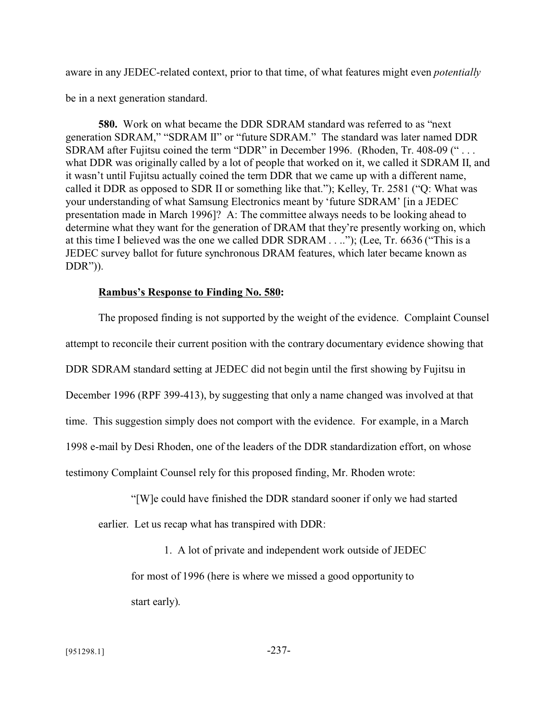aware in any JEDEC-related context, prior to that time, of what features might even *potentially*

be in a next generation standard.

**580.** Work on what became the DDR SDRAM standard was referred to as "next generation SDRAM," "SDRAM II" or "future SDRAM." The standard was later named DDR SDRAM after Fujitsu coined the term "DDR" in December 1996. (Rhoden, Tr. 408-09 (" . . . what DDR was originally called by a lot of people that worked on it, we called it SDRAM II, and it wasn't until Fujitsu actually coined the term DDR that we came up with a different name, called it DDR as opposed to SDR II or something like that."); Kelley, Tr. 2581 ("Q: What was your understanding of what Samsung Electronics meant by 'future SDRAM' [in a JEDEC presentation made in March 1996]? A: The committee always needs to be looking ahead to determine what they want for the generation of DRAM that they're presently working on, which at this time I believed was the one we called DDR SDRAM . . .."); (Lee, Tr. 6636 ("This is a JEDEC survey ballot for future synchronous DRAM features, which later became known as DDR")).

## **Rambus's Response to Finding No. 580:**

The proposed finding is not supported by the weight of the evidence. Complaint Counsel attempt to reconcile their current position with the contrary documentary evidence showing that DDR SDRAM standard setting at JEDEC did not begin until the first showing by Fujitsu in December 1996 (RPF 399-413), by suggesting that only a name changed was involved at that time. This suggestion simply does not comport with the evidence. For example, in a March 1998 e-mail by Desi Rhoden, one of the leaders of the DDR standardization effort, on whose testimony Complaint Counsel rely for this proposed finding, Mr. Rhoden wrote:

"[W]e could have finished the DDR standard sooner if only we had started

earlier. Let us recap what has transpired with DDR:

1. A lot of private and independent work outside of JEDEC

for most of 1996 (here is where we missed a good opportunity to start early).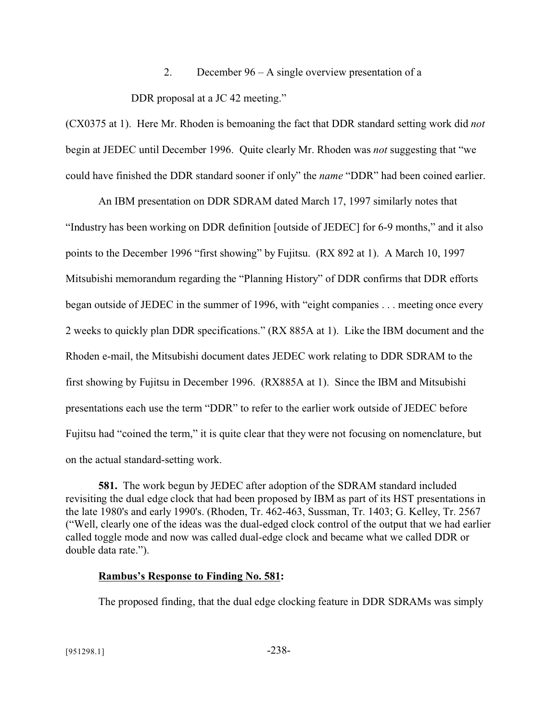2. December 96 – A single overview presentation of a

DDR proposal at a JC 42 meeting."

(CX0375 at 1). Here Mr. Rhoden is bemoaning the fact that DDR standard setting work did *not* begin at JEDEC until December 1996. Quite clearly Mr. Rhoden was *not* suggesting that "we could have finished the DDR standard sooner if only" the *name* "DDR" had been coined earlier.

An IBM presentation on DDR SDRAM dated March 17, 1997 similarly notes that "Industry has been working on DDR definition [outside of JEDEC] for 6-9 months," and it also points to the December 1996 "first showing" by Fujitsu. (RX 892 at 1). A March 10, 1997 Mitsubishi memorandum regarding the "Planning History" of DDR confirms that DDR efforts began outside of JEDEC in the summer of 1996, with "eight companies . . . meeting once every 2 weeks to quickly plan DDR specifications." (RX 885A at 1). Like the IBM document and the Rhoden e-mail, the Mitsubishi document dates JEDEC work relating to DDR SDRAM to the first showing by Fujitsu in December 1996. (RX885A at 1). Since the IBM and Mitsubishi presentations each use the term "DDR" to refer to the earlier work outside of JEDEC before Fujitsu had "coined the term," it is quite clear that they were not focusing on nomenclature, but on the actual standard-setting work.

**581.** The work begun by JEDEC after adoption of the SDRAM standard included revisiting the dual edge clock that had been proposed by IBM as part of its HST presentations in the late 1980's and early 1990's. (Rhoden, Tr. 462-463, Sussman, Tr. 1403; G. Kelley, Tr. 2567 ("Well, clearly one of the ideas was the dual-edged clock control of the output that we had earlier called toggle mode and now was called dual-edge clock and became what we called DDR or double data rate.").

## **Rambus's Response to Finding No. 581:**

The proposed finding, that the dual edge clocking feature in DDR SDRAMs was simply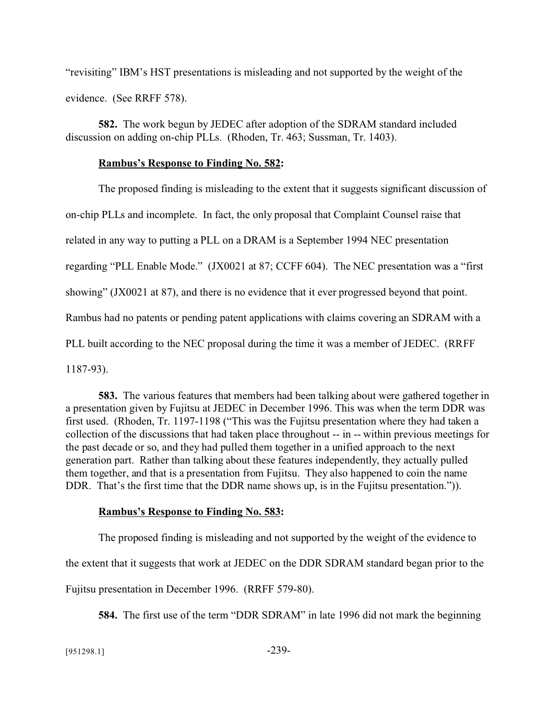"revisiting" IBM's HST presentations is misleading and not supported by the weight of the evidence. (See RRFF 578).

**582.** The work begun by JEDEC after adoption of the SDRAM standard included discussion on adding on-chip PLLs. (Rhoden, Tr. 463; Sussman, Tr. 1403).

### **Rambus's Response to Finding No. 582:**

The proposed finding is misleading to the extent that it suggests significant discussion of on-chip PLLs and incomplete. In fact, the only proposal that Complaint Counsel raise that related in any way to putting a PLL on a DRAM is a September 1994 NEC presentation regarding "PLL Enable Mode." (JX0021 at 87; CCFF 604). The NEC presentation was a "first showing" (JX0021 at 87), and there is no evidence that it ever progressed beyond that point. Rambus had no patents or pending patent applications with claims covering an SDRAM with a PLL built according to the NEC proposal during the time it was a member of JEDEC. (RRFF 1187-93).

**583.** The various features that members had been talking about were gathered together in a presentation given by Fujitsu at JEDEC in December 1996. This was when the term DDR was first used. (Rhoden, Tr. 1197-1198 ("This was the Fujitsu presentation where they had taken a collection of the discussions that had taken place throughout -- in -- within previous meetings for the past decade or so, and they had pulled them together in a unified approach to the next generation part. Rather than talking about these features independently, they actually pulled them together, and that is a presentation from Fujitsu. They also happened to coin the name DDR. That's the first time that the DDR name shows up, is in the Fujitsu presentation.").

### **Rambus's Response to Finding No. 583:**

The proposed finding is misleading and not supported by the weight of the evidence to

the extent that it suggests that work at JEDEC on the DDR SDRAM standard began prior to the

Fujitsu presentation in December 1996. (RRFF 579-80).

**584.** The first use of the term "DDR SDRAM" in late 1996 did not mark the beginning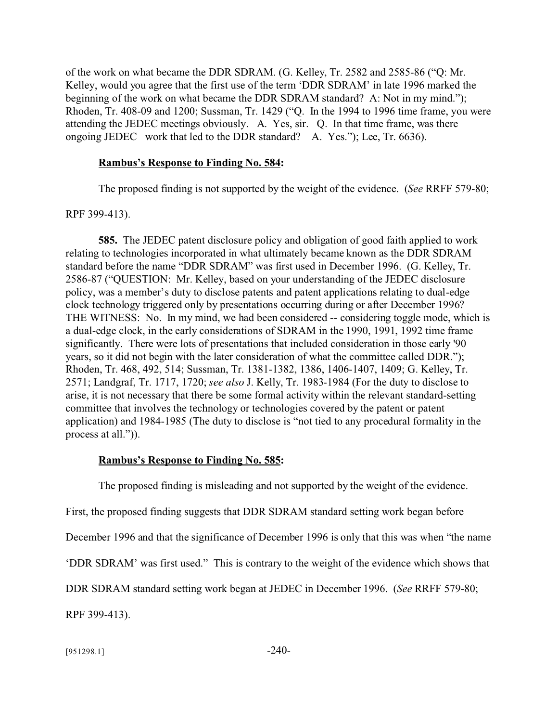of the work on what became the DDR SDRAM. (G. Kelley, Tr. 2582 and 2585-86 ("Q: Mr. Kelley, would you agree that the first use of the term 'DDR SDRAM' in late 1996 marked the beginning of the work on what became the DDR SDRAM standard? A: Not in my mind."); Rhoden, Tr. 408-09 and 1200; Sussman, Tr. 1429 ("Q. In the 1994 to 1996 time frame, you were attending the JEDEC meetings obviously. A. Yes, sir. Q. In that time frame, was there ongoing JEDEC work that led to the DDR standard? A. Yes."); Lee, Tr. 6636).

#### **Rambus's Response to Finding No. 584:**

The proposed finding is not supported by the weight of the evidence. (*See* RRFF 579-80;

RPF 399-413).

**585.** The JEDEC patent disclosure policy and obligation of good faith applied to work relating to technologies incorporated in what ultimately became known as the DDR SDRAM standard before the name "DDR SDRAM" was first used in December 1996. (G. Kelley, Tr. 2586-87 ("QUESTION: Mr. Kelley, based on your understanding of the JEDEC disclosure policy, was a member's duty to disclose patents and patent applications relating to dual-edge clock technology triggered only by presentations occurring during or after December 1996? THE WITNESS: No. In my mind, we had been considered -- considering toggle mode, which is a dual-edge clock, in the early considerations of SDRAM in the 1990, 1991, 1992 time frame significantly. There were lots of presentations that included consideration in those early '90 years, so it did not begin with the later consideration of what the committee called DDR."); Rhoden, Tr. 468, 492, 514; Sussman, Tr. 1381-1382, 1386, 1406-1407, 1409; G. Kelley, Tr. 2571; Landgraf, Tr. 1717, 1720; *see also* J. Kelly, Tr. 1983-1984 (For the duty to disclose to arise, it is not necessary that there be some formal activity within the relevant standard-setting committee that involves the technology or technologies covered by the patent or patent application) and 1984-1985 (The duty to disclose is "not tied to any procedural formality in the process at all.")).

### **Rambus's Response to Finding No. 585:**

The proposed finding is misleading and not supported by the weight of the evidence.

First, the proposed finding suggests that DDR SDRAM standard setting work began before

December 1996 and that the significance of December 1996 is only that this was when "the name

'DDR SDRAM' was first used." This is contrary to the weight of the evidence which shows that

DDR SDRAM standard setting work began at JEDEC in December 1996. (*See* RRFF 579-80;

RPF 399-413).

 $[951298.1]$  -240-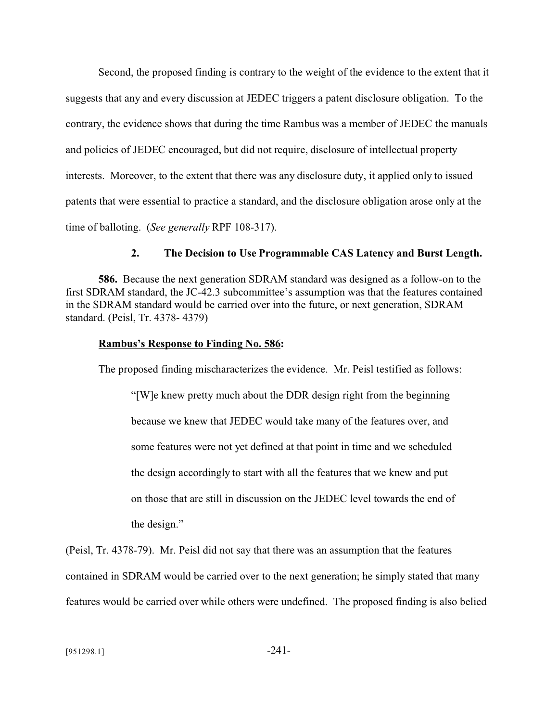Second, the proposed finding is contrary to the weight of the evidence to the extent that it suggests that any and every discussion at JEDEC triggers a patent disclosure obligation. To the contrary, the evidence shows that during the time Rambus was a member of JEDEC the manuals and policies of JEDEC encouraged, but did not require, disclosure of intellectual property interests. Moreover, to the extent that there was any disclosure duty, it applied only to issued patents that were essential to practice a standard, and the disclosure obligation arose only at the time of balloting. (*See generally* RPF 108-317).

### **2. The Decision to Use Programmable CAS Latency and Burst Length.**

**586.** Because the next generation SDRAM standard was designed as a follow-on to the first SDRAM standard, the JC-42.3 subcommittee's assumption was that the features contained in the SDRAM standard would be carried over into the future, or next generation, SDRAM standard. (Peisl, Tr. 4378- 4379)

### **Rambus's Response to Finding No. 586:**

The proposed finding mischaracterizes the evidence. Mr. Peisl testified as follows:

"[W]e knew pretty much about the DDR design right from the beginning because we knew that JEDEC would take many of the features over, and some features were not yet defined at that point in time and we scheduled the design accordingly to start with all the features that we knew and put on those that are still in discussion on the JEDEC level towards the end of the design."

(Peisl, Tr. 4378-79). Mr. Peisl did not say that there was an assumption that the features contained in SDRAM would be carried over to the next generation; he simply stated that many features would be carried over while others were undefined. The proposed finding is also belied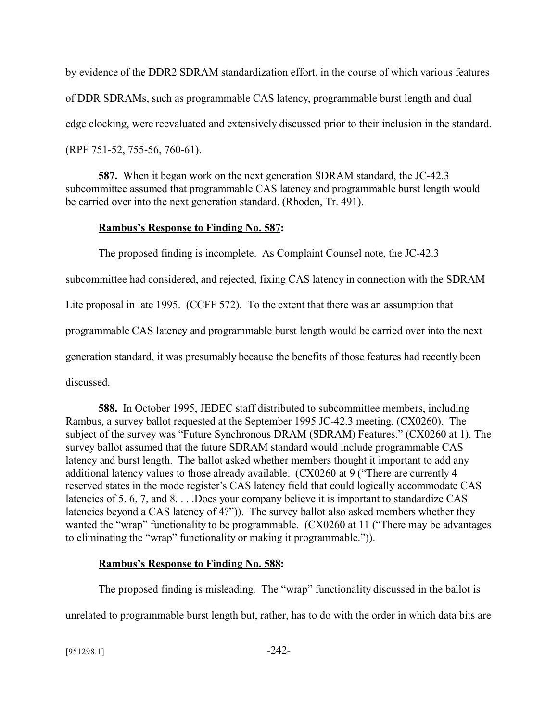by evidence of the DDR2 SDRAM standardization effort, in the course of which various features of DDR SDRAMs, such as programmable CAS latency, programmable burst length and dual edge clocking, were reevaluated and extensively discussed prior to their inclusion in the standard. (RPF 751-52, 755-56, 760-61).

**587.** When it began work on the next generation SDRAM standard, the JC-42.3 subcommittee assumed that programmable CAS latency and programmable burst length would be carried over into the next generation standard. (Rhoden, Tr. 491).

# **Rambus's Response to Finding No. 587:**

The proposed finding is incomplete. As Complaint Counsel note, the JC-42.3 subcommittee had considered, and rejected, fixing CAS latency in connection with the SDRAM Lite proposal in late 1995. (CCFF 572). To the extent that there was an assumption that programmable CAS latency and programmable burst length would be carried over into the next generation standard, it was presumably because the benefits of those features had recently been discussed.

**588.** In October 1995, JEDEC staff distributed to subcommittee members, including Rambus, a survey ballot requested at the September 1995 JC-42.3 meeting. (CX0260). The subject of the survey was "Future Synchronous DRAM (SDRAM) Features." (CX0260 at 1). The survey ballot assumed that the future SDRAM standard would include programmable CAS latency and burst length. The ballot asked whether members thought it important to add any additional latency values to those already available. (CX0260 at 9 ("There are currently 4 reserved states in the mode register's CAS latency field that could logically accommodate CAS latencies of 5, 6, 7, and 8. . . .Does your company believe it is important to standardize CAS latencies beyond a CAS latency of 4?")). The survey ballot also asked members whether they wanted the "wrap" functionality to be programmable. (CX0260 at 11 ("There may be advantages to eliminating the "wrap" functionality or making it programmable.")).

# **Rambus's Response to Finding No. 588:**

The proposed finding is misleading. The "wrap" functionality discussed in the ballot is unrelated to programmable burst length but, rather, has to do with the order in which data bits are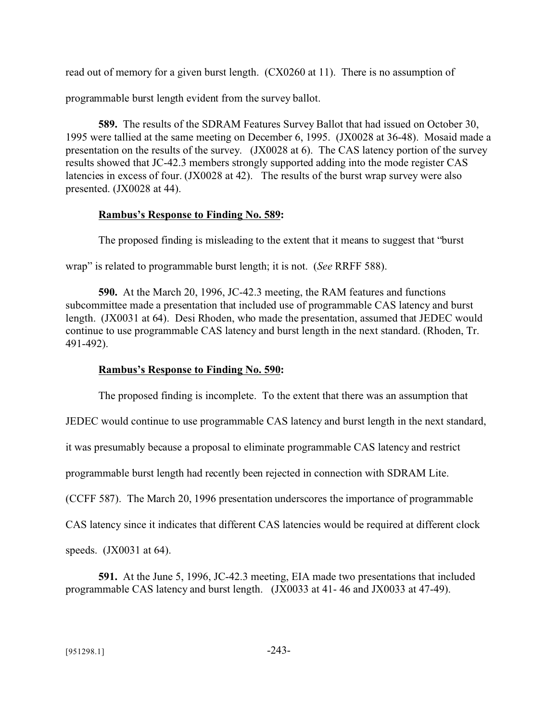read out of memory for a given burst length. (CX0260 at 11). There is no assumption of

programmable burst length evident from the survey ballot.

**589.** The results of the SDRAM Features Survey Ballot that had issued on October 30, 1995 were tallied at the same meeting on December 6, 1995. (JX0028 at 36-48). Mosaid made a presentation on the results of the survey. (JX0028 at 6). The CAS latency portion of the survey results showed that JC-42.3 members strongly supported adding into the mode register CAS latencies in excess of four. (JX0028 at 42). The results of the burst wrap survey were also presented. (JX0028 at 44).

# **Rambus's Response to Finding No. 589:**

The proposed finding is misleading to the extent that it means to suggest that "burst

wrap" is related to programmable burst length; it is not. (*See* RRFF 588).

**590.** At the March 20, 1996, JC-42.3 meeting, the RAM features and functions subcommittee made a presentation that included use of programmable CAS latency and burst length. (JX0031 at 64). Desi Rhoden, who made the presentation, assumed that JEDEC would continue to use programmable CAS latency and burst length in the next standard. (Rhoden, Tr. 491-492).

# **Rambus's Response to Finding No. 590:**

The proposed finding is incomplete. To the extent that there was an assumption that

JEDEC would continue to use programmable CAS latency and burst length in the next standard,

it was presumably because a proposal to eliminate programmable CAS latency and restrict

programmable burst length had recently been rejected in connection with SDRAM Lite.

(CCFF 587). The March 20, 1996 presentation underscores the importance of programmable

CAS latency since it indicates that different CAS latencies would be required at different clock

speeds. (JX0031 at 64).

**591.** At the June 5, 1996, JC-42.3 meeting, EIA made two presentations that included programmable CAS latency and burst length. (JX0033 at 41- 46 and JX0033 at 47-49).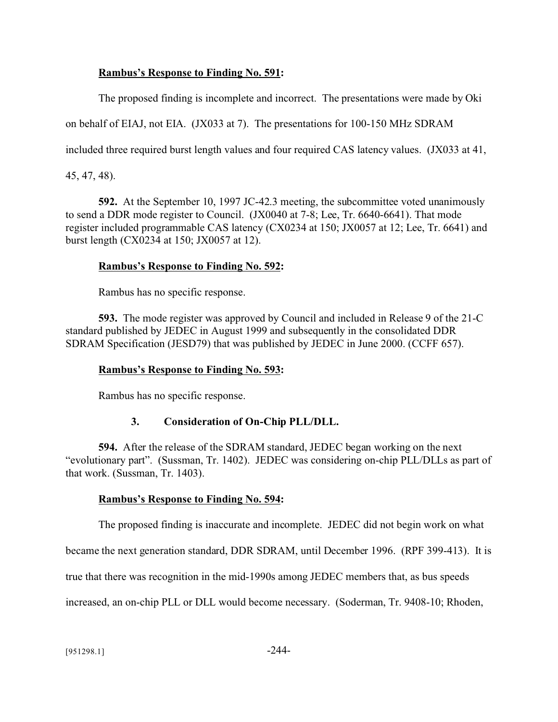# **Rambus's Response to Finding No. 591:**

The proposed finding is incomplete and incorrect. The presentations were made by Oki

on behalf of EIAJ, not EIA. (JX033 at 7). The presentations for 100-150 MHz SDRAM

included three required burst length values and four required CAS latency values. (JX033 at 41,

45, 47, 48).

**592.** At the September 10, 1997 JC-42.3 meeting, the subcommittee voted unanimously to send a DDR mode register to Council. (JX0040 at 7-8; Lee, Tr. 6640-6641). That mode register included programmable CAS latency (CX0234 at 150; JX0057 at 12; Lee, Tr. 6641) and burst length (CX0234 at 150; JX0057 at 12).

# **Rambus's Response to Finding No. 592:**

Rambus has no specific response.

**593.** The mode register was approved by Council and included in Release 9 of the 21-C standard published by JEDEC in August 1999 and subsequently in the consolidated DDR SDRAM Specification (JESD79) that was published by JEDEC in June 2000. (CCFF 657).

## **Rambus's Response to Finding No. 593:**

Rambus has no specific response.

# **3. Consideration of On-Chip PLL/DLL.**

**594.** After the release of the SDRAM standard, JEDEC began working on the next "evolutionary part". (Sussman, Tr. 1402). JEDEC was considering on-chip PLL/DLLs as part of that work. (Sussman, Tr. 1403).

## **Rambus's Response to Finding No. 594:**

The proposed finding is inaccurate and incomplete. JEDEC did not begin work on what

became the next generation standard, DDR SDRAM, until December 1996. (RPF 399-413). It is

true that there was recognition in the mid-1990s among JEDEC members that, as bus speeds

increased, an on-chip PLL or DLL would become necessary. (Soderman, Tr. 9408-10; Rhoden,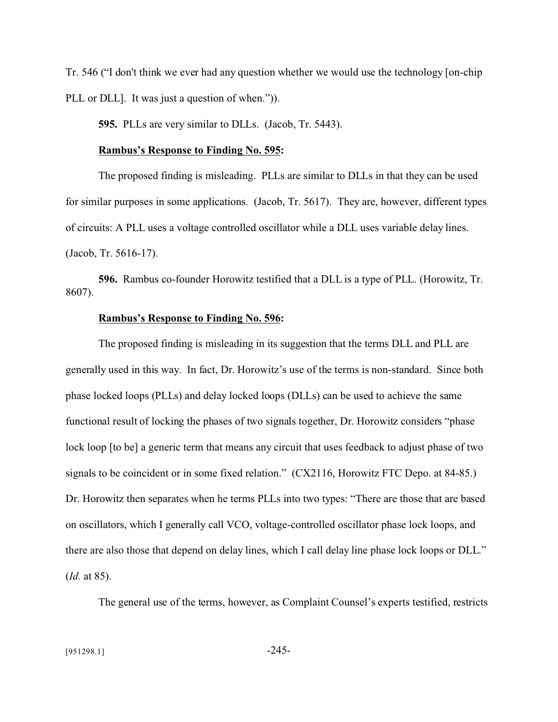Tr. 546 ("I don't think we ever had any question whether we would use the technology [on-chip PLL or DLL]. It was just a question of when.")).

**595.** PLLs are very similar to DLLs. (Jacob, Tr. 5443).

### **Rambus's Response to Finding No. 595:**

The proposed finding is misleading. PLLs are similar to DLLs in that they can be used for similar purposes in some applications. (Jacob, Tr. 5617). They are, however, different types of circuits: A PLL uses a voltage controlled oscillator while a DLL uses variable delay lines. (Jacob, Tr. 5616-17).

**596.** Rambus co-founder Horowitz testified that a DLL is a type of PLL. (Horowitz, Tr. 8607).

### **Rambus's Response to Finding No. 596:**

The proposed finding is misleading in its suggestion that the terms DLL and PLL are generally used in this way. In fact, Dr. Horowitz's use of the terms is non-standard. Since both phase locked loops (PLLs) and delay locked loops (DLLs) can be used to achieve the same functional result of locking the phases of two signals together, Dr. Horowitz considers "phase lock loop [to be] a generic term that means any circuit that uses feedback to adjust phase of two signals to be coincident or in some fixed relation." (CX2116, Horowitz FTC Depo. at 84-85.) Dr. Horowitz then separates when he terms PLLs into two types: "There are those that are based on oscillators, which I generally call VCO, voltage-controlled oscillator phase lock loops, and there are also those that depend on delay lines, which I call delay line phase lock loops or DLL." (*Id.* at 85).

The general use of the terms, however, as Complaint Counsel's experts testified, restricts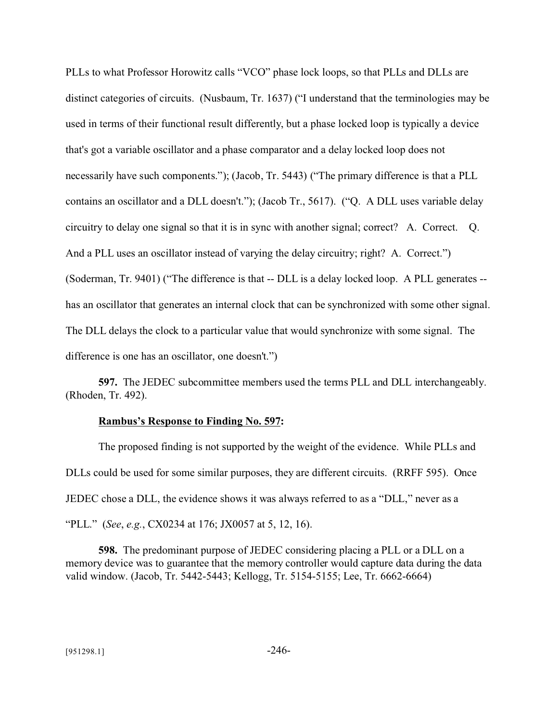PLLs to what Professor Horowitz calls "VCO" phase lock loops, so that PLLs and DLLs are distinct categories of circuits. (Nusbaum, Tr. 1637) ("I understand that the terminologies may be used in terms of their functional result differently, but a phase locked loop is typically a device that's got a variable oscillator and a phase comparator and a delay locked loop does not necessarily have such components."); (Jacob, Tr. 5443) ("The primary difference is that a PLL contains an oscillator and a DLL doesn't."); (Jacob Tr., 5617). ("Q. A DLL uses variable delay circuitry to delay one signal so that it is in sync with another signal; correct? A. Correct. Q. And a PLL uses an oscillator instead of varying the delay circuitry; right? A. Correct.") (Soderman, Tr. 9401) ("The difference is that -- DLL is a delay locked loop. A PLL generates - has an oscillator that generates an internal clock that can be synchronized with some other signal. The DLL delays the clock to a particular value that would synchronize with some signal. The difference is one has an oscillator, one doesn't.")

**597.** The JEDEC subcommittee members used the terms PLL and DLL interchangeably. (Rhoden, Tr. 492).

### **Rambus's Response to Finding No. 597:**

The proposed finding is not supported by the weight of the evidence. While PLLs and DLLs could be used for some similar purposes, they are different circuits. (RRFF 595). Once JEDEC chose a DLL, the evidence shows it was always referred to as a "DLL," never as a "PLL." (*See*, *e.g.*, CX0234 at 176; JX0057 at 5, 12, 16).

**598.** The predominant purpose of JEDEC considering placing a PLL or a DLL on a memory device was to guarantee that the memory controller would capture data during the data valid window. (Jacob, Tr. 5442-5443; Kellogg, Tr. 5154-5155; Lee, Tr. 6662-6664)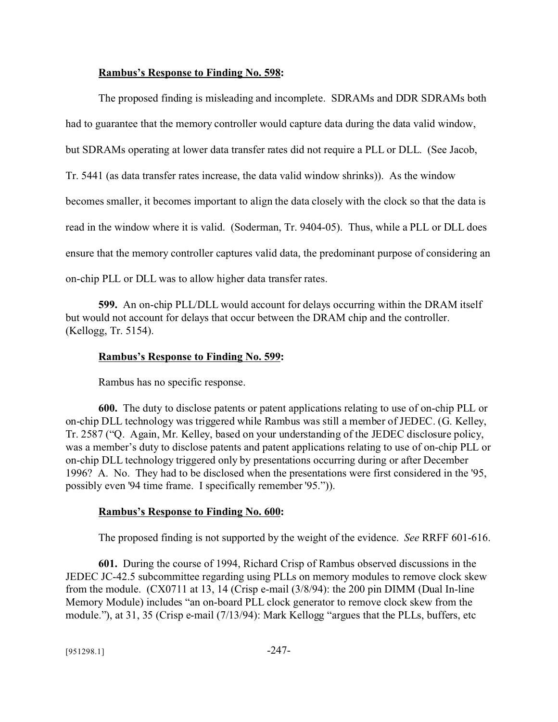### **Rambus's Response to Finding No. 598:**

The proposed finding is misleading and incomplete. SDRAMs and DDR SDRAMs both had to guarantee that the memory controller would capture data during the data valid window, but SDRAMs operating at lower data transfer rates did not require a PLL or DLL. (See Jacob, Tr. 5441 (as data transfer rates increase, the data valid window shrinks)). As the window becomes smaller, it becomes important to align the data closely with the clock so that the data is read in the window where it is valid. (Soderman, Tr. 9404-05). Thus, while a PLL or DLL does ensure that the memory controller captures valid data, the predominant purpose of considering an on-chip PLL or DLL was to allow higher data transfer rates.

**599.** An on-chip PLL/DLL would account for delays occurring within the DRAM itself but would not account for delays that occur between the DRAM chip and the controller. (Kellogg, Tr. 5154).

#### **Rambus's Response to Finding No. 599:**

Rambus has no specific response.

**600.** The duty to disclose patents or patent applications relating to use of on-chip PLL or on-chip DLL technology was triggered while Rambus was still a member of JEDEC. (G. Kelley, Tr. 2587 ("Q. Again, Mr. Kelley, based on your understanding of the JEDEC disclosure policy, was a member's duty to disclose patents and patent applications relating to use of on-chip PLL or on-chip DLL technology triggered only by presentations occurring during or after December 1996? A. No. They had to be disclosed when the presentations were first considered in the '95, possibly even '94 time frame. I specifically remember '95.")).

#### **Rambus's Response to Finding No. 600:**

The proposed finding is not supported by the weight of the evidence. *See* RRFF 601-616.

**601.** During the course of 1994, Richard Crisp of Rambus observed discussions in the JEDEC JC-42.5 subcommittee regarding using PLLs on memory modules to remove clock skew from the module. (CX0711 at 13, 14 (Crisp e-mail (3/8/94): the 200 pin DIMM (Dual In-line Memory Module) includes "an on-board PLL clock generator to remove clock skew from the module."), at 31, 35 (Crisp e-mail (7/13/94): Mark Kellogg "argues that the PLLs, buffers, etc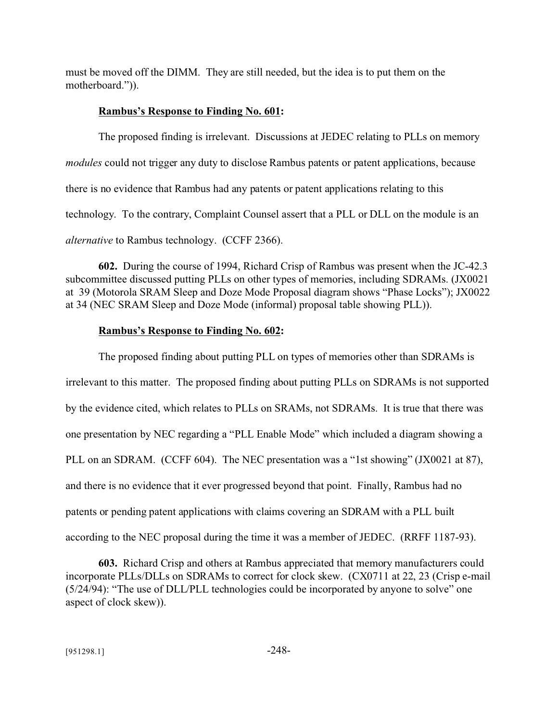must be moved off the DIMM. They are still needed, but the idea is to put them on the motherboard.")).

# **Rambus's Response to Finding No. 601:**

The proposed finding is irrelevant. Discussions at JEDEC relating to PLLs on memory *modules* could not trigger any duty to disclose Rambus patents or patent applications, because there is no evidence that Rambus had any patents or patent applications relating to this technology. To the contrary, Complaint Counsel assert that a PLL or DLL on the module is an *alternative* to Rambus technology. (CCFF 2366).

**602.** During the course of 1994, Richard Crisp of Rambus was present when the JC-42.3 subcommittee discussed putting PLLs on other types of memories, including SDRAMs. (JX0021 at 39 (Motorola SRAM Sleep and Doze Mode Proposal diagram shows "Phase Locks"); JX0022 at 34 (NEC SRAM Sleep and Doze Mode (informal) proposal table showing PLL)).

# **Rambus's Response to Finding No. 602:**

The proposed finding about putting PLL on types of memories other than SDRAMs is irrelevant to this matter. The proposed finding about putting PLLs on SDRAMs is not supported by the evidence cited, which relates to PLLs on SRAMs, not SDRAMs. It is true that there was one presentation by NEC regarding a "PLL Enable Mode" which included a diagram showing a PLL on an SDRAM. (CCFF 604). The NEC presentation was a "1st showing" (JX0021 at 87), and there is no evidence that it ever progressed beyond that point. Finally, Rambus had no patents or pending patent applications with claims covering an SDRAM with a PLL built according to the NEC proposal during the time it was a member of JEDEC. (RRFF 1187-93).

**603.** Richard Crisp and others at Rambus appreciated that memory manufacturers could incorporate PLLs/DLLs on SDRAMs to correct for clock skew. (CX0711 at 22, 23 (Crisp e-mail (5/24/94): "The use of DLL/PLL technologies could be incorporated by anyone to solve" one aspect of clock skew)).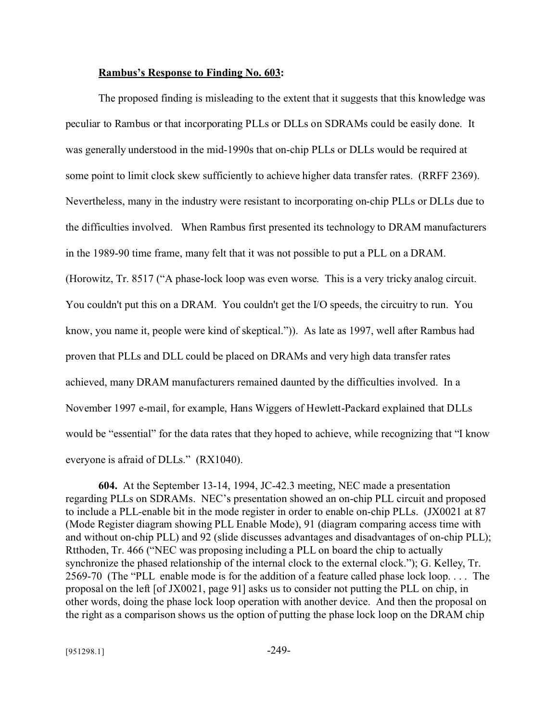### **Rambus's Response to Finding No. 603:**

The proposed finding is misleading to the extent that it suggests that this knowledge was peculiar to Rambus or that incorporating PLLs or DLLs on SDRAMs could be easily done. It was generally understood in the mid-1990s that on-chip PLLs or DLLs would be required at some point to limit clock skew sufficiently to achieve higher data transfer rates. (RRFF 2369). Nevertheless, many in the industry were resistant to incorporating on-chip PLLs or DLLs due to the difficulties involved. When Rambus first presented its technology to DRAM manufacturers in the 1989-90 time frame, many felt that it was not possible to put a PLL on a DRAM. (Horowitz, Tr. 8517 ("A phase-lock loop was even worse. This is a very tricky analog circuit. You couldn't put this on a DRAM. You couldn't get the I/O speeds, the circuitry to run. You know, you name it, people were kind of skeptical.")). As late as 1997, well after Rambus had proven that PLLs and DLL could be placed on DRAMs and very high data transfer rates achieved, many DRAM manufacturers remained daunted by the difficulties involved. In a November 1997 e-mail, for example, Hans Wiggers of Hewlett-Packard explained that DLLs would be "essential" for the data rates that they hoped to achieve, while recognizing that "I know everyone is afraid of DLLs." (RX1040).

**604.** At the September 13-14, 1994, JC-42.3 meeting, NEC made a presentation regarding PLLs on SDRAMs. NEC's presentation showed an on-chip PLL circuit and proposed to include a PLL-enable bit in the mode register in order to enable on-chip PLLs. (JX0021 at 87 (Mode Register diagram showing PLL Enable Mode), 91 (diagram comparing access time with and without on-chip PLL) and 92 (slide discusses advantages and disadvantages of on-chip PLL); Rtthoden, Tr. 466 ("NEC was proposing including a PLL on board the chip to actually synchronize the phased relationship of the internal clock to the external clock."); G. Kelley, Tr. 2569-70 (The "PLL enable mode is for the addition of a feature called phase lock loop. . . . The proposal on the left [of JX0021, page 91] asks us to consider not putting the PLL on chip, in other words, doing the phase lock loop operation with another device. And then the proposal on the right as a comparison shows us the option of putting the phase lock loop on the DRAM chip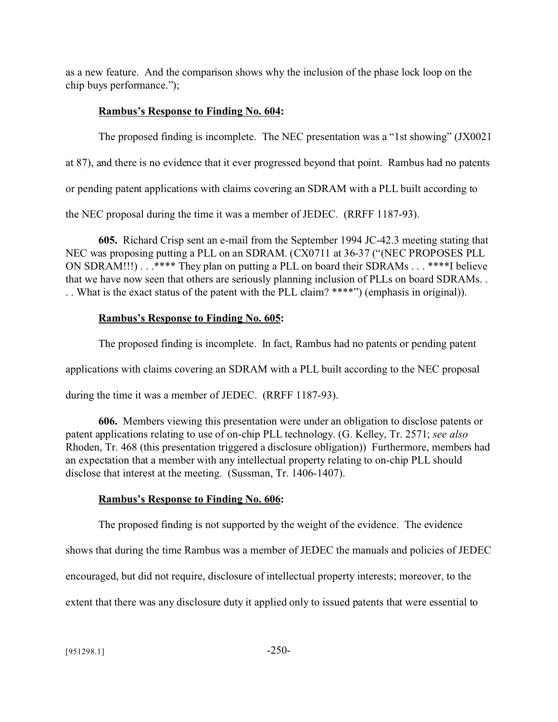as a new feature. And the comparison shows why the inclusion of the phase lock loop on the chip buys performance.");

# **Rambus's Response to Finding No. 604:**

The proposed finding is incomplete. The NEC presentation was a "1st showing" (JX0021 at 87), and there is no evidence that it ever progressed beyond that point. Rambus had no patents or pending patent applications with claims covering an SDRAM with a PLL built according to the NEC proposal during the time it was a member of JEDEC. (RRFF 1187-93).

**605.** Richard Crisp sent an e-mail from the September 1994 JC-42.3 meeting stating that NEC was proposing putting a PLL on an SDRAM. (CX0711 at 36-37 ("(NEC PROPOSES PLL ON SDRAM!!!) . . .\*\*\*\* They plan on putting a PLL on board their SDRAMs . . . \*\*\*\*I believe that we have now seen that others are seriously planning inclusion of PLLs on board SDRAMs. . . . What is the exact status of the patent with the PLL claim? \*\*\*\*") (emphasis in original)).

# **Rambus's Response to Finding No. 605:**

The proposed finding is incomplete. In fact, Rambus had no patents or pending patent applications with claims covering an SDRAM with a PLL built according to the NEC proposal during the time it was a member of JEDEC. (RRFF 1187-93).

**606.** Members viewing this presentation were under an obligation to disclose patents or patent applications relating to use of on-chip PLL technology. (G. Kelley, Tr. 2571; *see also* Rhoden, Tr. 468 (this presentation triggered a disclosure obligation)) Furthermore, members had an expectation that a member with any intellectual property relating to on-chip PLL should disclose that interest at the meeting. (Sussman, Tr. 1406-1407).

# **Rambus's Response to Finding No. 606:**

The proposed finding is not supported by the weight of the evidence. The evidence

shows that during the time Rambus was a member of JEDEC the manuals and policies of JEDEC

encouraged, but did not require, disclosure of intellectual property interests; moreover, to the

extent that there was any disclosure duty it applied only to issued patents that were essential to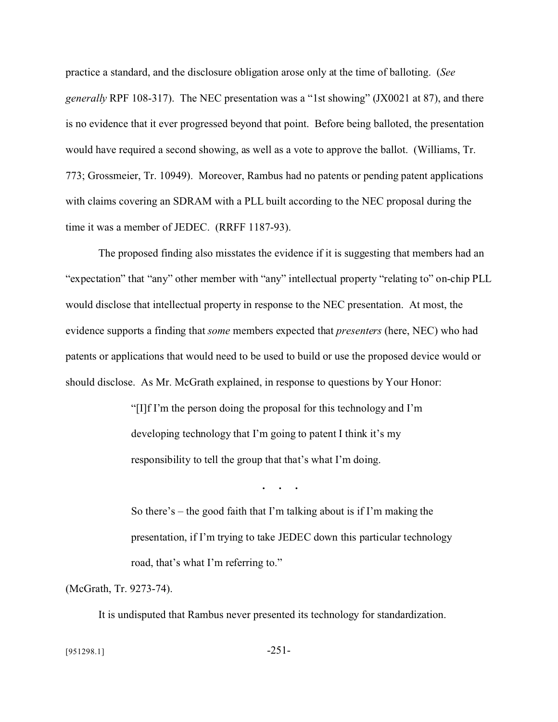practice a standard, and the disclosure obligation arose only at the time of balloting. (*See generally* RPF 108-317). The NEC presentation was a "1st showing" (JX0021 at 87), and there is no evidence that it ever progressed beyond that point. Before being balloted, the presentation would have required a second showing, as well as a vote to approve the ballot. (Williams, Tr. 773; Grossmeier, Tr. 10949). Moreover, Rambus had no patents or pending patent applications with claims covering an SDRAM with a PLL built according to the NEC proposal during the time it was a member of JEDEC. (RRFF 1187-93).

The proposed finding also misstates the evidence if it is suggesting that members had an "expectation" that "any" other member with "any" intellectual property "relating to" on-chip PLL would disclose that intellectual property in response to the NEC presentation. At most, the evidence supports a finding that *some* members expected that *presenters* (here, NEC) who had patents or applications that would need to be used to build or use the proposed device would or should disclose. As Mr. McGrath explained, in response to questions by Your Honor:

> "[I]f I'm the person doing the proposal for this technology and I'm developing technology that I'm going to patent I think it's my responsibility to tell the group that that's what I'm doing.

> > **. . .**

So there's – the good faith that I'm talking about is if I'm making the presentation, if I'm trying to take JEDEC down this particular technology road, that's what I'm referring to."

(McGrath, Tr. 9273-74).

It is undisputed that Rambus never presented its technology for standardization.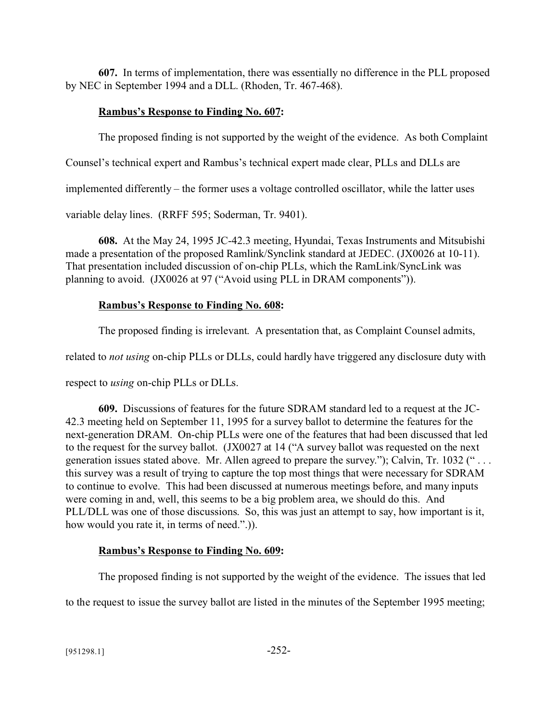**607.** In terms of implementation, there was essentially no difference in the PLL proposed by NEC in September 1994 and a DLL. (Rhoden, Tr. 467-468).

## **Rambus's Response to Finding No. 607:**

The proposed finding is not supported by the weight of the evidence. As both Complaint

Counsel's technical expert and Rambus's technical expert made clear, PLLs and DLLs are

implemented differently – the former uses a voltage controlled oscillator, while the latter uses

variable delay lines. (RRFF 595; Soderman, Tr. 9401).

**608.** At the May 24, 1995 JC-42.3 meeting, Hyundai, Texas Instruments and Mitsubishi made a presentation of the proposed Ramlink/Synclink standard at JEDEC. (JX0026 at 10-11). That presentation included discussion of on-chip PLLs, which the RamLink/SyncLink was planning to avoid. (JX0026 at 97 ("Avoid using PLL in DRAM components")).

# **Rambus's Response to Finding No. 608:**

The proposed finding is irrelevant. A presentation that, as Complaint Counsel admits,

related to *not using* on-chip PLLs or DLLs, could hardly have triggered any disclosure duty with

respect to *using* on-chip PLLs or DLLs.

**609.** Discussions of features for the future SDRAM standard led to a request at the JC-42.3 meeting held on September 11, 1995 for a survey ballot to determine the features for the next-generation DRAM. On-chip PLLs were one of the features that had been discussed that led to the request for the survey ballot. (JX0027 at 14 ("A survey ballot was requested on the next generation issues stated above. Mr. Allen agreed to prepare the survey."); Calvin, Tr. 1032 (" . . . this survey was a result of trying to capture the top most things that were necessary for SDRAM to continue to evolve. This had been discussed at numerous meetings before, and many inputs were coming in and, well, this seems to be a big problem area, we should do this. And PLL/DLL was one of those discussions. So, this was just an attempt to say, how important is it, how would you rate it, in terms of need.".)).

# **Rambus's Response to Finding No. 609:**

The proposed finding is not supported by the weight of the evidence. The issues that led

to the request to issue the survey ballot are listed in the minutes of the September 1995 meeting;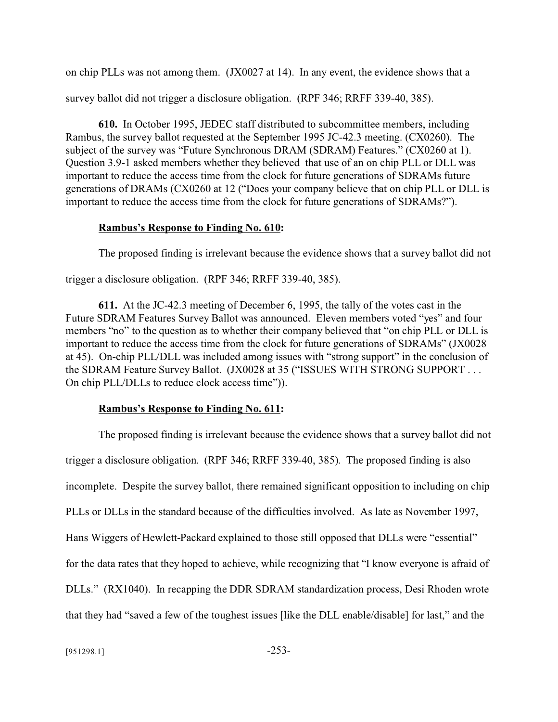on chip PLLs was not among them. (JX0027 at 14). In any event, the evidence shows that a survey ballot did not trigger a disclosure obligation. (RPF 346; RRFF 339-40, 385).

**610.** In October 1995, JEDEC staff distributed to subcommittee members, including Rambus, the survey ballot requested at the September 1995 JC-42.3 meeting. (CX0260). The subject of the survey was "Future Synchronous DRAM (SDRAM) Features." (CX0260 at 1). Question 3.9-1 asked members whether they believed that use of an on chip PLL or DLL was important to reduce the access time from the clock for future generations of SDRAMs future generations of DRAMs (CX0260 at 12 ("Does your company believe that on chip PLL or DLL is important to reduce the access time from the clock for future generations of SDRAMs?").

#### **Rambus's Response to Finding No. 610:**

The proposed finding is irrelevant because the evidence shows that a survey ballot did not trigger a disclosure obligation. (RPF 346; RRFF 339-40, 385).

**611.** At the JC-42.3 meeting of December 6, 1995, the tally of the votes cast in the Future SDRAM Features Survey Ballot was announced. Eleven members voted "yes" and four members "no" to the question as to whether their company believed that "on chip PLL or DLL is important to reduce the access time from the clock for future generations of SDRAMs" (JX0028 at 45). On-chip PLL/DLL was included among issues with "strong support" in the conclusion of the SDRAM Feature Survey Ballot.(JX0028 at 35 ("ISSUES WITH STRONG SUPPORT . . . On chip PLL/DLLs to reduce clock access time")).

#### **Rambus's Response to Finding No. 611:**

The proposed finding is irrelevant because the evidence shows that a survey ballot did not trigger a disclosure obligation. (RPF 346; RRFF 339-40, 385). The proposed finding is also incomplete. Despite the survey ballot, there remained significant opposition to including on chip PLLs or DLLs in the standard because of the difficulties involved. As late as November 1997, Hans Wiggers of Hewlett-Packard explained to those still opposed that DLLs were "essential" for the data rates that they hoped to achieve, while recognizing that "I know everyone is afraid of DLLs." (RX1040). In recapping the DDR SDRAM standardization process, Desi Rhoden wrote that they had "saved a few of the toughest issues [like the DLL enable/disable] for last," and the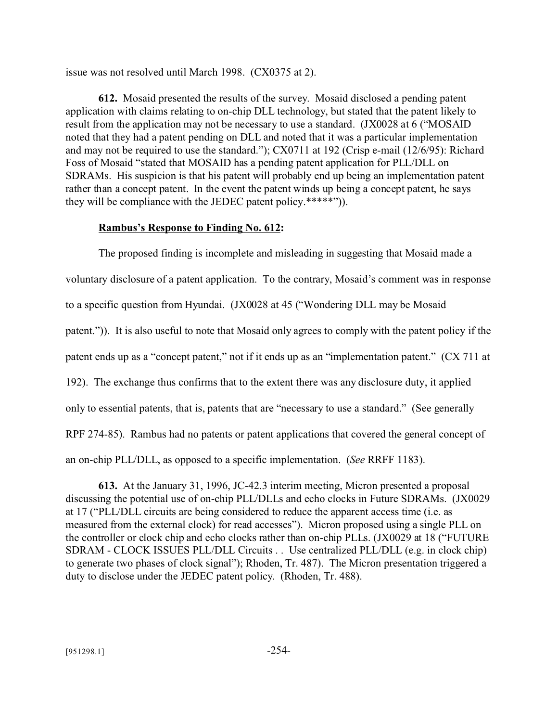issue was not resolved until March 1998. (CX0375 at 2).

**612.** Mosaid presented the results of the survey. Mosaid disclosed a pending patent application with claims relating to on-chip DLL technology, but stated that the patent likely to result from the application may not be necessary to use a standard. (JX0028 at 6 ("MOSAID noted that they had a patent pending on DLL and noted that it was a particular implementation and may not be required to use the standard."); CX0711 at 192 (Crisp e-mail (12/6/95): Richard Foss of Mosaid "stated that MOSAID has a pending patent application for PLL/DLL on SDRAMs. His suspicion is that his patent will probably end up being an implementation patent rather than a concept patent. In the event the patent winds up being a concept patent, he says they will be compliance with the JEDEC patent policy.\*\*\*\*\*")).

### **Rambus's Response to Finding No. 612:**

The proposed finding is incomplete and misleading in suggesting that Mosaid made a voluntary disclosure of a patent application. To the contrary, Mosaid's comment was in response to a specific question from Hyundai. (JX0028 at 45 ("Wondering DLL may be Mosaid patent.")). It is also useful to note that Mosaid only agrees to comply with the patent policy if the patent ends up as a "concept patent," not if it ends up as an "implementation patent." (CX 711 at 192). The exchange thus confirms that to the extent there was any disclosure duty, it applied only to essential patents, that is, patents that are "necessary to use a standard." (See generally RPF 274-85). Rambus had no patents or patent applications that covered the general concept of an on-chip PLL/DLL, as opposed to a specific implementation. (*See* RRFF 1183).

**613.** At the January 31, 1996, JC-42.3 interim meeting, Micron presented a proposal discussing the potential use of on-chip PLL/DLLs and echo clocks in Future SDRAMs. (JX0029 at 17 ("PLL/DLL circuits are being considered to reduce the apparent access time (i.e. as measured from the external clock) for read accesses"). Micron proposed using a single PLL on the controller or clock chip and echo clocks rather than on-chip PLLs. (JX0029 at 18 ("FUTURE SDRAM - CLOCK ISSUES PLL/DLL Circuits . . Use centralized PLL/DLL (e.g. in clock chip) to generate two phases of clock signal"); Rhoden, Tr. 487). The Micron presentation triggered a duty to disclose under the JEDEC patent policy. (Rhoden, Tr. 488).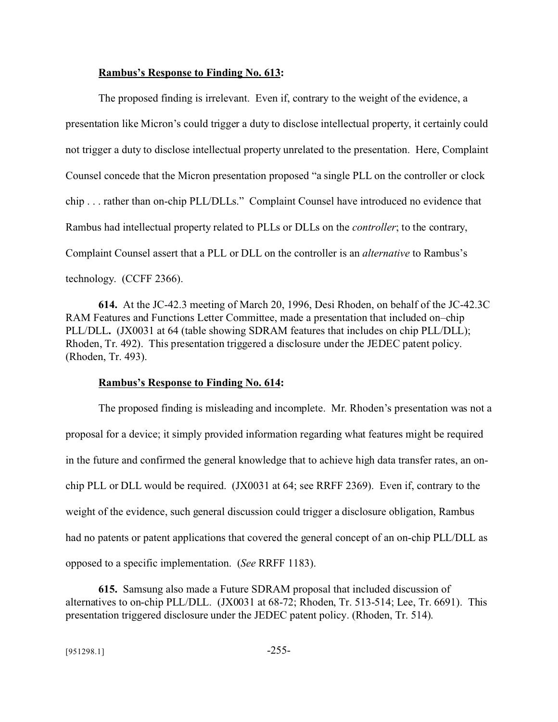#### **Rambus's Response to Finding No. 613:**

The proposed finding is irrelevant. Even if, contrary to the weight of the evidence, a presentation like Micron's could trigger a duty to disclose intellectual property, it certainly could not trigger a duty to disclose intellectual property unrelated to the presentation. Here, Complaint Counsel concede that the Micron presentation proposed "a single PLL on the controller or clock chip . . . rather than on-chip PLL/DLLs." Complaint Counsel have introduced no evidence that Rambus had intellectual property related to PLLs or DLLs on the *controller*; to the contrary, Complaint Counsel assert that a PLL or DLL on the controller is an *alternative* to Rambus's technology. (CCFF 2366).

**614.** At the JC-42.3 meeting of March 20, 1996, Desi Rhoden, on behalf of the JC-42.3C RAM Features and Functions Letter Committee, made a presentation that included on–chip PLL/DLL**.** (JX0031 at 64 (table showing SDRAM features that includes on chip PLL/DLL); Rhoden, Tr. 492). This presentation triggered a disclosure under the JEDEC patent policy. (Rhoden, Tr. 493).

#### **Rambus's Response to Finding No. 614:**

The proposed finding is misleading and incomplete. Mr. Rhoden's presentation was not a proposal for a device; it simply provided information regarding what features might be required in the future and confirmed the general knowledge that to achieve high data transfer rates, an onchip PLL or DLL would be required. (JX0031 at 64; see RRFF 2369). Even if, contrary to the weight of the evidence, such general discussion could trigger a disclosure obligation, Rambus had no patents or patent applications that covered the general concept of an on-chip PLL/DLL as opposed to a specific implementation. (*See* RRFF 1183).

**615.** Samsung also made a Future SDRAM proposal that included discussion of alternatives to on-chip PLL/DLL. (JX0031 at 68-72; Rhoden, Tr. 513-514; Lee, Tr. 6691). This presentation triggered disclosure under the JEDEC patent policy. (Rhoden, Tr. 514).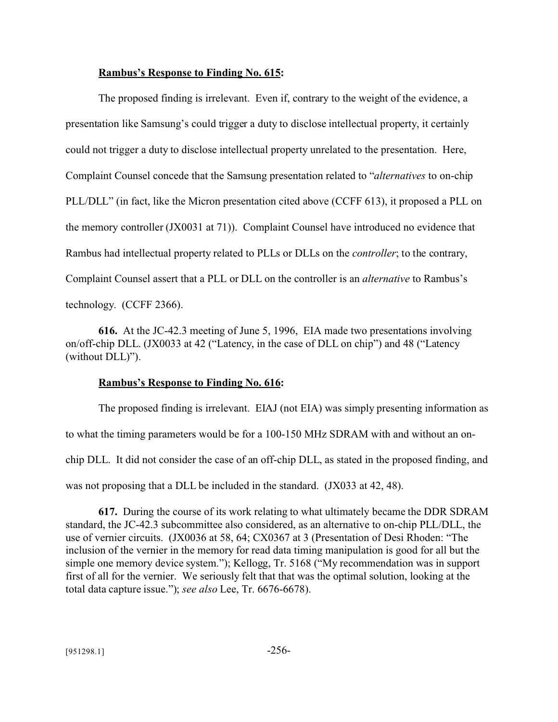#### **Rambus's Response to Finding No. 615:**

The proposed finding is irrelevant. Even if, contrary to the weight of the evidence, a presentation like Samsung's could trigger a duty to disclose intellectual property, it certainly could not trigger a duty to disclose intellectual property unrelated to the presentation. Here, Complaint Counsel concede that the Samsung presentation related to "*alternatives* to on-chip PLL/DLL" (in fact, like the Micron presentation cited above (CCFF 613), it proposed a PLL on the memory controller (JX0031 at 71)). Complaint Counsel have introduced no evidence that Rambus had intellectual property related to PLLs or DLLs on the *controller*; to the contrary, Complaint Counsel assert that a PLL or DLL on the controller is an *alternative* to Rambus's technology. (CCFF 2366).

**616.** At the JC-42.3 meeting of June 5, 1996, EIA made two presentations involving on/off-chip DLL. (JX0033 at 42 ("Latency, in the case of DLL on chip") and 48 ("Latency (without DLL)").

#### **Rambus's Response to Finding No. 616:**

The proposed finding is irrelevant. EIAJ (not EIA) was simply presenting information as to what the timing parameters would be for a 100-150 MHz SDRAM with and without an onchip DLL. It did not consider the case of an off-chip DLL, as stated in the proposed finding, and was not proposing that a DLL be included in the standard. (JX033 at 42, 48).

**617.** During the course of its work relating to what ultimately became the DDR SDRAM standard, the JC-42.3 subcommittee also considered, as an alternative to on-chip PLL/DLL, the use of vernier circuits. (JX0036 at 58, 64; CX0367 at 3 (Presentation of Desi Rhoden: "The inclusion of the vernier in the memory for read data timing manipulation is good for all but the simple one memory device system."); Kellogg, Tr. 5168 ("My recommendation was in support first of all for the vernier. We seriously felt that that was the optimal solution, looking at the total data capture issue."); *see also* Lee, Tr. 6676-6678).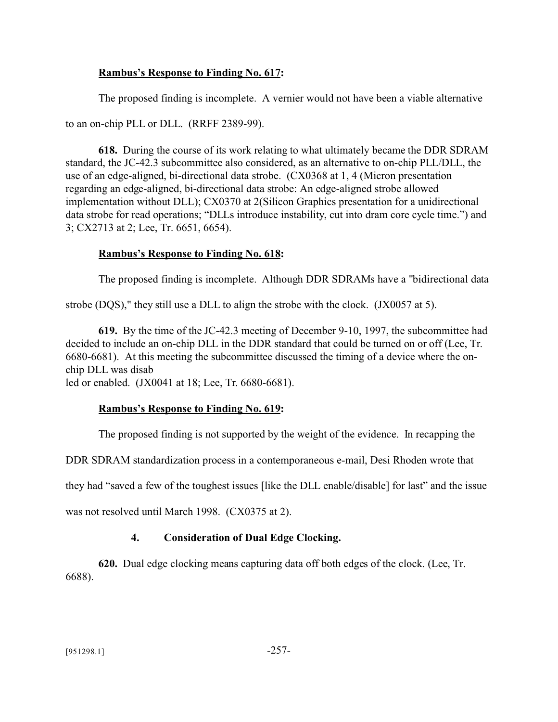### **Rambus's Response to Finding No. 617:**

The proposed finding is incomplete. A vernier would not have been a viable alternative

to an on-chip PLL or DLL. (RRFF 2389-99).

**618.** During the course of its work relating to what ultimately became the DDR SDRAM standard, the JC-42.3 subcommittee also considered, as an alternative to on-chip PLL/DLL, the use of an edge-aligned, bi-directional data strobe. (CX0368 at 1, 4 (Micron presentation regarding an edge-aligned, bi-directional data strobe: An edge-aligned strobe allowed implementation without DLL); CX0370 at 2(Silicon Graphics presentation for a unidirectional data strobe for read operations; "DLLs introduce instability, cut into dram core cycle time.") and 3; CX2713 at 2; Lee, Tr. 6651, 6654).

### **Rambus's Response to Finding No. 618:**

The proposed finding is incomplete. Although DDR SDRAMs have a "bidirectional data

strobe (DQS)," they still use a DLL to align the strobe with the clock. (JX0057 at 5).

**619.** By the time of the JC-42.3 meeting of December 9-10, 1997, the subcommittee had decided to include an on-chip DLL in the DDR standard that could be turned on or off (Lee, Tr. 6680-6681). At this meeting the subcommittee discussed the timing of a device where the onchip DLL was disab

led or enabled. (JX0041 at 18; Lee, Tr. 6680-6681).

#### **Rambus's Response to Finding No. 619:**

The proposed finding is not supported by the weight of the evidence. In recapping the

DDR SDRAM standardization process in a contemporaneous e-mail, Desi Rhoden wrote that

they had "saved a few of the toughest issues [like the DLL enable/disable] for last" and the issue

was not resolved until March 1998. (CX0375 at 2).

## **4. Consideration of Dual Edge Clocking.**

**620.** Dual edge clocking means capturing data off both edges of the clock. (Lee, Tr. 6688).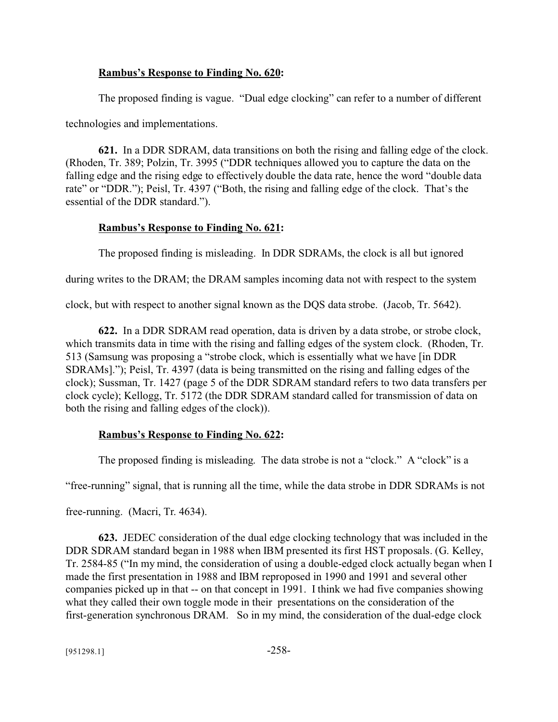#### **Rambus's Response to Finding No. 620:**

The proposed finding is vague. "Dual edge clocking" can refer to a number of different

technologies and implementations.

**621.** In a DDR SDRAM, data transitions on both the rising and falling edge of the clock. (Rhoden, Tr. 389; Polzin, Tr. 3995 ("DDR techniques allowed you to capture the data on the falling edge and the rising edge to effectively double the data rate, hence the word "double data rate" or "DDR."); Peisl, Tr. 4397 ("Both, the rising and falling edge of the clock. That's the essential of the DDR standard.").

### **Rambus's Response to Finding No. 621:**

The proposed finding is misleading. In DDR SDRAMs, the clock is all but ignored

during writes to the DRAM; the DRAM samples incoming data not with respect to the system

clock, but with respect to another signal known as the DQS data strobe. (Jacob, Tr. 5642).

**622.** In a DDR SDRAM read operation, data is driven by a data strobe, or strobe clock, which transmits data in time with the rising and falling edges of the system clock. (Rhoden, Tr. 513 (Samsung was proposing a "strobe clock, which is essentially what we have [in DDR SDRAMs]."); Peisl, Tr. 4397 (data is being transmitted on the rising and falling edges of the clock); Sussman, Tr. 1427 (page 5 of the DDR SDRAM standard refers to two data transfers per clock cycle); Kellogg, Tr. 5172 (the DDR SDRAM standard called for transmission of data on both the rising and falling edges of the clock)).

## **Rambus's Response to Finding No. 622:**

The proposed finding is misleading. The data strobe is not a "clock." A "clock" is a

"free-running" signal, that is running all the time, while the data strobe in DDR SDRAMs is not

free-running. (Macri, Tr. 4634).

**623.** JEDEC consideration of the dual edge clocking technology that was included in the DDR SDRAM standard began in 1988 when IBM presented its first HST proposals. (G. Kelley, Tr. 2584-85 ("In my mind, the consideration of using a double-edged clock actually began when I made the first presentation in 1988 and IBM reproposed in 1990 and 1991 and several other companies picked up in that -- on that concept in 1991. I think we had five companies showing what they called their own toggle mode in their presentations on the consideration of the first-generation synchronous DRAM. So in my mind, the consideration of the dual-edge clock

 $[951298.1]$  -258-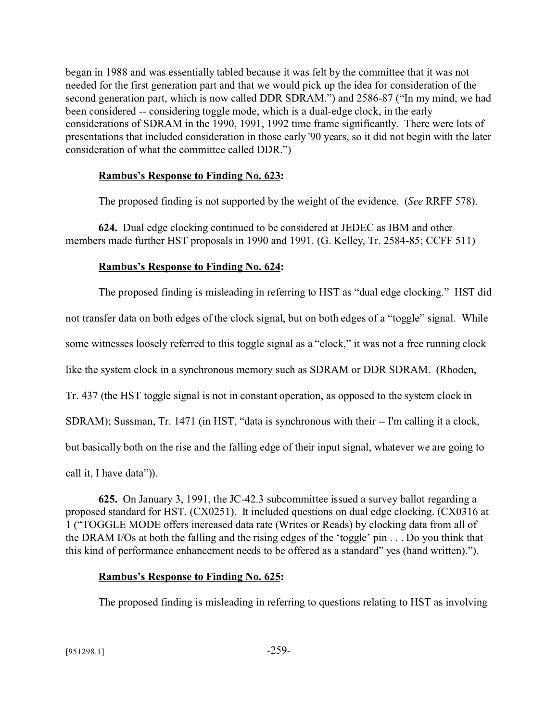began in 1988 and was essentially tabled because it was felt by the committee that it was not needed for the first generation part and that we would pick up the idea for consideration of the second generation part, which is now called DDR SDRAM.") and 2586-87 ("In my mind, we had been considered -- considering toggle mode, which is a dual-edge clock, in the early considerations of SDRAM in the 1990, 1991, 1992 time frame significantly. There were lots of presentations that included consideration in those early '90 years, so it did not begin with the later consideration of what the committee called DDR.")

## **Rambus's Response to Finding No. 623:**

The proposed finding is not supported by the weight of the evidence. (*See* RRFF 578).

**624.** Dual edge clocking continued to be considered at JEDEC as IBM and other members made further HST proposals in 1990 and 1991. (G. Kelley, Tr. 2584-85; CCFF 511)

### **Rambus's Response to Finding No. 624:**

The proposed finding is misleading in referring to HST as "dual edge clocking." HST did not transfer data on both edges of the clock signal, but on both edges of a "toggle" signal. While some witnesses loosely referred to this toggle signal as a "clock," it was not a free running clock like the system clock in a synchronous memory such as SDRAM or DDR SDRAM. (Rhoden, Tr. 437 (the HST toggle signal is not in constant operation, as opposed to the system clock in SDRAM); Sussman, Tr. 1471 (in HST, "data is synchronous with their -- I'm calling it a clock, but basically both on the rise and the falling edge of their input signal, whatever we are going to call it, I have data")).

**625.** On January 3, 1991, the JC-42.3 subcommittee issued a survey ballot regarding a proposed standard for HST. (CX0251). It included questions on dual edge clocking. (CX0316 at 1 ("TOGGLE MODE offers increased data rate (Writes or Reads) by clocking data from all of the DRAM I/Os at both the falling and the rising edges of the 'toggle' pin . . . Do you think that this kind of performance enhancement needs to be offered as a standard" yes (hand written).").

#### **Rambus's Response to Finding No. 625:**

The proposed finding is misleading in referring to questions relating to HST as involving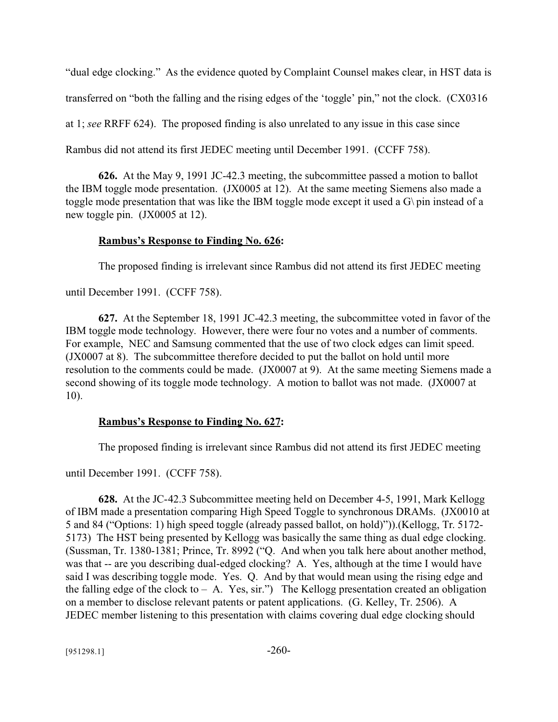"dual edge clocking." As the evidence quoted by Complaint Counsel makes clear, in HST data is transferred on "both the falling and the rising edges of the 'toggle' pin," not the clock. (CX0316 at 1; *see* RRFF 624). The proposed finding is also unrelated to any issue in this case since Rambus did not attend its first JEDEC meeting until December 1991. (CCFF 758).

**626.** At the May 9, 1991 JC-42.3 meeting, the subcommittee passed a motion to ballot the IBM toggle mode presentation. (JX0005 at 12). At the same meeting Siemens also made a toggle mode presentation that was like the IBM toggle mode except it used a G\ pin instead of a new toggle pin. (JX0005 at 12).

#### **Rambus's Response to Finding No. 626:**

The proposed finding is irrelevant since Rambus did not attend its first JEDEC meeting

until December 1991. (CCFF 758).

**627.** At the September 18, 1991 JC-42.3 meeting, the subcommittee voted in favor of the IBM toggle mode technology. However, there were four no votes and a number of comments. For example, NEC and Samsung commented that the use of two clock edges can limit speed. (JX0007 at 8). The subcommittee therefore decided to put the ballot on hold until more resolution to the comments could be made. (JX0007 at 9). At the same meeting Siemens made a second showing of its toggle mode technology. A motion to ballot was not made. (JX0007 at 10).

#### **Rambus's Response to Finding No. 627:**

The proposed finding is irrelevant since Rambus did not attend its first JEDEC meeting

until December 1991. (CCFF 758).

**628.** At the JC-42.3 Subcommittee meeting held on December 4-5, 1991, Mark Kellogg of IBM made a presentation comparing High Speed Toggle to synchronous DRAMs. (JX0010 at 5 and 84 ("Options: 1) high speed toggle (already passed ballot, on hold)")).(Kellogg, Tr. 5172- 5173) The HST being presented by Kellogg was basically the same thing as dual edge clocking. (Sussman, Tr. 1380-1381; Prince, Tr. 8992 ("Q. And when you talk here about another method, was that -- are you describing dual-edged clocking? A. Yes, although at the time I would have said I was describing toggle mode. Yes. Q. And by that would mean using the rising edge and the falling edge of the clock to  $-$  A. Yes, sir.") The Kellogg presentation created an obligation on a member to disclose relevant patents or patent applications. (G. Kelley, Tr. 2506). A JEDEC member listening to this presentation with claims covering dual edge clocking should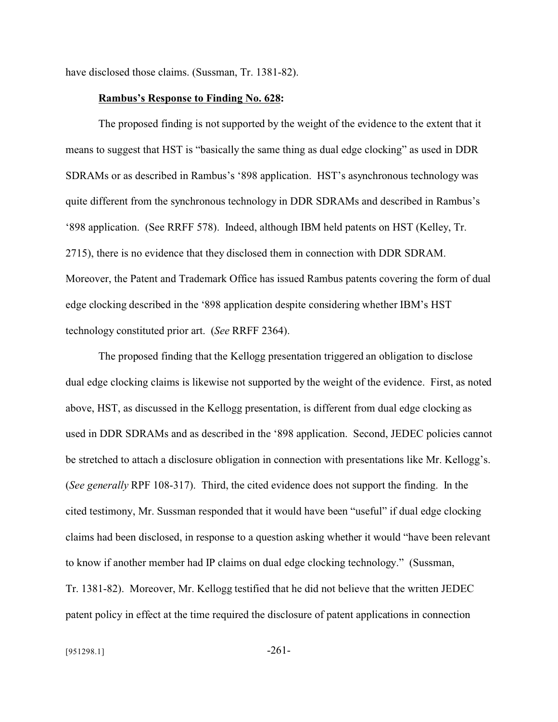have disclosed those claims. (Sussman, Tr. 1381-82).

#### **Rambus's Response to Finding No. 628:**

The proposed finding is not supported by the weight of the evidence to the extent that it means to suggest that HST is "basically the same thing as dual edge clocking" as used in DDR SDRAMs or as described in Rambus's '898 application. HST's asynchronous technology was quite different from the synchronous technology in DDR SDRAMs and described in Rambus's '898 application. (See RRFF 578). Indeed, although IBM held patents on HST (Kelley, Tr. 2715), there is no evidence that they disclosed them in connection with DDR SDRAM. Moreover, the Patent and Trademark Office has issued Rambus patents covering the form of dual edge clocking described in the '898 application despite considering whether IBM's HST technology constituted prior art. (*See* RRFF 2364).

The proposed finding that the Kellogg presentation triggered an obligation to disclose dual edge clocking claims is likewise not supported by the weight of the evidence. First, as noted above, HST, as discussed in the Kellogg presentation, is different from dual edge clocking as used in DDR SDRAMs and as described in the '898 application. Second, JEDEC policies cannot be stretched to attach a disclosure obligation in connection with presentations like Mr. Kellogg's. (*See generally* RPF 108-317). Third, the cited evidence does not support the finding. In the cited testimony, Mr. Sussman responded that it would have been "useful" if dual edge clocking claims had been disclosed, in response to a question asking whether it would "have been relevant to know if another member had IP claims on dual edge clocking technology." (Sussman, Tr. 1381-82). Moreover, Mr. Kellogg testified that he did not believe that the written JEDEC patent policy in effect at the time required the disclosure of patent applications in connection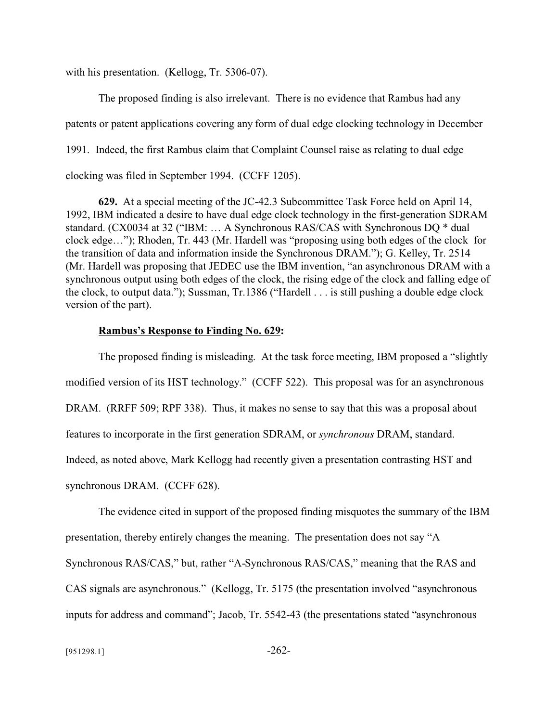with his presentation. (Kellogg, Tr. 5306-07).

The proposed finding is also irrelevant. There is no evidence that Rambus had any patents or patent applications covering any form of dual edge clocking technology in December 1991. Indeed, the first Rambus claim that Complaint Counsel raise as relating to dual edge clocking was filed in September 1994. (CCFF 1205).

**629.** At a special meeting of the JC-42.3 Subcommittee Task Force held on April 14, 1992, IBM indicated a desire to have dual edge clock technology in the first-generation SDRAM standard. (CX0034 at 32 ("IBM: … A Synchronous RAS/CAS with Synchronous DQ \* dual clock edge…"); Rhoden, Tr. 443 (Mr. Hardell was "proposing using both edges of the clock for the transition of data and information inside the Synchronous DRAM."); G. Kelley, Tr. 2514 (Mr. Hardell was proposing that JEDEC use the IBM invention, "an asynchronous DRAM with a synchronous output using both edges of the clock, the rising edge of the clock and falling edge of the clock, to output data."); Sussman, Tr.1386 ("Hardell . . . is still pushing a double edge clock version of the part).

#### **Rambus's Response to Finding No. 629:**

The proposed finding is misleading. At the task force meeting, IBM proposed a "slightly modified version of its HST technology." (CCFF 522). This proposal was for an asynchronous DRAM. (RRFF 509; RPF 338). Thus, it makes no sense to say that this was a proposal about features to incorporate in the first generation SDRAM, or *synchronous* DRAM, standard. Indeed, as noted above, Mark Kellogg had recently given a presentation contrasting HST and synchronous DRAM. (CCFF 628).

The evidence cited in support of the proposed finding misquotes the summary of the IBM presentation, thereby entirely changes the meaning. The presentation does not say "A Synchronous RAS/CAS," but, rather "A-Synchronous RAS/CAS," meaning that the RAS and CAS signals are asynchronous." (Kellogg, Tr. 5175 (the presentation involved "asynchronous inputs for address and command"; Jacob, Tr. 5542-43 (the presentations stated "asynchronous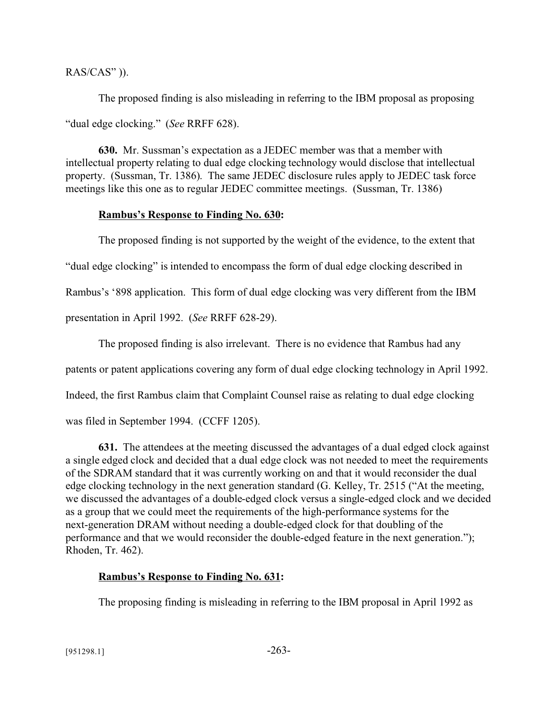RAS/CAS" )).

The proposed finding is also misleading in referring to the IBM proposal as proposing "dual edge clocking." (*See* RRFF 628).

**630.** Mr. Sussman's expectation as a JEDEC member was that a member with intellectual property relating to dual edge clocking technology would disclose that intellectual property. (Sussman, Tr. 1386). The same JEDEC disclosure rules apply to JEDEC task force meetings like this one as to regular JEDEC committee meetings. (Sussman, Tr. 1386)

#### **Rambus's Response to Finding No. 630:**

The proposed finding is not supported by the weight of the evidence, to the extent that "dual edge clocking" is intended to encompass the form of dual edge clocking described in Rambus's '898 application. This form of dual edge clocking was very different from the IBM presentation in April 1992. (*See* RRFF 628-29).

The proposed finding is also irrelevant. There is no evidence that Rambus had any

patents or patent applications covering any form of dual edge clocking technology in April 1992.

Indeed, the first Rambus claim that Complaint Counsel raise as relating to dual edge clocking

was filed in September 1994. (CCFF 1205).

**631.** The attendees at the meeting discussed the advantages of a dual edged clock against a single edged clock and decided that a dual edge clock was not needed to meet the requirements of the SDRAM standard that it was currently working on and that it would reconsider the dual edge clocking technology in the next generation standard (G. Kelley, Tr. 2515 ("At the meeting, we discussed the advantages of a double-edged clock versus a single-edged clock and we decided as a group that we could meet the requirements of the high-performance systems for the next-generation DRAM without needing a double-edged clock for that doubling of the performance and that we would reconsider the double-edged feature in the next generation."); Rhoden, Tr. 462).

## **Rambus's Response to Finding No. 631:**

The proposing finding is misleading in referring to the IBM proposal in April 1992 as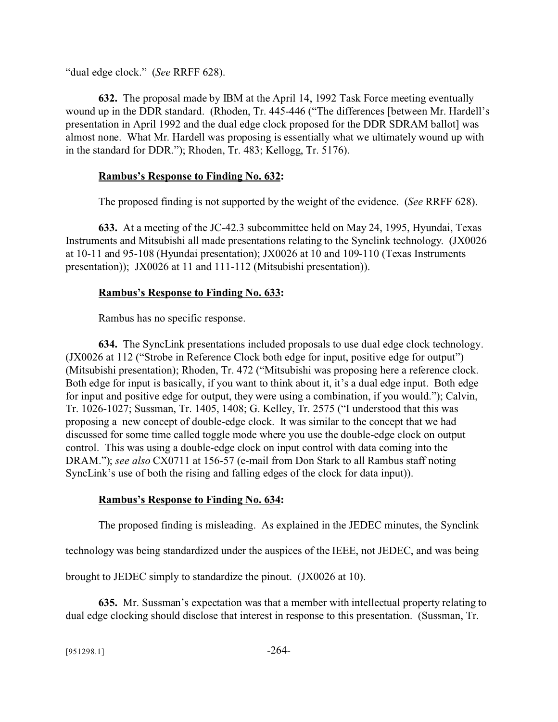"dual edge clock." (*See* RRFF 628).

**632.** The proposal made by IBM at the April 14, 1992 Task Force meeting eventually wound up in the DDR standard. (Rhoden, Tr. 445-446 ("The differences [between Mr. Hardell's presentation in April 1992 and the dual edge clock proposed for the DDR SDRAM ballot] was almost none. What Mr. Hardell was proposing is essentially what we ultimately wound up with in the standard for DDR."); Rhoden, Tr. 483; Kellogg, Tr. 5176).

## **Rambus's Response to Finding No. 632:**

The proposed finding is not supported by the weight of the evidence. (*See* RRFF 628).

**633.** At a meeting of the JC-42.3 subcommittee held on May 24, 1995, Hyundai, Texas Instruments and Mitsubishi all made presentations relating to the Synclink technology. (JX0026 at 10-11 and 95-108 (Hyundai presentation); JX0026 at 10 and 109-110 (Texas Instruments presentation)); JX0026 at 11 and 111-112 (Mitsubishi presentation)).

## **Rambus's Response to Finding No. 633:**

Rambus has no specific response.

**634.** The SyncLink presentations included proposals to use dual edge clock technology. (JX0026 at 112 ("Strobe in Reference Clock both edge for input, positive edge for output") (Mitsubishi presentation); Rhoden, Tr. 472 ("Mitsubishi was proposing here a reference clock. Both edge for input is basically, if you want to think about it, it's a dual edge input. Both edge for input and positive edge for output, they were using a combination, if you would."); Calvin, Tr. 1026-1027; Sussman, Tr. 1405, 1408; G. Kelley, Tr. 2575 ("I understood that this was proposing a new concept of double-edge clock. It was similar to the concept that we had discussed for some time called toggle mode where you use the double-edge clock on output control. This was using a double-edge clock on input control with data coming into the DRAM."); *see also* CX0711 at 156-57 (e-mail from Don Stark to all Rambus staff noting SyncLink's use of both the rising and falling edges of the clock for data input)).

## **Rambus's Response to Finding No. 634:**

The proposed finding is misleading. As explained in the JEDEC minutes, the Synclink

technology was being standardized under the auspices of the IEEE, not JEDEC, and was being

brought to JEDEC simply to standardize the pinout. (JX0026 at 10).

**635.** Mr. Sussman's expectation was that a member with intellectual property relating to dual edge clocking should disclose that interest in response to this presentation. (Sussman, Tr.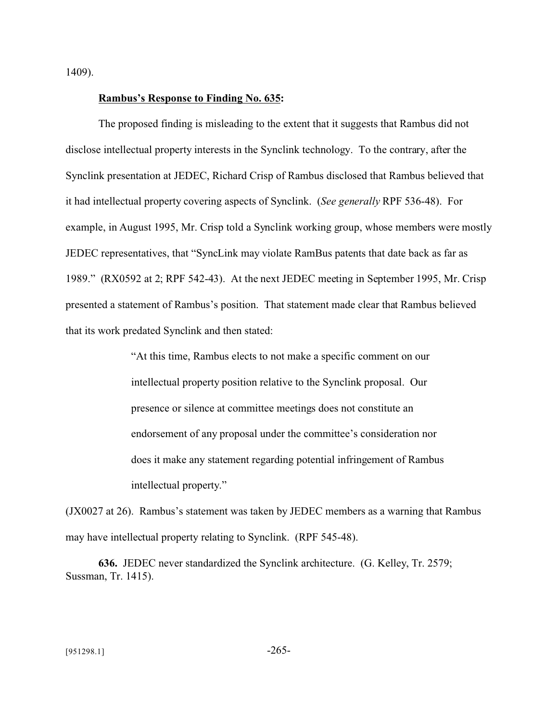1409).

#### **Rambus's Response to Finding No. 635:**

The proposed finding is misleading to the extent that it suggests that Rambus did not disclose intellectual property interests in the Synclink technology. To the contrary, after the Synclink presentation at JEDEC, Richard Crisp of Rambus disclosed that Rambus believed that it had intellectual property covering aspects of Synclink. (*See generally* RPF 536-48). For example, in August 1995, Mr. Crisp told a Synclink working group, whose members were mostly JEDEC representatives, that "SyncLink may violate RamBus patents that date back as far as 1989." (RX0592 at 2; RPF 542-43). At the next JEDEC meeting in September 1995, Mr. Crisp presented a statement of Rambus's position. That statement made clear that Rambus believed that its work predated Synclink and then stated:

> "At this time, Rambus elects to not make a specific comment on our intellectual property position relative to the Synclink proposal. Our presence or silence at committee meetings does not constitute an endorsement of any proposal under the committee's consideration nor does it make any statement regarding potential infringement of Rambus intellectual property."

(JX0027 at 26). Rambus's statement was taken by JEDEC members as a warning that Rambus may have intellectual property relating to Synclink. (RPF 545-48).

**636.** JEDEC never standardized the Synclink architecture. (G. Kelley, Tr. 2579; Sussman, Tr. 1415).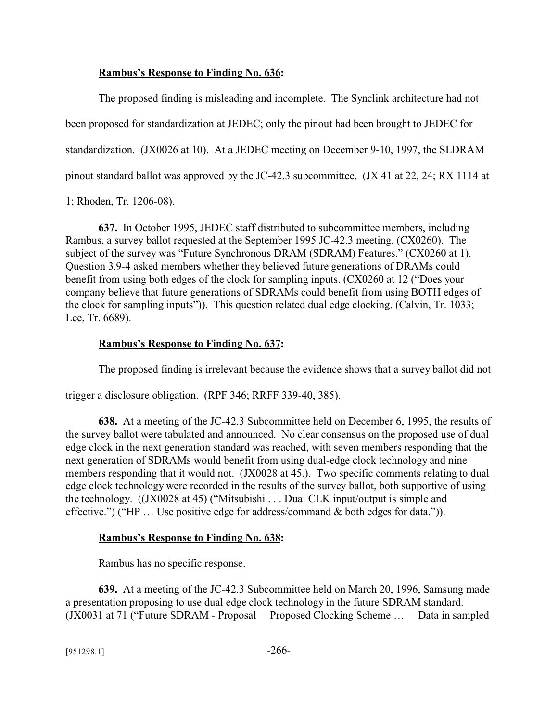#### **Rambus's Response to Finding No. 636:**

The proposed finding is misleading and incomplete. The Synclink architecture had not been proposed for standardization at JEDEC; only the pinout had been brought to JEDEC for standardization. (JX0026 at 10). At a JEDEC meeting on December 9-10, 1997, the SLDRAM pinout standard ballot was approved by the JC-42.3 subcommittee. (JX 41 at 22, 24; RX 1114 at

1; Rhoden, Tr. 1206-08).

**637.** In October 1995, JEDEC staff distributed to subcommittee members, including Rambus, a survey ballot requested at the September 1995 JC-42.3 meeting. (CX0260). The subject of the survey was "Future Synchronous DRAM (SDRAM) Features." (CX0260 at 1). Question 3.9-4 asked members whether they believed future generations of DRAMs could benefit from using both edges of the clock for sampling inputs. (CX0260 at 12 ("Does your company believe that future generations of SDRAMs could benefit from using BOTH edges of the clock for sampling inputs")). This question related dual edge clocking. (Calvin, Tr. 1033; Lee, Tr. 6689).

#### **Rambus's Response to Finding No. 637:**

The proposed finding is irrelevant because the evidence shows that a survey ballot did not

trigger a disclosure obligation. (RPF 346; RRFF 339-40, 385).

**638.** At a meeting of the JC-42.3 Subcommittee held on December 6, 1995, the results of the survey ballot were tabulated and announced. No clear consensus on the proposed use of dual edge clock in the next generation standard was reached, with seven members responding that the next generation of SDRAMs would benefit from using dual-edge clock technology and nine members responding that it would not. (JX0028 at 45.). Two specific comments relating to dual edge clock technology were recorded in the results of the survey ballot, both supportive of using the technology.((JX0028 at 45) ("Mitsubishi . . . Dual CLK input/output is simple and effective.") ("HP … Use positive edge for address/command & both edges for data.")).

#### **Rambus's Response to Finding No. 638:**

Rambus has no specific response.

**639.** At a meeting of the JC-42.3 Subcommittee held on March 20, 1996, Samsung made a presentation proposing to use dual edge clock technology in the future SDRAM standard. (JX0031 at 71 ("Future SDRAM - Proposal – Proposed Clocking Scheme … – Data in sampled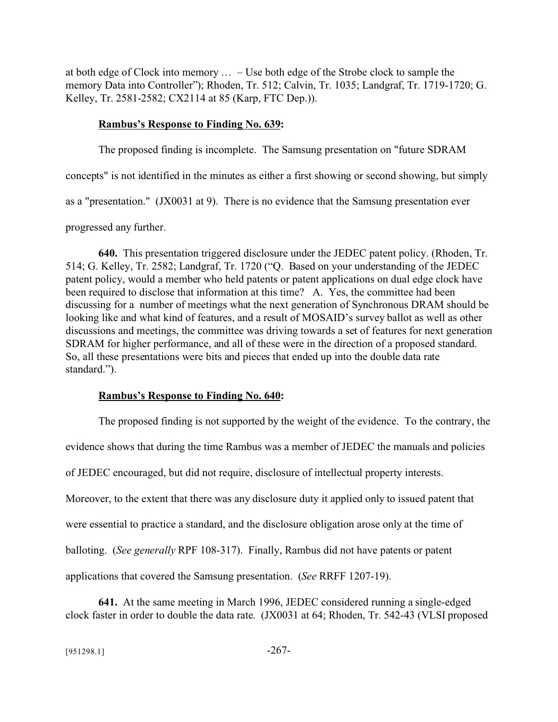at both edge of Clock into memory … – Use both edge of the Strobe clock to sample the memory Data into Controller"); Rhoden, Tr. 512; Calvin, Tr. 1035; Landgraf, Tr. 1719-1720; G. Kelley, Tr. 2581-2582; CX2114 at 85 (Karp, FTC Dep.)).

### **Rambus's Response to Finding No. 639:**

The proposed finding is incomplete. The Samsung presentation on "future SDRAM concepts" is not identified in the minutes as either a first showing or second showing, but simply as a "presentation." (JX0031 at 9). There is no evidence that the Samsung presentation ever progressed any further.

**640.** This presentation triggered disclosure under the JEDEC patent policy. (Rhoden, Tr. 514; G. Kelley, Tr. 2582; Landgraf, Tr. 1720 ("Q. Based on your understanding of the JEDEC patent policy, would a member who held patents or patent applications on dual edge clock have been required to disclose that information at this time? A. Yes, the committee had been discussing for a number of meetings what the next generation of Synchronous DRAM should be looking like and what kind of features, and a result of MOSAID's survey ballot as well as other discussions and meetings, the committee was driving towards a set of features for next generation SDRAM for higher performance, and all of these were in the direction of a proposed standard. So, all these presentations were bits and pieces that ended up into the double data rate standard.").

## **Rambus's Response to Finding No. 640:**

The proposed finding is not supported by the weight of the evidence. To the contrary, the evidence shows that during the time Rambus was a member of JEDEC the manuals and policies of JEDEC encouraged, but did not require, disclosure of intellectual property interests. Moreover, to the extent that there was any disclosure duty it applied only to issued patent that were essential to practice a standard, and the disclosure obligation arose only at the time of balloting. (*See generally* RPF 108-317). Finally, Rambus did not have patents or patent applications that covered the Samsung presentation. (*See* RRFF 1207-19).

**641.** At the same meeting in March 1996, JEDEC considered running a single-edged clock faster in order to double the data rate. (JX0031 at 64; Rhoden, Tr. 542-43 (VLSI proposed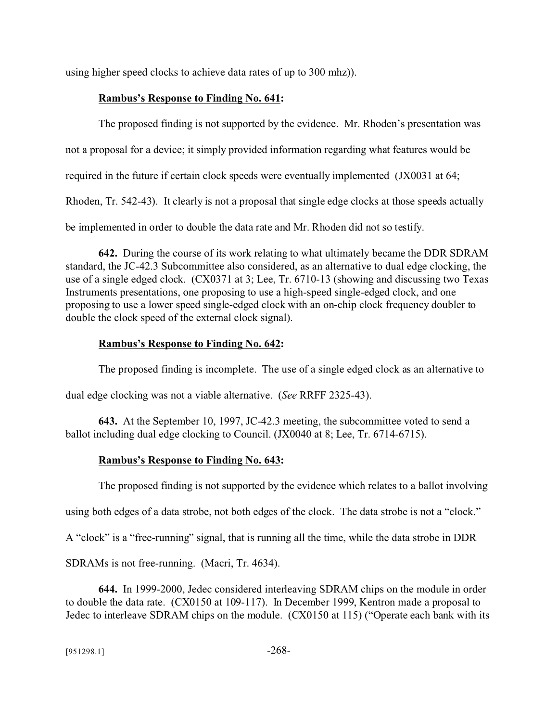using higher speed clocks to achieve data rates of up to 300 mhz)).

## **Rambus's Response to Finding No. 641:**

The proposed finding is not supported by the evidence. Mr. Rhoden's presentation was

not a proposal for a device; it simply provided information regarding what features would be

required in the future if certain clock speeds were eventually implemented (JX0031 at 64;

Rhoden, Tr. 542-43). It clearly is not a proposal that single edge clocks at those speeds actually

be implemented in order to double the data rate and Mr. Rhoden did not so testify.

**642.** During the course of its work relating to what ultimately became the DDR SDRAM standard, the JC-42.3 Subcommittee also considered, as an alternative to dual edge clocking, the use of a single edged clock. (CX0371 at 3; Lee, Tr. 6710-13 (showing and discussing two Texas Instruments presentations, one proposing to use a high-speed single-edged clock, and one proposing to use a lower speed single-edged clock with an on-chip clock frequency doubler to double the clock speed of the external clock signal).

# **Rambus's Response to Finding No. 642:**

The proposed finding is incomplete. The use of a single edged clock as an alternative to

dual edge clocking was not a viable alternative. (*See* RRFF 2325-43).

**643.** At the September 10, 1997, JC-42.3 meeting, the subcommittee voted to send a ballot including dual edge clocking to Council. (JX0040 at 8; Lee, Tr. 6714-6715).

# **Rambus's Response to Finding No. 643:**

The proposed finding is not supported by the evidence which relates to a ballot involving

using both edges of a data strobe, not both edges of the clock. The data strobe is not a "clock."

A "clock" is a "free-running" signal, that is running all the time, while the data strobe in DDR

SDRAMs is not free-running. (Macri, Tr. 4634).

**644.** In 1999-2000, Jedec considered interleaving SDRAM chips on the module in order to double the data rate. (CX0150 at 109-117). In December 1999, Kentron made a proposal to Jedec to interleave SDRAM chips on the module. (CX0150 at 115) ("Operate each bank with its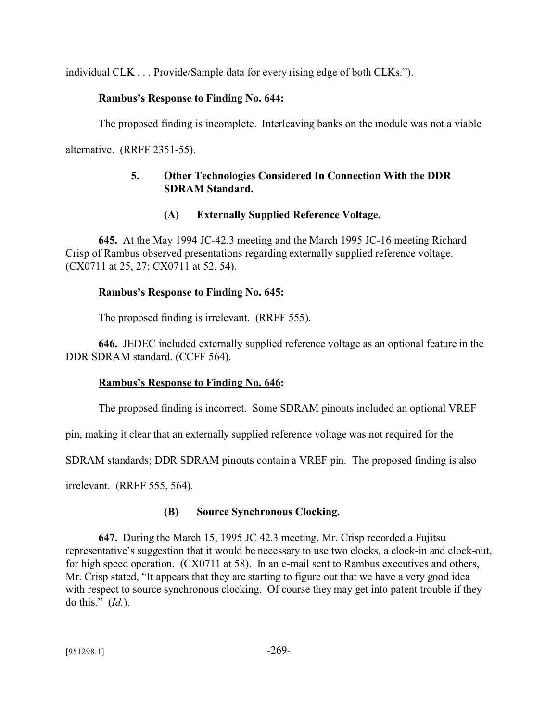individual CLK . . . Provide/Sample data for every rising edge of both CLKs.").

### **Rambus's Response to Finding No. 644:**

The proposed finding is incomplete. Interleaving banks on the module was not a viable

alternative. (RRFF 2351-55).

## **5. Other Technologies Considered In Connection With the DDR SDRAM Standard.**

### **(A) Externally Supplied Reference Voltage.**

**645.** At the May 1994 JC-42.3 meeting and the March 1995 JC-16 meeting Richard Crisp of Rambus observed presentations regarding externally supplied reference voltage. (CX0711 at 25, 27; CX0711 at 52, 54).

### **Rambus's Response to Finding No. 645:**

The proposed finding is irrelevant. (RRFF 555).

**646.** JEDEC included externally supplied reference voltage as an optional feature in the DDR SDRAM standard. (CCFF 564).

## **Rambus's Response to Finding No. 646:**

The proposed finding is incorrect. Some SDRAM pinouts included an optional VREF

pin, making it clear that an externally supplied reference voltage was not required for the

SDRAM standards; DDR SDRAM pinouts contain a VREF pin. The proposed finding is also

irrelevant. (RRFF 555, 564).

## **(B) Source Synchronous Clocking.**

**647.** During the March 15, 1995 JC 42.3 meeting, Mr. Crisp recorded a Fujitsu representative's suggestion that it would be necessary to use two clocks, a clock-in and clock-out, for high speed operation. (CX0711 at 58). In an e-mail sent to Rambus executives and others, Mr. Crisp stated, "It appears that they are starting to figure out that we have a very good idea with respect to source synchronous clocking. Of course they may get into patent trouble if they do this." (*Id.*).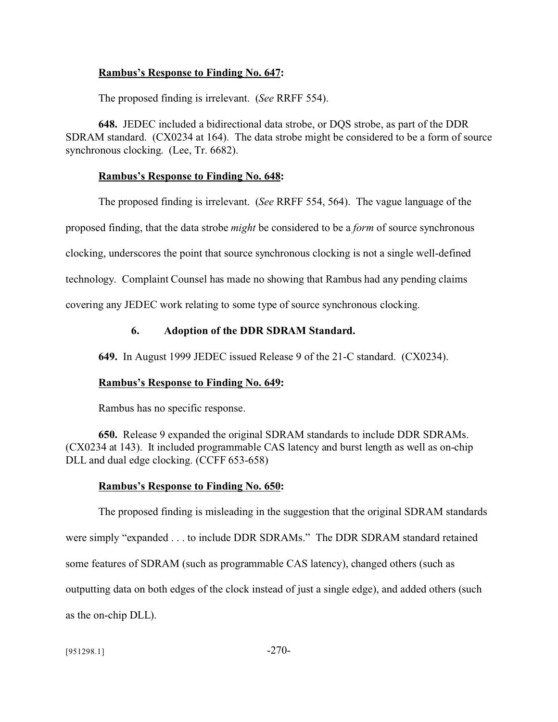#### **Rambus's Response to Finding No. 647:**

The proposed finding is irrelevant. (*See* RRFF 554).

**648.** JEDEC included a bidirectional data strobe, or DQS strobe, as part of the DDR SDRAM standard. (CX0234 at 164). The data strobe might be considered to be a form of source synchronous clocking. (Lee, Tr. 6682).

#### **Rambus's Response to Finding No. 648:**

The proposed finding is irrelevant. (*See* RRFF 554, 564). The vague language of the proposed finding, that the data strobe *might* be considered to be a *form* of source synchronous clocking, underscores the point that source synchronous clocking is not a single well-defined technology. Complaint Counsel has made no showing that Rambus had any pending claims covering any JEDEC work relating to some type of source synchronous clocking.

#### **6. Adoption of the DDR SDRAM Standard.**

**649.** In August 1999 JEDEC issued Release 9 of the 21-C standard. (CX0234).

#### **Rambus's Response to Finding No. 649:**

Rambus has no specific response.

**650.** Release 9 expanded the original SDRAM standards to include DDR SDRAMs. (CX0234 at 143). It included programmable CAS latency and burst length as well as on-chip DLL and dual edge clocking. (CCFF 653-658)

#### **Rambus's Response to Finding No. 650:**

The proposed finding is misleading in the suggestion that the original SDRAM standards were simply "expanded . . . to include DDR SDRAMs." The DDR SDRAM standard retained some features of SDRAM (such as programmable CAS latency), changed others (such as outputting data on both edges of the clock instead of just a single edge), and added others (such as the on-chip DLL).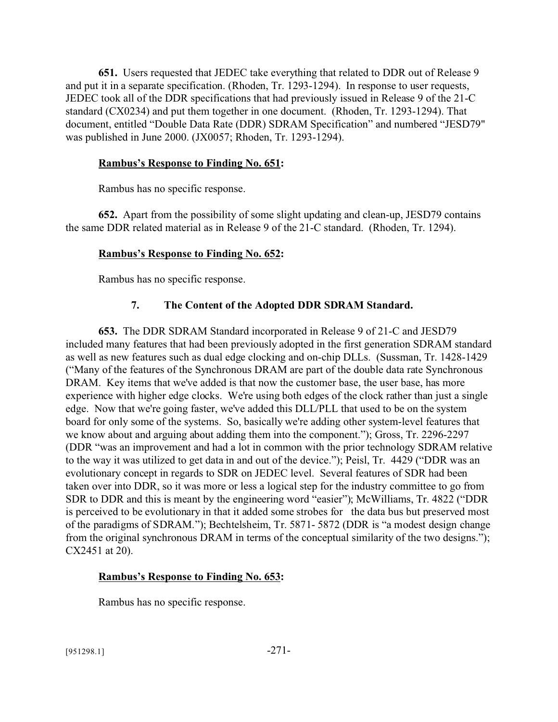**651.** Users requested that JEDEC take everything that related to DDR out of Release 9 and put it in a separate specification. (Rhoden, Tr. 1293-1294). In response to user requests, JEDEC took all of the DDR specifications that had previously issued in Release 9 of the 21-C standard (CX0234) and put them together in one document. (Rhoden, Tr. 1293-1294). That document, entitled "Double Data Rate (DDR) SDRAM Specification" and numbered "JESD79" was published in June 2000. (JX0057; Rhoden, Tr. 1293-1294).

### **Rambus's Response to Finding No. 651:**

Rambus has no specific response.

**652.** Apart from the possibility of some slight updating and clean-up, JESD79 contains the same DDR related material as in Release 9 of the 21-C standard. (Rhoden, Tr. 1294).

## **Rambus's Response to Finding No. 652:**

Rambus has no specific response.

## **7. The Content of the Adopted DDR SDRAM Standard.**

**653.** The DDR SDRAM Standard incorporated in Release 9 of 21-C and JESD79 included many features that had been previously adopted in the first generation SDRAM standard as well as new features such as dual edge clocking and on-chip DLLs. (Sussman, Tr. 1428-1429 ("Many of the features of the Synchronous DRAM are part of the double data rate Synchronous DRAM. Key items that we've added is that now the customer base, the user base, has more experience with higher edge clocks. We're using both edges of the clock rather than just a single edge. Now that we're going faster, we've added this DLL/PLL that used to be on the system board for only some of the systems. So, basically we're adding other system-level features that we know about and arguing about adding them into the component."); Gross, Tr. 2296-2297 (DDR "was an improvement and had a lot in common with the prior technology SDRAM relative to the way it was utilized to get data in and out of the device."); Peisl, Tr. 4429 ("DDR was an evolutionary concept in regards to SDR on JEDEC level. Several features of SDR had been taken over into DDR, so it was more or less a logical step for the industry committee to go from SDR to DDR and this is meant by the engineering word "easier"); McWilliams, Tr. 4822 ("DDR is perceived to be evolutionary in that it added some strobes for the data bus but preserved most of the paradigms of SDRAM."); Bechtelsheim, Tr. 5871- 5872 (DDR is "a modest design change from the original synchronous DRAM in terms of the conceptual similarity of the two designs."); CX2451 at 20).

## **Rambus's Response to Finding No. 653:**

Rambus has no specific response.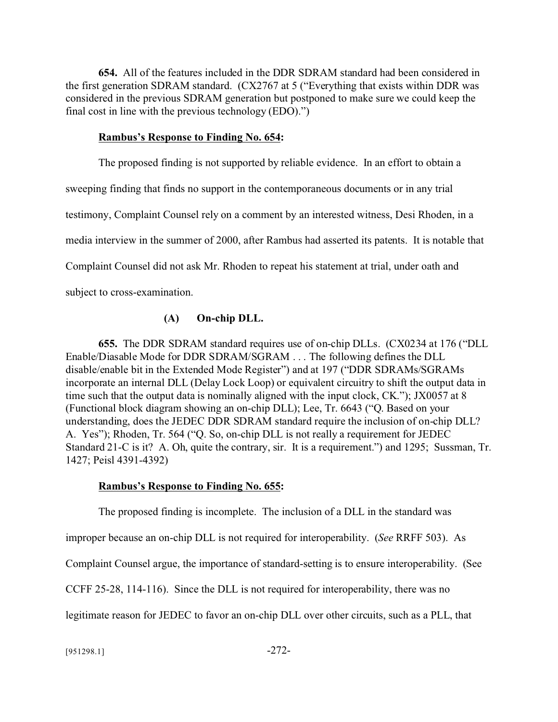**654.** All of the features included in the DDR SDRAM standard had been considered in the first generation SDRAM standard. (CX2767 at 5 ("Everything that exists within DDR was considered in the previous SDRAM generation but postponed to make sure we could keep the final cost in line with the previous technology (EDO).")

#### **Rambus's Response to Finding No. 654:**

The proposed finding is not supported by reliable evidence. In an effort to obtain a sweeping finding that finds no support in the contemporaneous documents or in any trial testimony, Complaint Counsel rely on a comment by an interested witness, Desi Rhoden, in a media interview in the summer of 2000, after Rambus had asserted its patents. It is notable that Complaint Counsel did not ask Mr. Rhoden to repeat his statement at trial, under oath and subject to cross-examination.

#### **(A) On-chip DLL.**

**655.** The DDR SDRAM standard requires use of on-chip DLLs. (CX0234 at 176 ("DLL Enable/Diasable Mode for DDR SDRAM/SGRAM . . . The following defines the DLL disable/enable bit in the Extended Mode Register") and at 197 ("DDR SDRAMs/SGRAMs incorporate an internal DLL (Delay Lock Loop) or equivalent circuitry to shift the output data in time such that the output data is nominally aligned with the input clock, CK."); JX0057 at 8 (Functional block diagram showing an on-chip DLL); Lee, Tr. 6643 ("Q. Based on your understanding, does the JEDEC DDR SDRAM standard require the inclusion of on-chip DLL? A. Yes"); Rhoden, Tr. 564 ("Q. So, on-chip DLL is not really a requirement for JEDEC Standard 21-C is it? A. Oh, quite the contrary, sir. It is a requirement.") and 1295; Sussman, Tr. 1427; Peisl 4391-4392)

#### **Rambus's Response to Finding No. 655:**

The proposed finding is incomplete. The inclusion of a DLL in the standard was

improper because an on-chip DLL is not required for interoperability. (*See* RRFF 503). As

Complaint Counsel argue, the importance of standard-setting is to ensure interoperability. (See

CCFF 25-28, 114-116). Since the DLL is not required for interoperability, there was no

legitimate reason for JEDEC to favor an on-chip DLL over other circuits, such as a PLL, that

 $[951298.1]$  -272-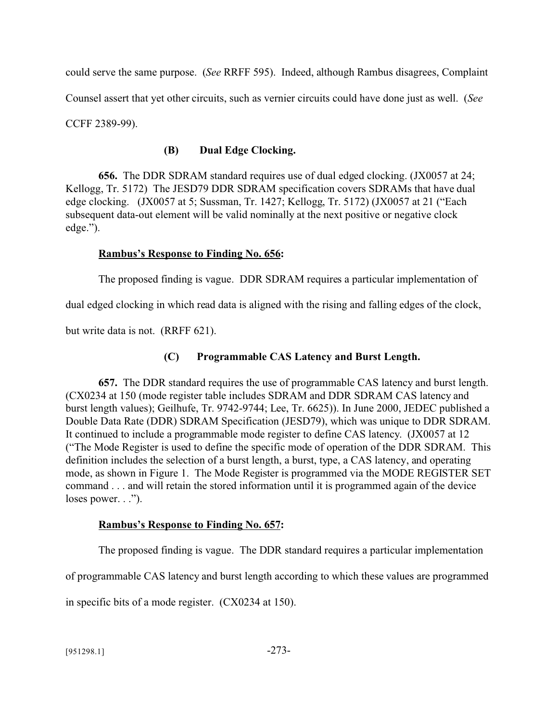could serve the same purpose. (*See* RRFF 595). Indeed, although Rambus disagrees, Complaint Counsel assert that yet other circuits, such as vernier circuits could have done just as well. (*See* CCFF 2389-99).

## **(B) Dual Edge Clocking.**

**656.** The DDR SDRAM standard requires use of dual edged clocking. (JX0057 at 24; Kellogg, Tr. 5172) The JESD79 DDR SDRAM specification covers SDRAMs that have dual edge clocking. (JX0057 at 5; Sussman, Tr. 1427; Kellogg, Tr. 5172) (JX0057 at 21 ("Each subsequent data-out element will be valid nominally at the next positive or negative clock edge.").

## **Rambus's Response to Finding No. 656:**

The proposed finding is vague. DDR SDRAM requires a particular implementation of

dual edged clocking in which read data is aligned with the rising and falling edges of the clock,

but write data is not. (RRFF 621).

## **(C) Programmable CAS Latency and Burst Length.**

**657.** The DDR standard requires the use of programmable CAS latency and burst length. (CX0234 at 150 (mode register table includes SDRAM and DDR SDRAM CAS latency and burst length values); Geilhufe, Tr. 9742-9744; Lee, Tr. 6625)). In June 2000, JEDEC published a Double Data Rate (DDR) SDRAM Specification (JESD79), which was unique to DDR SDRAM. It continued to include a programmable mode register to define CAS latency. (JX0057 at 12 ("The Mode Register is used to define the specific mode of operation of the DDR SDRAM. This definition includes the selection of a burst length, a burst, type, a CAS latency, and operating mode, as shown in Figure 1. The Mode Register is programmed via the MODE REGISTER SET command . . . and will retain the stored information until it is programmed again of the device loses power. . .").

## **Rambus's Response to Finding No. 657:**

The proposed finding is vague. The DDR standard requires a particular implementation

of programmable CAS latency and burst length according to which these values are programmed

in specific bits of a mode register. (CX0234 at 150).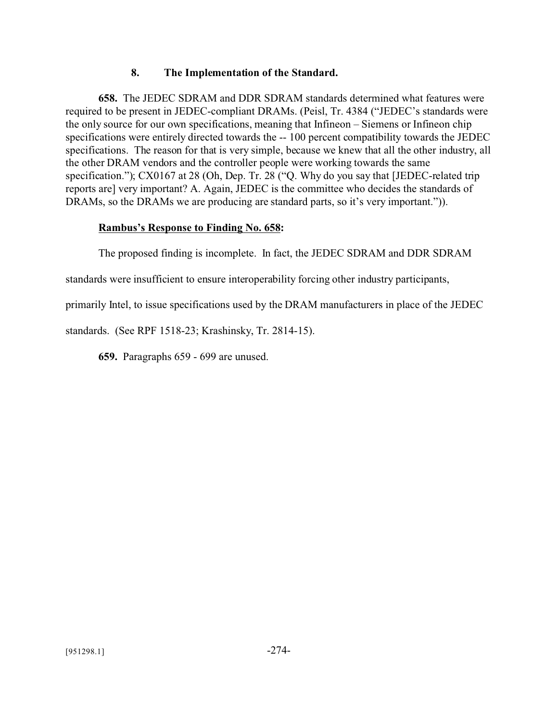### **8. The Implementation of the Standard.**

**658.** The JEDEC SDRAM and DDR SDRAM standards determined what features were required to be present in JEDEC-compliant DRAMs. (Peisl, Tr. 4384 ("JEDEC's standards were the only source for our own specifications, meaning that Infineon – Siemens or Infineon chip specifications were entirely directed towards the -- 100 percent compatibility towards the JEDEC specifications. The reason for that is very simple, because we knew that all the other industry, all the other DRAM vendors and the controller people were working towards the same specification."); CX0167 at 28 (Oh, Dep. Tr. 28 ("Q. Why do you say that [JEDEC-related trip reports are] very important? A. Again, JEDEC is the committee who decides the standards of DRAMs, so the DRAMs we are producing are standard parts, so it's very important.")).

### **Rambus's Response to Finding No. 658:**

The proposed finding is incomplete. In fact, the JEDEC SDRAM and DDR SDRAM

standards were insufficient to ensure interoperability forcing other industry participants,

primarily Intel, to issue specifications used by the DRAM manufacturers in place of the JEDEC

standards. (See RPF 1518-23; Krashinsky, Tr. 2814-15).

**659.** Paragraphs 659 - 699 are unused.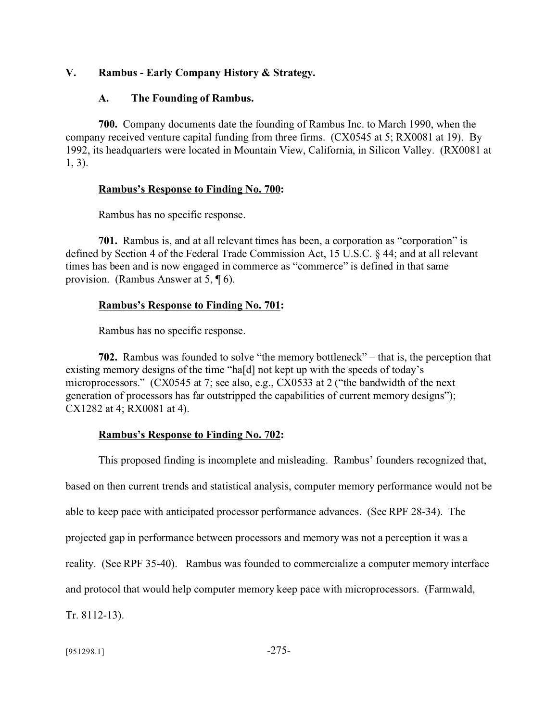#### **V. Rambus - Early Company History & Strategy.**

#### **A. The Founding of Rambus.**

**700.** Company documents date the founding of Rambus Inc. to March 1990, when the company received venture capital funding from three firms. (CX0545 at 5; RX0081 at 19). By 1992, its headquarters were located in Mountain View, California, in Silicon Valley. (RX0081 at 1, 3).

#### **Rambus's Response to Finding No. 700:**

Rambus has no specific response.

701. Rambus is, and at all relevant times has been, a corporation as "corporation" is defined by Section 4 of the Federal Trade Commission Act, 15 U.S.C. § 44; and at all relevant times has been and is now engaged in commerce as "commerce" is defined in that same provision. (Rambus Answer at 5, ¶ 6).

#### **Rambus's Response to Finding No. 701:**

Rambus has no specific response.

**702.** Rambus was founded to solve "the memory bottleneck" – that is, the perception that existing memory designs of the time "ha[d] not kept up with the speeds of today's microprocessors." (CX0545 at 7; see also, e.g., CX0533 at 2 ("the bandwidth of the next generation of processors has far outstripped the capabilities of current memory designs"); CX1282 at 4; RX0081 at 4).

#### **Rambus's Response to Finding No. 702:**

This proposed finding is incomplete and misleading. Rambus' founders recognized that, based on then current trends and statistical analysis, computer memory performance would not be able to keep pace with anticipated processor performance advances. (See RPF 28-34). The projected gap in performance between processors and memory was not a perception it was a reality. (See RPF 35-40). Rambus was founded to commercialize a computer memory interface and protocol that would help computer memory keep pace with microprocessors. (Farmwald, Tr. 8112-13).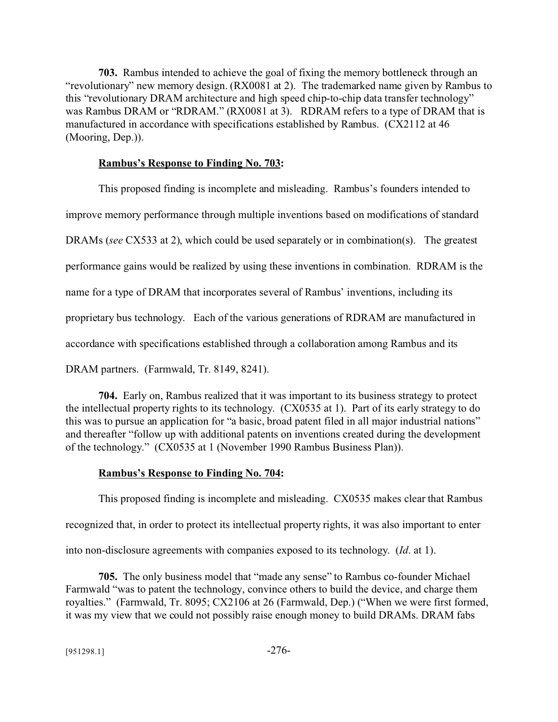**703.** Rambus intended to achieve the goal of fixing the memory bottleneck through an "revolutionary" new memory design. (RX0081 at 2). The trademarked name given by Rambus to this "revolutionary DRAM architecture and high speed chip-to-chip data transfer technology" was Rambus DRAM or "RDRAM." (RX0081 at 3). RDRAM refers to a type of DRAM that is manufactured in accordance with specifications established by Rambus. (CX2112 at 46 (Mooring, Dep.)).

#### **Rambus's Response to Finding No. 703:**

This proposed finding is incomplete and misleading. Rambus's founders intended to

improve memory performance through multiple inventions based on modifications of standard

DRAMs (*see* CX533 at 2), which could be used separately or in combination(s). The greatest

performance gains would be realized by using these inventions in combination. RDRAM is the

name for a type of DRAM that incorporates several of Rambus' inventions, including its

proprietary bus technology. Each of the various generations of RDRAM are manufactured in

accordance with specifications established through a collaboration among Rambus and its

DRAM partners. (Farmwald, Tr. 8149, 8241).

**704.** Early on, Rambus realized that it was important to its business strategy to protect the intellectual property rights to its technology. (CX0535 at 1). Part of its early strategy to do this was to pursue an application for "a basic, broad patent filed in all major industrial nations" and thereafter "follow up with additional patents on inventions created during the development of the technology." (CX0535 at 1 (November 1990 Rambus Business Plan)).

## **Rambus's Response to Finding No. 704:**

This proposed finding is incomplete and misleading. CX0535 makes clear that Rambus recognized that, in order to protect its intellectual property rights, it was also important to enter

into non-disclosure agreements with companies exposed to its technology. (*Id*. at 1).

**705.** The only business model that "made any sense" to Rambus co-founder Michael Farmwald "was to patent the technology, convince others to build the device, and charge them royalties." (Farmwald, Tr. 8095; CX2106 at 26 (Farmwald, Dep.) ("When we were first formed, it was my view that we could not possibly raise enough money to build DRAMs. DRAM fabs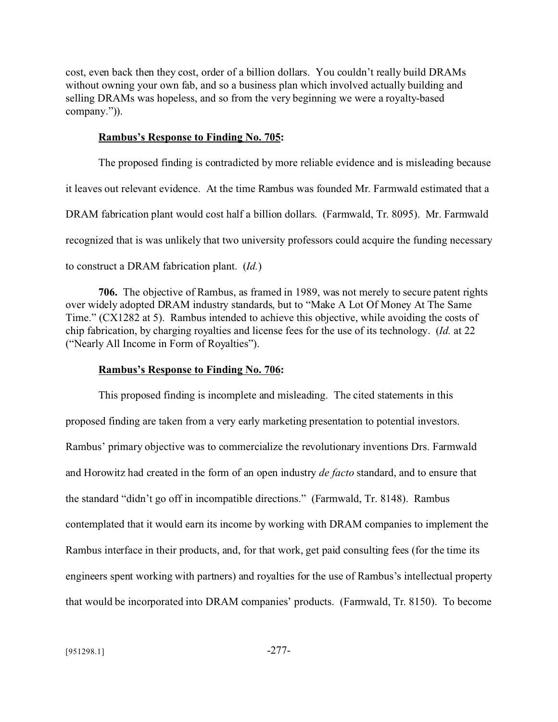cost, even back then they cost, order of a billion dollars. You couldn't really build DRAMs without owning your own fab, and so a business plan which involved actually building and selling DRAMs was hopeless, and so from the very beginning we were a royalty-based company.")).

#### **Rambus's Response to Finding No. 705:**

The proposed finding is contradicted by more reliable evidence and is misleading because it leaves out relevant evidence. At the time Rambus was founded Mr. Farmwald estimated that a DRAM fabrication plant would cost half a billion dollars. (Farmwald, Tr. 8095). Mr. Farmwald recognized that is was unlikely that two university professors could acquire the funding necessary to construct a DRAM fabrication plant. (*Id.*)

**706.** The objective of Rambus, as framed in 1989, was not merely to secure patent rights over widely adopted DRAM industry standards, but to "Make A Lot Of Money At The Same Time." (CX1282 at 5). Rambus intended to achieve this objective, while avoiding the costs of chip fabrication, by charging royalties and license fees for the use of its technology. (*Id.* at 22 ("Nearly All Income in Form of Royalties").

#### **Rambus's Response to Finding No. 706:**

This proposed finding is incomplete and misleading. The cited statements in this proposed finding are taken from a very early marketing presentation to potential investors. Rambus' primary objective was to commercialize the revolutionary inventions Drs. Farmwald and Horowitz had created in the form of an open industry *de facto* standard, and to ensure that the standard "didn't go off in incompatible directions." (Farmwald, Tr. 8148). Rambus contemplated that it would earn its income by working with DRAM companies to implement the Rambus interface in their products, and, for that work, get paid consulting fees (for the time its engineers spent working with partners) and royalties for the use of Rambus's intellectual property that would be incorporated into DRAM companies' products. (Farmwald, Tr. 8150). To become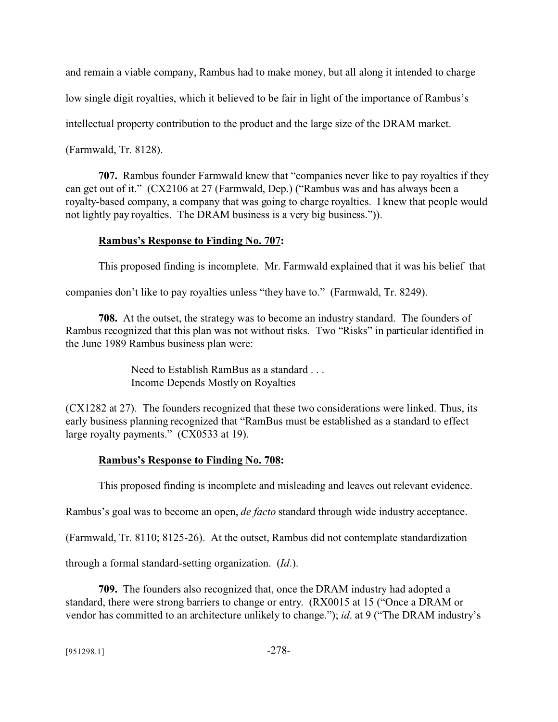and remain a viable company, Rambus had to make money, but all along it intended to charge

low single digit royalties, which it believed to be fair in light of the importance of Rambus's

intellectual property contribution to the product and the large size of the DRAM market.

(Farmwald, Tr. 8128).

**707.** Rambus founder Farmwald knew that "companies never like to pay royalties if they can get out of it." (CX2106 at 27 (Farmwald, Dep.) ("Rambus was and has always been a royalty-based company, a company that was going to charge royalties. I knew that people would not lightly pay royalties. The DRAM business is a very big business.")).

## **Rambus's Response to Finding No. 707:**

This proposed finding is incomplete. Mr. Farmwald explained that it was his belief that

companies don't like to pay royalties unless "they have to." (Farmwald, Tr. 8249).

**708.** At the outset, the strategy was to become an industry standard. The founders of Rambus recognized that this plan was not without risks. Two "Risks" in particular identified in the June 1989 Rambus business plan were:

> Need to Establish RamBus as a standard . . . Income Depends Mostly on Royalties

(CX1282 at 27). The founders recognized that these two considerations were linked. Thus, its early business planning recognized that "RamBus must be established as a standard to effect large royalty payments." (CX0533 at 19).

# **Rambus's Response to Finding No. 708:**

This proposed finding is incomplete and misleading and leaves out relevant evidence.

Rambus's goal was to become an open, *de facto* standard through wide industry acceptance.

(Farmwald, Tr. 8110; 8125-26). At the outset, Rambus did not contemplate standardization

through a formal standard-setting organization. (*Id*.).

**709.** The founders also recognized that, once the DRAM industry had adopted a standard, there were strong barriers to change or entry. (RX0015 at 15 ("Once a DRAM or vendor has committed to an architecture unlikely to change."); *id*. at 9 ("The DRAM industry's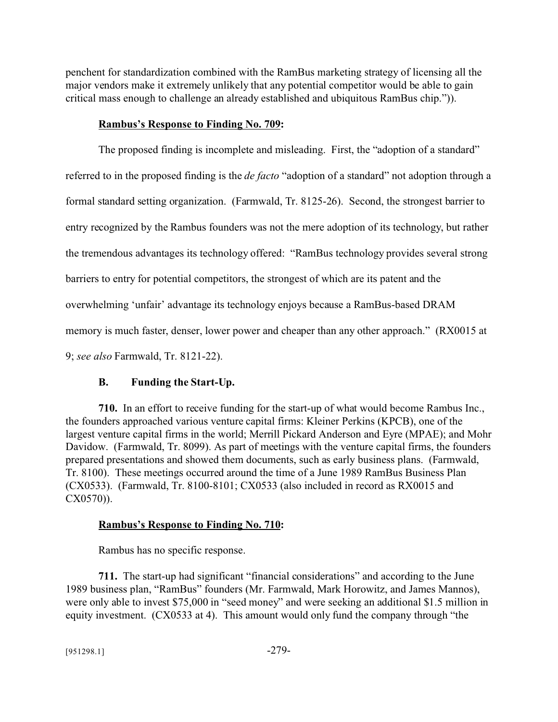penchent for standardization combined with the RamBus marketing strategy of licensing all the major vendors make it extremely unlikely that any potential competitor would be able to gain critical mass enough to challenge an already established and ubiquitous RamBus chip.")).

### **Rambus's Response to Finding No. 709:**

The proposed finding is incomplete and misleading. First, the "adoption of a standard" referred to in the proposed finding is the *de facto* "adoption of a standard" not adoption through a formal standard setting organization. (Farmwald, Tr. 8125-26). Second, the strongest barrier to entry recognized by the Rambus founders was not the mere adoption of its technology, but rather the tremendous advantages its technology offered: "RamBus technology provides several strong barriers to entry for potential competitors, the strongest of which are its patent and the overwhelming 'unfair' advantage its technology enjoys because a RamBus-based DRAM memory is much faster, denser, lower power and cheaper than any other approach." (RX0015 at 9; *see also* Farmwald, Tr. 8121-22).

## **B. Funding the Start-Up.**

**710.** In an effort to receive funding for the start-up of what would become Rambus Inc., the founders approached various venture capital firms: Kleiner Perkins (KPCB), one of the largest venture capital firms in the world; Merrill Pickard Anderson and Eyre (MPAE); and Mohr Davidow. (Farmwald, Tr. 8099). As part of meetings with the venture capital firms, the founders prepared presentations and showed them documents, such as early business plans. (Farmwald, Tr. 8100). These meetings occurred around the time of a June 1989 RamBus Business Plan (CX0533). (Farmwald, Tr. 8100-8101; CX0533 (also included in record as RX0015 and CX0570)).

## **Rambus's Response to Finding No. 710:**

Rambus has no specific response.

**711.** The start-up had significant "financial considerations" and according to the June 1989 business plan, "RamBus" founders (Mr. Farmwald, Mark Horowitz, and James Mannos), were only able to invest \$75,000 in "seed money" and were seeking an additional \$1.5 million in equity investment. (CX0533 at 4). This amount would only fund the company through "the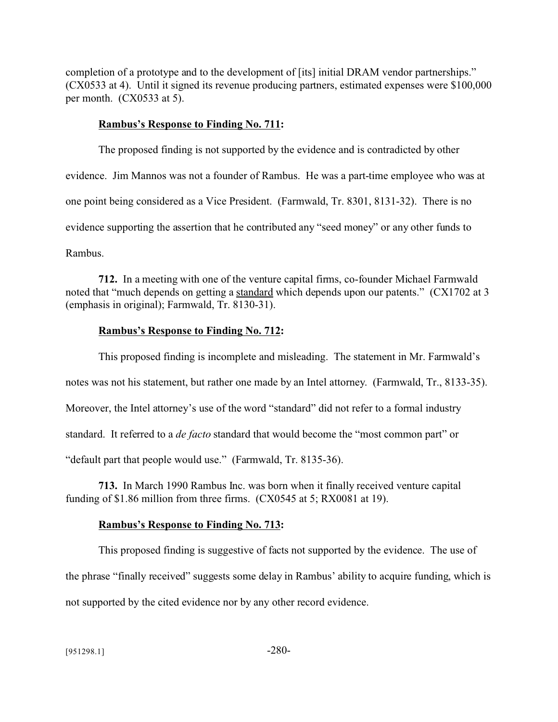completion of a prototype and to the development of [its] initial DRAM vendor partnerships." (CX0533 at 4). Until it signed its revenue producing partners, estimated expenses were \$100,000 per month. (CX0533 at 5).

#### **Rambus's Response to Finding No. 711:**

The proposed finding is not supported by the evidence and is contradicted by other evidence. Jim Mannos was not a founder of Rambus. He was a part-time employee who was at one point being considered as a Vice President. (Farmwald, Tr. 8301, 8131-32). There is no evidence supporting the assertion that he contributed any "seed money" or any other funds to Rambus.

**712.** In a meeting with one of the venture capital firms, co-founder Michael Farmwald noted that "much depends on getting a standard which depends upon our patents." (CX1702 at 3 (emphasis in original); Farmwald, Tr. 8130-31).

## **Rambus's Response to Finding No. 712:**

This proposed finding is incomplete and misleading. The statement in Mr. Farmwald's notes was not his statement, but rather one made by an Intel attorney. (Farmwald, Tr., 8133-35). Moreover, the Intel attorney's use of the word "standard" did not refer to a formal industry standard. It referred to a *de facto* standard that would become the "most common part" or "default part that people would use." (Farmwald, Tr. 8135-36).

**713.** In March 1990 Rambus Inc. was born when it finally received venture capital funding of \$1.86 million from three firms. (CX0545 at 5; RX0081 at 19).

## **Rambus's Response to Finding No. 713:**

This proposed finding is suggestive of facts not supported by the evidence. The use of the phrase "finally received" suggests some delay in Rambus' ability to acquire funding, which is not supported by the cited evidence nor by any other record evidence.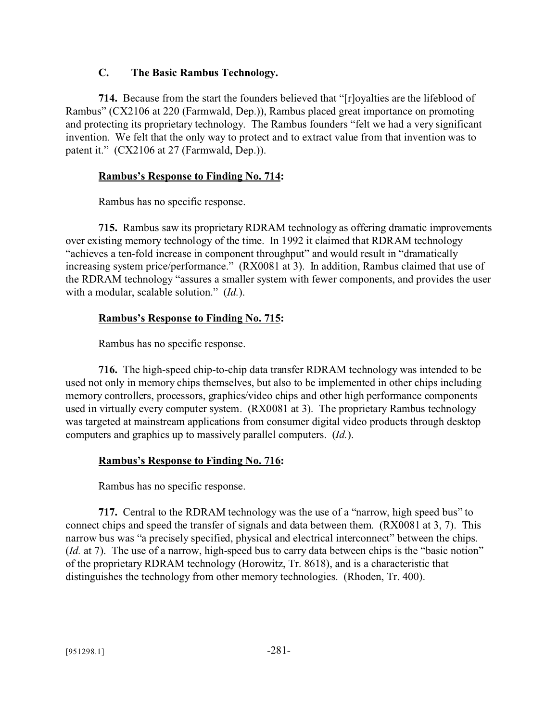### **C. The Basic Rambus Technology.**

**714.** Because from the start the founders believed that "[r]oyalties are the lifeblood of Rambus" (CX2106 at 220 (Farmwald, Dep.)), Rambus placed great importance on promoting and protecting its proprietary technology. The Rambus founders "felt we had a very significant invention. We felt that the only way to protect and to extract value from that invention was to patent it." (CX2106 at 27 (Farmwald, Dep.)).

### **Rambus's Response to Finding No. 714:**

Rambus has no specific response.

**715.** Rambus saw its proprietary RDRAM technology as offering dramatic improvements over existing memory technology of the time. In 1992 it claimed that RDRAM technology "achieves a ten-fold increase in component throughput" and would result in "dramatically increasing system price/performance." (RX0081 at 3). In addition, Rambus claimed that use of the RDRAM technology "assures a smaller system with fewer components, and provides the user with a modular, scalable solution." (*Id.*).

## **Rambus's Response to Finding No. 715:**

Rambus has no specific response.

**716.** The high-speed chip-to-chip data transfer RDRAM technology was intended to be used not only in memory chips themselves, but also to be implemented in other chips including memory controllers, processors, graphics/video chips and other high performance components used in virtually every computer system. (RX0081 at 3). The proprietary Rambus technology was targeted at mainstream applications from consumer digital video products through desktop computers and graphics up to massively parallel computers. (*Id.*).

## **Rambus's Response to Finding No. 716:**

Rambus has no specific response.

**717.** Central to the RDRAM technology was the use of a "narrow, high speed bus" to connect chips and speed the transfer of signals and data between them. (RX0081 at 3, 7). This narrow bus was "a precisely specified, physical and electrical interconnect" between the chips. (*Id.* at 7). The use of a narrow, high-speed bus to carry data between chips is the "basic notion" of the proprietary RDRAM technology (Horowitz, Tr. 8618), and is a characteristic that distinguishes the technology from other memory technologies. (Rhoden, Tr. 400).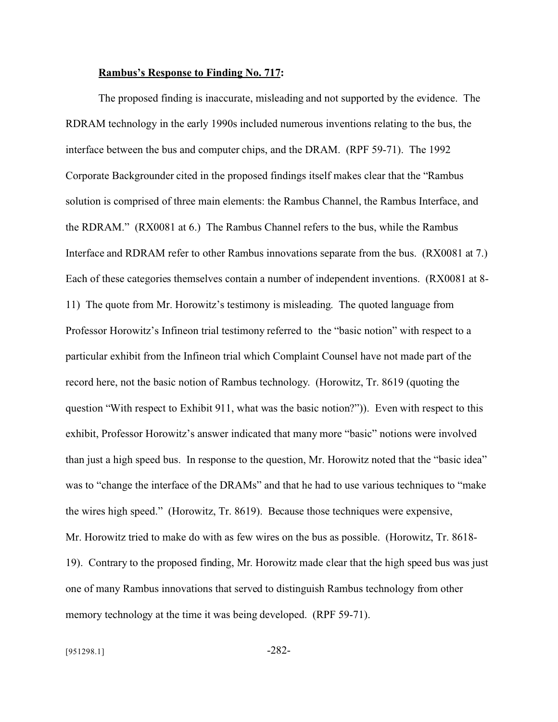#### **Rambus's Response to Finding No. 717:**

The proposed finding is inaccurate, misleading and not supported by the evidence. The RDRAM technology in the early 1990s included numerous inventions relating to the bus, the interface between the bus and computer chips, and the DRAM. (RPF 59-71). The 1992 Corporate Backgrounder cited in the proposed findings itself makes clear that the "Rambus solution is comprised of three main elements: the Rambus Channel, the Rambus Interface, and the RDRAM." (RX0081 at 6.) The Rambus Channel refers to the bus, while the Rambus Interface and RDRAM refer to other Rambus innovations separate from the bus. (RX0081 at 7.) Each of these categories themselves contain a number of independent inventions. (RX0081 at 8- 11) The quote from Mr. Horowitz's testimony is misleading. The quoted language from Professor Horowitz's Infineon trial testimony referred to the "basic notion" with respect to a particular exhibit from the Infineon trial which Complaint Counsel have not made part of the record here, not the basic notion of Rambus technology. (Horowitz, Tr. 8619 (quoting the question "With respect to Exhibit 911, what was the basic notion?")). Even with respect to this exhibit, Professor Horowitz's answer indicated that many more "basic" notions were involved than just a high speed bus. In response to the question, Mr. Horowitz noted that the "basic idea" was to "change the interface of the DRAMs" and that he had to use various techniques to "make the wires high speed." (Horowitz, Tr. 8619). Because those techniques were expensive, Mr. Horowitz tried to make do with as few wires on the bus as possible. (Horowitz, Tr. 8618- 19). Contrary to the proposed finding, Mr. Horowitz made clear that the high speed bus was just one of many Rambus innovations that served to distinguish Rambus technology from other memory technology at the time it was being developed. (RPF 59-71).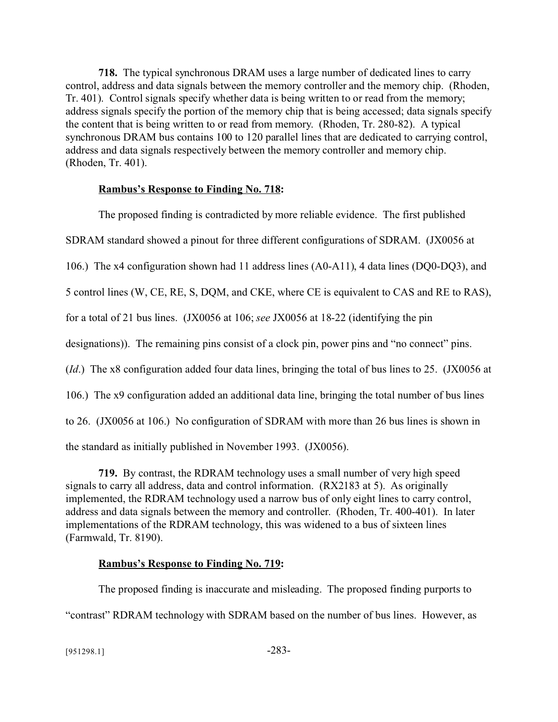**718.** The typical synchronous DRAM uses a large number of dedicated lines to carry control, address and data signals between the memory controller and the memory chip. (Rhoden, Tr. 401). Control signals specify whether data is being written to or read from the memory; address signals specify the portion of the memory chip that is being accessed; data signals specify the content that is being written to or read from memory. (Rhoden, Tr. 280-82). A typical synchronous DRAM bus contains 100 to 120 parallel lines that are dedicated to carrying control, address and data signals respectively between the memory controller and memory chip. (Rhoden, Tr. 401).

### **Rambus's Response to Finding No. 718:**

The proposed finding is contradicted by more reliable evidence. The first published

SDRAM standard showed a pinout for three different configurations of SDRAM. (JX0056 at

106.) The x4 configuration shown had 11 address lines (A0-A11), 4 data lines (DQ0-DQ3), and

5 control lines (W, CE, RE, S, DQM, and CKE, where CE is equivalent to CAS and RE to RAS),

for a total of 21 bus lines. (JX0056 at 106; *see* JX0056 at 18-22 (identifying the pin

designations)). The remaining pins consist of a clock pin, power pins and "no connect" pins.

(*Id*.) The x8 configuration added four data lines, bringing the total of bus lines to 25. (JX0056 at

106.) The x9 configuration added an additional data line, bringing the total number of bus lines

to 26. (JX0056 at 106.) No configuration of SDRAM with more than 26 bus lines is shown in

the standard as initially published in November 1993. (JX0056).

**719.** By contrast, the RDRAM technology uses a small number of very high speed signals to carry all address, data and control information. (RX2183 at 5). As originally implemented, the RDRAM technology used a narrow bus of only eight lines to carry control, address and data signals between the memory and controller. (Rhoden, Tr. 400-401). In later implementations of the RDRAM technology, this was widened to a bus of sixteen lines (Farmwald, Tr. 8190).

## **Rambus's Response to Finding No. 719:**

The proposed finding is inaccurate and misleading. The proposed finding purports to "contrast" RDRAM technology with SDRAM based on the number of bus lines. However, as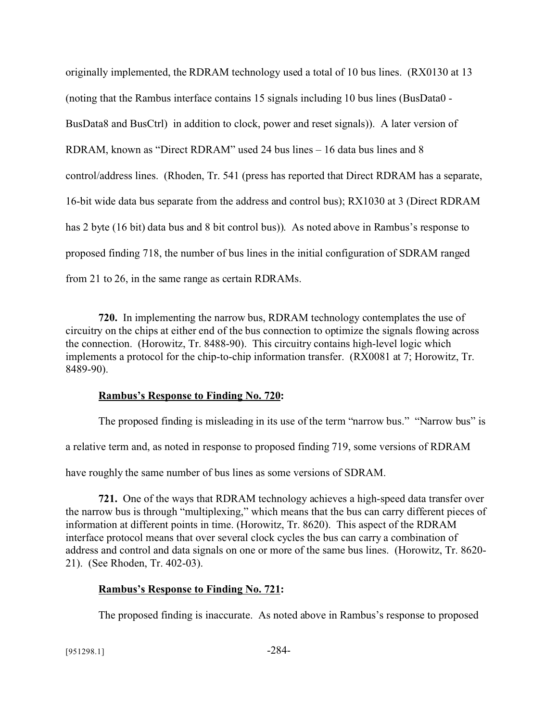originally implemented, the RDRAM technology used a total of 10 bus lines. (RX0130 at 13 (noting that the Rambus interface contains 15 signals including 10 bus lines (BusData0 - BusData8 and BusCtrl) in addition to clock, power and reset signals)). A later version of RDRAM, known as "Direct RDRAM" used 24 bus lines – 16 data bus lines and 8 control/address lines. (Rhoden, Tr. 541 (press has reported that Direct RDRAM has a separate, 16-bit wide data bus separate from the address and control bus); RX1030 at 3 (Direct RDRAM has 2 byte (16 bit) data bus and 8 bit control bus)). As noted above in Rambus's response to proposed finding 718, the number of bus lines in the initial configuration of SDRAM ranged from 21 to 26, in the same range as certain RDRAMs.

**720.** In implementing the narrow bus, RDRAM technology contemplates the use of circuitry on the chips at either end of the bus connection to optimize the signals flowing across the connection. (Horowitz, Tr. 8488-90). This circuitry contains high-level logic which implements a protocol for the chip-to-chip information transfer. (RX0081 at 7; Horowitz, Tr. 8489-90).

#### **Rambus's Response to Finding No. 720:**

The proposed finding is misleading in its use of the term "narrow bus." "Narrow bus" is a relative term and, as noted in response to proposed finding 719, some versions of RDRAM have roughly the same number of bus lines as some versions of SDRAM.

**721.** One of the ways that RDRAM technology achieves a high-speed data transfer over the narrow bus is through "multiplexing," which means that the bus can carry different pieces of information at different points in time. (Horowitz, Tr. 8620). This aspect of the RDRAM interface protocol means that over several clock cycles the bus can carry a combination of address and control and data signals on one or more of the same bus lines. (Horowitz, Tr. 8620- 21). (See Rhoden, Tr. 402-03).

## **Rambus's Response to Finding No. 721:**

The proposed finding is inaccurate. As noted above in Rambus's response to proposed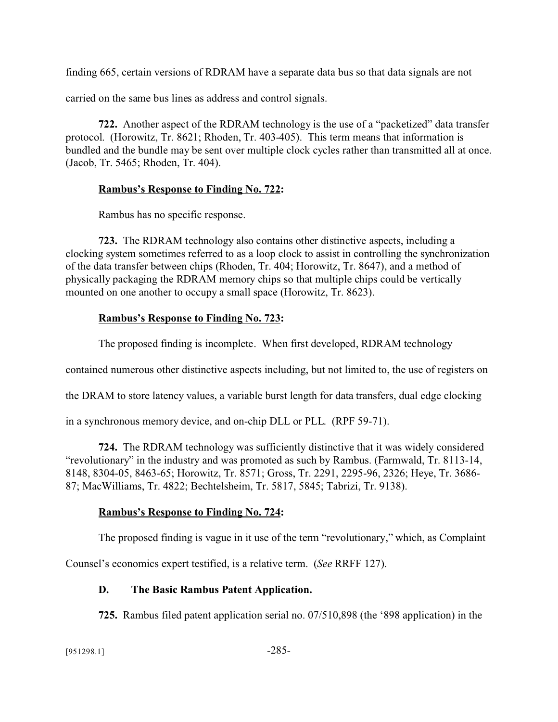finding 665, certain versions of RDRAM have a separate data bus so that data signals are not

carried on the same bus lines as address and control signals.

**722.** Another aspect of the RDRAM technology is the use of a "packetized" data transfer protocol. (Horowitz, Tr. 8621; Rhoden, Tr. 403-405). This term means that information is bundled and the bundle may be sent over multiple clock cycles rather than transmitted all at once. (Jacob, Tr. 5465; Rhoden, Tr. 404).

### **Rambus's Response to Finding No. 722:**

Rambus has no specific response.

**723.** The RDRAM technology also contains other distinctive aspects, including a clocking system sometimes referred to as a loop clock to assist in controlling the synchronization of the data transfer between chips (Rhoden, Tr. 404; Horowitz, Tr. 8647), and a method of physically packaging the RDRAM memory chips so that multiple chips could be vertically mounted on one another to occupy a small space (Horowitz, Tr. 8623).

## **Rambus's Response to Finding No. 723:**

The proposed finding is incomplete. When first developed, RDRAM technology

contained numerous other distinctive aspects including, but not limited to, the use of registers on

the DRAM to store latency values, a variable burst length for data transfers, dual edge clocking

in a synchronous memory device, and on-chip DLL or PLL. (RPF 59-71).

**724.** The RDRAM technology was sufficiently distinctive that it was widely considered "revolutionary" in the industry and was promoted as such by Rambus. (Farmwald, Tr. 8113-14, 8148, 8304-05, 8463-65; Horowitz, Tr. 8571; Gross, Tr. 2291, 2295-96, 2326; Heye, Tr. 3686- 87; MacWilliams, Tr. 4822; Bechtelsheim, Tr. 5817, 5845; Tabrizi, Tr. 9138).

## **Rambus's Response to Finding No. 724:**

The proposed finding is vague in it use of the term "revolutionary," which, as Complaint

Counsel's economics expert testified, is a relative term. (*See* RRFF 127).

## **D. The Basic Rambus Patent Application.**

**725.** Rambus filed patent application serial no. 07/510,898 (the '898 application) in the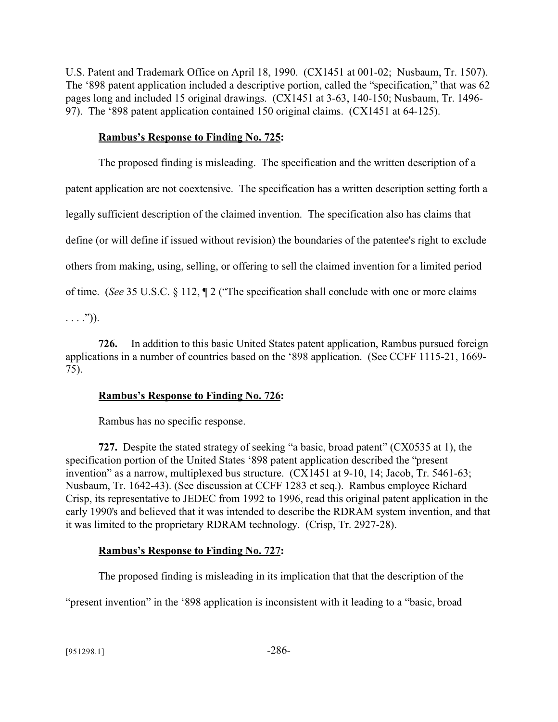U.S. Patent and Trademark Office on April 18, 1990. (CX1451 at 001-02; Nusbaum, Tr. 1507). The '898 patent application included a descriptive portion, called the "specification," that was 62 pages long and included 15 original drawings. (CX1451 at 3-63, 140-150; Nusbaum, Tr. 1496- 97). The '898 patent application contained 150 original claims. (CX1451 at 64-125).

### **Rambus's Response to Finding No. 725:**

The proposed finding is misleading. The specification and the written description of a patent application are not coextensive. The specification has a written description setting forth a legally sufficient description of the claimed invention. The specification also has claims that define (or will define if issued without revision) the boundaries of the patentee's right to exclude others from making, using, selling, or offering to sell the claimed invention for a limited period of time. (*See* 35 U.S.C. § 112, ¶ 2 ("The specification shall conclude with one or more claims

 $\ldots$ .")).

**726.** In addition to this basic United States patent application, Rambus pursued foreign applications in a number of countries based on the '898 application. (See CCFF 1115-21, 1669- 75).

## **Rambus's Response to Finding No. 726:**

Rambus has no specific response.

**727.** Despite the stated strategy of seeking "a basic, broad patent" (CX0535 at 1), the specification portion of the United States '898 patent application described the "present invention" as a narrow, multiplexed bus structure. (CX1451 at 9-10, 14; Jacob, Tr. 5461-63; Nusbaum, Tr. 1642-43). (See discussion at CCFF 1283 et seq.). Rambus employee Richard Crisp, its representative to JEDEC from 1992 to 1996, read this original patent application in the early 1990's and believed that it was intended to describe the RDRAM system invention, and that it was limited to the proprietary RDRAM technology. (Crisp, Tr. 2927-28).

# **Rambus's Response to Finding No. 727:**

The proposed finding is misleading in its implication that that the description of the

"present invention" in the '898 application is inconsistent with it leading to a "basic, broad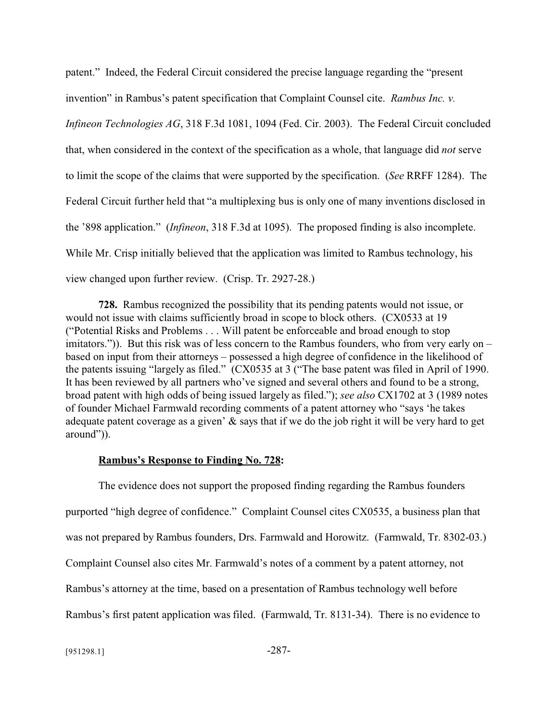patent." Indeed, the Federal Circuit considered the precise language regarding the "present invention" in Rambus's patent specification that Complaint Counsel cite. *Rambus Inc. v.*

*Infineon Technologies AG*, 318 F.3d 1081, 1094 (Fed. Cir. 2003). The Federal Circuit concluded that, when considered in the context of the specification as a whole, that language did *not* serve to limit the scope of the claims that were supported by the specification. (*See* RRFF 1284). The Federal Circuit further held that "a multiplexing bus is only one of many inventions disclosed in the '898 application." (*Infineon*, 318 F.3d at 1095). The proposed finding is also incomplete. While Mr. Crisp initially believed that the application was limited to Rambus technology, his view changed upon further review. (Crisp. Tr. 2927-28.)

**728.** Rambus recognized the possibility that its pending patents would not issue, or would not issue with claims sufficiently broad in scope to block others. (CX0533 at 19 ("Potential Risks and Problems . . . Will patent be enforceable and broad enough to stop imitators.")). But this risk was of less concern to the Rambus founders, who from very early on – based on input from their attorneys – possessed a high degree of confidence in the likelihood of the patents issuing "largely as filed." (CX0535 at 3 ("The base patent was filed in April of 1990. It has been reviewed by all partners who've signed and several others and found to be a strong, broad patent with high odds of being issued largely as filed."); *see also* CX1702 at 3 (1989 notes of founder Michael Farmwald recording comments of a patent attorney who "says 'he takes adequate patent coverage as a given' & says that if we do the job right it will be very hard to get around")).

#### **Rambus's Response to Finding No. 728:**

The evidence does not support the proposed finding regarding the Rambus founders purported "high degree of confidence." Complaint Counsel cites CX0535, a business plan that was not prepared by Rambus founders, Drs. Farmwald and Horowitz. (Farmwald, Tr. 8302-03.) Complaint Counsel also cites Mr. Farmwald's notes of a comment by a patent attorney, not Rambus's attorney at the time, based on a presentation of Rambus technology well before Rambus's first patent application was filed. (Farmwald, Tr. 8131-34). There is no evidence to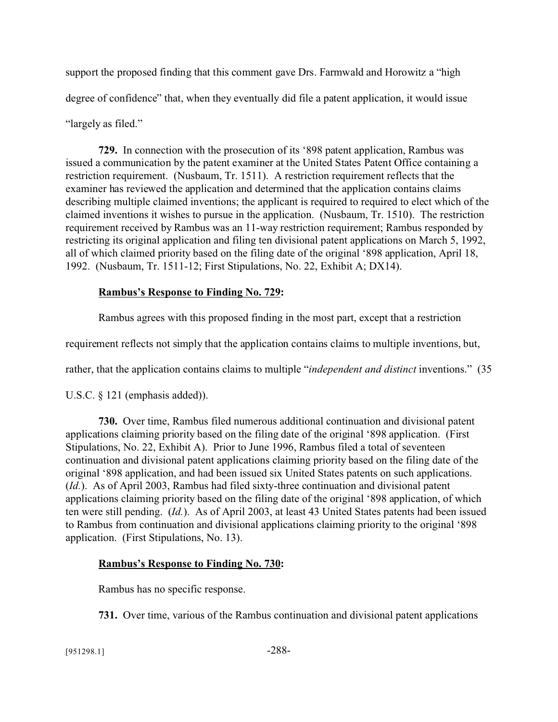support the proposed finding that this comment gave Drs. Farmwald and Horowitz a "high degree of confidence" that, when they eventually did file a patent application, it would issue "largely as filed."

**729.** In connection with the prosecution of its '898 patent application, Rambus was issued a communication by the patent examiner at the United States Patent Office containing a restriction requirement. (Nusbaum, Tr. 1511). A restriction requirement reflects that the examiner has reviewed the application and determined that the application contains claims describing multiple claimed inventions; the applicant is required to required to elect which of the claimed inventions it wishes to pursue in the application. (Nusbaum, Tr. 1510). The restriction requirement received by Rambus was an 11-way restriction requirement; Rambus responded by restricting its original application and filing ten divisional patent applications on March 5, 1992, all of which claimed priority based on the filing date of the original '898 application, April 18, 1992. (Nusbaum, Tr. 1511-12; First Stipulations, No. 22, Exhibit A; DX14).

## **Rambus's Response to Finding No. 729:**

Rambus agrees with this proposed finding in the most part, except that a restriction

requirement reflects not simply that the application contains claims to multiple inventions, but,

rather, that the application contains claims to multiple "*independent and distinct* inventions." (35

U.S.C. § 121 (emphasis added)).

**730.** Over time, Rambus filed numerous additional continuation and divisional patent applications claiming priority based on the filing date of the original '898 application. (First Stipulations, No. 22, Exhibit A). Prior to June 1996, Rambus filed a total of seventeen continuation and divisional patent applications claiming priority based on the filing date of the original '898 application, and had been issued six United States patents on such applications. (*Id.*). As of April 2003, Rambus had filed sixty-three continuation and divisional patent applications claiming priority based on the filing date of the original '898 application, of which ten were still pending. (*Id.*). As of April 2003, at least 43 United States patents had been issued to Rambus from continuation and divisional applications claiming priority to the original '898 application. (First Stipulations, No. 13).

## **Rambus's Response to Finding No. 730:**

Rambus has no specific response.

**731.** Over time, various of the Rambus continuation and divisional patent applications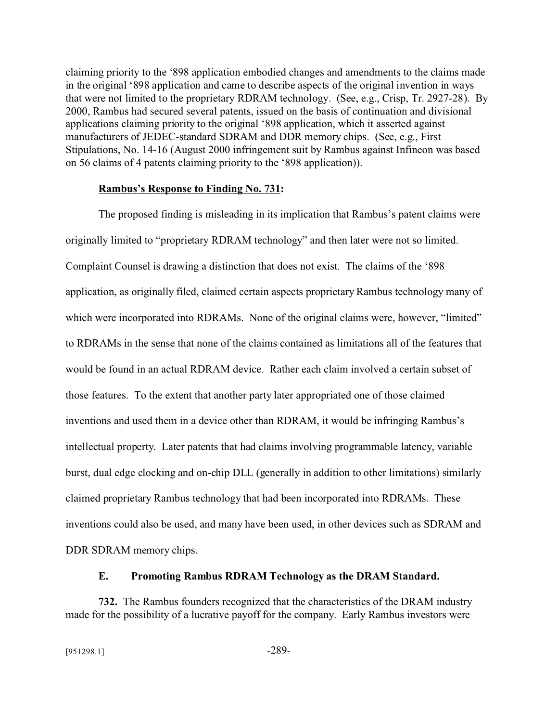claiming priority to the '898 application embodied changes and amendments to the claims made in the original '898 application and came to describe aspects of the original invention in ways that were not limited to the proprietary RDRAM technology. (See, e.g., Crisp, Tr. 2927-28). By 2000, Rambus had secured several patents, issued on the basis of continuation and divisional applications claiming priority to the original '898 application, which it asserted against manufacturers of JEDEC-standard SDRAM and DDR memory chips. (See, e.g., First Stipulations, No. 14-16 (August 2000 infringement suit by Rambus against Infineon was based on 56 claims of 4 patents claiming priority to the '898 application)).

### **Rambus's Response to Finding No. 731:**

The proposed finding is misleading in its implication that Rambus's patent claims were originally limited to "proprietary RDRAM technology" and then later were not so limited. Complaint Counsel is drawing a distinction that does not exist. The claims of the '898 application, as originally filed, claimed certain aspects proprietary Rambus technology many of which were incorporated into RDRAMs. None of the original claims were, however, "limited" to RDRAMs in the sense that none of the claims contained as limitations all of the features that would be found in an actual RDRAM device. Rather each claim involved a certain subset of those features. To the extent that another party later appropriated one of those claimed inventions and used them in a device other than RDRAM, it would be infringing Rambus's intellectual property. Later patents that had claims involving programmable latency, variable burst, dual edge clocking and on-chip DLL (generally in addition to other limitations) similarly claimed proprietary Rambus technology that had been incorporated into RDRAMs. These inventions could also be used, and many have been used, in other devices such as SDRAM and DDR SDRAM memory chips.

## **E. Promoting Rambus RDRAM Technology as the DRAM Standard.**

**732.** The Rambus founders recognized that the characteristics of the DRAM industry made for the possibility of a lucrative payoff for the company. Early Rambus investors were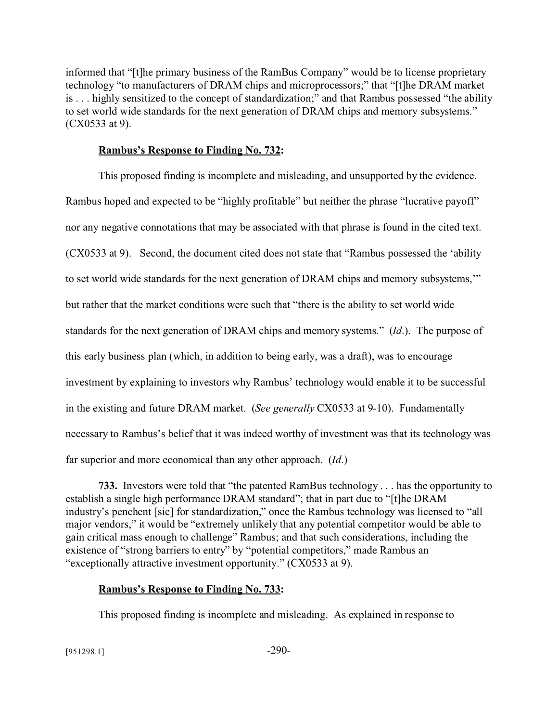informed that "[t]he primary business of the RamBus Company" would be to license proprietary technology "to manufacturers of DRAM chips and microprocessors;" that "[t]he DRAM market is . . . highly sensitized to the concept of standardization;" and that Rambus possessed "the ability to set world wide standards for the next generation of DRAM chips and memory subsystems." (CX0533 at 9).

# **Rambus's Response to Finding No. 732:**

This proposed finding is incomplete and misleading, and unsupported by the evidence. Rambus hoped and expected to be "highly profitable" but neither the phrase "lucrative payoff" nor any negative connotations that may be associated with that phrase is found in the cited text. (CX0533 at 9). Second, the document cited does not state that "Rambus possessed the 'ability to set world wide standards for the next generation of DRAM chips and memory subsystems,'" but rather that the market conditions were such that "there is the ability to set world wide standards for the next generation of DRAM chips and memory systems." (*Id*.). The purpose of this early business plan (which, in addition to being early, was a draft), was to encourage investment by explaining to investors why Rambus' technology would enable it to be successful in the existing and future DRAM market. (*See generally* CX0533 at 9-10). Fundamentally necessary to Rambus's belief that it was indeed worthy of investment was that its technology was far superior and more economical than any other approach. (*Id*.)

**733.** Investors were told that "the patented RamBus technology . . . has the opportunity to establish a single high performance DRAM standard"; that in part due to "[t]he DRAM industry's penchent [sic] for standardization," once the Rambus technology was licensed to "all major vendors," it would be "extremely unlikely that any potential competitor would be able to gain critical mass enough to challenge" Rambus; and that such considerations, including the existence of "strong barriers to entry" by "potential competitors," made Rambus an "exceptionally attractive investment opportunity." (CX0533 at 9).

# **Rambus's Response to Finding No. 733:**

This proposed finding is incomplete and misleading. As explained in response to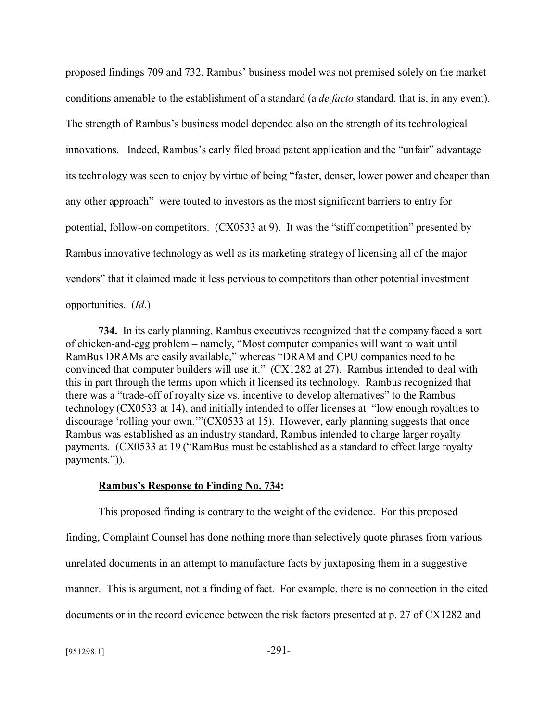proposed findings 709 and 732, Rambus' business model was not premised solely on the market conditions amenable to the establishment of a standard (a *de facto* standard, that is, in any event). The strength of Rambus's business model depended also on the strength of its technological innovations. Indeed, Rambus's early filed broad patent application and the "unfair" advantage its technology was seen to enjoy by virtue of being "faster, denser, lower power and cheaper than any other approach" were touted to investors as the most significant barriers to entry for potential, follow-on competitors. (CX0533 at 9). It was the "stiff competition" presented by Rambus innovative technology as well as its marketing strategy of licensing all of the major vendors" that it claimed made it less pervious to competitors than other potential investment opportunities. (*Id*.)

**734.** In its early planning, Rambus executives recognized that the company faced a sort of chicken-and-egg problem – namely, "Most computer companies will want to wait until RamBus DRAMs are easily available," whereas "DRAM and CPU companies need to be convinced that computer builders will use it." (CX1282 at 27). Rambus intended to deal with this in part through the terms upon which it licensed its technology. Rambus recognized that there was a "trade-off of royalty size vs. incentive to develop alternatives" to the Rambus technology (CX0533 at 14), and initially intended to offer licenses at "low enough royalties to discourage 'rolling your own."'(CX0533 at 15). However, early planning suggests that once Rambus was established as an industry standard, Rambus intended to charge larger royalty payments. (CX0533 at 19 ("RamBus must be established as a standard to effect large royalty payments.")).

### **Rambus's Response to Finding No. 734:**

This proposed finding is contrary to the weight of the evidence. For this proposed finding, Complaint Counsel has done nothing more than selectively quote phrases from various unrelated documents in an attempt to manufacture facts by juxtaposing them in a suggestive manner. This is argument, not a finding of fact. For example, there is no connection in the cited documents or in the record evidence between the risk factors presented at p. 27 of CX1282 and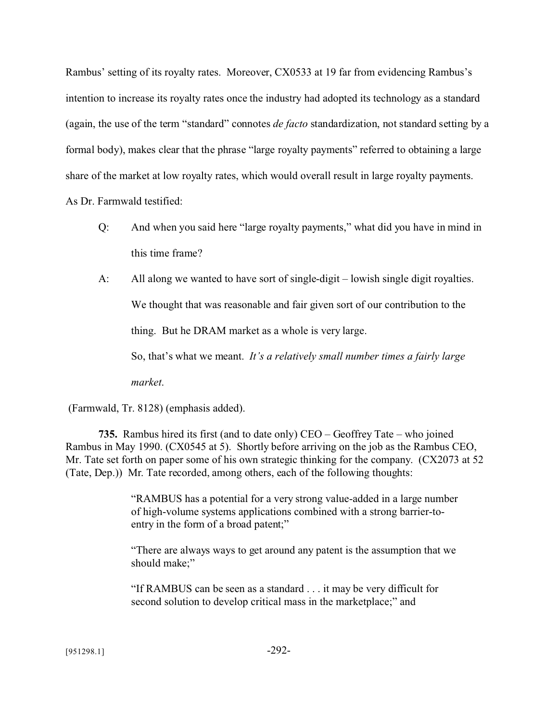Rambus' setting of its royalty rates. Moreover, CX0533 at 19 far from evidencing Rambus's intention to increase its royalty rates once the industry had adopted its technology as a standard (again, the use of the term "standard" connotes *de facto* standardization, not standard setting by a formal body), makes clear that the phrase "large royalty payments" referred to obtaining a large share of the market at low royalty rates, which would overall result in large royalty payments.

As Dr. Farmwald testified:

- Q: And when you said here "large royalty payments," what did you have in mind in this time frame?
- A: All along we wanted to have sort of single-digit lowish single digit royalties.

We thought that was reasonable and fair given sort of our contribution to the

thing. But he DRAM market as a whole is very large.

So, that's what we meant. *It's a relatively small number times a fairly large* 

*market*.

(Farmwald, Tr. 8128) (emphasis added).

**735.** Rambus hired its first (and to date only) CEO – Geoffrey Tate – who joined Rambus in May 1990. (CX0545 at 5). Shortly before arriving on the job as the Rambus CEO, Mr. Tate set forth on paper some of his own strategic thinking for the company. (CX2073 at 52 (Tate, Dep.)) Mr. Tate recorded, among others, each of the following thoughts:

> "RAMBUS has a potential for a very strong value-added in a large number of high-volume systems applications combined with a strong barrier-toentry in the form of a broad patent;"

> "There are always ways to get around any patent is the assumption that we should make;"

"If RAMBUS can be seen as a standard . . . it may be very difficult for second solution to develop critical mass in the marketplace;" and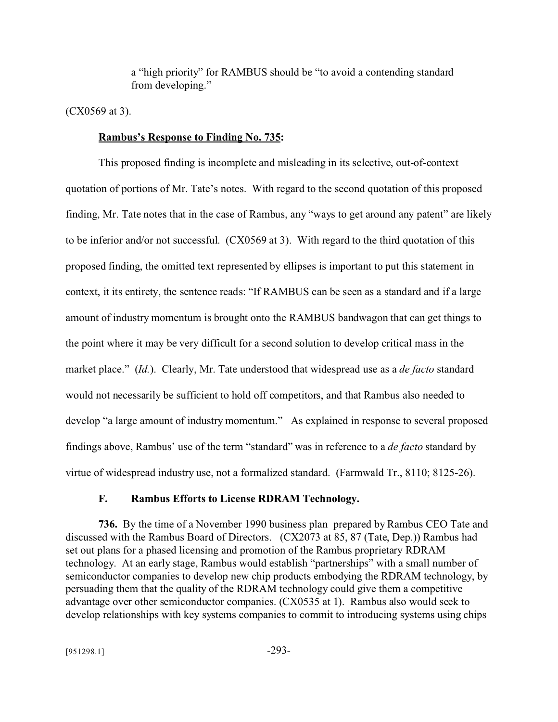a "high priority" for RAMBUS should be "to avoid a contending standard from developing."

(CX0569 at 3).

# **Rambus's Response to Finding No. 735:**

This proposed finding is incomplete and misleading in its selective, out-of-context quotation of portions of Mr. Tate's notes. With regard to the second quotation of this proposed finding, Mr. Tate notes that in the case of Rambus, any "ways to get around any patent" are likely to be inferior and/or not successful. (CX0569 at 3). With regard to the third quotation of this proposed finding, the omitted text represented by ellipses is important to put this statement in context, it its entirety, the sentence reads: "If RAMBUS can be seen as a standard and if a large amount of industry momentum is brought onto the RAMBUS bandwagon that can get things to the point where it may be very difficult for a second solution to develop critical mass in the market place." (*Id.*). Clearly, Mr. Tate understood that widespread use as a *de facto* standard would not necessarily be sufficient to hold off competitors, and that Rambus also needed to develop "a large amount of industry momentum." As explained in response to several proposed findings above, Rambus' use of the term "standard" was in reference to a *de facto* standard by virtue of widespread industry use, not a formalized standard. (Farmwald Tr., 8110; 8125-26).

## **F. Rambus Efforts to License RDRAM Technology.**

**736.** By the time of a November 1990 business plan prepared by Rambus CEO Tate and discussed with the Rambus Board of Directors. (CX2073 at 85, 87 (Tate, Dep.)) Rambus had set out plans for a phased licensing and promotion of the Rambus proprietary RDRAM technology. At an early stage, Rambus would establish "partnerships" with a small number of semiconductor companies to develop new chip products embodying the RDRAM technology, by persuading them that the quality of the RDRAM technology could give them a competitive advantage over other semiconductor companies. (CX0535 at 1). Rambus also would seek to develop relationships with key systems companies to commit to introducing systems using chips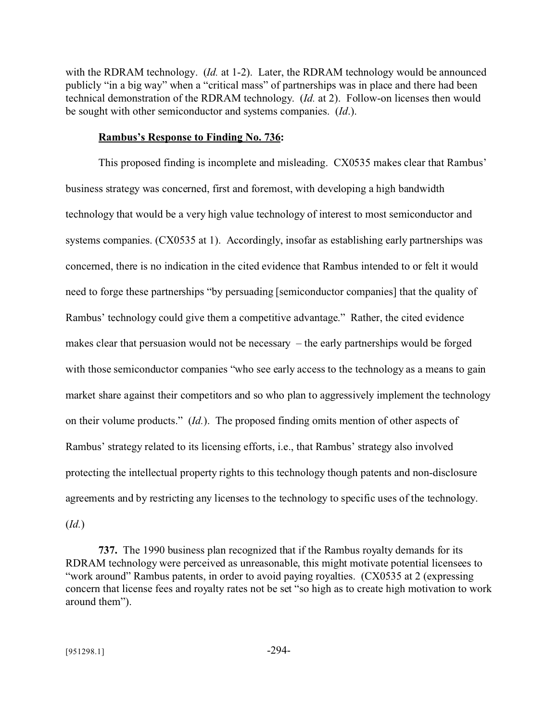with the RDRAM technology. (*Id.* at 1-2). Later, the RDRAM technology would be announced publicly "in a big way" when a "critical mass" of partnerships was in place and there had been technical demonstration of the RDRAM technology. (*Id.* at 2). Follow-on licenses then would be sought with other semiconductor and systems companies. (*Id*.).

### **Rambus's Response to Finding No. 736:**

This proposed finding is incomplete and misleading. CX0535 makes clear that Rambus' business strategy was concerned, first and foremost, with developing a high bandwidth technology that would be a very high value technology of interest to most semiconductor and systems companies. (CX0535 at 1). Accordingly, insofar as establishing early partnerships was concerned, there is no indication in the cited evidence that Rambus intended to or felt it would need to forge these partnerships "by persuading [semiconductor companies] that the quality of Rambus' technology could give them a competitive advantage." Rather, the cited evidence makes clear that persuasion would not be necessary – the early partnerships would be forged with those semiconductor companies "who see early access to the technology as a means to gain market share against their competitors and so who plan to aggressively implement the technology on their volume products." (*Id.*). The proposed finding omits mention of other aspects of Rambus' strategy related to its licensing efforts, i.e., that Rambus' strategy also involved protecting the intellectual property rights to this technology though patents and non-disclosure agreements and by restricting any licenses to the technology to specific uses of the technology. (*Id.*)

**737.** The 1990 business plan recognized that if the Rambus royalty demands for its RDRAM technology were perceived as unreasonable, this might motivate potential licensees to "work around" Rambus patents, in order to avoid paying royalties. (CX0535 at 2 (expressing concern that license fees and royalty rates not be set "so high as to create high motivation to work around them").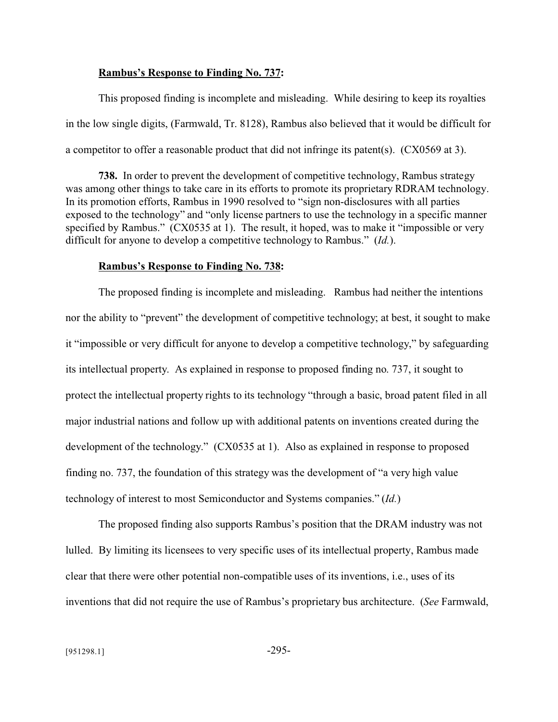### **Rambus's Response to Finding No. 737:**

This proposed finding is incomplete and misleading. While desiring to keep its royalties in the low single digits, (Farmwald, Tr. 8128), Rambus also believed that it would be difficult for a competitor to offer a reasonable product that did not infringe its patent(s). (CX0569 at 3).

**738.** In order to prevent the development of competitive technology, Rambus strategy was among other things to take care in its efforts to promote its proprietary RDRAM technology. In its promotion efforts, Rambus in 1990 resolved to "sign non-disclosures with all parties exposed to the technology" and "only license partners to use the technology in a specific manner specified by Rambus." (CX0535 at 1). The result, it hoped, was to make it "impossible or very difficult for anyone to develop a competitive technology to Rambus." (*Id.*).

#### **Rambus's Response to Finding No. 738:**

The proposed finding is incomplete and misleading. Rambus had neither the intentions nor the ability to "prevent" the development of competitive technology; at best, it sought to make it "impossible or very difficult for anyone to develop a competitive technology," by safeguarding its intellectual property. As explained in response to proposed finding no. 737, it sought to protect the intellectual property rights to its technology "through a basic, broad patent filed in all major industrial nations and follow up with additional patents on inventions created during the development of the technology." (CX0535 at 1). Also as explained in response to proposed finding no. 737, the foundation of this strategy was the development of "a very high value technology of interest to most Semiconductor and Systems companies." (*Id.*)

The proposed finding also supports Rambus's position that the DRAM industry was not lulled. By limiting its licensees to very specific uses of its intellectual property, Rambus made clear that there were other potential non-compatible uses of its inventions, i.e., uses of its inventions that did not require the use of Rambus's proprietary bus architecture. (*See* Farmwald,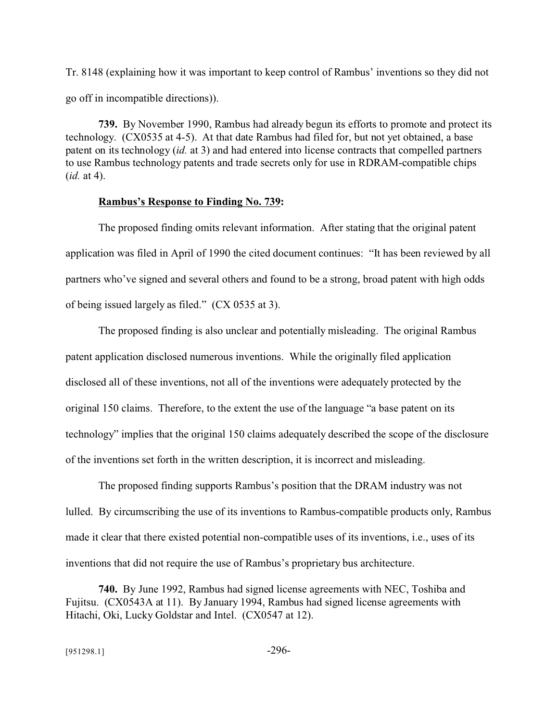Tr. 8148 (explaining how it was important to keep control of Rambus' inventions so they did not go off in incompatible directions)).

**739.** By November 1990, Rambus had already begun its efforts to promote and protect its technology. (CX0535 at 4-5). At that date Rambus had filed for, but not yet obtained, a base patent on its technology (*id.* at 3) and had entered into license contracts that compelled partners to use Rambus technology patents and trade secrets only for use in RDRAM-compatible chips (*id.* at 4).

### **Rambus's Response to Finding No. 739:**

The proposed finding omits relevant information. After stating that the original patent application was filed in April of 1990 the cited document continues: "It has been reviewed by all partners who've signed and several others and found to be a strong, broad patent with high odds of being issued largely as filed." (CX 0535 at 3).

The proposed finding is also unclear and potentially misleading. The original Rambus patent application disclosed numerous inventions. While the originally filed application disclosed all of these inventions, not all of the inventions were adequately protected by the original 150 claims. Therefore, to the extent the use of the language "a base patent on its technology" implies that the original 150 claims adequately described the scope of the disclosure of the inventions set forth in the written description, it is incorrect and misleading.

The proposed finding supports Rambus's position that the DRAM industry was not lulled. By circumscribing the use of its inventions to Rambus-compatible products only, Rambus made it clear that there existed potential non-compatible uses of its inventions, i.e., uses of its inventions that did not require the use of Rambus's proprietary bus architecture.

**740.** By June 1992, Rambus had signed license agreements with NEC, Toshiba and Fujitsu. (CX0543A at 11). By January 1994, Rambus had signed license agreements with Hitachi, Oki, Lucky Goldstar and Intel. (CX0547 at 12).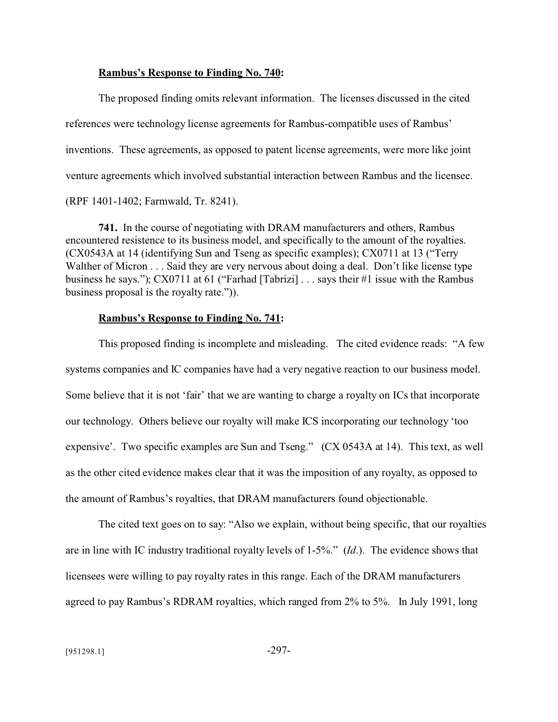### **Rambus's Response to Finding No. 740:**

The proposed finding omits relevant information. The licenses discussed in the cited references were technology license agreements for Rambus-compatible uses of Rambus' inventions. These agreements, as opposed to patent license agreements, were more like joint venture agreements which involved substantial interaction between Rambus and the licensee. (RPF 1401-1402; Farmwald, Tr. 8241).

**741.** In the course of negotiating with DRAM manufacturers and others, Rambus encountered resistence to its business model, and specifically to the amount of the royalties. (CX0543A at 14 (identifying Sun and Tseng as specific examples); CX0711 at 13 ("Terry Walther of Micron . . . Said they are very nervous about doing a deal. Don't like license type business he says."); CX0711 at 61 ("Farhad [Tabrizi] . . . says their #1 issue with the Rambus business proposal is the royalty rate.")).

### **Rambus's Response to Finding No. 741:**

This proposed finding is incomplete and misleading. The cited evidence reads: "A few systems companies and IC companies have had a very negative reaction to our business model. Some believe that it is not 'fair' that we are wanting to charge a royalty on ICs that incorporate our technology. Others believe our royalty will make ICS incorporating our technology 'too expensive'. Two specific examples are Sun and Tseng." (CX 0543A at 14). This text, as well as the other cited evidence makes clear that it was the imposition of any royalty, as opposed to the amount of Rambus's royalties, that DRAM manufacturers found objectionable.

The cited text goes on to say: "Also we explain, without being specific, that our royalties are in line with IC industry traditional royalty levels of 1-5%." (*Id*.). The evidence shows that licensees were willing to pay royalty rates in this range. Each of the DRAM manufacturers agreed to pay Rambus's RDRAM royalties, which ranged from 2% to 5%. In July 1991, long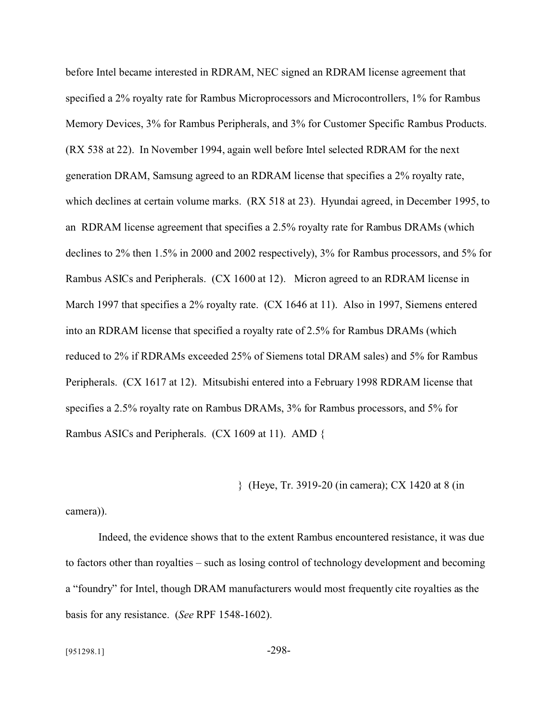before Intel became interested in RDRAM, NEC signed an RDRAM license agreement that specified a 2% royalty rate for Rambus Microprocessors and Microcontrollers, 1% for Rambus Memory Devices, 3% for Rambus Peripherals, and 3% for Customer Specific Rambus Products. (RX 538 at 22). In November 1994, again well before Intel selected RDRAM for the next generation DRAM, Samsung agreed to an RDRAM license that specifies a 2% royalty rate, which declines at certain volume marks. (RX 518 at 23). Hyundai agreed, in December 1995, to an RDRAM license agreement that specifies a 2.5% royalty rate for Rambus DRAMs (which declines to 2% then 1.5% in 2000 and 2002 respectively), 3% for Rambus processors, and 5% for Rambus ASICs and Peripherals. (CX 1600 at 12). Micron agreed to an RDRAM license in March 1997 that specifies a 2% royalty rate. (CX 1646 at 11). Also in 1997, Siemens entered into an RDRAM license that specified a royalty rate of 2.5% for Rambus DRAMs (which reduced to 2% if RDRAMs exceeded 25% of Siemens total DRAM sales) and 5% for Rambus Peripherals. (CX 1617 at 12). Mitsubishi entered into a February 1998 RDRAM license that specifies a 2.5% royalty rate on Rambus DRAMs, 3% for Rambus processors, and 5% for Rambus ASICs and Peripherals. (CX 1609 at 11). AMD {

} (Heye, Tr. 3919-20 (in camera); CX 1420 at 8 (in

camera)).

Indeed, the evidence shows that to the extent Rambus encountered resistance, it was due to factors other than royalties – such as losing control of technology development and becoming a "foundry" for Intel, though DRAM manufacturers would most frequently cite royalties as the basis for any resistance. (*See* RPF 1548-1602).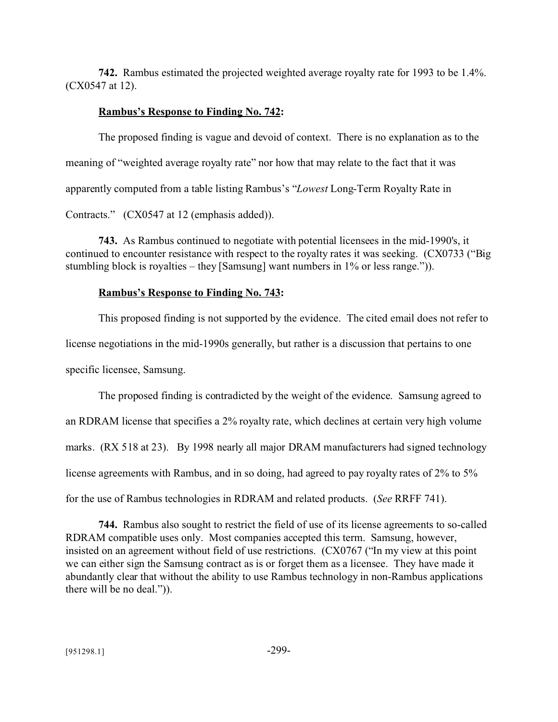**742.** Rambus estimated the projected weighted average royalty rate for 1993 to be 1.4%. (CX0547 at 12).

# **Rambus's Response to Finding No. 742:**

The proposed finding is vague and devoid of context. There is no explanation as to the meaning of "weighted average royalty rate" nor how that may relate to the fact that it was apparently computed from a table listing Rambus's "*Lowest* Long-Term Royalty Rate in Contracts." (CX0547 at 12 (emphasis added)).

**743.** As Rambus continued to negotiate with potential licensees in the mid-1990's, it continued to encounter resistance with respect to the royalty rates it was seeking. (CX0733 ("Big stumbling block is royalties – they [Samsung] want numbers in 1% or less range.")).

# **Rambus's Response to Finding No. 743:**

This proposed finding is not supported by the evidence. The cited email does not refer to license negotiations in the mid-1990s generally, but rather is a discussion that pertains to one specific licensee, Samsung.

The proposed finding is contradicted by the weight of the evidence. Samsung agreed to an RDRAM license that specifies a 2% royalty rate, which declines at certain very high volume marks. (RX 518 at 23). By 1998 nearly all major DRAM manufacturers had signed technology license agreements with Rambus, and in so doing, had agreed to pay royalty rates of 2% to 5% for the use of Rambus technologies in RDRAM and related products. (*See* RRFF 741).

**744.** Rambus also sought to restrict the field of use of its license agreements to so-called RDRAM compatible uses only. Most companies accepted this term. Samsung, however, insisted on an agreement without field of use restrictions. (CX0767 ("In my view at this point we can either sign the Samsung contract as is or forget them as a licensee. They have made it abundantly clear that without the ability to use Rambus technology in non-Rambus applications there will be no deal.")).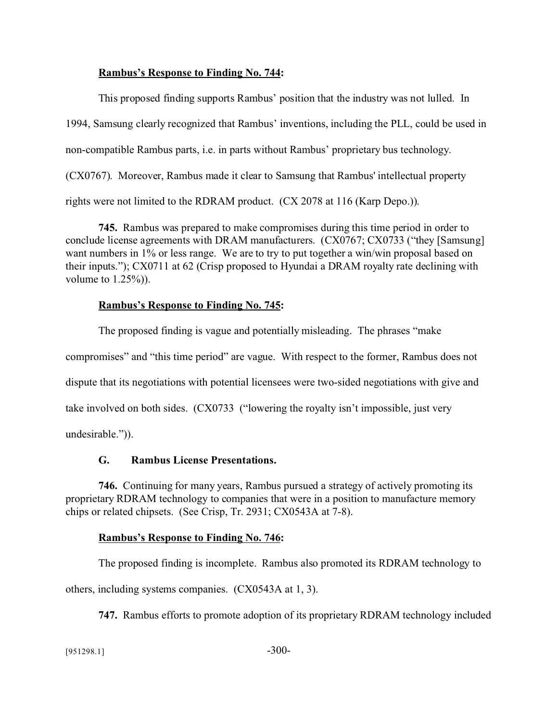# **Rambus's Response to Finding No. 744:**

This proposed finding supports Rambus' position that the industry was not lulled. In 1994, Samsung clearly recognized that Rambus' inventions, including the PLL, could be used in non-compatible Rambus parts, i.e. in parts without Rambus' proprietary bus technology. (CX0767). Moreover, Rambus made it clear to Samsung that Rambus' intellectual property rights were not limited to the RDRAM product. (CX 2078 at 116 (Karp Depo.)).

**745.** Rambus was prepared to make compromises during this time period in order to conclude license agreements with DRAM manufacturers. (CX0767; CX0733 ("they [Samsung] want numbers in 1% or less range. We are to try to put together a win/win proposal based on their inputs."); CX0711 at 62 (Crisp proposed to Hyundai a DRAM royalty rate declining with volume to  $1.25\%)$ .

# **Rambus's Response to Finding No. 745:**

The proposed finding is vague and potentially misleading. The phrases "make compromises" and "this time period" are vague. With respect to the former, Rambus does not dispute that its negotiations with potential licensees were two-sided negotiations with give and take involved on both sides. (CX0733 ("lowering the royalty isn't impossible, just very undesirable.")).

# **G. Rambus License Presentations.**

**746.** Continuing for many years, Rambus pursued a strategy of actively promoting its proprietary RDRAM technology to companies that were in a position to manufacture memory chips or related chipsets. (See Crisp, Tr. 2931; CX0543A at 7-8).

# **Rambus's Response to Finding No. 746:**

The proposed finding is incomplete. Rambus also promoted its RDRAM technology to

others, including systems companies. (CX0543A at 1, 3).

**747.** Rambus efforts to promote adoption of its proprietary RDRAM technology included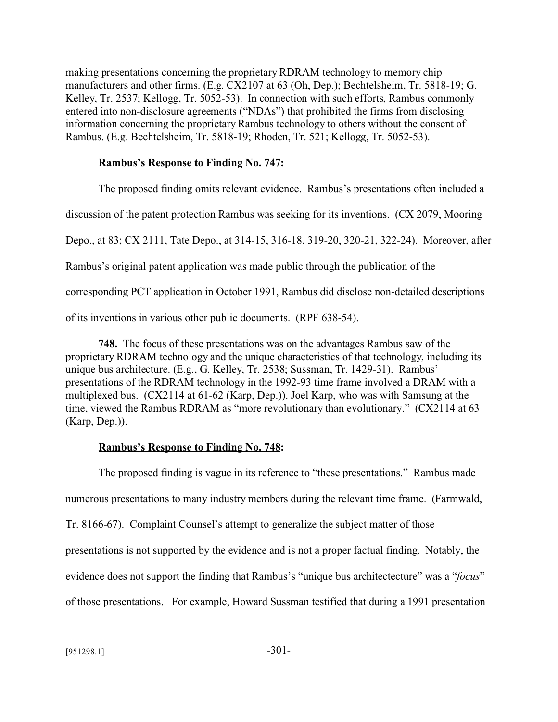making presentations concerning the proprietary RDRAM technology to memory chip manufacturers and other firms. (E.g. CX2107 at 63 (Oh, Dep.); Bechtelsheim, Tr. 5818-19; G. Kelley, Tr. 2537; Kellogg, Tr. 5052-53). In connection with such efforts, Rambus commonly entered into non-disclosure agreements ("NDAs") that prohibited the firms from disclosing information concerning the proprietary Rambus technology to others without the consent of Rambus. (E.g. Bechtelsheim, Tr. 5818-19; Rhoden, Tr. 521; Kellogg, Tr. 5052-53).

# **Rambus's Response to Finding No. 747:**

The proposed finding omits relevant evidence. Rambus's presentations often included a discussion of the patent protection Rambus was seeking for its inventions. (CX 2079, Mooring Depo., at 83; CX 2111, Tate Depo., at 314-15, 316-18, 319-20, 320-21, 322-24). Moreover, after Rambus's original patent application was made public through the publication of the corresponding PCT application in October 1991, Rambus did disclose non-detailed descriptions of its inventions in various other public documents. (RPF 638-54).

**748.** The focus of these presentations was on the advantages Rambus saw of the proprietary RDRAM technology and the unique characteristics of that technology, including its unique bus architecture. (E.g., G. Kelley, Tr. 2538; Sussman, Tr. 1429-31). Rambus' presentations of the RDRAM technology in the 1992-93 time frame involved a DRAM with a multiplexed bus. (CX2114 at 61-62 (Karp, Dep.)). Joel Karp, who was with Samsung at the time, viewed the Rambus RDRAM as "more revolutionary than evolutionary." (CX2114 at 63 (Karp, Dep.)).

# **Rambus's Response to Finding No. 748:**

The proposed finding is vague in its reference to "these presentations." Rambus made numerous presentations to many industry members during the relevant time frame. (Farmwald, Tr. 8166-67). Complaint Counsel's attempt to generalize the subject matter of those presentations is not supported by the evidence and is not a proper factual finding. Notably, the evidence does not support the finding that Rambus's "unique bus architectecture" was a "*focus*" of those presentations. For example, Howard Sussman testified that during a 1991 presentation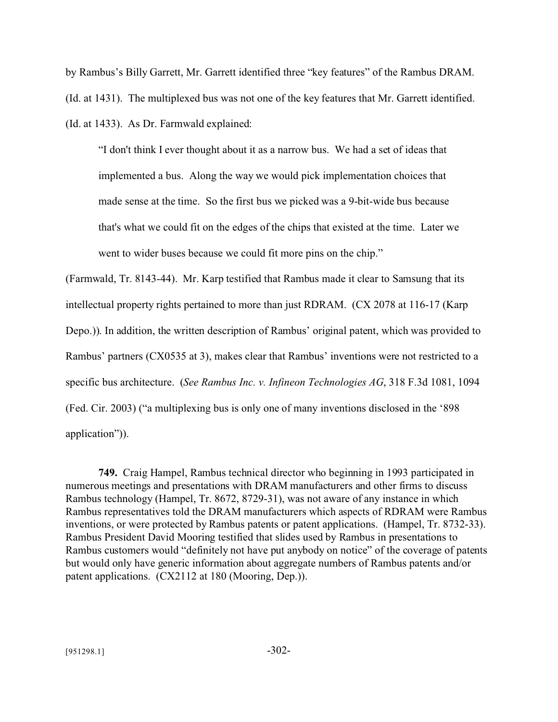by Rambus's Billy Garrett, Mr. Garrett identified three "key features" of the Rambus DRAM. (Id. at 1431). The multiplexed bus was not one of the key features that Mr. Garrett identified. (Id. at 1433). As Dr. Farmwald explained:

"I don't think I ever thought about it as a narrow bus. We had a set of ideas that implemented a bus. Along the way we would pick implementation choices that made sense at the time. So the first bus we picked was a 9-bit-wide bus because that's what we could fit on the edges of the chips that existed at the time. Later we went to wider buses because we could fit more pins on the chip."

(Farmwald, Tr. 8143-44). Mr. Karp testified that Rambus made it clear to Samsung that its intellectual property rights pertained to more than just RDRAM. (CX 2078 at 116-17 (Karp Depo.)). In addition, the written description of Rambus' original patent, which was provided to Rambus' partners (CX0535 at 3), makes clear that Rambus' inventions were not restricted to a specific bus architecture. (*See Rambus Inc. v. Infineon Technologies AG*, 318 F.3d 1081, 1094 (Fed. Cir. 2003) ("a multiplexing bus is only one of many inventions disclosed in the '898 application")).

**749.** Craig Hampel, Rambus technical director who beginning in 1993 participated in numerous meetings and presentations with DRAM manufacturers and other firms to discuss Rambus technology (Hampel, Tr. 8672, 8729-31), was not aware of any instance in which Rambus representatives told the DRAM manufacturers which aspects of RDRAM were Rambus inventions, or were protected by Rambus patents or patent applications. (Hampel, Tr. 8732-33). Rambus President David Mooring testified that slides used by Rambus in presentations to Rambus customers would "definitely not have put anybody on notice" of the coverage of patents but would only have generic information about aggregate numbers of Rambus patents and/or patent applications. (CX2112 at 180 (Mooring, Dep.)).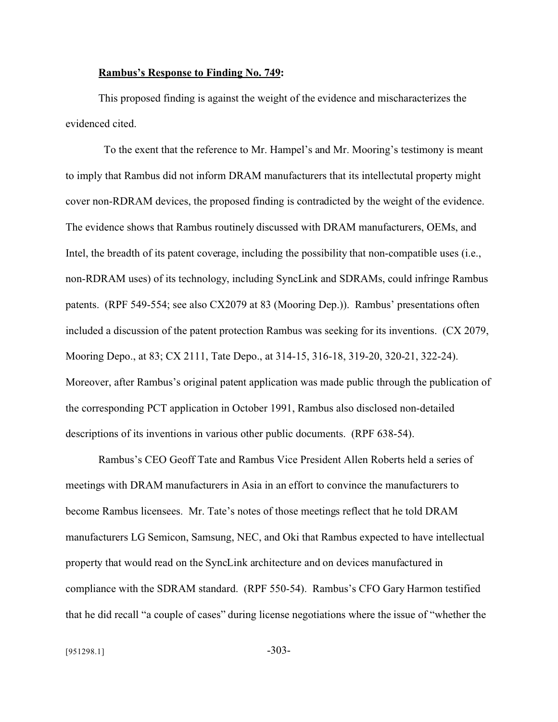### **Rambus's Response to Finding No. 749:**

This proposed finding is against the weight of the evidence and mischaracterizes the evidenced cited.

 To the exent that the reference to Mr. Hampel's and Mr. Mooring's testimony is meant to imply that Rambus did not inform DRAM manufacturers that its intellectutal property might cover non-RDRAM devices, the proposed finding is contradicted by the weight of the evidence. The evidence shows that Rambus routinely discussed with DRAM manufacturers, OEMs, and Intel, the breadth of its patent coverage, including the possibility that non-compatible uses (i.e., non-RDRAM uses) of its technology, including SyncLink and SDRAMs, could infringe Rambus patents. (RPF 549-554; see also CX2079 at 83 (Mooring Dep.)). Rambus' presentations often included a discussion of the patent protection Rambus was seeking for its inventions. (CX 2079, Mooring Depo., at 83; CX 2111, Tate Depo., at 314-15, 316-18, 319-20, 320-21, 322-24). Moreover, after Rambus's original patent application was made public through the publication of the corresponding PCT application in October 1991, Rambus also disclosed non-detailed descriptions of its inventions in various other public documents. (RPF 638-54).

Rambus's CEO Geoff Tate and Rambus Vice President Allen Roberts held a series of meetings with DRAM manufacturers in Asia in an effort to convince the manufacturers to become Rambus licensees. Mr. Tate's notes of those meetings reflect that he told DRAM manufacturers LG Semicon, Samsung, NEC, and Oki that Rambus expected to have intellectual property that would read on the SyncLink architecture and on devices manufactured in compliance with the SDRAM standard. (RPF 550-54). Rambus's CFO Gary Harmon testified that he did recall "a couple of cases" during license negotiations where the issue of "whether the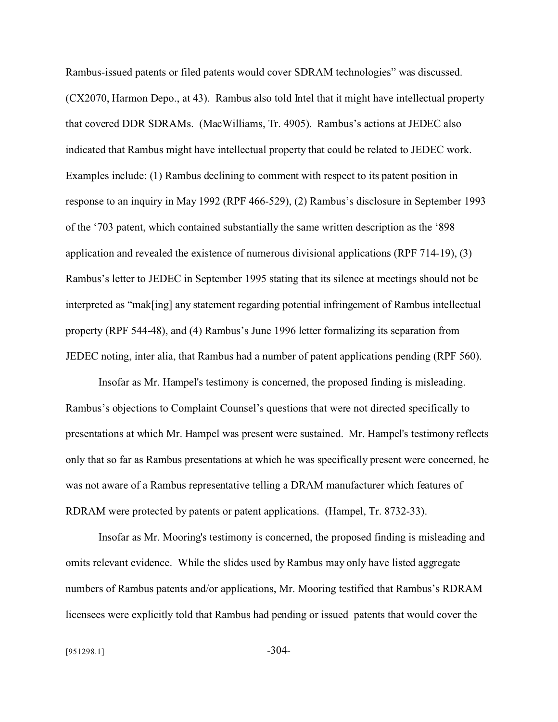Rambus-issued patents or filed patents would cover SDRAM technologies" was discussed. (CX2070, Harmon Depo., at 43). Rambus also told Intel that it might have intellectual property that covered DDR SDRAMs. (MacWilliams, Tr. 4905). Rambus's actions at JEDEC also indicated that Rambus might have intellectual property that could be related to JEDEC work. Examples include: (1) Rambus declining to comment with respect to its patent position in response to an inquiry in May 1992 (RPF 466-529), (2) Rambus's disclosure in September 1993 of the '703 patent, which contained substantially the same written description as the '898 application and revealed the existence of numerous divisional applications (RPF 714-19), (3) Rambus's letter to JEDEC in September 1995 stating that its silence at meetings should not be interpreted as "mak[ing] any statement regarding potential infringement of Rambus intellectual property (RPF 544-48), and (4) Rambus's June 1996 letter formalizing its separation from JEDEC noting, inter alia, that Rambus had a number of patent applications pending (RPF 560).

Insofar as Mr. Hampel's testimony is concerned, the proposed finding is misleading. Rambus's objections to Complaint Counsel's questions that were not directed specifically to presentations at which Mr. Hampel was present were sustained. Mr. Hampel's testimony reflects only that so far as Rambus presentations at which he was specifically present were concerned, he was not aware of a Rambus representative telling a DRAM manufacturer which features of RDRAM were protected by patents or patent applications. (Hampel, Tr. 8732-33).

Insofar as Mr. Mooring's testimony is concerned, the proposed finding is misleading and omits relevant evidence. While the slides used by Rambus may only have listed aggregate numbers of Rambus patents and/or applications, Mr. Mooring testified that Rambus's RDRAM licensees were explicitly told that Rambus had pending or issued patents that would cover the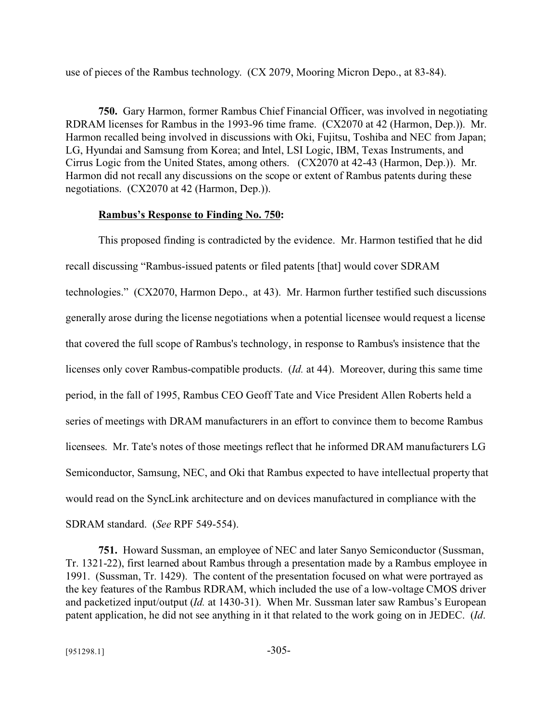use of pieces of the Rambus technology. (CX 2079, Mooring Micron Depo., at 83-84).

**750.** Gary Harmon, former Rambus Chief Financial Officer, was involved in negotiating RDRAM licenses for Rambus in the 1993-96 time frame. (CX2070 at 42 (Harmon, Dep.)). Mr. Harmon recalled being involved in discussions with Oki, Fujitsu, Toshiba and NEC from Japan; LG, Hyundai and Samsung from Korea; and Intel, LSI Logic, IBM, Texas Instruments, and Cirrus Logic from the United States, among others. (CX2070 at 42-43 (Harmon, Dep.)). Mr. Harmon did not recall any discussions on the scope or extent of Rambus patents during these negotiations. (CX2070 at 42 (Harmon, Dep.)).

#### **Rambus's Response to Finding No. 750:**

This proposed finding is contradicted by the evidence. Mr. Harmon testified that he did recall discussing "Rambus-issued patents or filed patents [that] would cover SDRAM technologies." (CX2070, Harmon Depo., at 43). Mr. Harmon further testified such discussions generally arose during the license negotiations when a potential licensee would request a license that covered the full scope of Rambus's technology, in response to Rambus's insistence that the licenses only cover Rambus-compatible products. (*Id.* at 44). Moreover, during this same time period, in the fall of 1995, Rambus CEO Geoff Tate and Vice President Allen Roberts held a series of meetings with DRAM manufacturers in an effort to convince them to become Rambus licensees. Mr. Tate's notes of those meetings reflect that he informed DRAM manufacturers LG Semiconductor, Samsung, NEC, and Oki that Rambus expected to have intellectual property that would read on the SyncLink architecture and on devices manufactured in compliance with the SDRAM standard. (*See* RPF 549-554).

**751.** Howard Sussman, an employee of NEC and later Sanyo Semiconductor (Sussman, Tr. 1321-22), first learned about Rambus through a presentation made by a Rambus employee in 1991. (Sussman, Tr. 1429). The content of the presentation focused on what were portrayed as the key features of the Rambus RDRAM, which included the use of a low-voltage CMOS driver and packetized input/output (*Id.* at 1430-31). When Mr. Sussman later saw Rambus's European patent application, he did not see anything in it that related to the work going on in JEDEC. (*Id*.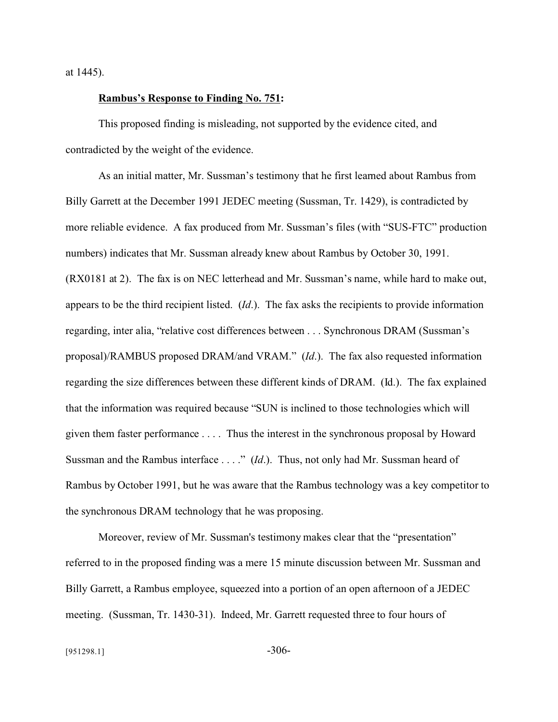at 1445).

#### **Rambus's Response to Finding No. 751:**

This proposed finding is misleading, not supported by the evidence cited, and contradicted by the weight of the evidence.

As an initial matter, Mr. Sussman's testimony that he first learned about Rambus from Billy Garrett at the December 1991 JEDEC meeting (Sussman, Tr. 1429), is contradicted by more reliable evidence. A fax produced from Mr. Sussman's files (with "SUS-FTC" production numbers) indicates that Mr. Sussman already knew about Rambus by October 30, 1991. (RX0181 at 2). The fax is on NEC letterhead and Mr. Sussman's name, while hard to make out, appears to be the third recipient listed. (*Id*.). The fax asks the recipients to provide information regarding, inter alia, "relative cost differences between . . . Synchronous DRAM (Sussman's proposal)/RAMBUS proposed DRAM/and VRAM." (*Id*.). The fax also requested information regarding the size differences between these different kinds of DRAM. (Id.). The fax explained that the information was required because "SUN is inclined to those technologies which will given them faster performance . . . . Thus the interest in the synchronous proposal by Howard Sussman and the Rambus interface . . . ." (*Id*.). Thus, not only had Mr. Sussman heard of Rambus by October 1991, but he was aware that the Rambus technology was a key competitor to the synchronous DRAM technology that he was proposing.

Moreover, review of Mr. Sussman's testimony makes clear that the "presentation" referred to in the proposed finding was a mere 15 minute discussion between Mr. Sussman and Billy Garrett, a Rambus employee, squeezed into a portion of an open afternoon of a JEDEC meeting. (Sussman, Tr. 1430-31). Indeed, Mr. Garrett requested three to four hours of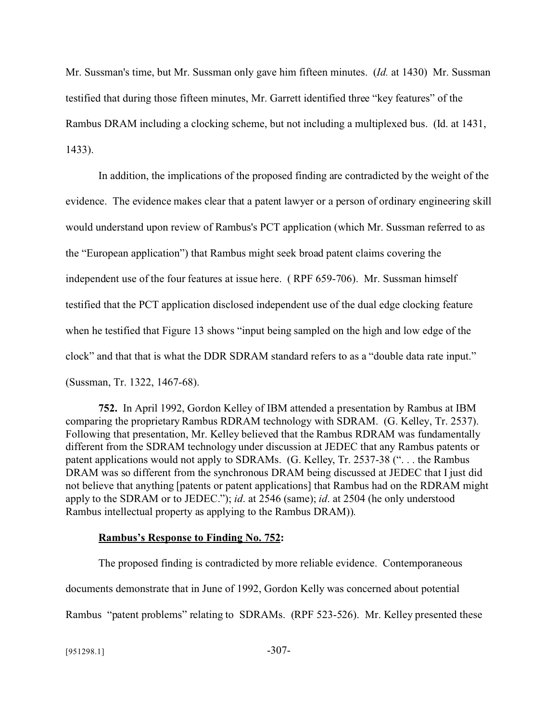Mr. Sussman's time, but Mr. Sussman only gave him fifteen minutes. (*Id.* at 1430) Mr. Sussman testified that during those fifteen minutes, Mr. Garrett identified three "key features" of the Rambus DRAM including a clocking scheme, but not including a multiplexed bus. (Id. at 1431, 1433).

In addition, the implications of the proposed finding are contradicted by the weight of the evidence. The evidence makes clear that a patent lawyer or a person of ordinary engineering skill would understand upon review of Rambus's PCT application (which Mr. Sussman referred to as the "European application") that Rambus might seek broad patent claims covering the independent use of the four features at issue here. ( RPF 659-706). Mr. Sussman himself testified that the PCT application disclosed independent use of the dual edge clocking feature when he testified that Figure 13 shows "input being sampled on the high and low edge of the clock" and that that is what the DDR SDRAM standard refers to as a "double data rate input." (Sussman, Tr. 1322, 1467-68).

**752.** In April 1992, Gordon Kelley of IBM attended a presentation by Rambus at IBM comparing the proprietary Rambus RDRAM technology with SDRAM. (G. Kelley, Tr. 2537). Following that presentation, Mr. Kelley believed that the Rambus RDRAM was fundamentally different from the SDRAM technology under discussion at JEDEC that any Rambus patents or patent applications would not apply to SDRAMs. (G. Kelley, Tr. 2537-38 (". . . the Rambus DRAM was so different from the synchronous DRAM being discussed at JEDEC that I just did not believe that anything [patents or patent applications] that Rambus had on the RDRAM might apply to the SDRAM or to JEDEC."); *id*. at 2546 (same); *id*. at 2504 (he only understood Rambus intellectual property as applying to the Rambus DRAM)).

### **Rambus's Response to Finding No. 752:**

The proposed finding is contradicted by more reliable evidence. Contemporaneous documents demonstrate that in June of 1992, Gordon Kelly was concerned about potential Rambus "patent problems" relating to SDRAMs. (RPF 523-526). Mr. Kelley presented these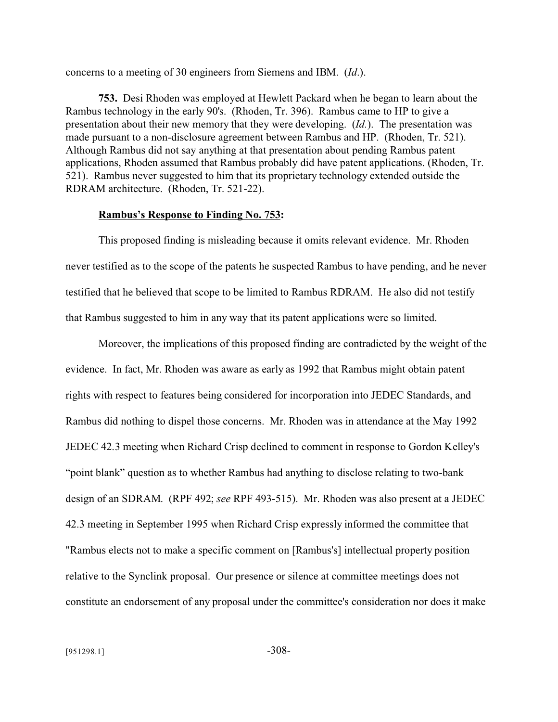concerns to a meeting of 30 engineers from Siemens and IBM. (*Id*.).

**753.** Desi Rhoden was employed at Hewlett Packard when he began to learn about the Rambus technology in the early 90's. (Rhoden, Tr. 396). Rambus came to HP to give a presentation about their new memory that they were developing. (*Id.*). The presentation was made pursuant to a non-disclosure agreement between Rambus and HP. (Rhoden, Tr. 521). Although Rambus did not say anything at that presentation about pending Rambus patent applications, Rhoden assumed that Rambus probably did have patent applications. (Rhoden, Tr. 521). Rambus never suggested to him that its proprietary technology extended outside the RDRAM architecture. (Rhoden, Tr. 521-22).

#### **Rambus's Response to Finding No. 753:**

This proposed finding is misleading because it omits relevant evidence. Mr. Rhoden never testified as to the scope of the patents he suspected Rambus to have pending, and he never testified that he believed that scope to be limited to Rambus RDRAM. He also did not testify that Rambus suggested to him in any way that its patent applications were so limited.

Moreover, the implications of this proposed finding are contradicted by the weight of the evidence. In fact, Mr. Rhoden was aware as early as 1992 that Rambus might obtain patent rights with respect to features being considered for incorporation into JEDEC Standards, and Rambus did nothing to dispel those concerns. Mr. Rhoden was in attendance at the May 1992 JEDEC 42.3 meeting when Richard Crisp declined to comment in response to Gordon Kelley's "point blank" question as to whether Rambus had anything to disclose relating to two-bank design of an SDRAM. (RPF 492; *see* RPF 493-515). Mr. Rhoden was also present at a JEDEC 42.3 meeting in September 1995 when Richard Crisp expressly informed the committee that "Rambus elects not to make a specific comment on [Rambus's] intellectual property position relative to the Synclink proposal. Our presence or silence at committee meetings does not constitute an endorsement of any proposal under the committee's consideration nor does it make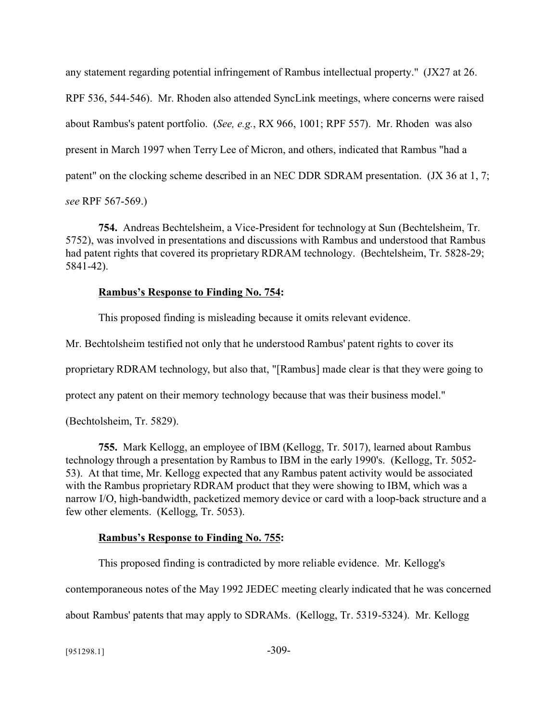any statement regarding potential infringement of Rambus intellectual property." (JX27 at 26. RPF 536, 544-546). Mr. Rhoden also attended SyncLink meetings, where concerns were raised about Rambus's patent portfolio. (*See, e.g.*, RX 966, 1001; RPF 557). Mr. Rhoden was also present in March 1997 when Terry Lee of Micron, and others, indicated that Rambus "had a patent" on the clocking scheme described in an NEC DDR SDRAM presentation. (JX 36 at 1, 7; *see* RPF 567-569.)

**754.** Andreas Bechtelsheim, a Vice-President for technology at Sun (Bechtelsheim, Tr. 5752), was involved in presentations and discussions with Rambus and understood that Rambus had patent rights that covered its proprietary RDRAM technology. (Bechtelsheim, Tr. 5828-29; 5841-42).

# **Rambus's Response to Finding No. 754:**

This proposed finding is misleading because it omits relevant evidence.

Mr. Bechtolsheim testified not only that he understood Rambus' patent rights to cover its

proprietary RDRAM technology, but also that, "[Rambus] made clear is that they were going to

protect any patent on their memory technology because that was their business model."

(Bechtolsheim, Tr. 5829).

**755.** Mark Kellogg, an employee of IBM (Kellogg, Tr. 5017), learned about Rambus technology through a presentation by Rambus to IBM in the early 1990's. (Kellogg, Tr. 5052- 53). At that time, Mr. Kellogg expected that any Rambus patent activity would be associated with the Rambus proprietary RDRAM product that they were showing to IBM, which was a narrow I/O, high-bandwidth, packetized memory device or card with a loop-back structure and a few other elements. (Kellogg, Tr. 5053).

# **Rambus's Response to Finding No. 755:**

This proposed finding is contradicted by more reliable evidence. Mr. Kellogg's

contemporaneous notes of the May 1992 JEDEC meeting clearly indicated that he was concerned

about Rambus' patents that may apply to SDRAMs. (Kellogg, Tr. 5319-5324). Mr. Kellogg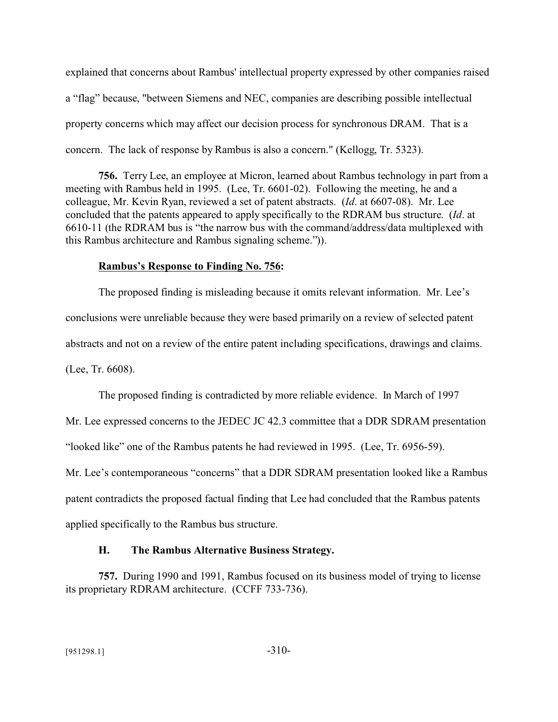explained that concerns about Rambus' intellectual property expressed by other companies raised a "flag" because, "between Siemens and NEC, companies are describing possible intellectual property concerns which may affect our decision process for synchronous DRAM. That is a concern. The lack of response by Rambus is also a concern." (Kellogg, Tr. 5323).

**756.** Terry Lee, an employee at Micron, learned about Rambus technology in part from a meeting with Rambus held in 1995. (Lee, Tr. 6601-02). Following the meeting, he and a colleague, Mr. Kevin Ryan, reviewed a set of patent abstracts. (*Id*. at 6607-08). Mr. Lee concluded that the patents appeared to apply specifically to the RDRAM bus structure. (*Id*. at 6610-11 (the RDRAM bus is "the narrow bus with the command/address/data multiplexed with this Rambus architecture and Rambus signaling scheme.")).

## **Rambus's Response to Finding No. 756:**

The proposed finding is misleading because it omits relevant information. Mr. Lee's conclusions were unreliable because they were based primarily on a review of selected patent abstracts and not on a review of the entire patent including specifications, drawings and claims. (Lee, Tr. 6608).

The proposed finding is contradicted by more reliable evidence. In March of 1997

Mr. Lee expressed concerns to the JEDEC JC 42.3 committee that a DDR SDRAM presentation

"looked like" one of the Rambus patents he had reviewed in 1995. (Lee, Tr. 6956-59).

Mr. Lee's contemporaneous "concerns" that a DDR SDRAM presentation looked like a Rambus patent contradicts the proposed factual finding that Lee had concluded that the Rambus patents applied specifically to the Rambus bus structure.

# **H. The Rambus Alternative Business Strategy.**

**757.** During 1990 and 1991, Rambus focused on its business model of trying to license its proprietary RDRAM architecture. (CCFF 733-736).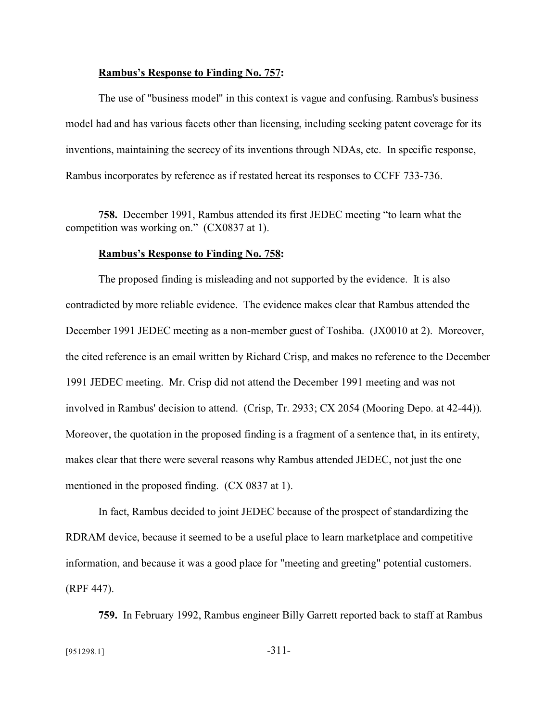#### **Rambus's Response to Finding No. 757:**

The use of "business model" in this context is vague and confusing. Rambus's business model had and has various facets other than licensing, including seeking patent coverage for its inventions, maintaining the secrecy of its inventions through NDAs, etc. In specific response, Rambus incorporates by reference as if restated hereat its responses to CCFF 733-736.

**758.** December 1991, Rambus attended its first JEDEC meeting "to learn what the competition was working on." (CX0837 at 1).

#### **Rambus's Response to Finding No. 758:**

The proposed finding is misleading and not supported by the evidence. It is also contradicted by more reliable evidence. The evidence makes clear that Rambus attended the December 1991 JEDEC meeting as a non-member guest of Toshiba. (JX0010 at 2). Moreover, the cited reference is an email written by Richard Crisp, and makes no reference to the December 1991 JEDEC meeting. Mr. Crisp did not attend the December 1991 meeting and was not involved in Rambus' decision to attend. (Crisp, Tr. 2933; CX 2054 (Mooring Depo. at 42-44)). Moreover, the quotation in the proposed finding is a fragment of a sentence that, in its entirety, makes clear that there were several reasons why Rambus attended JEDEC, not just the one mentioned in the proposed finding. (CX 0837 at 1).

In fact, Rambus decided to joint JEDEC because of the prospect of standardizing the RDRAM device, because it seemed to be a useful place to learn marketplace and competitive information, and because it was a good place for "meeting and greeting" potential customers. (RPF 447).

**759.** In February 1992, Rambus engineer Billy Garrett reported back to staff at Rambus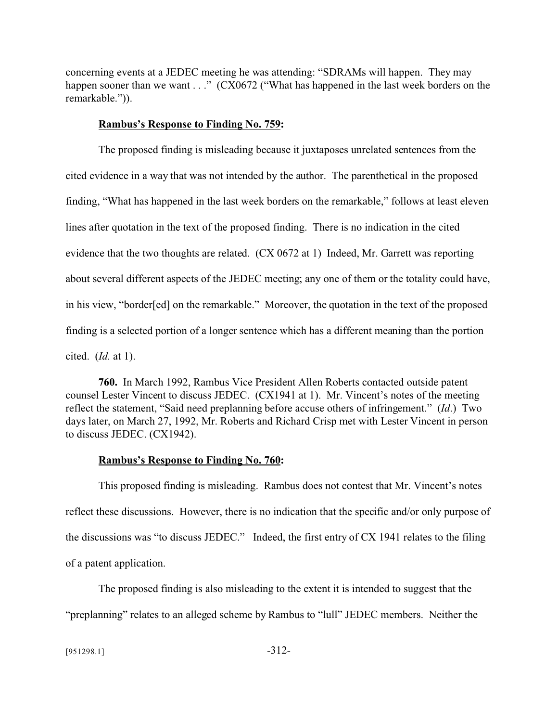concerning events at a JEDEC meeting he was attending: "SDRAMs will happen. They may happen sooner than we want . . ." (CX0672 ("What has happened in the last week borders on the remarkable.")).

## **Rambus's Response to Finding No. 759:**

The proposed finding is misleading because it juxtaposes unrelated sentences from the cited evidence in a way that was not intended by the author. The parenthetical in the proposed finding, "What has happened in the last week borders on the remarkable," follows at least eleven lines after quotation in the text of the proposed finding. There is no indication in the cited evidence that the two thoughts are related. (CX 0672 at 1) Indeed, Mr. Garrett was reporting about several different aspects of the JEDEC meeting; any one of them or the totality could have, in his view, "border[ed] on the remarkable." Moreover, the quotation in the text of the proposed finding is a selected portion of a longer sentence which has a different meaning than the portion cited. (*Id.* at 1).

**760.** In March 1992, Rambus Vice President Allen Roberts contacted outside patent counsel Lester Vincent to discuss JEDEC. (CX1941 at 1). Mr. Vincent's notes of the meeting reflect the statement, "Said need preplanning before accuse others of infringement." (*Id*.) Two days later, on March 27, 1992, Mr. Roberts and Richard Crisp met with Lester Vincent in person to discuss JEDEC. (CX1942).

# **Rambus's Response to Finding No. 760:**

This proposed finding is misleading. Rambus does not contest that Mr. Vincent's notes reflect these discussions. However, there is no indication that the specific and/or only purpose of the discussions was "to discuss JEDEC." Indeed, the first entry of CX 1941 relates to the filing of a patent application.

The proposed finding is also misleading to the extent it is intended to suggest that the "preplanning" relates to an alleged scheme by Rambus to "lull" JEDEC members. Neither the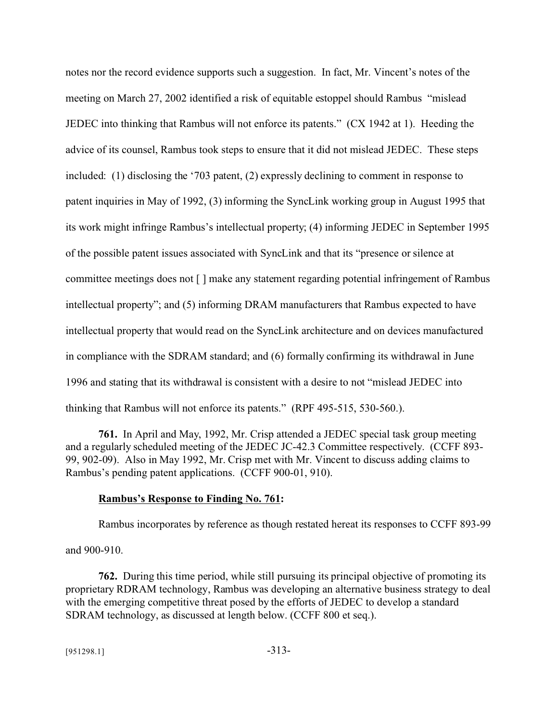notes nor the record evidence supports such a suggestion. In fact, Mr. Vincent's notes of the meeting on March 27, 2002 identified a risk of equitable estoppel should Rambus "mislead JEDEC into thinking that Rambus will not enforce its patents." (CX 1942 at 1). Heeding the advice of its counsel, Rambus took steps to ensure that it did not mislead JEDEC. These steps included: (1) disclosing the '703 patent, (2) expressly declining to comment in response to patent inquiries in May of 1992, (3) informing the SyncLink working group in August 1995 that its work might infringe Rambus's intellectual property; (4) informing JEDEC in September 1995 of the possible patent issues associated with SyncLink and that its "presence or silence at committee meetings does not [ ] make any statement regarding potential infringement of Rambus intellectual property"; and (5) informing DRAM manufacturers that Rambus expected to have intellectual property that would read on the SyncLink architecture and on devices manufactured in compliance with the SDRAM standard; and (6) formally confirming its withdrawal in June 1996 and stating that its withdrawal is consistent with a desire to not "mislead JEDEC into thinking that Rambus will not enforce its patents." (RPF 495-515, 530-560.).

**761.** In April and May, 1992, Mr. Crisp attended a JEDEC special task group meeting and a regularly scheduled meeting of the JEDEC JC-42.3 Committee respectively. (CCFF 893- 99, 902-09). Also in May 1992, Mr. Crisp met with Mr. Vincent to discuss adding claims to Rambus's pending patent applications. (CCFF 900-01, 910).

### **Rambus's Response to Finding No. 761:**

Rambus incorporates by reference as though restated hereat its responses to CCFF 893-99

and 900-910.

**762.** During this time period, while still pursuing its principal objective of promoting its proprietary RDRAM technology, Rambus was developing an alternative business strategy to deal with the emerging competitive threat posed by the efforts of JEDEC to develop a standard SDRAM technology, as discussed at length below. (CCFF 800 et seq.).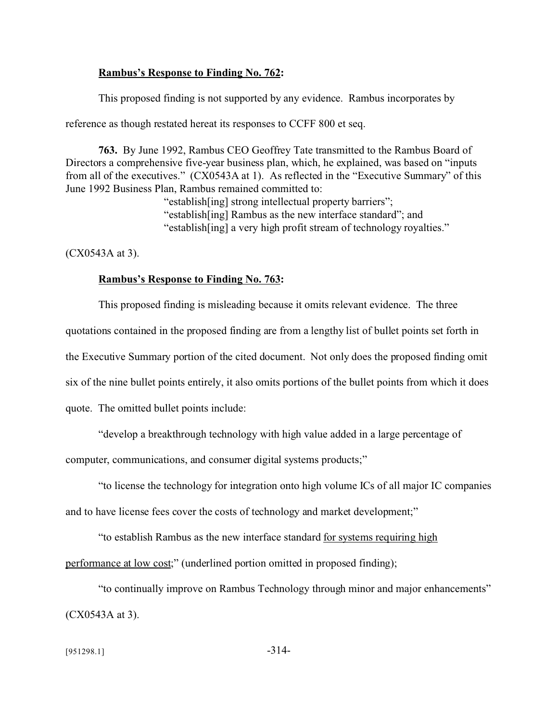## **Rambus's Response to Finding No. 762:**

This proposed finding is not supported by any evidence. Rambus incorporates by

reference as though restated hereat its responses to CCFF 800 et seq.

**763.** By June 1992, Rambus CEO Geoffrey Tate transmitted to the Rambus Board of Directors a comprehensive five-year business plan, which, he explained, was based on "inputs from all of the executives." (CX0543A at 1). As reflected in the "Executive Summary" of this June 1992 Business Plan, Rambus remained committed to:

> "establish[ing] strong intellectual property barriers"; "establish[ing] Rambus as the new interface standard"; and "establish[ing] a very high profit stream of technology royalties."

(CX0543A at 3).

### **Rambus's Response to Finding No. 763:**

This proposed finding is misleading because it omits relevant evidence. The three quotations contained in the proposed finding are from a lengthy list of bullet points set forth in the Executive Summary portion of the cited document. Not only does the proposed finding omit six of the nine bullet points entirely, it also omits portions of the bullet points from which it does quote. The omitted bullet points include:

"develop a breakthrough technology with high value added in a large percentage of

computer, communications, and consumer digital systems products;"

"to license the technology for integration onto high volume ICs of all major IC companies and to have license fees cover the costs of technology and market development;"

"to establish Rambus as the new interface standard for systems requiring high performance at low cost;" (underlined portion omitted in proposed finding);

"to continually improve on Rambus Technology through minor and major enhancements" (CX0543A at 3).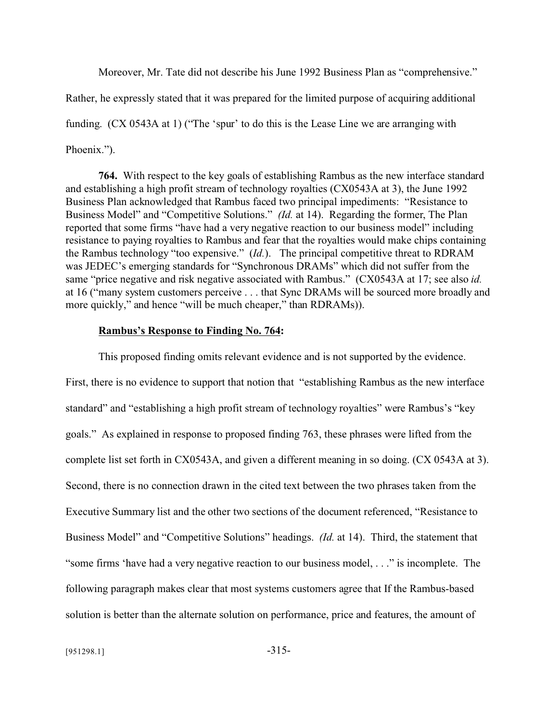Moreover, Mr. Tate did not describe his June 1992 Business Plan as "comprehensive."

Rather, he expressly stated that it was prepared for the limited purpose of acquiring additional funding. (CX 0543A at 1) ("The 'spur' to do this is the Lease Line we are arranging with Phoenix.").

**764.** With respect to the key goals of establishing Rambus as the new interface standard and establishing a high profit stream of technology royalties (CX0543A at 3), the June 1992 Business Plan acknowledged that Rambus faced two principal impediments: "Resistance to Business Model" and "Competitive Solutions." *(Id.* at 14). Regarding the former, The Plan reported that some firms "have had a very negative reaction to our business model" including resistance to paying royalties to Rambus and fear that the royalties would make chips containing the Rambus technology "too expensive." (*Id.*). The principal competitive threat to RDRAM was JEDEC's emerging standards for "Synchronous DRAMs" which did not suffer from the same "price negative and risk negative associated with Rambus." (CX0543A at 17; see also *id.* at 16 ("many system customers perceive . . . that Sync DRAMs will be sourced more broadly and more quickly," and hence "will be much cheaper," than RDRAMs)).

## **Rambus's Response to Finding No. 764:**

This proposed finding omits relevant evidence and is not supported by the evidence. First, there is no evidence to support that notion that "establishing Rambus as the new interface standard" and "establishing a high profit stream of technology royalties" were Rambus's "key goals." As explained in response to proposed finding 763, these phrases were lifted from the complete list set forth in CX0543A, and given a different meaning in so doing. (CX 0543A at 3). Second, there is no connection drawn in the cited text between the two phrases taken from the Executive Summary list and the other two sections of the document referenced, "Resistance to Business Model" and "Competitive Solutions" headings. *(Id.* at 14). Third, the statement that "some firms 'have had a very negative reaction to our business model, . . ." is incomplete. The following paragraph makes clear that most systems customers agree that If the Rambus-based solution is better than the alternate solution on performance, price and features, the amount of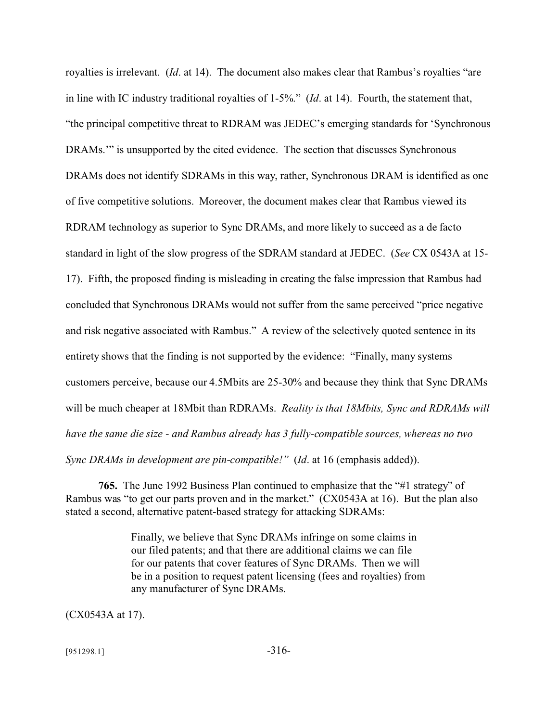royalties is irrelevant. (*Id*. at 14). The document also makes clear that Rambus's royalties "are in line with IC industry traditional royalties of 1-5%." (*Id*. at 14). Fourth, the statement that, "the principal competitive threat to RDRAM was JEDEC's emerging standards for 'Synchronous DRAMs.'" is unsupported by the cited evidence. The section that discusses Synchronous DRAMs does not identify SDRAMs in this way, rather, Synchronous DRAM is identified as one of five competitive solutions. Moreover, the document makes clear that Rambus viewed its RDRAM technology as superior to Sync DRAMs, and more likely to succeed as a de facto standard in light of the slow progress of the SDRAM standard at JEDEC. (*See* CX 0543A at 15- 17). Fifth, the proposed finding is misleading in creating the false impression that Rambus had concluded that Synchronous DRAMs would not suffer from the same perceived "price negative and risk negative associated with Rambus." A review of the selectively quoted sentence in its entirety shows that the finding is not supported by the evidence: "Finally, many systems customers perceive, because our 4.5Mbits are 25-30% and because they think that Sync DRAMs will be much cheaper at 18Mbit than RDRAMs. *Reality is that 18Mbits, Sync and RDRAMs will have the same die size - and Rambus already has 3 fully-compatible sources, whereas no two Sync DRAMs in development are pin-compatible!"* (*Id*. at 16 (emphasis added)).

**765.** The June 1992 Business Plan continued to emphasize that the "#1 strategy" of Rambus was "to get our parts proven and in the market." (CX0543A at 16). But the plan also stated a second, alternative patent-based strategy for attacking SDRAMs:

> Finally, we believe that Sync DRAMs infringe on some claims in our filed patents; and that there are additional claims we can file for our patents that cover features of Sync DRAMs. Then we will be in a position to request patent licensing (fees and royalties) from any manufacturer of Sync DRAMs.

(CX0543A at 17).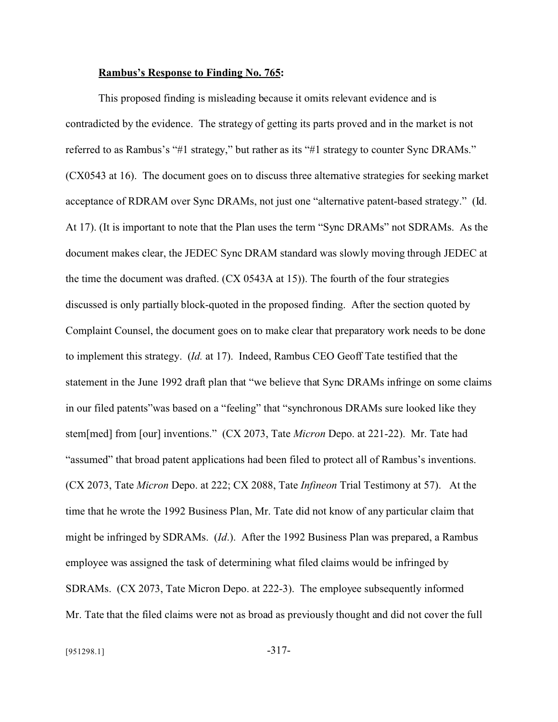### **Rambus's Response to Finding No. 765:**

This proposed finding is misleading because it omits relevant evidence and is contradicted by the evidence. The strategy of getting its parts proved and in the market is not referred to as Rambus's "#1 strategy," but rather as its "#1 strategy to counter Sync DRAMs." (CX0543 at 16). The document goes on to discuss three alternative strategies for seeking market acceptance of RDRAM over Sync DRAMs, not just one "alternative patent-based strategy." (Id. At 17). (It is important to note that the Plan uses the term "Sync DRAMs" not SDRAMs. As the document makes clear, the JEDEC Sync DRAM standard was slowly moving through JEDEC at the time the document was drafted. (CX 0543A at 15)). The fourth of the four strategies discussed is only partially block-quoted in the proposed finding. After the section quoted by Complaint Counsel, the document goes on to make clear that preparatory work needs to be done to implement this strategy. (*Id.* at 17). Indeed, Rambus CEO Geoff Tate testified that the statement in the June 1992 draft plan that "we believe that Sync DRAMs infringe on some claims in our filed patents"was based on a "feeling" that "synchronous DRAMs sure looked like they stem[med] from [our] inventions." (CX 2073, Tate *Micron* Depo. at 221-22). Mr. Tate had "assumed" that broad patent applications had been filed to protect all of Rambus's inventions. (CX 2073, Tate *Micron* Depo. at 222; CX 2088, Tate *Infineon* Trial Testimony at 57). At the time that he wrote the 1992 Business Plan, Mr. Tate did not know of any particular claim that might be infringed by SDRAMs. (*Id*.). After the 1992 Business Plan was prepared, a Rambus employee was assigned the task of determining what filed claims would be infringed by SDRAMs. (CX 2073, Tate Micron Depo. at 222-3). The employee subsequently informed Mr. Tate that the filed claims were not as broad as previously thought and did not cover the full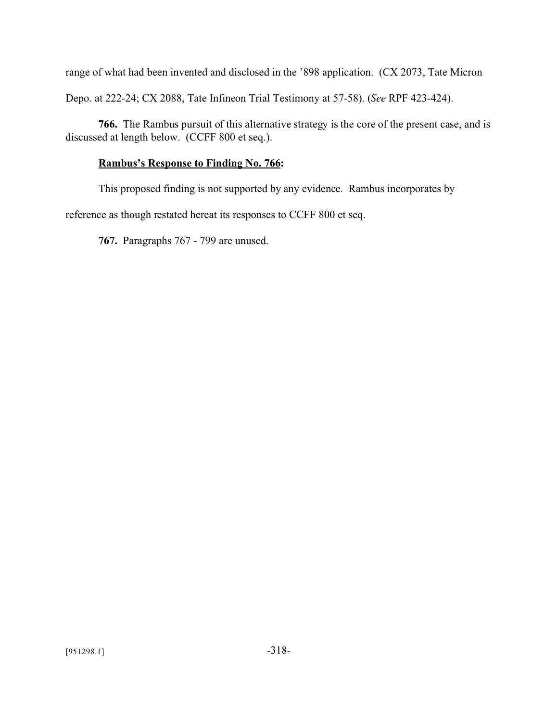range of what had been invented and disclosed in the '898 application. (CX 2073, Tate Micron Depo. at 222-24; CX 2088, Tate Infineon Trial Testimony at 57-58). (*See* RPF 423-424).

**766.** The Rambus pursuit of this alternative strategy is the core of the present case, and is discussed at length below. (CCFF 800 et seq.).

# **Rambus's Response to Finding No. 766:**

This proposed finding is not supported by any evidence. Rambus incorporates by

reference as though restated hereat its responses to CCFF 800 et seq.

**767.** Paragraphs 767 - 799 are unused.